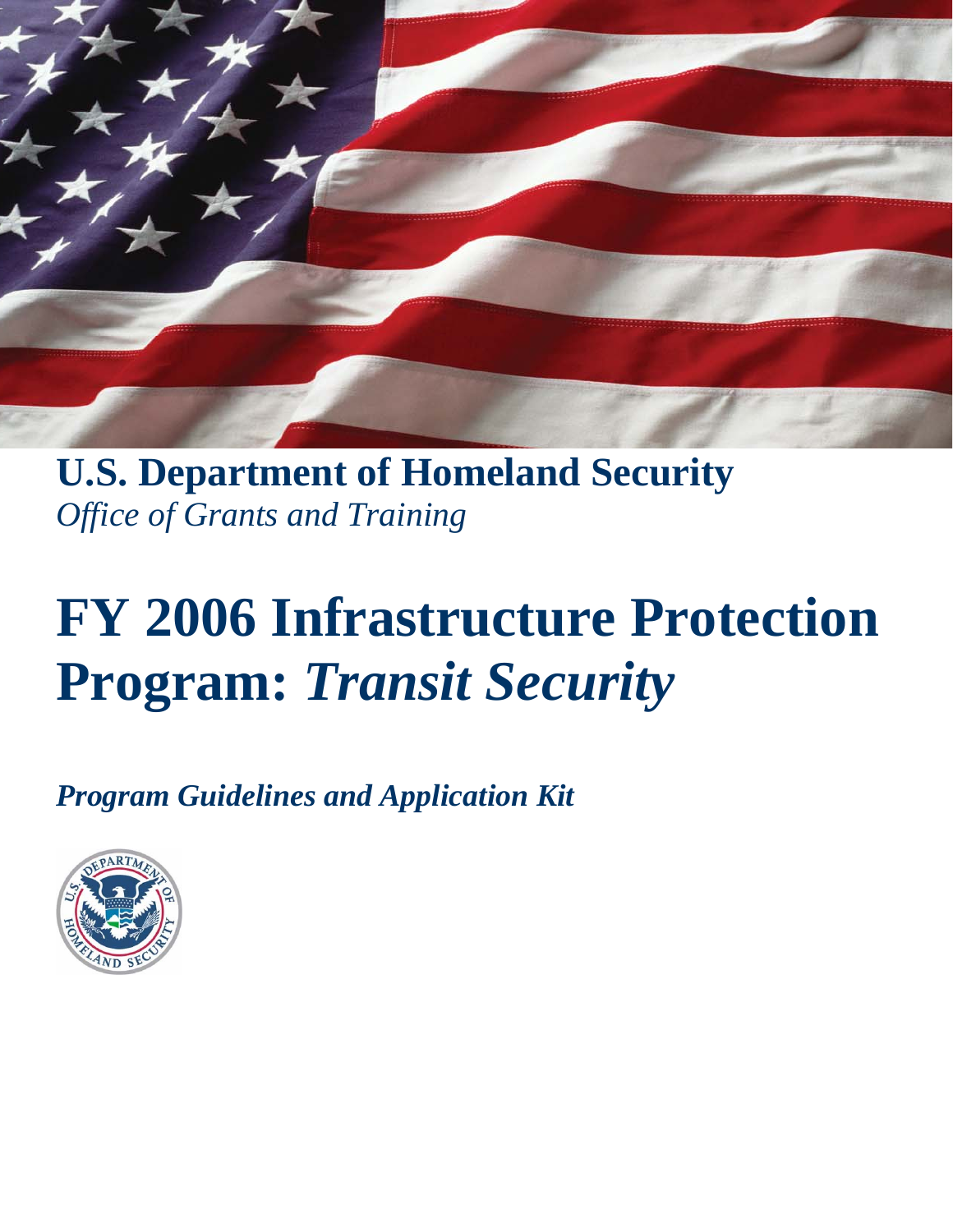

**U.S. Department of Homeland Security**  *Office of Grants and Training* 

# **FY 2006 Infrastructure Protection Program:** *Transit Security*

*Program Guidelines and Application Kit* 

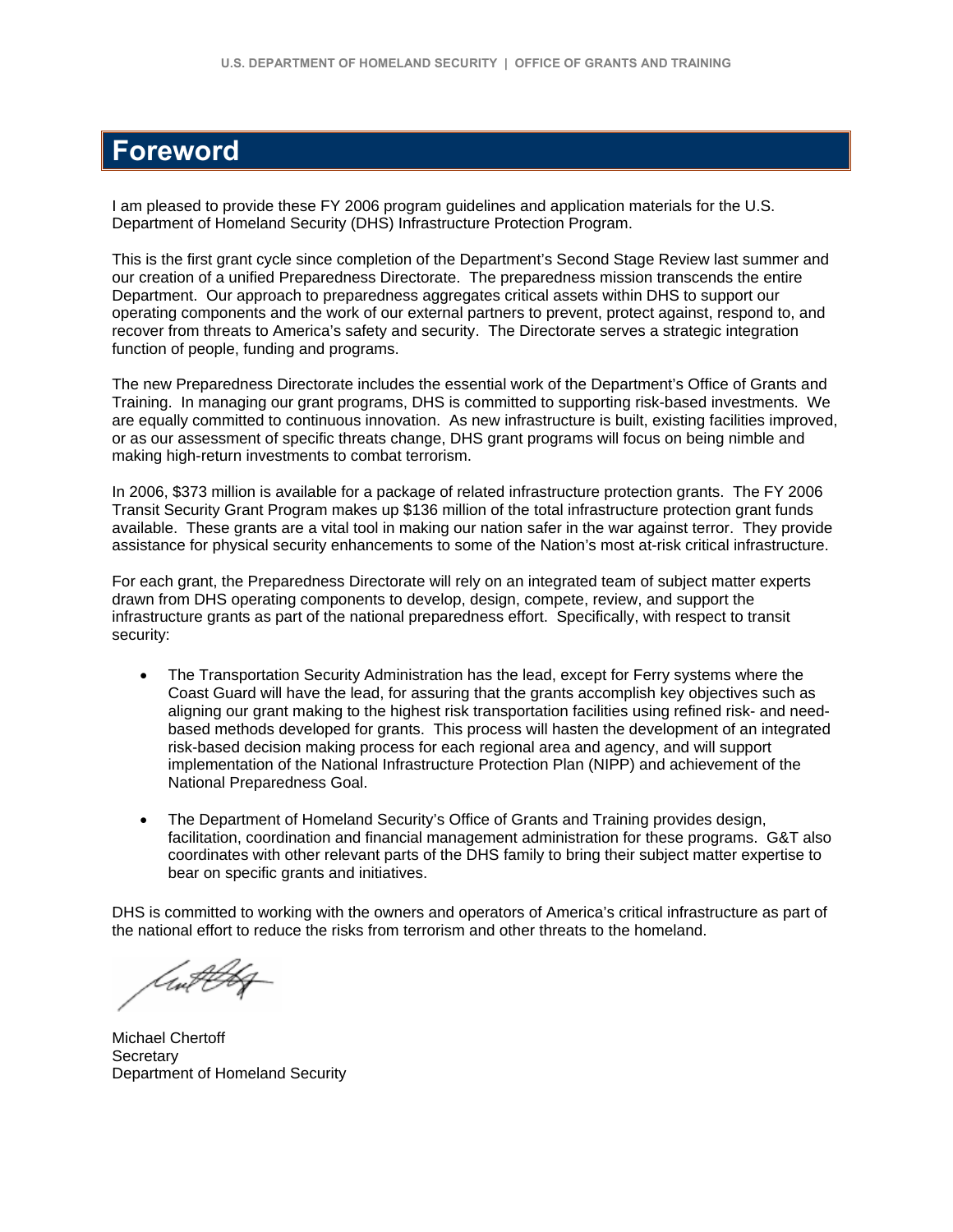# **Foreword**

I am pleased to provide these FY 2006 program guidelines and application materials for the U.S. Department of Homeland Security (DHS) Infrastructure Protection Program.

This is the first grant cycle since completion of the Department's Second Stage Review last summer and our creation of a unified Preparedness Directorate. The preparedness mission transcends the entire Department. Our approach to preparedness aggregates critical assets within DHS to support our operating components and the work of our external partners to prevent, protect against, respond to, and recover from threats to America's safety and security. The Directorate serves a strategic integration function of people, funding and programs.

The new Preparedness Directorate includes the essential work of the Department's Office of Grants and Training. In managing our grant programs, DHS is committed to supporting risk-based investments. We are equally committed to continuous innovation. As new infrastructure is built, existing facilities improved, or as our assessment of specific threats change, DHS grant programs will focus on being nimble and making high-return investments to combat terrorism.

In 2006, \$373 million is available for a package of related infrastructure protection grants. The FY 2006 Transit Security Grant Program makes up \$136 million of the total infrastructure protection grant funds available. These grants are a vital tool in making our nation safer in the war against terror. They provide assistance for physical security enhancements to some of the Nation's most at-risk critical infrastructure.

For each grant, the Preparedness Directorate will rely on an integrated team of subject matter experts drawn from DHS operating components to develop, design, compete, review, and support the infrastructure grants as part of the national preparedness effort. Specifically, with respect to transit security:

- The Transportation Security Administration has the lead, except for Ferry systems where the Coast Guard will have the lead, for assuring that the grants accomplish key objectives such as aligning our grant making to the highest risk transportation facilities using refined risk- and needbased methods developed for grants. This process will hasten the development of an integrated risk-based decision making process for each regional area and agency, and will support implementation of the National Infrastructure Protection Plan (NIPP) and achievement of the National Preparedness Goal.
- The Department of Homeland Security's Office of Grants and Training provides design, facilitation, coordination and financial management administration for these programs. G&T also coordinates with other relevant parts of the DHS family to bring their subject matter expertise to bear on specific grants and initiatives.

DHS is committed to working with the owners and operators of America's critical infrastructure as part of the national effort to reduce the risks from terrorism and other threats to the homeland.

Michael Chertoff **Secretary** Department of Homeland Security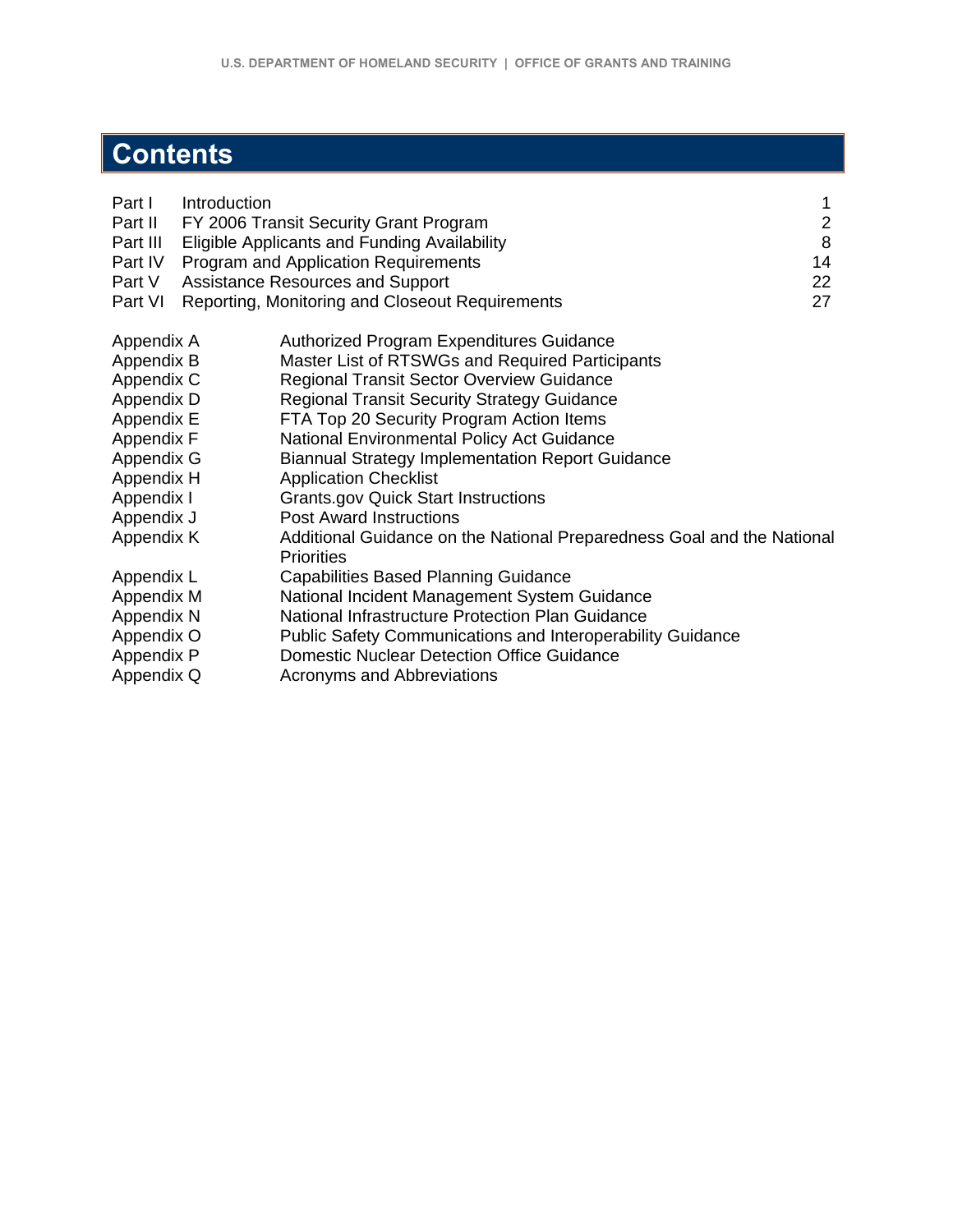# **Contents**

| Part I<br>Part II<br>Part III<br>Part IV<br>Part V<br>Part VI | Introduction<br>$\overline{2}$<br>FY 2006 Transit Security Grant Program<br>8<br>Eligible Applicants and Funding Availability<br>Program and Application Requirements<br>14<br>22<br><b>Assistance Resources and Support</b><br>27<br>Reporting, Monitoring and Closeout Requirements |                                                                                             |  |  |
|---------------------------------------------------------------|---------------------------------------------------------------------------------------------------------------------------------------------------------------------------------------------------------------------------------------------------------------------------------------|---------------------------------------------------------------------------------------------|--|--|
| Appendix A                                                    |                                                                                                                                                                                                                                                                                       | Authorized Program Expenditures Guidance                                                    |  |  |
| Appendix B                                                    |                                                                                                                                                                                                                                                                                       | Master List of RTSWGs and Required Participants                                             |  |  |
| Appendix C                                                    |                                                                                                                                                                                                                                                                                       | <b>Regional Transit Sector Overview Guidance</b>                                            |  |  |
| Appendix D                                                    |                                                                                                                                                                                                                                                                                       | <b>Regional Transit Security Strategy Guidance</b>                                          |  |  |
| Appendix E                                                    |                                                                                                                                                                                                                                                                                       | FTA Top 20 Security Program Action Items                                                    |  |  |
| Appendix F                                                    |                                                                                                                                                                                                                                                                                       | National Environmental Policy Act Guidance                                                  |  |  |
| Appendix G                                                    |                                                                                                                                                                                                                                                                                       | <b>Biannual Strategy Implementation Report Guidance</b>                                     |  |  |
| Appendix H                                                    |                                                                                                                                                                                                                                                                                       | <b>Application Checklist</b>                                                                |  |  |
| Appendix I                                                    |                                                                                                                                                                                                                                                                                       | <b>Grants.gov Quick Start Instructions</b>                                                  |  |  |
| Appendix J                                                    |                                                                                                                                                                                                                                                                                       | <b>Post Award Instructions</b>                                                              |  |  |
| Appendix K                                                    |                                                                                                                                                                                                                                                                                       | Additional Guidance on the National Preparedness Goal and the National<br><b>Priorities</b> |  |  |
| Appendix L                                                    |                                                                                                                                                                                                                                                                                       | <b>Capabilities Based Planning Guidance</b>                                                 |  |  |
| Appendix M                                                    |                                                                                                                                                                                                                                                                                       | National Incident Management System Guidance                                                |  |  |
| Appendix N                                                    |                                                                                                                                                                                                                                                                                       | National Infrastructure Protection Plan Guidance                                            |  |  |
| Appendix O                                                    |                                                                                                                                                                                                                                                                                       | <b>Public Safety Communications and Interoperability Guidance</b>                           |  |  |
| Appendix P                                                    |                                                                                                                                                                                                                                                                                       | <b>Domestic Nuclear Detection Office Guidance</b>                                           |  |  |
| Appendix Q                                                    |                                                                                                                                                                                                                                                                                       | Acronyms and Abbreviations                                                                  |  |  |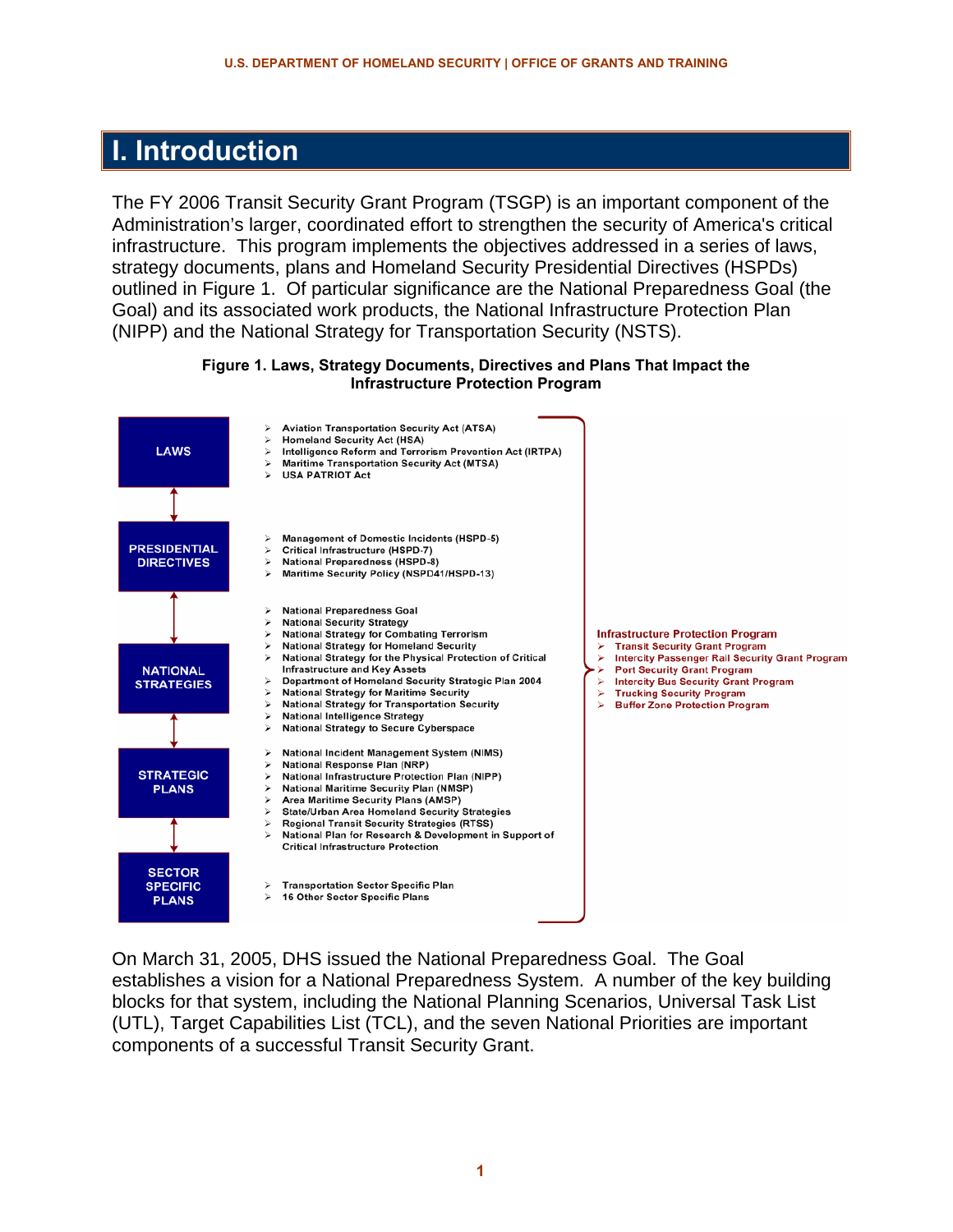# **I. Introduction**

The FY 2006 Transit Security Grant Program (TSGP) is an important component of the Administration's larger, coordinated effort to strengthen the security of America's critical infrastructure. This program implements the objectives addressed in a series of laws, strategy documents, plans and Homeland Security Presidential Directives (HSPDs) outlined in Figure 1. Of particular significance are the National Preparedness Goal (the Goal) and its associated work products, the National Infrastructure Protection Plan (NIPP) and the National Strategy for Transportation Security (NSTS).

#### **Figure 1. Laws, Strategy Documents, Directives and Plans That Impact the Infrastructure Protection Program**



On March 31, 2005, DHS issued the National Preparedness Goal. The Goal establishes a vision for a National Preparedness System. A number of the key building blocks for that system, including the National Planning Scenarios, Universal Task List (UTL), Target Capabilities List (TCL), and the seven National Priorities are important components of a successful Transit Security Grant.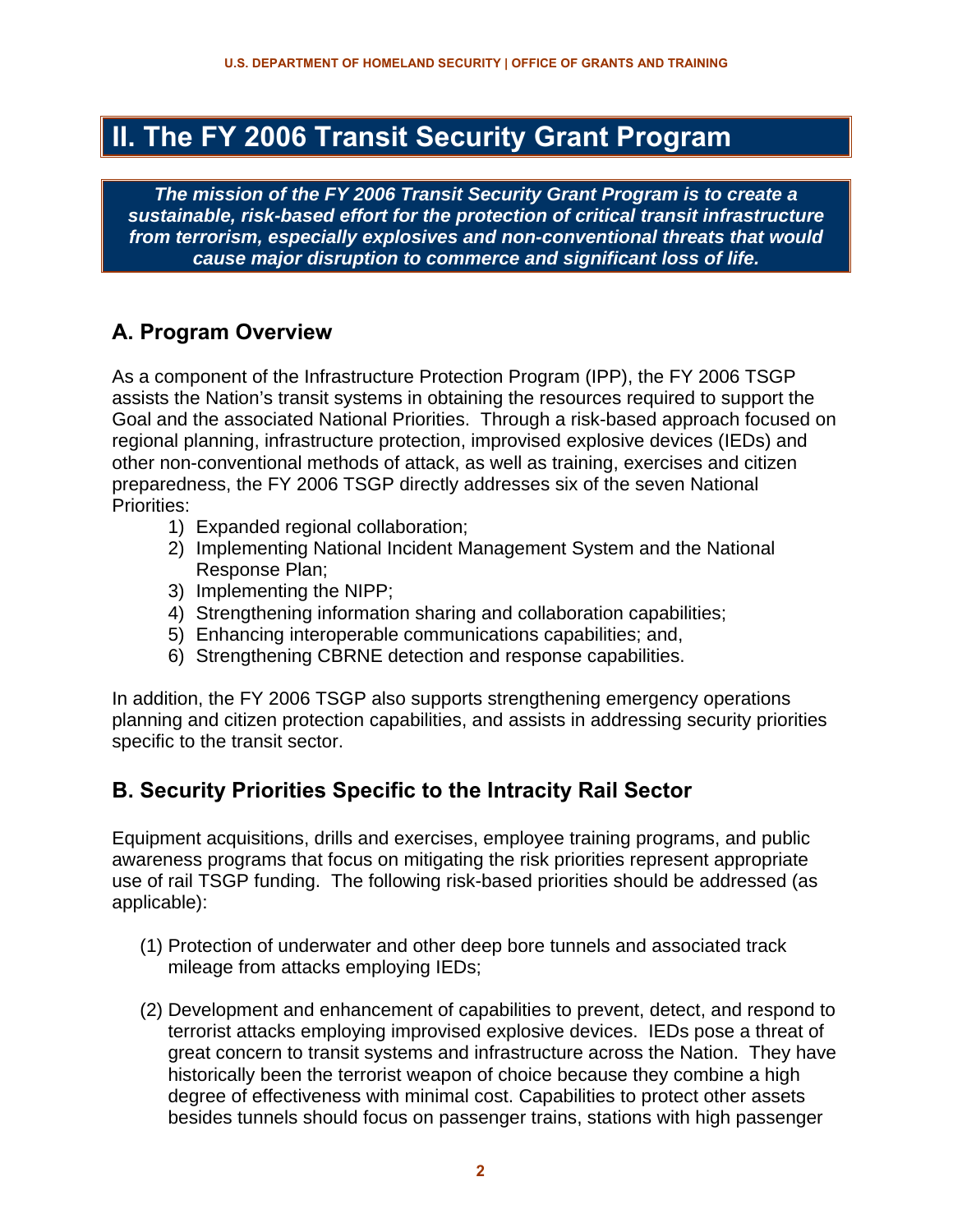# **II. The FY 2006 Transit Security Grant Program**

*The mission of the FY 2006 Transit Security Grant Program is to create a sustainable, risk-based effort for the protection of critical transit infrastructure from terrorism, especially explosives and non-conventional threats that would cause major disruption to commerce and significant loss of life.*

## **A. Program Overview**

As a component of the Infrastructure Protection Program (IPP), the FY 2006 TSGP assists the Nation's transit systems in obtaining the resources required to support the Goal and the associated National Priorities. Through a risk-based approach focused on regional planning, infrastructure protection, improvised explosive devices (IEDs) and other non-conventional methods of attack, as well as training, exercises and citizen preparedness, the FY 2006 TSGP directly addresses six of the seven National Priorities:

- 1) Expanded regional collaboration;
- 2) Implementing National Incident Management System and the National Response Plan;
- 3) Implementing the NIPP;
- 4) Strengthening information sharing and collaboration capabilities;
- 5) Enhancing interoperable communications capabilities; and,
- 6) Strengthening CBRNE detection and response capabilities.

In addition, the FY 2006 TSGP also supports strengthening emergency operations planning and citizen protection capabilities, and assists in addressing security priorities specific to the transit sector.

# **B. Security Priorities Specific to the Intracity Rail Sector**

Equipment acquisitions, drills and exercises, employee training programs, and public awareness programs that focus on mitigating the risk priorities represent appropriate use of rail TSGP funding. The following risk-based priorities should be addressed (as applicable):

- (1) Protection of underwater and other deep bore tunnels and associated track mileage from attacks employing IEDs;
- (2) Development and enhancement of capabilities to prevent, detect, and respond to terrorist attacks employing improvised explosive devices. IEDs pose a threat of great concern to transit systems and infrastructure across the Nation. They have historically been the terrorist weapon of choice because they combine a high degree of effectiveness with minimal cost. Capabilities to protect other assets besides tunnels should focus on passenger trains, stations with high passenger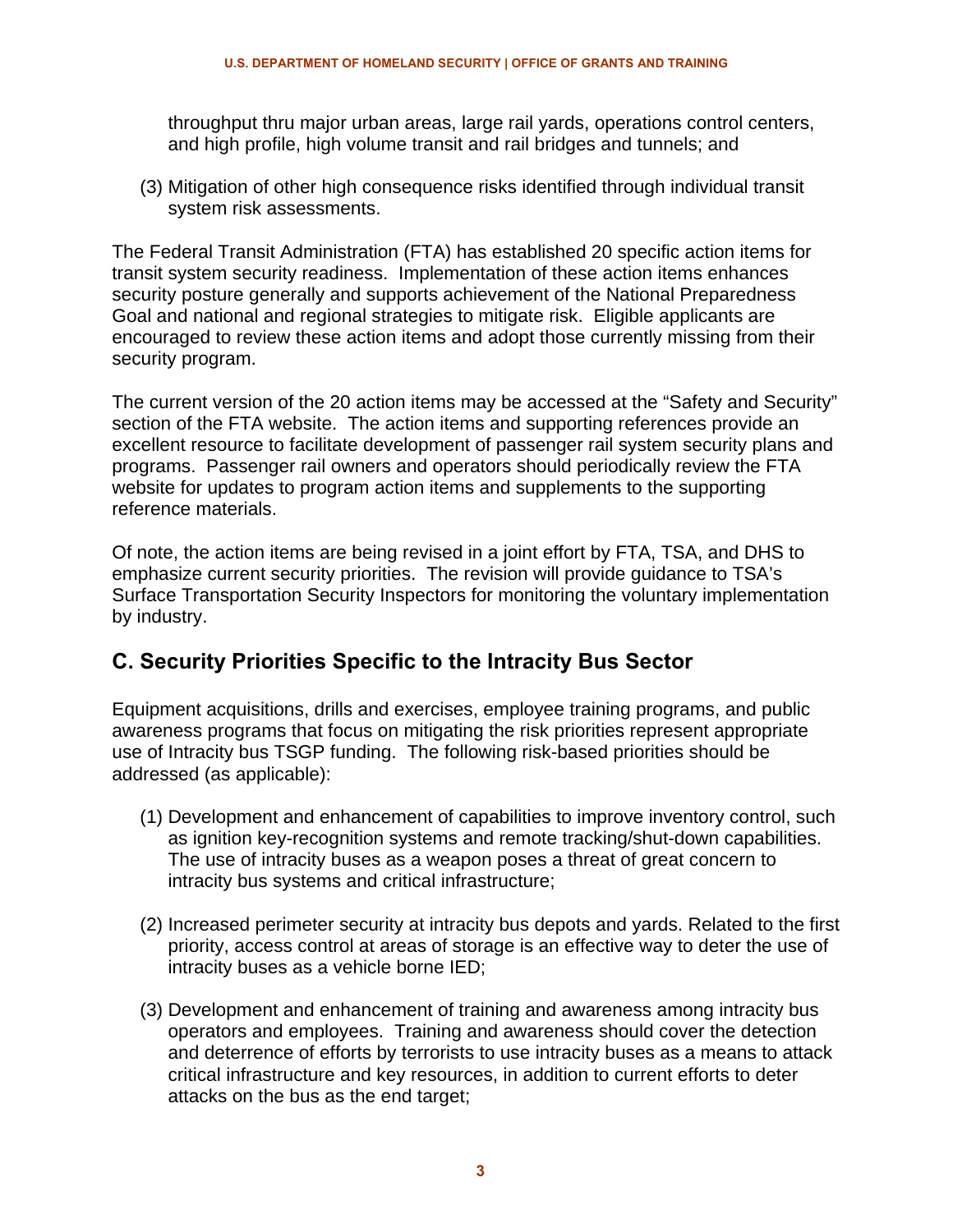throughput thru major urban areas, large rail yards, operations control centers, and high profile, high volume transit and rail bridges and tunnels; and

(3) Mitigation of other high consequence risks identified through individual transit system risk assessments.

The Federal Transit Administration (FTA) has established 20 specific action items for transit system security readiness. Implementation of these action items enhances security posture generally and supports achievement of the National Preparedness Goal and national and regional strategies to mitigate risk. Eligible applicants are encouraged to review these action items and adopt those currently missing from their security program.

The current version of the 20 action items may be accessed at the "Safety and Security" section of the FTA website. The action items and supporting references provide an excellent resource to facilitate development of passenger rail system security plans and programs. Passenger rail owners and operators should periodically review the FTA website for updates to program action items and supplements to the supporting reference materials.

Of note, the action items are being revised in a joint effort by FTA, TSA, and DHS to emphasize current security priorities. The revision will provide guidance to TSA's Surface Transportation Security Inspectors for monitoring the voluntary implementation by industry.

# **C. Security Priorities Specific to the Intracity Bus Sector**

Equipment acquisitions, drills and exercises, employee training programs, and public awareness programs that focus on mitigating the risk priorities represent appropriate use of Intracity bus TSGP funding. The following risk-based priorities should be addressed (as applicable):

- (1) Development and enhancement of capabilities to improve inventory control, such as ignition key-recognition systems and remote tracking/shut-down capabilities. The use of intracity buses as a weapon poses a threat of great concern to intracity bus systems and critical infrastructure;
- (2) Increased perimeter security at intracity bus depots and yards. Related to the first priority, access control at areas of storage is an effective way to deter the use of intracity buses as a vehicle borne IED;
- (3) Development and enhancement of training and awareness among intracity bus operators and employees. Training and awareness should cover the detection and deterrence of efforts by terrorists to use intracity buses as a means to attack critical infrastructure and key resources, in addition to current efforts to deter attacks on the bus as the end target;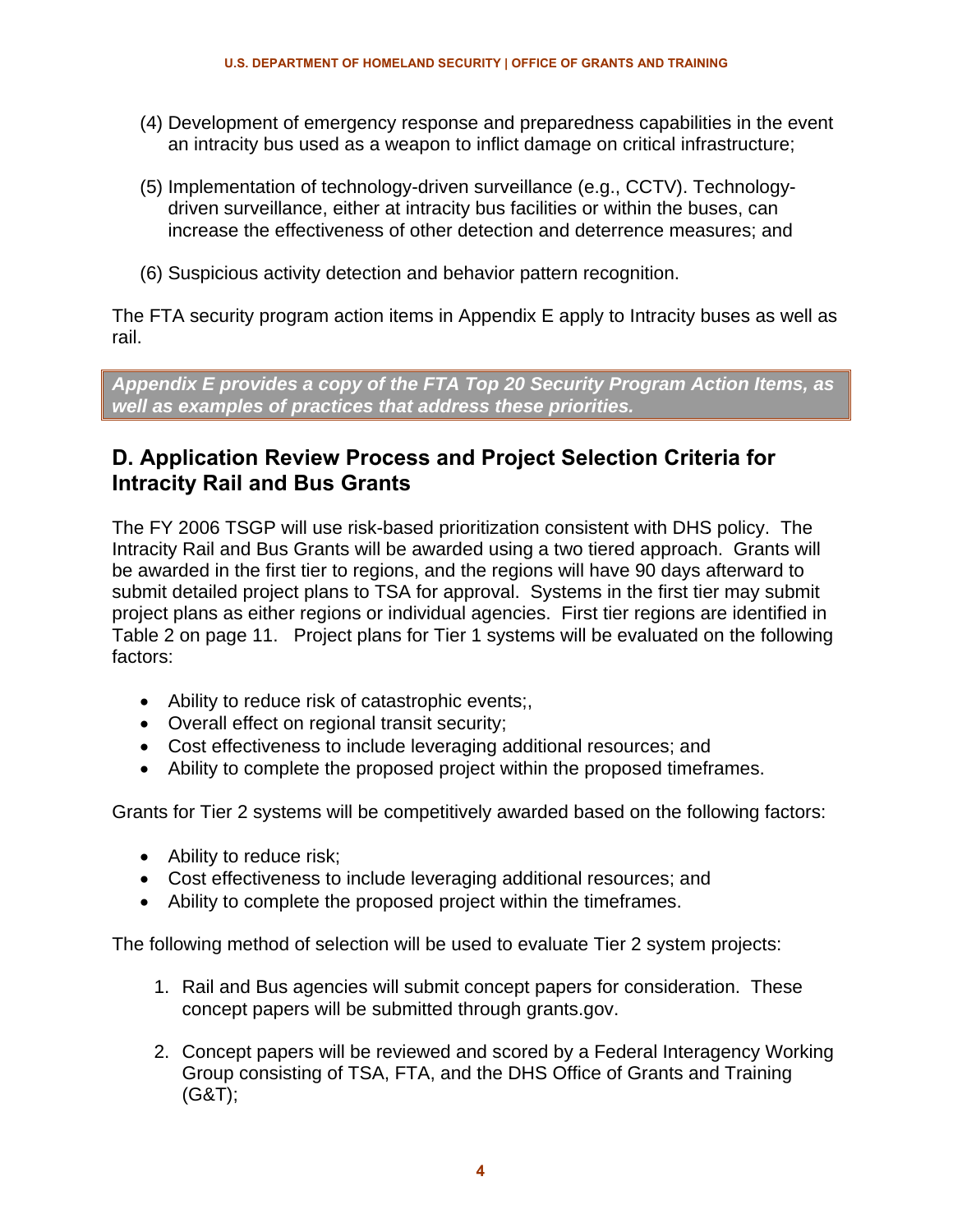- (4) Development of emergency response and preparedness capabilities in the event an intracity bus used as a weapon to inflict damage on critical infrastructure;
- (5) Implementation of technology-driven surveillance (e.g., CCTV). Technologydriven surveillance, either at intracity bus facilities or within the buses, can increase the effectiveness of other detection and deterrence measures; and
- (6) Suspicious activity detection and behavior pattern recognition.

The FTA security program action items in Appendix E apply to Intracity buses as well as rail.

*Appendix E provides a copy of the FTA Top 20 Security Program Action Items, as well as examples of practices that address these priorities.* 

# **D. Application Review Process and Project Selection Criteria for Intracity Rail and Bus Grants**

The FY 2006 TSGP will use risk-based prioritization consistent with DHS policy. The Intracity Rail and Bus Grants will be awarded using a two tiered approach. Grants will be awarded in the first tier to regions, and the regions will have 90 days afterward to submit detailed project plans to TSA for approval. Systems in the first tier may submit project plans as either regions or individual agencies. First tier regions are identified in Table 2 on page 11. Project plans for Tier 1 systems will be evaluated on the following factors:

- Ability to reduce risk of catastrophic events;,
- Overall effect on regional transit security;
- Cost effectiveness to include leveraging additional resources; and
- Ability to complete the proposed project within the proposed timeframes.

Grants for Tier 2 systems will be competitively awarded based on the following factors:

- Ability to reduce risk;
- Cost effectiveness to include leveraging additional resources; and
- Ability to complete the proposed project within the timeframes.

The following method of selection will be used to evaluate Tier 2 system projects:

- 1. Rail and Bus agencies will submit concept papers for consideration. These concept papers will be submitted through grants.gov.
- 2. Concept papers will be reviewed and scored by a Federal Interagency Working Group consisting of TSA, FTA, and the DHS Office of Grants and Training (G&T);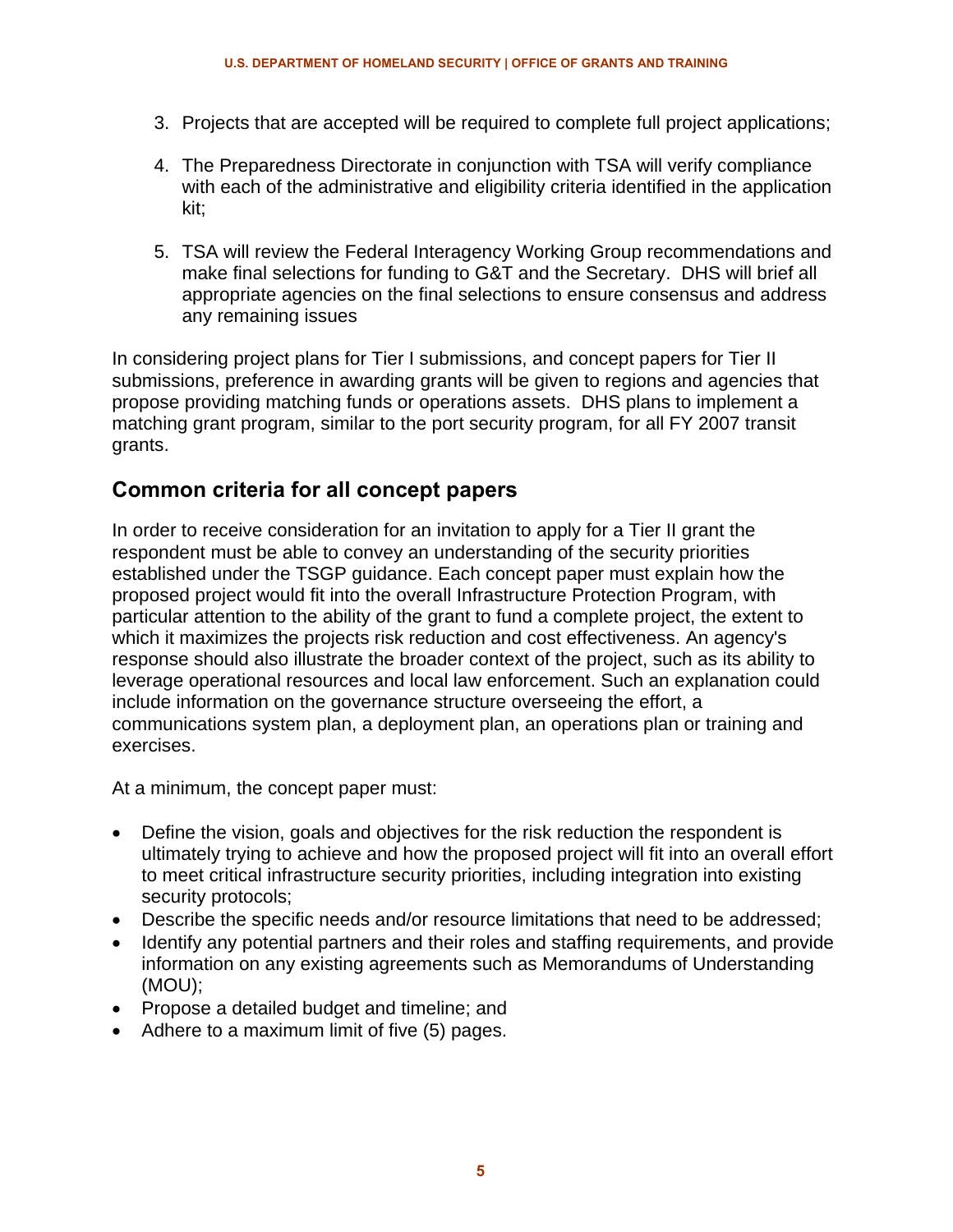- 3. Projects that are accepted will be required to complete full project applications;
- 4. The Preparedness Directorate in conjunction with TSA will verify compliance with each of the administrative and eligibility criteria identified in the application kit;
- 5. TSA will review the Federal Interagency Working Group recommendations and make final selections for funding to G&T and the Secretary. DHS will brief all appropriate agencies on the final selections to ensure consensus and address any remaining issues

In considering project plans for Tier I submissions, and concept papers for Tier II submissions, preference in awarding grants will be given to regions and agencies that propose providing matching funds or operations assets. DHS plans to implement a matching grant program, similar to the port security program, for all FY 2007 transit grants.

# **Common criteria for all concept papers**

In order to receive consideration for an invitation to apply for a Tier II grant the respondent must be able to convey an understanding of the security priorities established under the TSGP guidance. Each concept paper must explain how the proposed project would fit into the overall Infrastructure Protection Program, with particular attention to the ability of the grant to fund a complete project, the extent to which it maximizes the projects risk reduction and cost effectiveness. An agency's response should also illustrate the broader context of the project, such as its ability to leverage operational resources and local law enforcement. Such an explanation could include information on the governance structure overseeing the effort, a communications system plan, a deployment plan, an operations plan or training and exercises.

At a minimum, the concept paper must:

- Define the vision, goals and objectives for the risk reduction the respondent is ultimately trying to achieve and how the proposed project will fit into an overall effort to meet critical infrastructure security priorities, including integration into existing security protocols;
- Describe the specific needs and/or resource limitations that need to be addressed;
- Identify any potential partners and their roles and staffing requirements, and provide information on any existing agreements such as Memorandums of Understanding (MOU);
- Propose a detailed budget and timeline; and
- Adhere to a maximum limit of five (5) pages.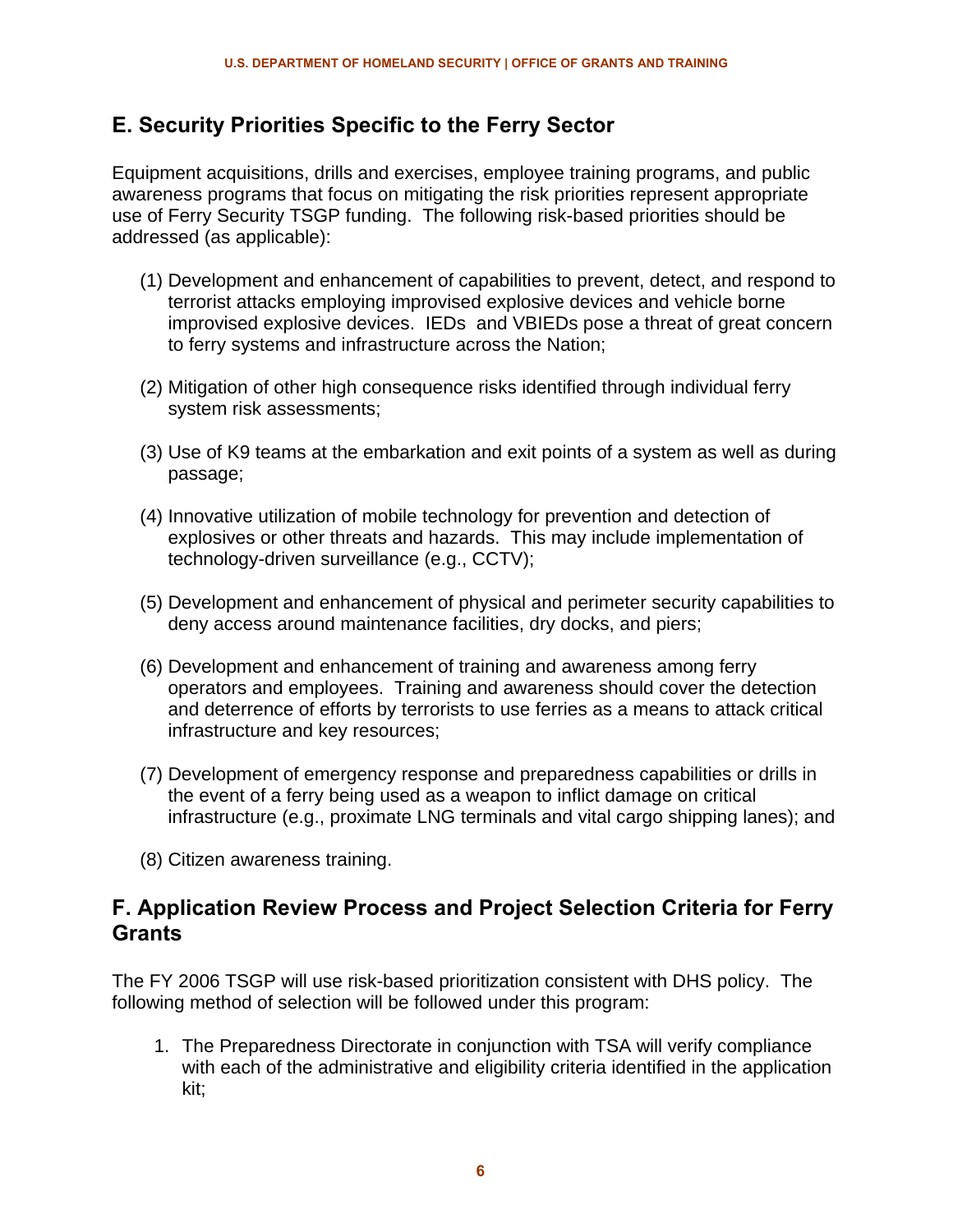## **E. Security Priorities Specific to the Ferry Sector**

Equipment acquisitions, drills and exercises, employee training programs, and public awareness programs that focus on mitigating the risk priorities represent appropriate use of Ferry Security TSGP funding. The following risk-based priorities should be addressed (as applicable):

- (1) Development and enhancement of capabilities to prevent, detect, and respond to terrorist attacks employing improvised explosive devices and vehicle borne improvised explosive devices. IEDs and VBIEDs pose a threat of great concern to ferry systems and infrastructure across the Nation;
- (2) Mitigation of other high consequence risks identified through individual ferry system risk assessments;
- (3) Use of K9 teams at the embarkation and exit points of a system as well as during passage;
- (4) Innovative utilization of mobile technology for prevention and detection of explosives or other threats and hazards. This may include implementation of technology-driven surveillance (e.g., CCTV);
- (5) Development and enhancement of physical and perimeter security capabilities to deny access around maintenance facilities, dry docks, and piers;
- (6) Development and enhancement of training and awareness among ferry operators and employees. Training and awareness should cover the detection and deterrence of efforts by terrorists to use ferries as a means to attack critical infrastructure and key resources;
- (7) Development of emergency response and preparedness capabilities or drills in the event of a ferry being used as a weapon to inflict damage on critical infrastructure (e.g., proximate LNG terminals and vital cargo shipping lanes); and
- (8) Citizen awareness training.

### **F. Application Review Process and Project Selection Criteria for Ferry Grants**

The FY 2006 TSGP will use risk-based prioritization consistent with DHS policy. The following method of selection will be followed under this program:

1. The Preparedness Directorate in conjunction with TSA will verify compliance with each of the administrative and eligibility criteria identified in the application kit;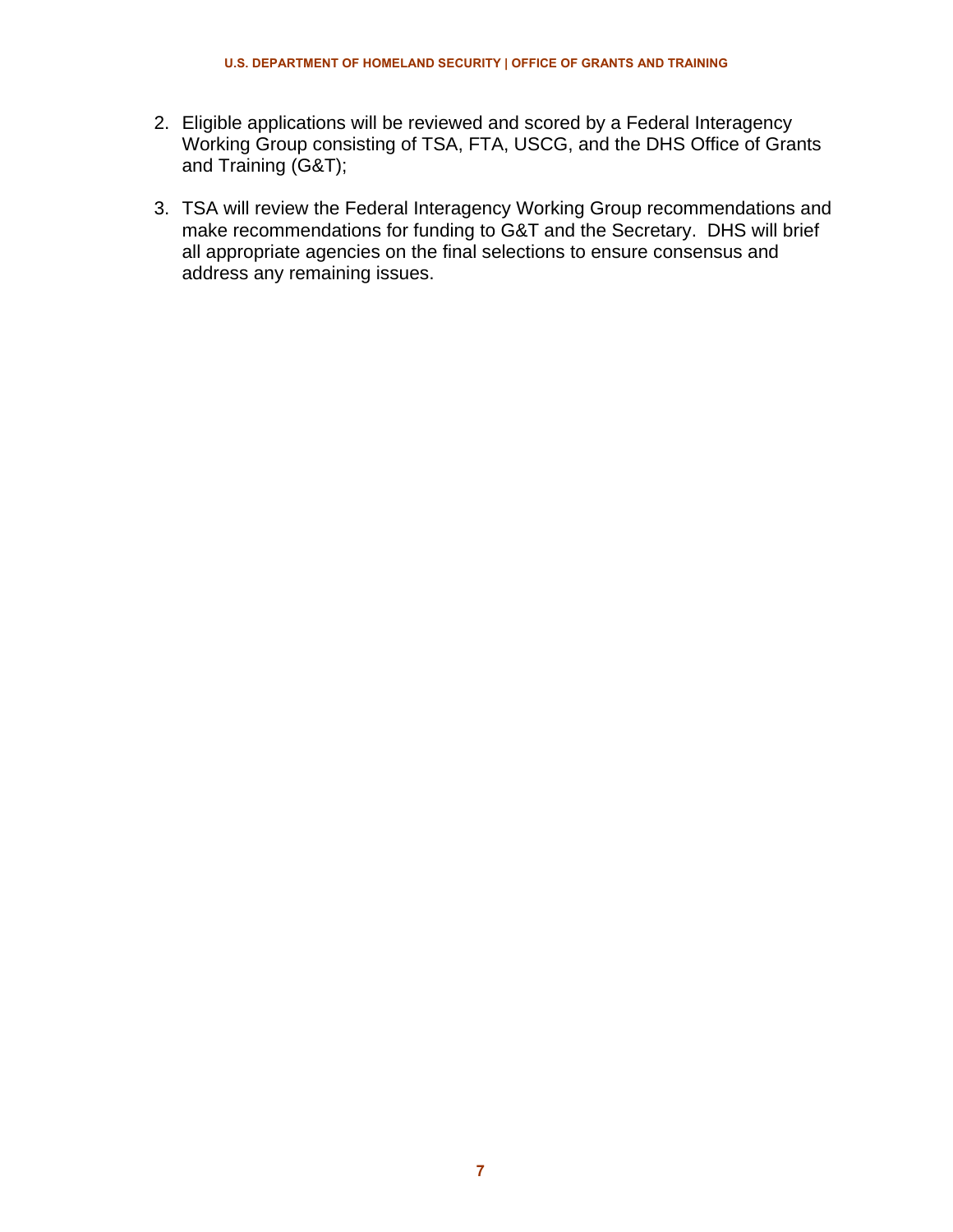- 2. Eligible applications will be reviewed and scored by a Federal Interagency Working Group consisting of TSA, FTA, USCG, and the DHS Office of Grants and Training (G&T);
- 3. TSA will review the Federal Interagency Working Group recommendations and make recommendations for funding to G&T and the Secretary. DHS will brief all appropriate agencies on the final selections to ensure consensus and address any remaining issues.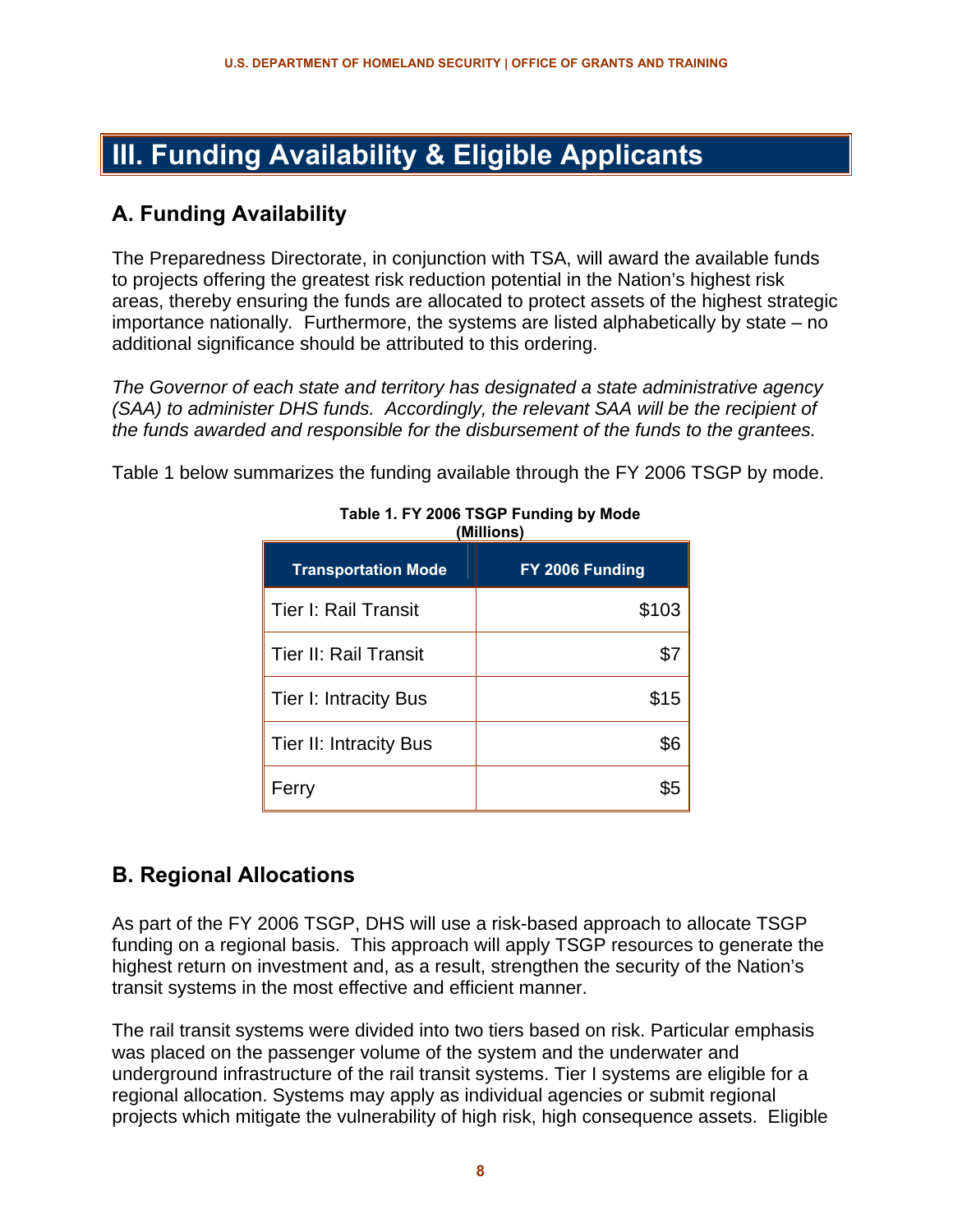# **III. Funding Availability & Eligible Applicants**

# **A. Funding Availability**

The Preparedness Directorate, in conjunction with TSA, will award the available funds to projects offering the greatest risk reduction potential in the Nation's highest risk areas, thereby ensuring the funds are allocated to protect assets of the highest strategic importance nationally*.* Furthermore, the systems are listed alphabetically by state – no additional significance should be attributed to this ordering.

*The Governor of each state and territory has designated a state administrative agency (SAA) to administer DHS funds. Accordingly, the relevant SAA will be the recipient of the funds awarded and responsible for the disbursement of the funds to the grantees.* 

Table 1 below summarizes the funding available through the FY 2006 TSGP by mode.

| <b>Transportation Mode</b>    | FY 2006 Funding |  |  |
|-------------------------------|-----------------|--|--|
| Tier I: Rail Transit          | \$103           |  |  |
| <b>Tier II: Rail Transit</b>  | \$7             |  |  |
| Tier I: Intracity Bus         | \$15            |  |  |
| <b>Tier II: Intracity Bus</b> | \$6             |  |  |
| Ferry                         |                 |  |  |

#### **Table 1. FY 2006 TSGP Funding by Mode (Millions)**

# **B. Regional Allocations**

As part of the FY 2006 TSGP, DHS will use a risk-based approach to allocate TSGP funding on a regional basis. This approach will apply TSGP resources to generate the highest return on investment and, as a result, strengthen the security of the Nation's transit systems in the most effective and efficient manner.

The rail transit systems were divided into two tiers based on risk. Particular emphasis was placed on the passenger volume of the system and the underwater and underground infrastructure of the rail transit systems. Tier I systems are eligible for a regional allocation. Systems may apply as individual agencies or submit regional projects which mitigate the vulnerability of high risk, high consequence assets. Eligible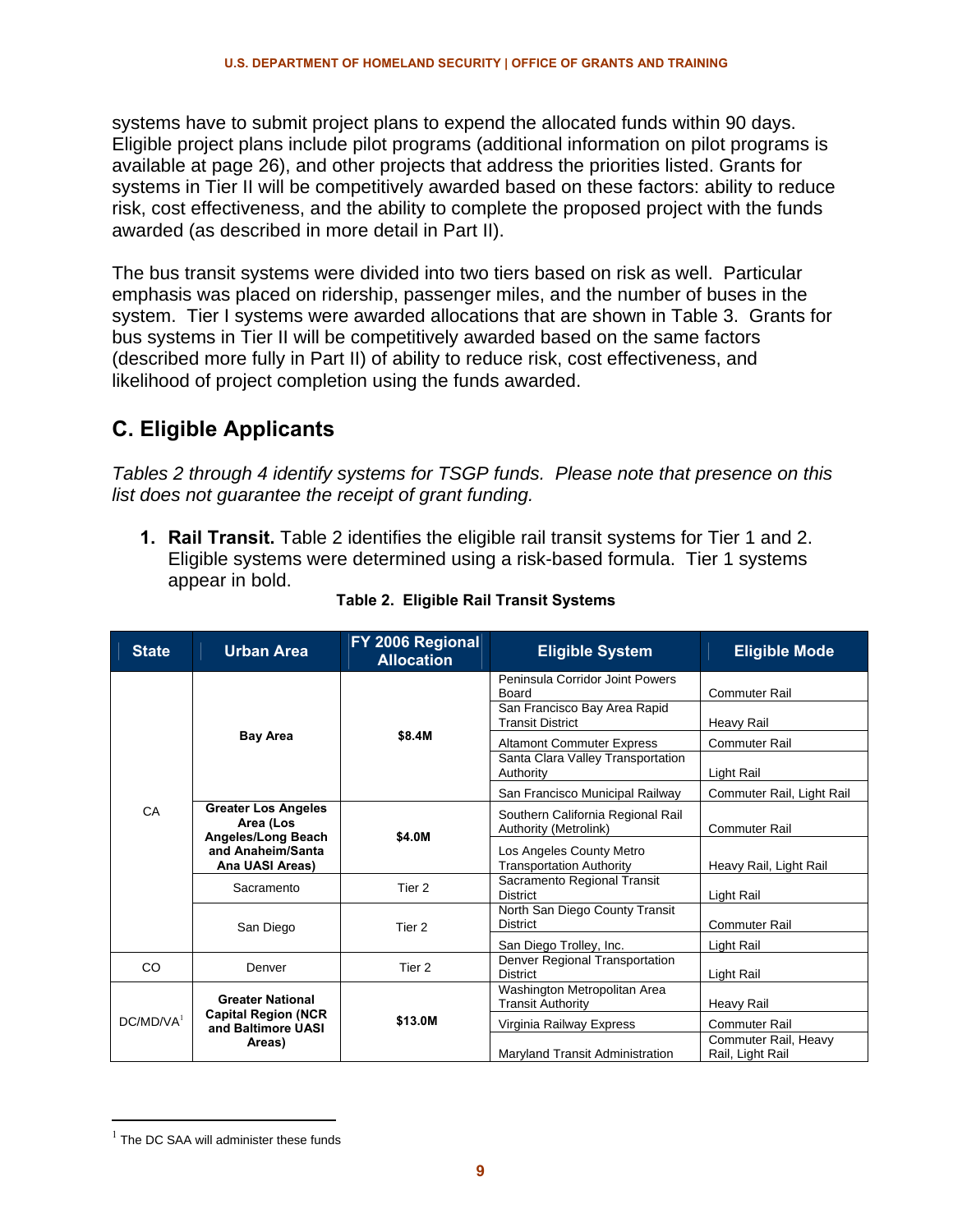systems have to submit project plans to expend the allocated funds within 90 days. Eligible project plans include pilot programs (additional information on pilot programs is available at page 26), and other projects that address the priorities listed. Grants for systems in Tier II will be competitively awarded based on these factors: ability to reduce risk, cost effectiveness, and the ability to complete the proposed project with the funds awarded (as described in more detail in Part II).

The bus transit systems were divided into two tiers based on risk as well. Particular emphasis was placed on ridership, passenger miles, and the number of buses in the system. Tier I systems were awarded allocations that are shown in Table 3. Grants for bus systems in Tier II will be competitively awarded based on the same factors (described more fully in Part II) of ability to reduce risk, cost effectiveness, and likelihood of project completion using the funds awarded.

# **C. Eligible Applicants**

*Tables 2 through 4 identify systems for TSGP funds. Please note that presence on this list does not guarantee the receipt of grant funding.* 

**1. Rail Transit.** Table 2 identifies the eligible rail transit systems for Tier 1 and 2. Eligible systems were determined using a risk-based formula. Tier 1 systems appear in bold.

| <b>State</b>          | <b>Urban Area</b>                                             | FY 2006 Regional<br><b>Allocation</b> | <b>Eligible System</b>                                      | <b>Eligible Mode</b>                     |
|-----------------------|---------------------------------------------------------------|---------------------------------------|-------------------------------------------------------------|------------------------------------------|
|                       |                                                               | \$8.4M                                | Peninsula Corridor Joint Powers<br>Board                    | <b>Commuter Rail</b>                     |
|                       |                                                               |                                       | San Francisco Bay Area Rapid<br><b>Transit District</b>     | Heavy Rail                               |
|                       | <b>Bay Area</b>                                               |                                       | <b>Altamont Commuter Express</b>                            | <b>Commuter Rail</b>                     |
|                       |                                                               |                                       | Santa Clara Valley Transportation<br>Authority              | Light Rail                               |
|                       |                                                               |                                       | San Francisco Municipal Railway                             | Commuter Rail, Light Rail                |
| CA                    | <b>Greater Los Angeles</b><br>Area (Los<br>Angeles/Long Beach | \$4.0M                                | Southern California Regional Rail<br>Authority (Metrolink)  | <b>Commuter Rail</b>                     |
|                       | and Anaheim/Santa<br>Ana UASI Areas)                          |                                       | Los Angeles County Metro<br><b>Transportation Authority</b> | Heavy Rail, Light Rail                   |
|                       | Sacramento                                                    | Tier <sub>2</sub>                     | Sacramento Regional Transit<br><b>District</b>              | Light Rail                               |
|                       | San Diego                                                     | Tier 2                                | North San Diego County Transit<br><b>District</b>           | <b>Commuter Rail</b>                     |
|                       |                                                               |                                       | San Diego Trolley, Inc.                                     | Light Rail                               |
| CO.                   | Denver                                                        | Tier <sub>2</sub>                     | Denver Regional Transportation<br><b>District</b>           | Light Rail                               |
| DC/MD/VA <sup>1</sup> | <b>Greater National</b>                                       | \$13.0M                               | Washington Metropolitan Area<br><b>Transit Authority</b>    | Heavy Rail                               |
|                       | <b>Capital Region (NCR)</b><br>and Baltimore UASI             |                                       | Virginia Railway Express                                    | <b>Commuter Rail</b>                     |
|                       | Areas)                                                        |                                       | Maryland Transit Administration                             | Commuter Rail, Heavy<br>Rail, Light Rail |

**Table 2. Eligible Rail Transit Systems** 

 $\overline{a}$ 

 $1$  The DC SAA will administer these funds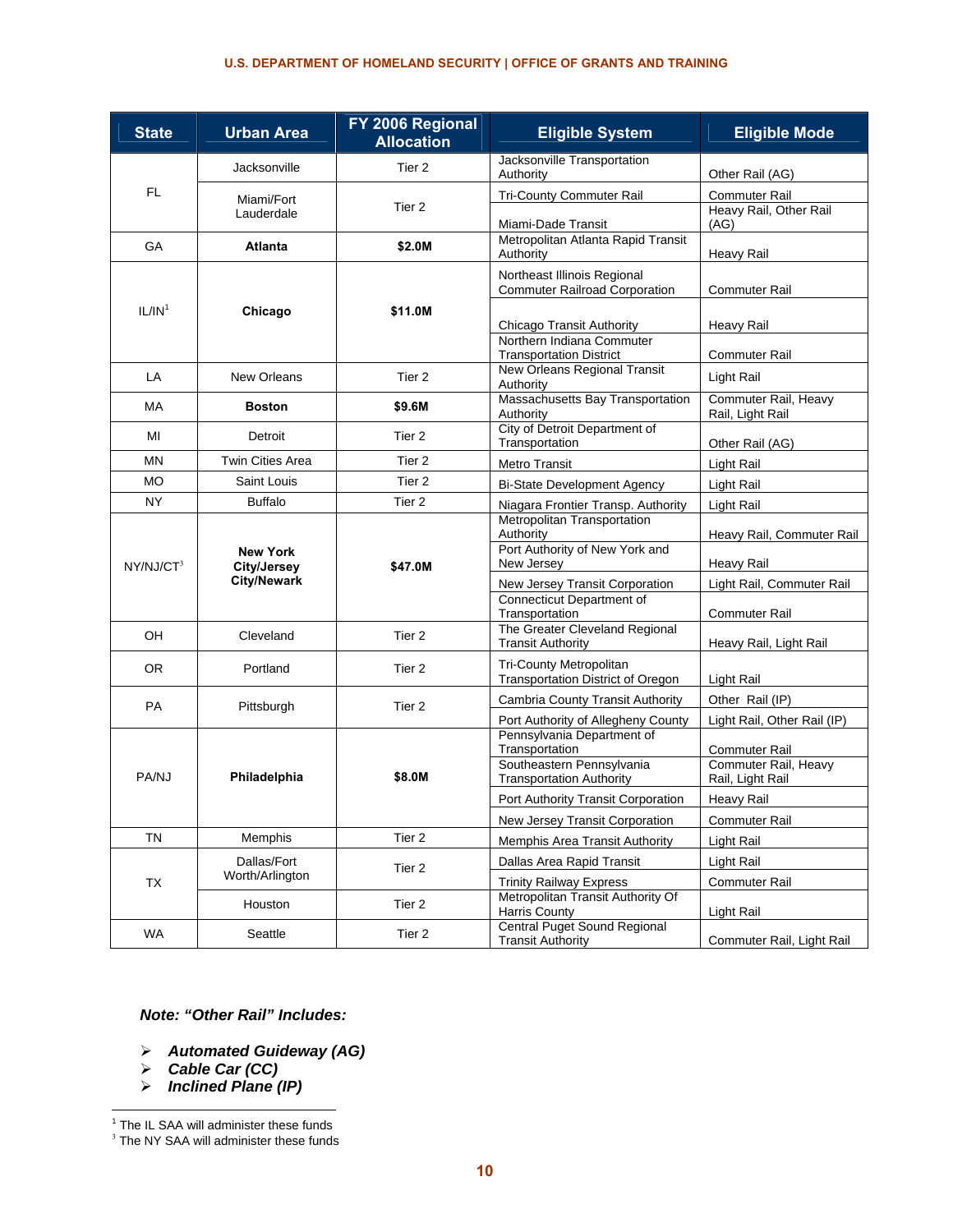#### **U.S. DEPARTMENT OF HOMELAND SECURITY | OFFICE OF GRANTS AND TRAINING**

| <b>State</b>          | <b>Urban Area</b>                                           | FY 2006 Regional<br><b>Allocation</b> | <b>Eligible System</b>                                                | <b>Eligible Mode</b>                     |
|-----------------------|-------------------------------------------------------------|---------------------------------------|-----------------------------------------------------------------------|------------------------------------------|
|                       | Jacksonville                                                | Tier <sub>2</sub>                     | Jacksonville Transportation<br>Authority                              | Other Rail (AG)                          |
| <b>FL</b>             | Miami/Fort                                                  | Tier 2                                | Tri-County Commuter Rail                                              | <b>Commuter Rail</b>                     |
|                       | Lauderdale                                                  |                                       |                                                                       | Heavy Rail, Other Rail<br>(AG)           |
| GA                    | <b>Atlanta</b>                                              | \$2.0M                                | Miami-Dade Transit<br>Metropolitan Atlanta Rapid Transit<br>Authority | Heavy Rail                               |
|                       |                                                             | \$11.0M                               | Northeast Illinois Regional<br><b>Commuter Railroad Corporation</b>   | <b>Commuter Rail</b>                     |
| IL/IN <sup>1</sup>    | Chicago                                                     |                                       | <b>Chicago Transit Authority</b>                                      | <b>Heavy Rail</b>                        |
|                       |                                                             |                                       | Northern Indiana Commuter<br><b>Transportation District</b>           | <b>Commuter Rail</b>                     |
| LA                    | New Orleans                                                 | Tier 2                                | New Orleans Regional Transit<br>Authority                             | Light Rail                               |
| MA                    | <b>Boston</b>                                               | \$9.6M                                | Massachusetts Bay Transportation<br>Authority                         | Commuter Rail, Heavy<br>Rail, Light Rail |
| MI                    | Detroit                                                     | Tier 2                                | City of Detroit Department of<br>Transportation                       | Other Rail (AG)                          |
| <b>MN</b>             | Twin Cities Area                                            | Tier <sub>2</sub>                     | <b>Metro Transit</b>                                                  | Light Rail                               |
| <b>MO</b>             | Saint Louis                                                 | Tier 2                                | <b>Bi-State Development Agency</b>                                    | Light Rail                               |
| NY                    | <b>Buffalo</b>                                              | Tier <sub>2</sub>                     | Niagara Frontier Transp. Authority                                    | Light Rail                               |
|                       | <b>New York</b><br><b>City/Jersey</b><br><b>City/Newark</b> | \$47.0M                               | Metropolitan Transportation<br>Authority                              | Heavy Rail, Commuter Rail                |
| NY/NJ/CT <sup>3</sup> |                                                             |                                       | Port Authority of New York and<br>New Jersey                          | Heavy Rail                               |
|                       |                                                             |                                       | New Jersey Transit Corporation                                        | Light Rail, Commuter Rail                |
|                       |                                                             |                                       | Connecticut Department of<br>Transportation                           | Commuter Rail                            |
| OН                    | Cleveland                                                   | Tier <sub>2</sub>                     | The Greater Cleveland Regional<br><b>Transit Authority</b>            | Heavy Rail, Light Rail                   |
| <b>OR</b>             | Portland                                                    | Tier 2                                | <b>Tri-County Metropolitan</b><br>Transportation District of Oregon   | Light Rail                               |
| PA                    | Pittsburgh                                                  | Tier 2                                | <b>Cambria County Transit Authority</b>                               | Other Rail (IP)                          |
|                       |                                                             |                                       | Port Authority of Allegheny County                                    | Light Rail, Other Rail (IP)              |
|                       |                                                             | \$8.0M                                | Pennsylvania Department of<br>Transportation                          | <b>Commuter Rail</b>                     |
| PA/NJ                 | Philadelphia                                                |                                       | Southeastern Pennsylvania<br><b>Transportation Authority</b>          | Commuter Rail, Heavy<br>Rail, Light Rail |
|                       |                                                             |                                       | Port Authority Transit Corporation                                    | <b>Heavy Rail</b>                        |
|                       |                                                             |                                       | New Jersey Transit Corporation                                        | <b>Commuter Rail</b>                     |
| <b>TN</b>             | Memphis                                                     | Tier <sub>2</sub>                     | Memphis Area Transit Authority                                        | Light Rail                               |
|                       | Dallas/Fort                                                 | Tier 2                                | Dallas Area Rapid Transit                                             | Light Rail                               |
| TX                    | Worth/Arlington                                             |                                       | <b>Trinity Railway Express</b>                                        | <b>Commuter Rail</b>                     |
|                       | Houston                                                     | Tier 2                                | Metropolitan Transit Authority Of<br><b>Harris County</b>             | Light Rail                               |
| <b>WA</b>             | Seattle                                                     | Tier 2                                | Central Puget Sound Regional<br><b>Transit Authority</b>              | Commuter Rail, Light Rail                |

*Note: "Other Rail" Includes:* 

- ¾ *Automated Guideway (AG)*
- ¾ *Cable Car (CC)*
- ¾ *Inclined Plane (IP)*

<sup>&</sup>lt;sup>1</sup> The IL SAA will administer these funds

<sup>&</sup>lt;sup>3</sup> The NY SAA will administer these funds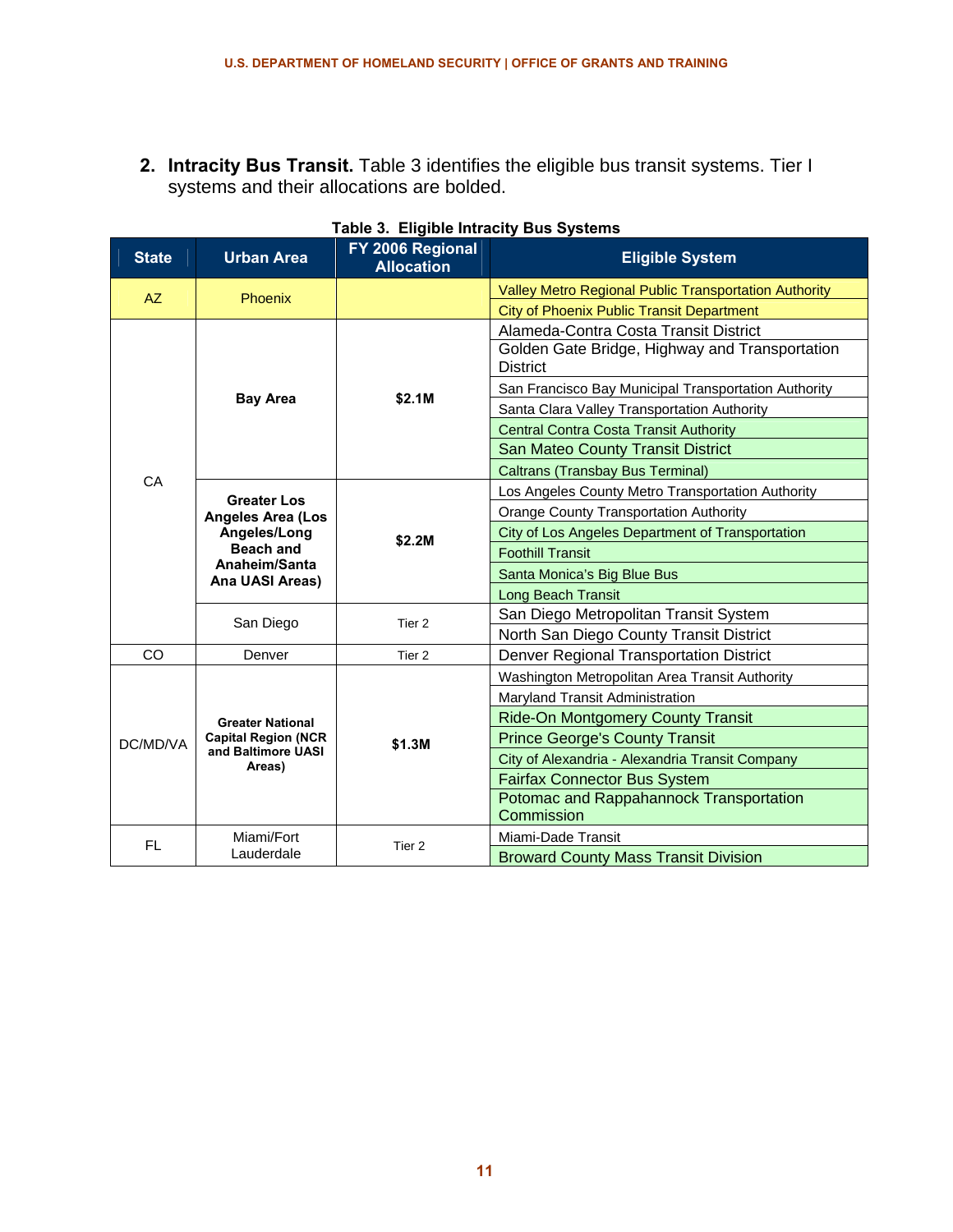**2. Intracity Bus Transit.** Table 3 identifies the eligible bus transit systems. Tier I systems and their allocations are bolded.

| <b>State</b> | <b>Urban Area</b>                                | FY 2006 Regional<br><b>Allocation</b> | <b>Eligible System</b>                                            |
|--------------|--------------------------------------------------|---------------------------------------|-------------------------------------------------------------------|
| <b>AZ</b>    | <b>Phoenix</b>                                   |                                       | Valley Metro Regional Public Transportation Authority             |
|              |                                                  |                                       | <b>City of Phoenix Public Transit Department</b>                  |
|              |                                                  | \$2.1M                                | Alameda-Contra Costa Transit District                             |
|              |                                                  |                                       | Golden Gate Bridge, Highway and Transportation<br><b>District</b> |
|              | <b>Bay Area</b>                                  |                                       | San Francisco Bay Municipal Transportation Authority              |
|              |                                                  |                                       | Santa Clara Valley Transportation Authority                       |
|              |                                                  |                                       | <b>Central Contra Costa Transit Authority</b>                     |
|              |                                                  |                                       | San Mateo County Transit District                                 |
| CA           |                                                  |                                       | <b>Caltrans (Transbay Bus Terminal)</b>                           |
|              | <b>Greater Los</b>                               | \$2.2M                                | Los Angeles County Metro Transportation Authority                 |
|              | <b>Angeles Area (Los</b>                         |                                       | <b>Orange County Transportation Authority</b>                     |
|              | Angeles/Long                                     |                                       | City of Los Angeles Department of Transportation                  |
|              | <b>Beach and</b><br>Anaheim/Santa                |                                       | <b>Foothill Transit</b>                                           |
|              | Ana UASI Areas)                                  |                                       | Santa Monica's Big Blue Bus                                       |
|              |                                                  |                                       | <b>Long Beach Transit</b>                                         |
|              | San Diego                                        | Tier <sub>2</sub>                     | San Diego Metropolitan Transit System                             |
|              |                                                  |                                       | North San Diego County Transit District                           |
| CO           | Denver                                           | Tier <sub>2</sub>                     | Denver Regional Transportation District                           |
|              |                                                  |                                       | Washington Metropolitan Area Transit Authority                    |
|              |                                                  |                                       | Maryland Transit Administration                                   |
|              | <b>Greater National</b>                          |                                       | <b>Ride-On Montgomery County Transit</b>                          |
| DC/MD/VA     | <b>Capital Region (NCR</b><br>and Baltimore UASI | \$1.3M                                | <b>Prince George's County Transit</b>                             |
|              | Areas)                                           |                                       | City of Alexandria - Alexandria Transit Company                   |
|              |                                                  |                                       | <b>Fairfax Connector Bus System</b>                               |
|              |                                                  |                                       | Potomac and Rappahannock Transportation<br>Commission             |
| <b>FL</b>    | Miami/Fort                                       | Tier <sub>2</sub>                     | Miami-Dade Transit                                                |
|              | Lauderdale                                       |                                       | <b>Broward County Mass Transit Division</b>                       |

#### **Table 3. Eligible Intracity Bus Systems**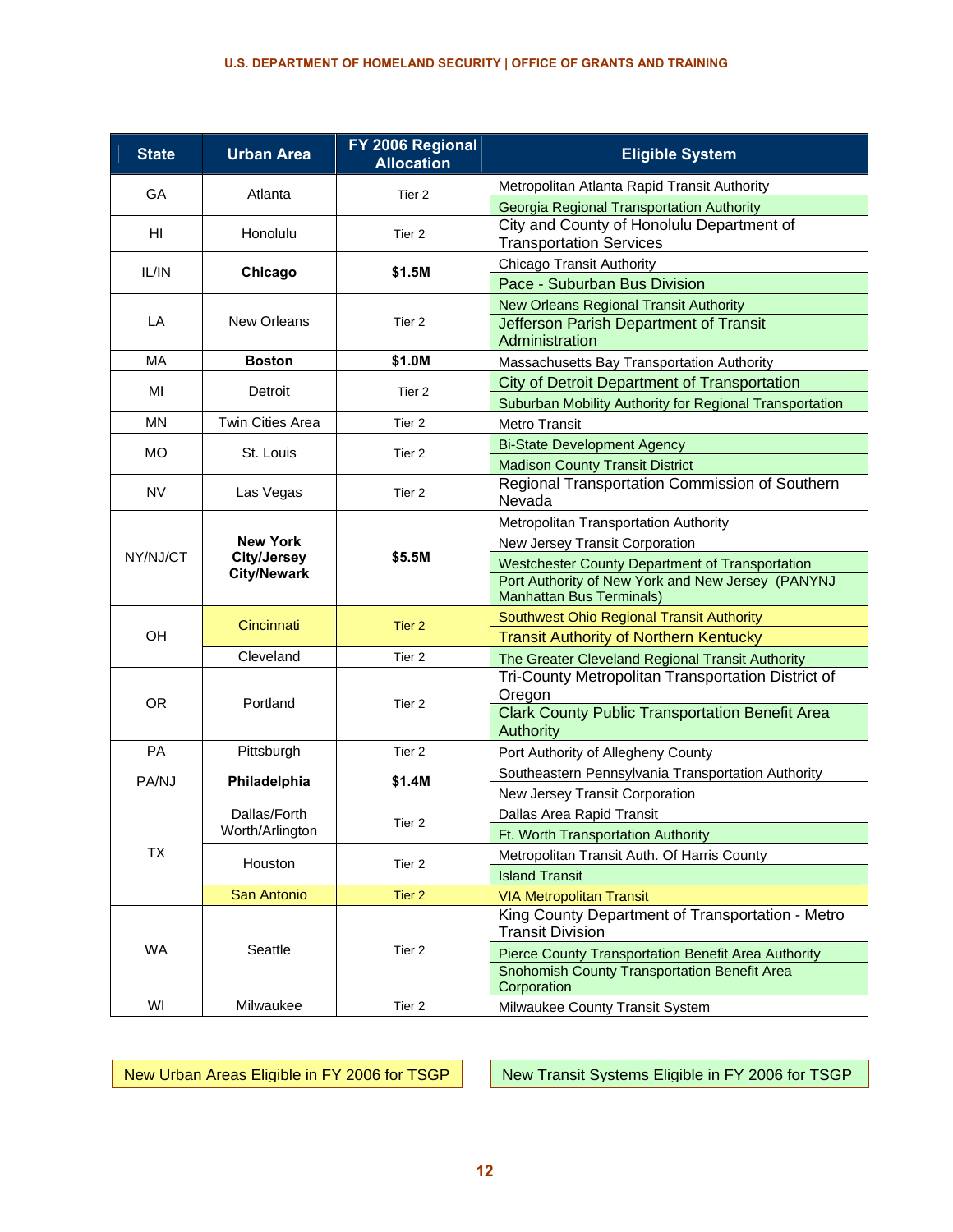| <b>State</b> | <b>Urban Area</b>                                           | FY 2006 Regional<br><b>Allocation</b> | <b>Eligible System</b>                                                               |
|--------------|-------------------------------------------------------------|---------------------------------------|--------------------------------------------------------------------------------------|
|              |                                                             |                                       | Metropolitan Atlanta Rapid Transit Authority                                         |
| GA           | Atlanta                                                     | Tier 2                                | <b>Georgia Regional Transportation Authority</b>                                     |
| HI           | Honolulu                                                    | Tier 2                                | City and County of Honolulu Department of<br><b>Transportation Services</b>          |
| IL/IN        |                                                             | \$1.5M                                | Chicago Transit Authority                                                            |
|              | Chicago                                                     |                                       | Pace - Suburban Bus Division                                                         |
|              |                                                             | Tier 2                                | <b>New Orleans Regional Transit Authority</b>                                        |
| LA           | <b>New Orleans</b>                                          |                                       | <b>Jefferson Parish Department of Transit</b><br>Administration                      |
| MA           | <b>Boston</b>                                               | \$1.0M                                | Massachusetts Bay Transportation Authority                                           |
| MI           | Detroit                                                     | Tier <sub>2</sub>                     | City of Detroit Department of Transportation                                         |
|              |                                                             |                                       | Suburban Mobility Authority for Regional Transportation                              |
| MN           | <b>Twin Cities Area</b>                                     | Tier <sub>2</sub>                     | <b>Metro Transit</b>                                                                 |
| <b>MO</b>    | St. Louis                                                   | Tier <sub>2</sub>                     | <b>Bi-State Development Agency</b>                                                   |
|              |                                                             |                                       | <b>Madison County Transit District</b>                                               |
| <b>NV</b>    | Las Vegas                                                   | Tier 2                                | Regional Transportation Commission of Southern<br>Nevada                             |
|              |                                                             | \$5.5M                                | Metropolitan Transportation Authority                                                |
|              | <b>New York</b><br><b>City/Jersey</b><br><b>City/Newark</b> |                                       | New Jersey Transit Corporation                                                       |
| NY/NJ/CT     |                                                             |                                       | <b>Westchester County Department of Transportation</b>                               |
|              |                                                             |                                       | Port Authority of New York and New Jersey (PANYNJ<br><b>Manhattan Bus Terminals)</b> |
|              | Cincinnati                                                  | Tier <sub>2</sub>                     | Southwest Ohio Regional Transit Authority                                            |
| OH           |                                                             |                                       | <b>Transit Authority of Northern Kentucky</b>                                        |
|              | Cleveland                                                   | Tier 2                                | The Greater Cleveland Regional Transit Authority                                     |
| <b>OR</b>    | Portland                                                    | Tier 2                                | Tri-County Metropolitan Transportation District of<br>Oregon                         |
|              |                                                             |                                       | <b>Clark County Public Transportation Benefit Area</b><br>Authority                  |
| PA           | Pittsburgh                                                  | Tier <sub>2</sub>                     | Port Authority of Allegheny County                                                   |
| PA/NJ        | Philadelphia                                                | \$1.4M                                | Southeastern Pennsylvania Transportation Authority                                   |
|              |                                                             |                                       | New Jersey Transit Corporation                                                       |
|              | Dallas/Forth                                                | Tier 2                                | Dallas Area Rapid Transit                                                            |
| TX           | Worth/Arlington                                             |                                       | Ft. Worth Transportation Authority                                                   |
|              | Houston                                                     | Tier <sub>2</sub>                     | Metropolitan Transit Auth. Of Harris County                                          |
|              |                                                             |                                       | <b>Island Transit</b>                                                                |
|              | San Antonio                                                 | Tier <sub>2</sub>                     | <b>VIA Metropolitan Transit</b>                                                      |
|              |                                                             | Tier 2                                | King County Department of Transportation - Metro<br><b>Transit Division</b>          |
| WA           | Seattle                                                     |                                       | Pierce County Transportation Benefit Area Authority                                  |
|              |                                                             |                                       | <b>Snohomish County Transportation Benefit Area</b><br>Corporation                   |
| WI           | Milwaukee<br>Tier 2                                         |                                       | Milwaukee County Transit System                                                      |

New Urban Areas Eligible in FY 2006 for TSGP  $\parallel$  New Transit Systems Eligible in FY 2006 for TSGP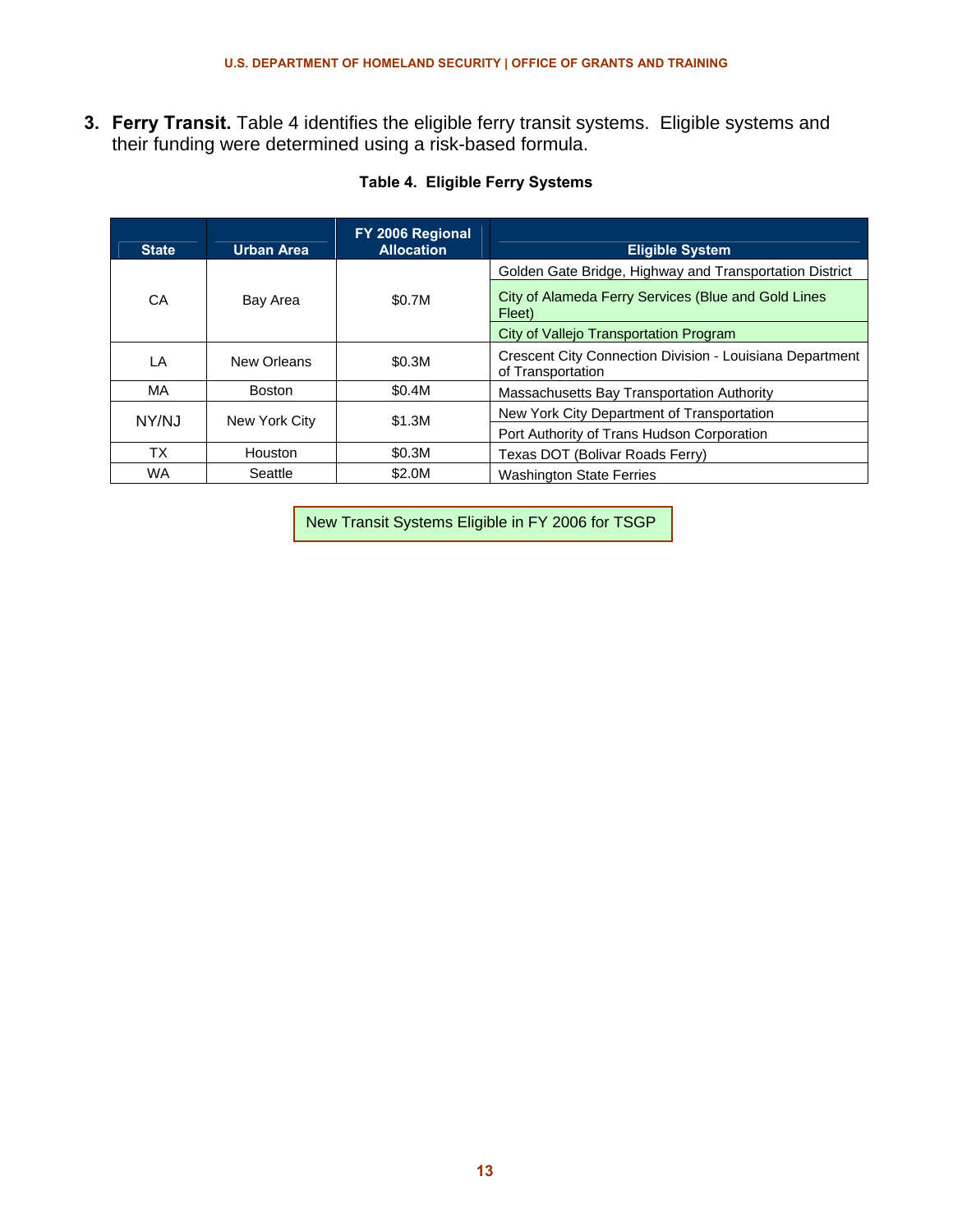**3. Ferry Transit.** Table 4 identifies the eligible ferry transit systems. Eligible systems and their funding were determined using a risk-based formula.

| <b>State</b> | <b>Urban Area</b> | FY 2006 Regional<br><b>Allocation</b> | <b>Eligible System</b>                                                        |
|--------------|-------------------|---------------------------------------|-------------------------------------------------------------------------------|
| CА           |                   | \$0.7M                                | Golden Gate Bridge, Highway and Transportation District                       |
|              | Bay Area          |                                       | City of Alameda Ferry Services (Blue and Gold Lines<br>Fleet)                 |
|              |                   |                                       | City of Vallejo Transportation Program                                        |
| LA           | New Orleans       | \$0.3M                                | Crescent City Connection Division - Louisiana Department<br>of Transportation |
| MA           | <b>Boston</b>     | \$0.4M                                | Massachusetts Bay Transportation Authority                                    |
| NY/NJ        | New York City     | \$1.3M                                | New York City Department of Transportation                                    |
|              |                   |                                       | Port Authority of Trans Hudson Corporation                                    |
| ТX           | Houston           | \$0.3M                                | Texas DOT (Bolivar Roads Ferry)                                               |
| <b>WA</b>    | Seattle           | \$2.0M                                | <b>Washington State Ferries</b>                                               |

#### **Table 4. Eligible Ferry Systems**

New Transit Systems Eligible in FY 2006 for TSGP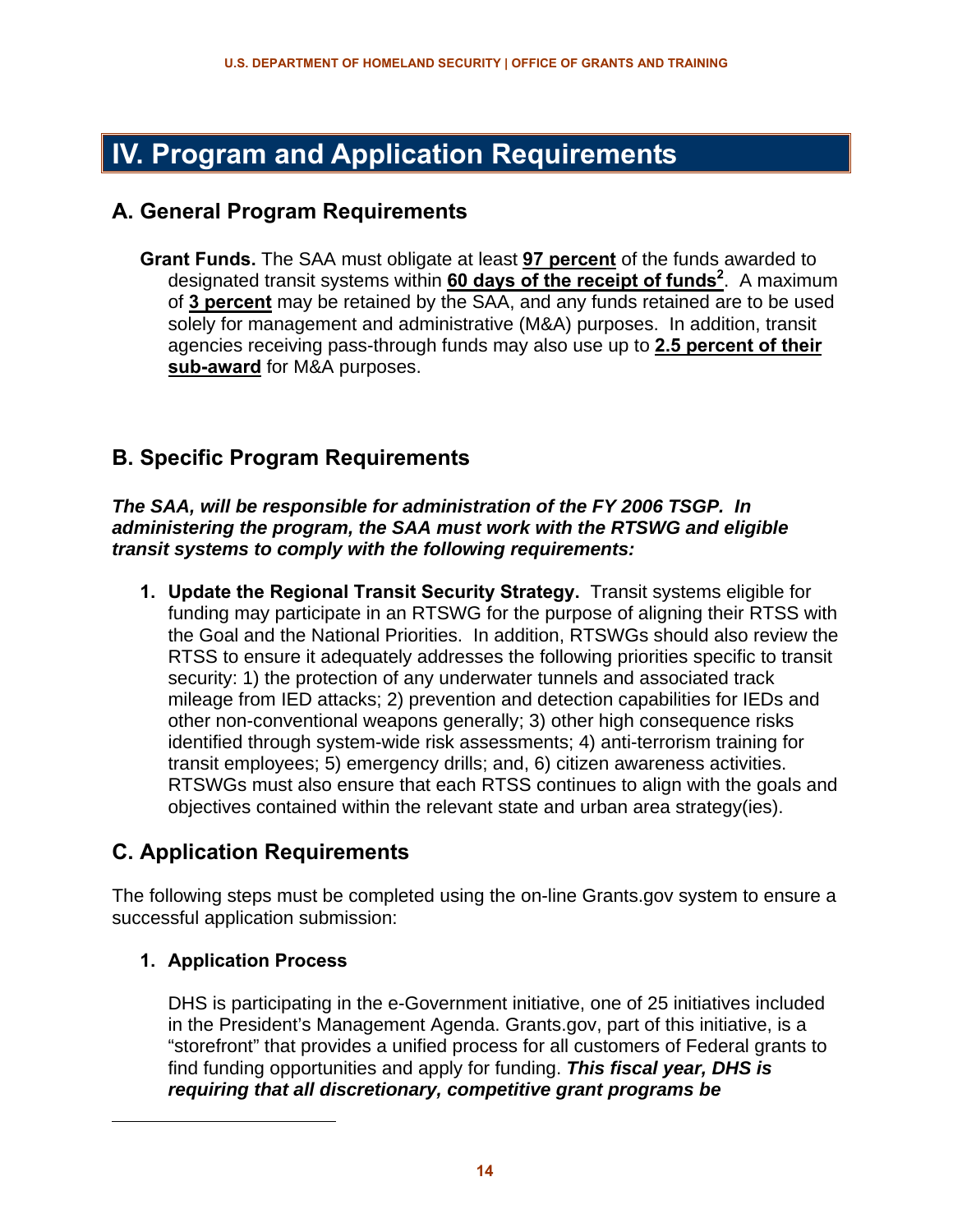# **IV. Program and Application Requirements**

## **A. General Program Requirements**

**Grant Funds.** The SAA must obligate at least **97 percent** of the funds awarded to designated transit systems within **60 days of the receipt of funds<sup>2</sup>.** A maximum of **3 percent** may be retained by the SAA, and any funds retained are to be used solely for management and administrative (M&A) purposes. In addition, transit agencies receiving pass-through funds may also use up to **2.5 percent of their sub-award** for M&A purposes.

## **B. Specific Program Requirements**

#### *The SAA, will be responsible for administration of the FY 2006 TSGP. In administering the program, the SAA must work with the RTSWG and eligible transit systems to comply with the following requirements:*

**1. Update the Regional Transit Security Strategy.** Transit systems eligible for funding may participate in an RTSWG for the purpose of aligning their RTSS with the Goal and the National Priorities. In addition, RTSWGs should also review the RTSS to ensure it adequately addresses the following priorities specific to transit security: 1) the protection of any underwater tunnels and associated track mileage from IED attacks; 2) prevention and detection capabilities for IEDs and other non-conventional weapons generally; 3) other high consequence risks identified through system-wide risk assessments; 4) anti-terrorism training for transit employees; 5) emergency drills; and, 6) citizen awareness activities. RTSWGs must also ensure that each RTSS continues to align with the goals and objectives contained within the relevant state and urban area strategy(ies).

# **C. Application Requirements**

The following steps must be completed using the on-line Grants.gov system to ensure a successful application submission:

#### **1. Application Process**

 $\overline{a}$ 

DHS is participating in the e-Government initiative, one of 25 initiatives included in the President's Management Agenda. Grants.gov, part of this initiative, is a "storefront" that provides a unified process for all customers of Federal grants to find funding opportunities and apply for funding. *This fiscal year, DHS is requiring that all discretionary, competitive grant programs be*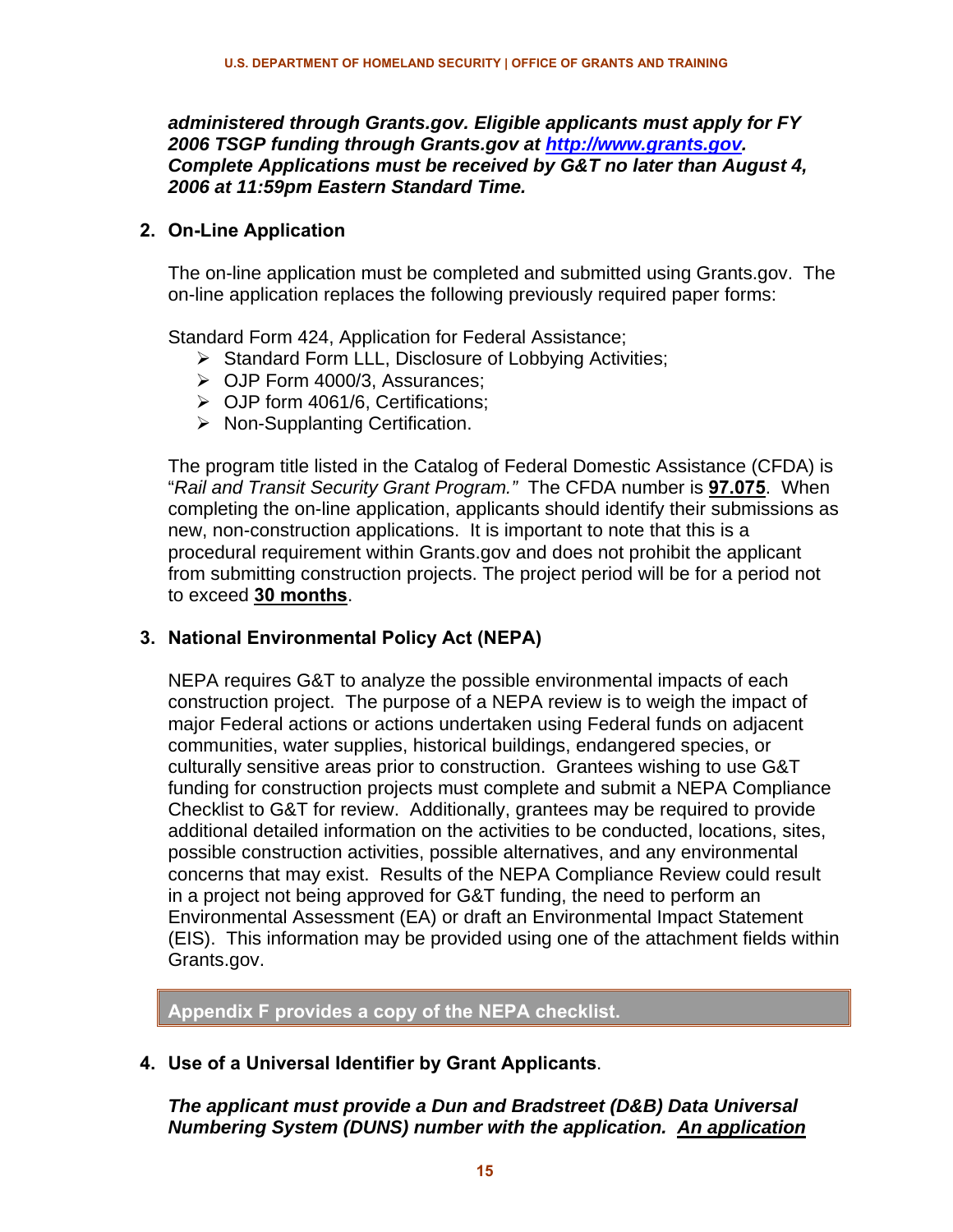*administered through Grants.gov. Eligible applicants must apply for FY 2006 TSGP funding through Grants.gov at http://www.grants.gov. Complete Applications must be received by G&T no later than August 4, 2006 at 11:59pm Eastern Standard Time.* 

#### **2. On-Line Application**

The on-line application must be completed and submitted using Grants.gov. The on-line application replaces the following previously required paper forms:

Standard Form 424, Application for Federal Assistance;

- ¾ Standard Form LLL, Disclosure of Lobbying Activities;
- ¾ OJP Form 4000/3, Assurances;
- ¾ OJP form 4061/6, Certifications;
- ¾ Non-Supplanting Certification.

The program title listed in the Catalog of Federal Domestic Assistance (CFDA) is "*Rail and Transit Security Grant Program."* The CFDA number is **97.075**. When completing the on-line application, applicants should identify their submissions as new, non-construction applications. It is important to note that this is a procedural requirement within Grants.gov and does not prohibit the applicant from submitting construction projects. The project period will be for a period not to exceed **30 months**.

#### **3. National Environmental Policy Act (NEPA)**

NEPA requires G&T to analyze the possible environmental impacts of each construction project. The purpose of a NEPA review is to weigh the impact of major Federal actions or actions undertaken using Federal funds on adjacent communities, water supplies, historical buildings, endangered species, or culturally sensitive areas prior to construction. Grantees wishing to use G&T funding for construction projects must complete and submit a NEPA Compliance Checklist to G&T for review. Additionally, grantees may be required to provide additional detailed information on the activities to be conducted, locations, sites, possible construction activities, possible alternatives, and any environmental concerns that may exist. Results of the NEPA Compliance Review could result in a project not being approved for G&T funding, the need to perform an Environmental Assessment (EA) or draft an Environmental Impact Statement (EIS). This information may be provided using one of the attachment fields within Grants.gov.

**Appendix F provides a copy of the NEPA checklist.** 

**4. Use of a Universal Identifier by Grant Applicants**.

*The applicant must provide a Dun and Bradstreet (D&B) Data Universal Numbering System (DUNS) number with the application. An application*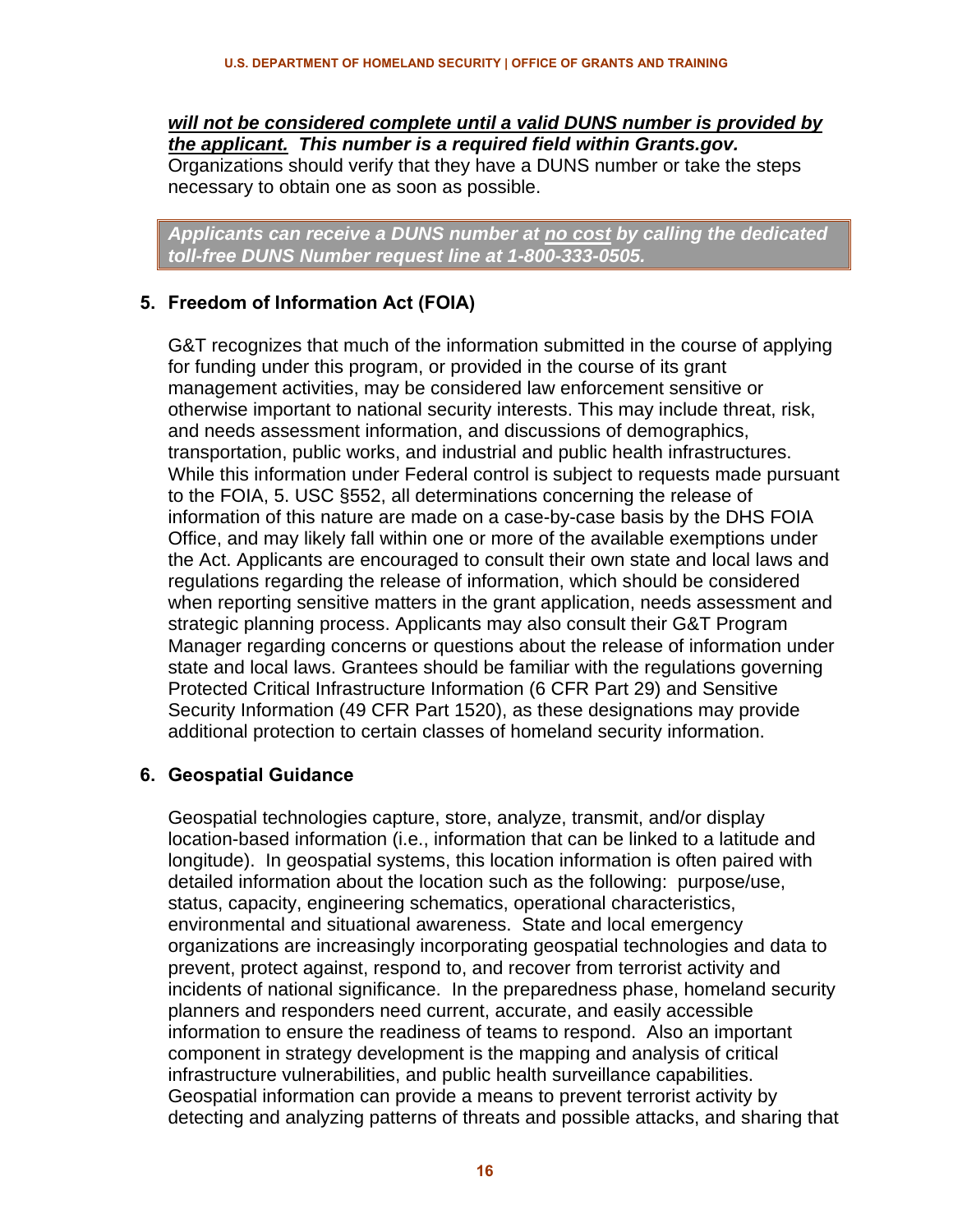*will not be considered complete until a valid DUNS number is provided by the applicant. This number is a required field within Grants.gov.*  Organizations should verify that they have a DUNS number or take the steps necessary to obtain one as soon as possible.

*Applicants can receive a DUNS number at no cost by calling the dedicated toll-free DUNS Number request line at 1-800-333-0505.* 

#### **5. Freedom of Information Act (FOIA)**

G&T recognizes that much of the information submitted in the course of applying for funding under this program, or provided in the course of its grant management activities, may be considered law enforcement sensitive or otherwise important to national security interests. This may include threat, risk, and needs assessment information, and discussions of demographics, transportation, public works, and industrial and public health infrastructures. While this information under Federal control is subject to requests made pursuant to the FOIA, 5. USC §552, all determinations concerning the release of information of this nature are made on a case-by-case basis by the DHS FOIA Office, and may likely fall within one or more of the available exemptions under the Act. Applicants are encouraged to consult their own state and local laws and regulations regarding the release of information, which should be considered when reporting sensitive matters in the grant application, needs assessment and strategic planning process. Applicants may also consult their G&T Program Manager regarding concerns or questions about the release of information under state and local laws. Grantees should be familiar with the regulations governing Protected Critical Infrastructure Information (6 CFR Part 29) and Sensitive Security Information (49 CFR Part 1520), as these designations may provide additional protection to certain classes of homeland security information.

#### **6. Geospatial Guidance**

Geospatial technologies capture, store, analyze, transmit, and/or display location-based information (i.e., information that can be linked to a latitude and longitude). In geospatial systems, this location information is often paired with detailed information about the location such as the following: purpose/use, status, capacity, engineering schematics, operational characteristics, environmental and situational awareness. State and local emergency organizations are increasingly incorporating geospatial technologies and data to prevent, protect against, respond to, and recover from terrorist activity and incidents of national significance. In the preparedness phase, homeland security planners and responders need current, accurate, and easily accessible information to ensure the readiness of teams to respond. Also an important component in strategy development is the mapping and analysis of critical infrastructure vulnerabilities, and public health surveillance capabilities. Geospatial information can provide a means to prevent terrorist activity by detecting and analyzing patterns of threats and possible attacks, and sharing that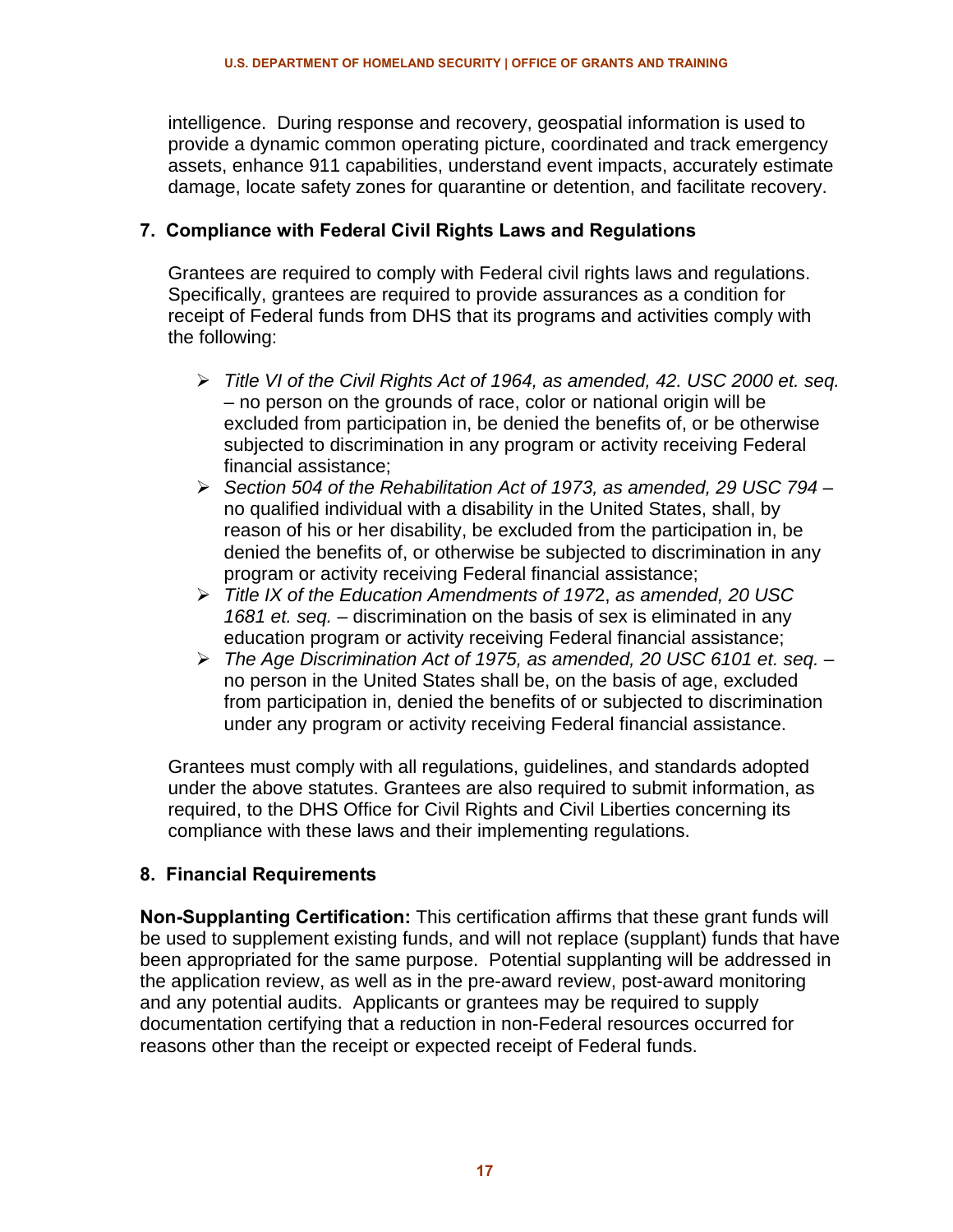intelligence. During response and recovery, geospatial information is used to provide a dynamic common operating picture, coordinated and track emergency assets, enhance 911 capabilities, understand event impacts, accurately estimate damage, locate safety zones for quarantine or detention, and facilitate recovery.

#### **7. Compliance with Federal Civil Rights Laws and Regulations**

Grantees are required to comply with Federal civil rights laws and regulations. Specifically, grantees are required to provide assurances as a condition for receipt of Federal funds from DHS that its programs and activities comply with the following:

- ¾ *Title VI of the Civil Rights Act of 1964, as amended, 42. USC 2000 et. seq.*  – no person on the grounds of race, color or national origin will be excluded from participation in, be denied the benefits of, or be otherwise subjected to discrimination in any program or activity receiving Federal financial assistance;
- ¾ *Section 504 of the Rehabilitation Act of 1973, as amended, 29 USC 794*  no qualified individual with a disability in the United States, shall, by reason of his or her disability, be excluded from the participation in, be denied the benefits of, or otherwise be subjected to discrimination in any program or activity receiving Federal financial assistance;
- ¾ *Title IX of the Education Amendments of 197*2, *as amended, 20 USC 1681 et. seq.* – discrimination on the basis of sex is eliminated in any education program or activity receiving Federal financial assistance;
- ¾ *The Age Discrimination Act of 1975, as amended, 20 USC 6101 et. seq.*  no person in the United States shall be, on the basis of age, excluded from participation in, denied the benefits of or subjected to discrimination under any program or activity receiving Federal financial assistance.

Grantees must comply with all regulations, guidelines, and standards adopted under the above statutes. Grantees are also required to submit information, as required, to the DHS Office for Civil Rights and Civil Liberties concerning its compliance with these laws and their implementing regulations.

#### **8. Financial Requirements**

**Non-Supplanting Certification:** This certification affirms that these grant funds will be used to supplement existing funds, and will not replace (supplant) funds that have been appropriated for the same purpose. Potential supplanting will be addressed in the application review, as well as in the pre-award review, post-award monitoring and any potential audits. Applicants or grantees may be required to supply documentation certifying that a reduction in non-Federal resources occurred for reasons other than the receipt or expected receipt of Federal funds.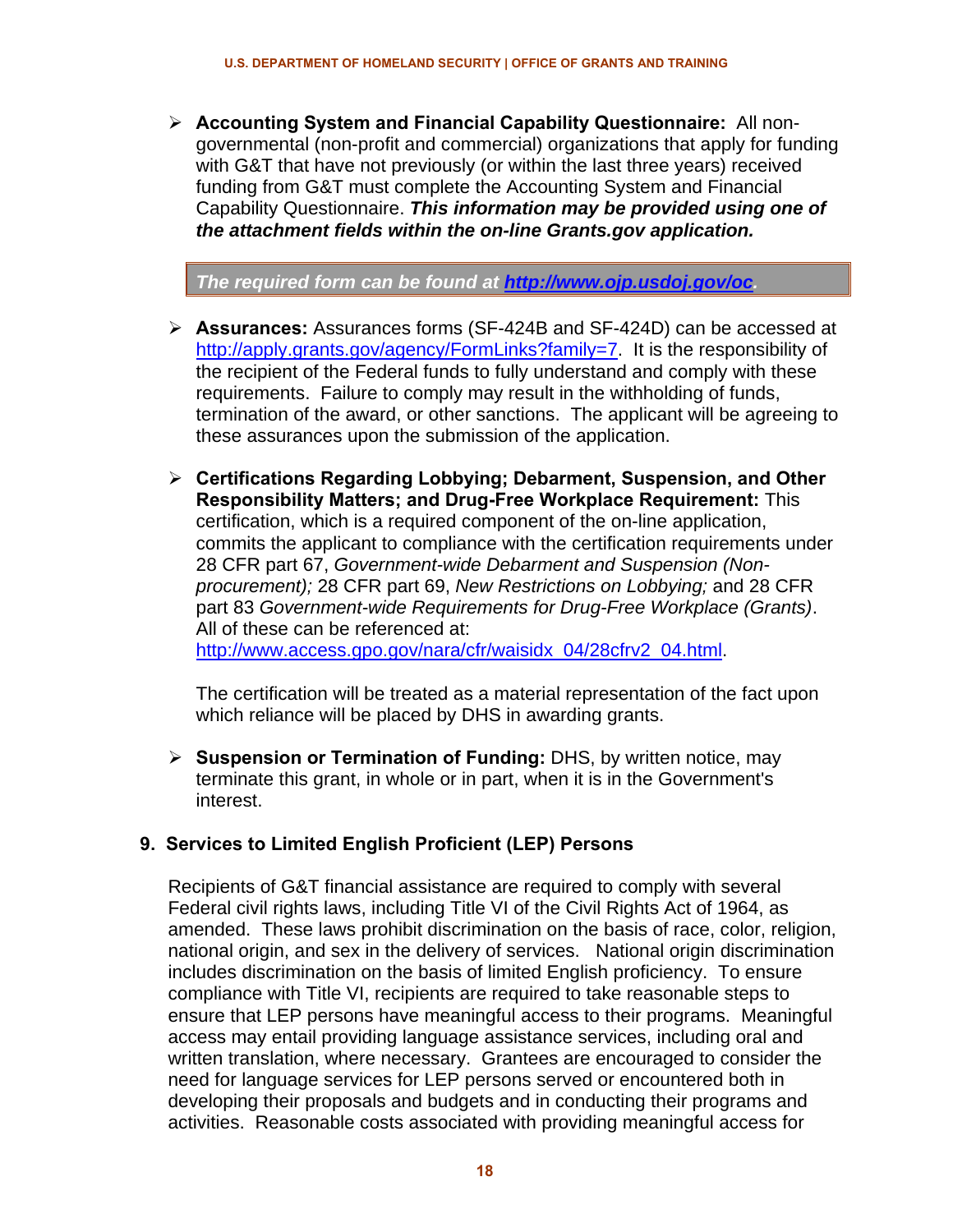¾ **Accounting System and Financial Capability Questionnaire:** All nongovernmental (non-profit and commercial) organizations that apply for funding with G&T that have not previously (or within the last three years) received funding from G&T must complete the Accounting System and Financial Capability Questionnaire. *This information may be provided using one of the attachment fields within the on-line Grants.gov application.*

*The required form can be found at http://www.ojp.usdoj.gov/oc.* 

- ¾ **Assurances:** Assurances forms (SF-424B and SF-424D) can be accessed at http://apply.grants.gov/agency/FormLinks?family=7. It is the responsibility of the recipient of the Federal funds to fully understand and comply with these requirements. Failure to comply may result in the withholding of funds, termination of the award, or other sanctions. The applicant will be agreeing to these assurances upon the submission of the application.
- ¾ **Certifications Regarding Lobbying; Debarment, Suspension, and Other Responsibility Matters; and Drug-Free Workplace Requirement:** This certification, which is a required component of the on-line application, commits the applicant to compliance with the certification requirements under 28 CFR part 67, *Government-wide Debarment and Suspension (Nonprocurement);* 28 CFR part 69, *New Restrictions on Lobbying;* and 28 CFR part 83 *Government-wide Requirements for Drug-Free Workplace (Grants)*. All of these can be referenced at:

http://www.access.gpo.gov/nara/cfr/waisidx\_04/28cfrv2\_04.html.

The certification will be treated as a material representation of the fact upon which reliance will be placed by DHS in awarding grants.

¾ **Suspension or Termination of Funding:** DHS, by written notice, may terminate this grant, in whole or in part, when it is in the Government's interest.

#### **9. Services to Limited English Proficient (LEP) Persons**

Recipients of G&T financial assistance are required to comply with several Federal civil rights laws, including Title VI of the Civil Rights Act of 1964, as amended. These laws prohibit discrimination on the basis of race, color, religion, national origin, and sex in the delivery of services. National origin discrimination includes discrimination on the basis of limited English proficiency. To ensure compliance with Title VI, recipients are required to take reasonable steps to ensure that LEP persons have meaningful access to their programs. Meaningful access may entail providing language assistance services, including oral and written translation, where necessary. Grantees are encouraged to consider the need for language services for LEP persons served or encountered both in developing their proposals and budgets and in conducting their programs and activities. Reasonable costs associated with providing meaningful access for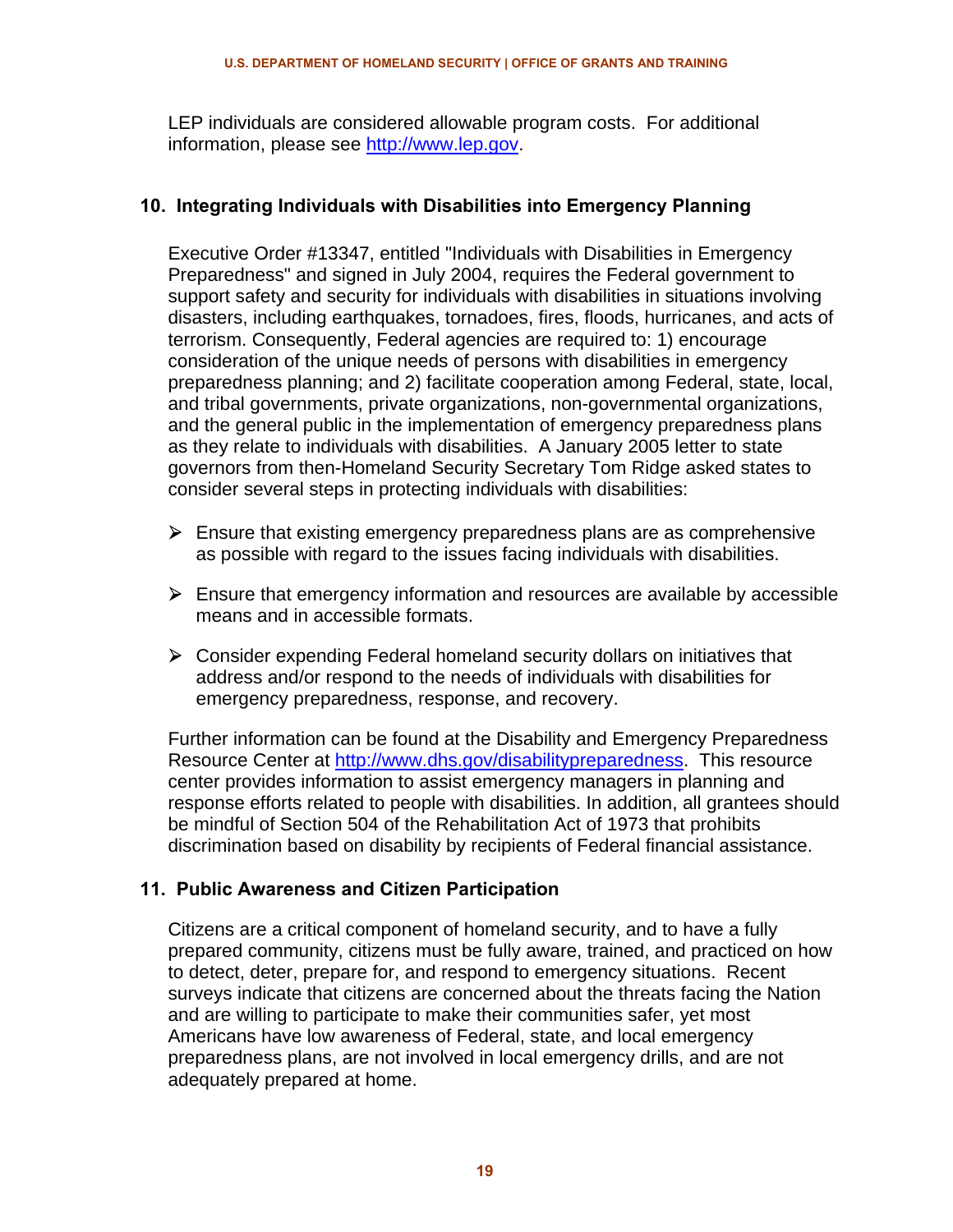LEP individuals are considered allowable program costs. For additional information, please see http://www.lep.gov.

#### **10. Integrating Individuals with Disabilities into Emergency Planning**

Executive Order #13347, entitled "Individuals with Disabilities in Emergency Preparedness" and signed in July 2004, requires the Federal government to support safety and security for individuals with disabilities in situations involving disasters, including earthquakes, tornadoes, fires, floods, hurricanes, and acts of terrorism. Consequently, Federal agencies are required to: 1) encourage consideration of the unique needs of persons with disabilities in emergency preparedness planning; and 2) facilitate cooperation among Federal, state, local, and tribal governments, private organizations, non-governmental organizations, and the general public in the implementation of emergency preparedness plans as they relate to individuals with disabilities. A January 2005 letter to state governors from then-Homeland Security Secretary Tom Ridge asked states to consider several steps in protecting individuals with disabilities:

- $\triangleright$  Ensure that existing emergency preparedness plans are as comprehensive as possible with regard to the issues facing individuals with disabilities.
- $\triangleright$  Ensure that emergency information and resources are available by accessible means and in accessible formats.
- $\triangleright$  Consider expending Federal homeland security dollars on initiatives that address and/or respond to the needs of individuals with disabilities for emergency preparedness, response, and recovery.

Further information can be found at the Disability and Emergency Preparedness Resource Center at http://www.dhs.gov/disabilitypreparedness. This resource center provides information to assist emergency managers in planning and response efforts related to people with disabilities. In addition, all grantees should be mindful of Section 504 of the Rehabilitation Act of 1973 that prohibits discrimination based on disability by recipients of Federal financial assistance.

#### **11. Public Awareness and Citizen Participation**

Citizens are a critical component of homeland security, and to have a fully prepared community, citizens must be fully aware, trained, and practiced on how to detect, deter, prepare for, and respond to emergency situations. Recent surveys indicate that citizens are concerned about the threats facing the Nation and are willing to participate to make their communities safer, yet most Americans have low awareness of Federal, state, and local emergency preparedness plans, are not involved in local emergency drills, and are not adequately prepared at home.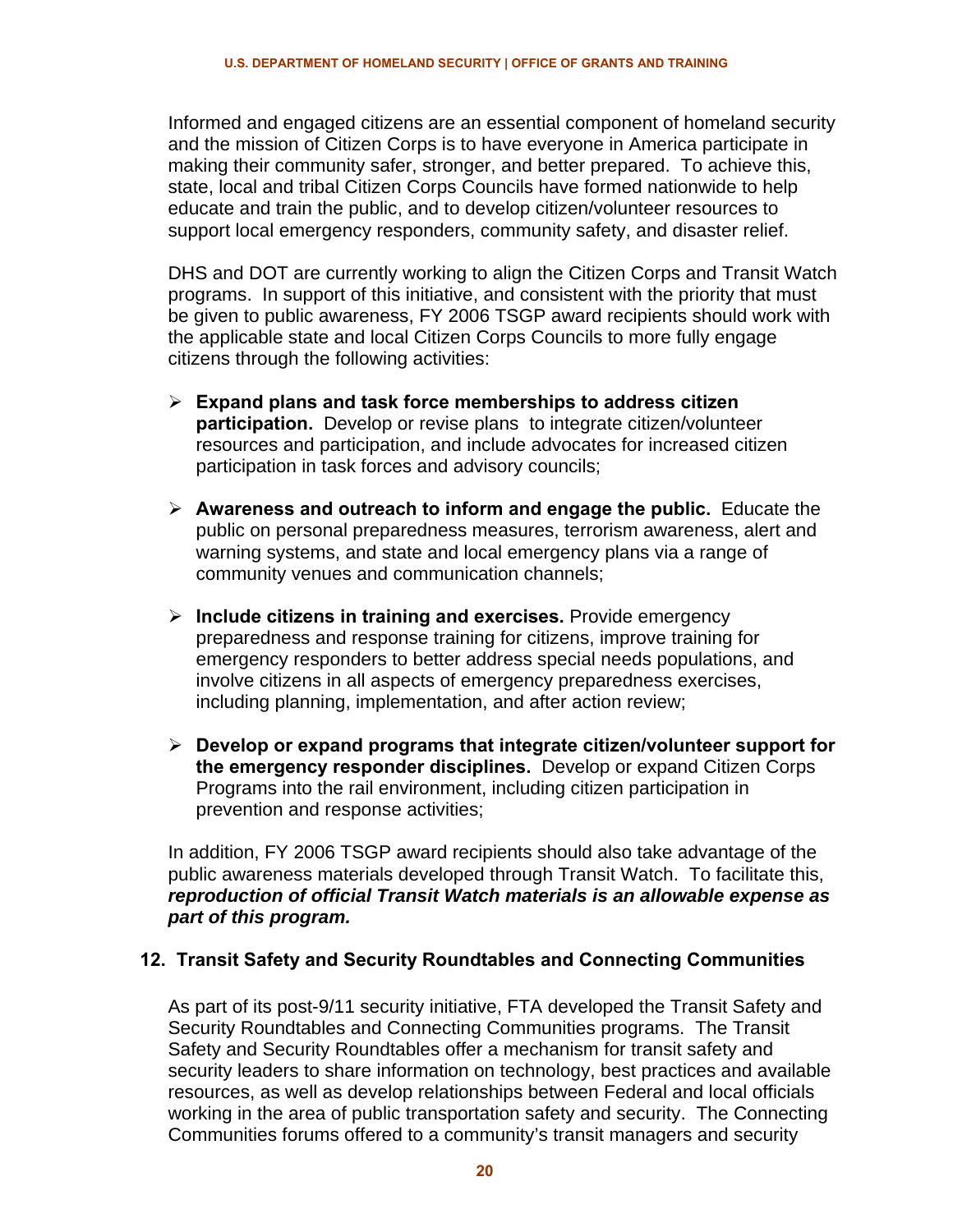Informed and engaged citizens are an essential component of homeland security and the mission of Citizen Corps is to have everyone in America participate in making their community safer, stronger, and better prepared. To achieve this, state, local and tribal Citizen Corps Councils have formed nationwide to help educate and train the public, and to develop citizen/volunteer resources to support local emergency responders, community safety, and disaster relief.

DHS and DOT are currently working to align the Citizen Corps and Transit Watch programs. In support of this initiative, and consistent with the priority that must be given to public awareness, FY 2006 TSGP award recipients should work with the applicable state and local Citizen Corps Councils to more fully engage citizens through the following activities:

- ¾ **Expand plans and task force memberships to address citizen participation.** Develop or revise plans to integrate citizen/volunteer resources and participation, and include advocates for increased citizen participation in task forces and advisory councils;
- ¾ **Awareness and outreach to inform and engage the public.** Educate the public on personal preparedness measures, terrorism awareness, alert and warning systems, and state and local emergency plans via a range of community venues and communication channels;
- ¾ **Include citizens in training and exercises.** Provide emergency preparedness and response training for citizens, improve training for emergency responders to better address special needs populations, and involve citizens in all aspects of emergency preparedness exercises, including planning, implementation, and after action review;
- ¾ **Develop or expand programs that integrate citizen/volunteer support for the emergency responder disciplines.** Develop or expand Citizen Corps Programs into the rail environment, including citizen participation in prevention and response activities;

In addition, FY 2006 TSGP award recipients should also take advantage of the public awareness materials developed through Transit Watch. To facilitate this, *reproduction of official Transit Watch materials is an allowable expense as part of this program.*

#### **12. Transit Safety and Security Roundtables and Connecting Communities**

As part of its post-9/11 security initiative, FTA developed the Transit Safety and Security Roundtables and Connecting Communities programs. The Transit Safety and Security Roundtables offer a mechanism for transit safety and security leaders to share information on technology, best practices and available resources, as well as develop relationships between Federal and local officials working in the area of public transportation safety and security. The Connecting Communities forums offered to a community's transit managers and security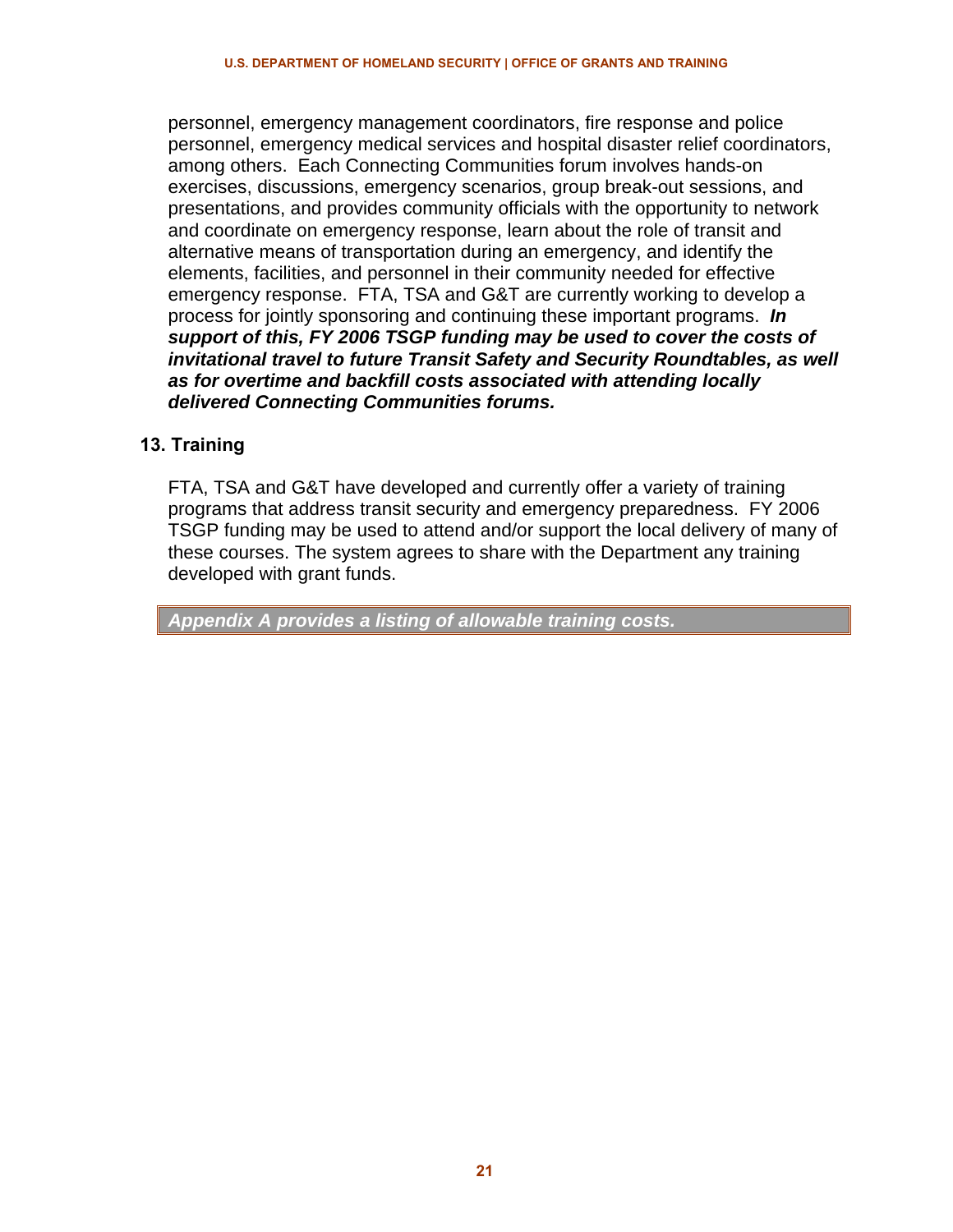personnel, emergency management coordinators, fire response and police personnel, emergency medical services and hospital disaster relief coordinators, among others. Each Connecting Communities forum involves hands-on exercises, discussions, emergency scenarios, group break-out sessions, and presentations, and provides community officials with the opportunity to network and coordinate on emergency response, learn about the role of transit and alternative means of transportation during an emergency, and identify the elements, facilities, and personnel in their community needed for effective emergency response. FTA, TSA and G&T are currently working to develop a process for jointly sponsoring and continuing these important programs. *In support of this, FY 2006 TSGP funding may be used to cover the costs of invitational travel to future Transit Safety and Security Roundtables, as well as for overtime and backfill costs associated with attending locally delivered Connecting Communities forums.* 

#### **13. Training**

FTA, TSA and G&T have developed and currently offer a variety of training programs that address transit security and emergency preparedness. FY 2006 TSGP funding may be used to attend and/or support the local delivery of many of these courses. The system agrees to share with the Department any training developed with grant funds.

*Appendix A provides a listing of allowable training costs.*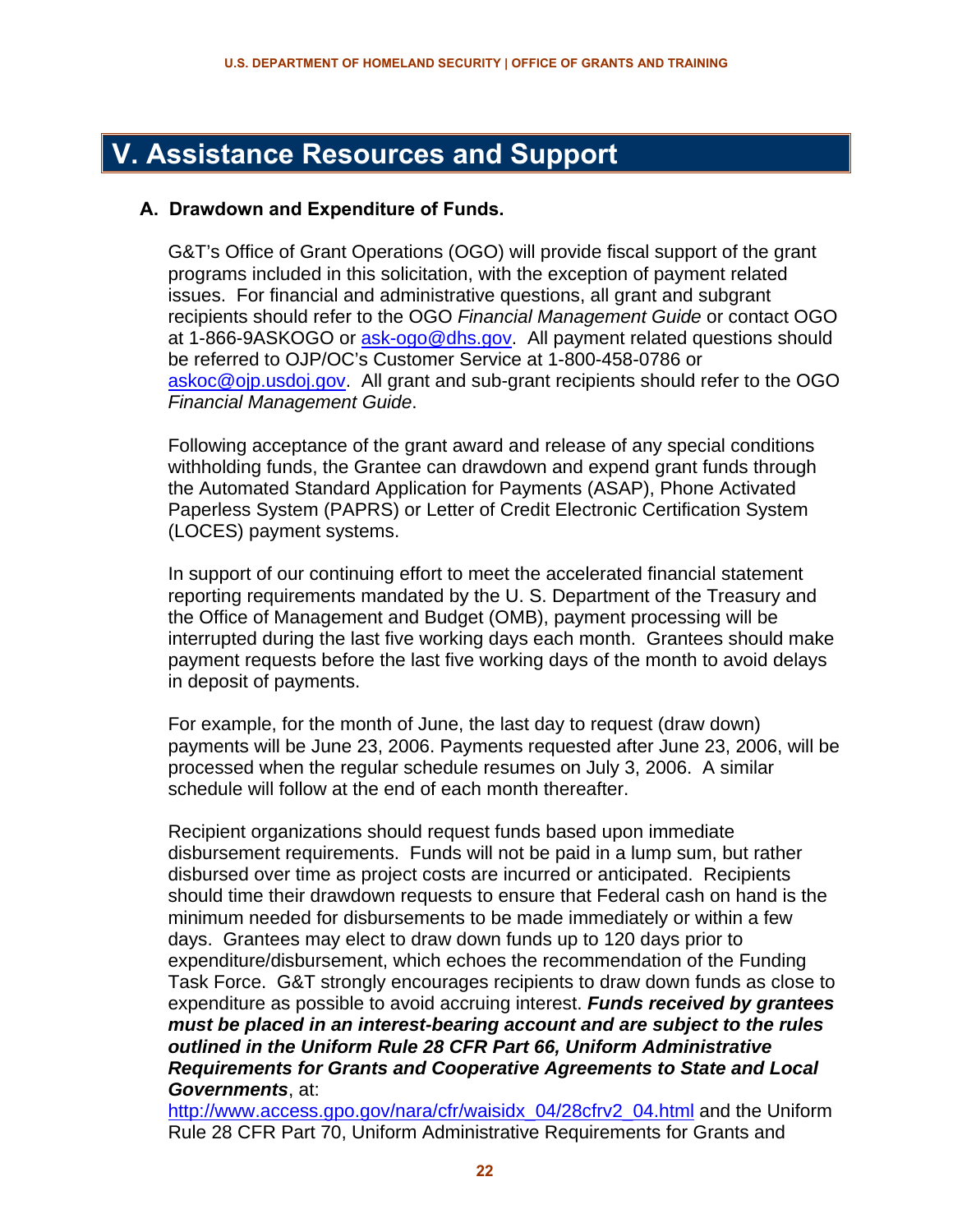# **V. Assistance Resources and Support**

#### **A. Drawdown and Expenditure of Funds.**

G&T's Office of Grant Operations (OGO) will provide fiscal support of the grant programs included in this solicitation, with the exception of payment related issues. For financial and administrative questions, all grant and subgrant recipients should refer to the OGO *Financial Management Guide* or contact OGO at 1-866-9ASKOGO or ask-ogo@dhs.gov. All payment related questions should be referred to OJP/OC's Customer Service at 1-800-458-0786 or askoc@ojp.usdoj.gov. All grant and sub-grant recipients should refer to the OGO *Financial Management Guide*.

Following acceptance of the grant award and release of any special conditions withholding funds, the Grantee can drawdown and expend grant funds through the Automated Standard Application for Payments (ASAP), Phone Activated Paperless System (PAPRS) or Letter of Credit Electronic Certification System (LOCES) payment systems.

In support of our continuing effort to meet the accelerated financial statement reporting requirements mandated by the U. S. Department of the Treasury and the Office of Management and Budget (OMB), payment processing will be interrupted during the last five working days each month. Grantees should make payment requests before the last five working days of the month to avoid delays in deposit of payments.

For example, for the month of June, the last day to request (draw down) payments will be June 23, 2006. Payments requested after June 23, 2006, will be processed when the regular schedule resumes on July 3, 2006. A similar schedule will follow at the end of each month thereafter.

Recipient organizations should request funds based upon immediate disbursement requirements. Funds will not be paid in a lump sum, but rather disbursed over time as project costs are incurred or anticipated. Recipients should time their drawdown requests to ensure that Federal cash on hand is the minimum needed for disbursements to be made immediately or within a few days. Grantees may elect to draw down funds up to 120 days prior to expenditure/disbursement, which echoes the recommendation of the Funding Task Force. G&T strongly encourages recipients to draw down funds as close to expenditure as possible to avoid accruing interest. *Funds received by grantees must be placed in an interest-bearing account and are subject to the rules outlined in the Uniform Rule 28 CFR Part 66, Uniform Administrative Requirements for Grants and Cooperative Agreements to State and Local Governments*, at:

http://www.access.gpo.gov/nara/cfr/waisidx\_04/28cfrv2\_04.html and the Uniform Rule 28 CFR Part 70, Uniform Administrative Requirements for Grants and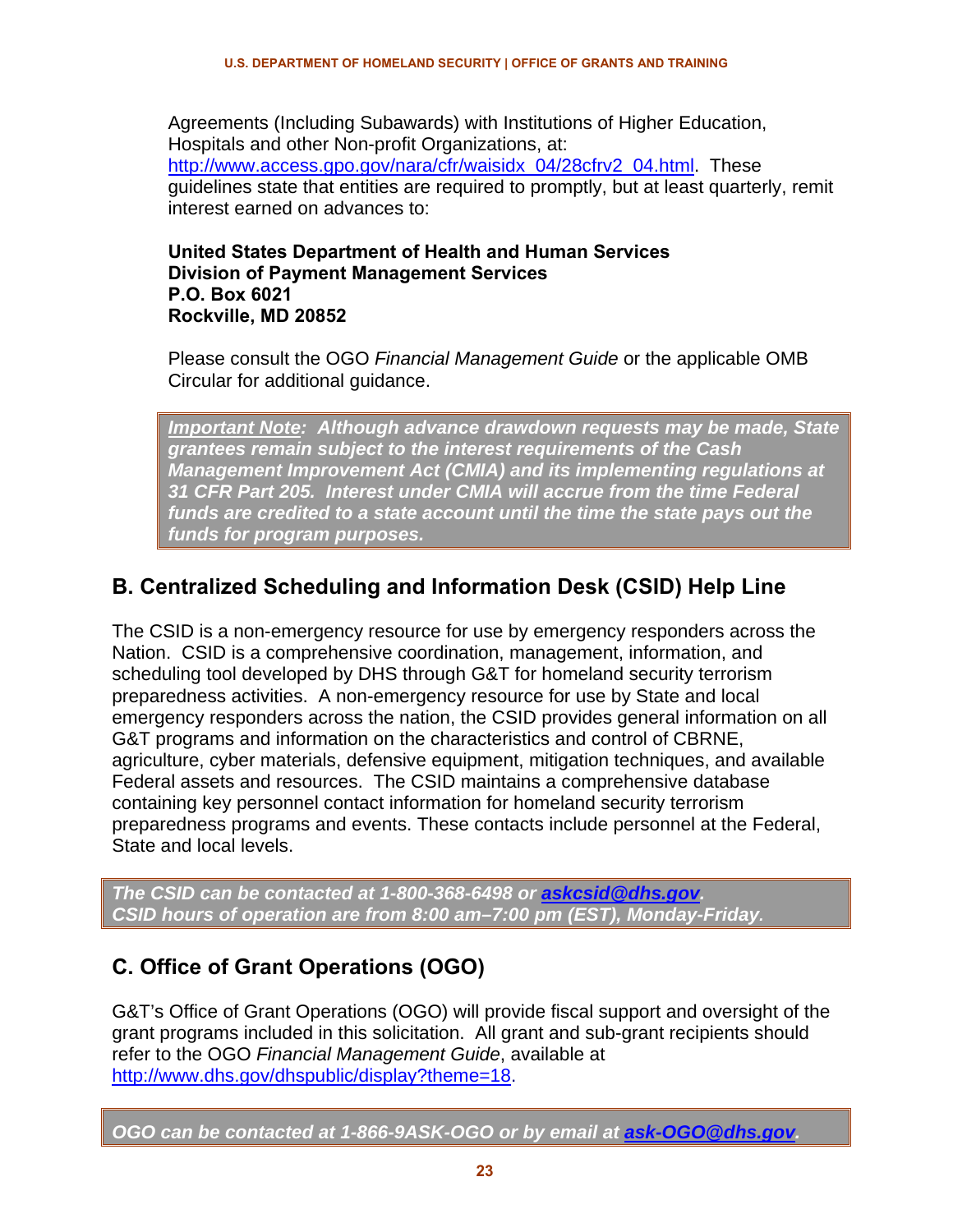Agreements (Including Subawards) with Institutions of Higher Education, Hospitals and other Non-profit Organizations, at: http://www.access.gpo.gov/nara/cfr/waisidx\_04/28cfrv2\_04.html. These guidelines state that entities are required to promptly, but at least quarterly, remit interest earned on advances to:

#### **United States Department of Health and Human Services Division of Payment Management Services P.O. Box 6021 Rockville, MD 20852**

Please consult the OGO *Financial Management Guide* or the applicable OMB Circular for additional guidance.

*Important Note: Although advance drawdown requests may be made, State grantees remain subject to the interest requirements of the Cash Management Improvement Act (CMIA) and its implementing regulations at 31 CFR Part 205. Interest under CMIA will accrue from the time Federal funds are credited to a state account until the time the state pays out the funds for program purposes.* 

# **B. Centralized Scheduling and Information Desk (CSID) Help Line**

The CSID is a non-emergency resource for use by emergency responders across the Nation. CSID is a comprehensive coordination, management, information, and scheduling tool developed by DHS through G&T for homeland security terrorism preparedness activities. A non-emergency resource for use by State and local emergency responders across the nation, the CSID provides general information on all G&T programs and information on the characteristics and control of CBRNE, agriculture, cyber materials, defensive equipment, mitigation techniques, and available Federal assets and resources. The CSID maintains a comprehensive database containing key personnel contact information for homeland security terrorism preparedness programs and events. These contacts include personnel at the Federal, State and local levels.

*The CSID can be contacted at 1-800-368-6498 or askcsid@dhs.gov. CSID hours of operation are from 8:00 am–7:00 pm (EST), Monday-Friday.*

# **C. Office of Grant Operations (OGO)**

G&T's Office of Grant Operations (OGO) will provide fiscal support and oversight of the grant programs included in this solicitation. All grant and sub-grant recipients should refer to the OGO *Financial Management Guide*, available at http://www.dhs.gov/dhspublic/display?theme=18.

*OGO can be contacted at 1-866-9ASK-OGO or by email at ask-OGO@dhs.gov.*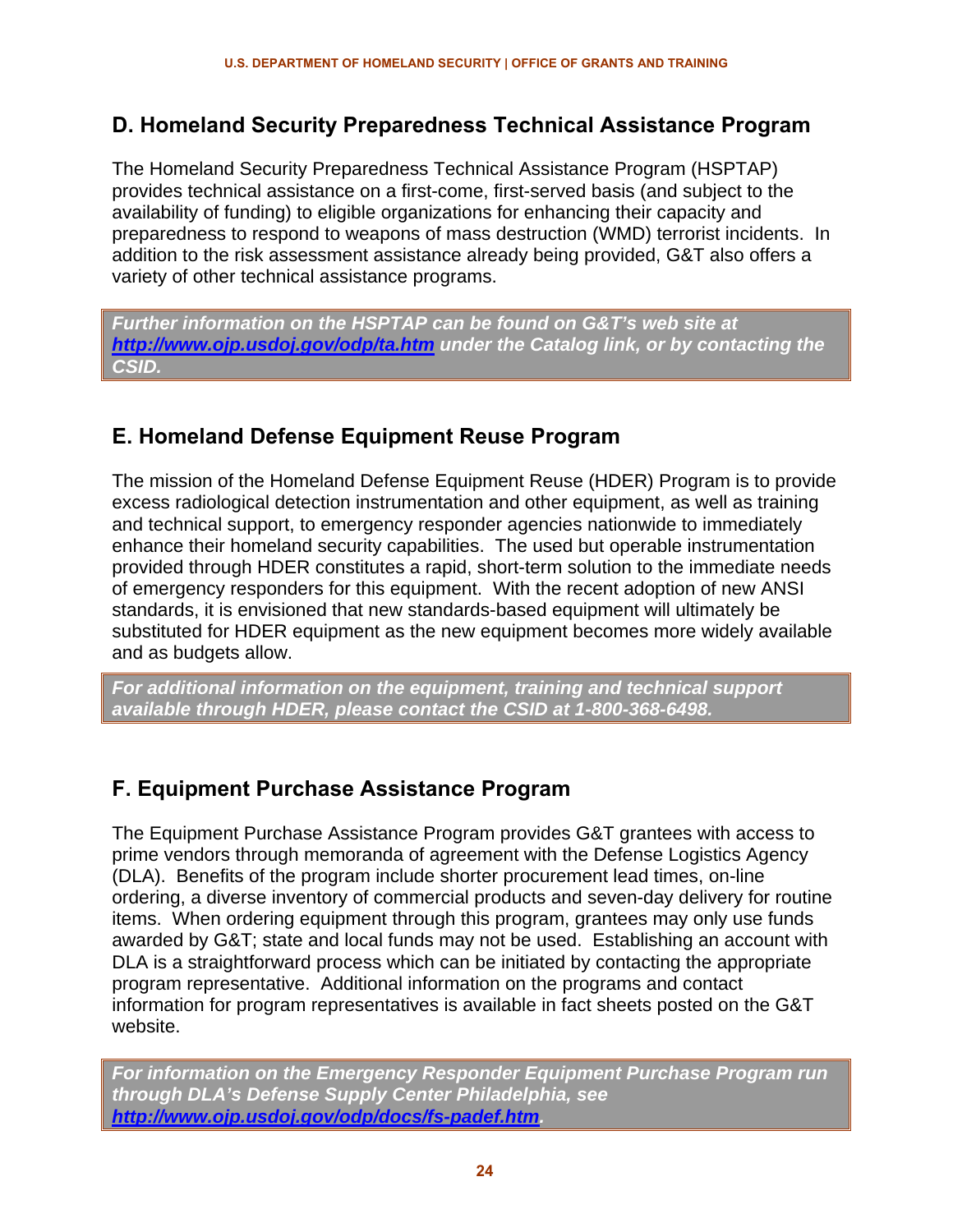# **D. Homeland Security Preparedness Technical Assistance Program**

The Homeland Security Preparedness Technical Assistance Program (HSPTAP) provides technical assistance on a first-come, first-served basis (and subject to the availability of funding) to eligible organizations for enhancing their capacity and preparedness to respond to weapons of mass destruction (WMD) terrorist incidents. In addition to the risk assessment assistance already being provided, G&T also offers a variety of other technical assistance programs.

*Further information on the HSPTAP can be found on G&T's web site at http://www.ojp.usdoj.gov/odp/ta.htm under the Catalog link, or by contacting the CSID.* 

# **E. Homeland Defense Equipment Reuse Program**

The mission of the Homeland Defense Equipment Reuse (HDER) Program is to provide excess radiological detection instrumentation and other equipment, as well as training and technical support, to emergency responder agencies nationwide to immediately enhance their homeland security capabilities. The used but operable instrumentation provided through HDER constitutes a rapid, short-term solution to the immediate needs of emergency responders for this equipment. With the recent adoption of new ANSI standards, it is envisioned that new standards-based equipment will ultimately be substituted for HDER equipment as the new equipment becomes more widely available and as budgets allow.

*For additional information on the equipment, training and technical support available through HDER, please contact the CSID at 1-800-368-6498.* 

# **F. Equipment Purchase Assistance Program**

The Equipment Purchase Assistance Program provides G&T grantees with access to prime vendors through memoranda of agreement with the Defense Logistics Agency (DLA). Benefits of the program include shorter procurement lead times, on-line ordering, a diverse inventory of commercial products and seven-day delivery for routine items. When ordering equipment through this program, grantees may only use funds awarded by G&T; state and local funds may not be used. Establishing an account with DLA is a straightforward process which can be initiated by contacting the appropriate program representative. Additional information on the programs and contact information for program representatives is available in fact sheets posted on the G&T website.

*For information on the Emergency Responder Equipment Purchase Program run through DLA's Defense Supply Center Philadelphia, see http://www.ojp.usdoj.gov/odp/docs/fs-padef.htm.*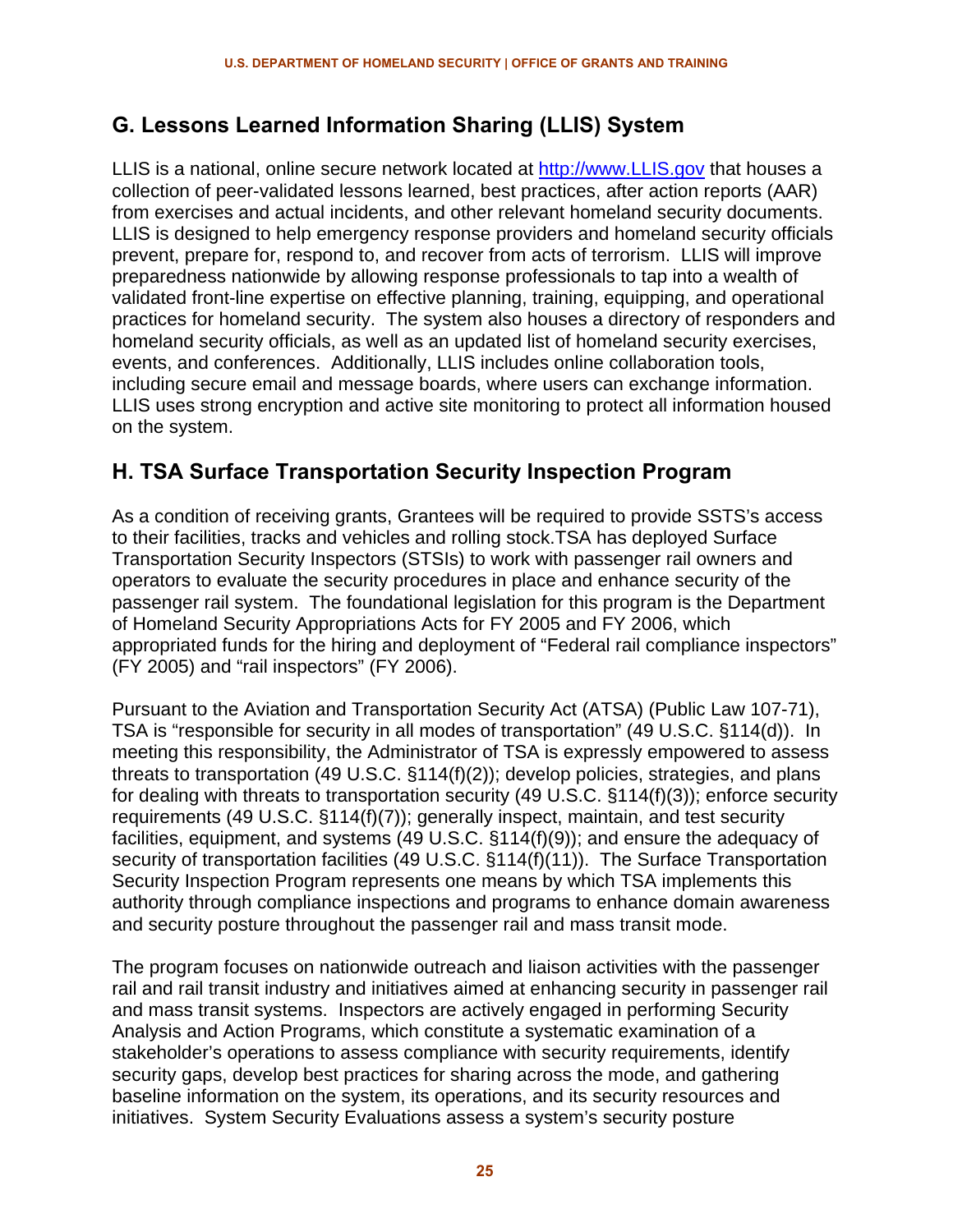## **G. Lessons Learned Information Sharing (LLIS) System**

LLIS is a national, online secure network located at http://www.LLIS.gov that houses a collection of peer-validated lessons learned, best practices, after action reports (AAR) from exercises and actual incidents, and other relevant homeland security documents. LLIS is designed to help emergency response providers and homeland security officials prevent, prepare for, respond to, and recover from acts of terrorism. LLIS will improve preparedness nationwide by allowing response professionals to tap into a wealth of validated front-line expertise on effective planning, training, equipping, and operational practices for homeland security. The system also houses a directory of responders and homeland security officials, as well as an updated list of homeland security exercises, events, and conferences. Additionally, LLIS includes online collaboration tools, including secure email and message boards, where users can exchange information. LLIS uses strong encryption and active site monitoring to protect all information housed on the system.

## **H. TSA Surface Transportation Security Inspection Program**

As a condition of receiving grants, Grantees will be required to provide SSTS's access to their facilities, tracks and vehicles and rolling stock.TSA has deployed Surface Transportation Security Inspectors (STSIs) to work with passenger rail owners and operators to evaluate the security procedures in place and enhance security of the passenger rail system. The foundational legislation for this program is the Department of Homeland Security Appropriations Acts for FY 2005 and FY 2006, which appropriated funds for the hiring and deployment of "Federal rail compliance inspectors" (FY 2005) and "rail inspectors" (FY 2006).

Pursuant to the Aviation and Transportation Security Act (ATSA) (Public Law 107-71), TSA is "responsible for security in all modes of transportation" (49 U.S.C. §114(d)). In meeting this responsibility, the Administrator of TSA is expressly empowered to assess threats to transportation (49 U.S.C. §114(f)(2)); develop policies, strategies, and plans for dealing with threats to transportation security (49 U.S.C. §114(f)(3)); enforce security requirements (49 U.S.C. §114(f)(7)); generally inspect, maintain, and test security facilities, equipment, and systems (49 U.S.C. §114(f)(9)); and ensure the adequacy of security of transportation facilities (49 U.S.C. §114(f)(11)). The Surface Transportation Security Inspection Program represents one means by which TSA implements this authority through compliance inspections and programs to enhance domain awareness and security posture throughout the passenger rail and mass transit mode.

The program focuses on nationwide outreach and liaison activities with the passenger rail and rail transit industry and initiatives aimed at enhancing security in passenger rail and mass transit systems. Inspectors are actively engaged in performing Security Analysis and Action Programs, which constitute a systematic examination of a stakeholder's operations to assess compliance with security requirements, identify security gaps, develop best practices for sharing across the mode, and gathering baseline information on the system, its operations, and its security resources and initiatives. System Security Evaluations assess a system's security posture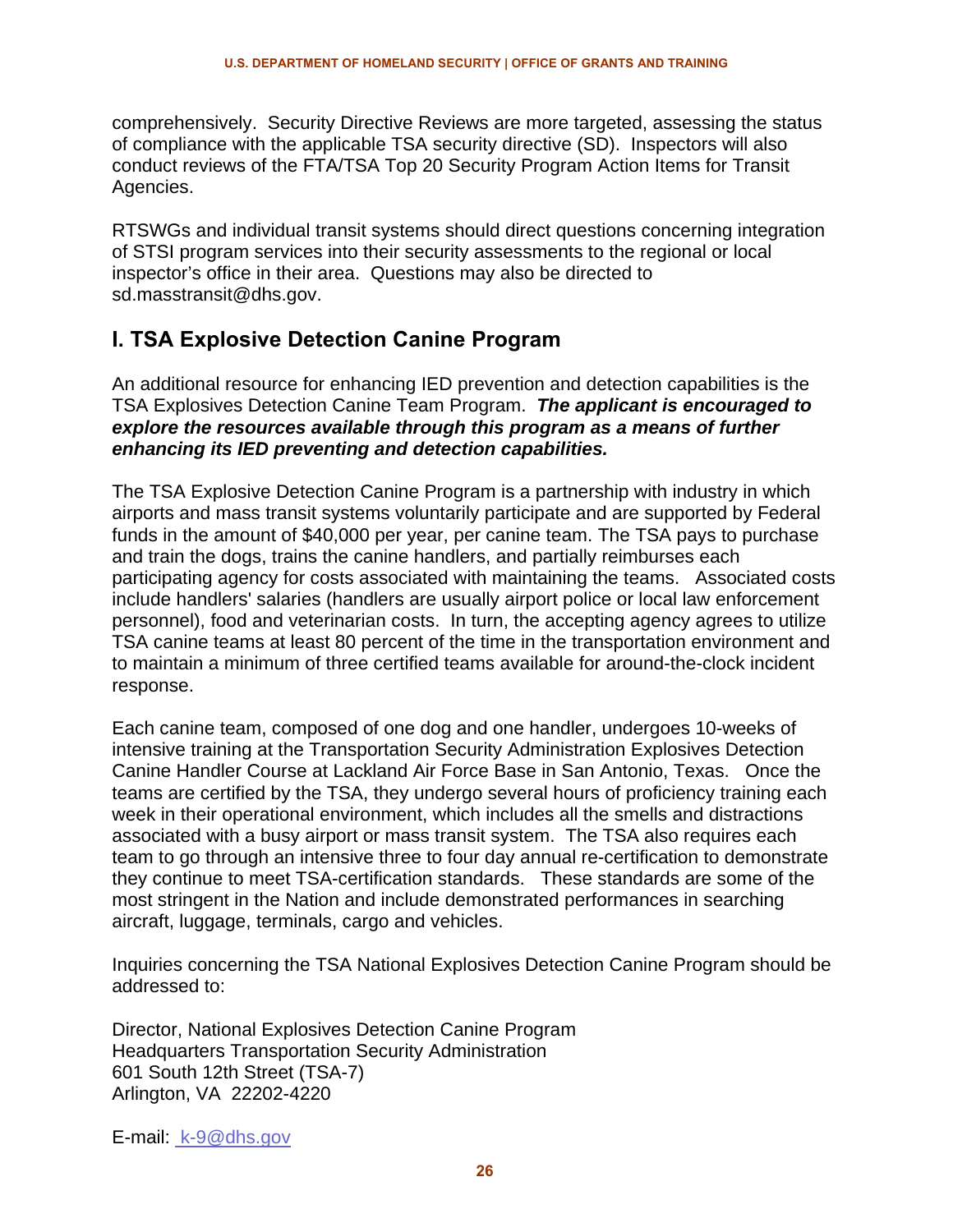comprehensively. Security Directive Reviews are more targeted, assessing the status of compliance with the applicable TSA security directive (SD). Inspectors will also conduct reviews of the FTA/TSA Top 20 Security Program Action Items for Transit Agencies.

RTSWGs and individual transit systems should direct questions concerning integration of STSI program services into their security assessments to the regional or local inspector's office in their area. Questions may also be directed to sd.masstransit@dhs.gov.

## **I. TSA Explosive Detection Canine Program**

An additional resource for enhancing IED prevention and detection capabilities is the TSA Explosives Detection Canine Team Program. *The applicant is encouraged to explore the resources available through this program as a means of further enhancing its IED preventing and detection capabilities.*

The TSA Explosive Detection Canine Program is a partnership with industry in which airports and mass transit systems voluntarily participate and are supported by Federal funds in the amount of \$40,000 per year, per canine team. The TSA pays to purchase and train the dogs, trains the canine handlers, and partially reimburses each participating agency for costs associated with maintaining the teams. Associated costs include handlers' salaries (handlers are usually airport police or local law enforcement personnel), food and veterinarian costs. In turn, the accepting agency agrees to utilize TSA canine teams at least 80 percent of the time in the transportation environment and to maintain a minimum of three certified teams available for around-the-clock incident response.

Each canine team, composed of one dog and one handler, undergoes 10-weeks of intensive training at the Transportation Security Administration Explosives Detection Canine Handler Course at Lackland Air Force Base in San Antonio, Texas. Once the teams are certified by the TSA, they undergo several hours of proficiency training each week in their operational environment, which includes all the smells and distractions associated with a busy airport or mass transit system. The TSA also requires each team to go through an intensive three to four day annual re-certification to demonstrate they continue to meet TSA-certification standards. These standards are some of the most stringent in the Nation and include demonstrated performances in searching aircraft, luggage, terminals, cargo and vehicles.

Inquiries concerning the TSA National Explosives Detection Canine Program should be addressed to:

Director, National Explosives Detection Canine Program Headquarters Transportation Security Administration 601 South 12th Street (TSA-7) Arlington, VA 22202-4220

E-mail: k-9@dhs.gov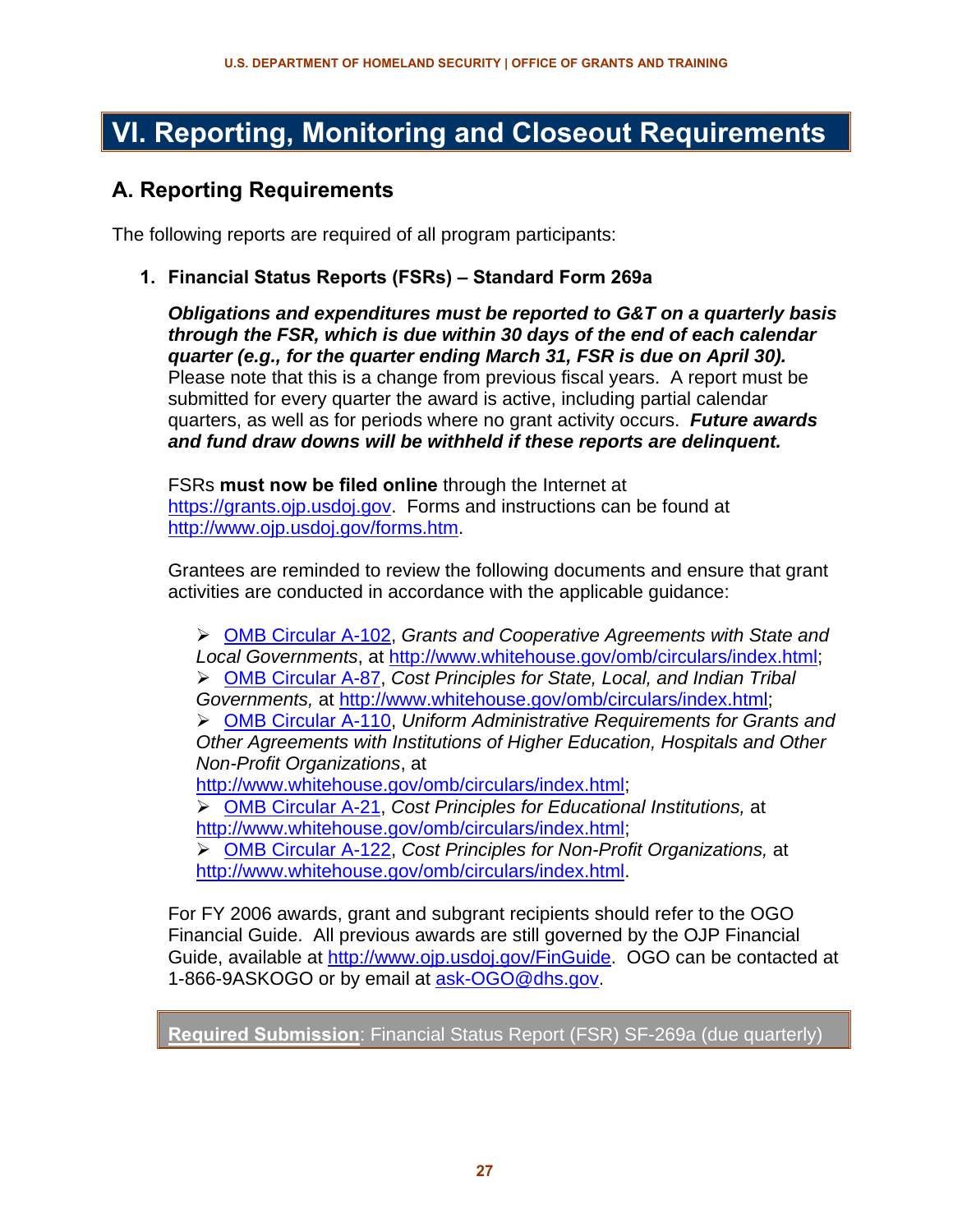# **VI. Reporting, Monitoring and Closeout Requirements**

# **A. Reporting Requirements**

The following reports are required of all program participants:

#### **1. Financial Status Reports (FSRs) – Standard Form 269a**

*Obligations and expenditures must be reported to G&T on a quarterly basis through the FSR, which is due within 30 days of the end of each calendar quarter (e.g., for the quarter ending March 31, FSR is due on April 30).* Please note that this is a change from previous fiscal years. A report must be submitted for every quarter the award is active, including partial calendar quarters, as well as for periods where no grant activity occurs. *Future awards and fund draw downs will be withheld if these reports are delinquent.* 

FSRs **must now be filed online** through the Internet at https://grants.ojp.usdoj.gov. Forms and instructions can be found at http://www.ojp.usdoj.gov/forms.htm.

Grantees are reminded to review the following documents and ensure that grant activities are conducted in accordance with the applicable guidance:

¾ OMB Circular A-102, *Grants and Cooperative Agreements with State and Local Governments*, at http://www.whitehouse.gov/omb/circulars/index.html; ¾ OMB Circular A-87, *Cost Principles for State, Local, and Indian Tribal Governments,* at http://www.whitehouse.gov/omb/circulars/index.html; ¾ OMB Circular A-110, *Uniform Administrative Requirements for Grants and Other Agreements with Institutions of Higher Education, Hospitals and Other Non-Profit Organizations*, at http://www.whitehouse.gov/omb/circulars/index.html; ¾ OMB Circular A-21, *Cost Principles for Educational Institutions,* at http://www.whitehouse.gov/omb/circulars/index.html; ¾ OMB Circular A-122, *Cost Principles for Non-Profit Organizations,* at

http://www.whitehouse.gov/omb/circulars/index.html.

For FY 2006 awards, grant and subgrant recipients should refer to the OGO Financial Guide. All previous awards are still governed by the OJP Financial Guide, available at http://www.ojp.usdoj.gov/FinGuide. OGO can be contacted at 1-866-9ASKOGO or by email at ask-OGO@dhs.gov.

**Required Submission**: Financial Status Report (FSR) SF-269a (due quarterly)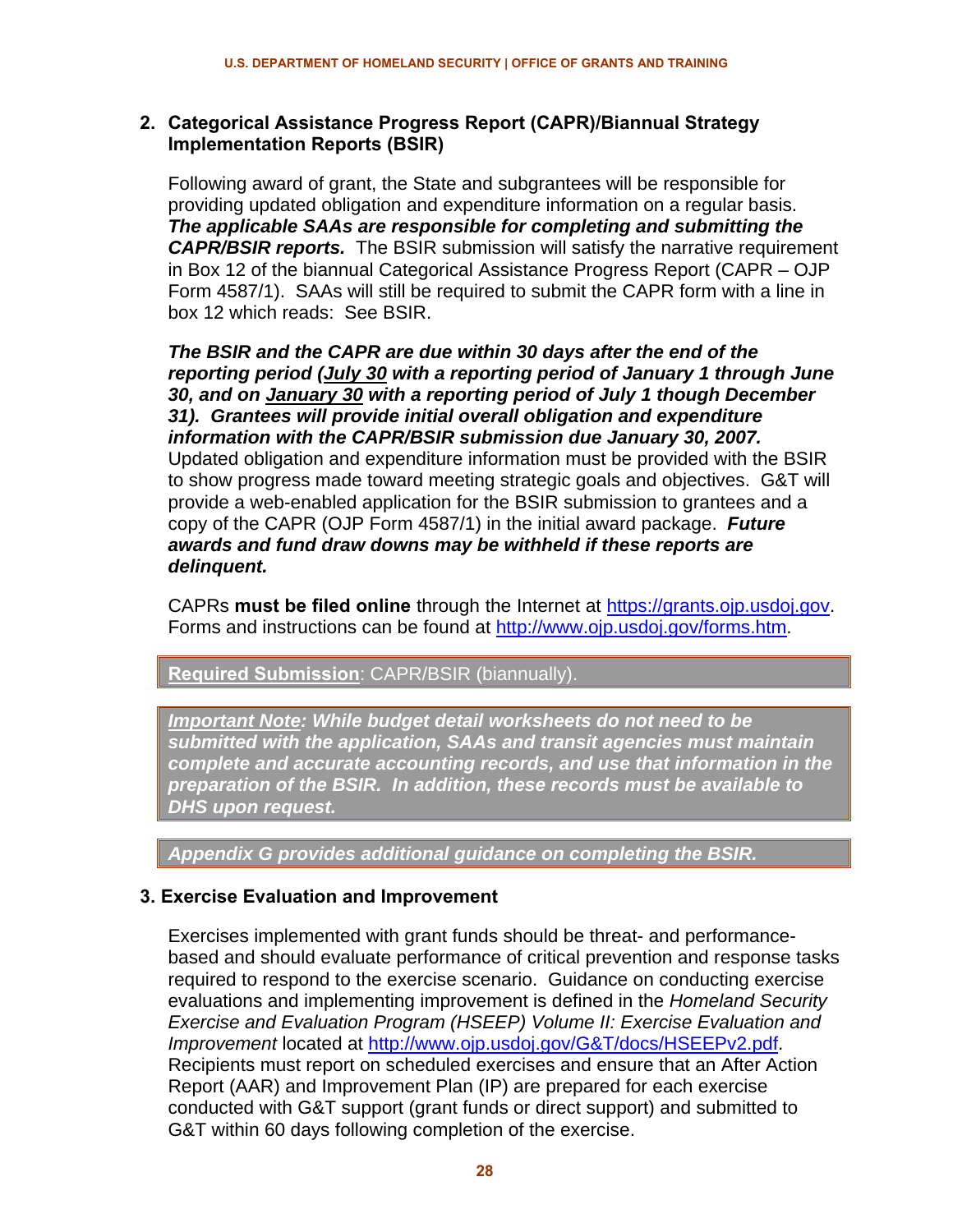#### **2. Categorical Assistance Progress Report (CAPR)/Biannual Strategy Implementation Reports (BSIR)**

Following award of grant, the State and subgrantees will be responsible for providing updated obligation and expenditure information on a regular basis. *The applicable SAAs are responsible for completing and submitting the CAPR/BSIR reports.* The BSIR submission will satisfy the narrative requirement in Box 12 of the biannual Categorical Assistance Progress Report (CAPR – OJP Form 4587/1). SAAs will still be required to submit the CAPR form with a line in box 12 which reads: See BSIR.

*The BSIR and the CAPR are due within 30 days after the end of the reporting period (July 30 with a reporting period of January 1 through June 30, and on January 30 with a reporting period of July 1 though December 31). Grantees will provide initial overall obligation and expenditure information with the CAPR/BSIR submission due January 30, 2007.* Updated obligation and expenditure information must be provided with the BSIR to show progress made toward meeting strategic goals and objectives. G&T will provide a web-enabled application for the BSIR submission to grantees and a copy of the CAPR (OJP Form 4587/1) in the initial award package. *Future awards and fund draw downs may be withheld if these reports are delinquent.*

CAPRs **must be filed online** through the Internet at https://grants.ojp.usdoj.gov. Forms and instructions can be found at http://www.ojp.usdoj.gov/forms.htm.

**Required Submission**: CAPR/BSIR (biannually).

*Important Note: While budget detail worksheets do not need to be submitted with the application, SAAs and transit agencies must maintain complete and accurate accounting records, and use that information in the preparation of the BSIR. In addition, these records must be available to DHS upon request.* 

*Appendix G provides additional guidance on completing the BSIR.* 

#### **3. Exercise Evaluation and Improvement**

Exercises implemented with grant funds should be threat- and performancebased and should evaluate performance of critical prevention and response tasks required to respond to the exercise scenario. Guidance on conducting exercise evaluations and implementing improvement is defined in the *Homeland Security Exercise and Evaluation Program (HSEEP) Volume II: Exercise Evaluation and Improvement* located at http://www.ojp.usdoj.gov/G&T/docs/HSEEPv2.pdf. Recipients must report on scheduled exercises and ensure that an After Action Report (AAR) and Improvement Plan (IP) are prepared for each exercise conducted with G&T support (grant funds or direct support) and submitted to G&T within 60 days following completion of the exercise.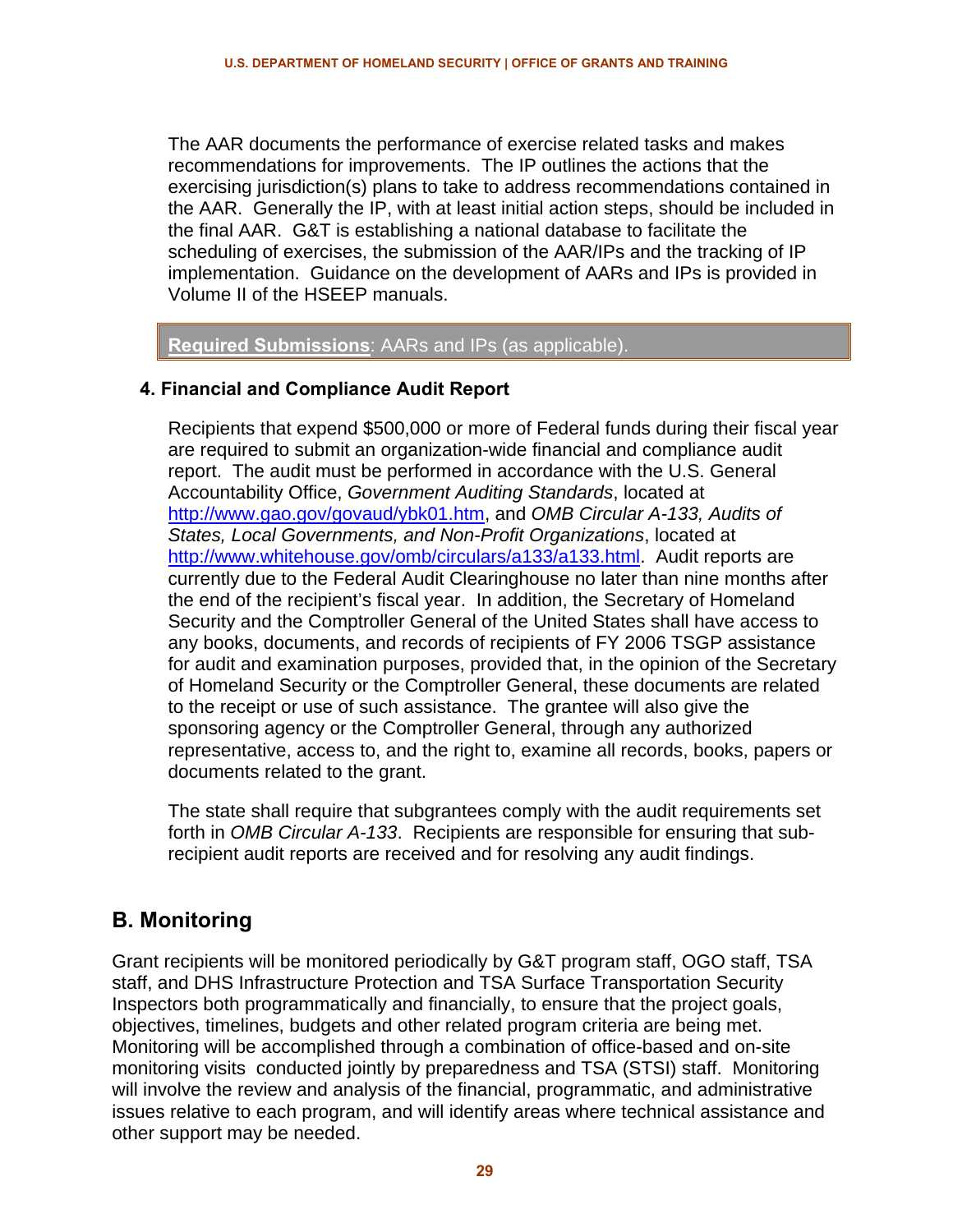The AAR documents the performance of exercise related tasks and makes recommendations for improvements. The IP outlines the actions that the exercising jurisdiction(s) plans to take to address recommendations contained in the AAR. Generally the IP, with at least initial action steps, should be included in the final AAR. G&T is establishing a national database to facilitate the scheduling of exercises, the submission of the AAR/IPs and the tracking of IP implementation. Guidance on the development of AARs and IPs is provided in Volume II of the HSEEP manuals.

#### **Required Submissions**: AARs and IPs (as applicable).

#### **4. Financial and Compliance Audit Report**

Recipients that expend \$500,000 or more of Federal funds during their fiscal year are required to submit an organization-wide financial and compliance audit report. The audit must be performed in accordance with the U.S. General Accountability Office, *Government Auditing Standards*, located at http://www.gao.gov/govaud/ybk01.htm, and *OMB Circular A-133, Audits of States, Local Governments, and Non-Profit Organizations*, located at http://www.whitehouse.gov/omb/circulars/a133/a133.html. Audit reports are currently due to the Federal Audit Clearinghouse no later than nine months after the end of the recipient's fiscal year. In addition, the Secretary of Homeland Security and the Comptroller General of the United States shall have access to any books, documents, and records of recipients of FY 2006 TSGP assistance for audit and examination purposes, provided that, in the opinion of the Secretary of Homeland Security or the Comptroller General, these documents are related to the receipt or use of such assistance. The grantee will also give the sponsoring agency or the Comptroller General, through any authorized representative, access to, and the right to, examine all records, books, papers or documents related to the grant.

The state shall require that subgrantees comply with the audit requirements set forth in *OMB Circular A-133*. Recipients are responsible for ensuring that subrecipient audit reports are received and for resolving any audit findings.

## **B. Monitoring**

Grant recipients will be monitored periodically by G&T program staff, OGO staff, TSA staff, and DHS Infrastructure Protection and TSA Surface Transportation Security Inspectors both programmatically and financially, to ensure that the project goals, objectives, timelines, budgets and other related program criteria are being met. Monitoring will be accomplished through a combination of office-based and on-site monitoring visits conducted jointly by preparedness and TSA (STSI) staff. Monitoring will involve the review and analysis of the financial, programmatic, and administrative issues relative to each program, and will identify areas where technical assistance and other support may be needed.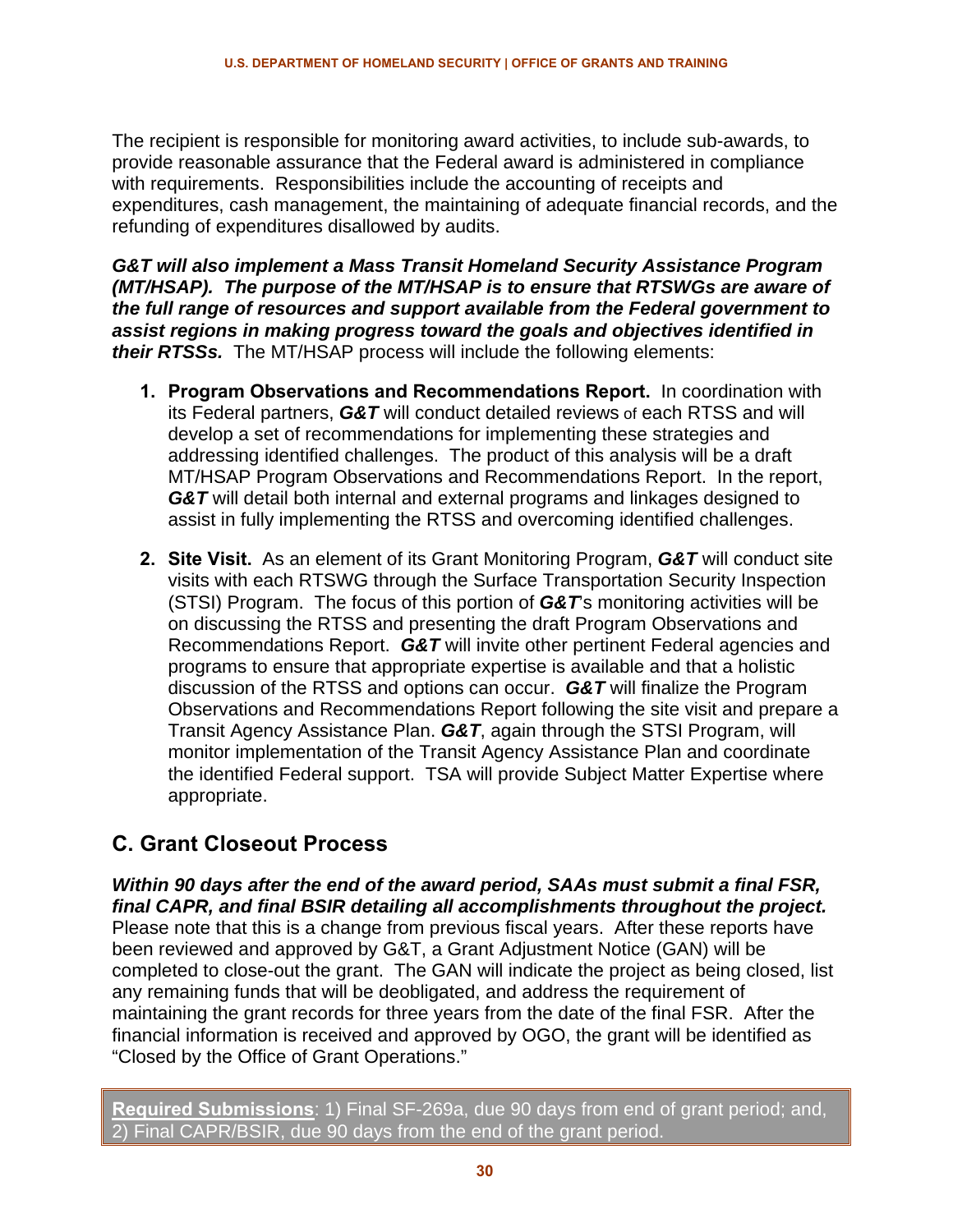The recipient is responsible for monitoring award activities, to include sub-awards, to provide reasonable assurance that the Federal award is administered in compliance with requirements. Responsibilities include the accounting of receipts and expenditures, cash management, the maintaining of adequate financial records, and the refunding of expenditures disallowed by audits.

*G&T will also implement a Mass Transit Homeland Security Assistance Program (MT/HSAP). The purpose of the MT/HSAP is to ensure that RTSWGs are aware of the full range of resources and support available from the Federal government to assist regions in making progress toward the goals and objectives identified in their RTSSs.* The MT/HSAP process will include the following elements:

- **1. Program Observations and Recommendations Report.** In coordination with its Federal partners, *G&T* will conduct detailed reviews of each RTSS and will develop a set of recommendations for implementing these strategies and addressing identified challenges. The product of this analysis will be a draft MT/HSAP Program Observations and Recommendations Report. In the report, *G&T* will detail both internal and external programs and linkages designed to assist in fully implementing the RTSS and overcoming identified challenges.
- **2. Site Visit.** As an element of its Grant Monitoring Program, *G&T* will conduct site visits with each RTSWG through the Surface Transportation Security Inspection (STSI) Program. The focus of this portion of *G&T*'s monitoring activities will be on discussing the RTSS and presenting the draft Program Observations and Recommendations Report. *G&T* will invite other pertinent Federal agencies and programs to ensure that appropriate expertise is available and that a holistic discussion of the RTSS and options can occur. *G&T* will finalize the Program Observations and Recommendations Report following the site visit and prepare a Transit Agency Assistance Plan. *G&T*, again through the STSI Program, will monitor implementation of the Transit Agency Assistance Plan and coordinate the identified Federal support. TSA will provide Subject Matter Expertise where appropriate.

# **C. Grant Closeout Process**

#### *Within 90 days after the end of the award period, SAAs must submit a final FSR, final CAPR, and final BSIR detailing all accomplishments throughout the project.*

Please note that this is a change from previous fiscal years. After these reports have been reviewed and approved by G&T, a Grant Adjustment Notice (GAN) will be completed to close-out the grant. The GAN will indicate the project as being closed, list any remaining funds that will be deobligated, and address the requirement of maintaining the grant records for three years from the date of the final FSR. After the financial information is received and approved by OGO, the grant will be identified as "Closed by the Office of Grant Operations."

**Required Submissions**: 1) Final SF-269a, due 90 days from end of grant period; and, 2) Final CAPR/BSIR, due 90 days from the end of the grant period.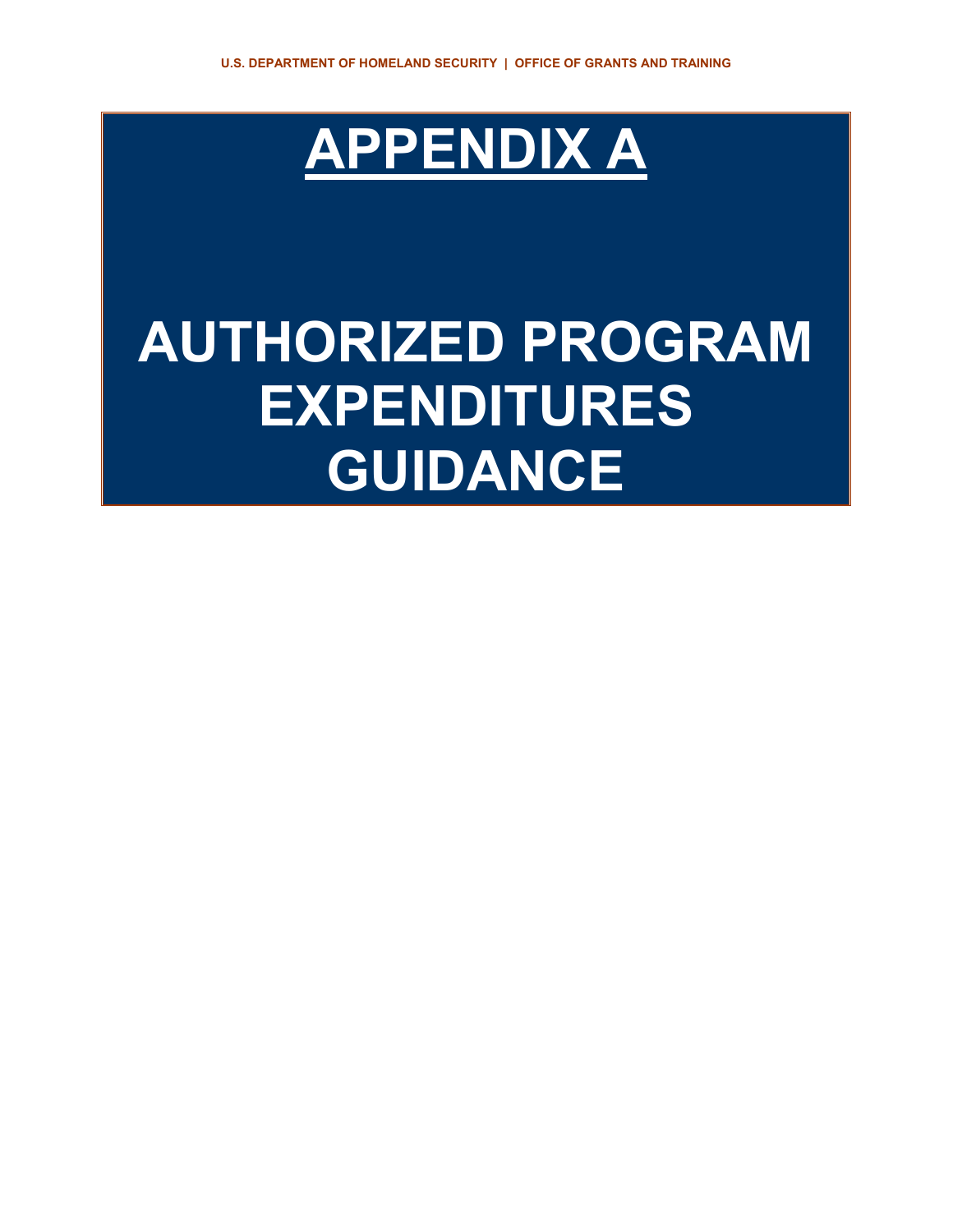

# **AUTHORIZED PROGRAM EXPENDITURES GUIDANCE**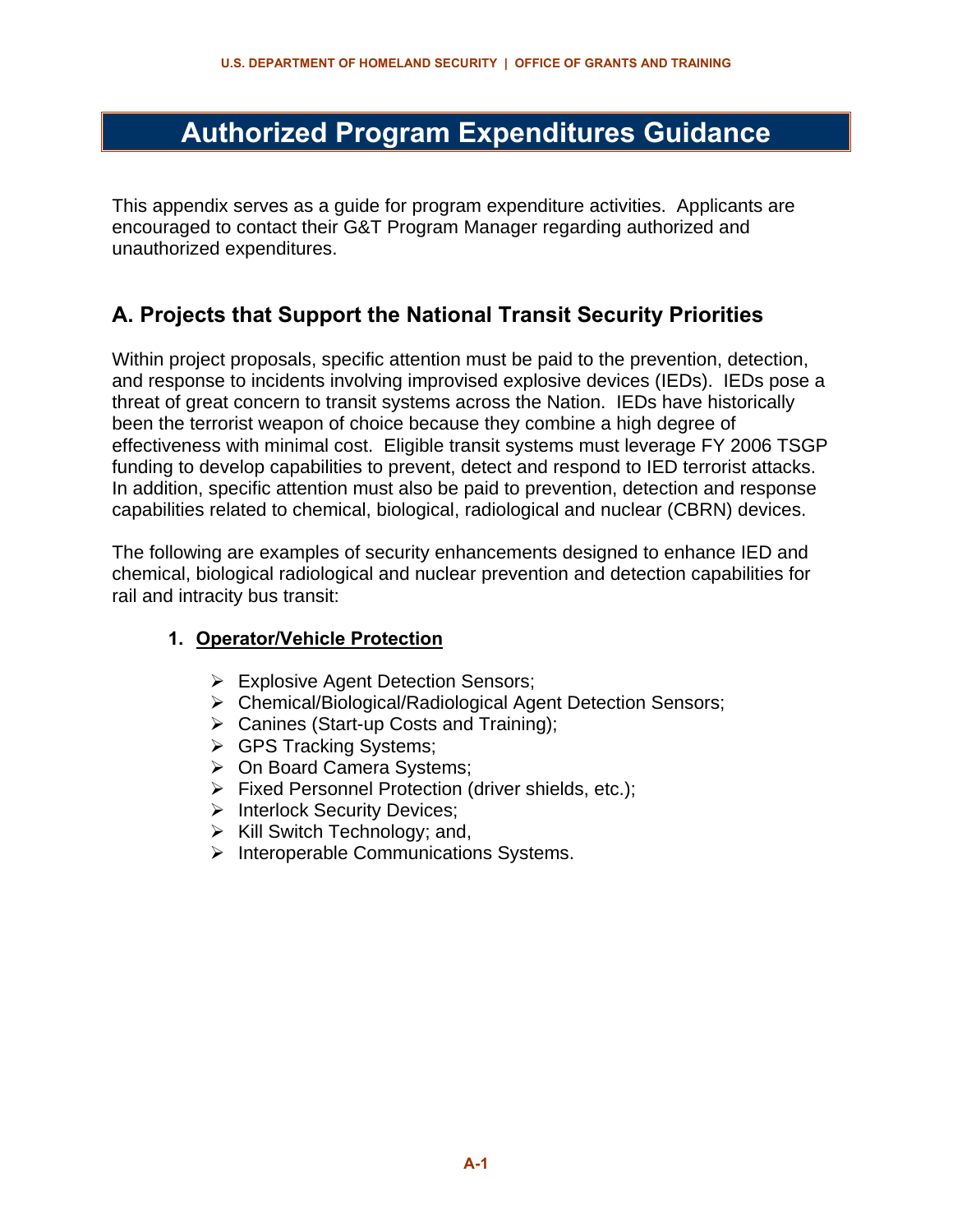# **Authorized Program Expenditures Guidance**

This appendix serves as a guide for program expenditure activities. Applicants are encouraged to contact their G&T Program Manager regarding authorized and unauthorized expenditures.

# **A. Projects that Support the National Transit Security Priorities**

Within project proposals, specific attention must be paid to the prevention, detection, and response to incidents involving improvised explosive devices (IEDs). IEDs pose a threat of great concern to transit systems across the Nation. IEDs have historically been the terrorist weapon of choice because they combine a high degree of effectiveness with minimal cost. Eligible transit systems must leverage FY 2006 TSGP funding to develop capabilities to prevent, detect and respond to IED terrorist attacks. In addition, specific attention must also be paid to prevention, detection and response capabilities related to chemical, biological, radiological and nuclear (CBRN) devices.

The following are examples of security enhancements designed to enhance IED and chemical, biological radiological and nuclear prevention and detection capabilities for rail and intracity bus transit:

#### **1. Operator/Vehicle Protection**

- ¾ Explosive Agent Detection Sensors;
- ¾ Chemical/Biological/Radiological Agent Detection Sensors;
- $\triangleright$  Canines (Start-up Costs and Training);
- **► GPS Tracking Systems:**
- ¾ On Board Camera Systems;
- ¾ Fixed Personnel Protection (driver shields, etc.);
- ¾ Interlock Security Devices;
- $\triangleright$  Kill Switch Technology; and,
- ¾ Interoperable Communications Systems.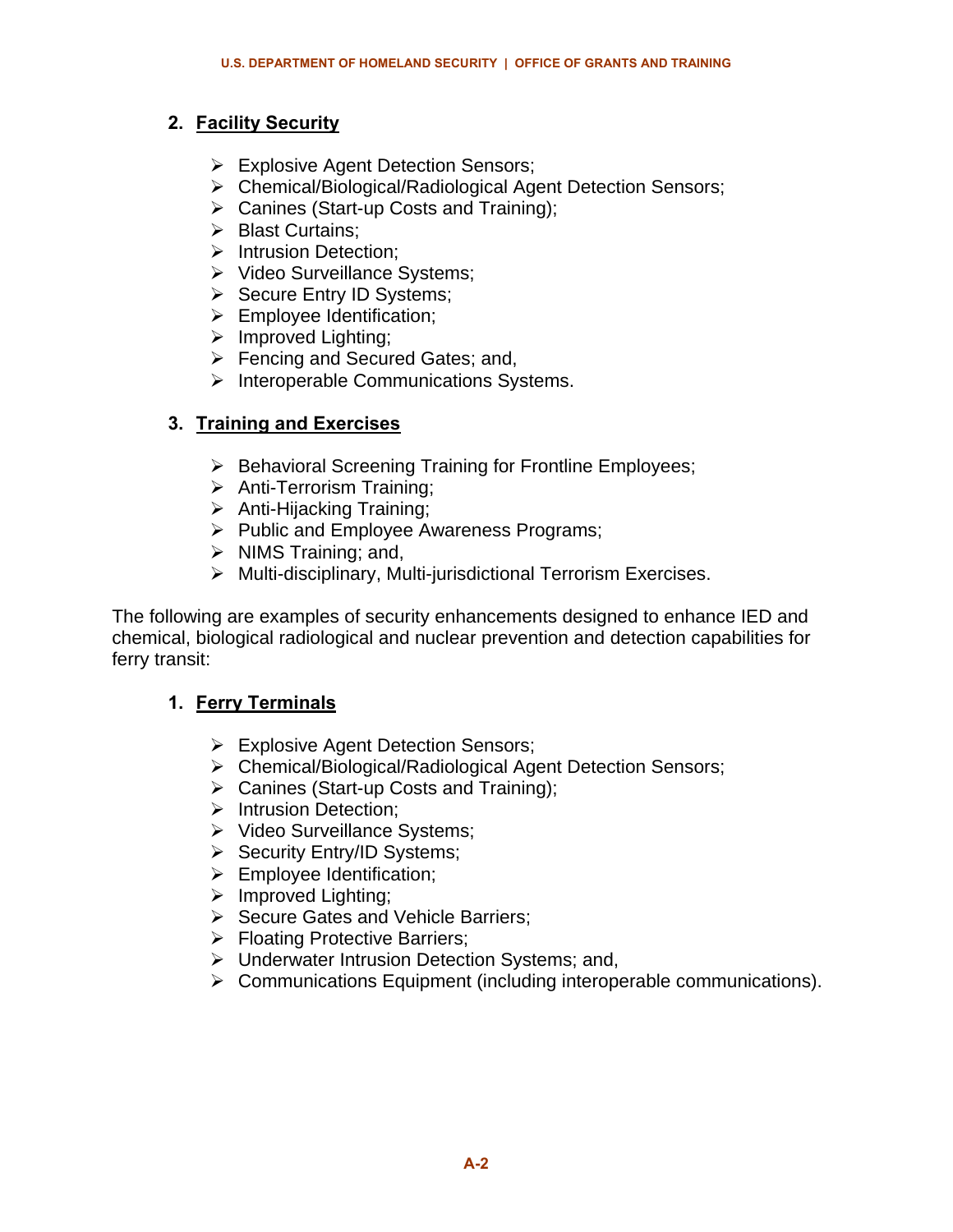#### **2. Facility Security**

- ¾ Explosive Agent Detection Sensors;
- ¾ Chemical/Biological/Radiological Agent Detection Sensors;
- $\triangleright$  Canines (Start-up Costs and Training);
- **E** Blast Curtains:
- ¾ Intrusion Detection;
- ¾ Video Surveillance Systems;
- ¾ Secure Entry ID Systems;
- $\triangleright$  Employee Identification;
- $\triangleright$  Improved Lighting;
- $\triangleright$  Fencing and Secured Gates; and,
- $\triangleright$  Interoperable Communications Systems.

#### **3. Training and Exercises**

- ¾ Behavioral Screening Training for Frontline Employees;
- $\triangleright$  Anti-Terrorism Training;
- $\triangleright$  Anti-Hijacking Training;
- ¾ Public and Employee Awareness Programs;
- $\triangleright$  NIMS Training; and,
- $\triangleright$  Multi-disciplinary, Multi-jurisdictional Terrorism Exercises.

The following are examples of security enhancements designed to enhance IED and chemical, biological radiological and nuclear prevention and detection capabilities for ferry transit:

#### **1. Ferry Terminals**

- ¾ Explosive Agent Detection Sensors;
- ¾ Chemical/Biological/Radiological Agent Detection Sensors;
- $\triangleright$  Canines (Start-up Costs and Training);
- ¾ Intrusion Detection;
- ¾ Video Surveillance Systems;
- ¾ Security Entry/ID Systems;
- $\triangleright$  Employee Identification;
- $\triangleright$  Improved Lighting;
- ¾ Secure Gates and Vehicle Barriers;
- ¾ Floating Protective Barriers;
- ¾ Underwater Intrusion Detection Systems; and,
- $\triangleright$  Communications Equipment (including interoperable communications).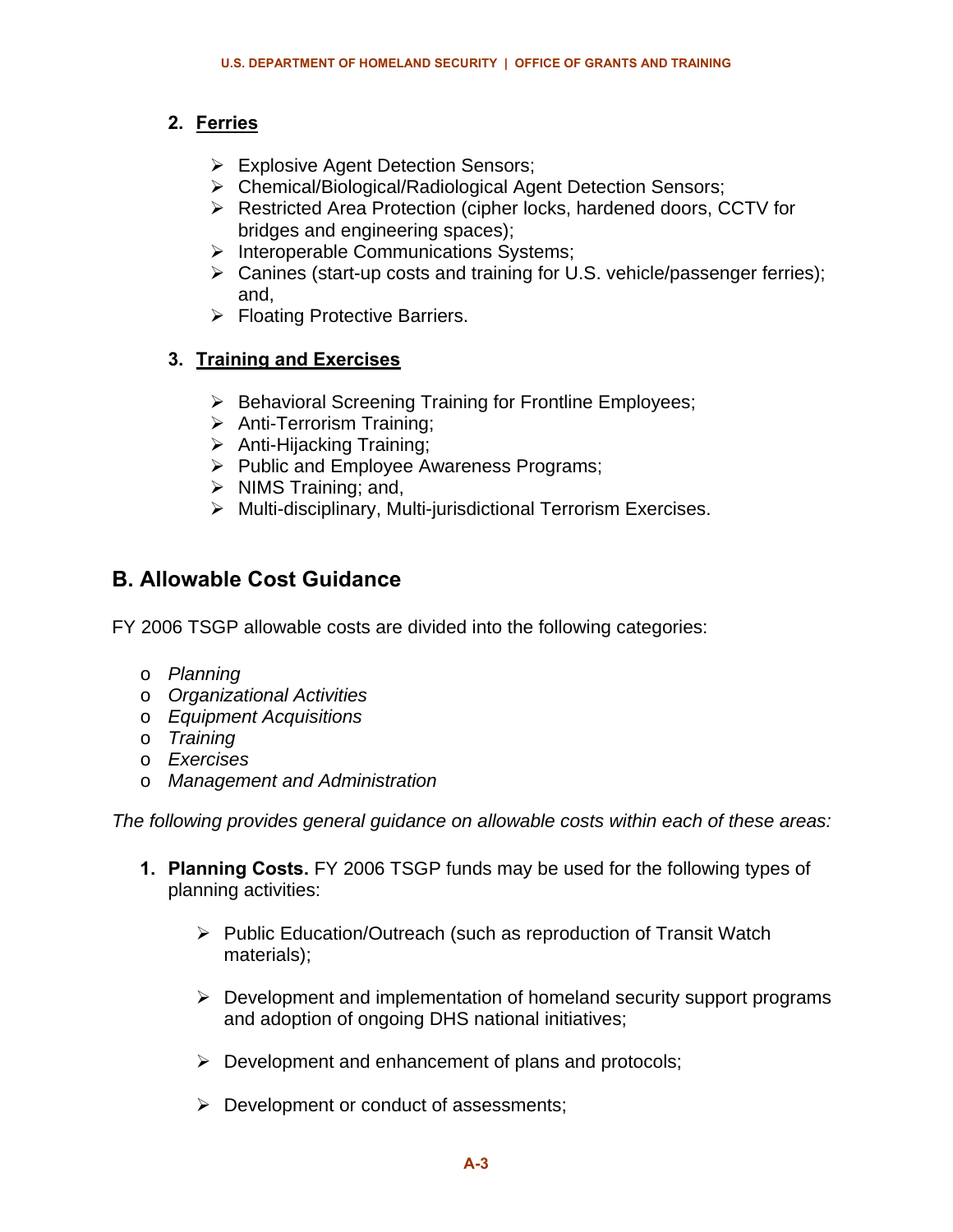### **2. Ferries**

- ¾ Explosive Agent Detection Sensors;
- ¾ Chemical/Biological/Radiological Agent Detection Sensors;
- ¾ Restricted Area Protection (cipher locks, hardened doors, CCTV for bridges and engineering spaces);
- ¾ Interoperable Communications Systems;
- ¾ Canines (start-up costs and training for U.S. vehicle/passenger ferries); and,
- ¾ Floating Protective Barriers.

## **3. Training and Exercises**

- ¾ Behavioral Screening Training for Frontline Employees;
- ¾ Anti-Terrorism Training;
- $\triangleright$  Anti-Hijacking Training;
- ¾ Public and Employee Awareness Programs;
- $\triangleright$  NIMS Training; and,
- ¾ Multi-disciplinary, Multi-jurisdictional Terrorism Exercises.

# **B. Allowable Cost Guidance**

FY 2006 TSGP allowable costs are divided into the following categories:

- o *Planning*
- o *Organizational Activities*
- o *Equipment Acquisitions*
- o *Training*
- o *Exercises*
- o *Management and Administration*

*The following provides general guidance on allowable costs within each of these areas:* 

- **1. Planning Costs.** FY 2006 TSGP funds may be used for the following types of planning activities:
	- ¾ Public Education/Outreach (such as reproduction of Transit Watch materials);
	- $\triangleright$  Development and implementation of homeland security support programs and adoption of ongoing DHS national initiatives;
	- $\triangleright$  Development and enhancement of plans and protocols;
	- $\triangleright$  Development or conduct of assessments;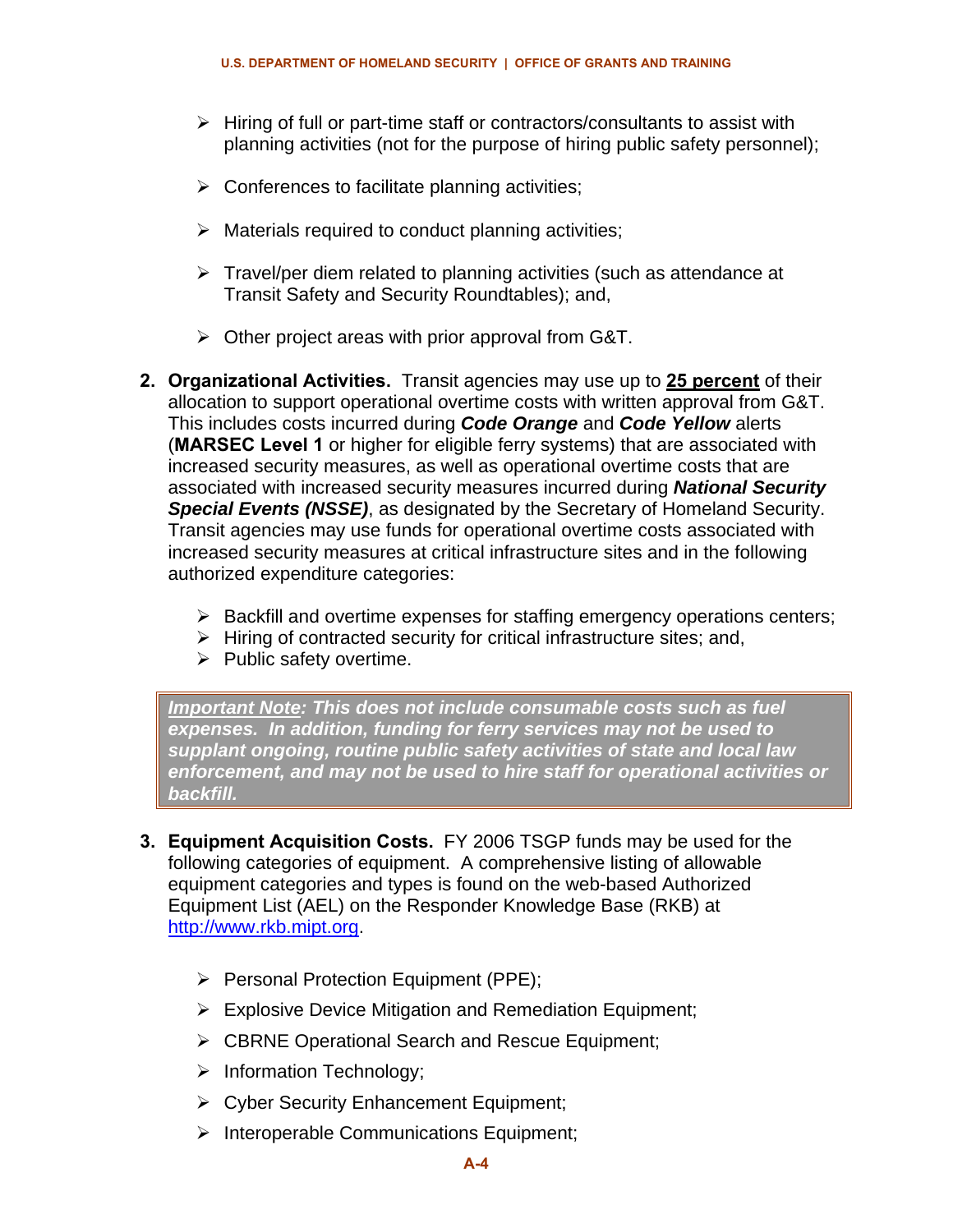- $\triangleright$  Hiring of full or part-time staff or contractors/consultants to assist with planning activities (not for the purpose of hiring public safety personnel);
- $\triangleright$  Conferences to facilitate planning activities;
- $\triangleright$  Materials required to conduct planning activities;
- $\triangleright$  Travel/per diem related to planning activities (such as attendance at Transit Safety and Security Roundtables); and,
- $\triangleright$  Other project areas with prior approval from G&T.
- **2. Organizational Activities.** Transit agencies may use up to **25 percent** of their allocation to support operational overtime costs with written approval from G&T. This includes costs incurred during *Code Orange* and *Code Yellow* alerts (**MARSEC Level 1** or higher for eligible ferry systems) that are associated with increased security measures, as well as operational overtime costs that are associated with increased security measures incurred during *National Security Special Events (NSSE)*, as designated by the Secretary of Homeland Security. Transit agencies may use funds for operational overtime costs associated with increased security measures at critical infrastructure sites and in the following authorized expenditure categories:
	- $\triangleright$  Backfill and overtime expenses for staffing emergency operations centers;
	- $\triangleright$  Hiring of contracted security for critical infrastructure sites; and,
	- $\triangleright$  Public safety overtime.

*Important Note: This does not include consumable costs such as fuel expenses. In addition, funding for ferry services may not be used to supplant ongoing, routine public safety activities of state and local law enforcement, and may not be used to hire staff for operational activities or backfill.* 

- **3. Equipment Acquisition Costs.** FY 2006 TSGP funds may be used for the following categories of equipment. A comprehensive listing of allowable equipment categories and types is found on the web-based Authorized Equipment List (AEL) on the Responder Knowledge Base (RKB) at http://www.rkb.mipt.org.
	- ¾ Personal Protection Equipment (PPE);
	- $\triangleright$  Explosive Device Mitigation and Remediation Equipment;
	- ¾ CBRNE Operational Search and Rescue Equipment;
	- ¾ Information Technology;
	- ¾ Cyber Security Enhancement Equipment;
	- ¾ Interoperable Communications Equipment;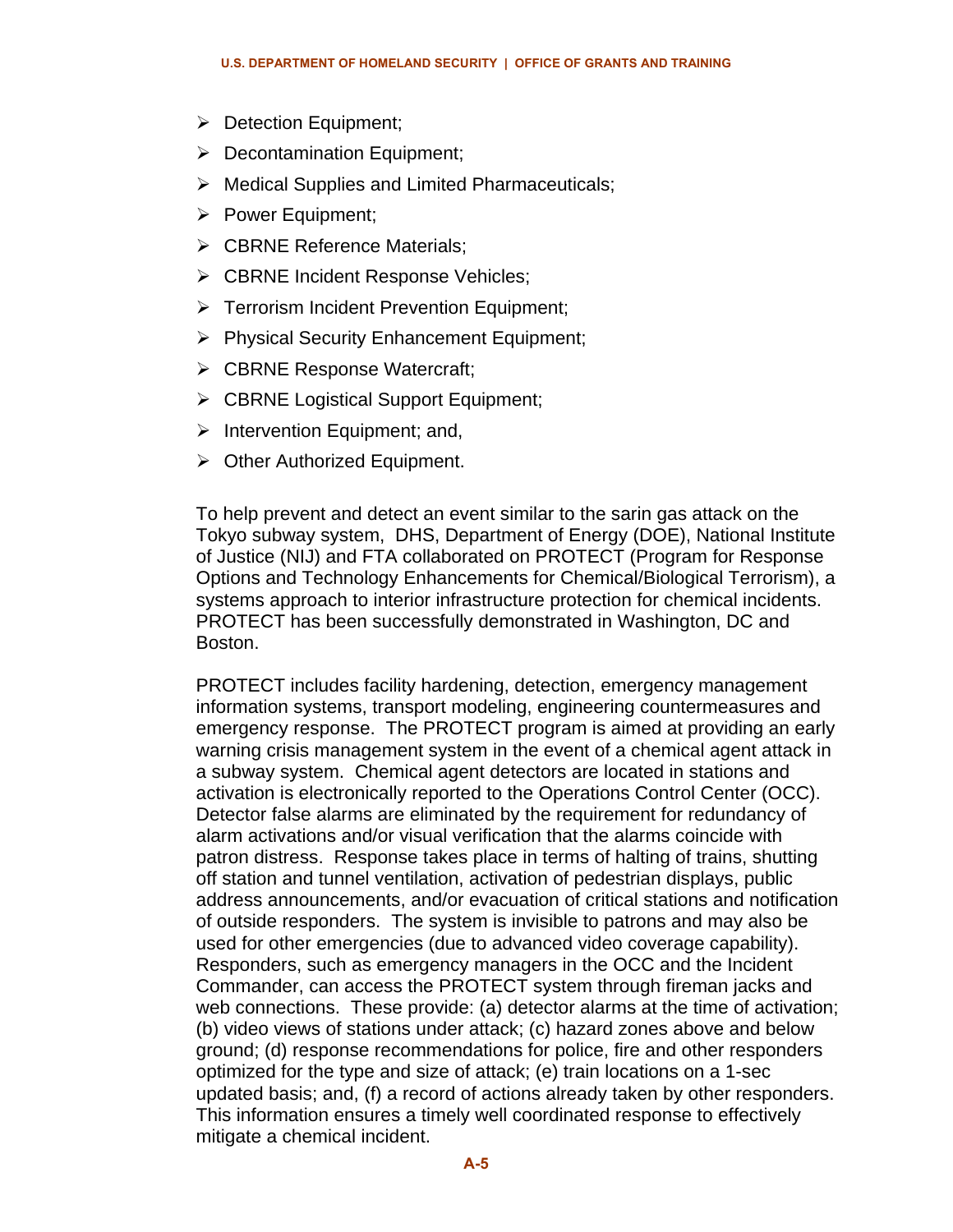- ¾ Detection Equipment;
- $\triangleright$  Decontamination Equipment;
- $\triangleright$  Medical Supplies and Limited Pharmaceuticals;
- ¾ Power Equipment;
- ¾ CBRNE Reference Materials;
- ¾ CBRNE Incident Response Vehicles;
- ¾ Terrorism Incident Prevention Equipment;
- $\triangleright$  Physical Security Enhancement Equipment;
- ¾ CBRNE Response Watercraft;
- ¾ CBRNE Logistical Support Equipment;
- $\triangleright$  Intervention Equipment; and,
- $\triangleright$  Other Authorized Equipment.

To help prevent and detect an event similar to the sarin gas attack on the Tokyo subway system, DHS, Department of Energy (DOE), National Institute of Justice (NIJ) and FTA collaborated on PROTECT (Program for Response Options and Technology Enhancements for Chemical/Biological Terrorism), a systems approach to interior infrastructure protection for chemical incidents. PROTECT has been successfully demonstrated in Washington, DC and Boston.

PROTECT includes facility hardening, detection, emergency management information systems, transport modeling, engineering countermeasures and emergency response. The PROTECT program is aimed at providing an early warning crisis management system in the event of a chemical agent attack in a subway system. Chemical agent detectors are located in stations and activation is electronically reported to the Operations Control Center (OCC). Detector false alarms are eliminated by the requirement for redundancy of alarm activations and/or visual verification that the alarms coincide with patron distress. Response takes place in terms of halting of trains, shutting off station and tunnel ventilation, activation of pedestrian displays, public address announcements, and/or evacuation of critical stations and notification of outside responders. The system is invisible to patrons and may also be used for other emergencies (due to advanced video coverage capability). Responders, such as emergency managers in the OCC and the Incident Commander, can access the PROTECT system through fireman jacks and web connections. These provide: (a) detector alarms at the time of activation; (b) video views of stations under attack; (c) hazard zones above and below ground; (d) response recommendations for police, fire and other responders optimized for the type and size of attack; (e) train locations on a 1-sec updated basis; and, (f) a record of actions already taken by other responders. This information ensures a timely well coordinated response to effectively mitigate a chemical incident.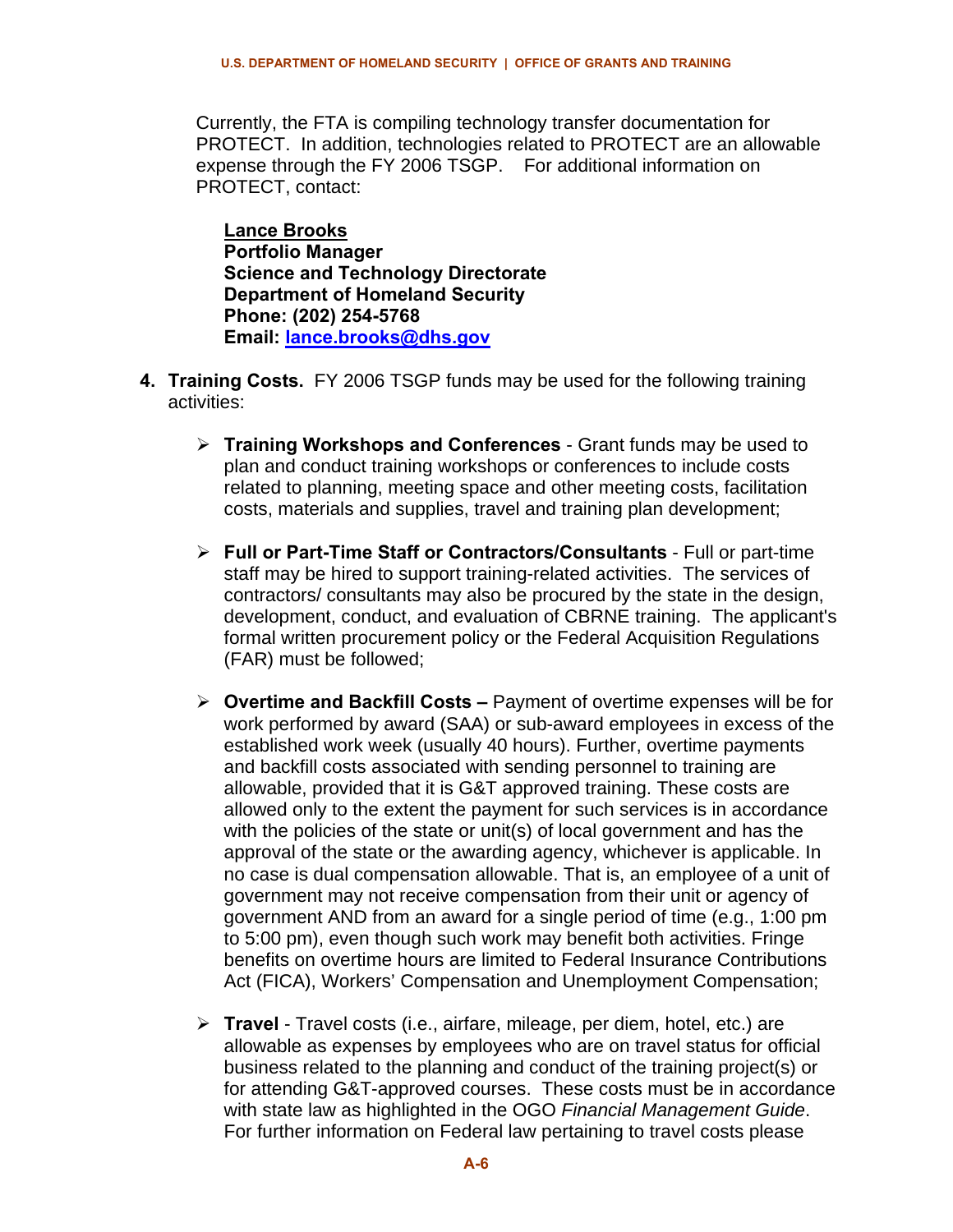Currently, the FTA is compiling technology transfer documentation for PROTECT. In addition, technologies related to PROTECT are an allowable expense through the FY 2006 TSGP. For additional information on PROTECT, contact:

**Lance Brooks Portfolio Manager Science and Technology Directorate Department of Homeland Security Phone: (202) 254-5768 Email: lance.brooks@dhs.gov**

- **4. Training Costs.** FY 2006 TSGP funds may be used for the following training activities:
	- ¾ **Training Workshops and Conferences** Grant funds may be used to plan and conduct training workshops or conferences to include costs related to planning, meeting space and other meeting costs, facilitation costs, materials and supplies, travel and training plan development;
	- ¾ **Full or Part-Time Staff or Contractors/Consultants** Full or part-time staff may be hired to support training-related activities. The services of contractors/ consultants may also be procured by the state in the design, development, conduct, and evaluation of CBRNE training. The applicant's formal written procurement policy or the Federal Acquisition Regulations (FAR) must be followed;
	- ¾ **Overtime and Backfill Costs** Payment of overtime expenses will be for work performed by award (SAA) or sub-award employees in excess of the established work week (usually 40 hours). Further, overtime payments and backfill costs associated with sending personnel to training are allowable, provided that it is G&T approved training. These costs are allowed only to the extent the payment for such services is in accordance with the policies of the state or unit(s) of local government and has the approval of the state or the awarding agency, whichever is applicable. In no case is dual compensation allowable. That is, an employee of a unit of government may not receive compensation from their unit or agency of government AND from an award for a single period of time (e.g., 1:00 pm to 5:00 pm), even though such work may benefit both activities. Fringe benefits on overtime hours are limited to Federal Insurance Contributions Act (FICA), Workers' Compensation and Unemployment Compensation;
	- ¾ **Travel** Travel costs (i.e., airfare, mileage, per diem, hotel, etc.) are allowable as expenses by employees who are on travel status for official business related to the planning and conduct of the training project(s) or for attending G&T-approved courses. These costs must be in accordance with state law as highlighted in the OGO *Financial Management Guide*. For further information on Federal law pertaining to travel costs please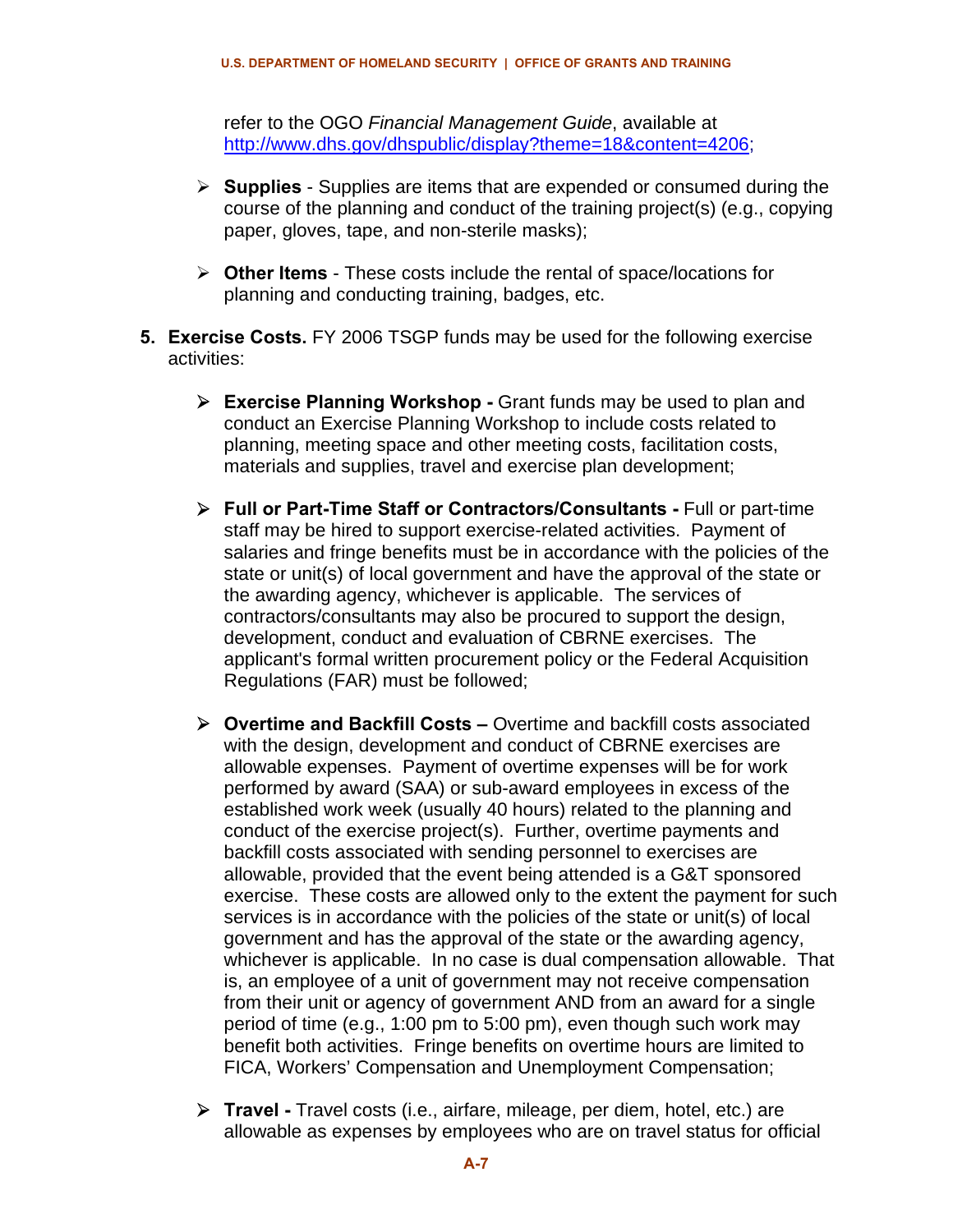refer to the OGO *Financial Management Guide*, available at http://www.dhs.gov/dhspublic/display?theme=18&content=4206;

- ¾ **Supplies** Supplies are items that are expended or consumed during the course of the planning and conduct of the training project(s) (e.g., copying paper, gloves, tape, and non-sterile masks);
- ¾ **Other Items** These costs include the rental of space/locations for planning and conducting training, badges, etc.
- **5. Exercise Costs.** FY 2006 TSGP funds may be used for the following exercise activities:
	- ¾ **Exercise Planning Workshop** Grant funds may be used to plan and conduct an Exercise Planning Workshop to include costs related to planning, meeting space and other meeting costs, facilitation costs, materials and supplies, travel and exercise plan development;
	- ¾ **Full or Part-Time Staff or Contractors/Consultants -** Full or part-time staff may be hired to support exercise-related activities. Payment of salaries and fringe benefits must be in accordance with the policies of the state or unit(s) of local government and have the approval of the state or the awarding agency, whichever is applicable. The services of contractors/consultants may also be procured to support the design, development, conduct and evaluation of CBRNE exercises. The applicant's formal written procurement policy or the Federal Acquisition Regulations (FAR) must be followed;
	- ¾ **Overtime and Backfill Costs –** Overtime and backfill costs associated with the design, development and conduct of CBRNE exercises are allowable expenses. Payment of overtime expenses will be for work performed by award (SAA) or sub-award employees in excess of the established work week (usually 40 hours) related to the planning and conduct of the exercise project(s). Further, overtime payments and backfill costs associated with sending personnel to exercises are allowable, provided that the event being attended is a G&T sponsored exercise. These costs are allowed only to the extent the payment for such services is in accordance with the policies of the state or unit(s) of local government and has the approval of the state or the awarding agency, whichever is applicable. In no case is dual compensation allowable. That is, an employee of a unit of government may not receive compensation from their unit or agency of government AND from an award for a single period of time (e.g., 1:00 pm to 5:00 pm), even though such work may benefit both activities. Fringe benefits on overtime hours are limited to FICA, Workers' Compensation and Unemployment Compensation;
	- ¾ **Travel** Travel costs (i.e., airfare, mileage, per diem, hotel, etc.) are allowable as expenses by employees who are on travel status for official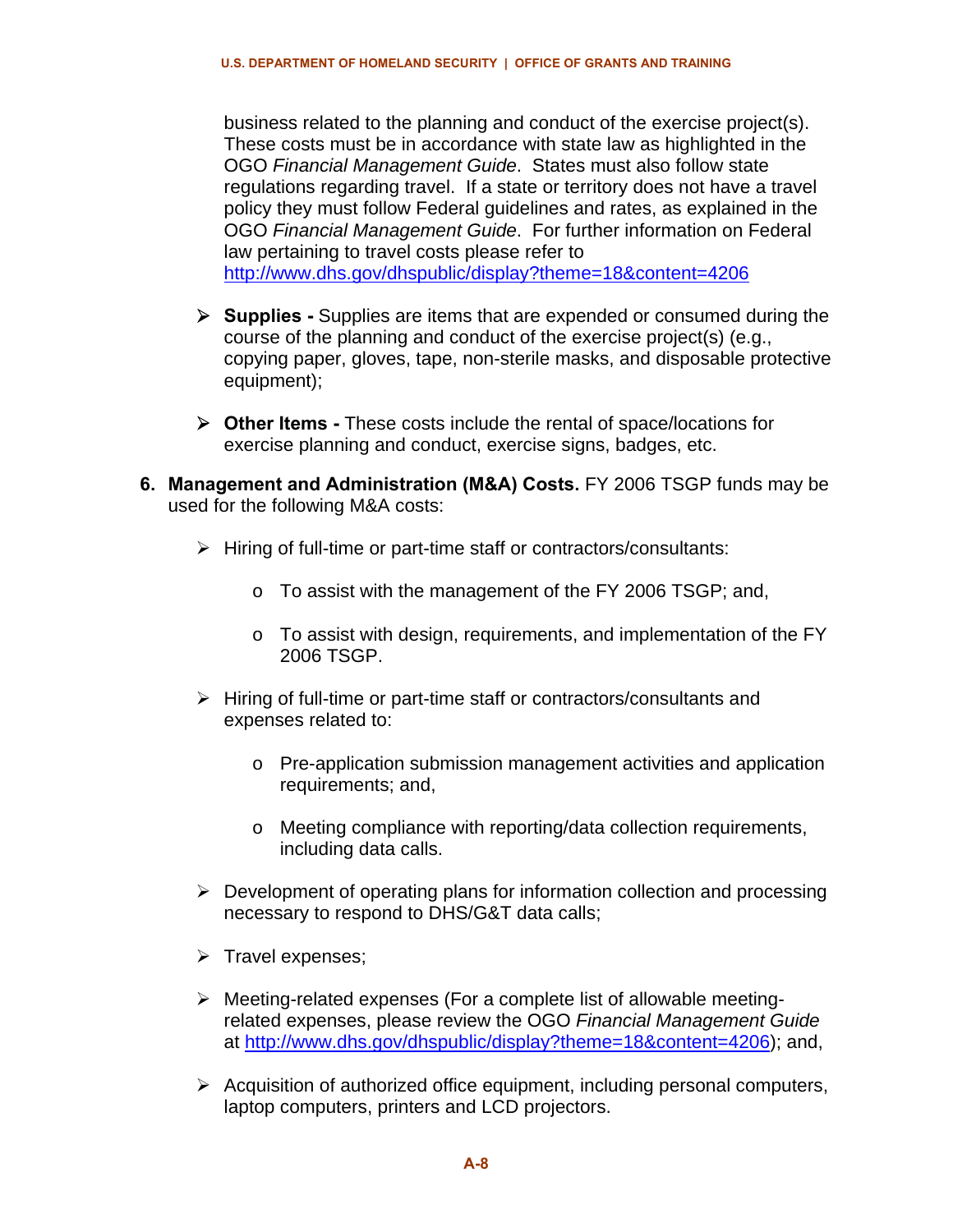business related to the planning and conduct of the exercise project(s). These costs must be in accordance with state law as highlighted in the OGO *Financial Management Guide*. States must also follow state regulations regarding travel. If a state or territory does not have a travel policy they must follow Federal guidelines and rates, as explained in the OGO *Financial Management Guide*. For further information on Federal law pertaining to travel costs please refer to http://www.dhs.gov/dhspublic/display?theme=18&content=4206

- ¾ **Supplies -** Supplies are items that are expended or consumed during the course of the planning and conduct of the exercise project(s) (e.g., copying paper, gloves, tape, non-sterile masks, and disposable protective equipment);
- ¾ **Other Items -** These costs include the rental of space/locations for exercise planning and conduct, exercise signs, badges, etc.
- **6. Management and Administration (M&A) Costs.** FY 2006 TSGP funds may be used for the following M&A costs:
	- $\triangleright$  Hiring of full-time or part-time staff or contractors/consultants:
		- o To assist with the management of the FY 2006 TSGP; and,
		- o To assist with design, requirements, and implementation of the FY 2006 TSGP.
	- $\triangleright$  Hiring of full-time or part-time staff or contractors/consultants and expenses related to:
		- o Pre-application submission management activities and application requirements; and,
		- o Meeting compliance with reporting/data collection requirements, including data calls.
	- $\triangleright$  Development of operating plans for information collection and processing necessary to respond to DHS/G&T data calls;
	- $\triangleright$  Travel expenses;
	- $\triangleright$  Meeting-related expenses (For a complete list of allowable meetingrelated expenses, please review the OGO *Financial Management Guide*  at http://www.dhs.gov/dhspublic/display?theme=18&content=4206); and,
	- $\triangleright$  Acquisition of authorized office equipment, including personal computers, laptop computers, printers and LCD projectors.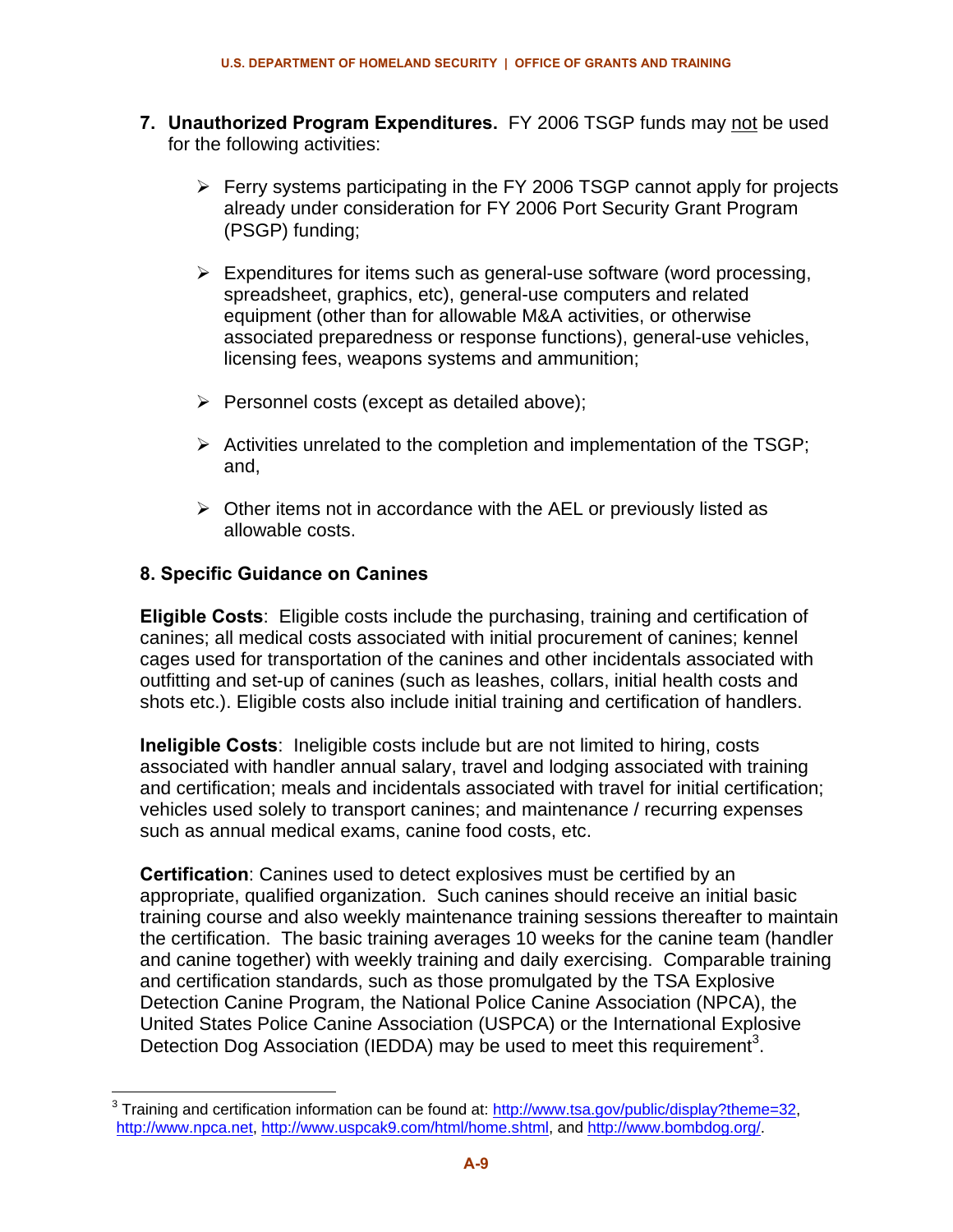- **7. Unauthorized Program Expenditures.** FY 2006 TSGP funds may not be used for the following activities:
	- ¾ Ferry systems participating in the FY 2006 TSGP cannot apply for projects already under consideration for FY 2006 Port Security Grant Program (PSGP) funding;
	- $\triangleright$  Expenditures for items such as general-use software (word processing, spreadsheet, graphics, etc), general-use computers and related equipment (other than for allowable M&A activities, or otherwise associated preparedness or response functions), general-use vehicles, licensing fees, weapons systems and ammunition;
	- $\triangleright$  Personnel costs (except as detailed above);
	- $\triangleright$  Activities unrelated to the completion and implementation of the TSGP; and,
	- $\triangleright$  Other items not in accordance with the AEL or previously listed as allowable costs.

#### **8. Specific Guidance on Canines**

 $\overline{a}$ 

**Eligible Costs**: Eligible costs include the purchasing, training and certification of canines; all medical costs associated with initial procurement of canines; kennel cages used for transportation of the canines and other incidentals associated with outfitting and set-up of canines (such as leashes, collars, initial health costs and shots etc.). Eligible costs also include initial training and certification of handlers.

**Ineligible Costs**: Ineligible costs include but are not limited to hiring, costs associated with handler annual salary, travel and lodging associated with training and certification; meals and incidentals associated with travel for initial certification; vehicles used solely to transport canines; and maintenance / recurring expenses such as annual medical exams, canine food costs, etc.

**Certification**: Canines used to detect explosives must be certified by an appropriate, qualified organization. Such canines should receive an initial basic training course and also weekly maintenance training sessions thereafter to maintain the certification. The basic training averages 10 weeks for the canine team (handler and canine together) with weekly training and daily exercising. Comparable training and certification standards, such as those promulgated by the TSA Explosive Detection Canine Program, the National Police Canine Association (NPCA), the United States Police Canine Association (USPCA) or the International Explosive Detection Dog Association (IEDDA) may be used to meet this requirement<sup>3</sup>.

<sup>&</sup>lt;sup>3</sup> Training and certification information can be found at:  $\frac{http://www.tsa.gov/public/display?theme=32,$ http://www.npca.net, http://www.uspcak9.com/html/home.shtml, and http://www.bombdog.org/.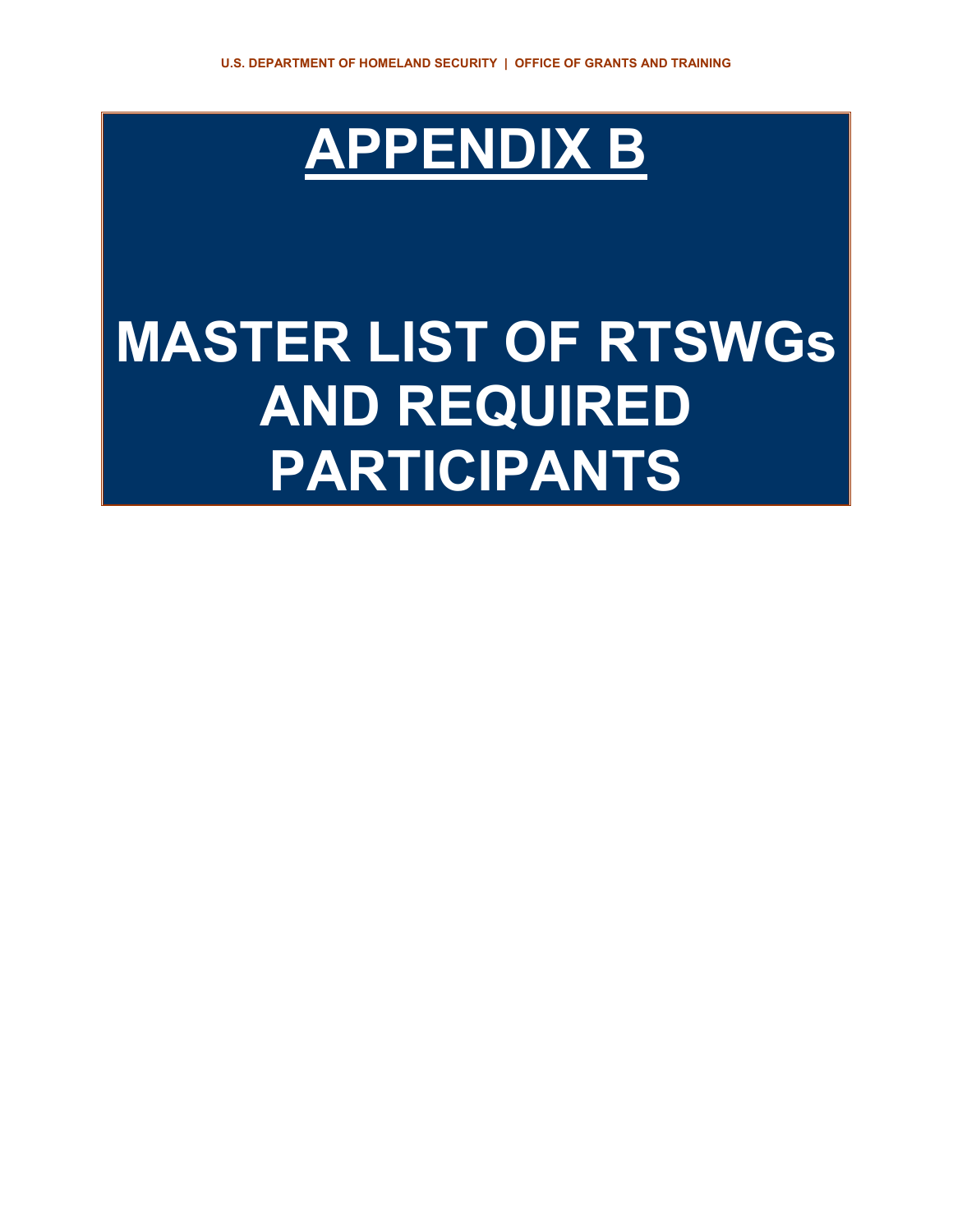

# **MASTER LIST OF RTSWGs AND REQUIRED PARTICIPANTS**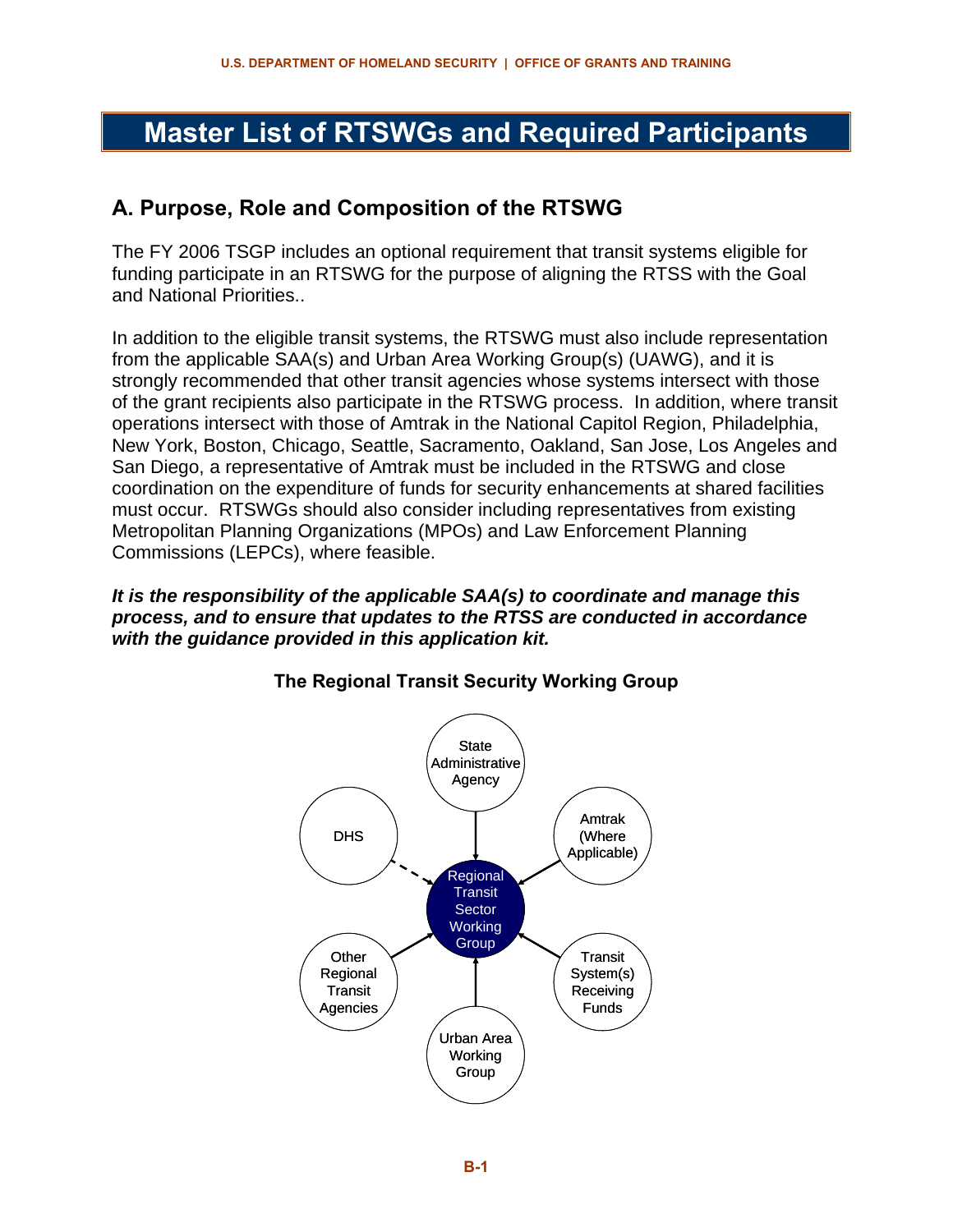# **Master List of RTSWGs and Required Participants**

# **A. Purpose, Role and Composition of the RTSWG**

The FY 2006 TSGP includes an optional requirement that transit systems eligible for funding participate in an RTSWG for the purpose of aligning the RTSS with the Goal and National Priorities..

In addition to the eligible transit systems, the RTSWG must also include representation from the applicable SAA(s) and Urban Area Working Group(s) (UAWG), and it is strongly recommended that other transit agencies whose systems intersect with those of the grant recipients also participate in the RTSWG process. In addition, where transit operations intersect with those of Amtrak in the National Capitol Region, Philadelphia, New York, Boston, Chicago, Seattle, Sacramento, Oakland, San Jose, Los Angeles and San Diego, a representative of Amtrak must be included in the RTSWG and close coordination on the expenditure of funds for security enhancements at shared facilities must occur. RTSWGs should also consider including representatives from existing Metropolitan Planning Organizations (MPOs) and Law Enforcement Planning Commissions (LEPCs), where feasible.

#### *It is the responsibility of the applicable SAA(s) to coordinate and manage this process, and to ensure that updates to the RTSS are conducted in accordance with the guidance provided in this application kit.*



#### **The Regional Transit Security Working Group**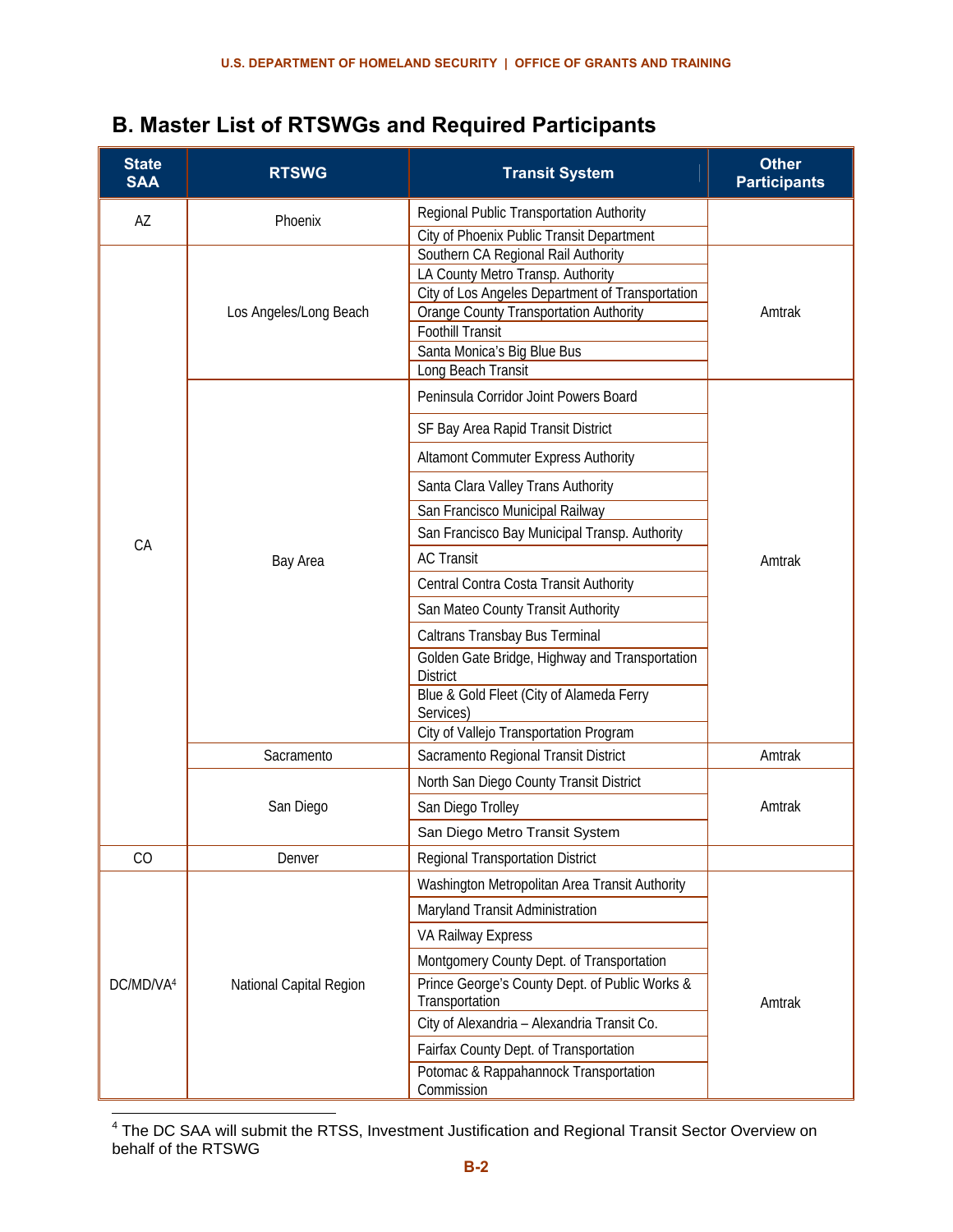# **B. Master List of RTSWGs and Required Participants**

| <b>State</b><br><b>SAA</b> | <b>RTSWG</b>            | <b>Transit System</b>                                                                                                                                                                                                                                                                                      | <b>Other</b><br><b>Participants</b> |
|----------------------------|-------------------------|------------------------------------------------------------------------------------------------------------------------------------------------------------------------------------------------------------------------------------------------------------------------------------------------------------|-------------------------------------|
| AZ                         | Phoenix                 | Regional Public Transportation Authority                                                                                                                                                                                                                                                                   |                                     |
|                            | Los Angeles/Long Beach  | City of Phoenix Public Transit Department<br>Southern CA Regional Rail Authority<br>LA County Metro Transp. Authority<br>City of Los Angeles Department of Transportation<br><b>Orange County Transportation Authority</b><br><b>Foothill Transit</b><br>Santa Monica's Big Blue Bus<br>Long Beach Transit | Amtrak                              |
|                            |                         | Peninsula Corridor Joint Powers Board                                                                                                                                                                                                                                                                      | Amtrak                              |
|                            |                         | SF Bay Area Rapid Transit District                                                                                                                                                                                                                                                                         |                                     |
|                            |                         | <b>Altamont Commuter Express Authority</b>                                                                                                                                                                                                                                                                 |                                     |
|                            |                         | Santa Clara Valley Trans Authority                                                                                                                                                                                                                                                                         |                                     |
|                            |                         | San Francisco Municipal Railway                                                                                                                                                                                                                                                                            |                                     |
| CA                         |                         | San Francisco Bay Municipal Transp. Authority                                                                                                                                                                                                                                                              |                                     |
|                            | Bay Area                | <b>AC Transit</b>                                                                                                                                                                                                                                                                                          |                                     |
|                            |                         | Central Contra Costa Transit Authority                                                                                                                                                                                                                                                                     |                                     |
|                            |                         | San Mateo County Transit Authority                                                                                                                                                                                                                                                                         |                                     |
|                            |                         | Caltrans Transbay Bus Terminal                                                                                                                                                                                                                                                                             |                                     |
|                            |                         | Golden Gate Bridge, Highway and Transportation<br><b>District</b><br>Blue & Gold Fleet (City of Alameda Ferry<br>Services)<br>City of Vallejo Transportation Program                                                                                                                                       |                                     |
|                            | Sacramento              | Sacramento Regional Transit District                                                                                                                                                                                                                                                                       | Amtrak                              |
|                            | San Diego               | North San Diego County Transit District                                                                                                                                                                                                                                                                    | Amtrak                              |
|                            |                         | San Diego Trolley                                                                                                                                                                                                                                                                                          |                                     |
|                            |                         | San Diego Metro Transit System                                                                                                                                                                                                                                                                             |                                     |
| CO                         | Denver                  | <b>Regional Transportation District</b>                                                                                                                                                                                                                                                                    |                                     |
|                            | National Capital Region | Washington Metropolitan Area Transit Authority                                                                                                                                                                                                                                                             | Amtrak                              |
| DC/MD/VA <sup>4</sup>      |                         | Maryland Transit Administration                                                                                                                                                                                                                                                                            |                                     |
|                            |                         | VA Railway Express                                                                                                                                                                                                                                                                                         |                                     |
|                            |                         | Montgomery County Dept. of Transportation                                                                                                                                                                                                                                                                  |                                     |
|                            |                         | Prince George's County Dept. of Public Works &<br>Transportation                                                                                                                                                                                                                                           |                                     |
|                            |                         | City of Alexandria - Alexandria Transit Co.                                                                                                                                                                                                                                                                |                                     |
|                            |                         | Fairfax County Dept. of Transportation                                                                                                                                                                                                                                                                     |                                     |
|                            |                         | Potomac & Rappahannock Transportation<br>Commission                                                                                                                                                                                                                                                        |                                     |

<sup>————————————————————&</sup>lt;br><sup>4</sup> The DC SAA will submit the RTSS, Investment Justification and Regional Transit Sector Overview on behalf of the RTSWG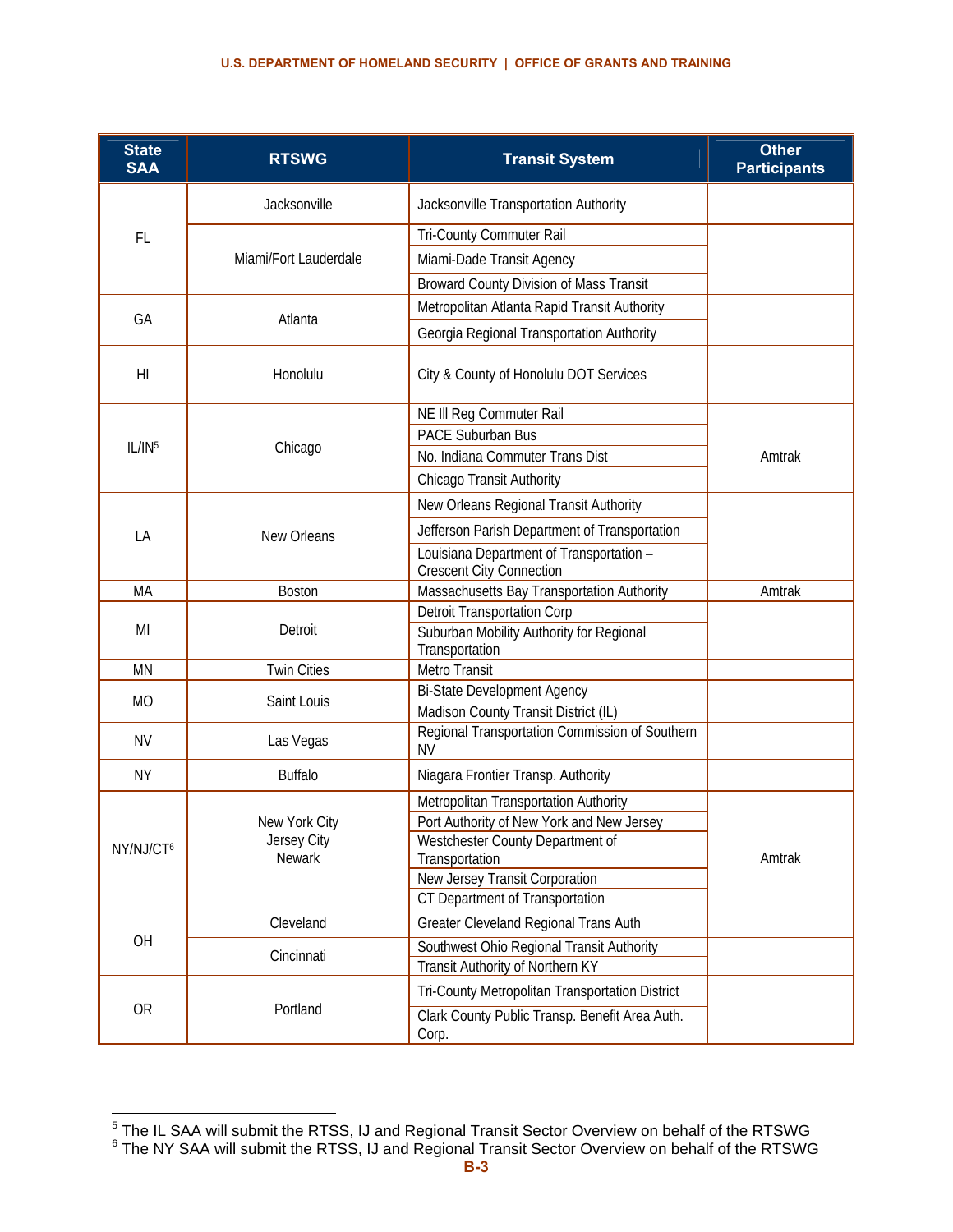| <b>State</b><br><b>SAA</b> | <b>RTSWG</b>                           | <b>Transit System</b>                                                                                                                                                                                         | <b>Other</b><br><b>Participants</b> |
|----------------------------|----------------------------------------|---------------------------------------------------------------------------------------------------------------------------------------------------------------------------------------------------------------|-------------------------------------|
|                            | Jacksonville                           | Jacksonville Transportation Authority                                                                                                                                                                         |                                     |
| <b>FL</b>                  |                                        | Tri-County Commuter Rail                                                                                                                                                                                      |                                     |
|                            | Miami/Fort Lauderdale                  | Miami-Dade Transit Agency                                                                                                                                                                                     |                                     |
|                            |                                        | Broward County Division of Mass Transit                                                                                                                                                                       |                                     |
|                            | Atlanta                                | Metropolitan Atlanta Rapid Transit Authority                                                                                                                                                                  |                                     |
| GA                         |                                        | Georgia Regional Transportation Authority                                                                                                                                                                     |                                     |
| H <sub>l</sub>             | Honolulu                               | City & County of Honolulu DOT Services                                                                                                                                                                        |                                     |
|                            |                                        | NE III Reg Commuter Rail                                                                                                                                                                                      | Amtrak                              |
|                            |                                        | <b>PACE Suburban Bus</b>                                                                                                                                                                                      |                                     |
| IL/IN <sup>5</sup>         | Chicago                                | No. Indiana Commuter Trans Dist                                                                                                                                                                               |                                     |
|                            |                                        | <b>Chicago Transit Authority</b>                                                                                                                                                                              |                                     |
|                            |                                        | New Orleans Regional Transit Authority                                                                                                                                                                        |                                     |
| LA                         | New Orleans                            | Jefferson Parish Department of Transportation                                                                                                                                                                 |                                     |
|                            |                                        | Louisiana Department of Transportation -<br><b>Crescent City Connection</b>                                                                                                                                   |                                     |
| MA                         | <b>Boston</b>                          | Massachusetts Bay Transportation Authority                                                                                                                                                                    | Amtrak                              |
| MI                         | Detroit                                | Detroit Transportation Corp<br>Suburban Mobility Authority for Regional<br>Transportation                                                                                                                     |                                     |
| <b>MN</b>                  | <b>Twin Cities</b>                     | Metro Transit                                                                                                                                                                                                 |                                     |
| <b>MO</b>                  | Saint Louis                            | Bi-State Development Agency                                                                                                                                                                                   |                                     |
|                            |                                        | Madison County Transit District (IL)                                                                                                                                                                          |                                     |
| <b>NV</b>                  | Las Vegas                              | Regional Transportation Commission of Southern<br><b>NV</b>                                                                                                                                                   |                                     |
| <b>NY</b>                  | <b>Buffalo</b>                         | Niagara Frontier Transp. Authority                                                                                                                                                                            |                                     |
| NY/NJ/CT <sup>6</sup>      | New York City<br>Jersey City<br>Newark | Metropolitan Transportation Authority<br>Port Authority of New York and New Jersey<br>Westchester County Department of<br>Transportation<br>New Jersey Transit Corporation<br>CT Department of Transportation | Amtrak                              |
|                            | Cleveland                              | Greater Cleveland Regional Trans Auth                                                                                                                                                                         |                                     |
| OH                         | Cincinnati                             | Southwest Ohio Regional Transit Authority<br>Transit Authority of Northern KY                                                                                                                                 |                                     |
| <b>OR</b>                  | Portland                               | Tri-County Metropolitan Transportation District<br>Clark County Public Transp. Benefit Area Auth.<br>Corp.                                                                                                    |                                     |

 5 The IL SAA will submit the RTSS, IJ and Regional Transit Sector Overview on behalf of the RTSWG 6 The NY SAA will submit the RTSS, IJ and Regional Transit Sector Overview on behalf of the RTSWG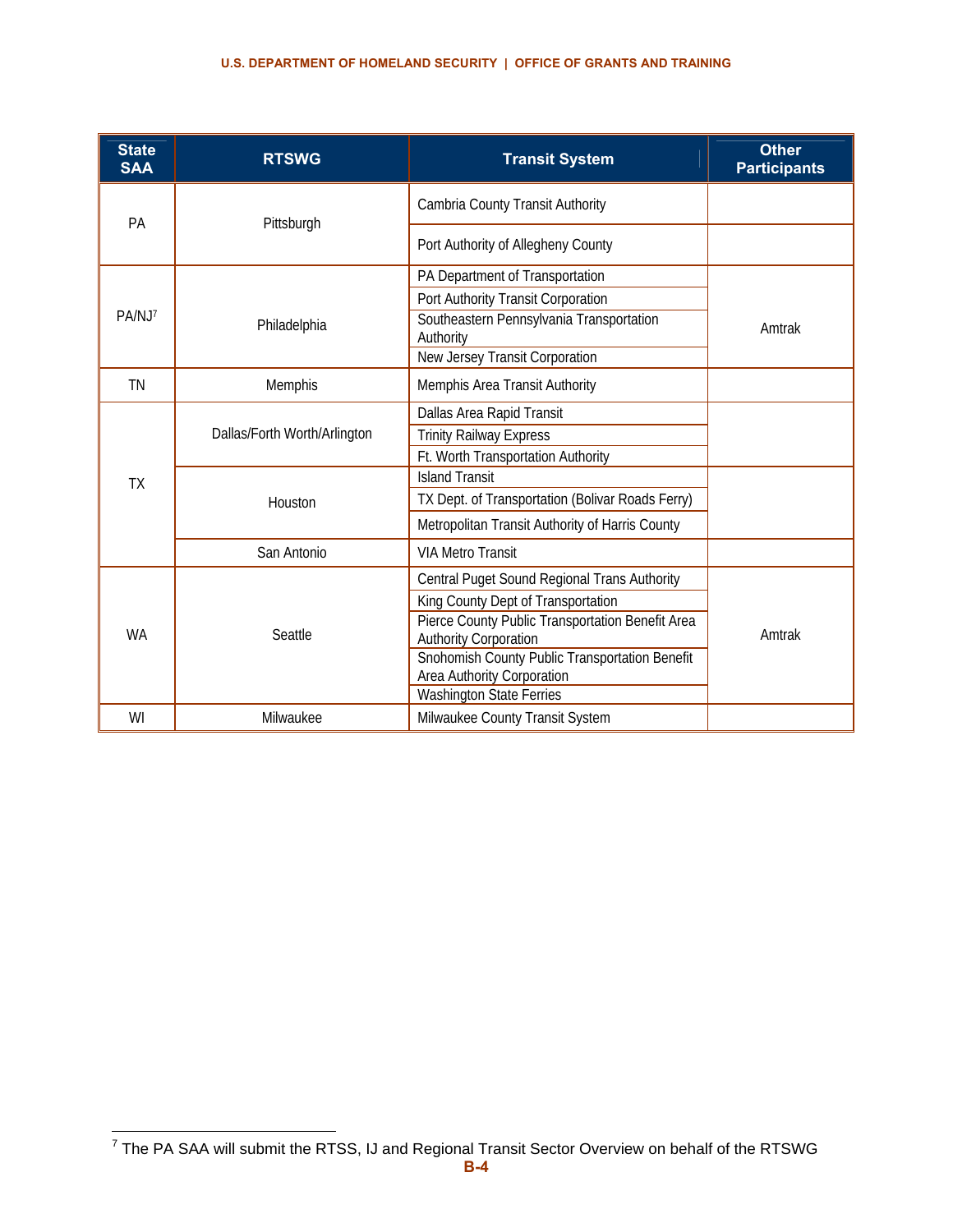| <b>State</b><br><b>SAA</b> | <b>RTSWG</b>                 | <b>Transit System</b>                                                            | <b>Other</b><br><b>Participants</b> |
|----------------------------|------------------------------|----------------------------------------------------------------------------------|-------------------------------------|
| PA                         | Pittsburgh                   | Cambria County Transit Authority                                                 |                                     |
|                            |                              | Port Authority of Allegheny County                                               |                                     |
| PA/NJ7                     |                              | PA Department of Transportation                                                  |                                     |
|                            |                              | Port Authority Transit Corporation                                               |                                     |
|                            | Philadelphia                 | Southeastern Pennsylvania Transportation<br>Authority                            | Amtrak                              |
|                            |                              | New Jersey Transit Corporation                                                   |                                     |
| ΤN                         | Memphis                      | Memphis Area Transit Authority                                                   |                                     |
|                            | Dallas/Forth Worth/Arlington | Dallas Area Rapid Transit                                                        |                                     |
|                            |                              | <b>Trinity Railway Express</b>                                                   |                                     |
|                            |                              | Ft. Worth Transportation Authority                                               |                                     |
| <b>TX</b>                  |                              | <b>Island Transit</b>                                                            |                                     |
|                            | Houston                      | TX Dept. of Transportation (Bolivar Roads Ferry)                                 |                                     |
|                            |                              | Metropolitan Transit Authority of Harris County                                  |                                     |
|                            | San Antonio                  | <b>VIA Metro Transit</b>                                                         |                                     |
| <b>WA</b>                  | Seattle                      | Central Puget Sound Regional Trans Authority                                     | Amtrak                              |
|                            |                              | King County Dept of Transportation                                               |                                     |
|                            |                              | Pierce County Public Transportation Benefit Area<br><b>Authority Corporation</b> |                                     |
|                            |                              | Snohomish County Public Transportation Benefit<br>Area Authority Corporation     |                                     |
|                            |                              | <b>Washington State Ferries</b>                                                  |                                     |
| WI                         | Milwaukee                    | Milwaukee County Transit System                                                  |                                     |

<sup>————————————————————&</sup>lt;br><sup>7</sup> The PA SAA will submit the RTSS, IJ and Regional Transit Sector Overview on behalf of the RTSWG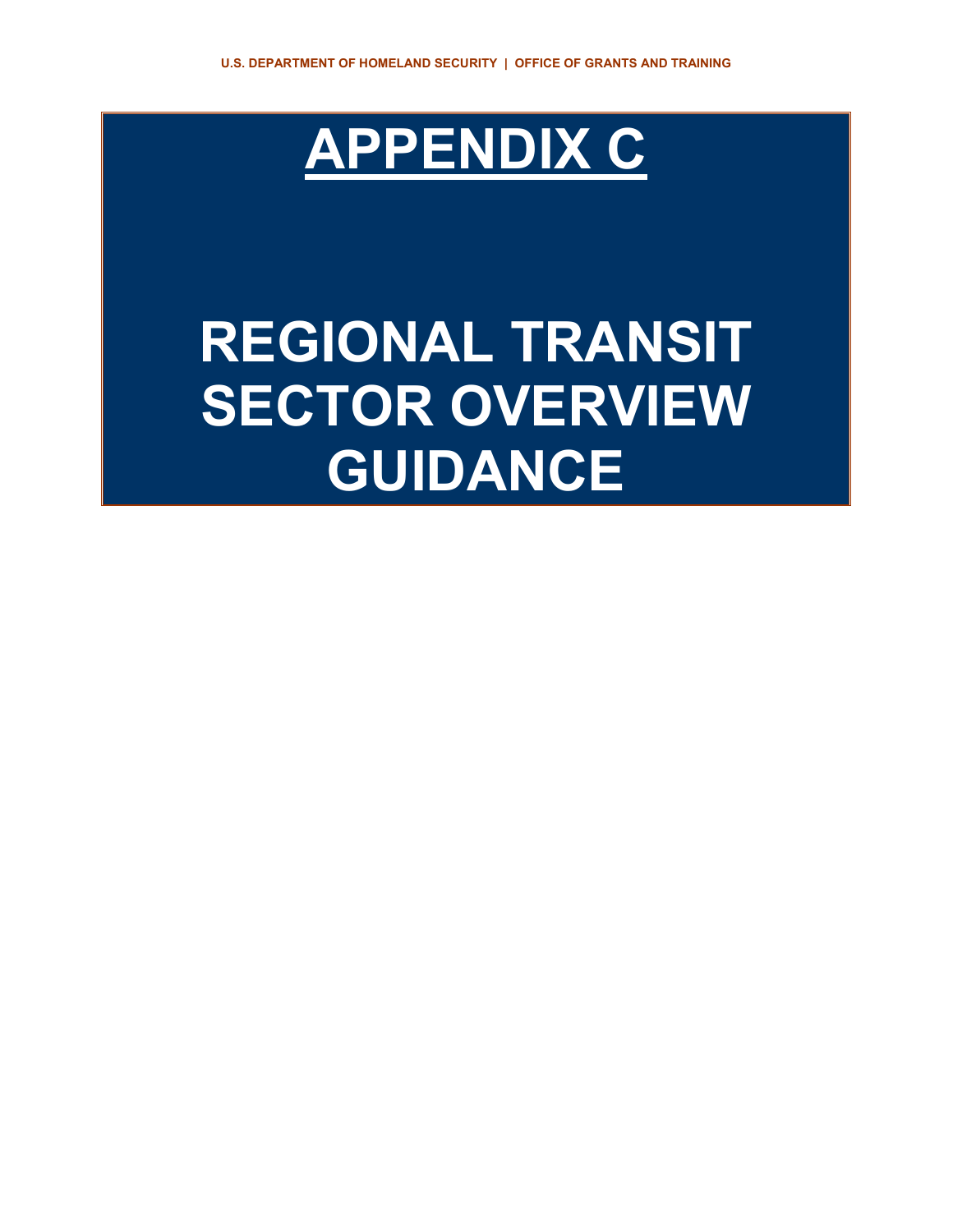

# **REGIONAL TRANSIT SECTOR OVERVIEW GUIDANCE**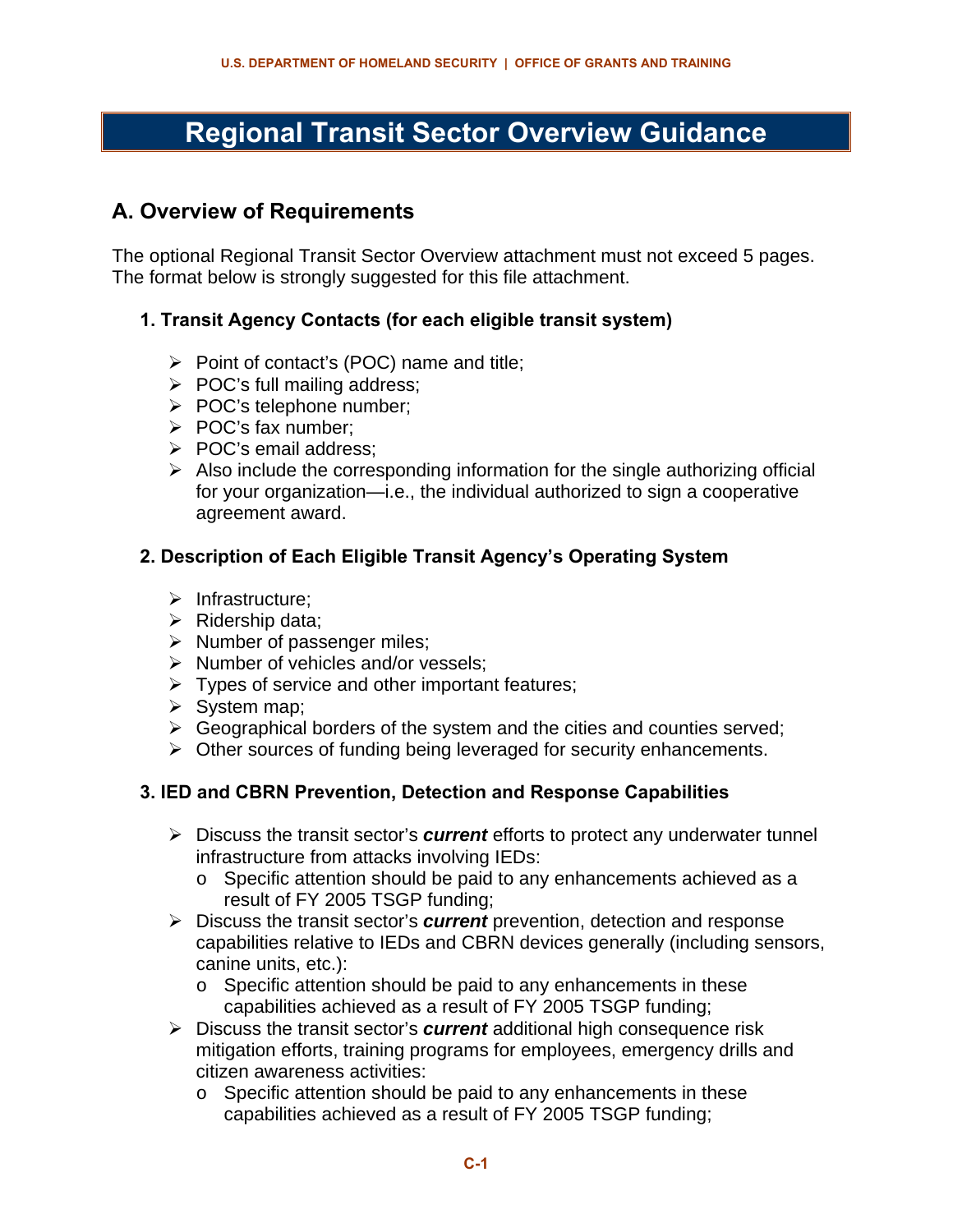# **Regional Transit Sector Overview Guidance**

## **A. Overview of Requirements**

The optional Regional Transit Sector Overview attachment must not exceed 5 pages. The format below is strongly suggested for this file attachment.

#### **1. Transit Agency Contacts (for each eligible transit system)**

- $\triangleright$  Point of contact's (POC) name and title;
- $\triangleright$  POC's full mailing address;
- ¾ POC's telephone number;
- ¾ POC's fax number;
- ¾ POC's email address;
- $\triangleright$  Also include the corresponding information for the single authorizing official for your organization—i.e., the individual authorized to sign a cooperative agreement award.

#### **2. Description of Each Eligible Transit Agency's Operating System**

- ¾ Infrastructure;
- $\triangleright$  Ridership data;
- $\triangleright$  Number of passenger miles;
- $\triangleright$  Number of vehicles and/or vessels:
- $\triangleright$  Types of service and other important features;
- $\triangleright$  System map;
- $\triangleright$  Geographical borders of the system and the cities and counties served;
- $\triangleright$  Other sources of funding being leveraged for security enhancements.

#### **3. IED and CBRN Prevention, Detection and Response Capabilities**

- ¾ Discuss the transit sector's *current* efforts to protect any underwater tunnel infrastructure from attacks involving IEDs:
	- o Specific attention should be paid to any enhancements achieved as a result of FY 2005 TSGP funding;
- ¾ Discuss the transit sector's *current* prevention, detection and response capabilities relative to IEDs and CBRN devices generally (including sensors, canine units, etc.):
	- o Specific attention should be paid to any enhancements in these capabilities achieved as a result of FY 2005 TSGP funding;
- ¾ Discuss the transit sector's *current* additional high consequence risk mitigation efforts, training programs for employees, emergency drills and citizen awareness activities:
	- o Specific attention should be paid to any enhancements in these capabilities achieved as a result of FY 2005 TSGP funding;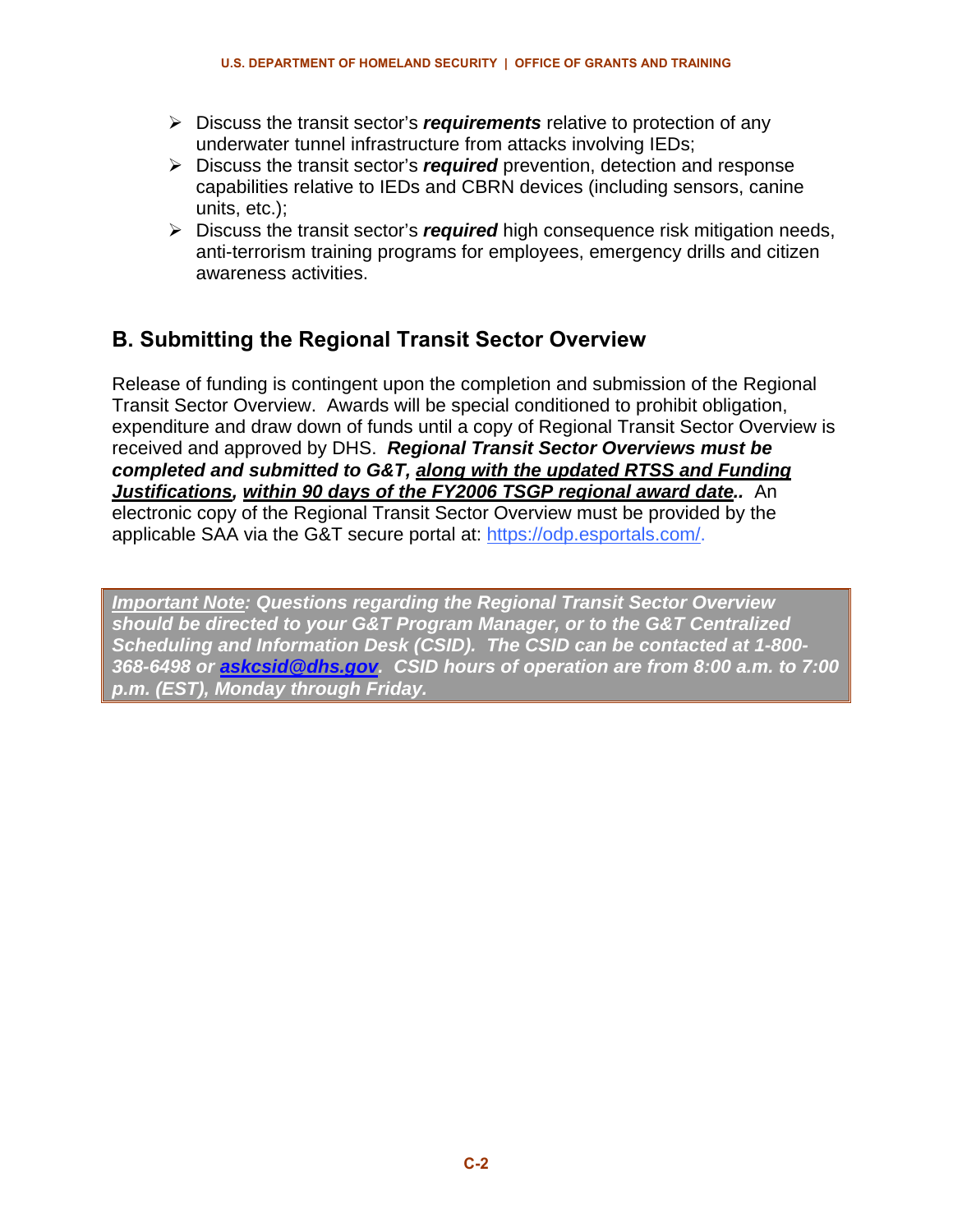- ¾ Discuss the transit sector's *requirements* relative to protection of any underwater tunnel infrastructure from attacks involving IEDs;
- ¾ Discuss the transit sector's *required* prevention, detection and response capabilities relative to IEDs and CBRN devices (including sensors, canine units, etc.);
- ¾ Discuss the transit sector's *required* high consequence risk mitigation needs, anti-terrorism training programs for employees, emergency drills and citizen awareness activities.

## **B. Submitting the Regional Transit Sector Overview**

Release of funding is contingent upon the completion and submission of the Regional Transit Sector Overview. Awards will be special conditioned to prohibit obligation, expenditure and draw down of funds until a copy of Regional Transit Sector Overview is received and approved by DHS. *Regional Transit Sector Overviews must be completed and submitted to G&T, along with the updated RTSS and Funding Justifications, within 90 days of the FY2006 TSGP regional award date..* An electronic copy of the Regional Transit Sector Overview must be provided by the applicable SAA via the G&T secure portal at: https://odp.esportals.com/.

*Important Note: Questions regarding the Regional Transit Sector Overview should be directed to your G&T Program Manager, or to the G&T Centralized Scheduling and Information Desk (CSID). The CSID can be contacted at 1-800- 368-6498 or askcsid@dhs.gov. CSID hours of operation are from 8:00 a.m. to 7:00 p.m. (EST), Monday through Friday.*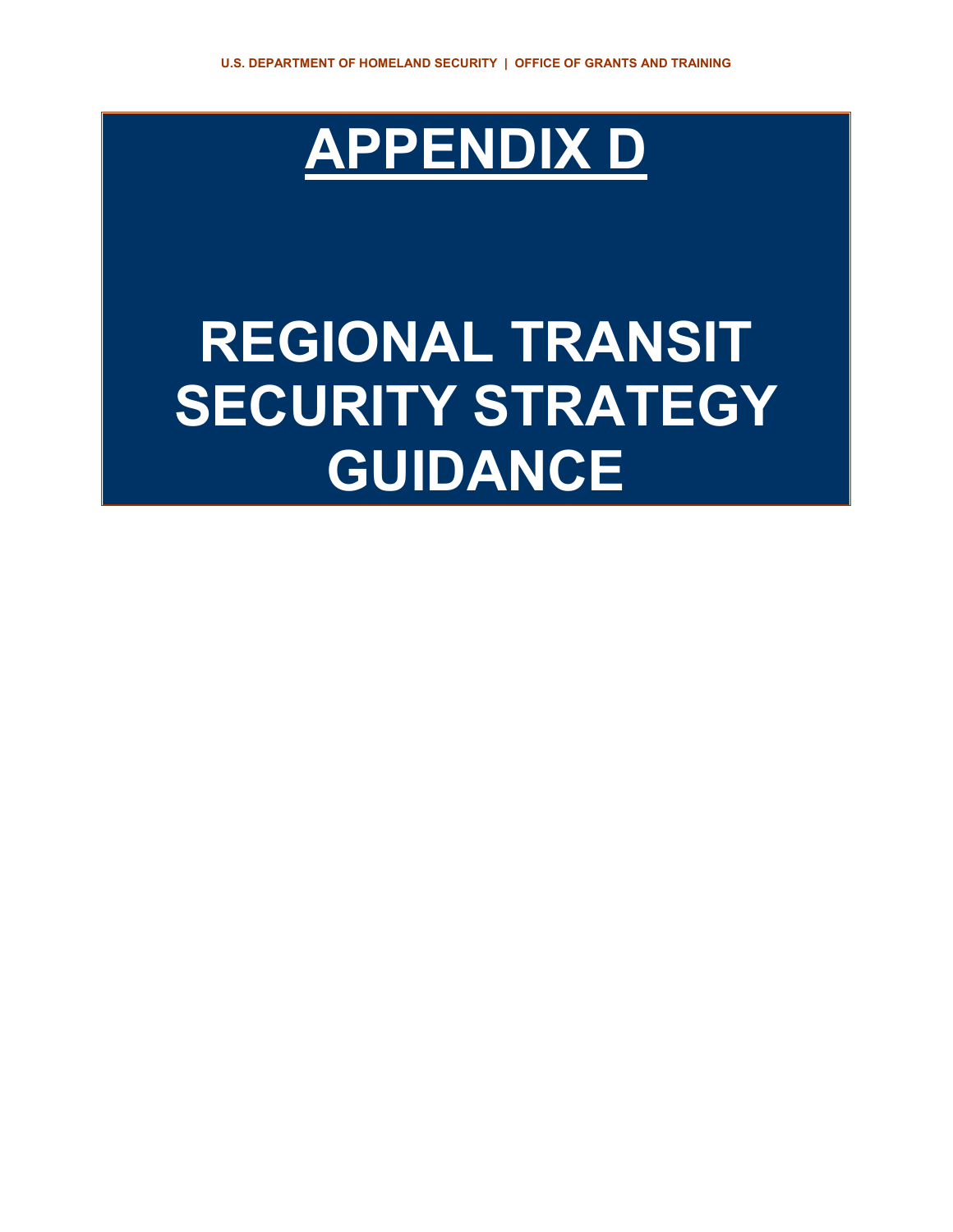

# **REGIONAL TRANSIT SECURITY STRATEGY GUIDANCE**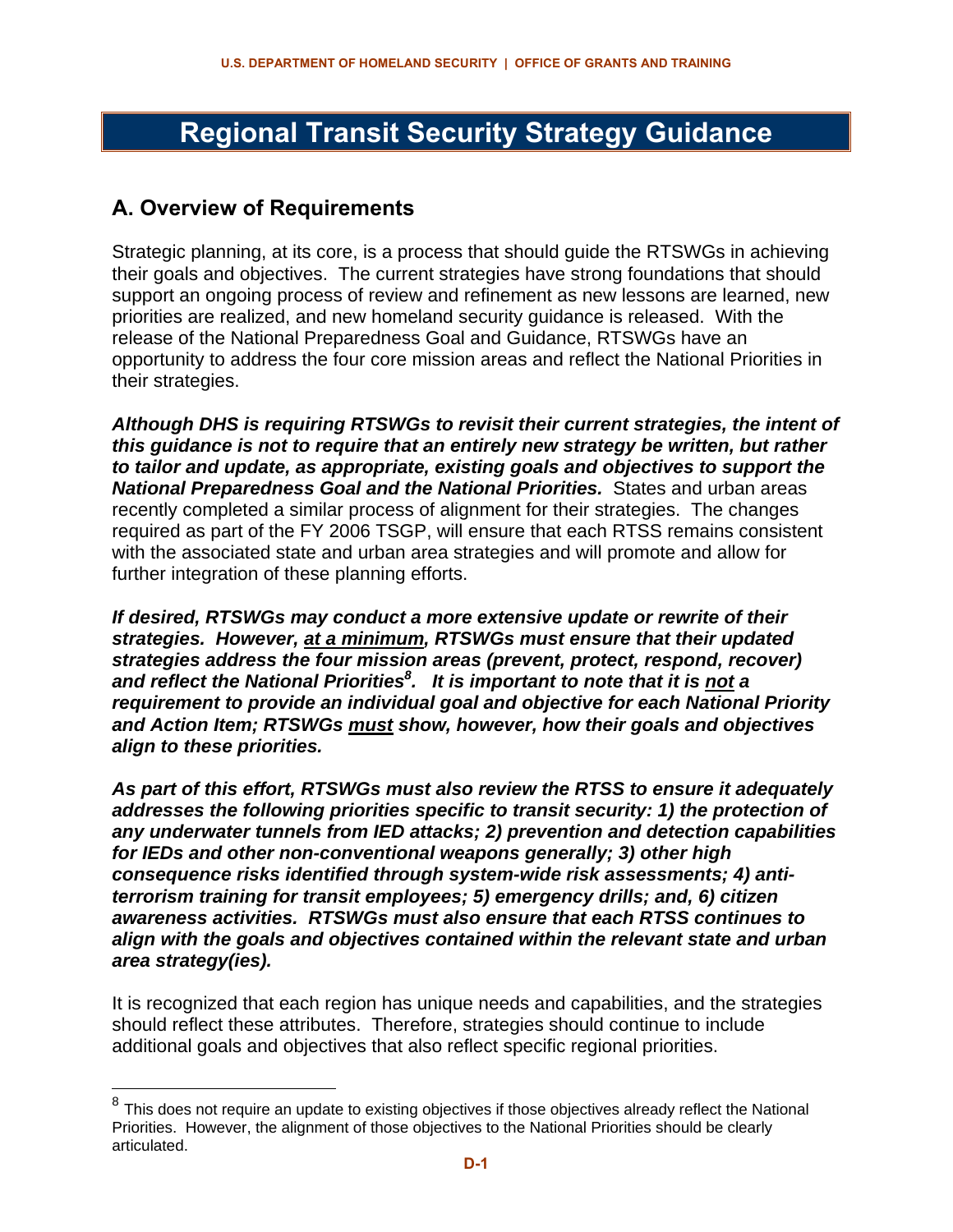# **Regional Transit Security Strategy Guidance**

# **A. Overview of Requirements**

 $\overline{a}$ 

Strategic planning, at its core, is a process that should guide the RTSWGs in achieving their goals and objectives. The current strategies have strong foundations that should support an ongoing process of review and refinement as new lessons are learned, new priorities are realized, and new homeland security guidance is released. With the release of the National Preparedness Goal and Guidance, RTSWGs have an opportunity to address the four core mission areas and reflect the National Priorities in their strategies.

*Although DHS is requiring RTSWGs to revisit their current strategies, the intent of this guidance is not to require that an entirely new strategy be written, but rather to tailor and update, as appropriate, existing goals and objectives to support the National Preparedness Goal and the National Priorities.* States and urban areas recently completed a similar process of alignment for their strategies. The changes required as part of the FY 2006 TSGP, will ensure that each RTSS remains consistent with the associated state and urban area strategies and will promote and allow for further integration of these planning efforts.

*If desired, RTSWGs may conduct a more extensive update or rewrite of their strategies. However, at a minimum, RTSWGs must ensure that their updated strategies address the four mission areas (prevent, protect, respond, recover) and reflect the National Priorities8 . It is important to note that it is not a requirement to provide an individual goal and objective for each National Priority and Action Item; RTSWGs must show, however, how their goals and objectives align to these priorities.* 

*As part of this effort, RTSWGs must also review the RTSS to ensure it adequately addresses the following priorities specific to transit security: 1) the protection of any underwater tunnels from IED attacks; 2) prevention and detection capabilities for IEDs and other non-conventional weapons generally; 3) other high consequence risks identified through system-wide risk assessments; 4) antiterrorism training for transit employees; 5) emergency drills; and, 6) citizen awareness activities. RTSWGs must also ensure that each RTSS continues to align with the goals and objectives contained within the relevant state and urban area strategy(ies).* 

It is recognized that each region has unique needs and capabilities, and the strategies should reflect these attributes. Therefore, strategies should continue to include additional goals and objectives that also reflect specific regional priorities.

 $8$  This does not require an update to existing objectives if those objectives already reflect the National Priorities. However, the alignment of those objectives to the National Priorities should be clearly articulated.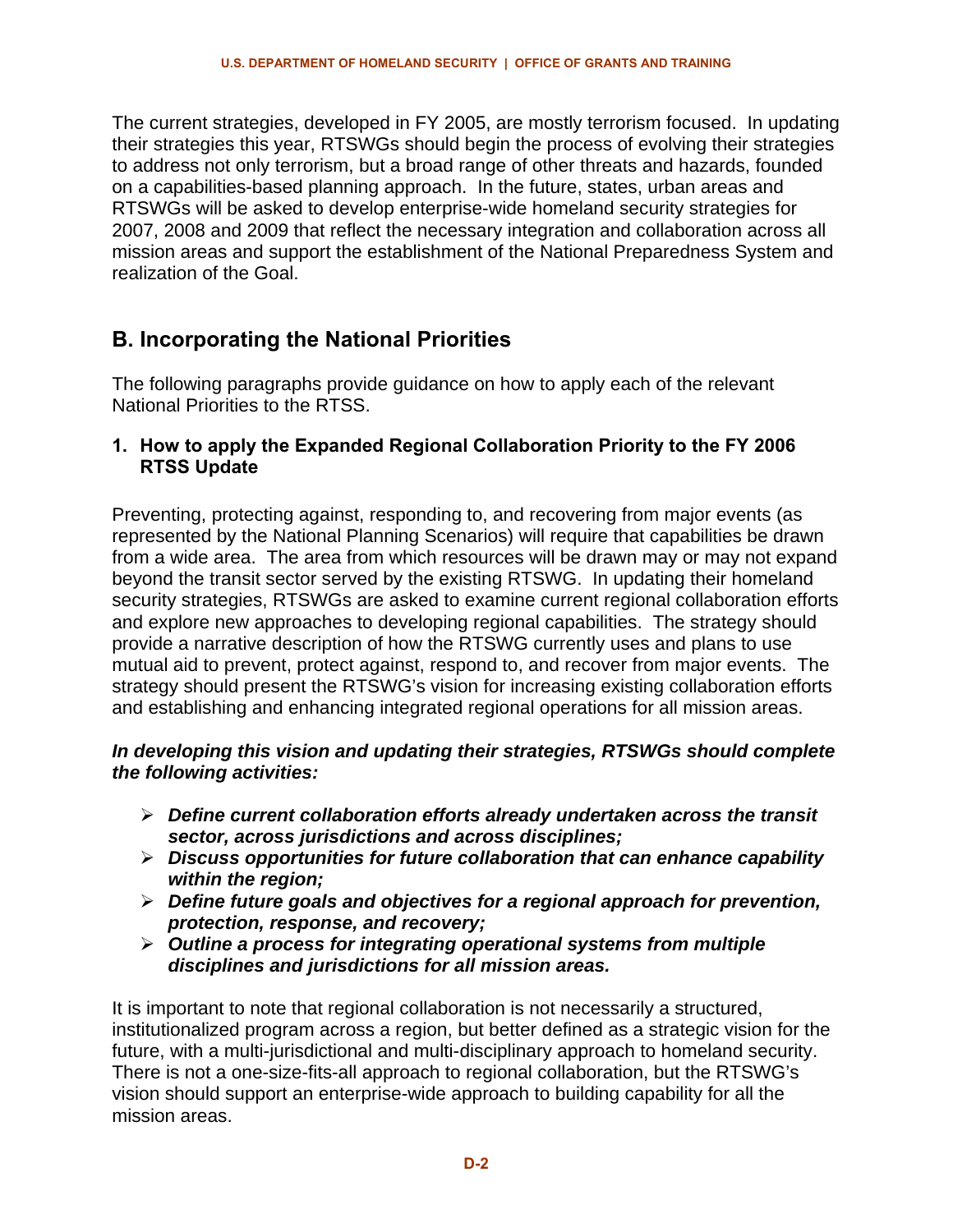The current strategies, developed in FY 2005, are mostly terrorism focused. In updating their strategies this year, RTSWGs should begin the process of evolving their strategies to address not only terrorism, but a broad range of other threats and hazards, founded on a capabilities-based planning approach. In the future, states, urban areas and RTSWGs will be asked to develop enterprise-wide homeland security strategies for 2007, 2008 and 2009 that reflect the necessary integration and collaboration across all mission areas and support the establishment of the National Preparedness System and realization of the Goal.

# **B. Incorporating the National Priorities**

The following paragraphs provide guidance on how to apply each of the relevant National Priorities to the RTSS.

#### **1. How to apply the Expanded Regional Collaboration Priority to the FY 2006 RTSS Update**

Preventing, protecting against, responding to, and recovering from major events (as represented by the National Planning Scenarios) will require that capabilities be drawn from a wide area. The area from which resources will be drawn may or may not expand beyond the transit sector served by the existing RTSWG. In updating their homeland security strategies, RTSWGs are asked to examine current regional collaboration efforts and explore new approaches to developing regional capabilities. The strategy should provide a narrative description of how the RTSWG currently uses and plans to use mutual aid to prevent, protect against, respond to, and recover from major events. The strategy should present the RTSWG's vision for increasing existing collaboration efforts and establishing and enhancing integrated regional operations for all mission areas.

#### *In developing this vision and updating their strategies, RTSWGs should complete the following activities:*

- ¾ *Define current collaboration efforts already undertaken across the transit sector, across jurisdictions and across disciplines;*
- ¾ *Discuss opportunities for future collaboration that can enhance capability within the region;*
- ¾ *Define future goals and objectives for a regional approach for prevention, protection, response, and recovery;*
- ¾ *Outline a process for integrating operational systems from multiple disciplines and jurisdictions for all mission areas.*

It is important to note that regional collaboration is not necessarily a structured, institutionalized program across a region, but better defined as a strategic vision for the future, with a multi-jurisdictional and multi-disciplinary approach to homeland security. There is not a one-size-fits-all approach to regional collaboration, but the RTSWG's vision should support an enterprise-wide approach to building capability for all the mission areas.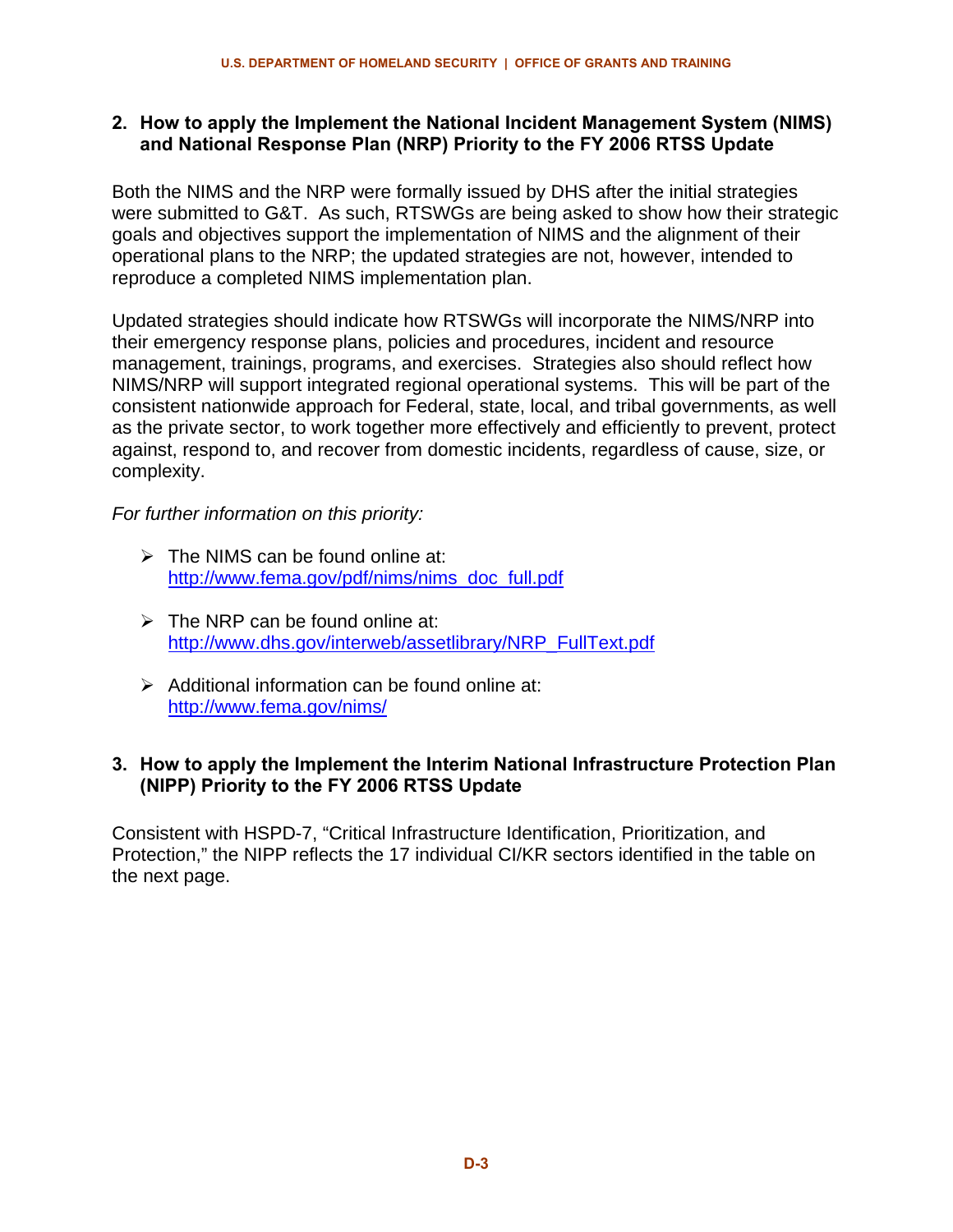#### **2. How to apply the Implement the National Incident Management System (NIMS) and National Response Plan (NRP) Priority to the FY 2006 RTSS Update**

Both the NIMS and the NRP were formally issued by DHS after the initial strategies were submitted to G&T. As such, RTSWGs are being asked to show how their strategic goals and objectives support the implementation of NIMS and the alignment of their operational plans to the NRP; the updated strategies are not, however, intended to reproduce a completed NIMS implementation plan.

Updated strategies should indicate how RTSWGs will incorporate the NIMS/NRP into their emergency response plans, policies and procedures, incident and resource management, trainings, programs, and exercises. Strategies also should reflect how NIMS/NRP will support integrated regional operational systems. This will be part of the consistent nationwide approach for Federal, state, local, and tribal governments, as well as the private sector, to work together more effectively and efficiently to prevent, protect against, respond to, and recover from domestic incidents, regardless of cause, size, or complexity.

*For further information on this priority:* 

- $\triangleright$  The NIMS can be found online at: http://www.fema.gov/pdf/nims/nims\_doc\_full.pdf
- $\triangleright$  The NRP can be found online at: http://www.dhs.gov/interweb/assetlibrary/NRP\_FullText.pdf
- $\triangleright$  Additional information can be found online at: http://www.fema.gov/nims/

#### **3. How to apply the Implement the Interim National Infrastructure Protection Plan (NIPP) Priority to the FY 2006 RTSS Update**

Consistent with HSPD-7, "Critical Infrastructure Identification, Prioritization, and Protection," the NIPP reflects the 17 individual CI/KR sectors identified in the table on the next page.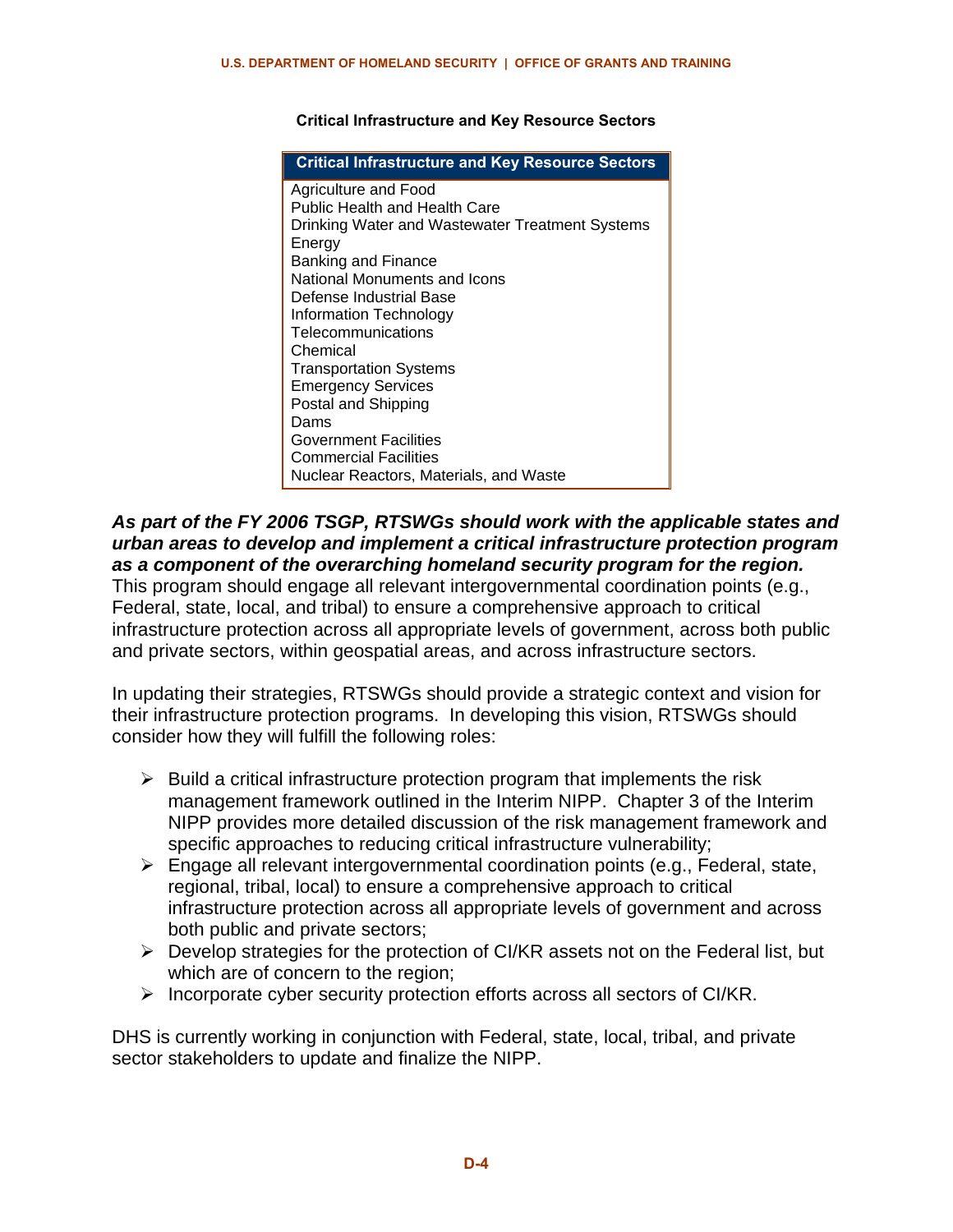#### **Critical Infrastructure and Key Resource Sectors**

| <b>Critical Infrastructure and Key Resource Sectors</b> |
|---------------------------------------------------------|
| Agriculture and Food                                    |
| <b>Public Health and Health Care</b>                    |
| Drinking Water and Wastewater Treatment Systems         |
| Energy                                                  |
| Banking and Finance                                     |
| National Monuments and Icons                            |
| Defense Industrial Base                                 |
| Information Technology                                  |
| Telecommunications                                      |
| Chemical                                                |
| <b>Transportation Systems</b>                           |
| <b>Emergency Services</b>                               |
| Postal and Shipping                                     |
| Dams                                                    |
| <b>Government Facilities</b>                            |
| <b>Commercial Facilities</b>                            |
| Nuclear Reactors, Materials, and Waste                  |

#### *As part of the FY 2006 TSGP, RTSWGs should work with the applicable states and urban areas to develop and implement a critical infrastructure protection program as a component of the overarching homeland security program for the region.*

This program should engage all relevant intergovernmental coordination points (e.g., Federal, state, local, and tribal) to ensure a comprehensive approach to critical infrastructure protection across all appropriate levels of government, across both public and private sectors, within geospatial areas, and across infrastructure sectors.

In updating their strategies, RTSWGs should provide a strategic context and vision for their infrastructure protection programs. In developing this vision, RTSWGs should consider how they will fulfill the following roles:

- $\triangleright$  Build a critical infrastructure protection program that implements the risk management framework outlined in the Interim NIPP. Chapter 3 of the Interim NIPP provides more detailed discussion of the risk management framework and specific approaches to reducing critical infrastructure vulnerability;
- $\triangleright$  Engage all relevant intergovernmental coordination points (e.g., Federal, state, regional, tribal, local) to ensure a comprehensive approach to critical infrastructure protection across all appropriate levels of government and across both public and private sectors;
- $\triangleright$  Develop strategies for the protection of CI/KR assets not on the Federal list, but which are of concern to the region;
- ¾ Incorporate cyber security protection efforts across all sectors of CI/KR.

DHS is currently working in conjunction with Federal, state, local, tribal, and private sector stakeholders to update and finalize the NIPP.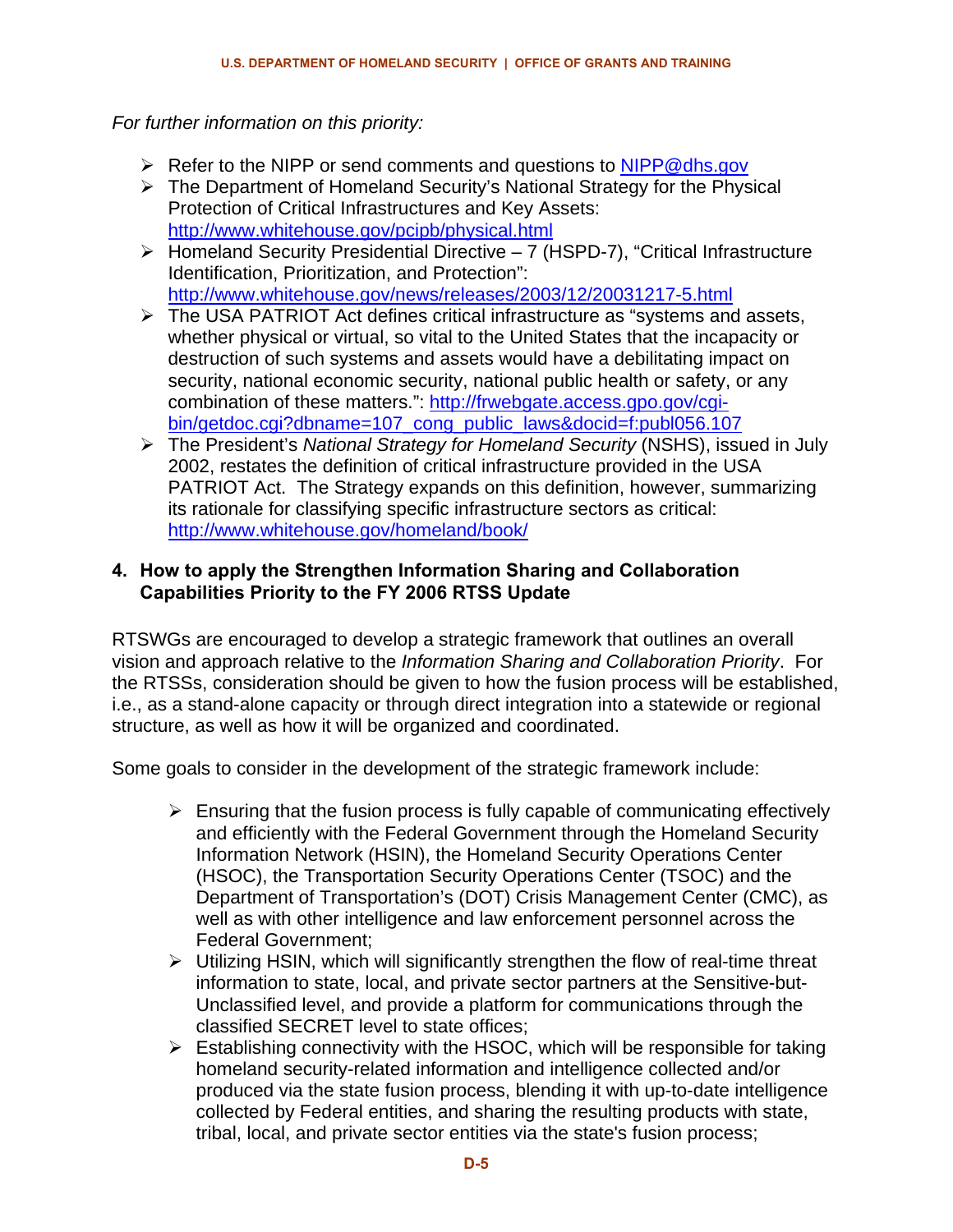*For further information on this priority:* 

- $\triangleright$  Refer to the NIPP or send comments and questions to NIPP@dhs.gov
- $\triangleright$  The Department of Homeland Security's National Strategy for the Physical Protection of Critical Infrastructures and Key Assets: http://www.whitehouse.gov/pcipb/physical.html
- ¾ Homeland Security Presidential Directive 7 (HSPD-7), "Critical Infrastructure Identification, Prioritization, and Protection": http://www.whitehouse.gov/news/releases/2003/12/20031217-5.html
- ¾ The USA PATRIOT Act defines critical infrastructure as "systems and assets, whether physical or virtual, so vital to the United States that the incapacity or destruction of such systems and assets would have a debilitating impact on security, national economic security, national public health or safety, or any combination of these matters.": http://frwebgate.access.gpo.gov/cgibin/getdoc.cgi?dbname=107\_cong\_public\_laws&docid=f:publ056.107
- ¾ The President's *National Strategy for Homeland Security* (NSHS), issued in July 2002, restates the definition of critical infrastructure provided in the USA PATRIOT Act. The Strategy expands on this definition, however, summarizing its rationale for classifying specific infrastructure sectors as critical: http://www.whitehouse.gov/homeland/book/

#### **4. How to apply the Strengthen Information Sharing and Collaboration Capabilities Priority to the FY 2006 RTSS Update**

RTSWGs are encouraged to develop a strategic framework that outlines an overall vision and approach relative to the *Information Sharing and Collaboration Priority*. For the RTSSs, consideration should be given to how the fusion process will be established, i.e., as a stand-alone capacity or through direct integration into a statewide or regional structure, as well as how it will be organized and coordinated.

Some goals to consider in the development of the strategic framework include:

- $\triangleright$  Ensuring that the fusion process is fully capable of communicating effectively and efficiently with the Federal Government through the Homeland Security Information Network (HSIN), the Homeland Security Operations Center (HSOC), the Transportation Security Operations Center (TSOC) and the Department of Transportation's (DOT) Crisis Management Center (CMC), as well as with other intelligence and law enforcement personnel across the Federal Government;
- $\triangleright$  Utilizing HSIN, which will significantly strengthen the flow of real-time threat information to state, local, and private sector partners at the Sensitive-but-Unclassified level, and provide a platform for communications through the classified SECRET level to state offices;
- $\triangleright$  Establishing connectivity with the HSOC, which will be responsible for taking homeland security-related information and intelligence collected and/or produced via the state fusion process, blending it with up-to-date intelligence collected by Federal entities, and sharing the resulting products with state, tribal, local, and private sector entities via the state's fusion process;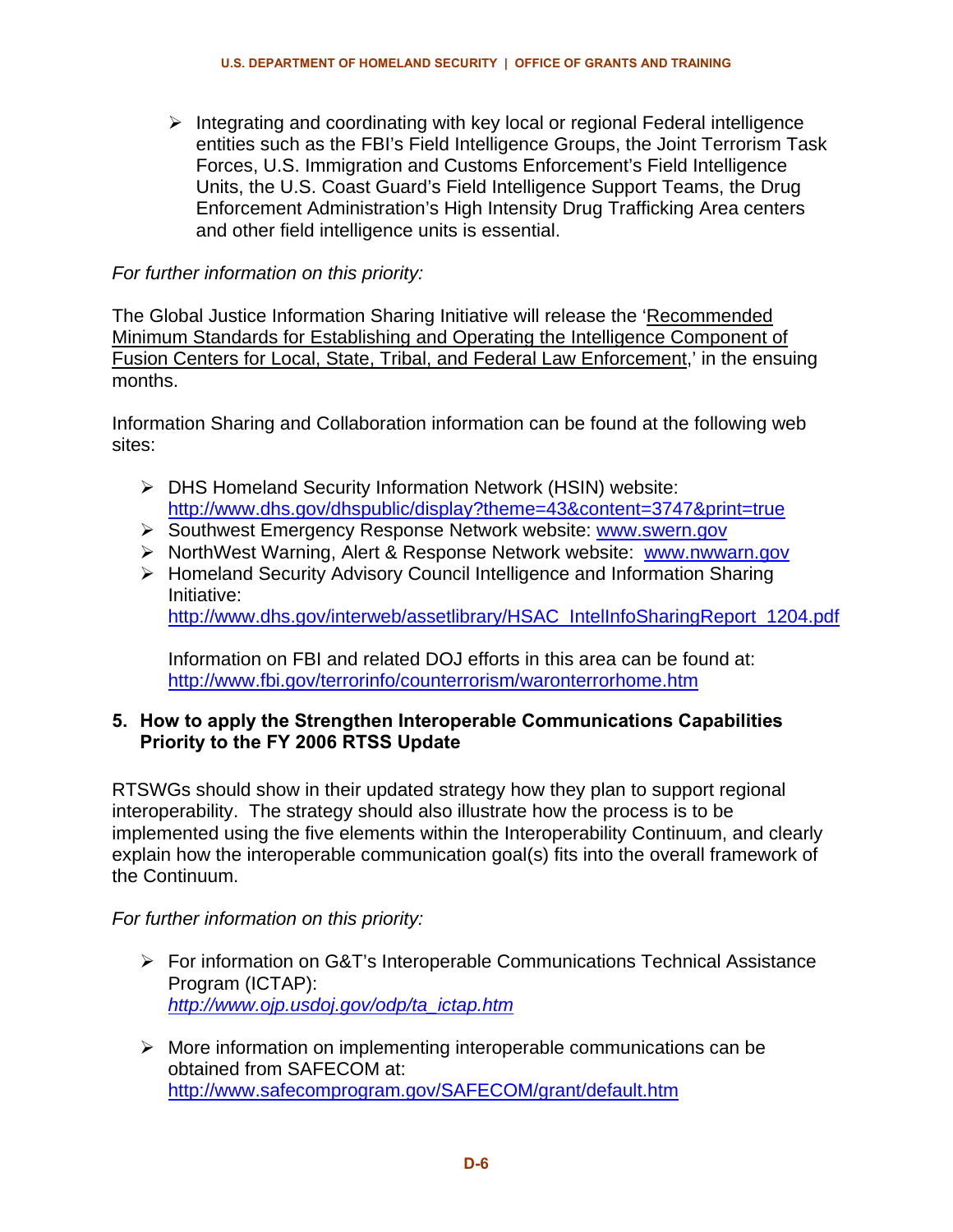$\triangleright$  Integrating and coordinating with key local or regional Federal intelligence entities such as the FBI's Field Intelligence Groups, the Joint Terrorism Task Forces, U.S. Immigration and Customs Enforcement's Field Intelligence Units, the U.S. Coast Guard's Field Intelligence Support Teams, the Drug Enforcement Administration's High Intensity Drug Trafficking Area centers and other field intelligence units is essential.

### *For further information on this priority:*

The Global Justice Information Sharing Initiative will release the 'Recommended Minimum Standards for Establishing and Operating the Intelligence Component of Fusion Centers for Local, State, Tribal, and Federal Law Enforcement,' in the ensuing months.

Information Sharing and Collaboration information can be found at the following web sites:

- ¾ DHS Homeland Security Information Network (HSIN) website: http://www.dhs.gov/dhspublic/display?theme=43&content=3747&print=true
- ¾ Southwest Emergency Response Network website: www.swern.gov
- ¾ NorthWest Warning, Alert & Response Network website: www.nwwarn.gov
- ¾ Homeland Security Advisory Council Intelligence and Information Sharing Initiative:

http://www.dhs.gov/interweb/assetlibrary/HSAC\_IntelInfoSharingReport\_1204.pdf

Information on FBI and related DOJ efforts in this area can be found at: http://www.fbi.gov/terrorinfo/counterrorism/waronterrorhome.htm

#### **5. How to apply the Strengthen Interoperable Communications Capabilities Priority to the FY 2006 RTSS Update**

RTSWGs should show in their updated strategy how they plan to support regional interoperability. The strategy should also illustrate how the process is to be implemented using the five elements within the Interoperability Continuum, and clearly explain how the interoperable communication goal(s) fits into the overall framework of the Continuum.

*For further information on this priority:* 

- ¾ For information on G&T's Interoperable Communications Technical Assistance Program (ICTAP): *http://www.ojp.usdoj.gov/odp/ta\_ictap.htm*
- $\triangleright$  More information on implementing interoperable communications can be obtained from SAFECOM at: http://www.safecomprogram.gov/SAFECOM/grant/default.htm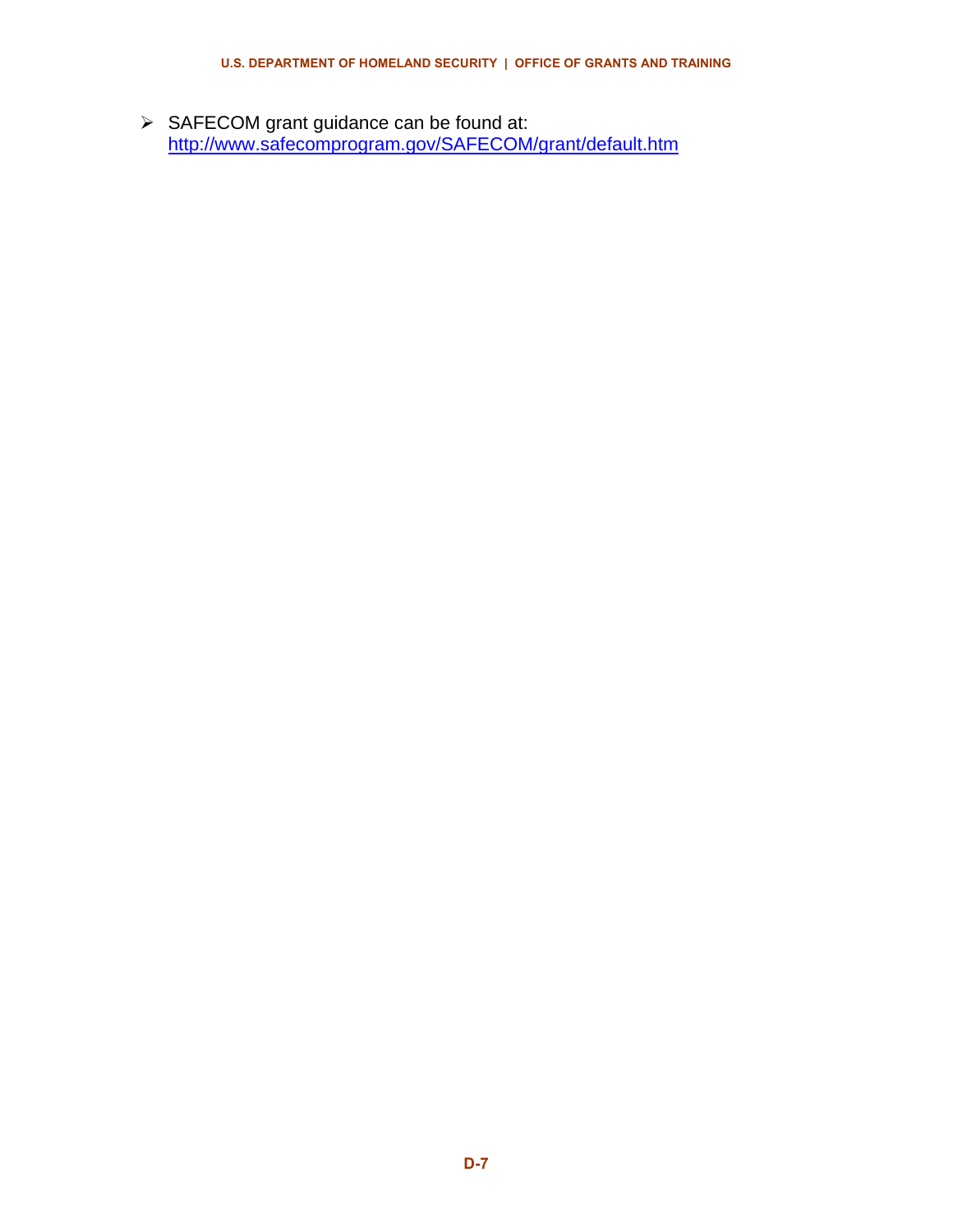$\triangleright$  SAFECOM grant guidance can be found at: http://www.safecomprogram.gov/SAFECOM/grant/default.htm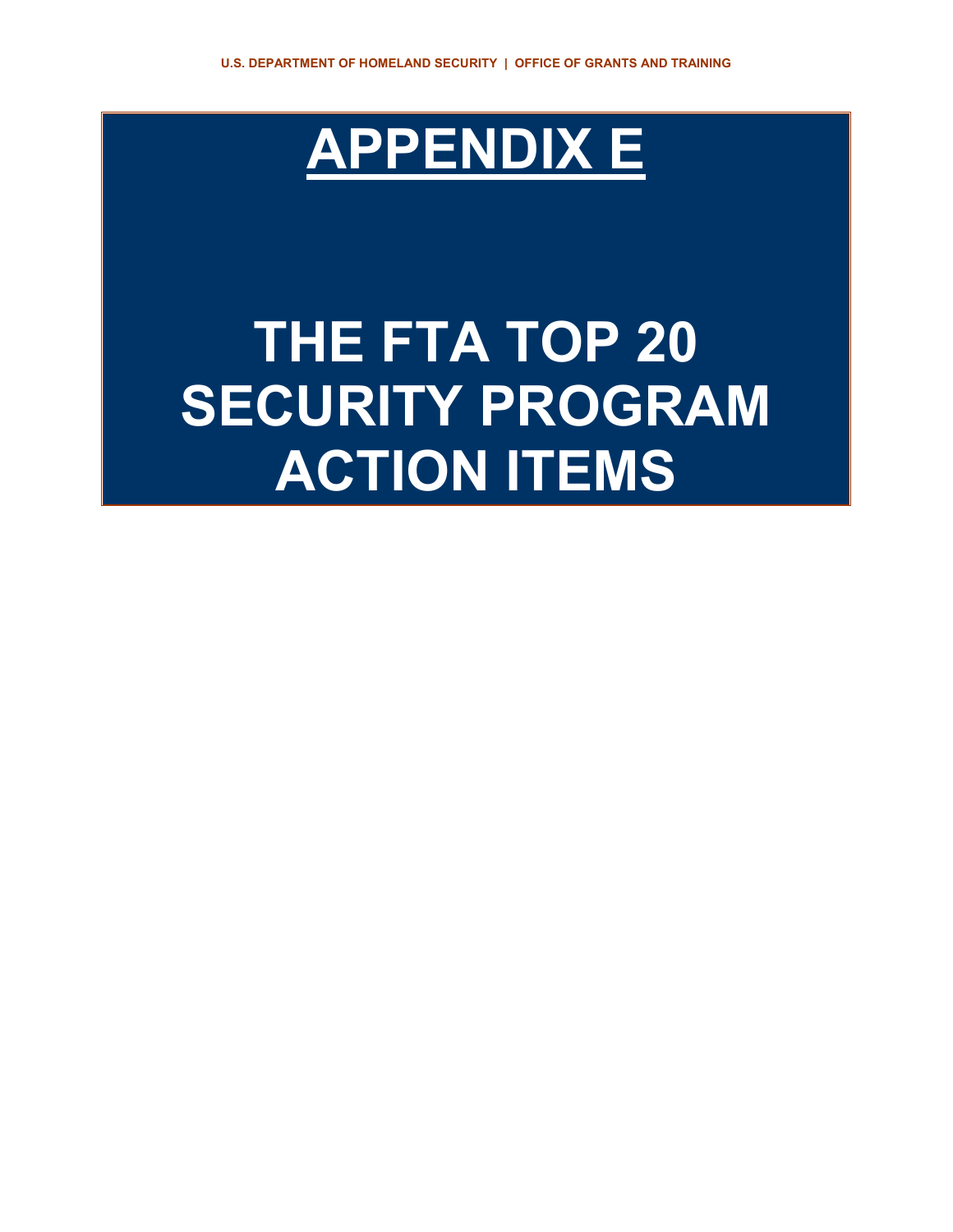

# **THE FTA TOP 20 SECURITY PROGRAM ACTION ITEMS**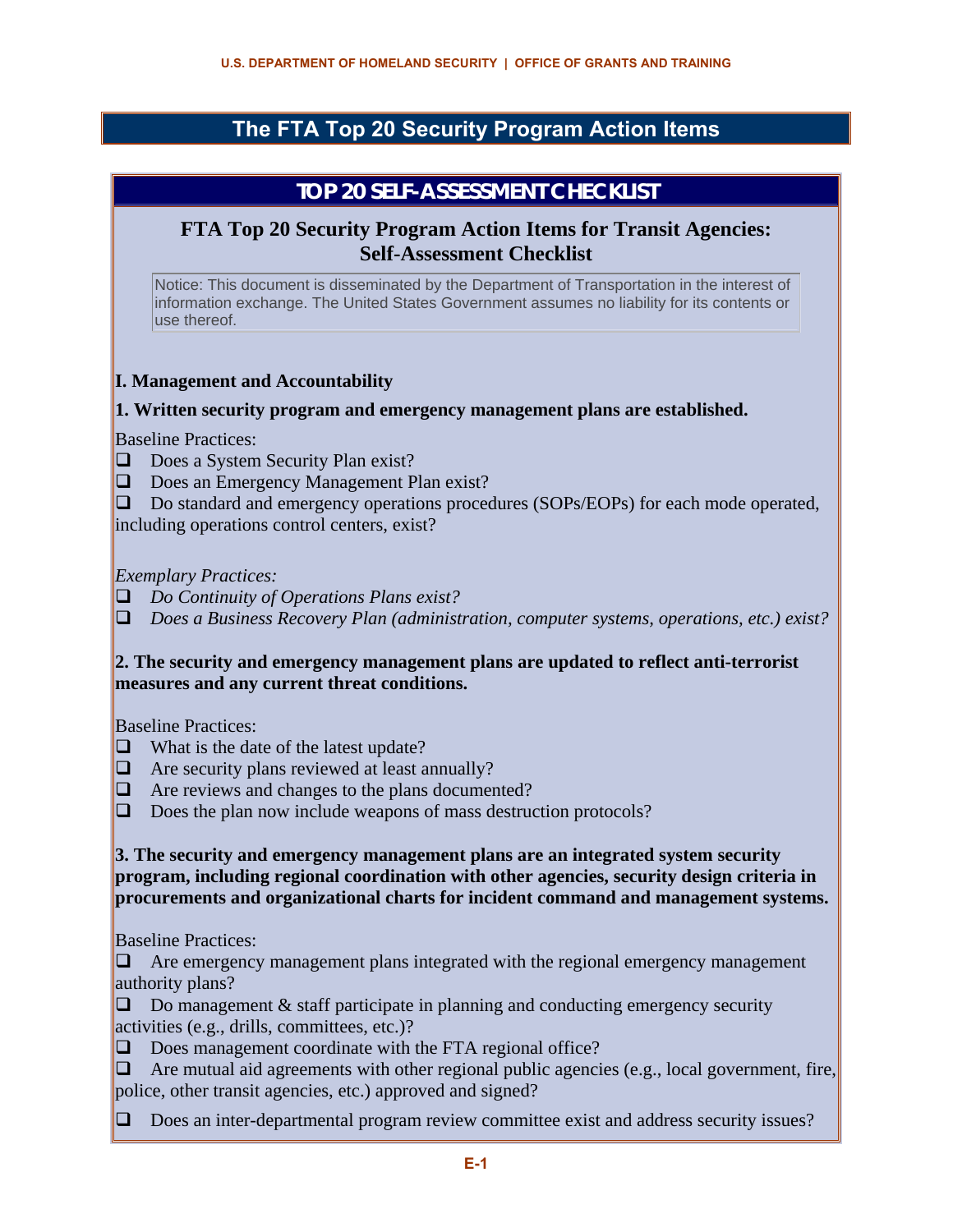# **The FTA Top 20 Security Program Action Items**

## **TOP 20 SELF-ASSESSMENT CHECKLIST**

#### **FTA Top 20 Security Program Action Items for Transit Agencies: Self-Assessment Checklist**

Notice: This document is disseminated by the Department of Transportation in the interest of information exchange. The United States Government assumes no liability for its contents or use thereof.

#### **I. Management and Accountability**

#### **1. Written security program and emergency management plans are established.**

Baseline Practices:

- Does a System Security Plan exist?
- Does an Emergency Management Plan exist?

Do standard and emergency operations procedures (SOPs/EOPs) for each mode operated, including operations control centers, exist?

*Exemplary Practices:* 

*Do Continuity of Operations Plans exist?* 

*Does a Business Recovery Plan (administration, computer systems, operations, etc.) exist?*

#### **2. The security and emergency management plans are updated to reflect anti-terrorist measures and any current threat conditions.**

Baseline Practices:

- $\Box$  What is the date of the latest update?
- $\Box$  Are security plans reviewed at least annually?
- □ Are reviews and changes to the plans documented?
- $\Box$  Does the plan now include weapons of mass destruction protocols?

#### **3. The security and emergency management plans are an integrated system security program, including regional coordination with other agencies, security design criteria in procurements and organizational charts for incident command and management systems.**

Baseline Practices:

 $\Box$  Are emergency management plans integrated with the regional emergency management authority plans?

 $\Box$  Do management & staff participate in planning and conducting emergency security activities (e.g., drills, committees, etc.)?

Does management coordinate with the FTA regional office?

 $\Box$  Are mutual aid agreements with other regional public agencies (e.g., local government, fire, police, other transit agencies, etc.) approved and signed?

Does an inter-departmental program review committee exist and address security issues?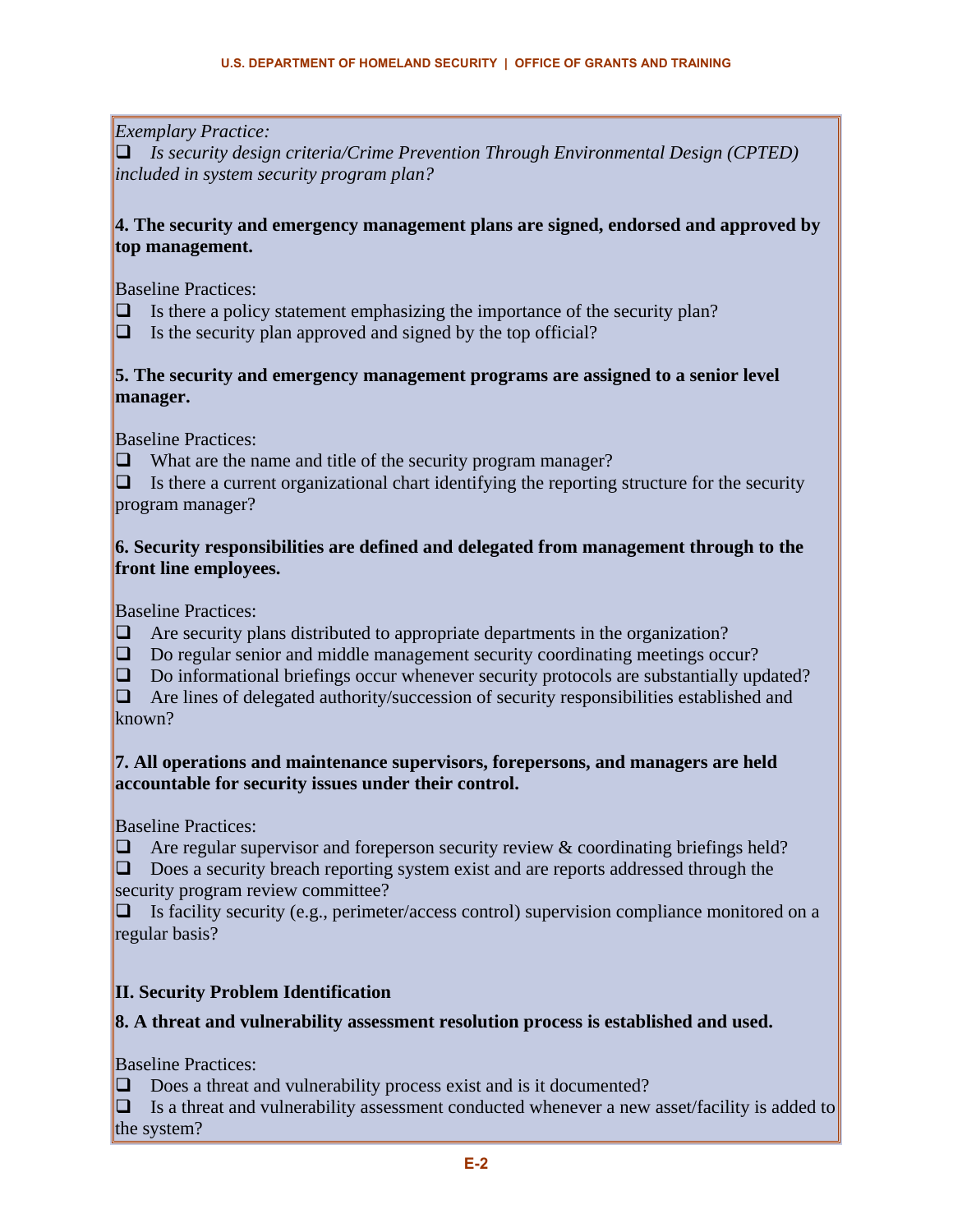*Exemplary Practice:* 

 *Is security design criteria/Crime Prevention Through Environmental Design (CPTED) included in system security program plan?* 

#### **4. The security and emergency management plans are signed, endorsed and approved by top management.**

Baseline Practices:

- $\Box$  Is there a policy statement emphasizing the importance of the security plan?
- $\Box$  Is the security plan approved and signed by the top official?

#### **5. The security and emergency management programs are assigned to a senior level manager.**

Baseline Practices:

What are the name and title of the security program manager?

 $\Box$  Is there a current organizational chart identifying the reporting structure for the security program manager?

#### **6. Security responsibilities are defined and delegated from management through to the front line employees.**

Baseline Practices:

- $\Box$  Are security plans distributed to appropriate departments in the organization?
- Do regular senior and middle management security coordinating meetings occur?
- Do informational briefings occur whenever security protocols are substantially updated?

 $\Box$  Are lines of delegated authority/succession of security responsibilities established and known?

#### **7. All operations and maintenance supervisors, forepersons, and managers are held accountable for security issues under their control.**

Baseline Practices:

 $\Box$  Are regular supervisor and foreperson security review & coordinating briefings held?

Does a security breach reporting system exist and are reports addressed through the security program review committee?

 $\Box$  Is facility security (e.g., perimeter/access control) supervision compliance monitored on a regular basis?

## **II. Security Problem Identification**

### **8. A threat and vulnerability assessment resolution process is established and used.**

Baseline Practices:

 $\Box$  Does a threat and vulnerability process exist and is it documented?

 $\Box$  Is a threat and vulnerability assessment conducted whenever a new asset/facility is added to the system?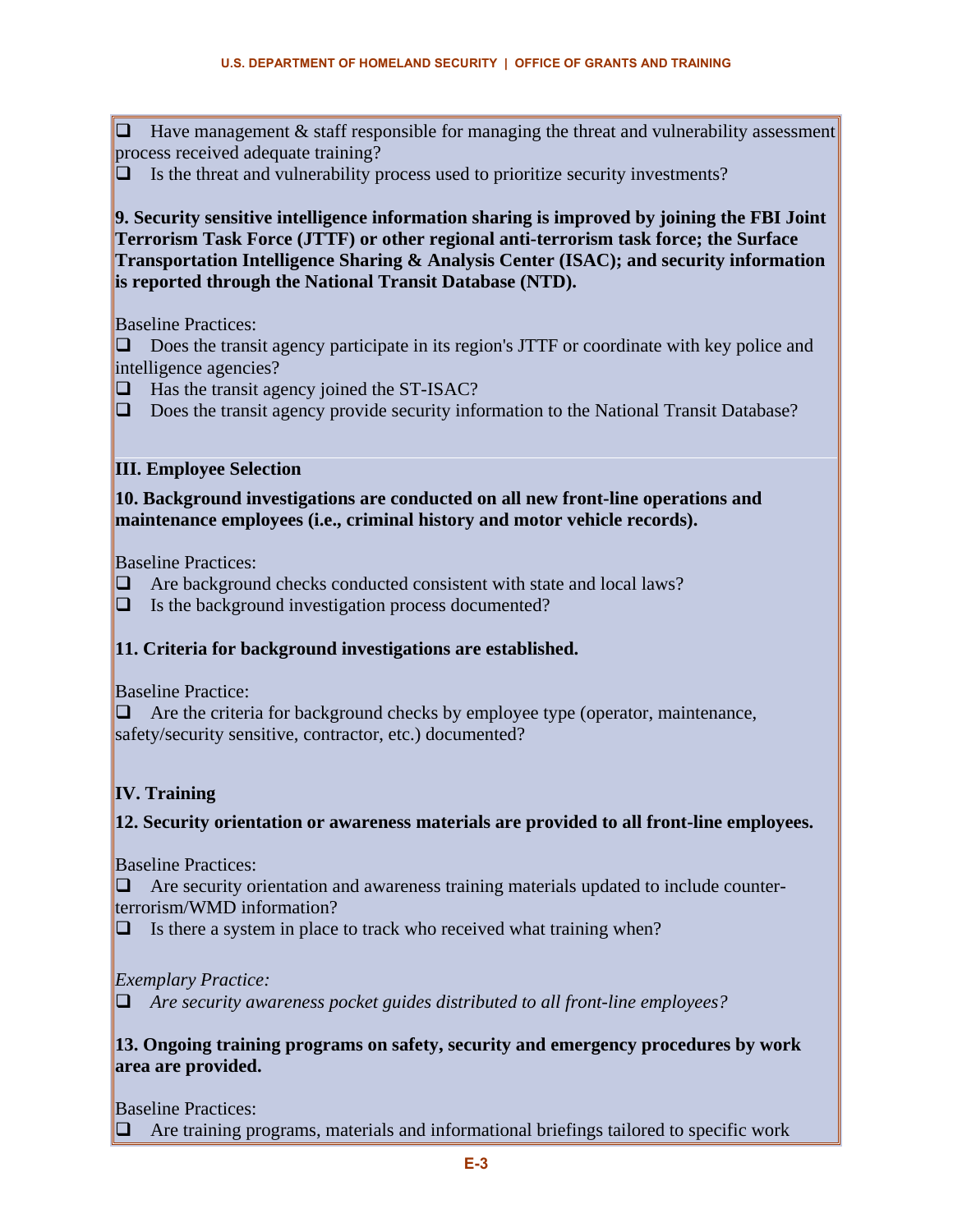$\Box$  Have management & staff responsible for managing the threat and vulnerability assessment process received adequate training?

 $\Box$  Is the threat and vulnerability process used to prioritize security investments?

**9. Security sensitive intelligence information sharing is improved by joining the FBI Joint Terrorism Task Force (JTTF) or other regional anti-terrorism task force; the Surface Transportation Intelligence Sharing & Analysis Center (ISAC); and security information is reported through the National Transit Database (NTD).** 

Baseline Practices:

 $\Box$  Does the transit agency participate in its region's JTTF or coordinate with key police and intelligence agencies?

 $\Box$  Has the transit agency joined the ST-ISAC?

 $\Box$  Does the transit agency provide security information to the National Transit Database?

#### **III. Employee Selection**

#### **10. Background investigations are conducted on all new front-line operations and maintenance employees (i.e., criminal history and motor vehicle records).**

Baseline Practices:

 $\Box$  Are background checks conducted consistent with state and local laws?

 $\Box$  Is the background investigation process documented?

#### **11. Criteria for background investigations are established.**

Baseline Practice:

 $\Box$  Are the criteria for background checks by employee type (operator, maintenance, safety/security sensitive, contractor, etc.) documented?

#### **IV. Training**

#### **12. Security orientation or awareness materials are provided to all front-line employees.**

Baseline Practices:

 $\Box$  Are security orientation and awareness training materials updated to include counterterrorism/WMD information?

 $\Box$  Is there a system in place to track who received what training when?

*Exemplary Practice:*

*Are security awareness pocket guides distributed to all front-line employees?* 

#### **13. Ongoing training programs on safety, security and emergency procedures by work area are provided.**

Baseline Practices:

 $\Box$  Are training programs, materials and informational briefings tailored to specific work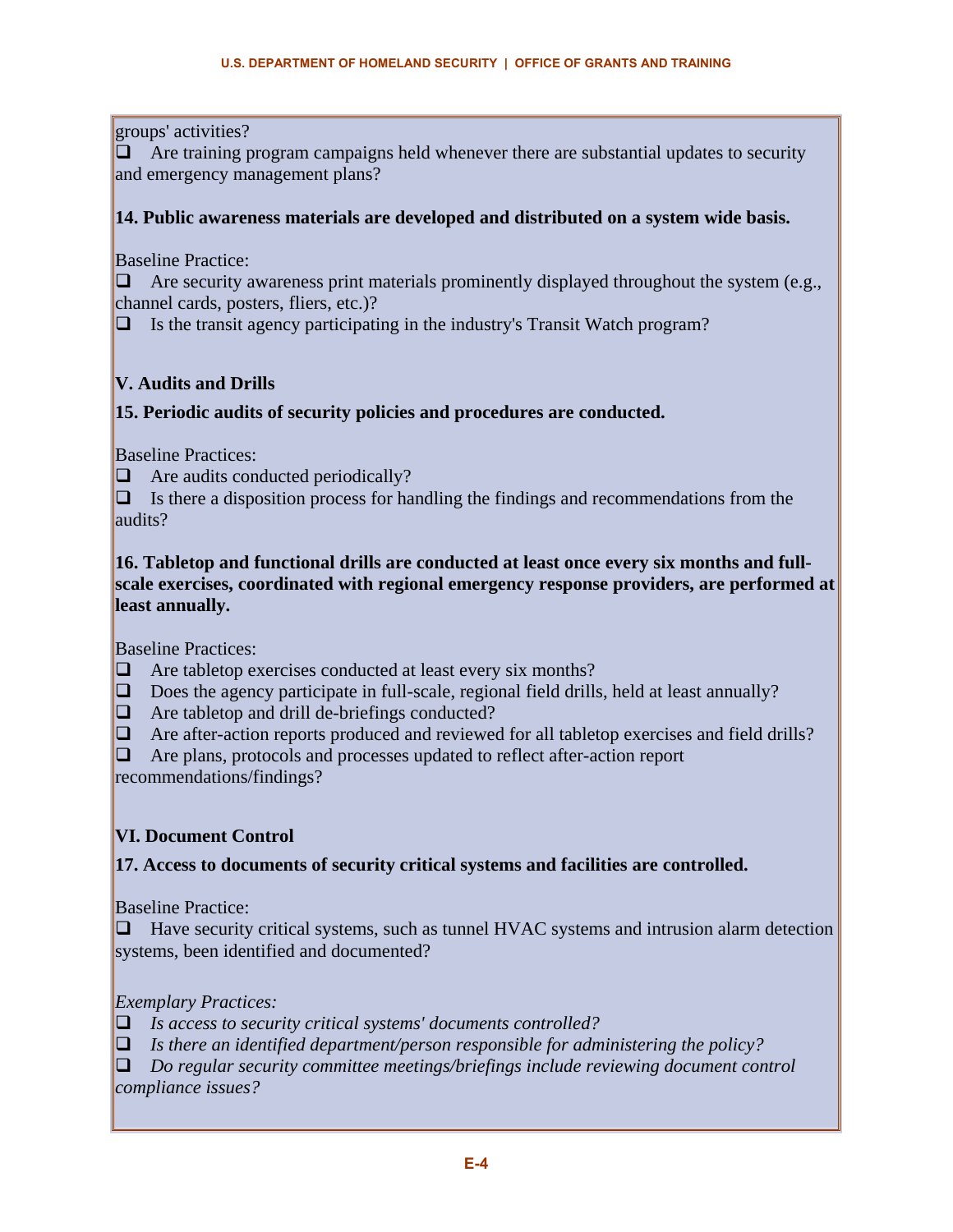groups' activities?

 $\Box$  Are training program campaigns held whenever there are substantial updates to security and emergency management plans?

### **14. Public awareness materials are developed and distributed on a system wide basis.**

Baseline Practice:

 $\Box$  Are security awareness print materials prominently displayed throughout the system (e.g., channel cards, posters, fliers, etc.)?

 $\Box$  Is the transit agency participating in the industry's Transit Watch program?

### **V. Audits and Drills**

### **15. Periodic audits of security policies and procedures are conducted.**

Baseline Practices:

 $\Box$  Are audits conducted periodically?

 $\Box$  Is there a disposition process for handling the findings and recommendations from the audits?

**16. Tabletop and functional drills are conducted at least once every six months and fullscale exercises, coordinated with regional emergency response providers, are performed at least annually.** 

Baseline Practices:

 $\Box$  Are tabletop exercises conducted at least every six months?

 $\square$  Does the agency participate in full-scale, regional field drills, held at least annually?

□ Are tabletop and drill de-briefings conducted?

 $\Box$  Are after-action reports produced and reviewed for all tabletop exercises and field drills?

Are plans, protocols and processes updated to reflect after-action report

recommendations/findings?

## **VI. Document Control**

**17. Access to documents of security critical systems and facilities are controlled.** 

Baseline Practice:

 $\Box$  Have security critical systems, such as tunnel HVAC systems and intrusion alarm detection systems, been identified and documented?

*Exemplary Practices:* 

*Is access to security critical systems' documents controlled?*

*Is there an identified department/person responsible for administering the policy?* 

 *Do regular security committee meetings/briefings include reviewing document control compliance issues?*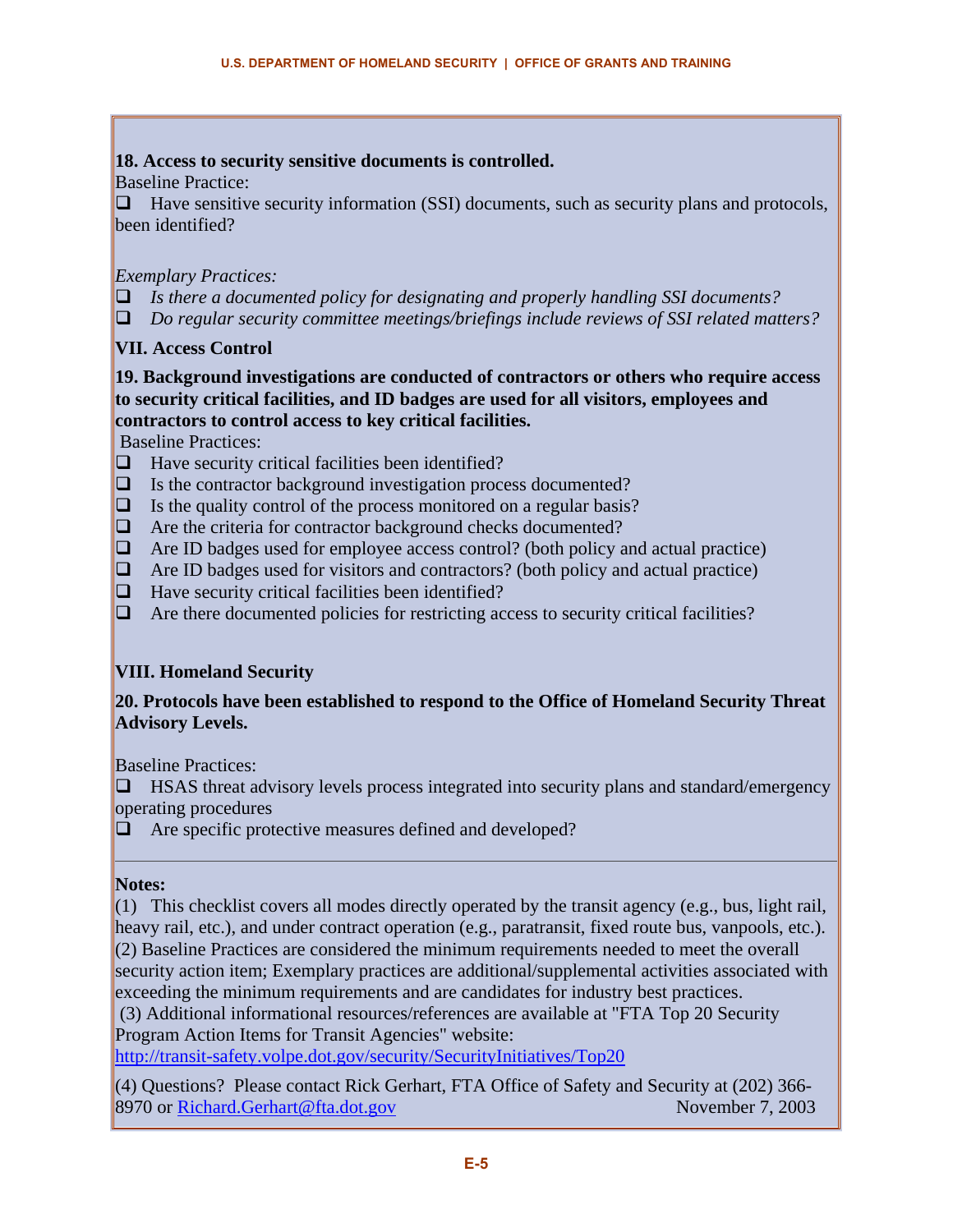#### **18. Access to security sensitive documents is controlled.**

Baseline Practice:

 $\Box$  Have sensitive security information (SSI) documents, such as security plans and protocols, been identified?

*Exemplary Practices:* 

- *Is there a documented policy for designating and properly handling SSI documents?*
- *Do regular security committee meetings/briefings include reviews of SSI related matters?*

#### **VII. Access Control**

#### **19. Background investigations are conducted of contractors or others who require access to security critical facilities, and ID badges are used for all visitors, employees and contractors to control access to key critical facilities.**

Baseline Practices:

- $\Box$  Have security critical facilities been identified?
- $\Box$  Is the contractor background investigation process documented?
- $\Box$  Is the quality control of the process monitored on a regular basis?
- Are the criteria for contractor background checks documented?
- $\Box$  Are ID badges used for employee access control? (both policy and actual practice)
- $\Box$  Are ID badges used for visitors and contractors? (both policy and actual practice)
- $\Box$  Have security critical facilities been identified?
- $\Box$  Are there documented policies for restricting access to security critical facilities?

#### **VIII. Homeland Security**

#### **20. Protocols have been established to respond to the Office of Homeland Security Threat Advisory Levels.**

Baseline Practices:

 HSAS threat advisory levels process integrated into security plans and standard/emergency operating procedures

Are specific protective measures defined and developed?

#### **Notes:**

(1) This checklist covers all modes directly operated by the transit agency (e.g., bus, light rail, heavy rail, etc.), and under contract operation (e.g., paratransit, fixed route bus, vanpools, etc.). (2) Baseline Practices are considered the minimum requirements needed to meet the overall security action item; Exemplary practices are additional/supplemental activities associated with exceeding the minimum requirements and are candidates for industry best practices.

 (3) Additional informational resources/references are available at "FTA Top 20 Security Program Action Items for Transit Agencies" website:

http://transit-safety.volpe.dot.gov/security/SecurityInitiatives/Top20

(4) Questions? Please contact Rick Gerhart, FTA Office of Safety and Security at (202) 366- 8970 or Richard.Gerhart@fta.dot.gov November 7, 2003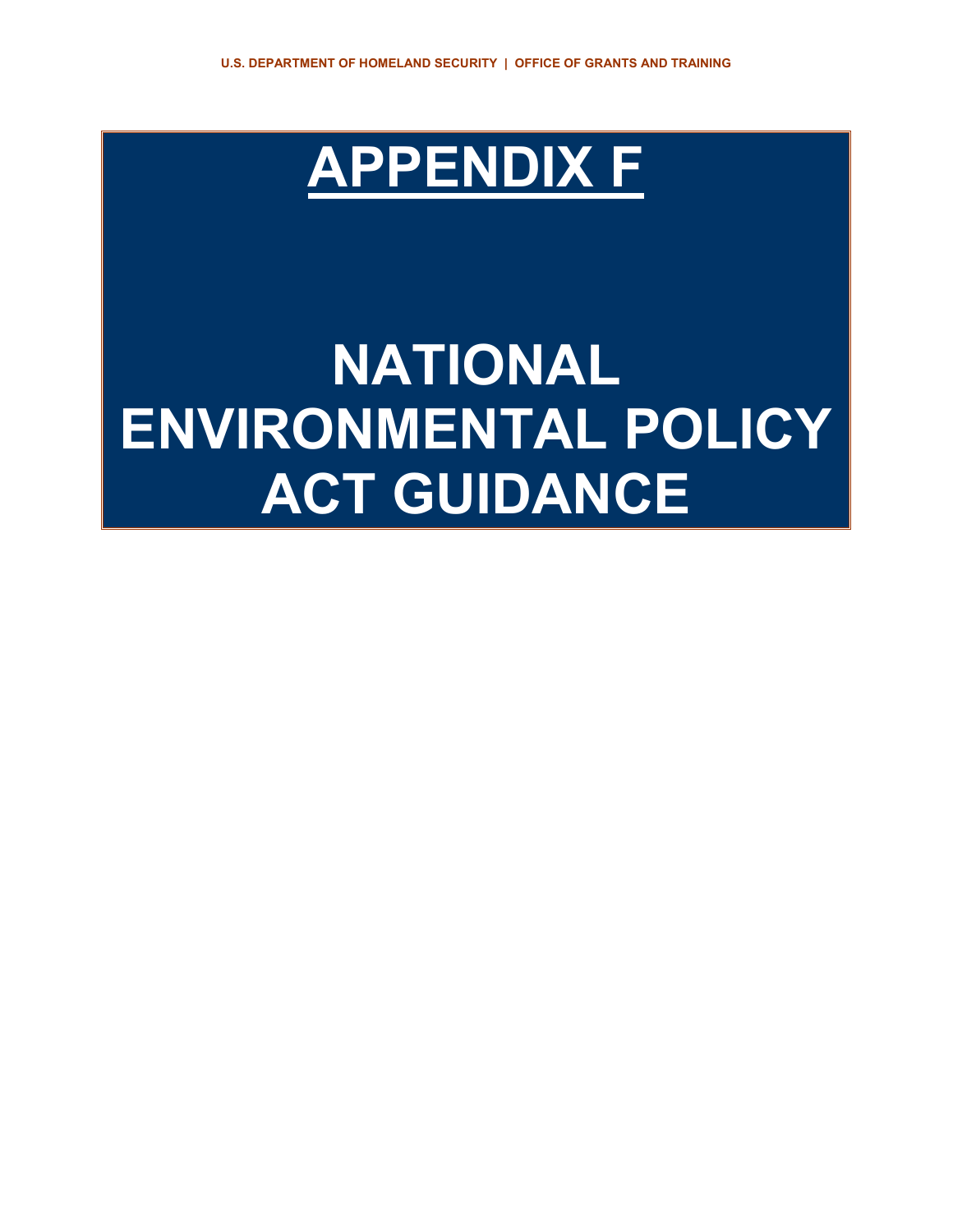

# **NATIONAL ENVIRONMENTAL POLICY ACT GUIDANCE**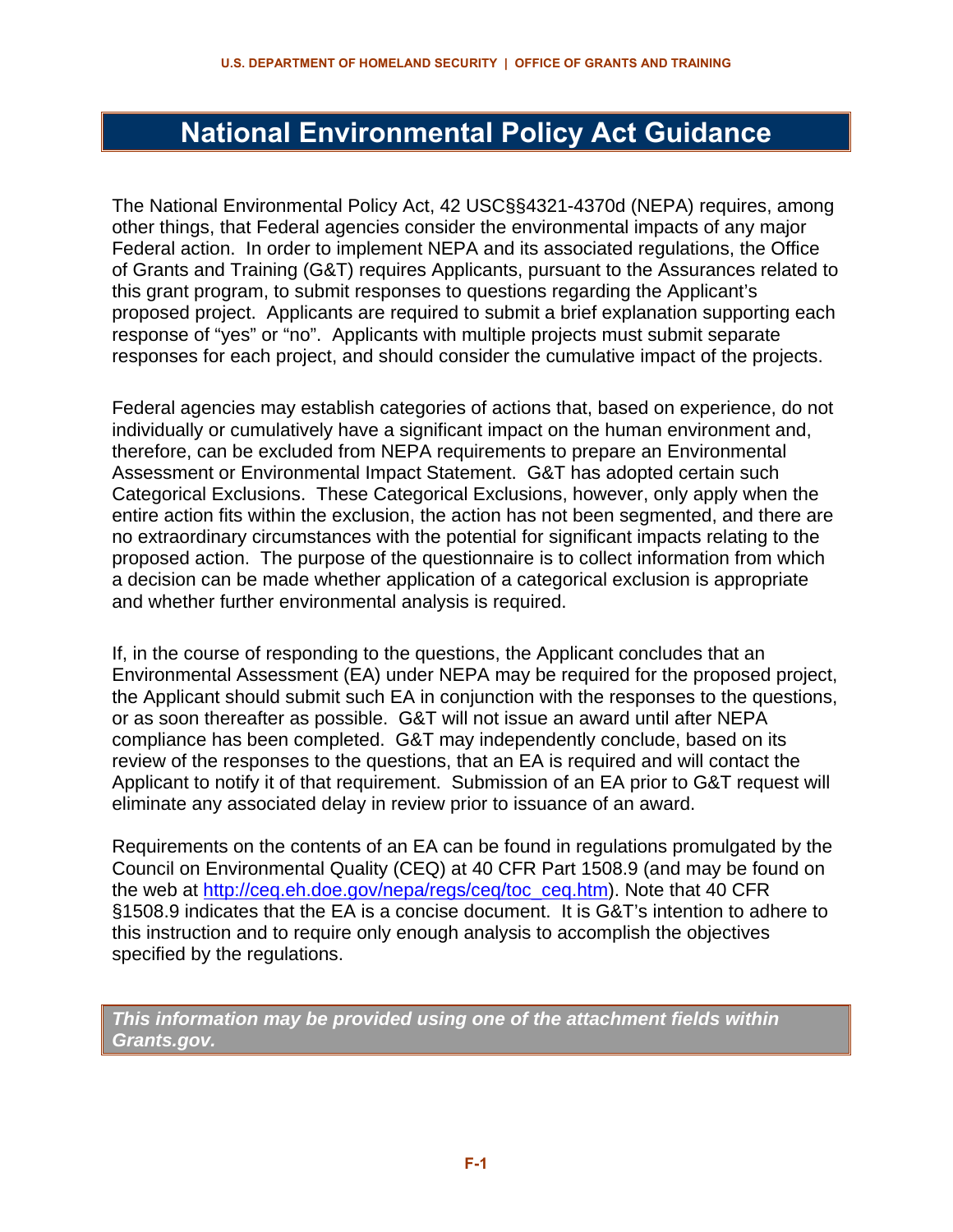# **National Environmental Policy Act Guidance**

The National Environmental Policy Act, 42 USC§§4321-4370d (NEPA) requires, among other things, that Federal agencies consider the environmental impacts of any major Federal action. In order to implement NEPA and its associated regulations, the Office of Grants and Training (G&T) requires Applicants, pursuant to the Assurances related to this grant program, to submit responses to questions regarding the Applicant's proposed project. Applicants are required to submit a brief explanation supporting each response of "yes" or "no". Applicants with multiple projects must submit separate responses for each project, and should consider the cumulative impact of the projects.

Federal agencies may establish categories of actions that, based on experience, do not individually or cumulatively have a significant impact on the human environment and, therefore, can be excluded from NEPA requirements to prepare an Environmental Assessment or Environmental Impact Statement. G&T has adopted certain such Categorical Exclusions. These Categorical Exclusions, however, only apply when the entire action fits within the exclusion, the action has not been segmented, and there are no extraordinary circumstances with the potential for significant impacts relating to the proposed action. The purpose of the questionnaire is to collect information from which a decision can be made whether application of a categorical exclusion is appropriate and whether further environmental analysis is required.

If, in the course of responding to the questions, the Applicant concludes that an Environmental Assessment (EA) under NEPA may be required for the proposed project, the Applicant should submit such EA in conjunction with the responses to the questions, or as soon thereafter as possible. G&T will not issue an award until after NEPA compliance has been completed. G&T may independently conclude, based on its review of the responses to the questions, that an EA is required and will contact the Applicant to notify it of that requirement. Submission of an EA prior to G&T request will eliminate any associated delay in review prior to issuance of an award.

Requirements on the contents of an EA can be found in regulations promulgated by the Council on Environmental Quality (CEQ) at 40 CFR Part 1508.9 (and may be found on the web at http://ceq.eh.doe.gov/nepa/regs/ceq/toc\_ceq.htm). Note that 40 CFR §1508.9 indicates that the EA is a concise document. It is G&T's intention to adhere to this instruction and to require only enough analysis to accomplish the objectives specified by the regulations.

*This information may be provided using one of the attachment fields within Grants.gov.*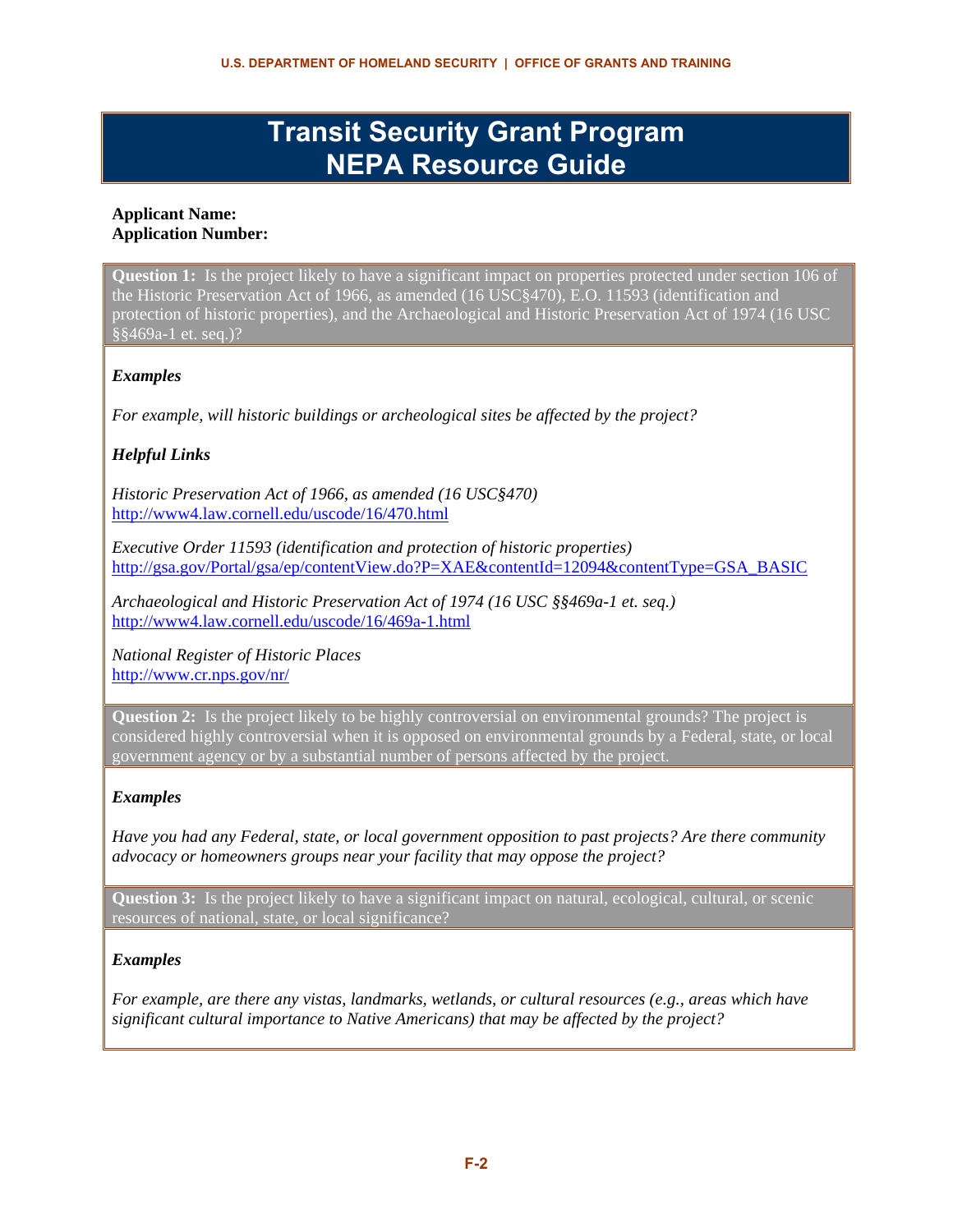# **Transit Security Grant Program NEPA Resource Guide**

#### **Applicant Name: Application Number:**

**Question 1:** Is the project likely to have a significant impact on properties protected under section 106 of the Historic Preservation Act of 1966, as amended (16 USC§470), E.O. 11593 (identification and protection of historic properties), and the Archaeological and Historic Preservation Act of 1974 (16 USC §§469a-1 et. seq.)?

#### *Examples*

*For example, will historic buildings or archeological sites be affected by the project?* 

#### *Helpful Links*

*Historic Preservation Act of 1966, as amended (16 USC§470)* http://www4.law.cornell.edu/uscode/16/470.html

*Executive Order 11593 (identification and protection of historic properties)*  http://gsa.gov/Portal/gsa/ep/contentView.do?P=XAE&contentId=12094&contentType=GSA\_BASIC

*Archaeological and Historic Preservation Act of 1974 (16 USC §§469a-1 et. seq.)*  http://www4.law.cornell.edu/uscode/16/469a-1.html

*National Register of Historic Places*  http://www.cr.nps.gov/nr/

**Question 2:** Is the project likely to be highly controversial on environmental grounds? The project is considered highly controversial when it is opposed on environmental grounds by a Federal, state, or local government agency or by a substantial number of persons affected by the project.

#### *Examples*

*Have you had any Federal, state, or local government opposition to past projects? Are there community advocacy or homeowners groups near your facility that may oppose the project?*

**Question 3:** Is the project likely to have a significant impact on natural, ecological, cultural, or scenic resources of national, state, or local significance?

#### *Examples*

*For example, are there any vistas, landmarks, wetlands, or cultural resources (e.g., areas which have significant cultural importance to Native Americans) that may be affected by the project?*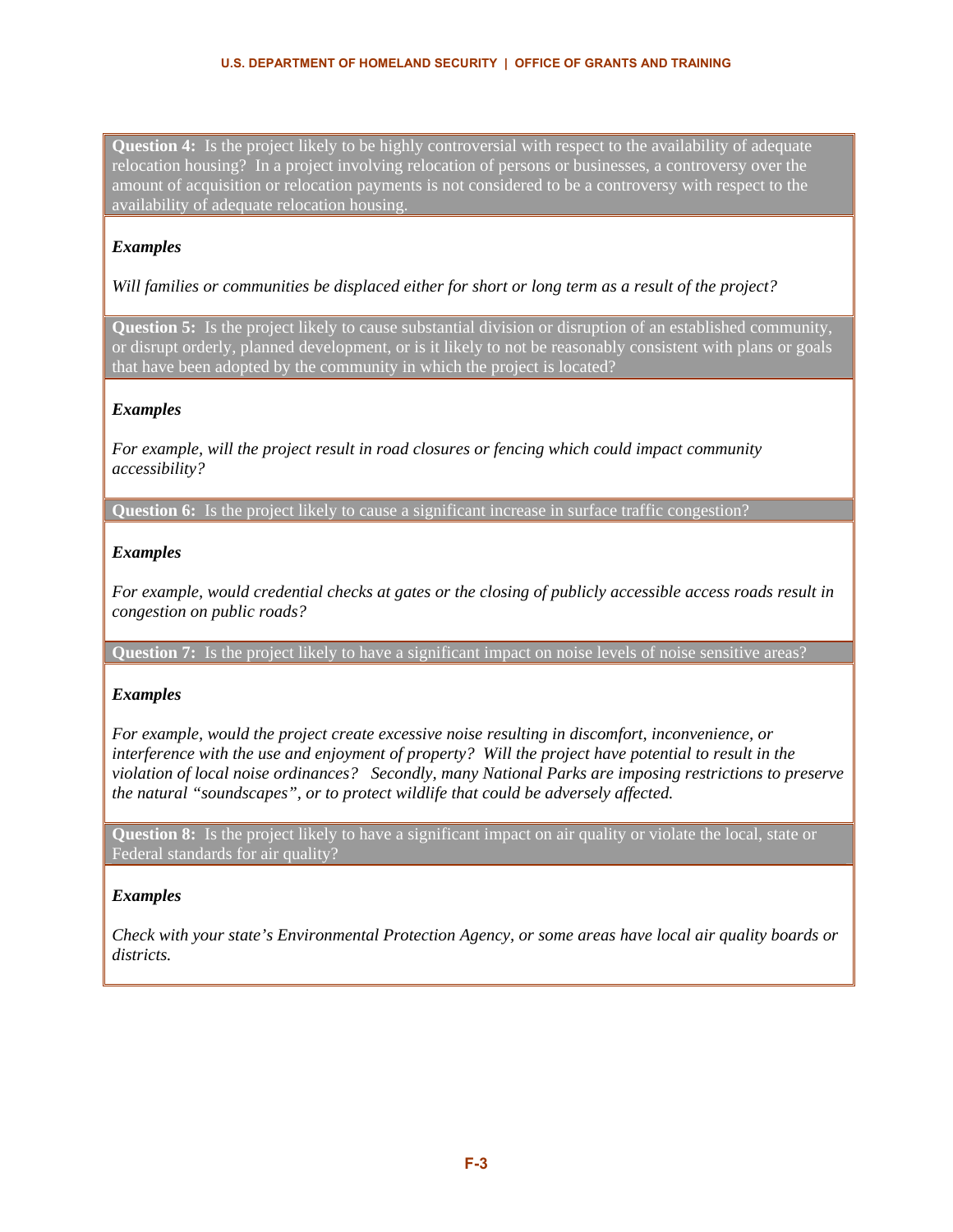#### **U.S. DEPARTMENT OF HOMELAND SECURITY | OFFICE OF GRANTS AND TRAINING**

**Question 4:** Is the project likely to be highly controversial with respect to the availability of adequate relocation housing? In a project involving relocation of persons or businesses, a controversy over the amount of acquisition or relocation payments is not considered to be a controversy with respect to the availability of adequate relocation housing.

#### *Examples*

*Will families or communities be displaced either for short or long term as a result of the project?* 

**Question 5:** Is the project likely to cause substantial division or disruption of an established community, or disrupt orderly, planned development, or is it likely to not be reasonably consistent with plans or goals that have been adopted by the community in which the project is located?

#### *Examples*

*For example, will the project result in road closures or fencing which could impact community accessibility?* 

**Question 6:** Is the project likely to cause a significant increase in surface traffic congestion?

#### *Examples*

*For example, would credential checks at gates or the closing of publicly accessible access roads result in congestion on public roads?* 

**Question 7:** Is the project likely to have a significant impact on noise levels of noise sensitive areas?

#### *Examples*

*For example, would the project create excessive noise resulting in discomfort, inconvenience, or interference with the use and enjoyment of property? Will the project have potential to result in the violation of local noise ordinances? Secondly, many National Parks are imposing restrictions to preserve the natural "soundscapes", or to protect wildlife that could be adversely affected.* 

**Question 8:** Is the project likely to have a significant impact on air quality or violate the local, state or Federal standards for air quality?

#### *Examples*

*Check with your state's Environmental Protection Agency, or some areas have local air quality boards or districts.*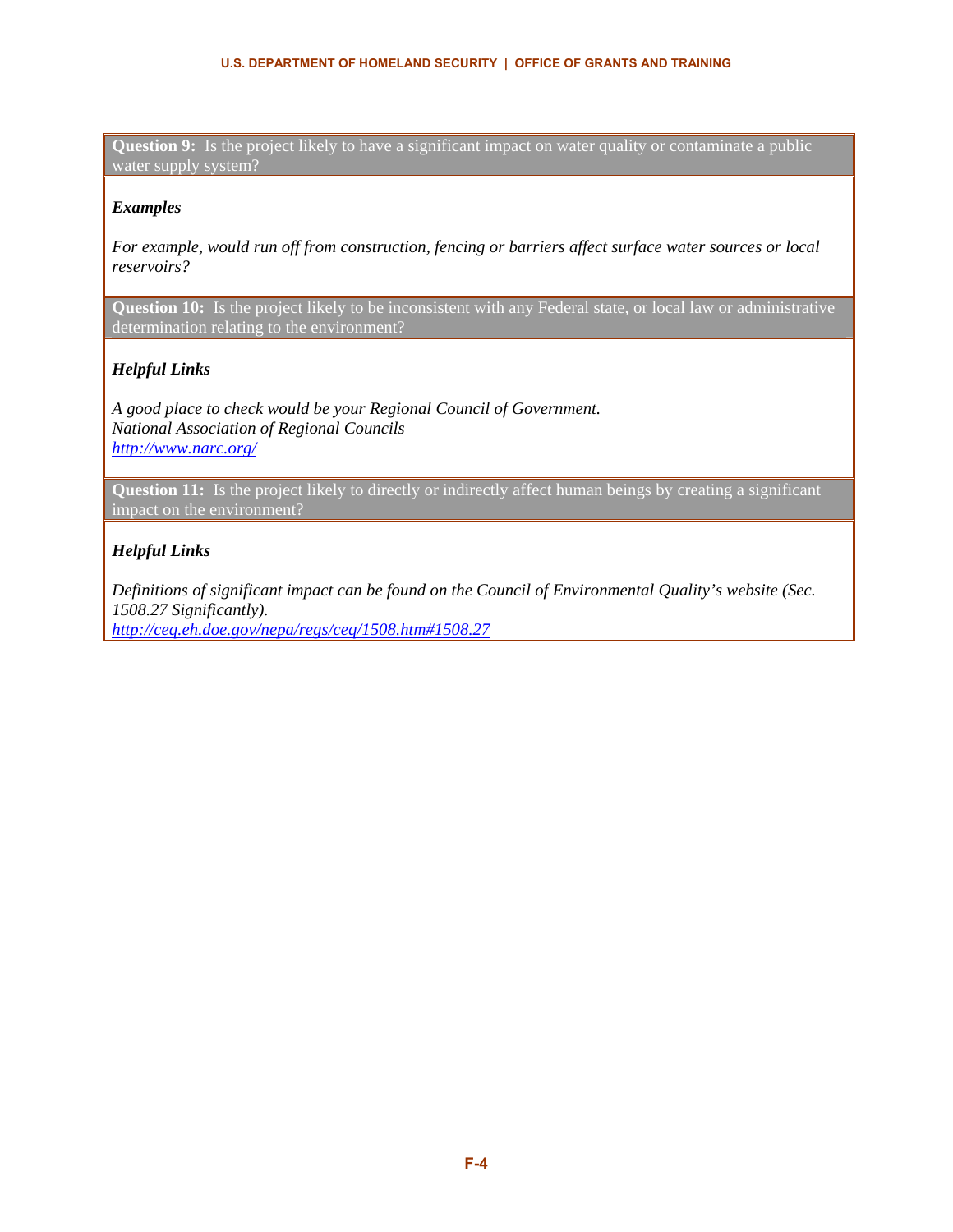**Question 9:** Is the project likely to have a significant impact on water quality or contaminate a public water supply system?

#### *Examples*

*For example, would run off from construction, fencing or barriers affect surface water sources or local reservoirs?* 

**Question 10:** Is the project likely to be inconsistent with any Federal state, or local law or administrative determination relating to the environment?

#### *Helpful Links*

*A good place to check would be your Regional Council of Government. National Association of Regional Councils http://www.narc.org/*

**Question 11:** Is the project likely to directly or indirectly affect human beings by creating a significant impact on the environment?

#### *Helpful Links*

*Definitions of significant impact can be found on the Council of Environmental Quality's website (Sec. 1508.27 Significantly). http://ceq.eh.doe.gov/nepa/regs/ceq/1508.htm#1508.27*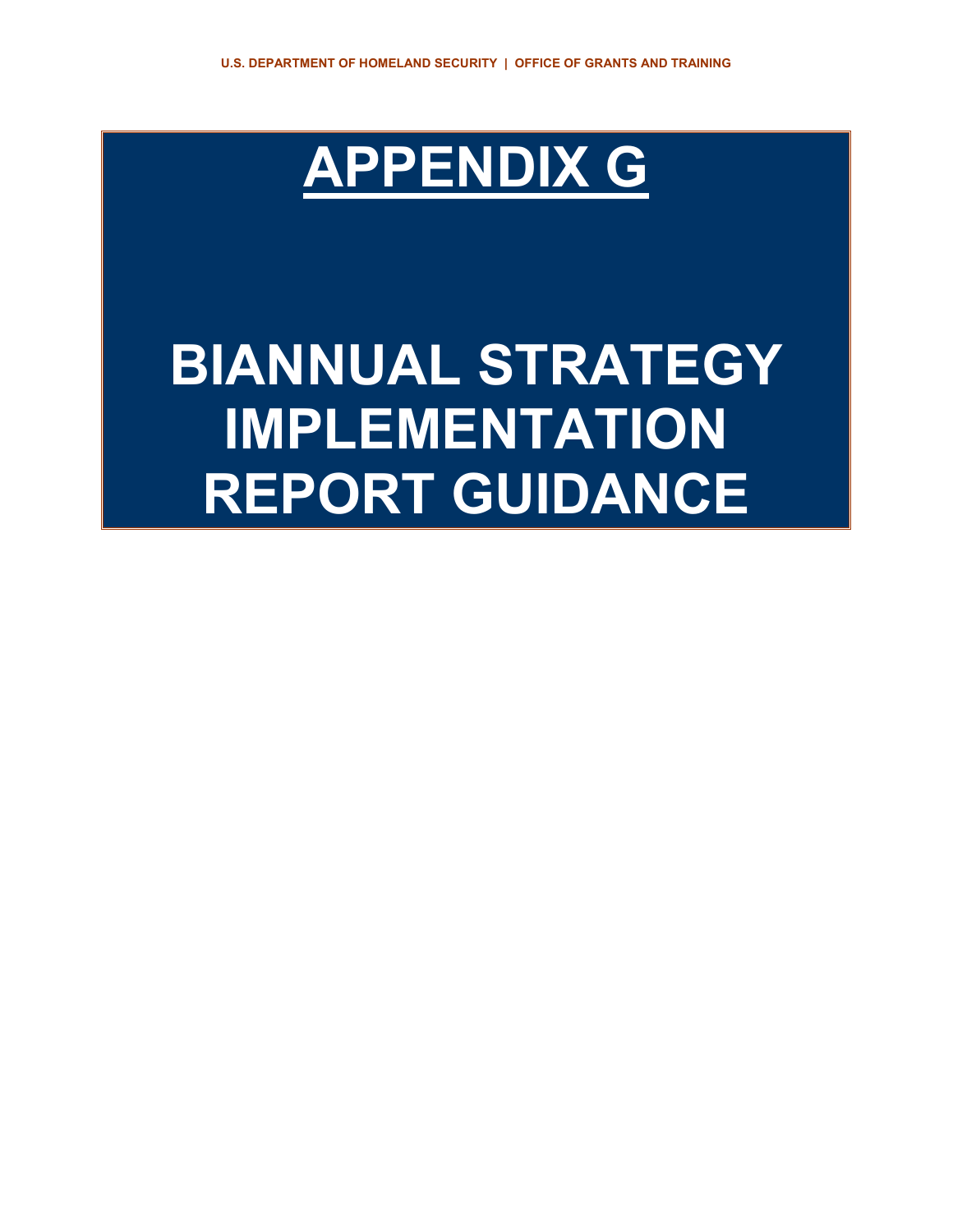

# **BIANNUAL STRATEGY IMPLEMENTATION REPORT GUIDANCE**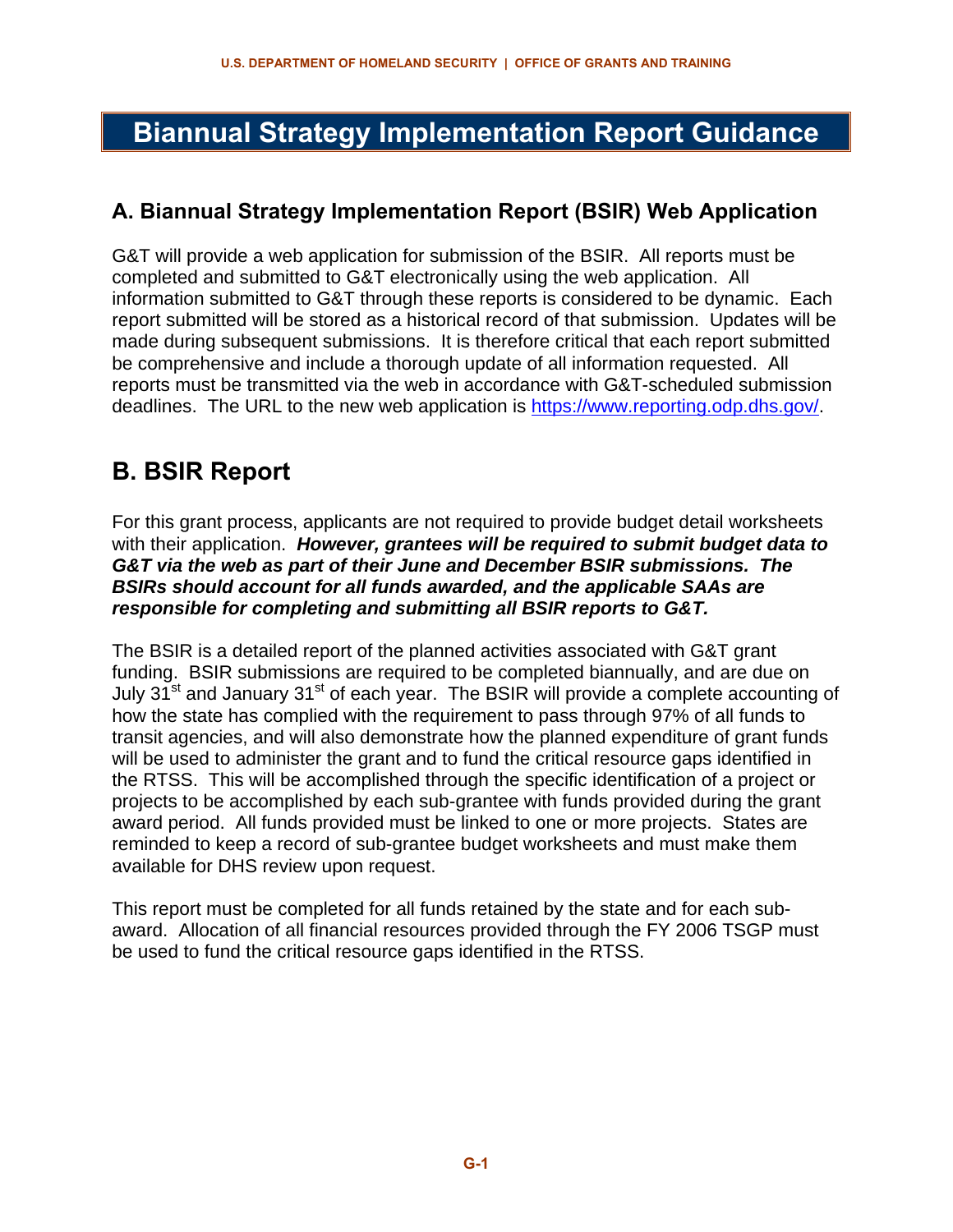# **Biannual Strategy Implementation Report Guidance**

## **A. Biannual Strategy Implementation Report (BSIR) Web Application**

G&T will provide a web application for submission of the BSIR. All reports must be completed and submitted to G&T electronically using the web application. All information submitted to G&T through these reports is considered to be dynamic. Each report submitted will be stored as a historical record of that submission. Updates will be made during subsequent submissions. It is therefore critical that each report submitted be comprehensive and include a thorough update of all information requested. All reports must be transmitted via the web in accordance with G&T-scheduled submission deadlines. The URL to the new web application is https://www.reporting.odp.dhs.gov/.

# **B. BSIR Report**

For this grant process, applicants are not required to provide budget detail worksheets with their application. *However, grantees will be required to submit budget data to G&T via the web as part of their June and December BSIR submissions. The BSIRs should account for all funds awarded, and the applicable SAAs are responsible for completing and submitting all BSIR reports to G&T.* 

The BSIR is a detailed report of the planned activities associated with G&T grant funding. BSIR submissions are required to be completed biannually, and are due on July  $31^{st}$  and January  $31^{st}$  of each year. The BSIR will provide a complete accounting of how the state has complied with the requirement to pass through 97% of all funds to transit agencies, and will also demonstrate how the planned expenditure of grant funds will be used to administer the grant and to fund the critical resource gaps identified in the RTSS. This will be accomplished through the specific identification of a project or projects to be accomplished by each sub-grantee with funds provided during the grant award period. All funds provided must be linked to one or more projects. States are reminded to keep a record of sub-grantee budget worksheets and must make them available for DHS review upon request.

This report must be completed for all funds retained by the state and for each subaward. Allocation of all financial resources provided through the FY 2006 TSGP must be used to fund the critical resource gaps identified in the RTSS.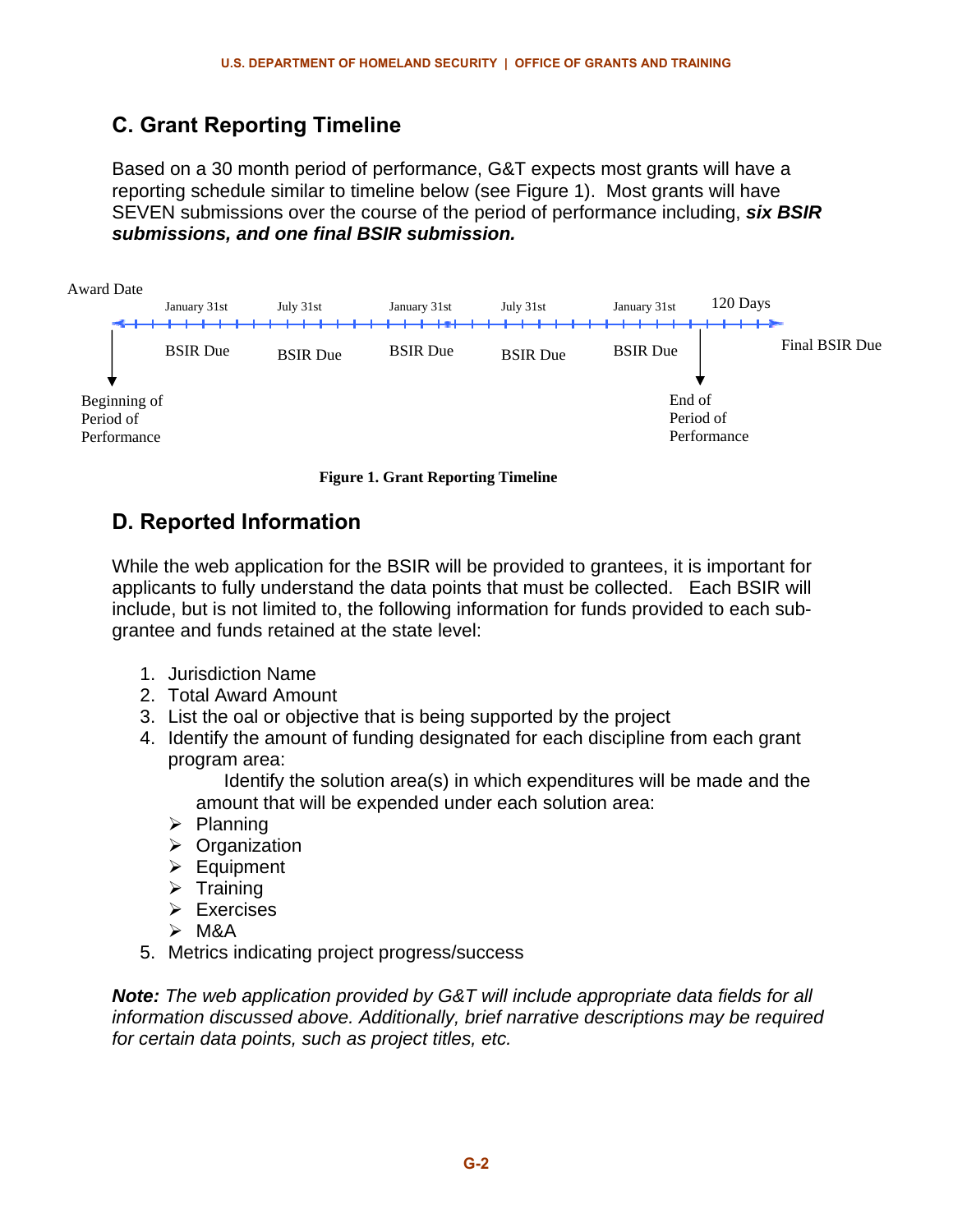## **C. Grant Reporting Timeline**

Based on a 30 month period of performance, G&T expects most grants will have a reporting schedule similar to timeline below (see Figure 1). Most grants will have SEVEN submissions over the course of the period of performance including, *six BSIR submissions, and one final BSIR submission.* 



**Figure 1. Grant Reporting Timeline** 

## **D. Reported Information**

While the web application for the BSIR will be provided to grantees, it is important for applicants to fully understand the data points that must be collected. Each BSIR will include, but is not limited to, the following information for funds provided to each subgrantee and funds retained at the state level:

- 1. Jurisdiction Name
- 2. Total Award Amount
- 3. List the oal or objective that is being supported by the project
- 4. Identify the amount of funding designated for each discipline from each grant program area:

Identify the solution area(s) in which expenditures will be made and the amount that will be expended under each solution area:

- $\triangleright$  Planning
- $\triangleright$  Organization
- $\triangleright$  Equipment
- $\triangleright$  Training
- $\triangleright$  Exercises
- $>$  M&A
- 5. Metrics indicating project progress/success

*Note: The web application provided by G&T will include appropriate data fields for all information discussed above. Additionally, brief narrative descriptions may be required for certain data points, such as project titles, etc.*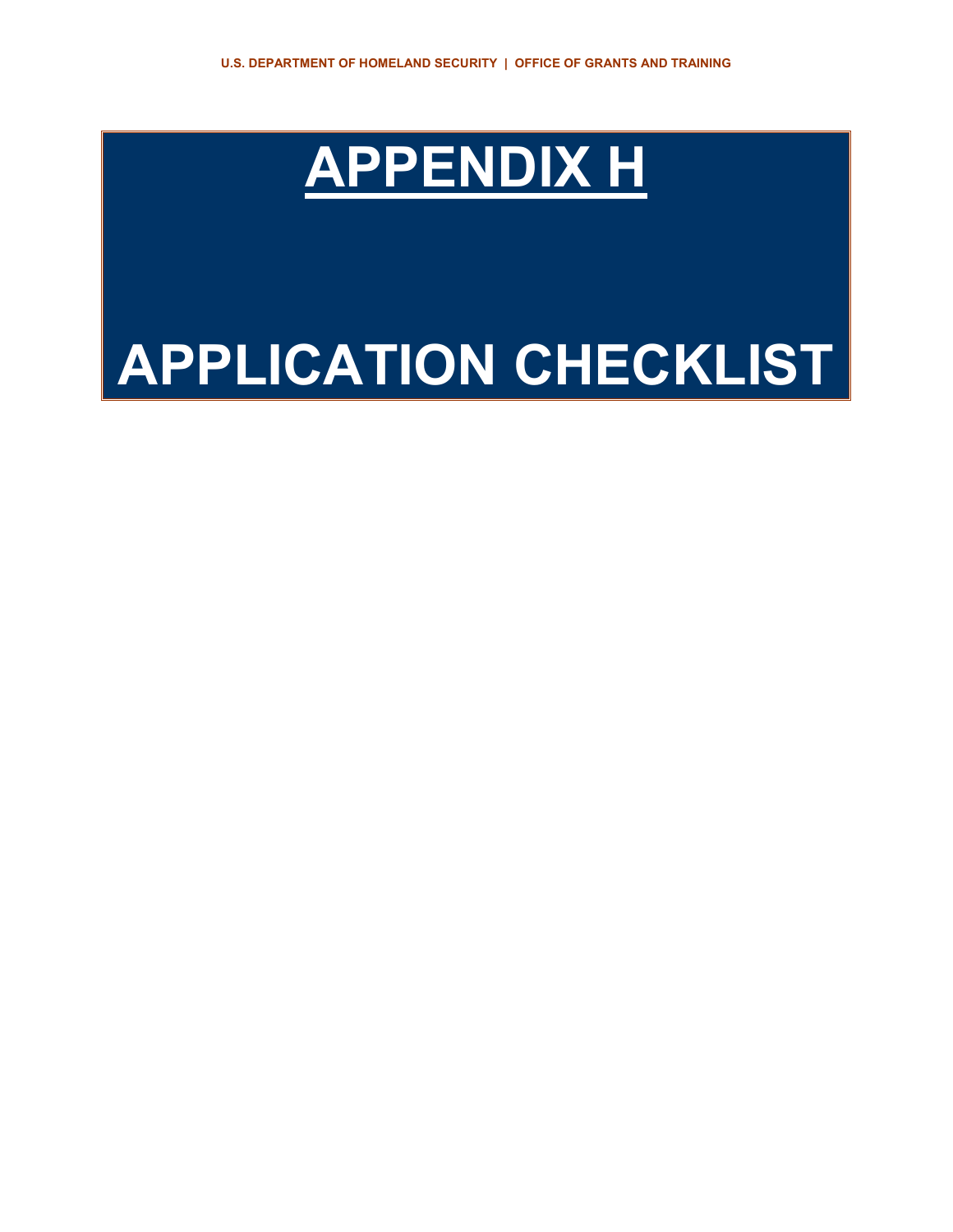

# **APPLICATION CHECKLIST**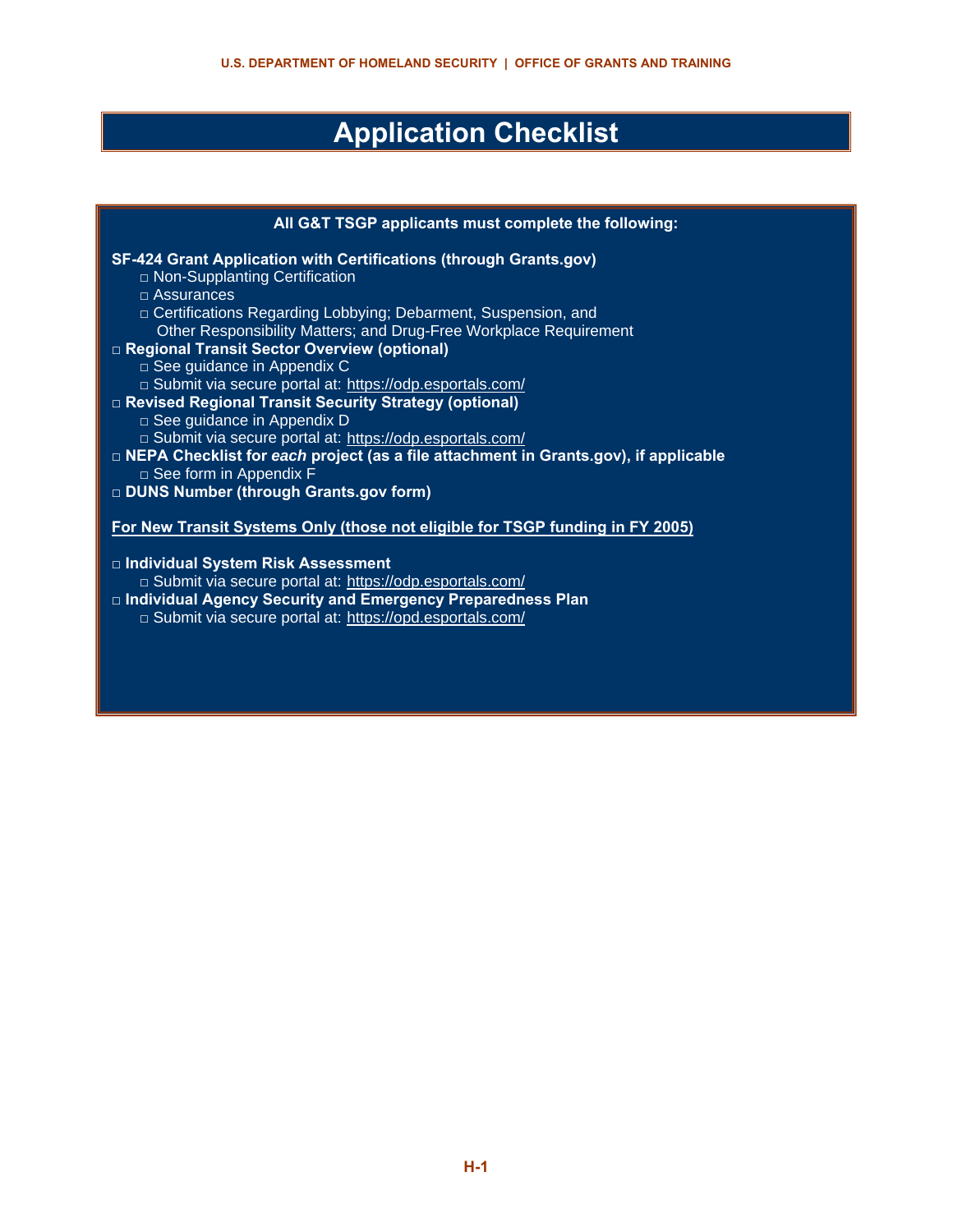## **Application Checklist**

| All G&T TSGP applicants must complete the following:                                                           |
|----------------------------------------------------------------------------------------------------------------|
| <b>SF-424 Grant Application with Certifications (through Grants.gov)</b>                                       |
| □ Non-Supplanting Certification                                                                                |
| $\Box$ Assurances                                                                                              |
| □ Certifications Regarding Lobbying; Debarment, Suspension, and                                                |
| Other Responsibility Matters; and Drug-Free Workplace Requirement                                              |
| □ Regional Transit Sector Overview (optional)                                                                  |
| $\Box$ See guidance in Appendix C                                                                              |
| □ Submit via secure portal at: https://odp.esportals.com/                                                      |
| □ Revised Regional Transit Security Strategy (optional)                                                        |
| □ See guidance in Appendix D                                                                                   |
| □ Submit via secure portal at: https://odp.esportals.com/                                                      |
| $\Box$ NEPA Checklist for each project (as a file attachment in Grants.gov), if applicable                     |
| $\Box$ See form in Appendix F                                                                                  |
| DUNS Number (through Grants.gov form)                                                                          |
|                                                                                                                |
| For New Transit Systems Only (those not eligible for TSGP funding in FY 2005)                                  |
|                                                                                                                |
| the distribution of Constitutions. This is the construction of the constant of the constant of the constant of |

- **□ Individual System Risk Assessment** 
	- **□** Submit via secure portal at: https://odp.esportals.com/
- **□ Individual Agency Security and Emergency Preparedness Plan** 
	- **□** Submit via secure portal at: https://opd.esportals.com/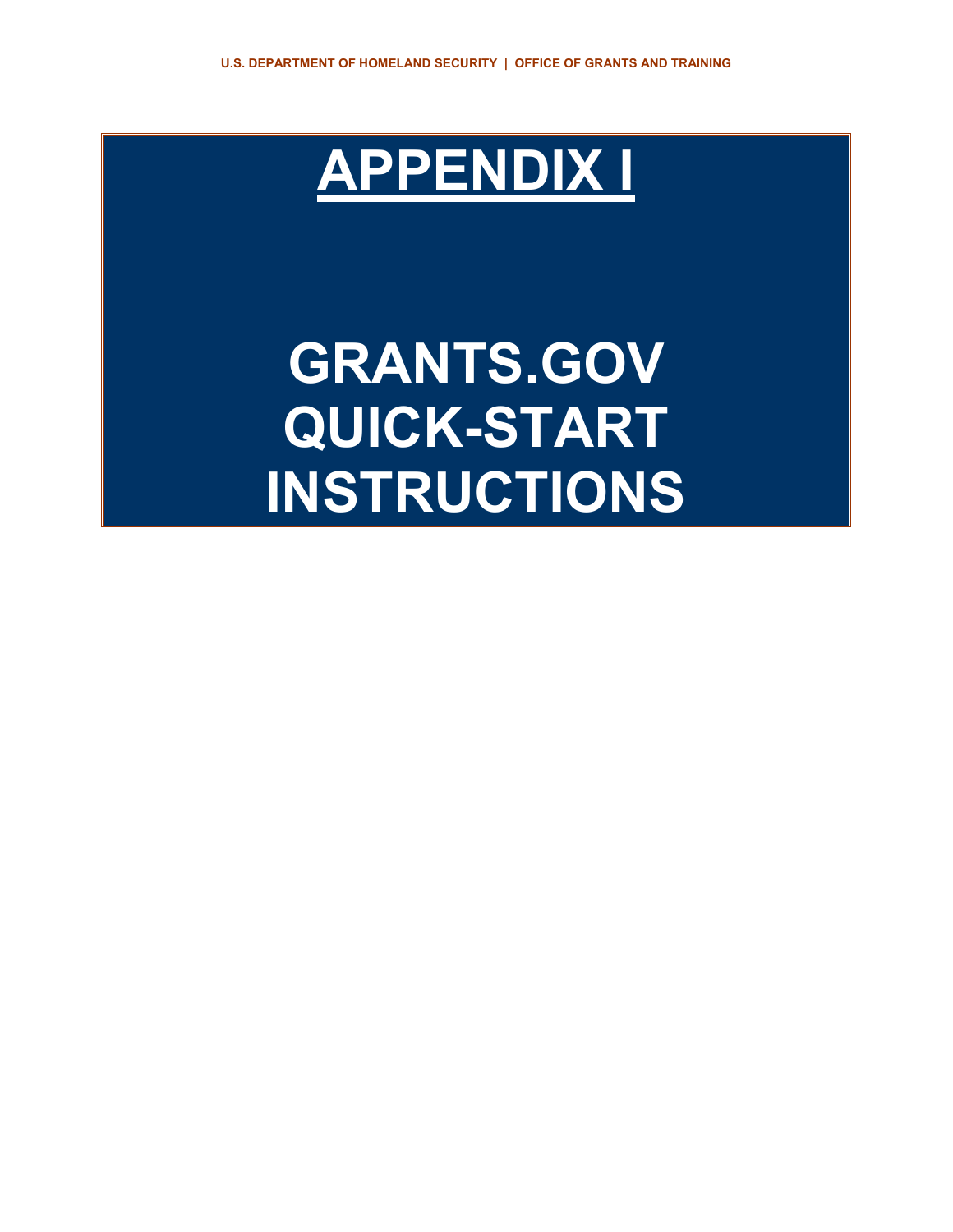

**GRANTS.GOV QUICK-START INSTRUCTIONS**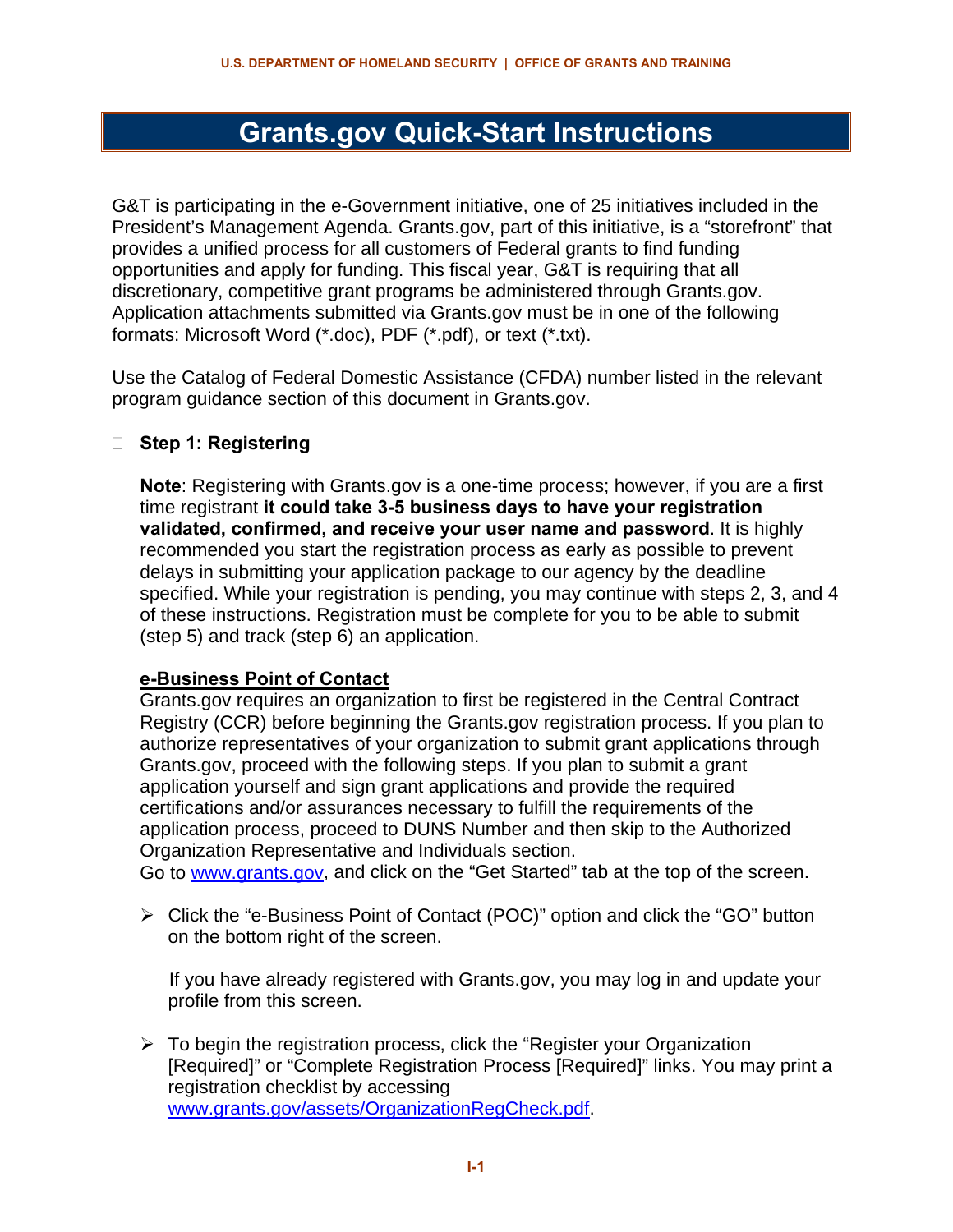## **Grants.gov Quick-Start Instructions**

G&T is participating in the e-Government initiative, one of 25 initiatives included in the President's Management Agenda. Grants.gov, part of this initiative, is a "storefront" that provides a unified process for all customers of Federal grants to find funding opportunities and apply for funding. This fiscal year, G&T is requiring that all discretionary, competitive grant programs be administered through Grants.gov. Application attachments submitted via Grants.gov must be in one of the following formats: Microsoft Word (\*.doc), PDF (\*.pdf), or text (\*.txt).

Use the Catalog of Federal Domestic Assistance (CFDA) number listed in the relevant program guidance section of this document in Grants.gov.

## **Step 1: Registering**

**Note**: Registering with Grants.gov is a one-time process; however, if you are a first time registrant **it could take 3-5 business days to have your registration validated, confirmed, and receive your user name and password**. It is highly recommended you start the registration process as early as possible to prevent delays in submitting your application package to our agency by the deadline specified. While your registration is pending, you may continue with steps 2, 3, and 4 of these instructions. Registration must be complete for you to be able to submit (step 5) and track (step 6) an application.

## **e-Business Point of Contact**

Grants.gov requires an organization to first be registered in the Central Contract Registry (CCR) before beginning the Grants.gov registration process. If you plan to authorize representatives of your organization to submit grant applications through Grants.gov, proceed with the following steps. If you plan to submit a grant application yourself and sign grant applications and provide the required certifications and/or assurances necessary to fulfill the requirements of the application process, proceed to DUNS Number and then skip to the Authorized Organization Representative and Individuals section.

Go to www.grants.gov, and click on the "Get Started" tab at the top of the screen.

¾ Click the "e-Business Point of Contact (POC)" option and click the "GO" button on the bottom right of the screen.

If you have already registered with Grants.gov, you may log in and update your profile from this screen.

 $\triangleright$  To begin the registration process, click the "Register your Organization [Required]" or "Complete Registration Process [Required]" links. You may print a registration checklist by accessing www.grants.gov/assets/OrganizationRegCheck.pdf.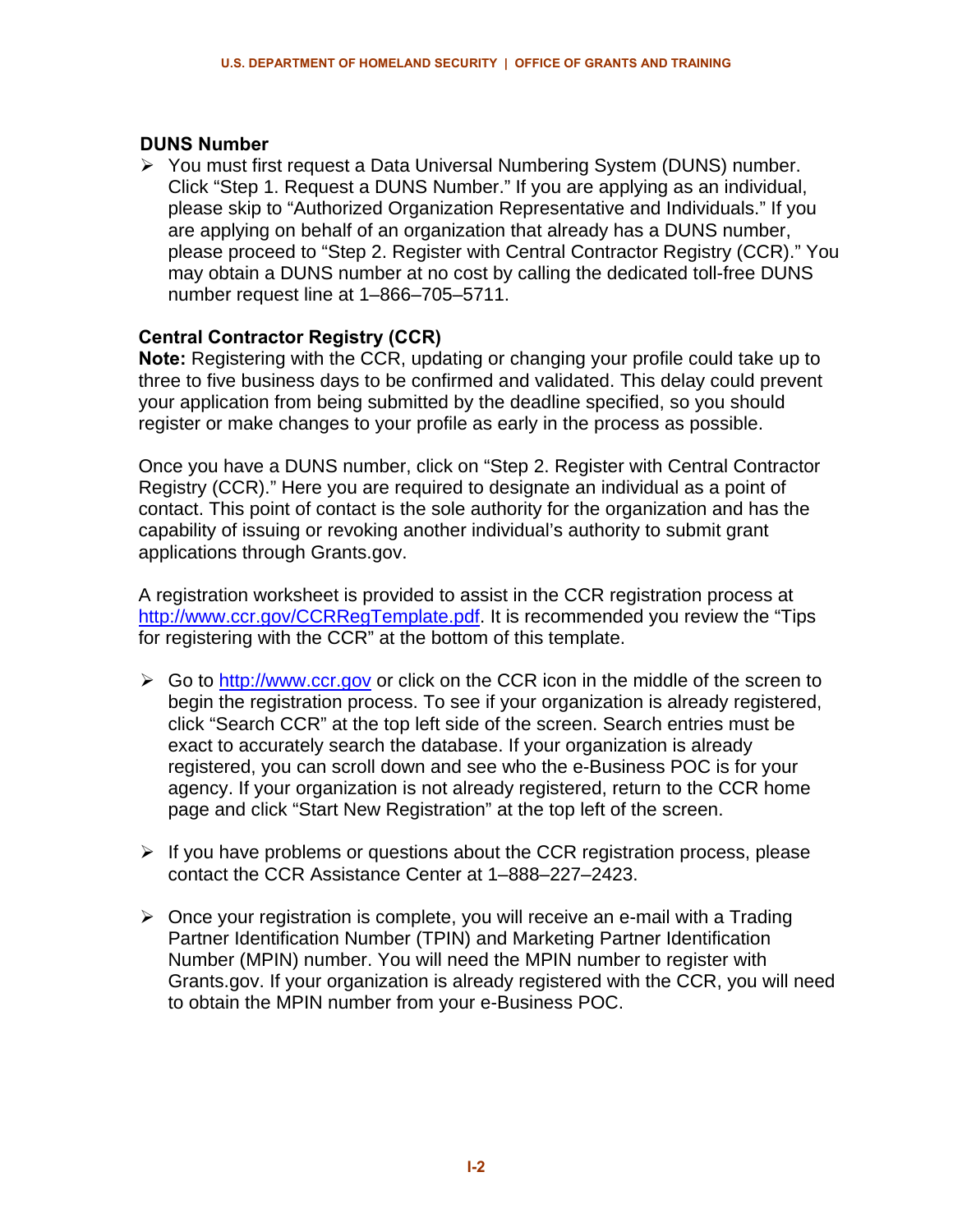## **DUNS Number**

¾ You must first request a Data Universal Numbering System (DUNS) number. Click "Step 1. Request a DUNS Number." If you are applying as an individual, please skip to "Authorized Organization Representative and Individuals." If you are applying on behalf of an organization that already has a DUNS number, please proceed to "Step 2. Register with Central Contractor Registry (CCR)." You may obtain a DUNS number at no cost by calling the dedicated toll-free DUNS number request line at 1–866–705–5711.

## **Central Contractor Registry (CCR)**

**Note:** Registering with the CCR, updating or changing your profile could take up to three to five business days to be confirmed and validated. This delay could prevent your application from being submitted by the deadline specified, so you should register or make changes to your profile as early in the process as possible.

Once you have a DUNS number, click on "Step 2. Register with Central Contractor Registry (CCR)." Here you are required to designate an individual as a point of contact. This point of contact is the sole authority for the organization and has the capability of issuing or revoking another individual's authority to submit grant applications through Grants.gov.

A registration worksheet is provided to assist in the CCR registration process at http://www.ccr.gov/CCRRegTemplate.pdf. It is recommended you review the "Tips for registering with the CCR" at the bottom of this template.

- $\triangleright$  Go to http://www.ccr.gov or click on the CCR icon in the middle of the screen to begin the registration process. To see if your organization is already registered, click "Search CCR" at the top left side of the screen. Search entries must be exact to accurately search the database. If your organization is already registered, you can scroll down and see who the e-Business POC is for your agency. If your organization is not already registered, return to the CCR home page and click "Start New Registration" at the top left of the screen.
- $\triangleright$  If you have problems or questions about the CCR registration process, please contact the CCR Assistance Center at 1–888–227–2423.
- $\triangleright$  Once your registration is complete, you will receive an e-mail with a Trading Partner Identification Number (TPIN) and Marketing Partner Identification Number (MPIN) number. You will need the MPIN number to register with Grants.gov. If your organization is already registered with the CCR, you will need to obtain the MPIN number from your e-Business POC.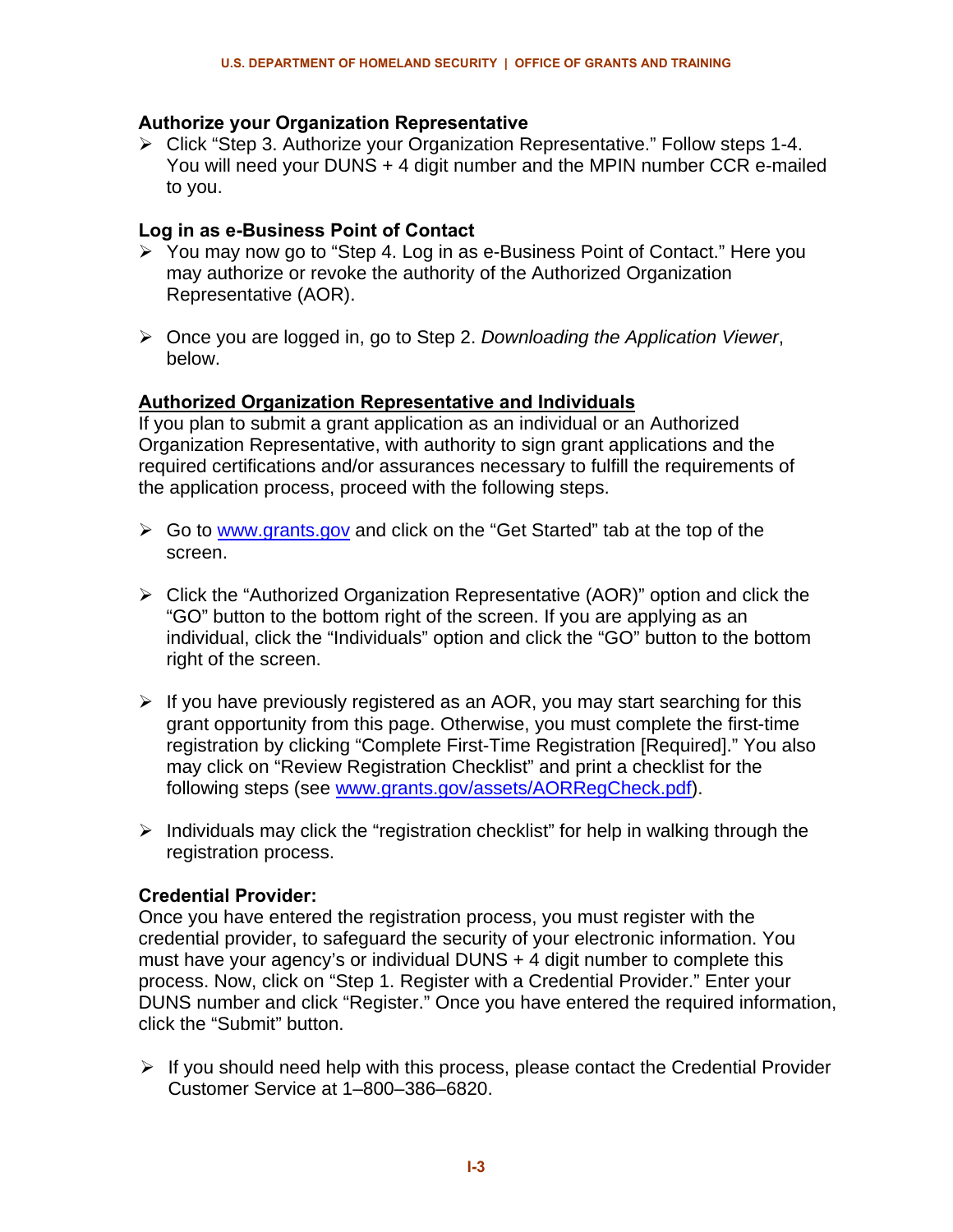#### **Authorize your Organization Representative**

¾ Click "Step 3. Authorize your Organization Representative." Follow steps 1-4. You will need your DUNS + 4 digit number and the MPIN number CCR e-mailed to you.

### **Log in as e-Business Point of Contact**

- ¾ You may now go to "Step 4. Log in as e-Business Point of Contact." Here you may authorize or revoke the authority of the Authorized Organization Representative (AOR).
- ¾ Once you are logged in, go to Step 2. *Downloading the Application Viewer*, below.

## **Authorized Organization Representative and Individuals**

If you plan to submit a grant application as an individual or an Authorized Organization Representative, with authority to sign grant applications and the required certifications and/or assurances necessary to fulfill the requirements of the application process, proceed with the following steps.

- $\triangleright$  Go to www.grants.gov and click on the "Get Started" tab at the top of the screen.
- $\triangleright$  Click the "Authorized Organization Representative (AOR)" option and click the "GO" button to the bottom right of the screen. If you are applying as an individual, click the "Individuals" option and click the "GO" button to the bottom right of the screen.
- $\triangleright$  If you have previously registered as an AOR, you may start searching for this grant opportunity from this page. Otherwise, you must complete the first-time registration by clicking "Complete First-Time Registration [Required]." You also may click on "Review Registration Checklist" and print a checklist for the following steps (see www.grants.gov/assets/AORRegCheck.pdf).
- $\triangleright$  Individuals may click the "registration checklist" for help in walking through the registration process.

## **Credential Provider:**

Once you have entered the registration process, you must register with the credential provider, to safeguard the security of your electronic information. You must have your agency's or individual DUNS + 4 digit number to complete this process. Now, click on "Step 1. Register with a Credential Provider." Enter your DUNS number and click "Register." Once you have entered the required information, click the "Submit" button.

 $\triangleright$  If you should need help with this process, please contact the Credential Provider Customer Service at 1–800–386–6820.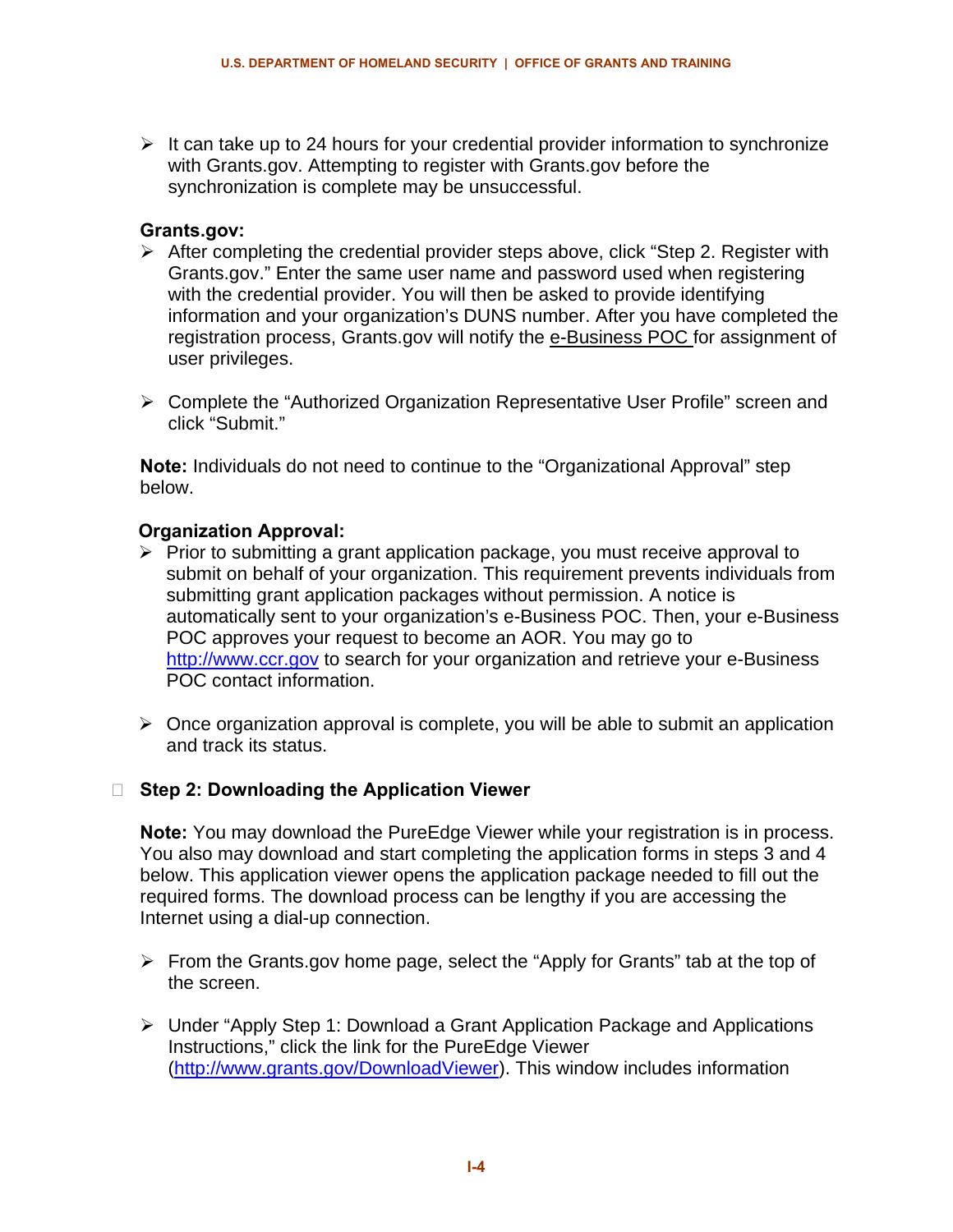$\triangleright$  It can take up to 24 hours for your credential provider information to synchronize with Grants.gov. Attempting to register with Grants.gov before the synchronization is complete may be unsuccessful.

## **Grants.gov:**

- $\triangleright$  After completing the credential provider steps above, click "Step 2. Register with Grants.gov." Enter the same user name and password used when registering with the credential provider. You will then be asked to provide identifying information and your organization's DUNS number. After you have completed the registration process, Grants.gov will notify the e-Business POC for assignment of user privileges.
- ¾ Complete the "Authorized Organization Representative User Profile" screen and click "Submit."

**Note:** Individuals do not need to continue to the "Organizational Approval" step below.

## **Organization Approval:**

- $\triangleright$  Prior to submitting a grant application package, you must receive approval to submit on behalf of your organization. This requirement prevents individuals from submitting grant application packages without permission. A notice is automatically sent to your organization's e-Business POC. Then, your e-Business POC approves your request to become an AOR. You may go to http://www.ccr.gov to search for your organization and retrieve your e-Business POC contact information.
- $\triangleright$  Once organization approval is complete, you will be able to submit an application and track its status.

## **Step 2: Downloading the Application Viewer**

**Note:** You may download the PureEdge Viewer while your registration is in process. You also may download and start completing the application forms in steps 3 and 4 below. This application viewer opens the application package needed to fill out the required forms. The download process can be lengthy if you are accessing the Internet using a dial-up connection.

- $\triangleright$  From the Grants.gov home page, select the "Apply for Grants" tab at the top of the screen.
- ¾ Under "Apply Step 1: Download a Grant Application Package and Applications Instructions," click the link for the PureEdge Viewer (http://www.grants.gov/DownloadViewer). This window includes information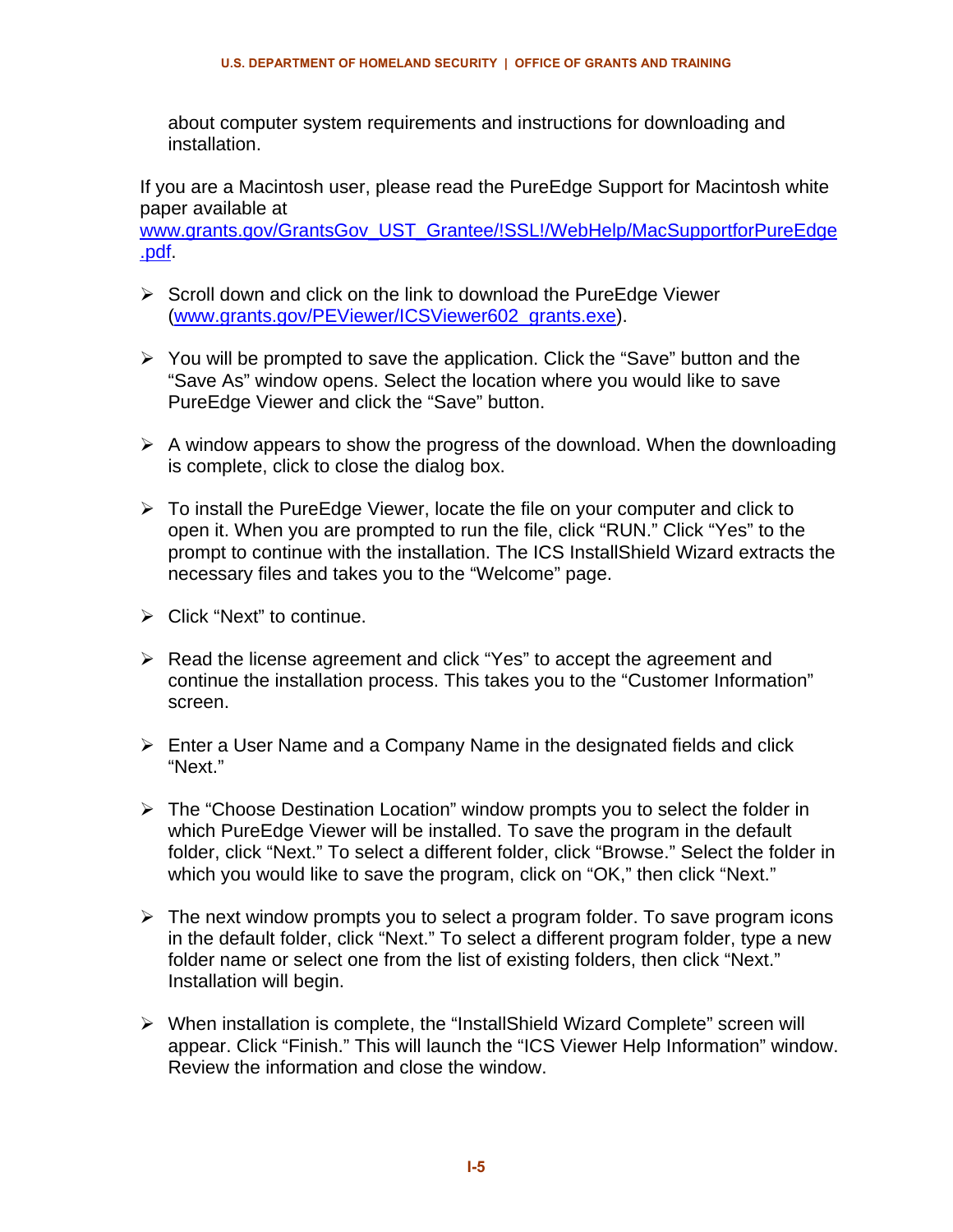about computer system requirements and instructions for downloading and installation.

If you are a Macintosh user, please read the PureEdge Support for Macintosh white paper available at

www.grants.gov/GrantsGov\_UST\_Grantee/!SSL!/WebHelp/MacSupportforPureEdge .pdf.

- $\triangleright$  Scroll down and click on the link to download the PureEdge Viewer (www.grants.gov/PEViewer/ICSViewer602\_grants.exe).
- $\triangleright$  You will be prompted to save the application. Click the "Save" button and the "Save As" window opens. Select the location where you would like to save PureEdge Viewer and click the "Save" button.
- $\triangleright$  A window appears to show the progress of the download. When the downloading is complete, click to close the dialog box.
- $\triangleright$  To install the PureEdge Viewer, locate the file on your computer and click to open it. When you are prompted to run the file, click "RUN." Click "Yes" to the prompt to continue with the installation. The ICS InstallShield Wizard extracts the necessary files and takes you to the "Welcome" page.
- $\triangleright$  Click "Next" to continue.
- ¾ Read the license agreement and click "Yes" to accept the agreement and continue the installation process. This takes you to the "Customer Information" screen.
- $\triangleright$  Enter a User Name and a Company Name in the designated fields and click "Next."
- $\triangleright$  The "Choose Destination Location" window prompts you to select the folder in which PureEdge Viewer will be installed. To save the program in the default folder, click "Next." To select a different folder, click "Browse." Select the folder in which you would like to save the program, click on "OK," then click "Next."
- $\triangleright$  The next window prompts you to select a program folder. To save program icons in the default folder, click "Next." To select a different program folder, type a new folder name or select one from the list of existing folders, then click "Next." Installation will begin.
- ¾ When installation is complete, the "InstallShield Wizard Complete" screen will appear. Click "Finish." This will launch the "ICS Viewer Help Information" window. Review the information and close the window.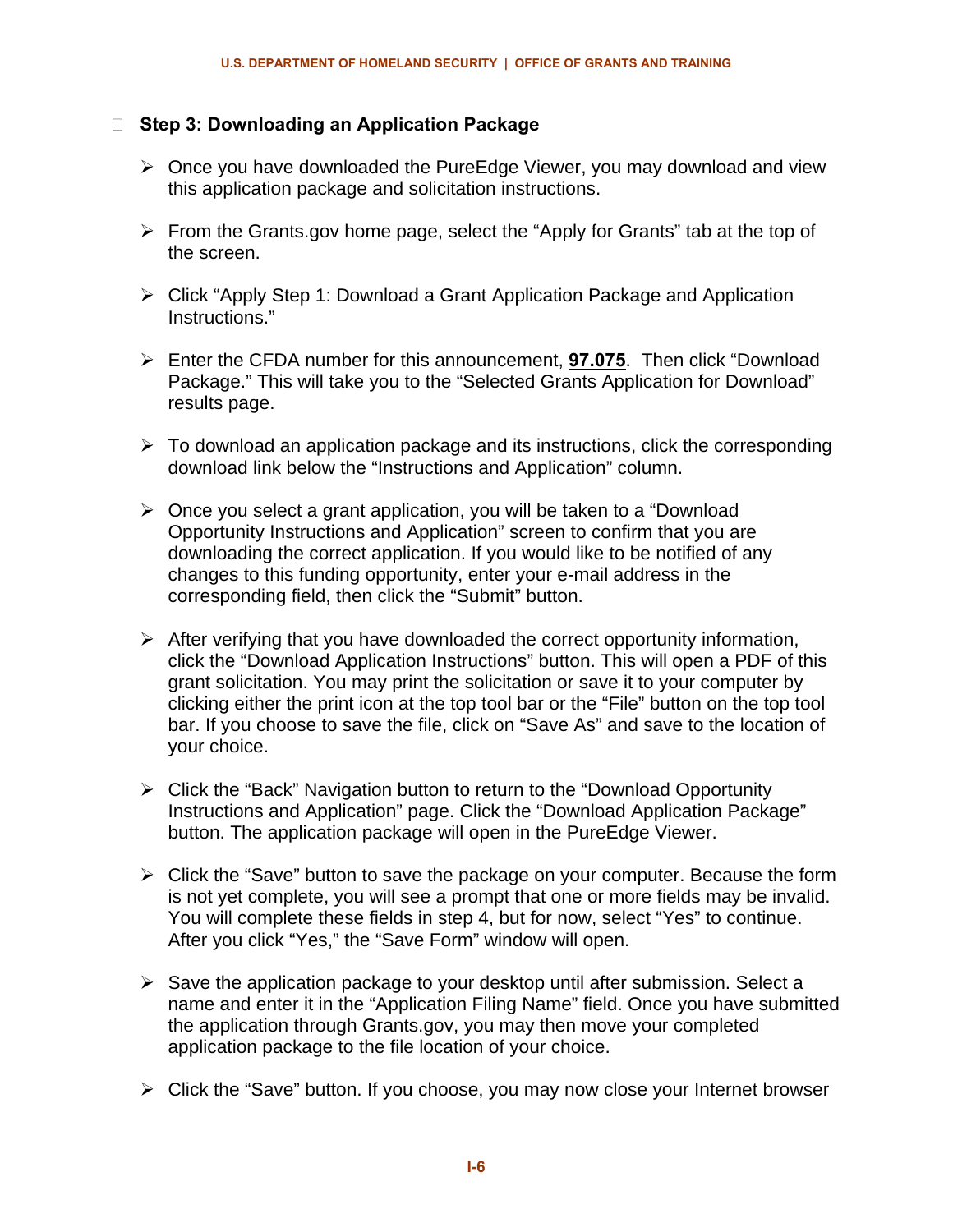## **Step 3: Downloading an Application Package**

- $\triangleright$  Once you have downloaded the PureEdge Viewer, you may download and view this application package and solicitation instructions.
- $\triangleright$  From the Grants.gov home page, select the "Apply for Grants" tab at the top of the screen.
- ¾ Click "Apply Step 1: Download a Grant Application Package and Application Instructions."
- ¾ Enter the CFDA number for this announcement, **97.075**. Then click "Download Package." This will take you to the "Selected Grants Application for Download" results page.
- $\triangleright$  To download an application package and its instructions, click the corresponding download link below the "Instructions and Application" column.
- $\triangleright$  Once you select a grant application, you will be taken to a "Download" Opportunity Instructions and Application" screen to confirm that you are downloading the correct application. If you would like to be notified of any changes to this funding opportunity, enter your e-mail address in the corresponding field, then click the "Submit" button.
- $\triangleright$  After verifying that you have downloaded the correct opportunity information, click the "Download Application Instructions" button. This will open a PDF of this grant solicitation. You may print the solicitation or save it to your computer by clicking either the print icon at the top tool bar or the "File" button on the top tool bar. If you choose to save the file, click on "Save As" and save to the location of your choice.
- ¾ Click the "Back" Navigation button to return to the "Download Opportunity Instructions and Application" page. Click the "Download Application Package" button. The application package will open in the PureEdge Viewer.
- $\triangleright$  Click the "Save" button to save the package on your computer. Because the form is not yet complete, you will see a prompt that one or more fields may be invalid. You will complete these fields in step 4, but for now, select "Yes" to continue. After you click "Yes," the "Save Form" window will open.
- $\triangleright$  Save the application package to your desktop until after submission. Select a name and enter it in the "Application Filing Name" field. Once you have submitted the application through Grants.gov, you may then move your completed application package to the file location of your choice.
- ¾ Click the "Save" button. If you choose, you may now close your Internet browser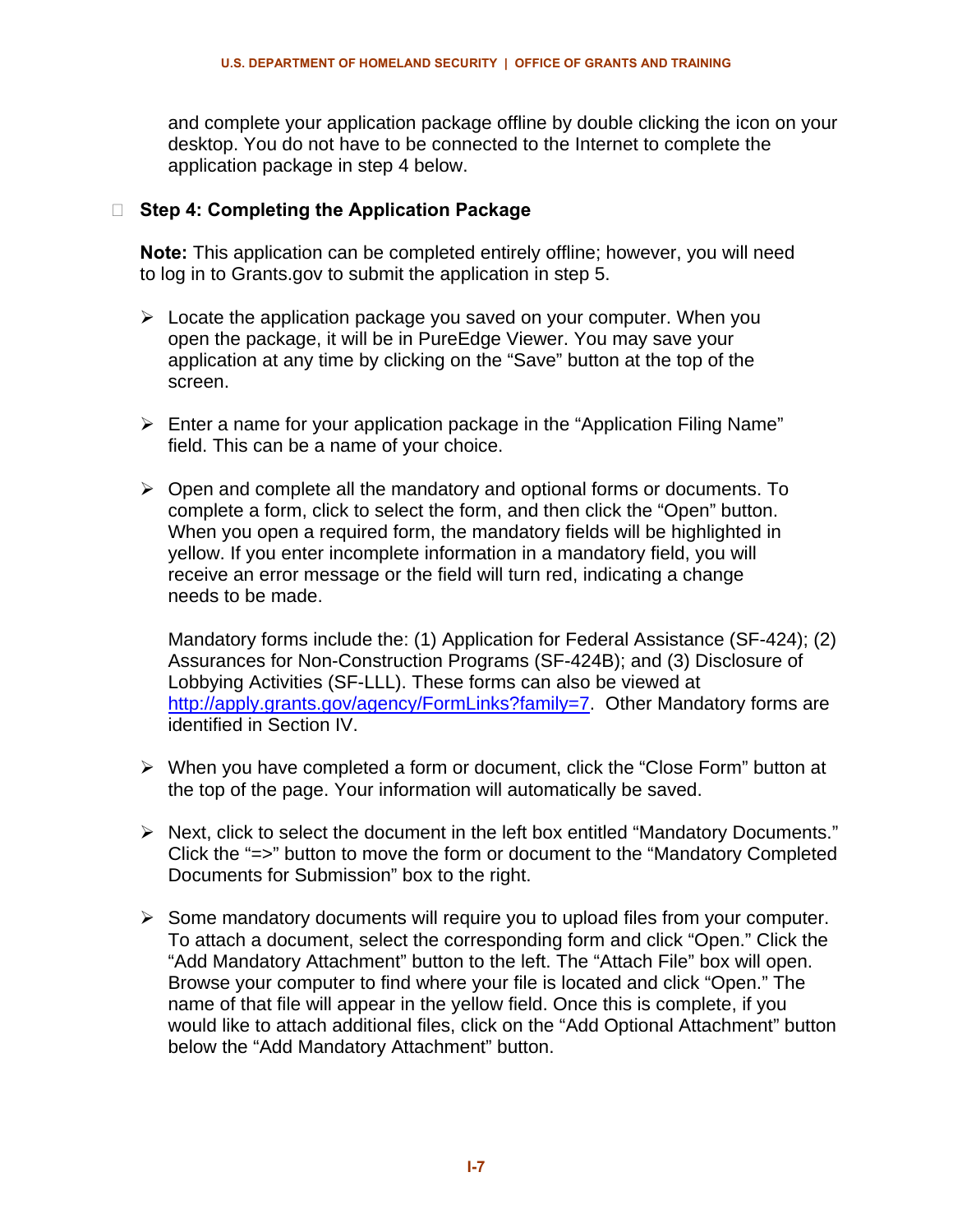and complete your application package offline by double clicking the icon on your desktop. You do not have to be connected to the Internet to complete the application package in step 4 below.

## **Step 4: Completing the Application Package**

**Note:** This application can be completed entirely offline; however, you will need to log in to Grants.gov to submit the application in step 5.

- $\triangleright$  Locate the application package you saved on your computer. When you open the package, it will be in PureEdge Viewer. You may save your application at any time by clicking on the "Save" button at the top of the screen.
- $\triangleright$  Enter a name for your application package in the "Application Filing Name" field. This can be a name of your choice.
- $\triangleright$  Open and complete all the mandatory and optional forms or documents. To complete a form, click to select the form, and then click the "Open" button. When you open a required form, the mandatory fields will be highlighted in yellow. If you enter incomplete information in a mandatory field, you will receive an error message or the field will turn red, indicating a change needs to be made.

Mandatory forms include the: (1) Application for Federal Assistance (SF-424); (2) Assurances for Non-Construction Programs (SF-424B); and (3) Disclosure of Lobbying Activities (SF-LLL). These forms can also be viewed at http://apply.grants.gov/agency/FormLinks?family=7. Other Mandatory forms are identified in Section IV.

- ¾ When you have completed a form or document, click the "Close Form" button at the top of the page. Your information will automatically be saved.
- ¾ Next, click to select the document in the left box entitled "Mandatory Documents." Click the "=>" button to move the form or document to the "Mandatory Completed Documents for Submission" box to the right.
- $\triangleright$  Some mandatory documents will require you to upload files from your computer. To attach a document, select the corresponding form and click "Open." Click the "Add Mandatory Attachment" button to the left. The "Attach File" box will open. Browse your computer to find where your file is located and click "Open." The name of that file will appear in the yellow field. Once this is complete, if you would like to attach additional files, click on the "Add Optional Attachment" button below the "Add Mandatory Attachment" button.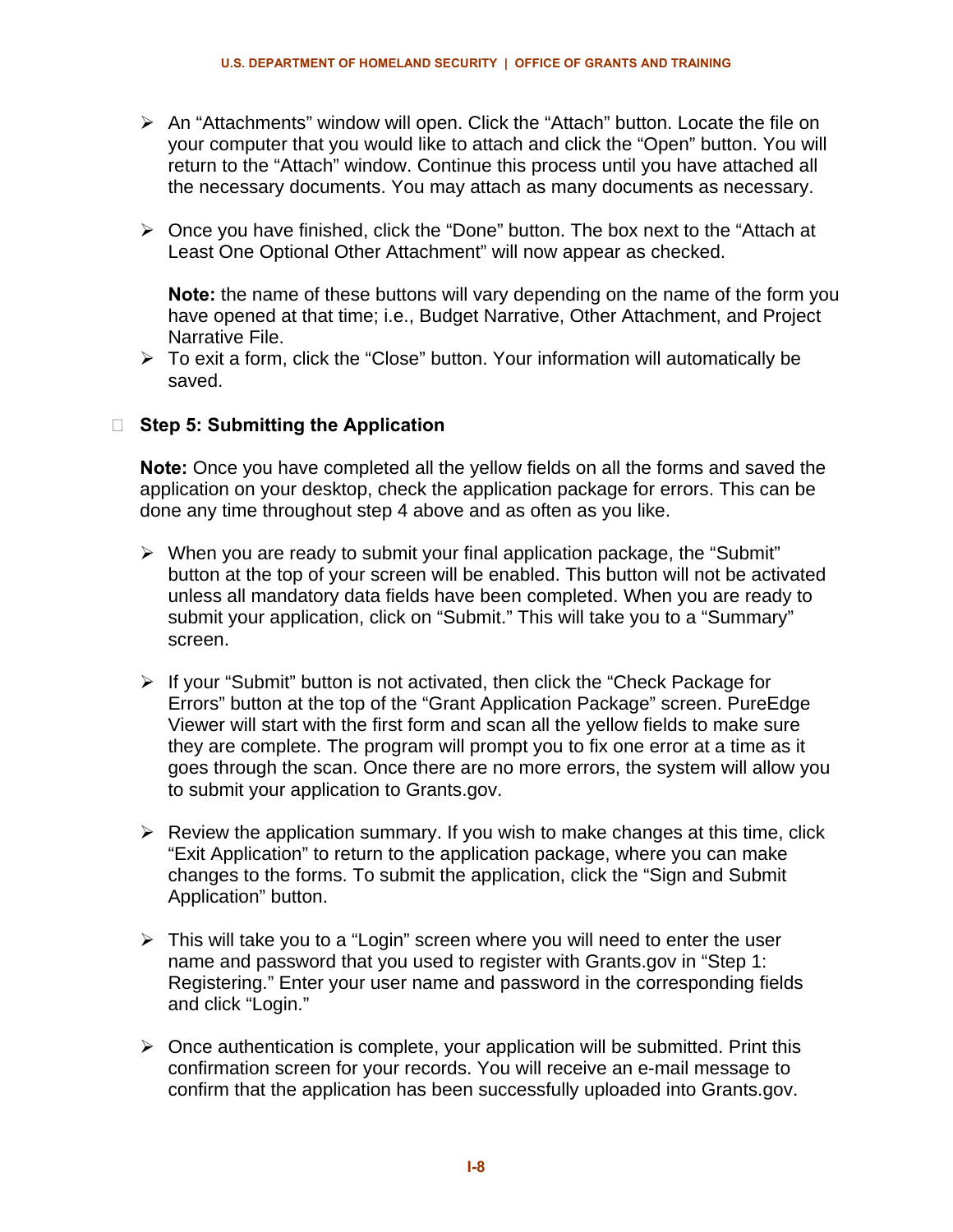- ¾ An "Attachments" window will open. Click the "Attach" button. Locate the file on your computer that you would like to attach and click the "Open" button. You will return to the "Attach" window. Continue this process until you have attached all the necessary documents. You may attach as many documents as necessary.
- ¾ Once you have finished, click the "Done" button. The box next to the "Attach at Least One Optional Other Attachment" will now appear as checked.

**Note:** the name of these buttons will vary depending on the name of the form you have opened at that time; i.e., Budget Narrative, Other Attachment, and Project Narrative File.

 $\triangleright$  To exit a form, click the "Close" button. Your information will automatically be saved.

#### **Step 5: Submitting the Application**

**Note:** Once you have completed all the yellow fields on all the forms and saved the application on your desktop, check the application package for errors. This can be done any time throughout step 4 above and as often as you like.

- $\triangleright$  When you are ready to submit your final application package, the "Submit" button at the top of your screen will be enabled. This button will not be activated unless all mandatory data fields have been completed. When you are ready to submit your application, click on "Submit." This will take you to a "Summary" screen.
- ¾ If your "Submit" button is not activated, then click the "Check Package for Errors" button at the top of the "Grant Application Package" screen. PureEdge Viewer will start with the first form and scan all the yellow fields to make sure they are complete. The program will prompt you to fix one error at a time as it goes through the scan. Once there are no more errors, the system will allow you to submit your application to Grants.gov.
- $\triangleright$  Review the application summary. If you wish to make changes at this time, click "Exit Application" to return to the application package, where you can make changes to the forms. To submit the application, click the "Sign and Submit Application" button.
- $\triangleright$  This will take you to a "Login" screen where you will need to enter the user name and password that you used to register with Grants.gov in "Step 1: Registering." Enter your user name and password in the corresponding fields and click "Login."
- $\triangleright$  Once authentication is complete, your application will be submitted. Print this confirmation screen for your records. You will receive an e-mail message to confirm that the application has been successfully uploaded into Grants.gov.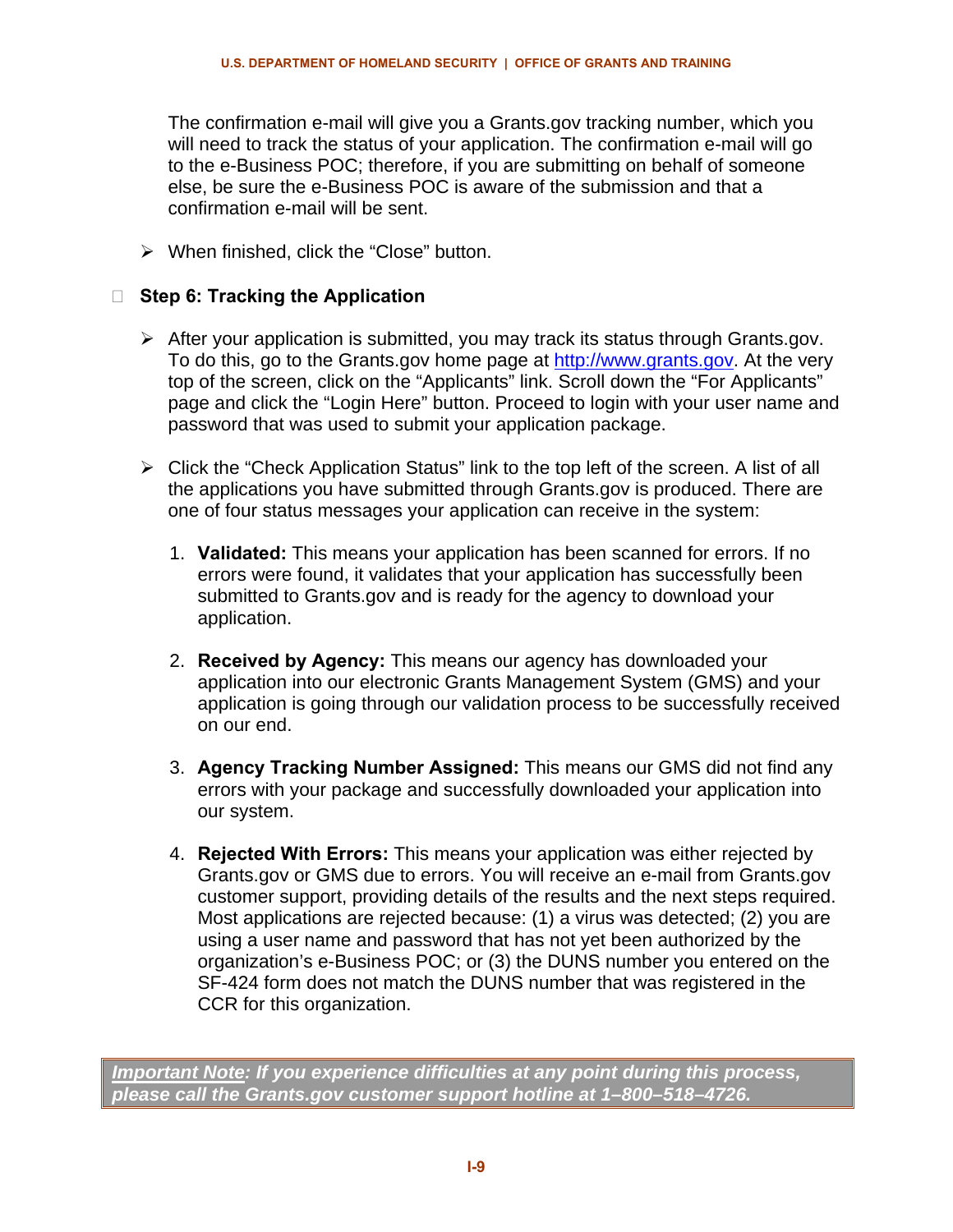The confirmation e-mail will give you a Grants.gov tracking number, which you will need to track the status of your application. The confirmation e-mail will go to the e-Business POC; therefore, if you are submitting on behalf of someone else, be sure the e-Business POC is aware of the submission and that a confirmation e-mail will be sent.

 $\triangleright$  When finished, click the "Close" button.

## □ Step 6: Tracking the Application

- $\triangleright$  After your application is submitted, you may track its status through Grants.gov. To do this, go to the Grants.gov home page at http://www.grants.gov. At the very top of the screen, click on the "Applicants" link. Scroll down the "For Applicants" page and click the "Login Here" button. Proceed to login with your user name and password that was used to submit your application package.
- ¾ Click the "Check Application Status" link to the top left of the screen. A list of all the applications you have submitted through Grants.gov is produced. There are one of four status messages your application can receive in the system:
	- 1. **Validated:** This means your application has been scanned for errors. If no errors were found, it validates that your application has successfully been submitted to Grants.gov and is ready for the agency to download your application.
	- 2. **Received by Agency:** This means our agency has downloaded your application into our electronic Grants Management System (GMS) and your application is going through our validation process to be successfully received on our end.
	- 3. **Agency Tracking Number Assigned:** This means our GMS did not find any errors with your package and successfully downloaded your application into our system.
	- 4. **Rejected With Errors:** This means your application was either rejected by Grants.gov or GMS due to errors. You will receive an e-mail from Grants.gov customer support, providing details of the results and the next steps required. Most applications are rejected because: (1) a virus was detected; (2) you are using a user name and password that has not yet been authorized by the organization's e-Business POC; or (3) the DUNS number you entered on the SF-424 form does not match the DUNS number that was registered in the CCR for this organization.

*Important Note: If you experience difficulties at any point during this process, please call the Grants.gov customer support hotline at 1–800–518–4726.*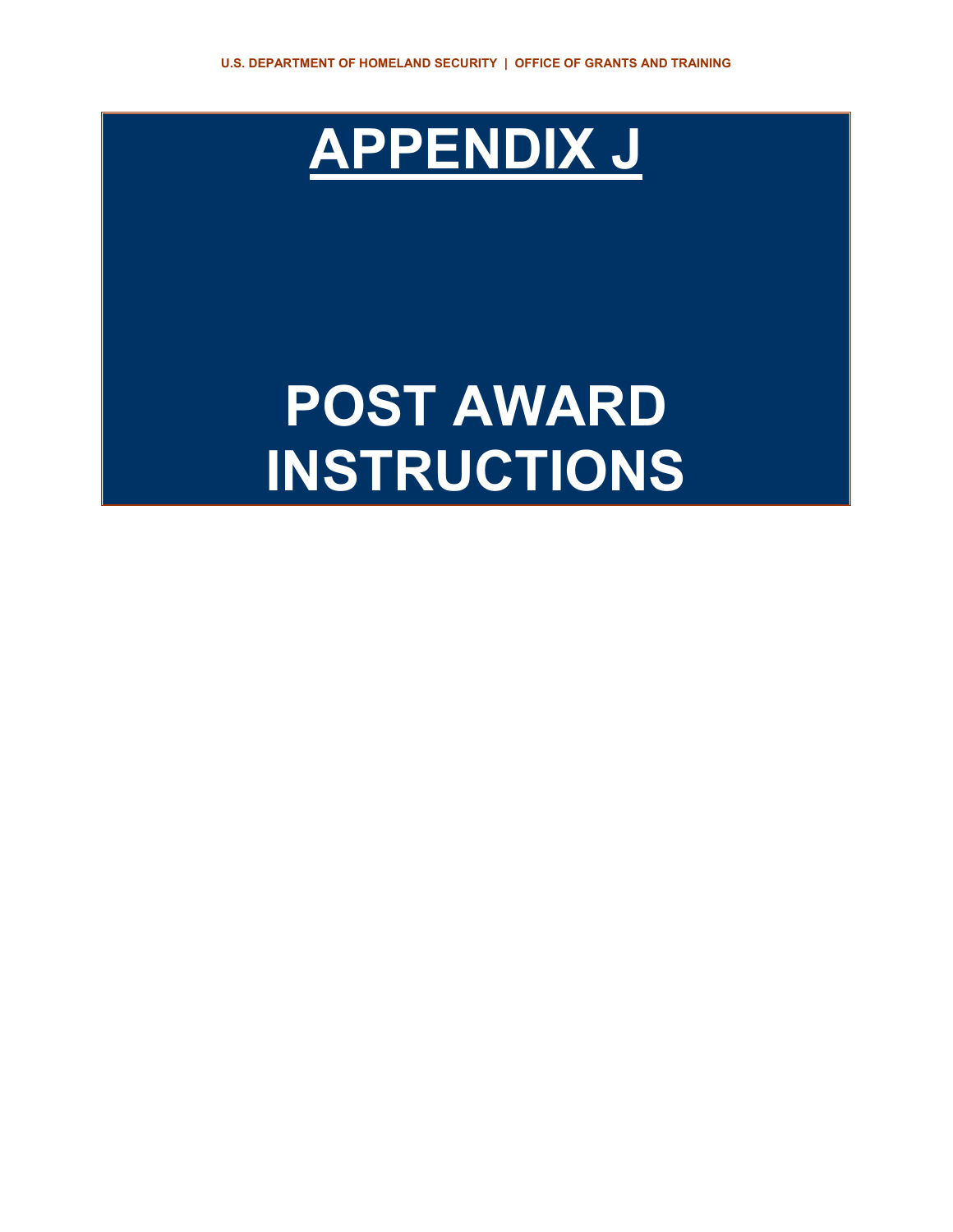

## **POST AWARD INSTRUCTIONS**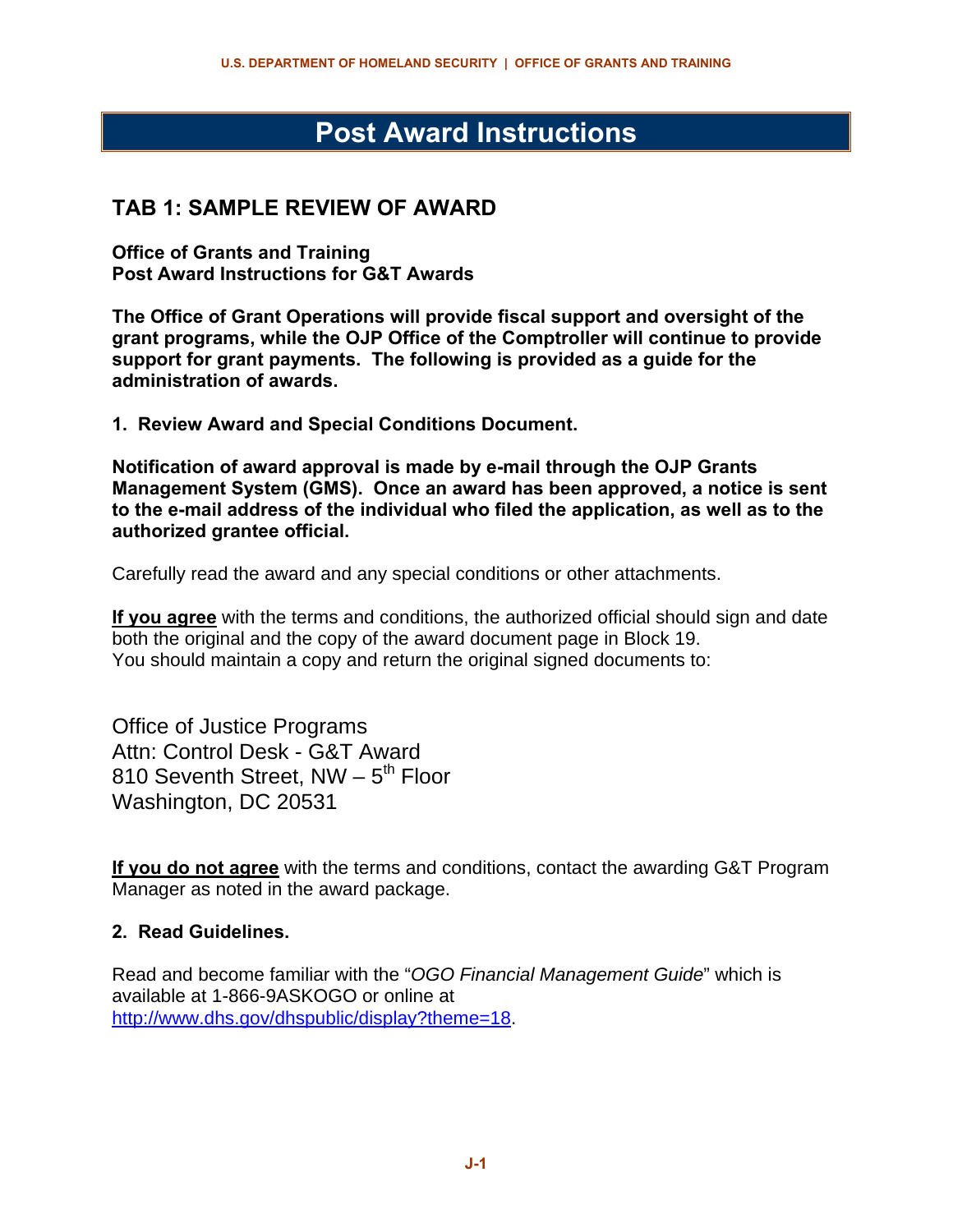## **Post Award Instructions**

## **TAB 1: SAMPLE REVIEW OF AWARD**

**Office of Grants and Training Post Award Instructions for G&T Awards** 

**The Office of Grant Operations will provide fiscal support and oversight of the grant programs, while the OJP Office of the Comptroller will continue to provide support for grant payments. The following is provided as a guide for the administration of awards.** 

**1. Review Award and Special Conditions Document.**

**Notification of award approval is made by e-mail through the OJP Grants Management System (GMS). Once an award has been approved, a notice is sent to the e-mail address of the individual who filed the application, as well as to the authorized grantee official.**

Carefully read the award and any special conditions or other attachments.

**If you agree** with the terms and conditions, the authorized official should sign and date both the original and the copy of the award document page in Block 19. You should maintain a copy and return the original signed documents to:

Office of Justice Programs Attn: Control Desk - G&T Award 810 Seventh Street,  $NW - 5<sup>th</sup>$  Floor Washington, DC 20531

**If you do not agree** with the terms and conditions, contact the awarding G&T Program Manager as noted in the award package.

## **2. Read Guidelines.**

Read and become familiar with the "*OGO Financial Management Guide*" which is available at 1-866-9ASKOGO or online at http://www.dhs.gov/dhspublic/display?theme=18.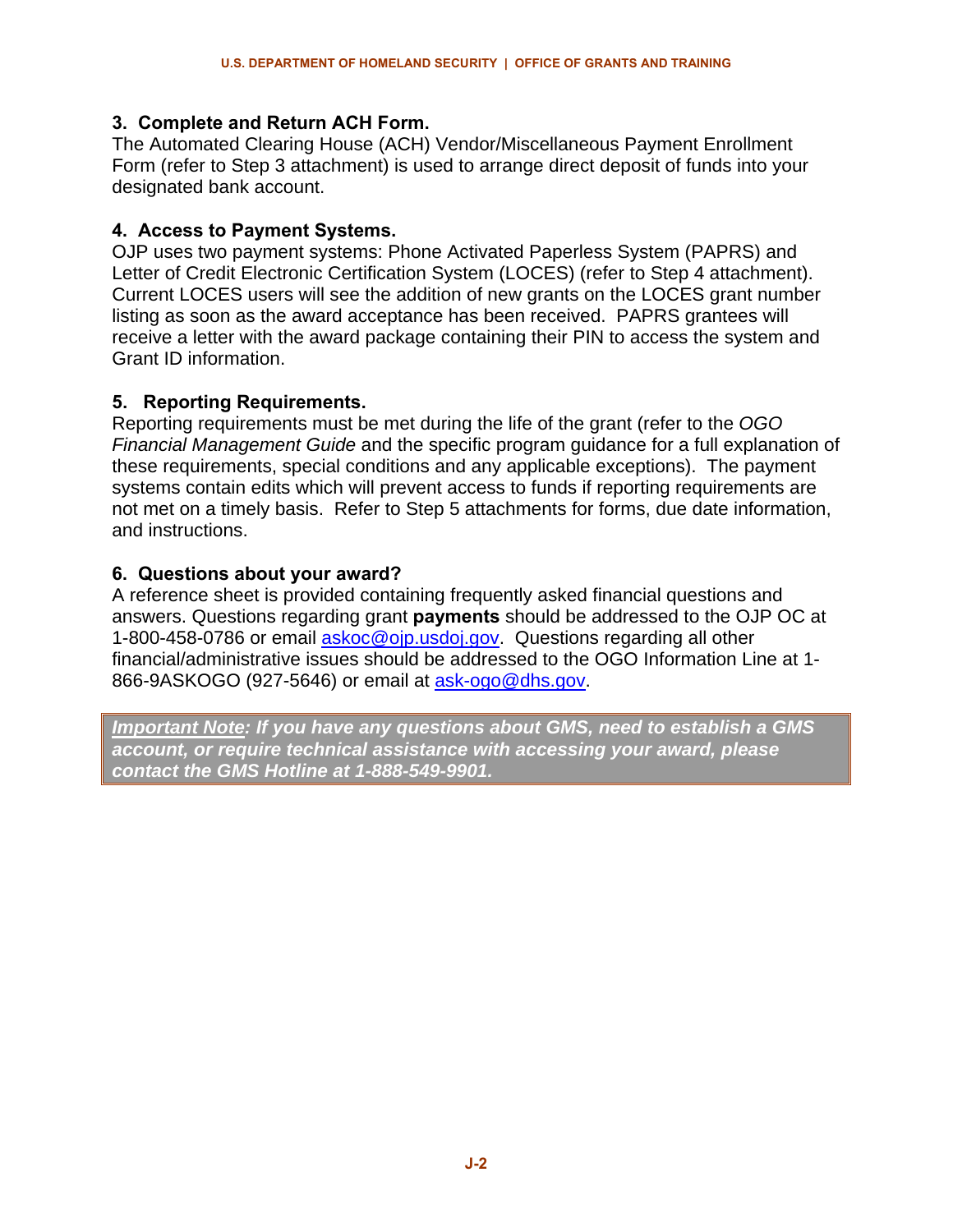## **3. Complete and Return ACH Form.**

The Automated Clearing House (ACH) Vendor/Miscellaneous Payment Enrollment Form (refer to Step 3 attachment) is used to arrange direct deposit of funds into your designated bank account.

## **4. Access to Payment Systems.**

OJP uses two payment systems: Phone Activated Paperless System (PAPRS) and Letter of Credit Electronic Certification System (LOCES) (refer to Step 4 attachment). Current LOCES users will see the addition of new grants on the LOCES grant number listing as soon as the award acceptance has been received. PAPRS grantees will receive a letter with the award package containing their PIN to access the system and Grant ID information.

## **5. Reporting Requirements.**

Reporting requirements must be met during the life of the grant (refer to the *OGO Financial Management Guide* and the specific program guidance for a full explanation of these requirements, special conditions and any applicable exceptions). The payment systems contain edits which will prevent access to funds if reporting requirements are not met on a timely basis. Refer to Step 5 attachments for forms, due date information, and instructions.

## **6. Questions about your award?**

A reference sheet is provided containing frequently asked financial questions and answers. Questions regarding grant **payments** should be addressed to the OJP OC at 1-800-458-0786 or email askoc@ojp.usdoj.gov. Questions regarding all other financial/administrative issues should be addressed to the OGO Information Line at 1- 866-9ASKOGO (927-5646) or email at ask-ogo@dhs.gov.

*Important Note: If you have any questions about GMS, need to establish a GMS account, or require technical assistance with accessing your award, please contact the GMS Hotline at 1-888-549-9901.*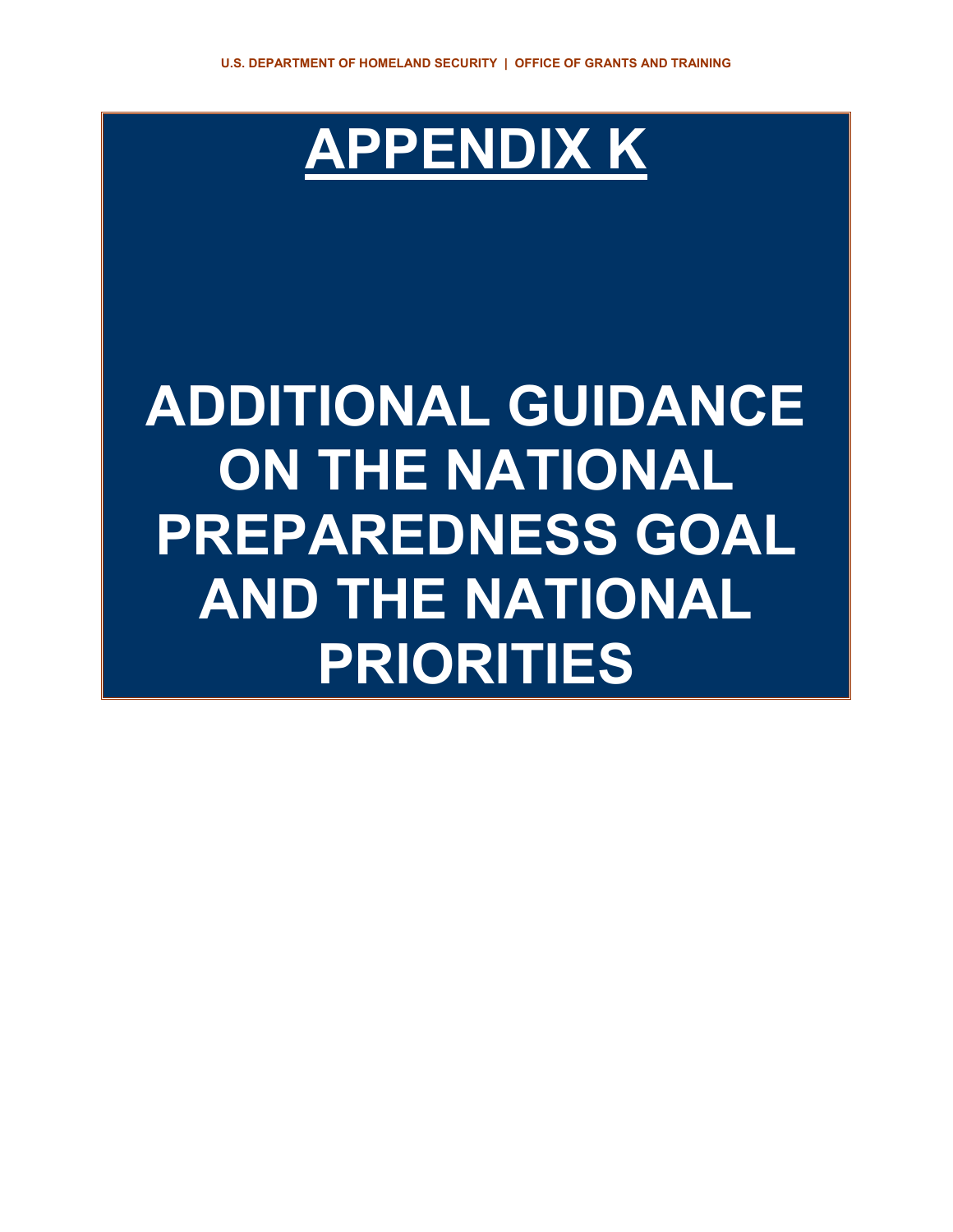

# **ADDITIONAL GUIDANCE ON THE NATIONAL PREPAREDNESS GOAL AND THE NATIONAL PRIORITIES**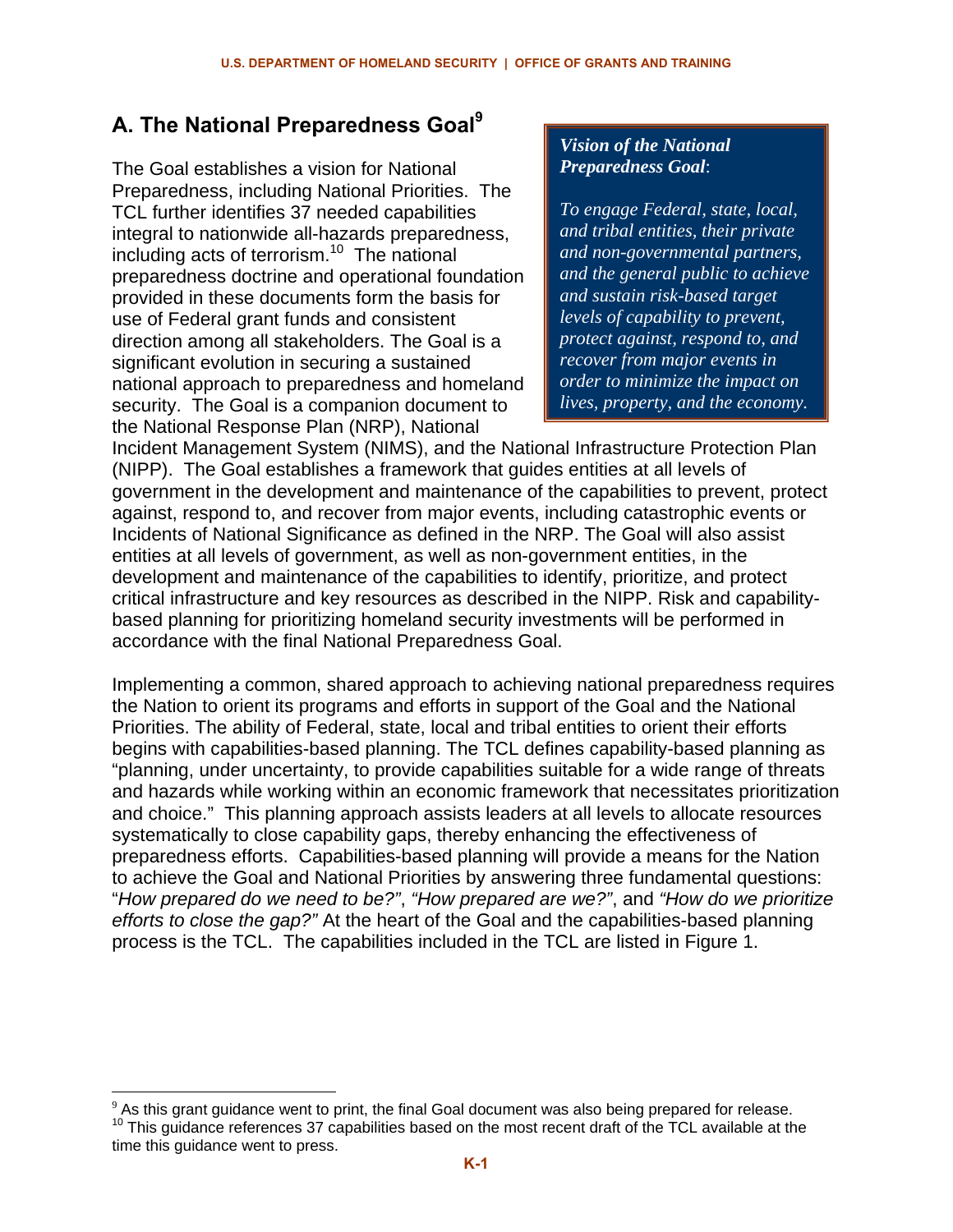## **A. The National Preparedness Goal9**

The Goal establishes a vision for National Preparedness, including National Priorities. The TCL further identifies 37 needed capabilities integral to nationwide all-hazards preparedness, including acts of terrorism.<sup>10</sup> The national preparedness doctrine and operational foundation provided in these documents form the basis for use of Federal grant funds and consistent direction among all stakeholders. The Goal is a significant evolution in securing a sustained national approach to preparedness and homeland security. The Goal is a companion document to the National Response Plan (NRP), National

## *Vision of the National Preparedness Goal*:

*To engage Federal, state, local, and tribal entities, their private and non-governmental partners, and the general public to achieve and sustain risk-based target levels of capability to prevent, protect against, respond to, and recover from major events in order to minimize the impact on lives, property, and the economy.*

Incident Management System (NIMS), and the National Infrastructure Protection Plan (NIPP). The Goal establishes a framework that guides entities at all levels of government in the development and maintenance of the capabilities to prevent, protect against, respond to, and recover from major events, including catastrophic events or Incidents of National Significance as defined in the NRP. The Goal will also assist entities at all levels of government, as well as non-government entities, in the development and maintenance of the capabilities to identify, prioritize, and protect critical infrastructure and key resources as described in the NIPP. Risk and capabilitybased planning for prioritizing homeland security investments will be performed in accordance with the final National Preparedness Goal.

Implementing a common, shared approach to achieving national preparedness requires the Nation to orient its programs and efforts in support of the Goal and the National Priorities. The ability of Federal, state, local and tribal entities to orient their efforts begins with capabilities-based planning. The TCL defines capability-based planning as "planning, under uncertainty, to provide capabilities suitable for a wide range of threats and hazards while working within an economic framework that necessitates prioritization and choice." This planning approach assists leaders at all levels to allocate resources systematically to close capability gaps, thereby enhancing the effectiveness of preparedness efforts. Capabilities-based planning will provide a means for the Nation to achieve the Goal and National Priorities by answering three fundamental questions: "*How prepared do we need to be?"*, *"How prepared are we?"*, and *"How do we prioritize efforts to close the gap?"* At the heart of the Goal and the capabilities-based planning process is the TCL. The capabilities included in the TCL are listed in Figure 1.

 $\overline{a}$ 

 $9$  As this grant guidance went to print, the final Goal document was also being prepared for release.<br><sup>10</sup> This guidance references 37 capabilities based on the most recent draft of the TCL available at the time this guidance went to press.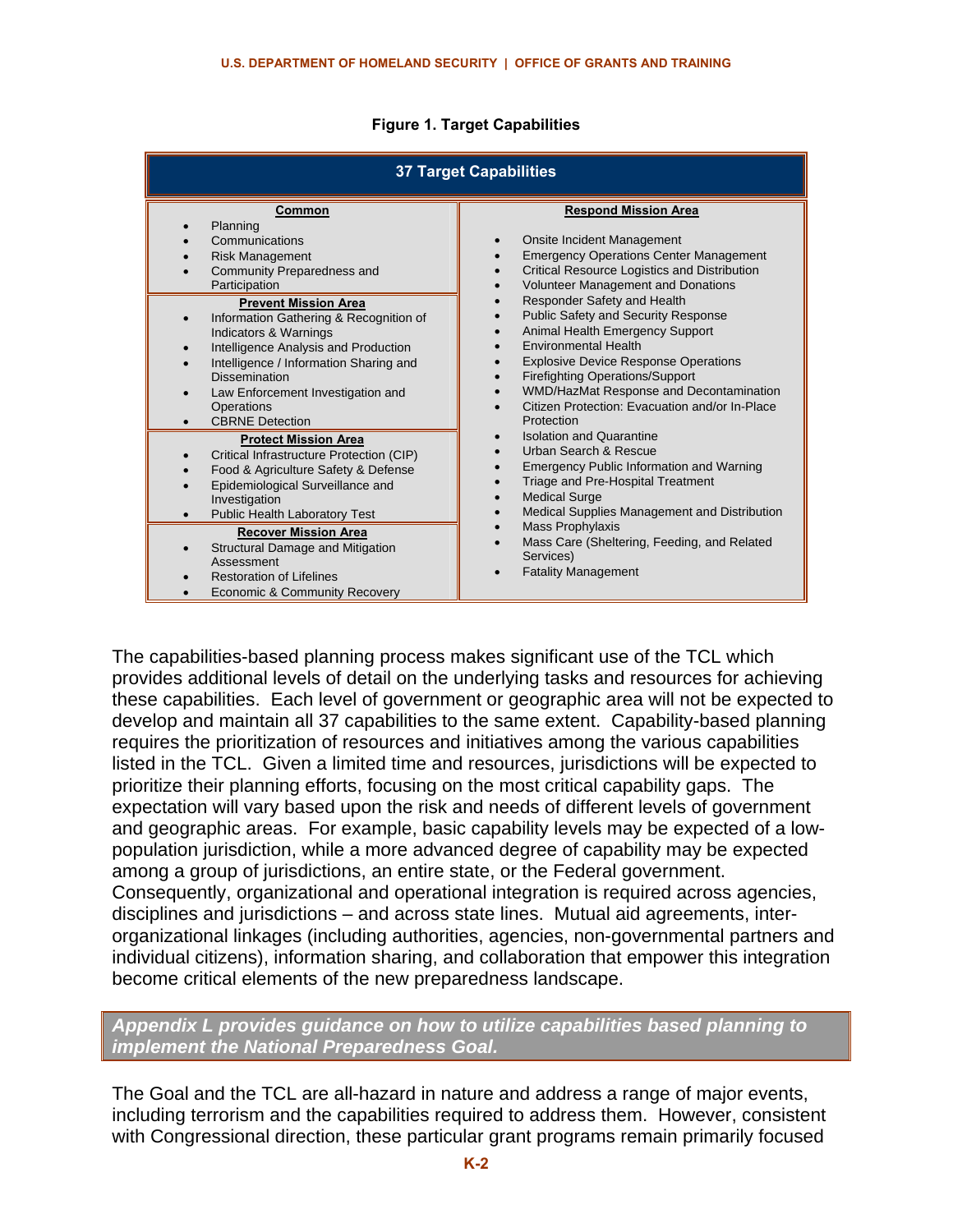| <b>Figure 1. Target Capabilities</b> |  |  |  |  |
|--------------------------------------|--|--|--|--|
|--------------------------------------|--|--|--|--|

|                                          | <b>37 Target Capabilities</b>                       |
|------------------------------------------|-----------------------------------------------------|
| Common                                   | <b>Respond Mission Area</b>                         |
| Planning                                 | Onsite Incident Management                          |
| Communications                           | <b>Emergency Operations Center Management</b>       |
| <b>Risk Management</b>                   | <b>Critical Resource Logistics and Distribution</b> |
| Community Preparedness and               | <b>Volunteer Management and Donations</b>           |
| Participation                            | Responder Safety and Health                         |
| <b>Prevent Mission Area</b>              | <b>Public Safety and Security Response</b>          |
| Information Gathering & Recognition of   | Animal Health Emergency Support                     |
| Indicators & Warnings                    | <b>Environmental Health</b>                         |
| Intelligence Analysis and Production     | <b>Explosive Device Response Operations</b>         |
| Intelligence / Information Sharing and   | <b>Firefighting Operations/Support</b>              |
| <b>Dissemination</b>                     | WMD/HazMat Response and Decontamination             |
| Law Enforcement Investigation and        | Citizen Protection: Evacuation and/or In-Place      |
| <b>Operations</b>                        | Protection                                          |
| <b>CBRNE</b> Detection                   | <b>Isolation and Quarantine</b>                     |
| <b>Protect Mission Area</b>              | $\bullet$                                           |
| Critical Infrastructure Protection (CIP) | Urban Search & Rescue                               |
| Food & Agriculture Safety & Defense      | <b>Emergency Public Information and Warning</b>     |
| Epidemiological Surveillance and         | Triage and Pre-Hospital Treatment                   |
| Investigation                            | <b>Medical Surge</b>                                |
| <b>Public Health Laboratory Test</b>     | Medical Supplies Management and Distribution        |
| <b>Recover Mission Area</b>              | <b>Mass Prophylaxis</b>                             |
| Structural Damage and Mitigation         | Mass Care (Sheltering, Feeding, and Related         |
| Assessment                               | Services)                                           |
| <b>Restoration of Lifelines</b>          | <b>Fatality Management</b>                          |
| Economic & Community Recovery            | $\bullet$                                           |

The capabilities-based planning process makes significant use of the TCL which provides additional levels of detail on the underlying tasks and resources for achieving these capabilities. Each level of government or geographic area will not be expected to develop and maintain all 37 capabilities to the same extent. Capability-based planning requires the prioritization of resources and initiatives among the various capabilities listed in the TCL. Given a limited time and resources, jurisdictions will be expected to prioritize their planning efforts, focusing on the most critical capability gaps. The expectation will vary based upon the risk and needs of different levels of government and geographic areas. For example, basic capability levels may be expected of a lowpopulation jurisdiction, while a more advanced degree of capability may be expected among a group of jurisdictions, an entire state, or the Federal government. Consequently, organizational and operational integration is required across agencies, disciplines and jurisdictions – and across state lines. Mutual aid agreements, interorganizational linkages (including authorities, agencies, non-governmental partners and individual citizens), information sharing, and collaboration that empower this integration become critical elements of the new preparedness landscape.

## *Appendix L provides guidance on how to utilize capabilities based planning to implement the National Preparedness Goal.*

The Goal and the TCL are all-hazard in nature and address a range of major events, including terrorism and the capabilities required to address them. However, consistent with Congressional direction, these particular grant programs remain primarily focused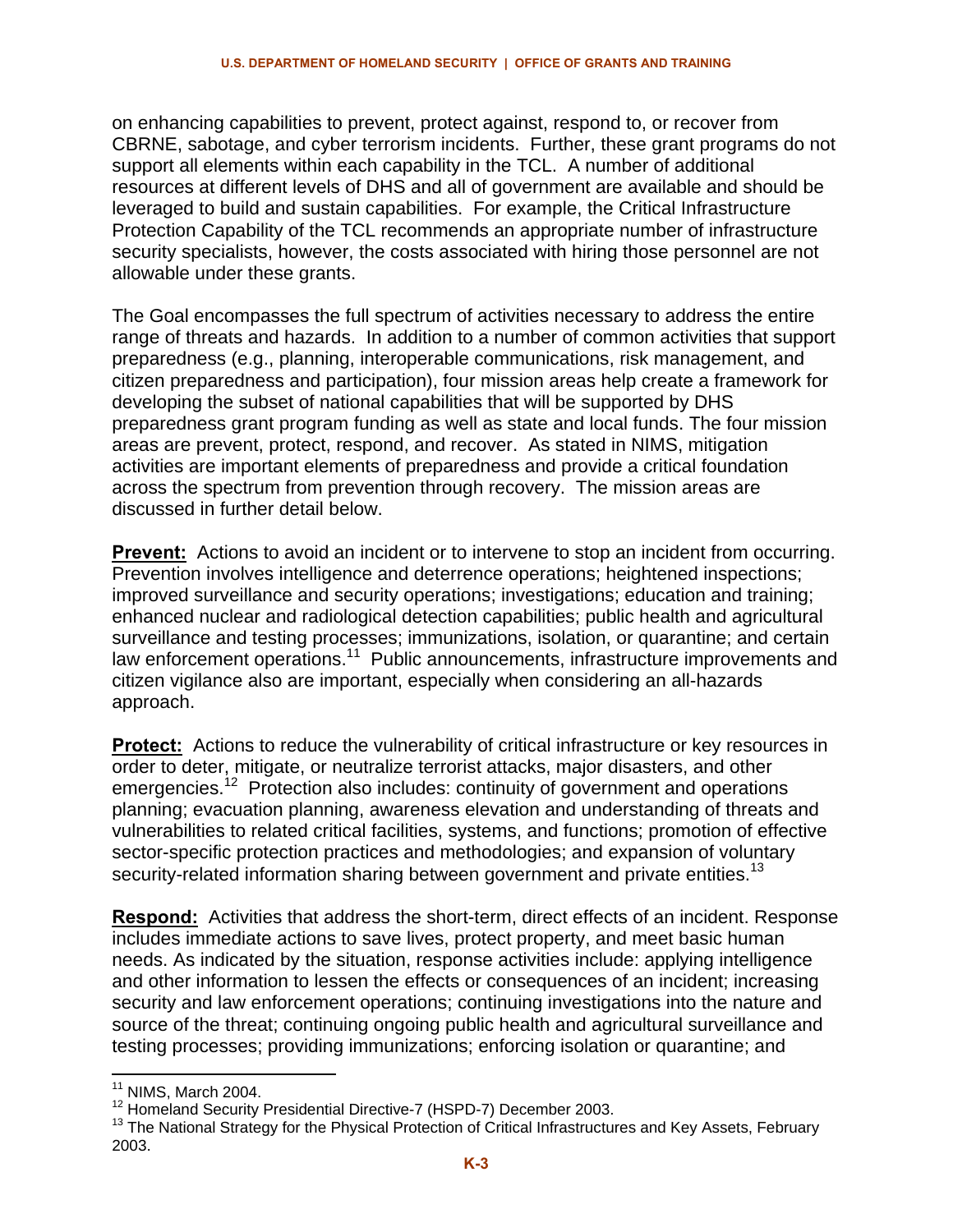on enhancing capabilities to prevent, protect against, respond to, or recover from CBRNE, sabotage, and cyber terrorism incidents. Further, these grant programs do not support all elements within each capability in the TCL. A number of additional resources at different levels of DHS and all of government are available and should be leveraged to build and sustain capabilities. For example, the Critical Infrastructure Protection Capability of the TCL recommends an appropriate number of infrastructure security specialists, however, the costs associated with hiring those personnel are not allowable under these grants.

The Goal encompasses the full spectrum of activities necessary to address the entire range of threats and hazards. In addition to a number of common activities that support preparedness (e.g., planning, interoperable communications, risk management, and citizen preparedness and participation), four mission areas help create a framework for developing the subset of national capabilities that will be supported by DHS preparedness grant program funding as well as state and local funds. The four mission areas are prevent, protect, respond, and recover. As stated in NIMS, mitigation activities are important elements of preparedness and provide a critical foundation across the spectrum from prevention through recovery. The mission areas are discussed in further detail below.

**Prevent:** Actions to avoid an incident or to intervene to stop an incident from occurring. Prevention involves intelligence and deterrence operations; heightened inspections; improved surveillance and security operations; investigations; education and training; enhanced nuclear and radiological detection capabilities; public health and agricultural surveillance and testing processes; immunizations, isolation, or quarantine; and certain law enforcement operations.<sup>11</sup> Public announcements, infrastructure improvements and citizen vigilance also are important, especially when considering an all-hazards approach.

**Protect:** Actions to reduce the vulnerability of critical infrastructure or key resources in order to deter, mitigate, or neutralize terrorist attacks, major disasters, and other emergencies.<sup>12</sup> Protection also includes: continuity of government and operations planning; evacuation planning, awareness elevation and understanding of threats and vulnerabilities to related critical facilities, systems, and functions; promotion of effective sector-specific protection practices and methodologies; and expansion of voluntary security-related information sharing between government and private entities.<sup>13</sup>

**Respond:** Activities that address the short-term, direct effects of an incident. Response includes immediate actions to save lives, protect property, and meet basic human needs. As indicated by the situation, response activities include: applying intelligence and other information to lessen the effects or consequences of an incident; increasing security and law enforcement operations; continuing investigations into the nature and source of the threat; continuing ongoing public health and agricultural surveillance and testing processes; providing immunizations; enforcing isolation or quarantine; and

1

 $11$  NIMS, March 2004.

<sup>12</sup> Homeland Security Presidential Directive-7 (HSPD-7) December 2003.<br><sup>13</sup> The National Strategy for the Physical Protection of Critical Infrastructures and Key Assets, February 2003.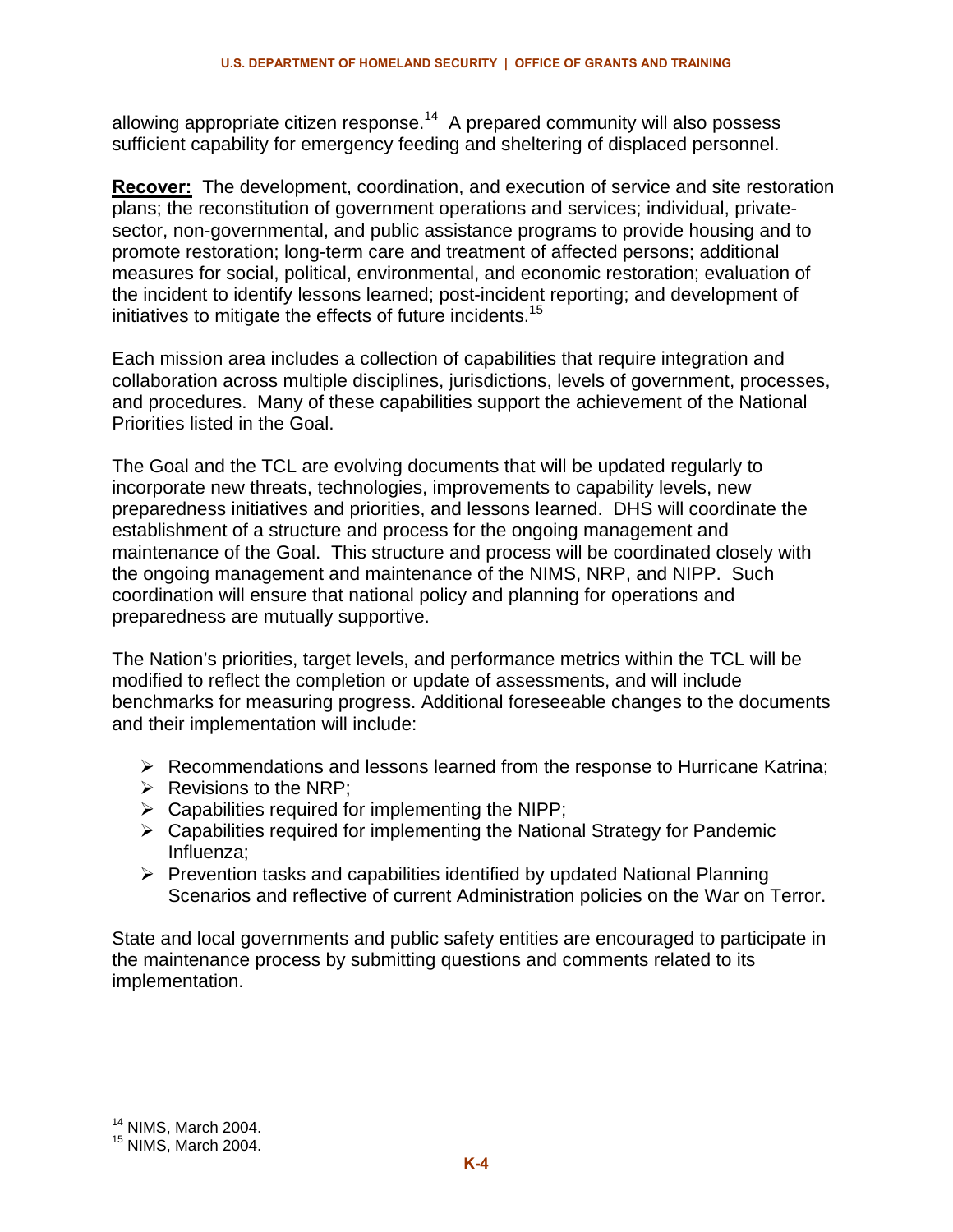allowing appropriate citizen response.<sup>14</sup> A prepared community will also possess sufficient capability for emergency feeding and sheltering of displaced personnel.

**Recover:** The development, coordination, and execution of service and site restoration plans; the reconstitution of government operations and services; individual, privatesector, non-governmental, and public assistance programs to provide housing and to promote restoration; long-term care and treatment of affected persons; additional measures for social, political, environmental, and economic restoration; evaluation of the incident to identify lessons learned; post-incident reporting; and development of initiatives to mitigate the effects of future incidents.<sup>15</sup>

Each mission area includes a collection of capabilities that require integration and collaboration across multiple disciplines, jurisdictions, levels of government, processes, and procedures. Many of these capabilities support the achievement of the National Priorities listed in the Goal.

The Goal and the TCL are evolving documents that will be updated regularly to incorporate new threats, technologies, improvements to capability levels, new preparedness initiatives and priorities, and lessons learned. DHS will coordinate the establishment of a structure and process for the ongoing management and maintenance of the Goal. This structure and process will be coordinated closely with the ongoing management and maintenance of the NIMS, NRP, and NIPP. Such coordination will ensure that national policy and planning for operations and preparedness are mutually supportive.

The Nation's priorities, target levels, and performance metrics within the TCL will be modified to reflect the completion or update of assessments, and will include benchmarks for measuring progress. Additional foreseeable changes to the documents and their implementation will include:

- $\triangleright$  Recommendations and lessons learned from the response to Hurricane Katrina;
- $\triangleright$  Revisions to the NRP;
- $\triangleright$  Capabilities required for implementing the NIPP;
- $\triangleright$  Capabilities required for implementing the National Strategy for Pandemic Influenza;
- $\triangleright$  Prevention tasks and capabilities identified by updated National Planning Scenarios and reflective of current Administration policies on the War on Terror.

State and local governments and public safety entities are encouraged to participate in the maintenance process by submitting questions and comments related to its implementation.

 $\overline{a}$  $14$  NIMS, March 2004.

<sup>15</sup> NIMS, March 2004.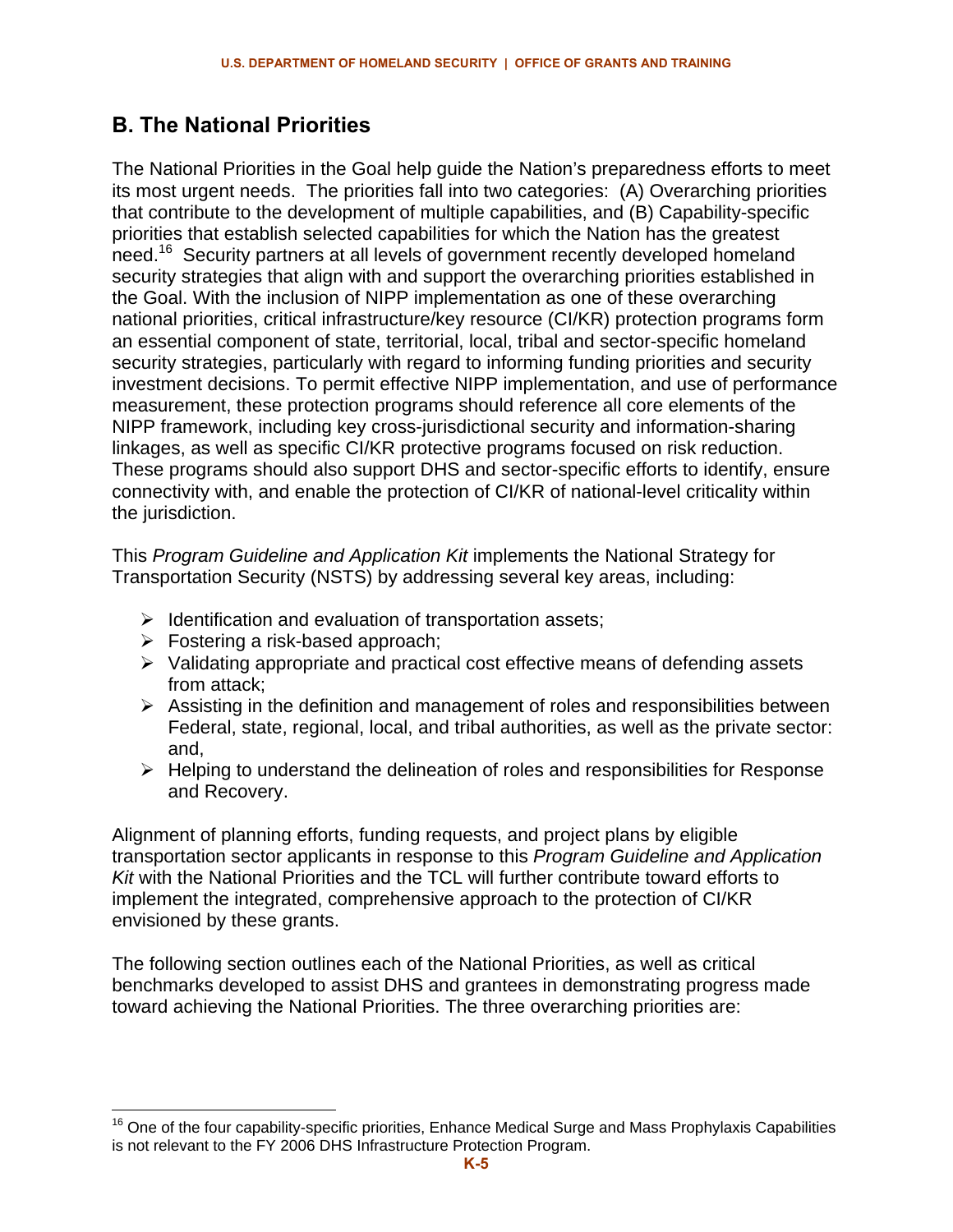## **B. The National Priorities**

The National Priorities in the Goal help guide the Nation's preparedness efforts to meet its most urgent needs. The priorities fall into two categories: (A) Overarching priorities that contribute to the development of multiple capabilities, and (B) Capability-specific priorities that establish selected capabilities for which the Nation has the greatest need.<sup>16</sup> Security partners at all levels of government recently developed homeland security strategies that align with and support the overarching priorities established in the Goal. With the inclusion of NIPP implementation as one of these overarching national priorities, critical infrastructure/key resource (CI/KR) protection programs form an essential component of state, territorial, local, tribal and sector-specific homeland security strategies, particularly with regard to informing funding priorities and security investment decisions. To permit effective NIPP implementation, and use of performance measurement, these protection programs should reference all core elements of the NIPP framework, including key cross-jurisdictional security and information-sharing linkages, as well as specific CI/KR protective programs focused on risk reduction. These programs should also support DHS and sector-specific efforts to identify, ensure connectivity with, and enable the protection of CI/KR of national-level criticality within the jurisdiction.

This *Program Guideline and Application Kit* implements the National Strategy for Transportation Security (NSTS) by addressing several key areas, including:

- $\triangleright$  Identification and evaluation of transportation assets;
- $\triangleright$  Fostering a risk-based approach;
- $\triangleright$  Validating appropriate and practical cost effective means of defending assets from attack;
- $\triangleright$  Assisting in the definition and management of roles and responsibilities between Federal, state, regional, local, and tribal authorities, as well as the private sector: and,
- $\triangleright$  Helping to understand the delineation of roles and responsibilities for Response and Recovery.

Alignment of planning efforts, funding requests, and project plans by eligible transportation sector applicants in response to this *Program Guideline and Application Kit* with the National Priorities and the TCL will further contribute toward efforts to implement the integrated, comprehensive approach to the protection of CI/KR envisioned by these grants.

The following section outlines each of the National Priorities, as well as critical benchmarks developed to assist DHS and grantees in demonstrating progress made toward achieving the National Priorities. The three overarching priorities are:

 $\overline{a}$ <sup>16</sup> One of the four capability-specific priorities, Enhance Medical Surge and Mass Prophylaxis Capabilities is not relevant to the FY 2006 DHS Infrastructure Protection Program.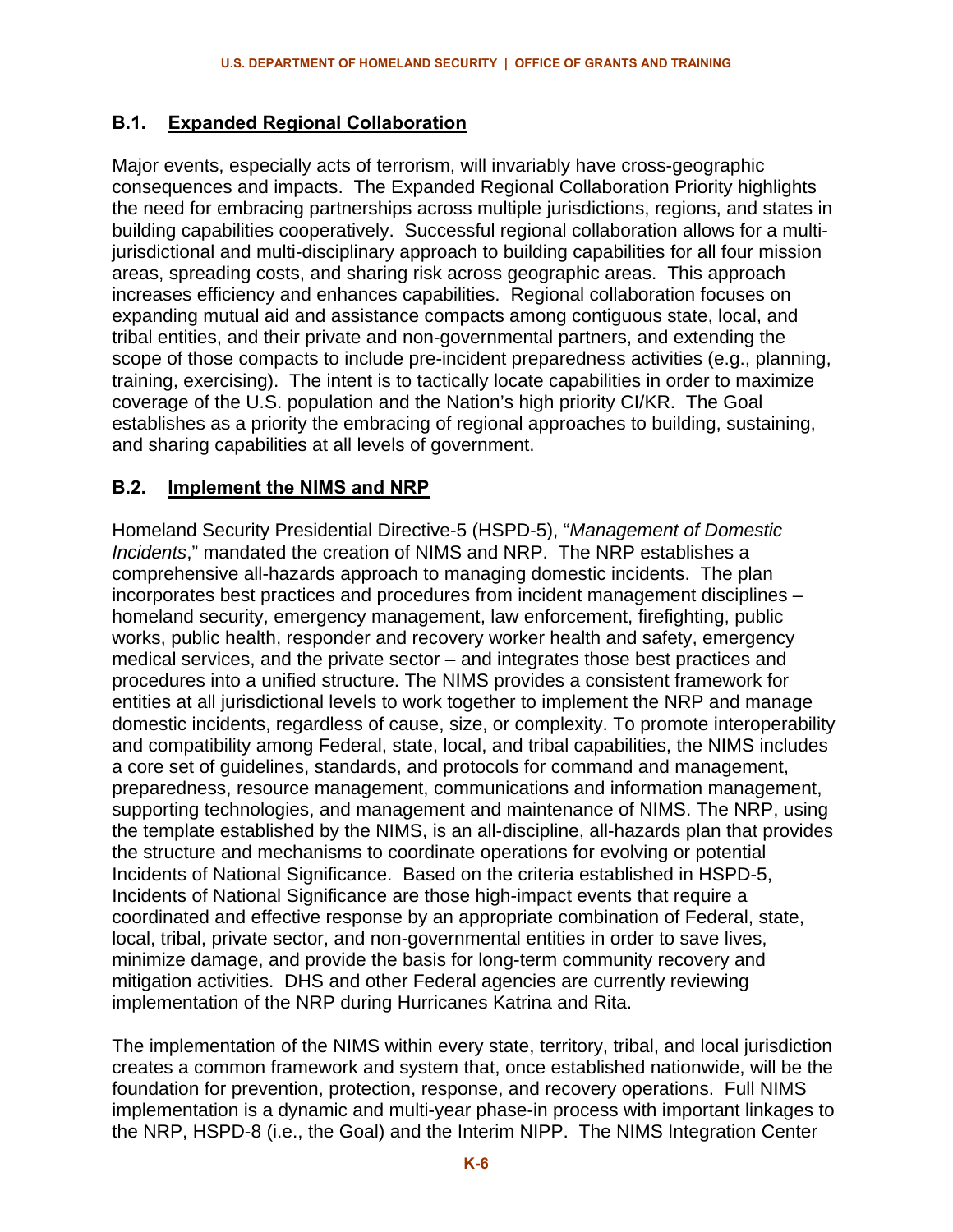## **B.1. Expanded Regional Collaboration**

Major events, especially acts of terrorism, will invariably have cross-geographic consequences and impacts. The Expanded Regional Collaboration Priority highlights the need for embracing partnerships across multiple jurisdictions, regions, and states in building capabilities cooperatively. Successful regional collaboration allows for a multijurisdictional and multi-disciplinary approach to building capabilities for all four mission areas, spreading costs, and sharing risk across geographic areas. This approach increases efficiency and enhances capabilities. Regional collaboration focuses on expanding mutual aid and assistance compacts among contiguous state, local, and tribal entities, and their private and non-governmental partners, and extending the scope of those compacts to include pre-incident preparedness activities (e.g., planning, training, exercising). The intent is to tactically locate capabilities in order to maximize coverage of the U.S. population and the Nation's high priority CI/KR. The Goal establishes as a priority the embracing of regional approaches to building, sustaining, and sharing capabilities at all levels of government.

## **B.2. Implement the NIMS and NRP**

Homeland Security Presidential Directive-5 (HSPD-5), "*Management of Domestic Incidents*," mandated the creation of NIMS and NRP. The NRP establishes a comprehensive all-hazards approach to managing domestic incidents. The plan incorporates best practices and procedures from incident management disciplines – homeland security, emergency management, law enforcement, firefighting, public works, public health, responder and recovery worker health and safety, emergency medical services, and the private sector – and integrates those best practices and procedures into a unified structure. The NIMS provides a consistent framework for entities at all jurisdictional levels to work together to implement the NRP and manage domestic incidents, regardless of cause, size, or complexity. To promote interoperability and compatibility among Federal, state, local, and tribal capabilities, the NIMS includes a core set of guidelines, standards, and protocols for command and management, preparedness, resource management, communications and information management, supporting technologies, and management and maintenance of NIMS. The NRP, using the template established by the NIMS, is an all-discipline, all-hazards plan that provides the structure and mechanisms to coordinate operations for evolving or potential Incidents of National Significance. Based on the criteria established in HSPD-5, Incidents of National Significance are those high-impact events that require a coordinated and effective response by an appropriate combination of Federal, state, local, tribal, private sector, and non-governmental entities in order to save lives, minimize damage, and provide the basis for long-term community recovery and mitigation activities. DHS and other Federal agencies are currently reviewing implementation of the NRP during Hurricanes Katrina and Rita.

The implementation of the NIMS within every state, territory, tribal, and local jurisdiction creates a common framework and system that, once established nationwide, will be the foundation for prevention, protection, response, and recovery operations. Full NIMS implementation is a dynamic and multi-year phase-in process with important linkages to the NRP, HSPD-8 (i.e., the Goal) and the Interim NIPP. The NIMS Integration Center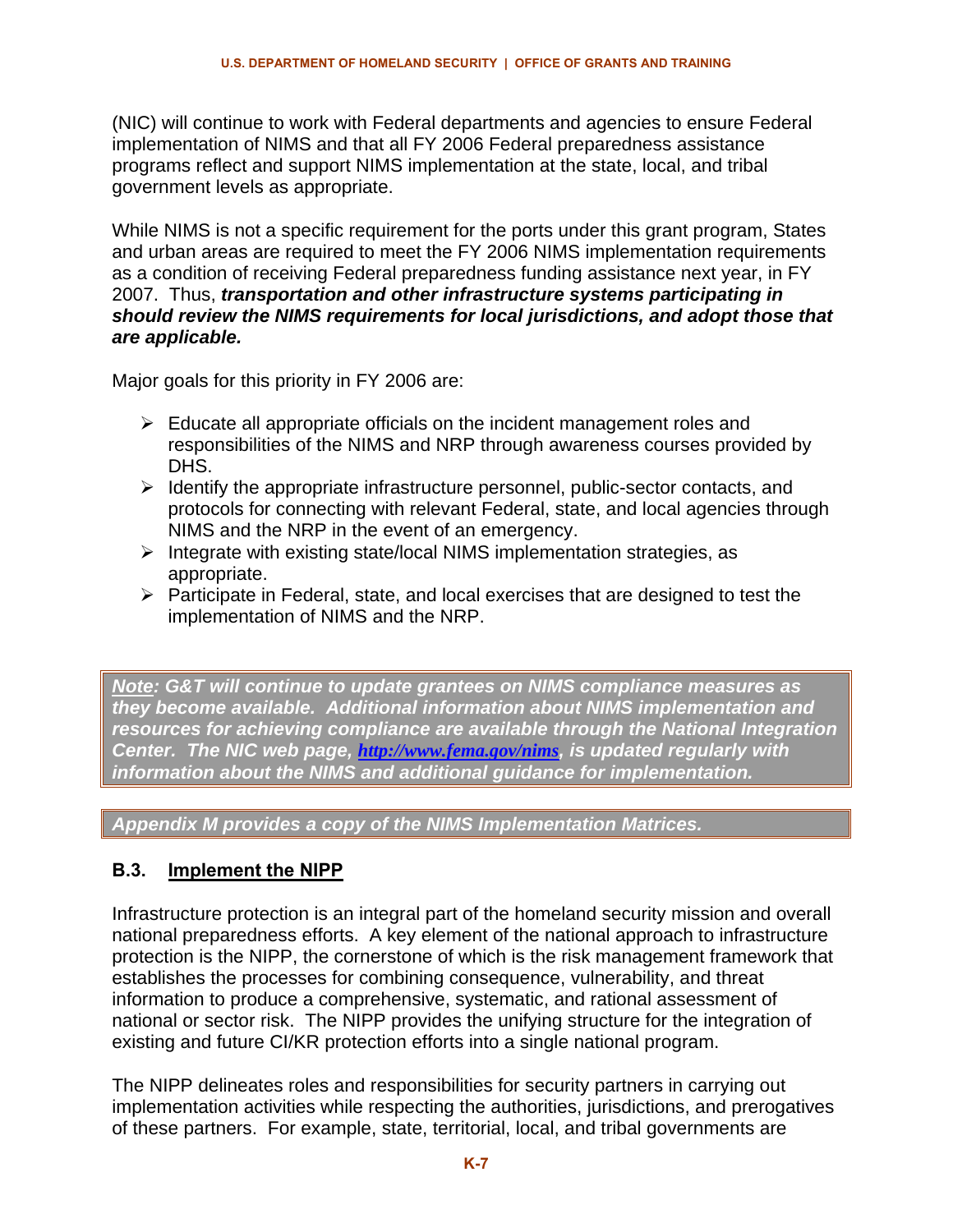(NIC) will continue to work with Federal departments and agencies to ensure Federal implementation of NIMS and that all FY 2006 Federal preparedness assistance programs reflect and support NIMS implementation at the state, local, and tribal government levels as appropriate.

While NIMS is not a specific requirement for the ports under this grant program, States and urban areas are required to meet the FY 2006 NIMS implementation requirements as a condition of receiving Federal preparedness funding assistance next year, in FY 2007. Thus, *transportation and other infrastructure systems participating in should review the NIMS requirements for local jurisdictions, and adopt those that are applicable.* 

Major goals for this priority in FY 2006 are:

- $\triangleright$  Educate all appropriate officials on the incident management roles and responsibilities of the NIMS and NRP through awareness courses provided by DHS.
- ¾ Identify the appropriate infrastructure personnel, public-sector contacts, and protocols for connecting with relevant Federal, state, and local agencies through NIMS and the NRP in the event of an emergency.
- $\triangleright$  Integrate with existing state/local NIMS implementation strategies, as appropriate.
- $\triangleright$  Participate in Federal, state, and local exercises that are designed to test the implementation of NIMS and the NRP.

*Note: G&T will continue to update grantees on NIMS compliance measures as they become available. Additional information about NIMS implementation and resources for achieving compliance are available through the National Integration Center. The NIC web page, http://www.fema.gov/nims, is updated regularly with information about the NIMS and additional guidance for implementation.* 

*Appendix M provides a copy of the NIMS Implementation Matrices.* 

## **B.3. Implement the NIPP**

Infrastructure protection is an integral part of the homeland security mission and overall national preparedness efforts. A key element of the national approach to infrastructure protection is the NIPP, the cornerstone of which is the risk management framework that establishes the processes for combining consequence, vulnerability, and threat information to produce a comprehensive, systematic, and rational assessment of national or sector risk. The NIPP provides the unifying structure for the integration of existing and future CI/KR protection efforts into a single national program.

The NIPP delineates roles and responsibilities for security partners in carrying out implementation activities while respecting the authorities, jurisdictions, and prerogatives of these partners. For example, state, territorial, local, and tribal governments are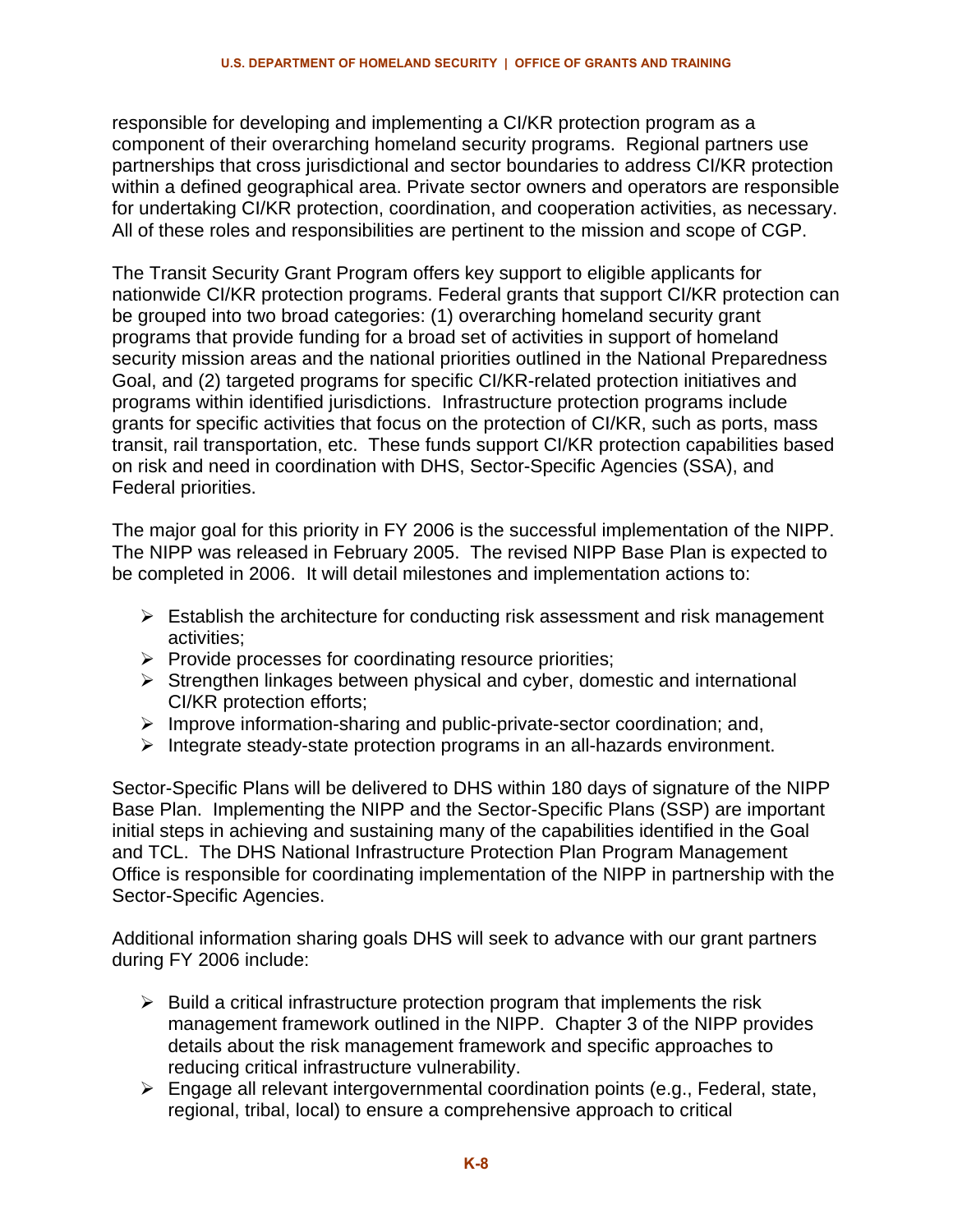responsible for developing and implementing a CI/KR protection program as a component of their overarching homeland security programs. Regional partners use partnerships that cross jurisdictional and sector boundaries to address CI/KR protection within a defined geographical area. Private sector owners and operators are responsible for undertaking CI/KR protection, coordination, and cooperation activities, as necessary. All of these roles and responsibilities are pertinent to the mission and scope of CGP.

The Transit Security Grant Program offers key support to eligible applicants for nationwide CI/KR protection programs. Federal grants that support CI/KR protection can be grouped into two broad categories: (1) overarching homeland security grant programs that provide funding for a broad set of activities in support of homeland security mission areas and the national priorities outlined in the National Preparedness Goal, and (2) targeted programs for specific CI/KR-related protection initiatives and programs within identified jurisdictions. Infrastructure protection programs include grants for specific activities that focus on the protection of CI/KR, such as ports, mass transit, rail transportation, etc. These funds support CI/KR protection capabilities based on risk and need in coordination with DHS, Sector-Specific Agencies (SSA), and Federal priorities.

The major goal for this priority in FY 2006 is the successful implementation of the NIPP. The NIPP was released in February 2005. The revised NIPP Base Plan is expected to be completed in 2006. It will detail milestones and implementation actions to:

- $\triangleright$  Establish the architecture for conducting risk assessment and risk management activities;
- $\triangleright$  Provide processes for coordinating resource priorities;
- $\triangleright$  Strengthen linkages between physical and cyber, domestic and international CI/KR protection efforts;
- ¾ Improve information-sharing and public-private-sector coordination; and,
- ¾ Integrate steady-state protection programs in an all-hazards environment.

Sector-Specific Plans will be delivered to DHS within 180 days of signature of the NIPP Base Plan. Implementing the NIPP and the Sector-Specific Plans (SSP) are important initial steps in achieving and sustaining many of the capabilities identified in the Goal and TCL. The DHS National Infrastructure Protection Plan Program Management Office is responsible for coordinating implementation of the NIPP in partnership with the Sector-Specific Agencies.

Additional information sharing goals DHS will seek to advance with our grant partners during FY 2006 include:

- $\triangleright$  Build a critical infrastructure protection program that implements the risk management framework outlined in the NIPP. Chapter 3 of the NIPP provides details about the risk management framework and specific approaches to reducing critical infrastructure vulnerability.
- $\triangleright$  Engage all relevant intergovernmental coordination points (e.g., Federal, state, regional, tribal, local) to ensure a comprehensive approach to critical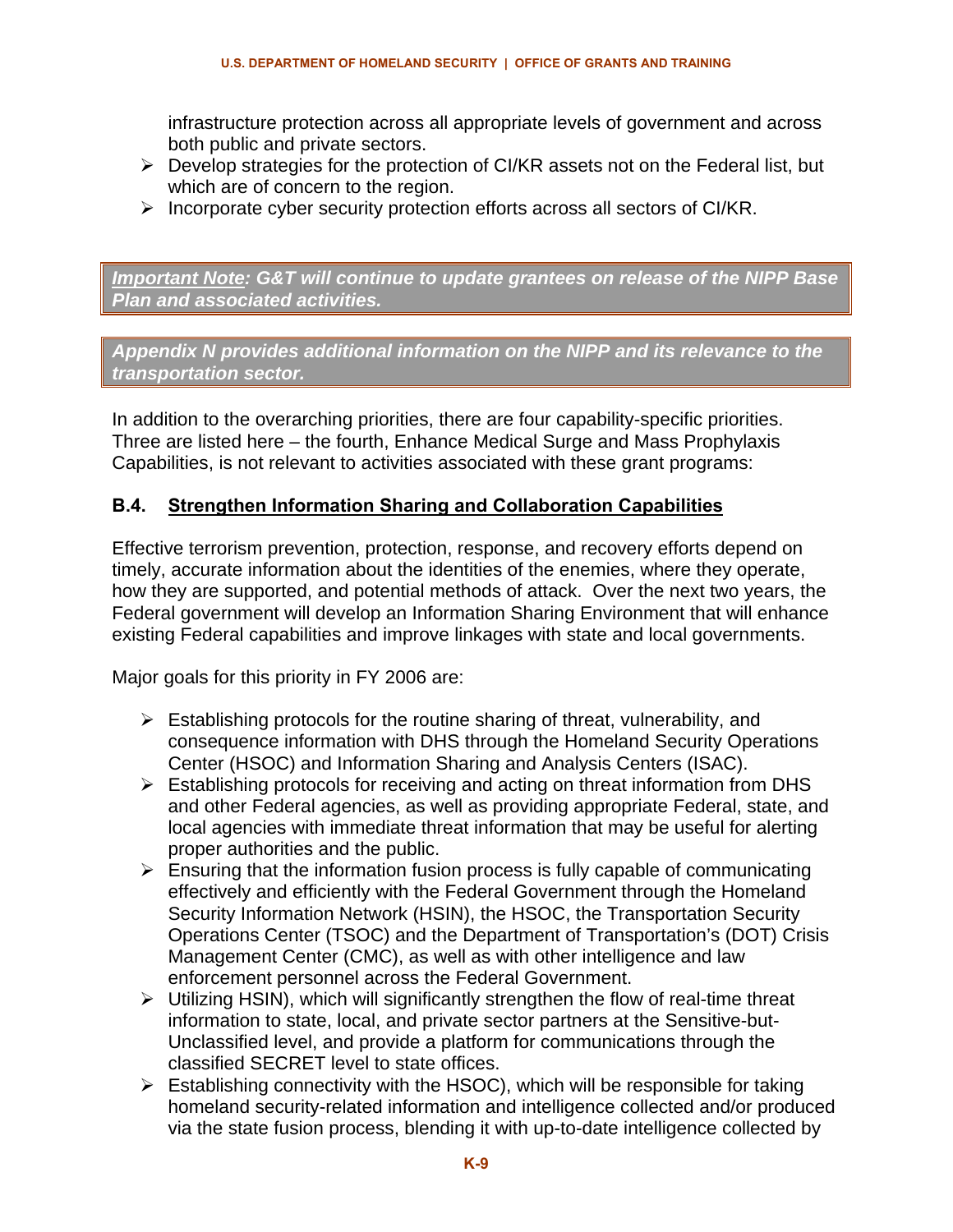infrastructure protection across all appropriate levels of government and across both public and private sectors.

- ¾ Develop strategies for the protection of CI/KR assets not on the Federal list, but which are of concern to the region.
- ¾ Incorporate cyber security protection efforts across all sectors of CI/KR.

*Important Note: G&T will continue to update grantees on release of the NIPP Base Plan and associated activities.* 

*Appendix N provides additional information on the NIPP and its relevance to the transportation sector.* 

In addition to the overarching priorities, there are four capability-specific priorities. Three are listed here – the fourth, Enhance Medical Surge and Mass Prophylaxis Capabilities, is not relevant to activities associated with these grant programs:

## **B.4. Strengthen Information Sharing and Collaboration Capabilities**

Effective terrorism prevention, protection, response, and recovery efforts depend on timely, accurate information about the identities of the enemies, where they operate, how they are supported, and potential methods of attack. Over the next two years, the Federal government will develop an Information Sharing Environment that will enhance existing Federal capabilities and improve linkages with state and local governments.

Major goals for this priority in FY 2006 are:

- $\triangleright$  Establishing protocols for the routine sharing of threat, vulnerability, and consequence information with DHS through the Homeland Security Operations Center (HSOC) and Information Sharing and Analysis Centers (ISAC).
- ¾ Establishing protocols for receiving and acting on threat information from DHS and other Federal agencies, as well as providing appropriate Federal, state, and local agencies with immediate threat information that may be useful for alerting proper authorities and the public.
- $\triangleright$  Ensuring that the information fusion process is fully capable of communicating effectively and efficiently with the Federal Government through the Homeland Security Information Network (HSIN), the HSOC, the Transportation Security Operations Center (TSOC) and the Department of Transportation's (DOT) Crisis Management Center (CMC), as well as with other intelligence and law enforcement personnel across the Federal Government.
- $\triangleright$  Utilizing HSIN), which will significantly strengthen the flow of real-time threat information to state, local, and private sector partners at the Sensitive-but-Unclassified level, and provide a platform for communications through the classified SECRET level to state offices.
- $\triangleright$  Establishing connectivity with the HSOC), which will be responsible for taking homeland security-related information and intelligence collected and/or produced via the state fusion process, blending it with up-to-date intelligence collected by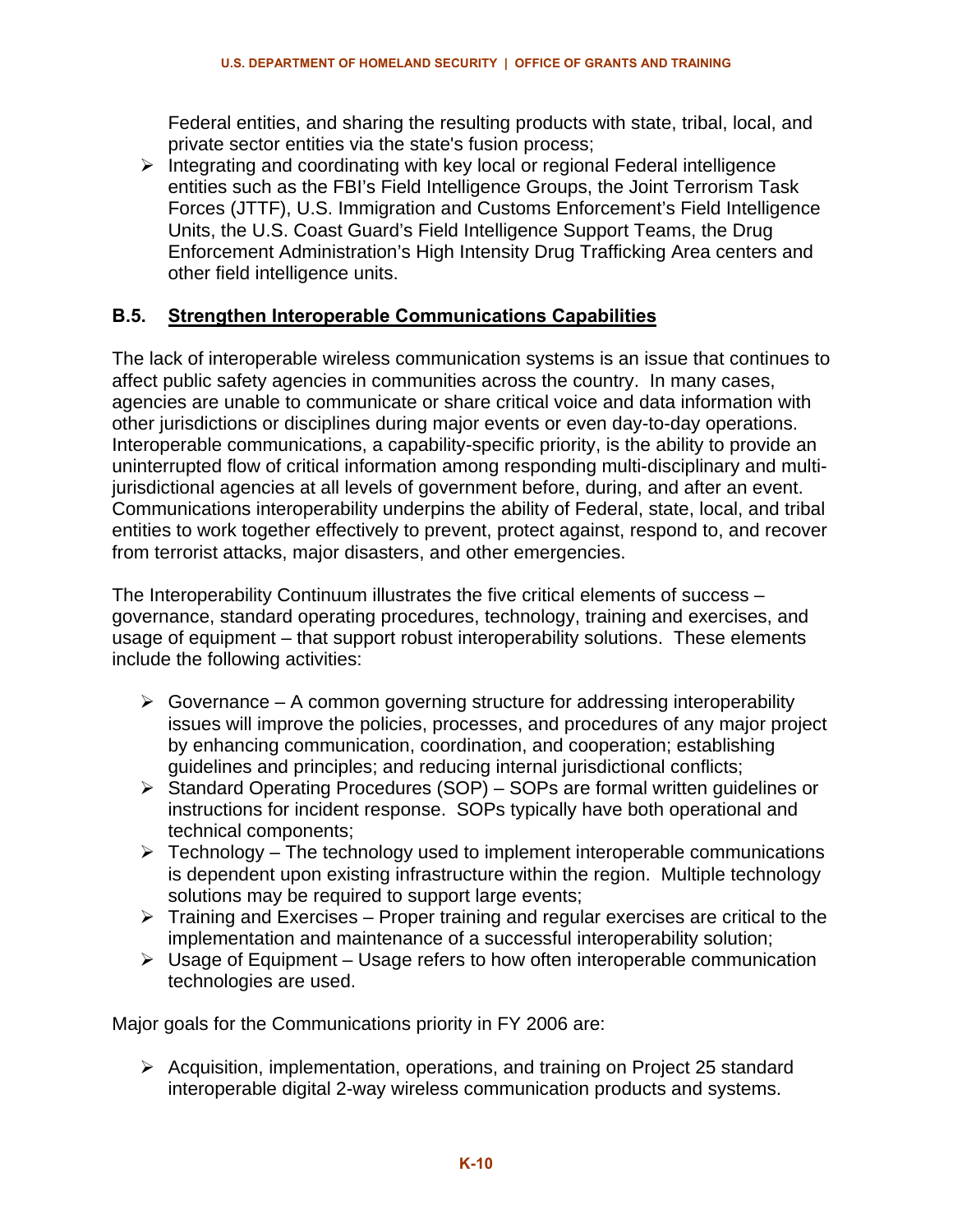Federal entities, and sharing the resulting products with state, tribal, local, and private sector entities via the state's fusion process;

 $\triangleright$  Integrating and coordinating with key local or regional Federal intelligence entities such as the FBI's Field Intelligence Groups, the Joint Terrorism Task Forces (JTTF), U.S. Immigration and Customs Enforcement's Field Intelligence Units, the U.S. Coast Guard's Field Intelligence Support Teams, the Drug Enforcement Administration's High Intensity Drug Trafficking Area centers and other field intelligence units.

## **B.5. Strengthen Interoperable Communications Capabilities**

The lack of interoperable wireless communication systems is an issue that continues to affect public safety agencies in communities across the country. In many cases, agencies are unable to communicate or share critical voice and data information with other jurisdictions or disciplines during major events or even day-to-day operations. Interoperable communications, a capability-specific priority, is the ability to provide an uninterrupted flow of critical information among responding multi-disciplinary and multijurisdictional agencies at all levels of government before, during, and after an event. Communications interoperability underpins the ability of Federal, state, local, and tribal entities to work together effectively to prevent, protect against, respond to, and recover from terrorist attacks, major disasters, and other emergencies.

The Interoperability Continuum illustrates the five critical elements of success – governance, standard operating procedures, technology, training and exercises, and usage of equipment – that support robust interoperability solutions. These elements include the following activities:

- $\triangleright$  Governance A common governing structure for addressing interoperability issues will improve the policies, processes, and procedures of any major project by enhancing communication, coordination, and cooperation; establishing guidelines and principles; and reducing internal jurisdictional conflicts;
- ¾ Standard Operating Procedures (SOP) SOPs are formal written guidelines or instructions for incident response. SOPs typically have both operational and technical components;
- $\triangleright$  Technology The technology used to implement interoperable communications is dependent upon existing infrastructure within the region. Multiple technology solutions may be required to support large events;
- $\triangleright$  Training and Exercises Proper training and regular exercises are critical to the implementation and maintenance of a successful interoperability solution;
- $\triangleright$  Usage of Equipment Usage refers to how often interoperable communication technologies are used.

Major goals for the Communications priority in FY 2006 are:

 $\triangleright$  Acquisition, implementation, operations, and training on Project 25 standard interoperable digital 2-way wireless communication products and systems.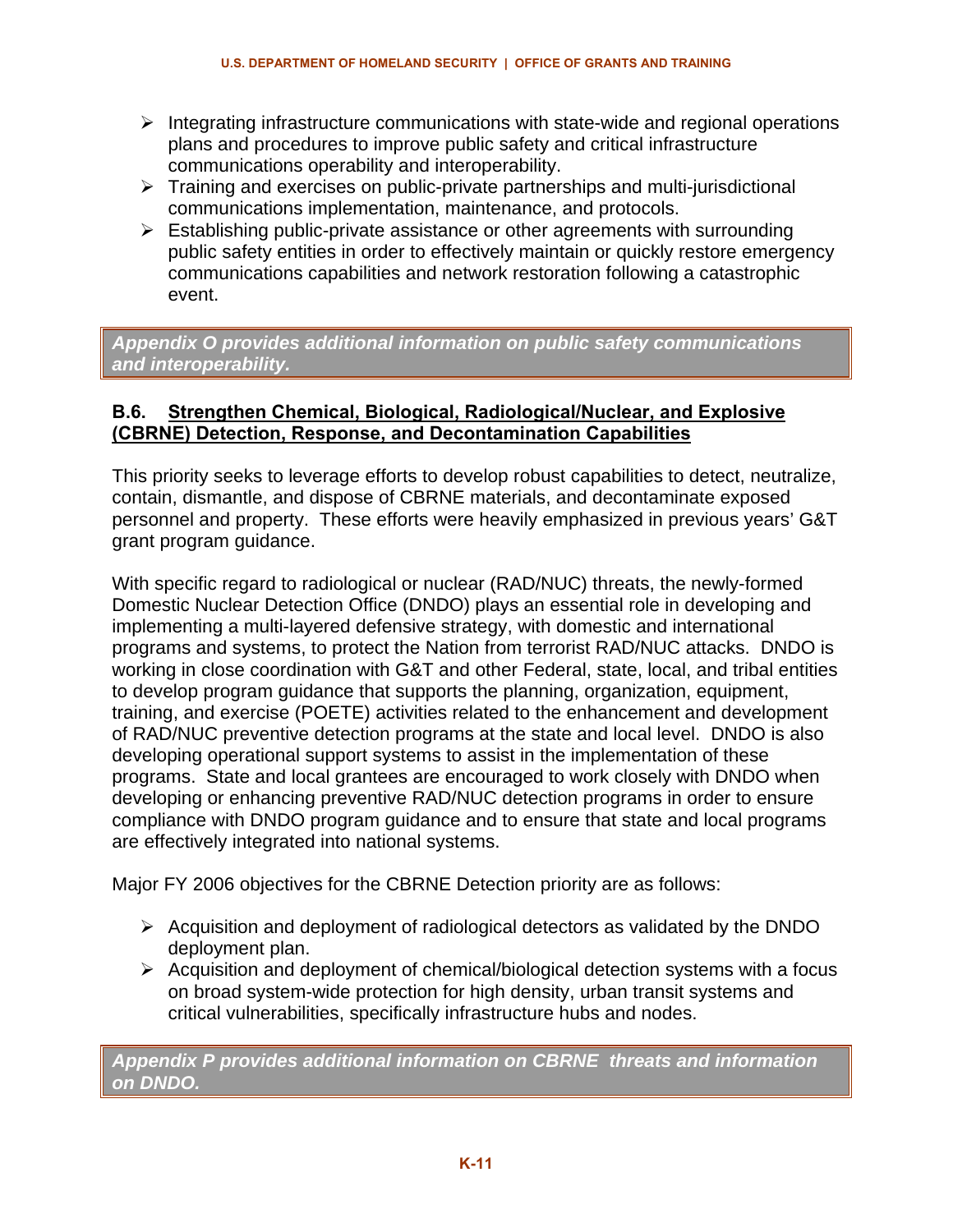- $\triangleright$  Integrating infrastructure communications with state-wide and regional operations plans and procedures to improve public safety and critical infrastructure communications operability and interoperability.
- $\triangleright$  Training and exercises on public-private partnerships and multi-jurisdictional communications implementation, maintenance, and protocols.
- $\triangleright$  Establishing public-private assistance or other agreements with surrounding public safety entities in order to effectively maintain or quickly restore emergency communications capabilities and network restoration following a catastrophic event.

*Appendix O provides additional information on public safety communications and interoperability.* 

## **B.6. Strengthen Chemical, Biological, Radiological/Nuclear, and Explosive (CBRNE) Detection, Response, and Decontamination Capabilities**

This priority seeks to leverage efforts to develop robust capabilities to detect, neutralize, contain, dismantle, and dispose of CBRNE materials, and decontaminate exposed personnel and property. These efforts were heavily emphasized in previous years' G&T grant program guidance.

With specific regard to radiological or nuclear (RAD/NUC) threats, the newly-formed Domestic Nuclear Detection Office (DNDO) plays an essential role in developing and implementing a multi-layered defensive strategy, with domestic and international programs and systems, to protect the Nation from terrorist RAD/NUC attacks. DNDO is working in close coordination with G&T and other Federal, state, local, and tribal entities to develop program guidance that supports the planning, organization, equipment, training, and exercise (POETE) activities related to the enhancement and development of RAD/NUC preventive detection programs at the state and local level. DNDO is also developing operational support systems to assist in the implementation of these programs. State and local grantees are encouraged to work closely with DNDO when developing or enhancing preventive RAD/NUC detection programs in order to ensure compliance with DNDO program guidance and to ensure that state and local programs are effectively integrated into national systems.

Major FY 2006 objectives for the CBRNE Detection priority are as follows:

- $\triangleright$  Acquisition and deployment of radiological detectors as validated by the DNDO deployment plan.
- $\triangleright$  Acquisition and deployment of chemical/biological detection systems with a focus on broad system-wide protection for high density, urban transit systems and critical vulnerabilities, specifically infrastructure hubs and nodes.

*Appendix P provides additional information on CBRNE threats and information on DNDO.*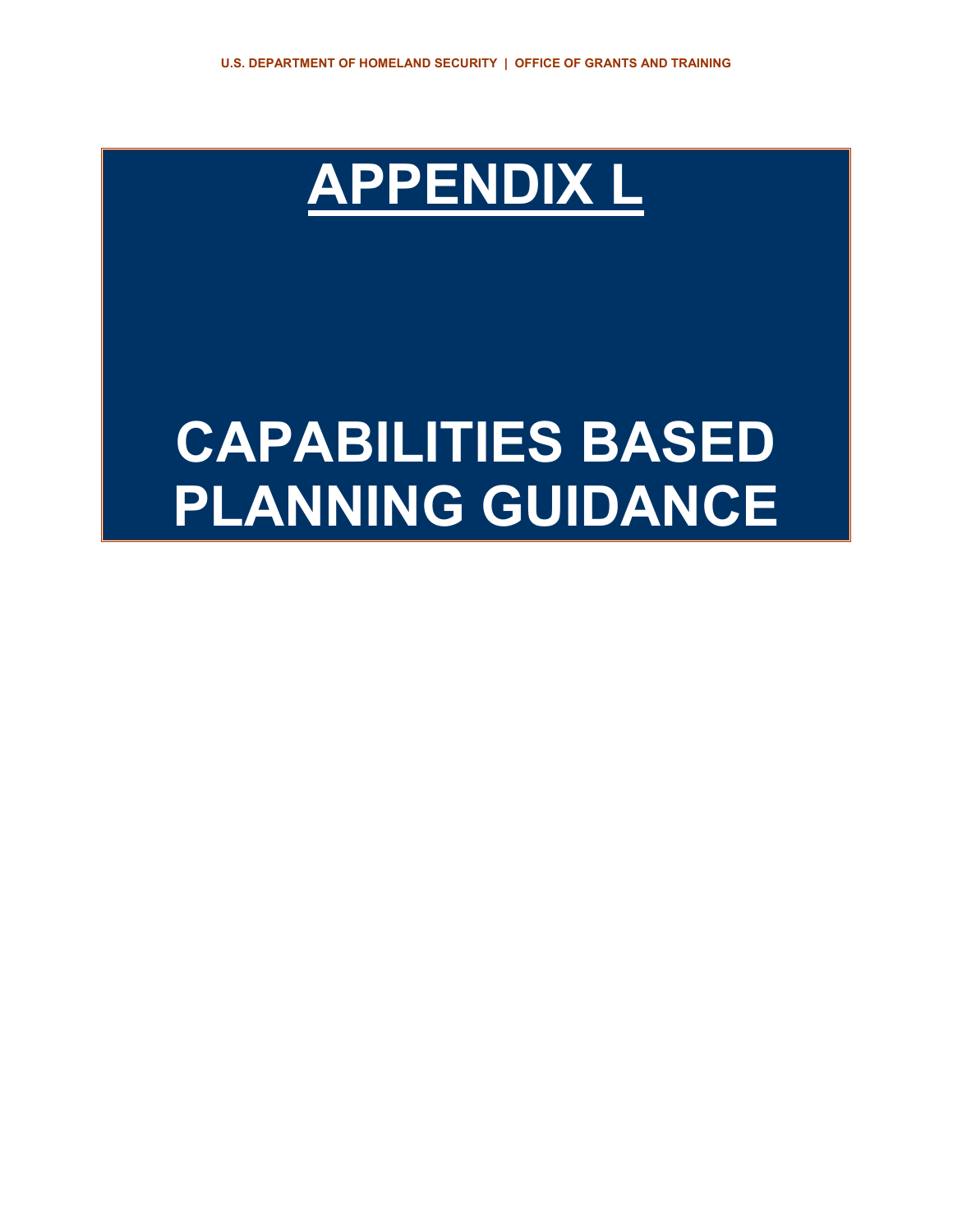

# **CAPABILITIES BASED PLANNING GUIDANCE**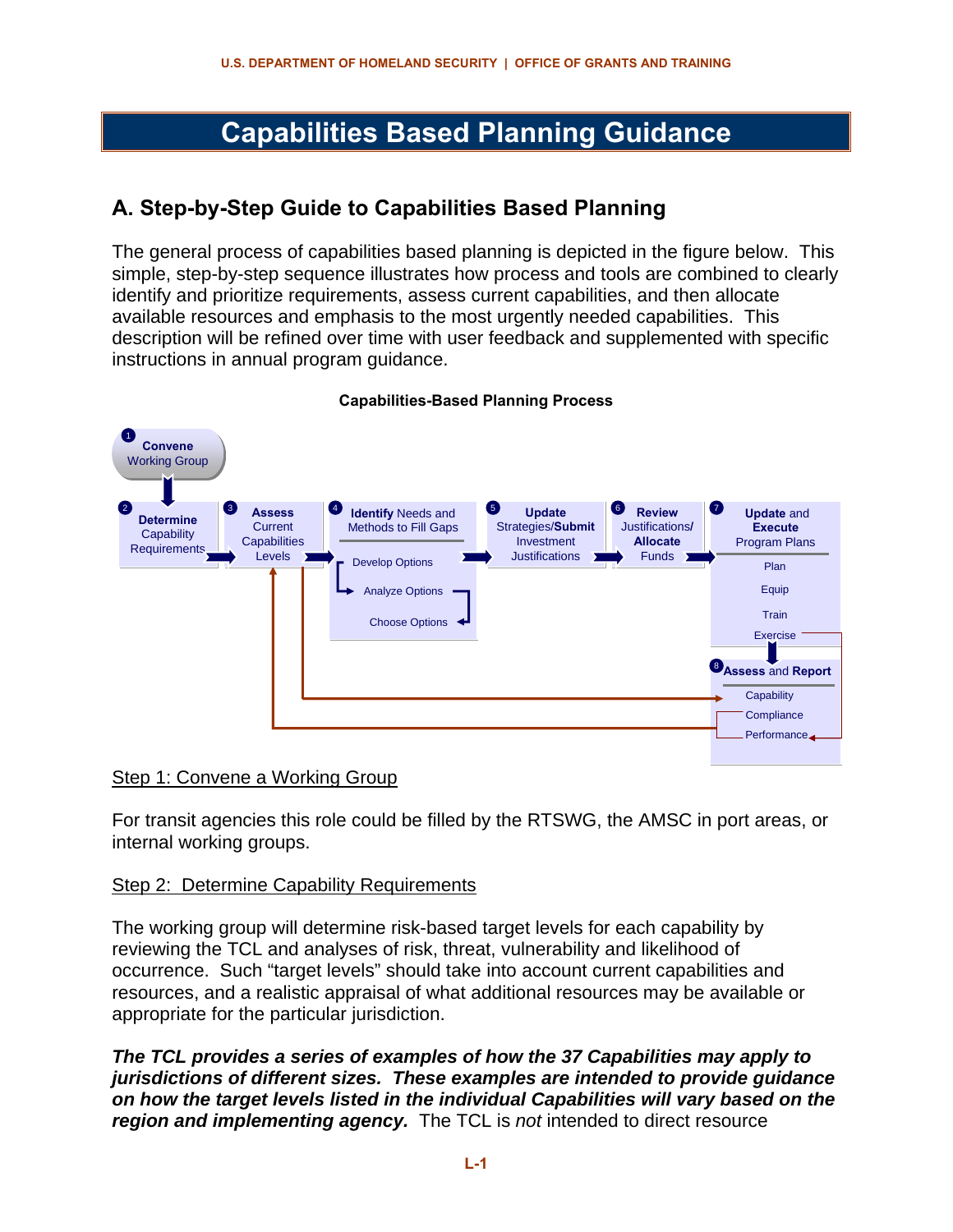## **Capabilities Based Planning Guidance**

## **A. Step-by-Step Guide to Capabilities Based Planning**

The general process of capabilities based planning is depicted in the figure below. This simple, step-by-step sequence illustrates how process and tools are combined to clearly identify and prioritize requirements, assess current capabilities, and then allocate available resources and emphasis to the most urgently needed capabilities. This description will be refined over time with user feedback and supplemented with specific instructions in annual program guidance.



#### **Capabilities-Based Planning Process**

## Step 1: Convene a Working Group

For transit agencies this role could be filled by the RTSWG, the AMSC in port areas, or internal working groups.

## Step 2: Determine Capability Requirements

The working group will determine risk-based target levels for each capability by reviewing the TCL and analyses of risk, threat, vulnerability and likelihood of occurrence. Such "target levels" should take into account current capabilities and resources, and a realistic appraisal of what additional resources may be available or appropriate for the particular jurisdiction.

*The TCL provides a series of examples of how the 37 Capabilities may apply to jurisdictions of different sizes. These examples are intended to provide guidance on how the target levels listed in the individual Capabilities will vary based on the region and implementing agency.* The TCL is *not* intended to direct resource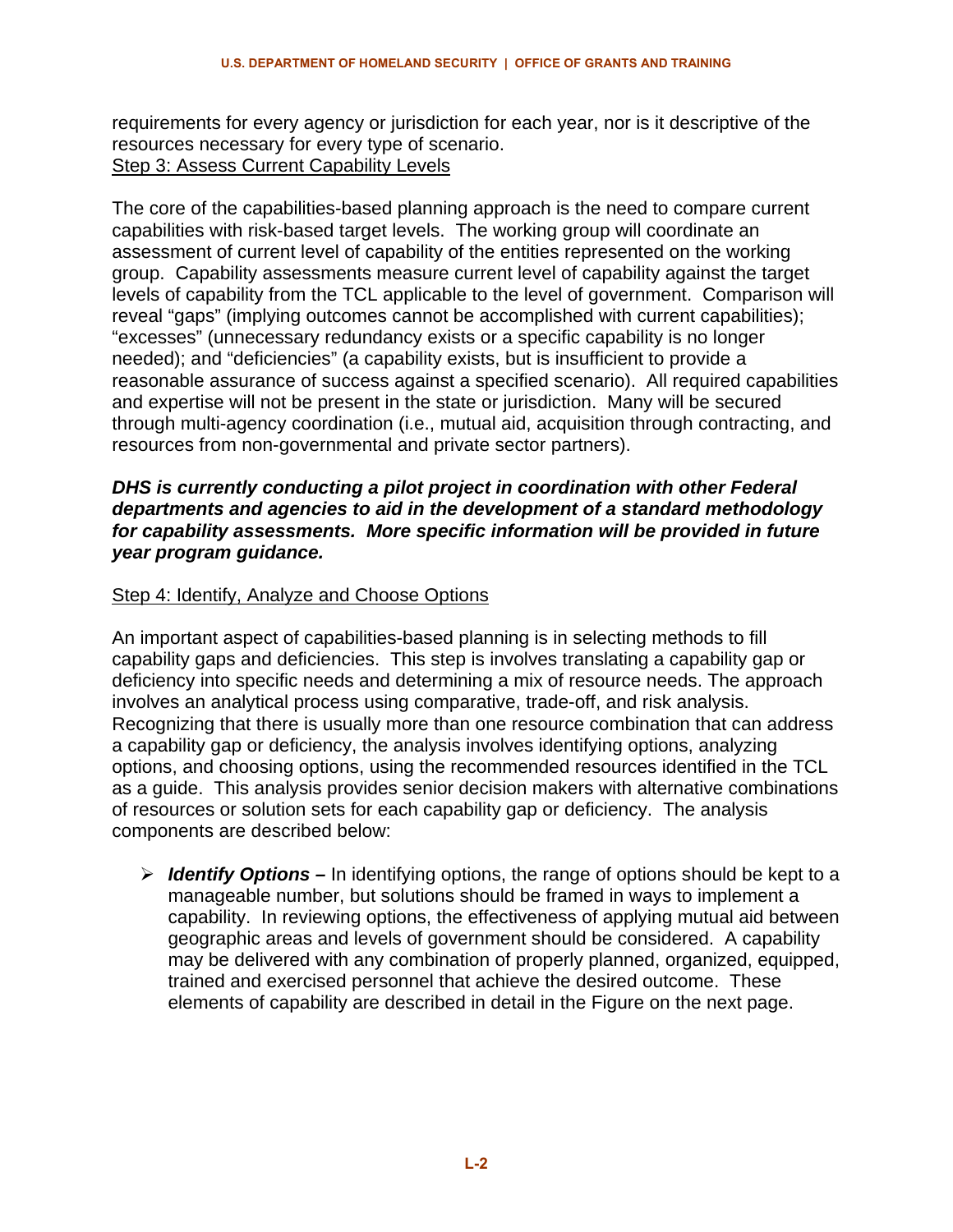requirements for every agency or jurisdiction for each year, nor is it descriptive of the resources necessary for every type of scenario. Step 3: Assess Current Capability Levels

The core of the capabilities-based planning approach is the need to compare current capabilities with risk-based target levels. The working group will coordinate an assessment of current level of capability of the entities represented on the working group. Capability assessments measure current level of capability against the target levels of capability from the TCL applicable to the level of government. Comparison will reveal "gaps" (implying outcomes cannot be accomplished with current capabilities); "excesses" (unnecessary redundancy exists or a specific capability is no longer needed); and "deficiencies" (a capability exists, but is insufficient to provide a reasonable assurance of success against a specified scenario). All required capabilities and expertise will not be present in the state or jurisdiction. Many will be secured through multi-agency coordination (i.e., mutual aid, acquisition through contracting, and resources from non-governmental and private sector partners).

### *DHS is currently conducting a pilot project in coordination with other Federal departments and agencies to aid in the development of a standard methodology for capability assessments. More specific information will be provided in future year program guidance.*

## Step 4: Identify, Analyze and Choose Options

An important aspect of capabilities-based planning is in selecting methods to fill capability gaps and deficiencies. This step is involves translating a capability gap or deficiency into specific needs and determining a mix of resource needs. The approach involves an analytical process using comparative, trade-off, and risk analysis. Recognizing that there is usually more than one resource combination that can address a capability gap or deficiency, the analysis involves identifying options, analyzing options, and choosing options, using the recommended resources identified in the TCL as a guide. This analysis provides senior decision makers with alternative combinations of resources or solution sets for each capability gap or deficiency. The analysis components are described below:

¾ *Identify Options –* In identifying options, the range of options should be kept to a manageable number, but solutions should be framed in ways to implement a capability. In reviewing options, the effectiveness of applying mutual aid between geographic areas and levels of government should be considered. A capability may be delivered with any combination of properly planned, organized, equipped, trained and exercised personnel that achieve the desired outcome. These elements of capability are described in detail in the Figure on the next page.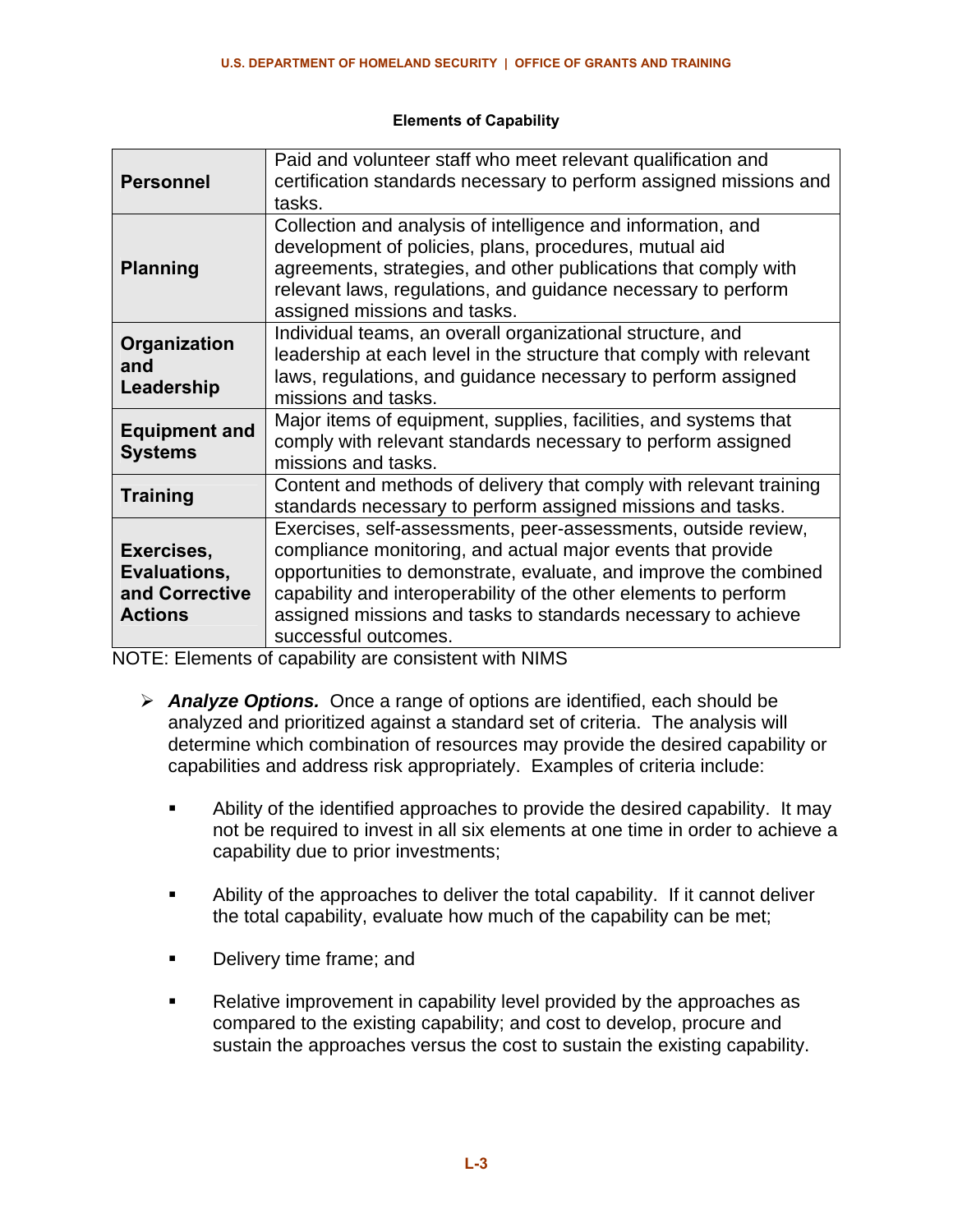#### **Elements of Capability**

|                      | Paid and volunteer staff who meet relevant qualification and        |
|----------------------|---------------------------------------------------------------------|
| <b>Personnel</b>     | certification standards necessary to perform assigned missions and  |
|                      | tasks.                                                              |
|                      | Collection and analysis of intelligence and information, and        |
|                      | development of policies, plans, procedures, mutual aid              |
| <b>Planning</b>      |                                                                     |
|                      | agreements, strategies, and other publications that comply with     |
|                      | relevant laws, regulations, and guidance necessary to perform       |
|                      | assigned missions and tasks.                                        |
| Organization         | Individual teams, an overall organizational structure, and          |
|                      | leadership at each level in the structure that comply with relevant |
| and                  | laws, regulations, and guidance necessary to perform assigned       |
| Leadership           | missions and tasks.                                                 |
|                      | Major items of equipment, supplies, facilities, and systems that    |
| <b>Equipment and</b> | comply with relevant standards necessary to perform assigned        |
| <b>Systems</b>       | missions and tasks.                                                 |
|                      | Content and methods of delivery that comply with relevant training  |
| <b>Training</b>      | standards necessary to perform assigned missions and tasks.         |
|                      | Exercises, self-assessments, peer-assessments, outside review,      |
| Exercises,           | compliance monitoring, and actual major events that provide         |
|                      | opportunities to demonstrate, evaluate, and improve the combined    |
| Evaluations,         |                                                                     |
| and Corrective       | capability and interoperability of the other elements to perform    |
| <b>Actions</b>       | assigned missions and tasks to standards necessary to achieve       |
|                      | successful outcomes.                                                |

NOTE: Elements of capability are consistent with NIMS

- ¾ *Analyze Options.* Once a range of options are identified, each should be analyzed and prioritized against a standard set of criteria. The analysis will determine which combination of resources may provide the desired capability or capabilities and address risk appropriately. Examples of criteria include:
	- Ability of the identified approaches to provide the desired capability. It may not be required to invest in all six elements at one time in order to achieve a capability due to prior investments;
	- Ability of the approaches to deliver the total capability. If it cannot deliver the total capability, evaluate how much of the capability can be met;
	- Delivery time frame; and
	- **EXECTED EXECTED EXECTED FIGGS Relative improvement in capability level provided by the approaches as** compared to the existing capability; and cost to develop, procure and sustain the approaches versus the cost to sustain the existing capability.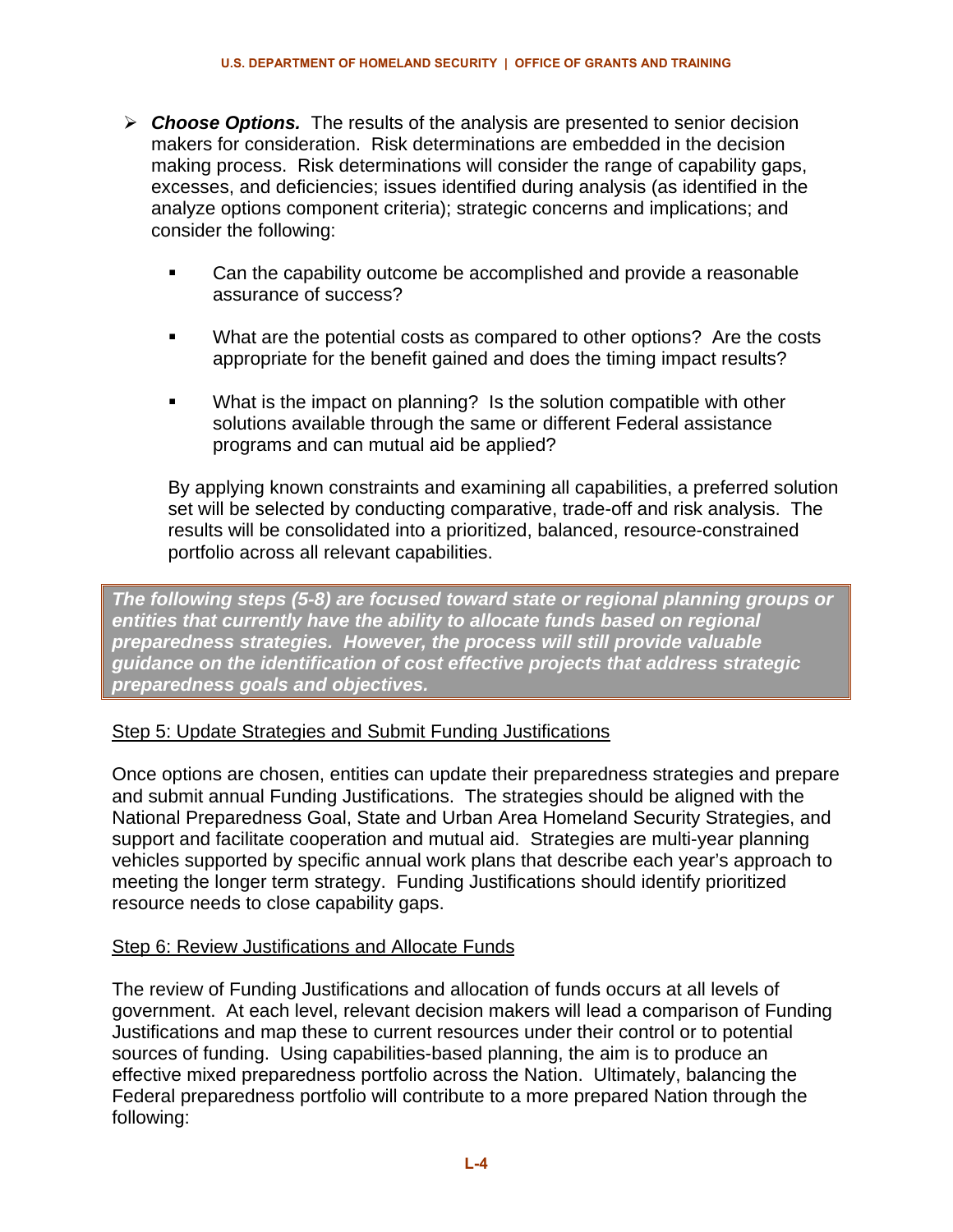- ¾ *Choose Options.* The results of the analysis are presented to senior decision makers for consideration. Risk determinations are embedded in the decision making process. Risk determinations will consider the range of capability gaps, excesses, and deficiencies; issues identified during analysis (as identified in the analyze options component criteria); strategic concerns and implications; and consider the following:
	- Can the capability outcome be accomplished and provide a reasonable assurance of success?
	- What are the potential costs as compared to other options? Are the costs appropriate for the benefit gained and does the timing impact results?
	- **What is the impact on planning?** Is the solution compatible with other solutions available through the same or different Federal assistance programs and can mutual aid be applied?

By applying known constraints and examining all capabilities, a preferred solution set will be selected by conducting comparative, trade-off and risk analysis. The results will be consolidated into a prioritized, balanced, resource-constrained portfolio across all relevant capabilities.

*The following steps (5-8) are focused toward state or regional planning groups or*  entities that currently have the ability to allocate funds based on regional *preparedness strategies. However, the process will still provide valuable guidance on the identification of cost effective projects that address strategic preparedness goals and objectives.* 

## Step 5: Update Strategies and Submit Funding Justifications

Once options are chosen, entities can update their preparedness strategies and prepare and submit annual Funding Justifications. The strategies should be aligned with the National Preparedness Goal, State and Urban Area Homeland Security Strategies, and support and facilitate cooperation and mutual aid. Strategies are multi-year planning vehicles supported by specific annual work plans that describe each year's approach to meeting the longer term strategy. Funding Justifications should identify prioritized resource needs to close capability gaps.

## Step 6: Review Justifications and Allocate Funds

The review of Funding Justifications and allocation of funds occurs at all levels of government. At each level, relevant decision makers will lead a comparison of Funding Justifications and map these to current resources under their control or to potential sources of funding. Using capabilities-based planning, the aim is to produce an effective mixed preparedness portfolio across the Nation. Ultimately, balancing the Federal preparedness portfolio will contribute to a more prepared Nation through the following: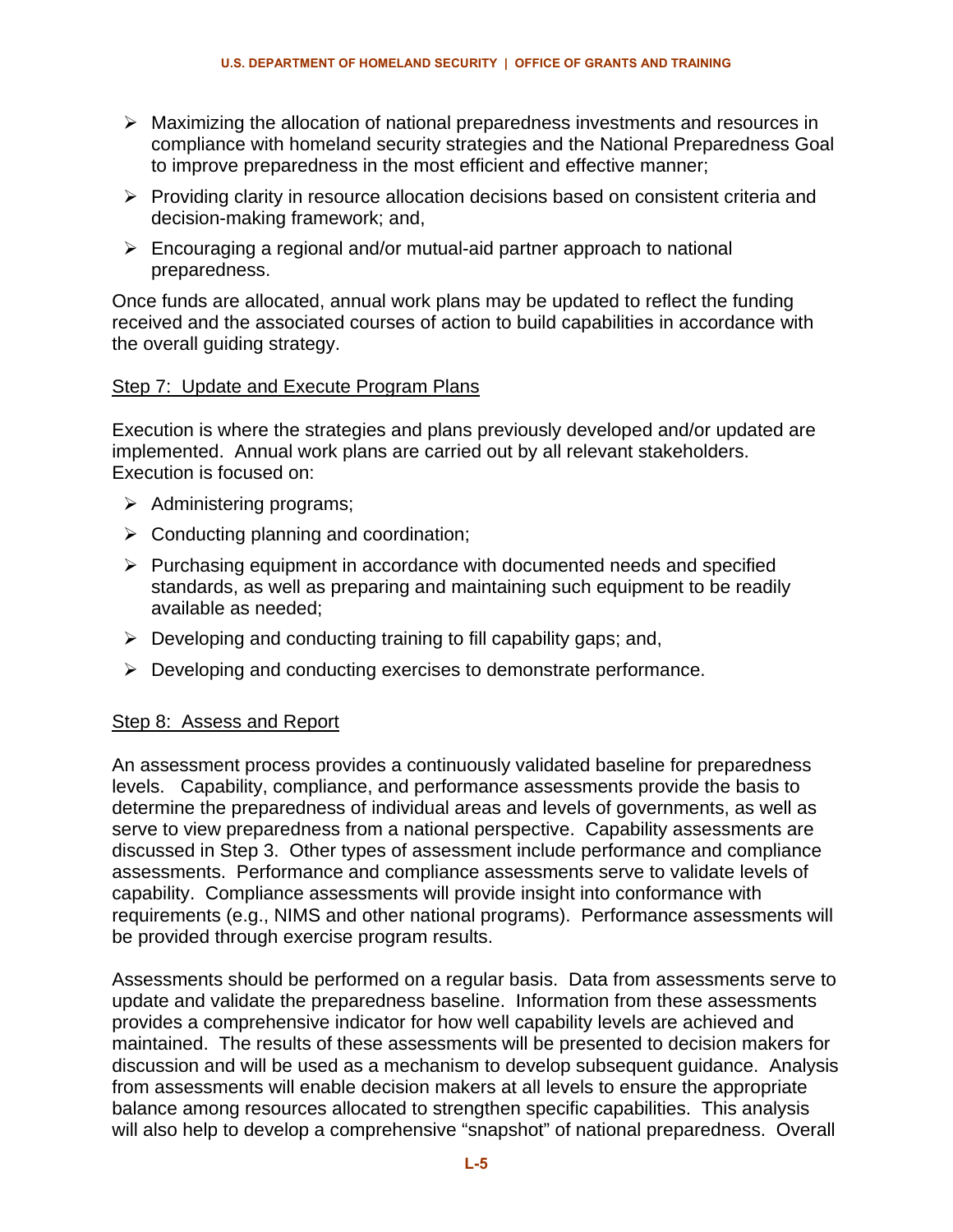- ¾ Maximizing the allocation of national preparedness investments and resources in compliance with homeland security strategies and the National Preparedness Goal to improve preparedness in the most efficient and effective manner;
- ¾ Providing clarity in resource allocation decisions based on consistent criteria and decision-making framework; and,
- $\triangleright$  Encouraging a regional and/or mutual-aid partner approach to national preparedness.

Once funds are allocated, annual work plans may be updated to reflect the funding received and the associated courses of action to build capabilities in accordance with the overall guiding strategy.

## Step 7: Update and Execute Program Plans

Execution is where the strategies and plans previously developed and/or updated are implemented. Annual work plans are carried out by all relevant stakeholders. Execution is focused on:

- $\triangleright$  Administering programs;
- $\triangleright$  Conducting planning and coordination;
- $\triangleright$  Purchasing equipment in accordance with documented needs and specified standards, as well as preparing and maintaining such equipment to be readily available as needed;
- $\triangleright$  Developing and conducting training to fill capability gaps; and,
- $\triangleright$  Developing and conducting exercises to demonstrate performance.

## Step 8: Assess and Report

An assessment process provides a continuously validated baseline for preparedness levels. Capability, compliance, and performance assessments provide the basis to determine the preparedness of individual areas and levels of governments, as well as serve to view preparedness from a national perspective. Capability assessments are discussed in Step 3. Other types of assessment include performance and compliance assessments. Performance and compliance assessments serve to validate levels of capability. Compliance assessments will provide insight into conformance with requirements (e.g., NIMS and other national programs). Performance assessments will be provided through exercise program results.

Assessments should be performed on a regular basis. Data from assessments serve to update and validate the preparedness baseline. Information from these assessments provides a comprehensive indicator for how well capability levels are achieved and maintained. The results of these assessments will be presented to decision makers for discussion and will be used as a mechanism to develop subsequent guidance. Analysis from assessments will enable decision makers at all levels to ensure the appropriate balance among resources allocated to strengthen specific capabilities. This analysis will also help to develop a comprehensive "snapshot" of national preparedness. Overall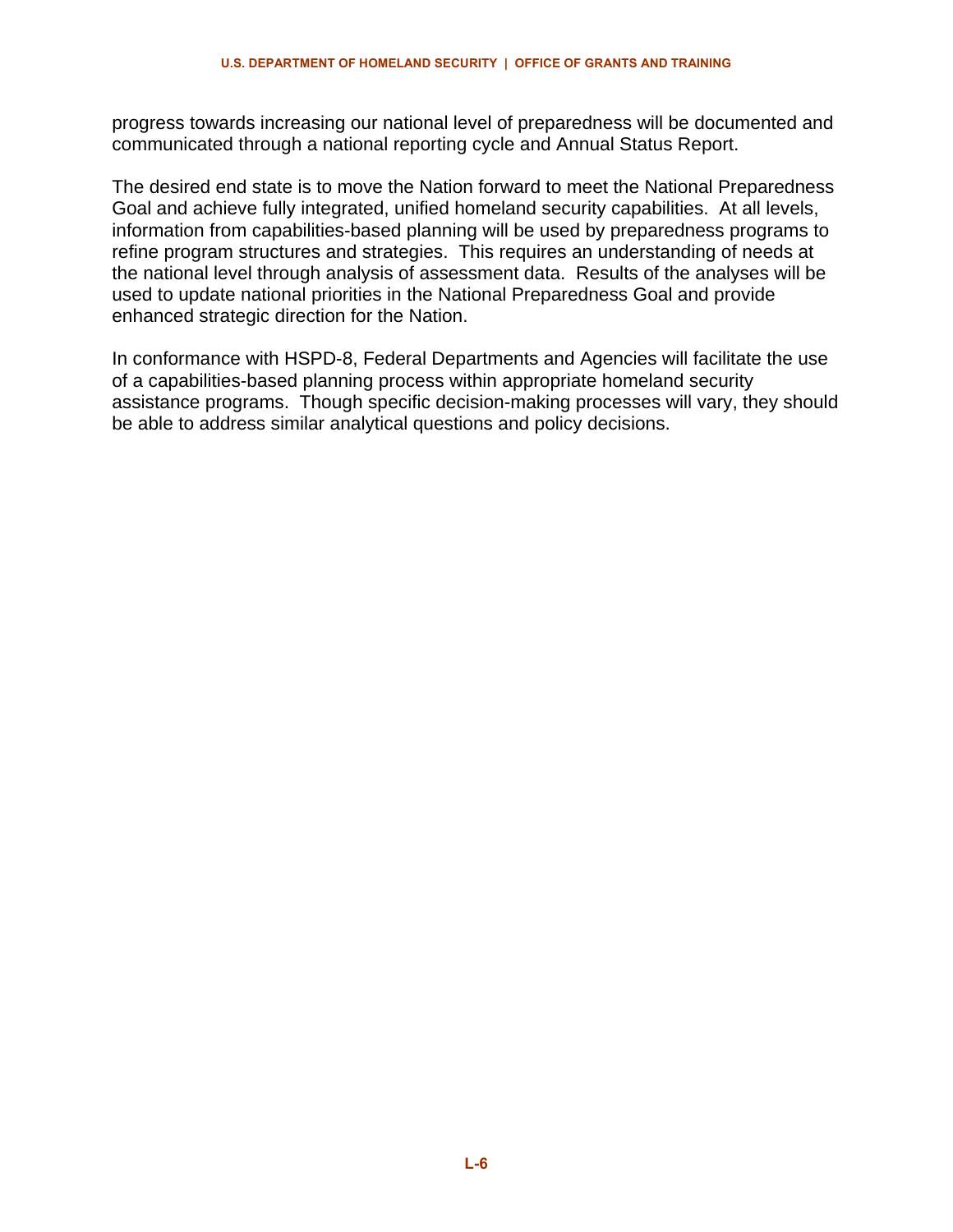progress towards increasing our national level of preparedness will be documented and communicated through a national reporting cycle and Annual Status Report.

The desired end state is to move the Nation forward to meet the National Preparedness Goal and achieve fully integrated, unified homeland security capabilities. At all levels, information from capabilities-based planning will be used by preparedness programs to refine program structures and strategies. This requires an understanding of needs at the national level through analysis of assessment data. Results of the analyses will be used to update national priorities in the National Preparedness Goal and provide enhanced strategic direction for the Nation.

In conformance with HSPD-8, Federal Departments and Agencies will facilitate the use of a capabilities-based planning process within appropriate homeland security assistance programs. Though specific decision-making processes will vary, they should be able to address similar analytical questions and policy decisions.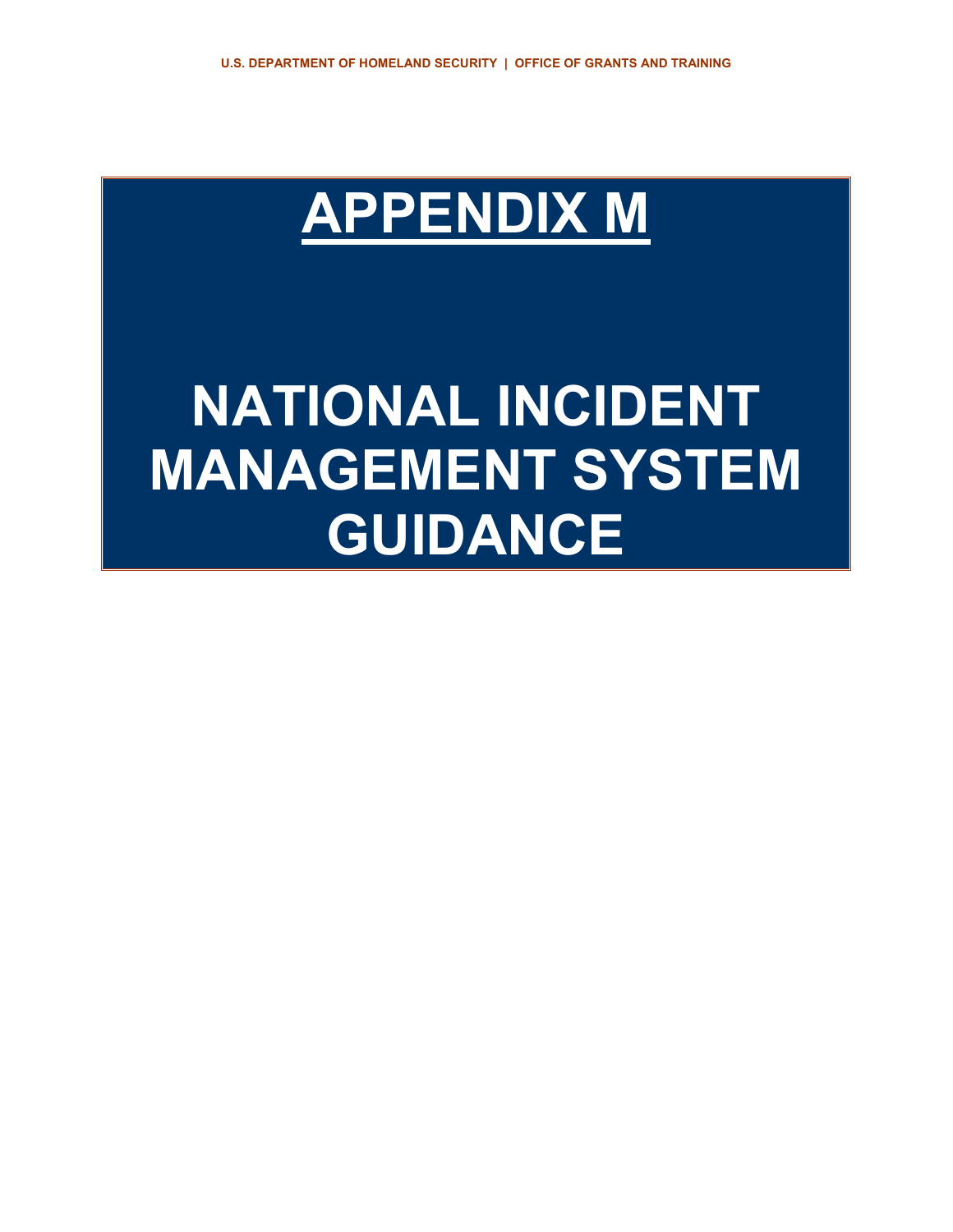# **APPENDIX M**

# **NATIONAL INCIDENT MANAGEMENT SYSTEM GUIDANCE**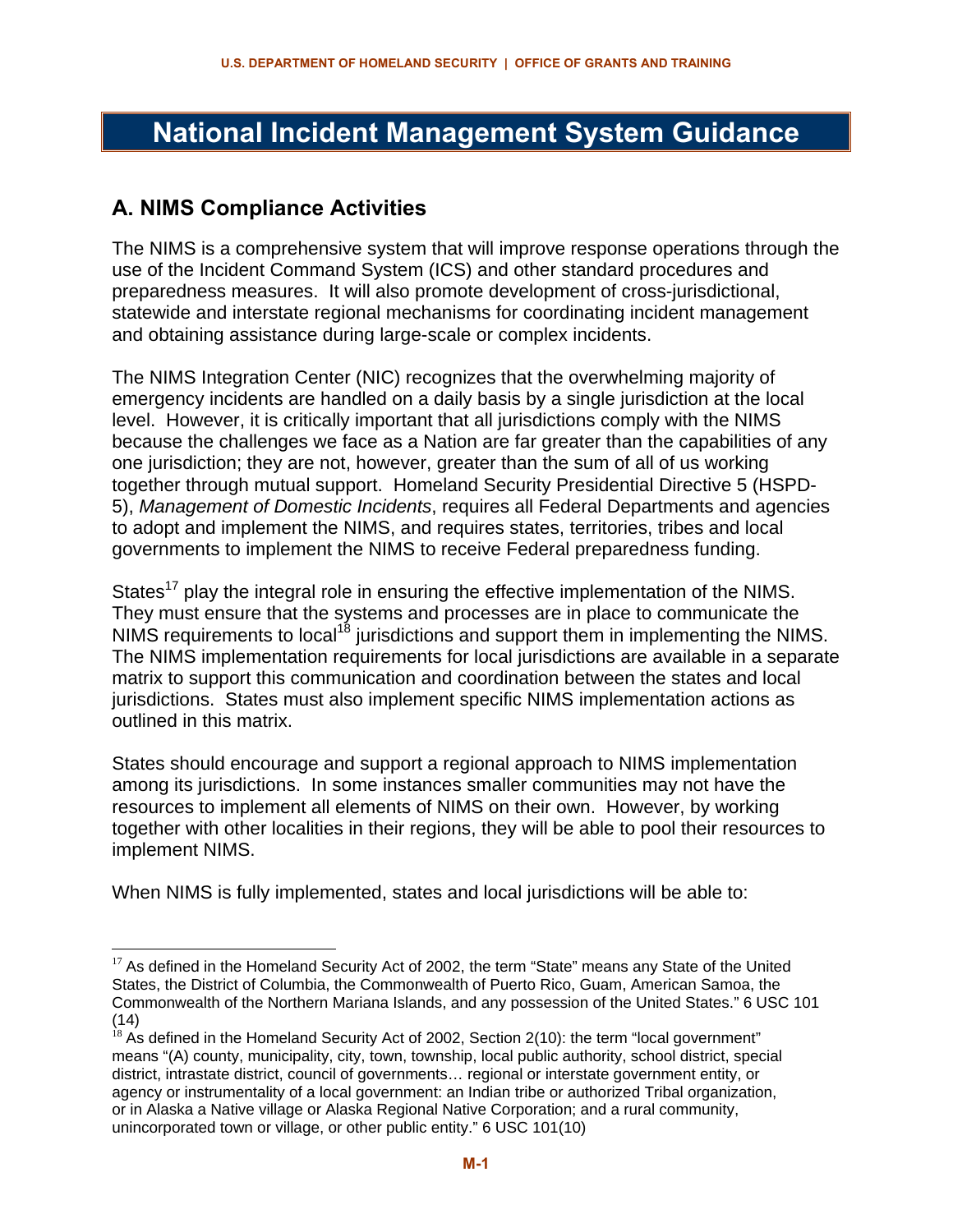# **National Incident Management System Guidance**

### **A. NIMS Compliance Activities**

1

The NIMS is a comprehensive system that will improve response operations through the use of the Incident Command System (ICS) and other standard procedures and preparedness measures. It will also promote development of cross-jurisdictional, statewide and interstate regional mechanisms for coordinating incident management and obtaining assistance during large-scale or complex incidents.

The NIMS Integration Center (NIC) recognizes that the overwhelming majority of emergency incidents are handled on a daily basis by a single jurisdiction at the local level. However, it is critically important that all jurisdictions comply with the NIMS because the challenges we face as a Nation are far greater than the capabilities of any one jurisdiction; they are not, however, greater than the sum of all of us working together through mutual support. Homeland Security Presidential Directive 5 (HSPD-5), *Management of Domestic Incidents*, requires all Federal Departments and agencies to adopt and implement the NIMS, and requires states, territories, tribes and local governments to implement the NIMS to receive Federal preparedness funding.

States<sup>17</sup> play the integral role in ensuring the effective implementation of the NIMS. They must ensure that the systems and processes are in place to communicate the NIMS requirements to local<sup>18</sup> jurisdictions and support them in implementing the NIMS. The NIMS implementation requirements for local jurisdictions are available in a separate matrix to support this communication and coordination between the states and local jurisdictions. States must also implement specific NIMS implementation actions as outlined in this matrix.

States should encourage and support a regional approach to NIMS implementation among its jurisdictions. In some instances smaller communities may not have the resources to implement all elements of NIMS on their own. However, by working together with other localities in their regions, they will be able to pool their resources to implement NIMS.

When NIMS is fully implemented, states and local jurisdictions will be able to:

 $17$  As defined in the Homeland Security Act of 2002, the term "State" means any State of the United States, the District of Columbia, the Commonwealth of Puerto Rico, Guam, American Samoa, the Commonwealth of the Northern Mariana Islands, and any possession of the United States." 6 USC 101 (14)

 $18$  As defined in the Homeland Security Act of 2002, Section 2(10): the term "local government" means "(A) county, municipality, city, town, township, local public authority, school district, special district, intrastate district, council of governments… regional or interstate government entity, or agency or instrumentality of a local government: an Indian tribe or authorized Tribal organization, or in Alaska a Native village or Alaska Regional Native Corporation; and a rural community, unincorporated town or village, or other public entity." 6 USC 101(10)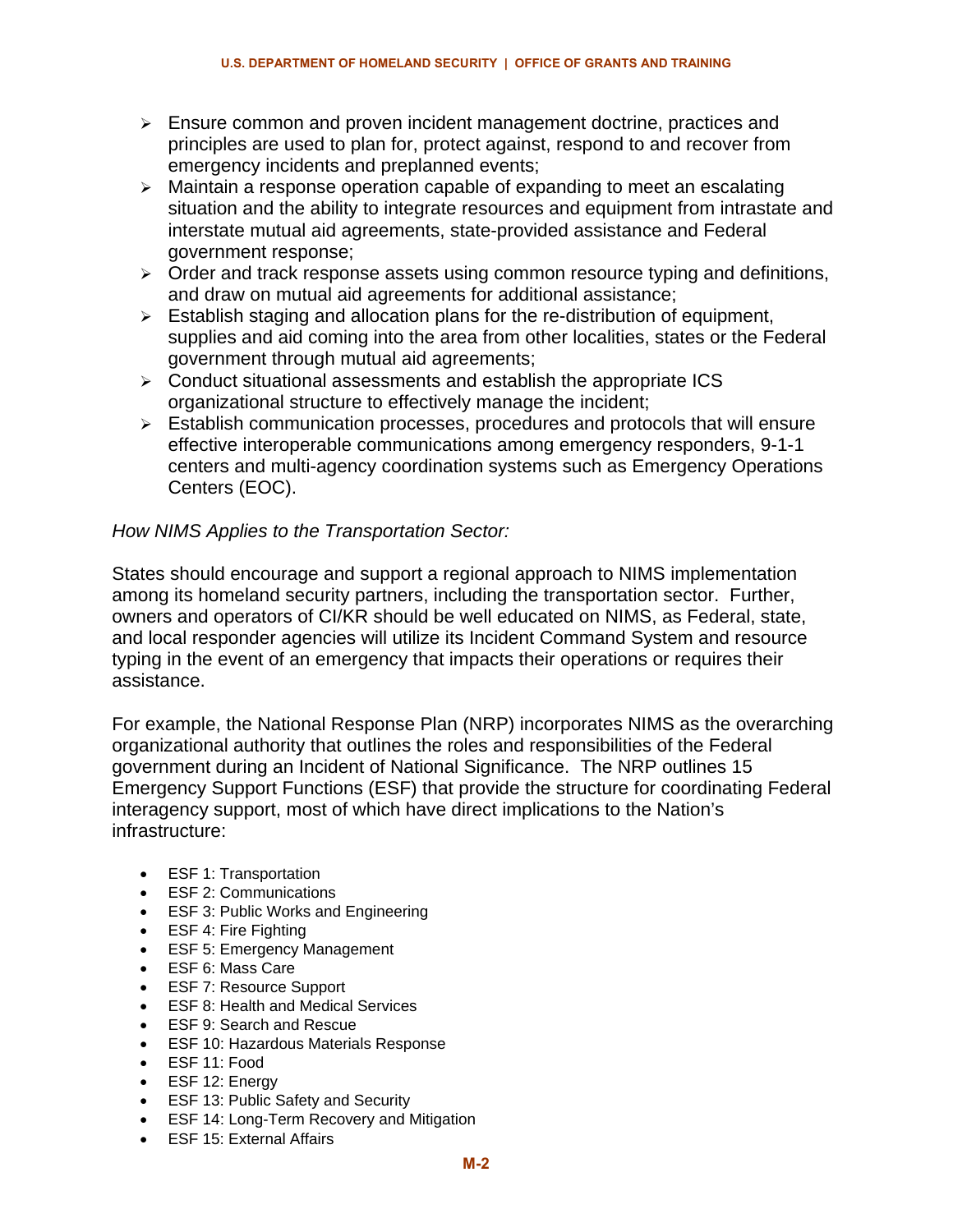- $\triangleright$  Ensure common and proven incident management doctrine, practices and principles are used to plan for, protect against, respond to and recover from emergency incidents and preplanned events;
- $\triangleright$  Maintain a response operation capable of expanding to meet an escalating situation and the ability to integrate resources and equipment from intrastate and interstate mutual aid agreements, state-provided assistance and Federal government response;
- $\triangleright$  Order and track response assets using common resource typing and definitions, and draw on mutual aid agreements for additional assistance;
- $\triangleright$  Establish staging and allocation plans for the re-distribution of equipment, supplies and aid coming into the area from other localities, states or the Federal government through mutual aid agreements;
- $\triangleright$  Conduct situational assessments and establish the appropriate ICS organizational structure to effectively manage the incident;
- $\triangleright$  Establish communication processes, procedures and protocols that will ensure effective interoperable communications among emergency responders, 9-1-1 centers and multi-agency coordination systems such as Emergency Operations Centers (EOC).

#### *How NIMS Applies to the Transportation Sector:*

States should encourage and support a regional approach to NIMS implementation among its homeland security partners, including the transportation sector. Further, owners and operators of CI/KR should be well educated on NIMS, as Federal, state, and local responder agencies will utilize its Incident Command System and resource typing in the event of an emergency that impacts their operations or requires their assistance.

For example, the National Response Plan (NRP) incorporates NIMS as the overarching organizational authority that outlines the roles and responsibilities of the Federal government during an Incident of National Significance. The NRP outlines 15 Emergency Support Functions (ESF) that provide the structure for coordinating Federal interagency support, most of which have direct implications to the Nation's infrastructure:

- ESF 1: Transportation
- ESF 2: Communications
- ESF 3: Public Works and Engineering
- ESF 4: Fire Fighting
- ESF 5: Emergency Management
- ESF 6: Mass Care
- ESF 7: Resource Support
- ESF 8: Health and Medical Services
- ESF 9: Search and Rescue
- ESF 10: Hazardous Materials Response
- ESF 11: Food
- ESF 12: Energy
- ESF 13: Public Safety and Security
- ESF 14: Long-Term Recovery and Mitigation
- ESF 15: External Affairs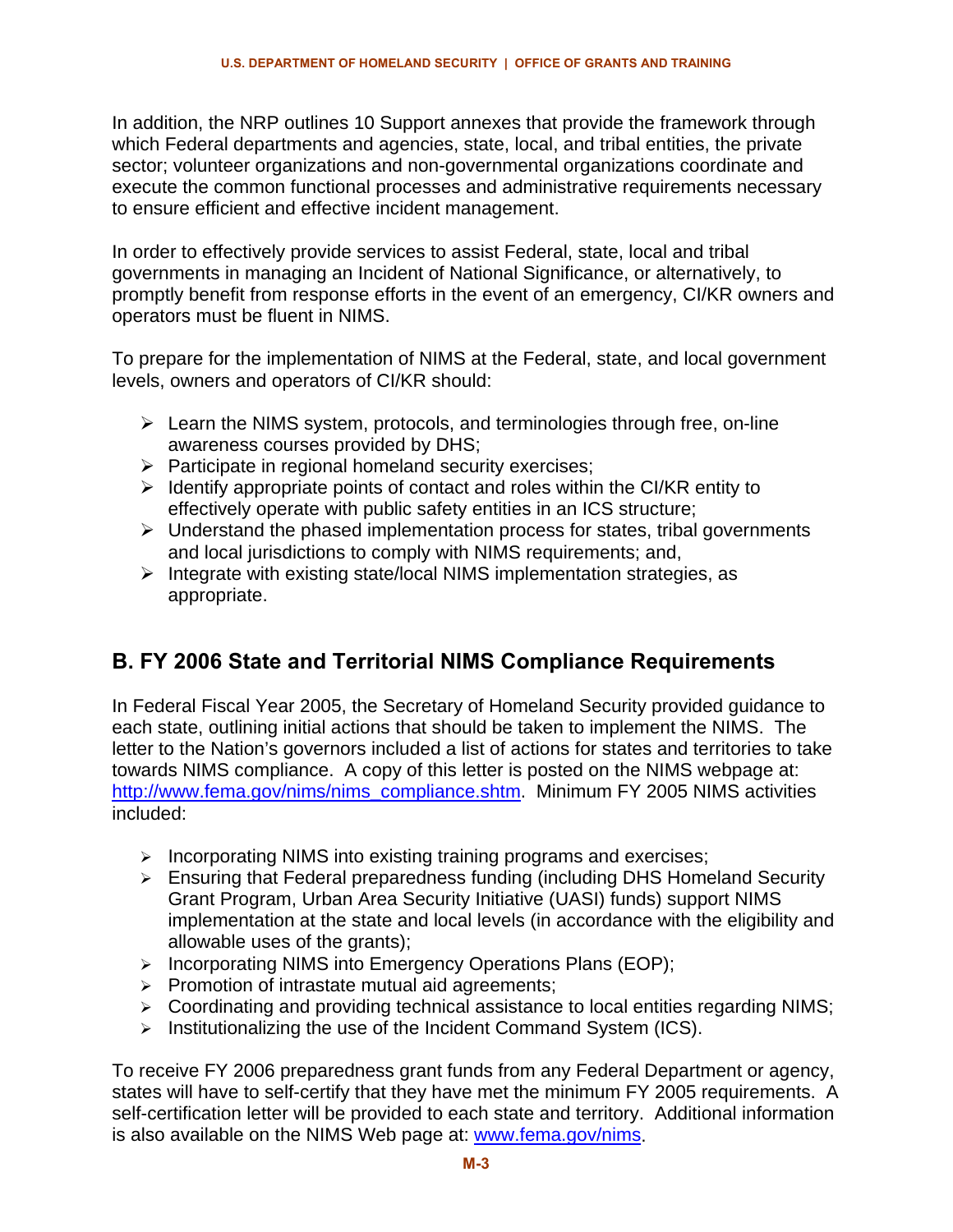In addition, the NRP outlines 10 Support annexes that provide the framework through which Federal departments and agencies, state, local, and tribal entities, the private sector; volunteer organizations and non-governmental organizations coordinate and execute the common functional processes and administrative requirements necessary to ensure efficient and effective incident management.

In order to effectively provide services to assist Federal, state, local and tribal governments in managing an Incident of National Significance, or alternatively, to promptly benefit from response efforts in the event of an emergency, CI/KR owners and operators must be fluent in NIMS.

To prepare for the implementation of NIMS at the Federal, state, and local government levels, owners and operators of CI/KR should:

- $\triangleright$  Learn the NIMS system, protocols, and terminologies through free, on-line awareness courses provided by DHS;
- $\triangleright$  Participate in regional homeland security exercises;
- ¾ Identify appropriate points of contact and roles within the CI/KR entity to effectively operate with public safety entities in an ICS structure;
- $\triangleright$  Understand the phased implementation process for states, tribal governments and local jurisdictions to comply with NIMS requirements; and,
- $\triangleright$  Integrate with existing state/local NIMS implementation strategies, as appropriate.

# **B. FY 2006 State and Territorial NIMS Compliance Requirements**

In Federal Fiscal Year 2005, the Secretary of Homeland Security provided guidance to each state, outlining initial actions that should be taken to implement the NIMS. The letter to the Nation's governors included a list of actions for states and territories to take towards NIMS compliance. A copy of this letter is posted on the NIMS webpage at: http://www.fema.gov/nims/nims**\_**compliance.shtm. Minimum FY 2005 NIMS activities included:

- $\triangleright$  Incorporating NIMS into existing training programs and exercises;
- $\triangleright$  Ensuring that Federal preparedness funding (including DHS Homeland Security Grant Program, Urban Area Security Initiative (UASI) funds) support NIMS implementation at the state and local levels (in accordance with the eligibility and allowable uses of the grants);
- ¾ Incorporating NIMS into Emergency Operations Plans (EOP);
- $\triangleright$  Promotion of intrastate mutual aid agreements;
- ¾ Coordinating and providing technical assistance to local entities regarding NIMS;
- $\triangleright$  Institutionalizing the use of the Incident Command System (ICS).

To receive FY 2006 preparedness grant funds from any Federal Department or agency, states will have to self-certify that they have met the minimum FY 2005 requirements. A self-certification letter will be provided to each state and territory. Additional information is also available on the NIMS Web page at: www.fema.gov/nims.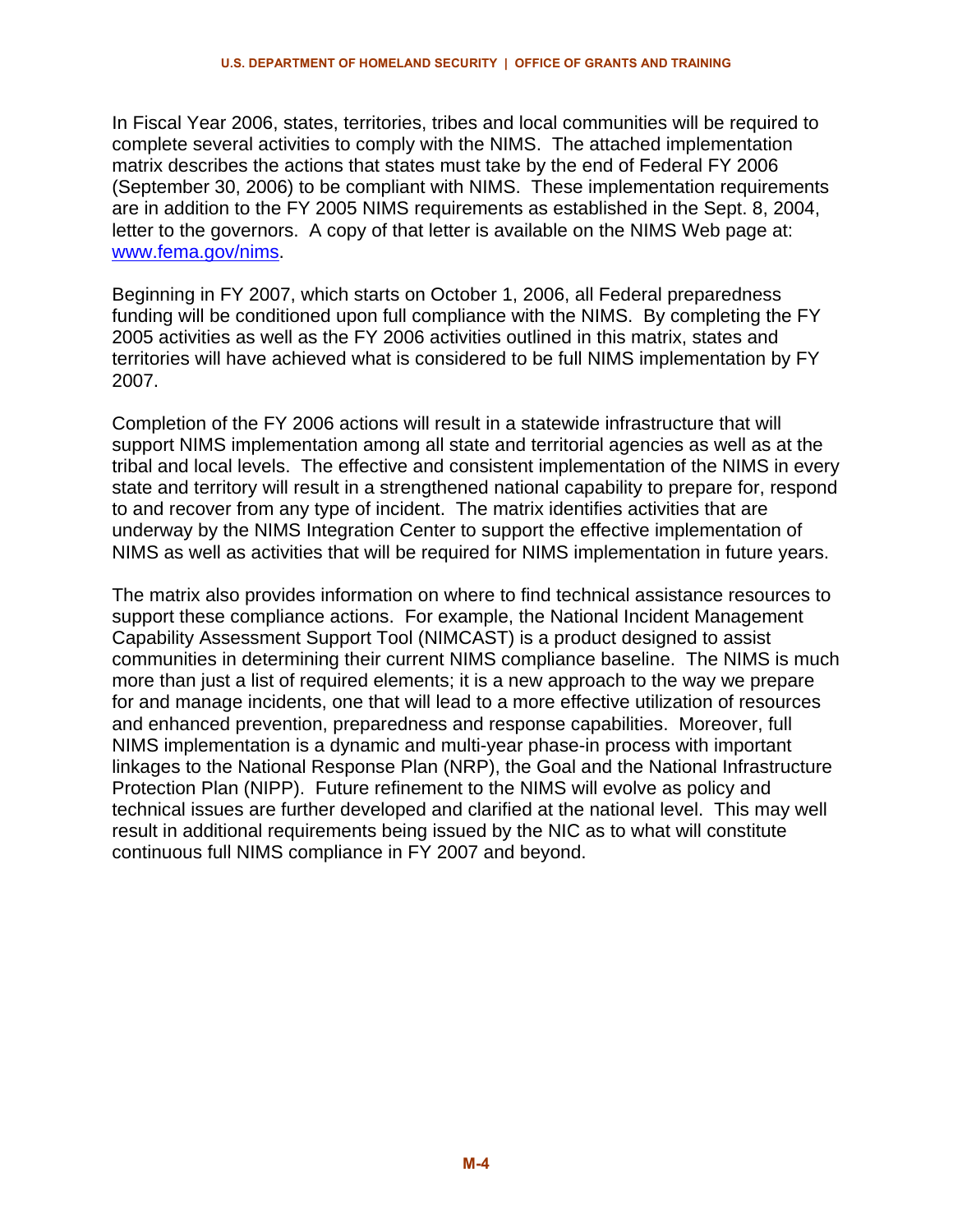In Fiscal Year 2006, states, territories, tribes and local communities will be required to complete several activities to comply with the NIMS. The attached implementation matrix describes the actions that states must take by the end of Federal FY 2006 (September 30, 2006) to be compliant with NIMS. These implementation requirements are in addition to the FY 2005 NIMS requirements as established in the Sept. 8, 2004, letter to the governors. A copy of that letter is available on the NIMS Web page at: www.fema.gov/nims.

Beginning in FY 2007, which starts on October 1, 2006, all Federal preparedness funding will be conditioned upon full compliance with the NIMS. By completing the FY 2005 activities as well as the FY 2006 activities outlined in this matrix, states and territories will have achieved what is considered to be full NIMS implementation by FY 2007.

Completion of the FY 2006 actions will result in a statewide infrastructure that will support NIMS implementation among all state and territorial agencies as well as at the tribal and local levels. The effective and consistent implementation of the NIMS in every state and territory will result in a strengthened national capability to prepare for, respond to and recover from any type of incident. The matrix identifies activities that are underway by the NIMS Integration Center to support the effective implementation of NIMS as well as activities that will be required for NIMS implementation in future years.

The matrix also provides information on where to find technical assistance resources to support these compliance actions. For example, the National Incident Management Capability Assessment Support Tool (NIMCAST) is a product designed to assist communities in determining their current NIMS compliance baseline. The NIMS is much more than just a list of required elements; it is a new approach to the way we prepare for and manage incidents, one that will lead to a more effective utilization of resources and enhanced prevention, preparedness and response capabilities. Moreover, full NIMS implementation is a dynamic and multi-year phase-in process with important linkages to the National Response Plan (NRP), the Goal and the National Infrastructure Protection Plan (NIPP). Future refinement to the NIMS will evolve as policy and technical issues are further developed and clarified at the national level. This may well result in additional requirements being issued by the NIC as to what will constitute continuous full NIMS compliance in FY 2007 and beyond.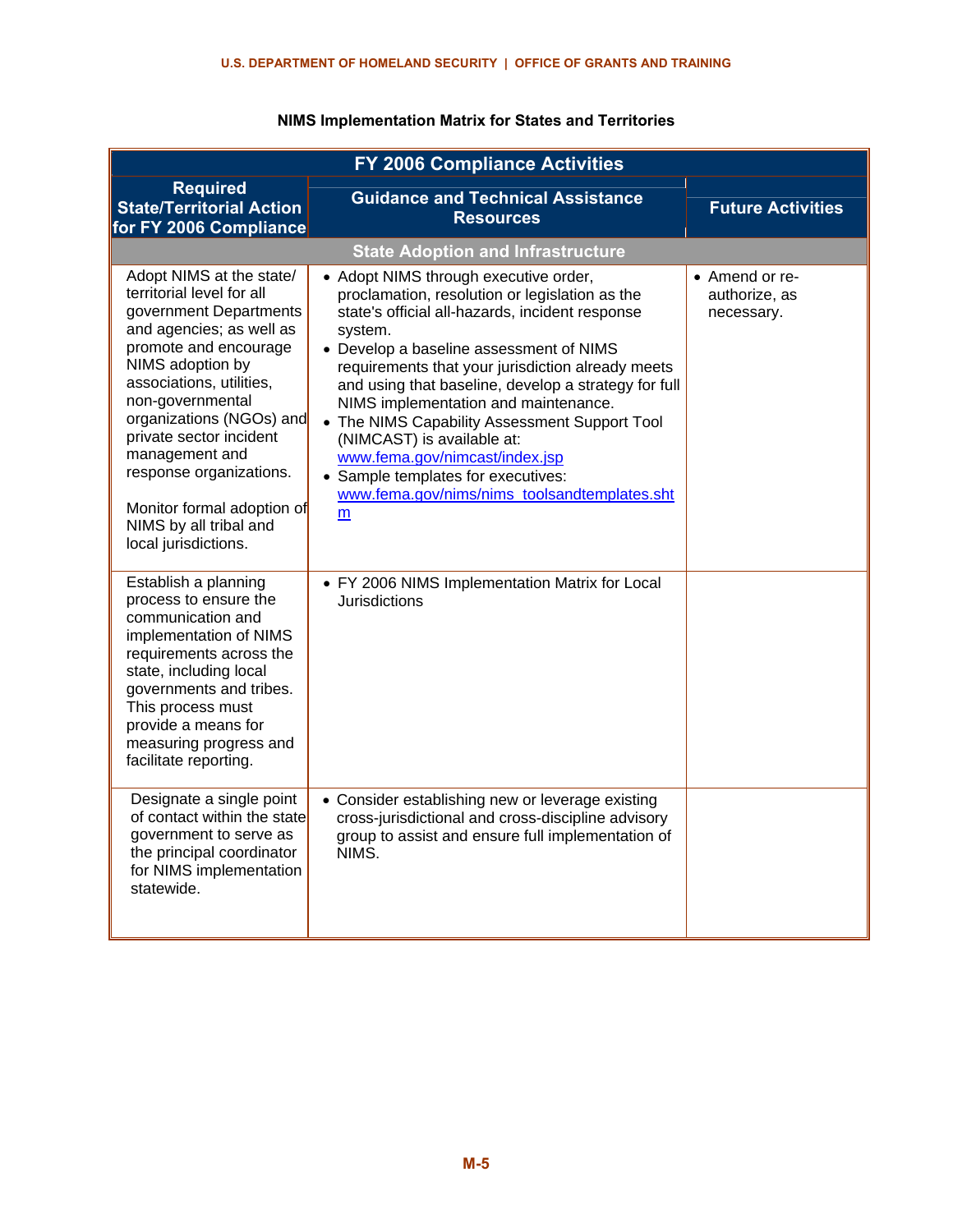### **NIMS Implementation Matrix for States and Territories**

| FY 2006 Compliance Activities                                                                                                                                                                                                                                                                                                                                                                |                                                                                                                                                                                                                                                                                                                                                                                                                                                                                                                                                                   |                                               |
|----------------------------------------------------------------------------------------------------------------------------------------------------------------------------------------------------------------------------------------------------------------------------------------------------------------------------------------------------------------------------------------------|-------------------------------------------------------------------------------------------------------------------------------------------------------------------------------------------------------------------------------------------------------------------------------------------------------------------------------------------------------------------------------------------------------------------------------------------------------------------------------------------------------------------------------------------------------------------|-----------------------------------------------|
| <b>Required</b><br><b>State/Territorial Action</b><br>for FY 2006 Compliance                                                                                                                                                                                                                                                                                                                 | <b>Guidance and Technical Assistance</b><br><b>Resources</b>                                                                                                                                                                                                                                                                                                                                                                                                                                                                                                      | <b>Future Activities</b>                      |
|                                                                                                                                                                                                                                                                                                                                                                                              | <b>State Adoption and Infrastructure</b>                                                                                                                                                                                                                                                                                                                                                                                                                                                                                                                          |                                               |
| Adopt NIMS at the state/<br>territorial level for all<br>government Departments<br>and agencies; as well as<br>promote and encourage<br>NIMS adoption by<br>associations, utilities,<br>non-governmental<br>organizations (NGOs) and<br>private sector incident<br>management and<br>response organizations.<br>Monitor formal adoption of<br>NIMS by all tribal and<br>local jurisdictions. | • Adopt NIMS through executive order,<br>proclamation, resolution or legislation as the<br>state's official all-hazards, incident response<br>system.<br>• Develop a baseline assessment of NIMS<br>requirements that your jurisdiction already meets<br>and using that baseline, develop a strategy for full<br>NIMS implementation and maintenance.<br>• The NIMS Capability Assessment Support Tool<br>(NIMCAST) is available at:<br>www.fema.gov/nimcast/index.jsp<br>• Sample templates for executives:<br>www.fema.gov/nims/nims_toolsandtemplates.sht<br>m | • Amend or re-<br>authorize, as<br>necessary. |
| Establish a planning<br>process to ensure the<br>communication and<br>implementation of NIMS<br>requirements across the<br>state, including local<br>governments and tribes.<br>This process must<br>provide a means for<br>measuring progress and<br>facilitate reporting.                                                                                                                  | • FY 2006 NIMS Implementation Matrix for Local<br><b>Jurisdictions</b>                                                                                                                                                                                                                                                                                                                                                                                                                                                                                            |                                               |
| Designate a single point<br>of contact within the state<br>government to serve as<br>the principal coordinator<br>for NIMS implementation<br>statewide.                                                                                                                                                                                                                                      | • Consider establishing new or leverage existing<br>cross-jurisdictional and cross-discipline advisory<br>group to assist and ensure full implementation of<br>NIMS.                                                                                                                                                                                                                                                                                                                                                                                              |                                               |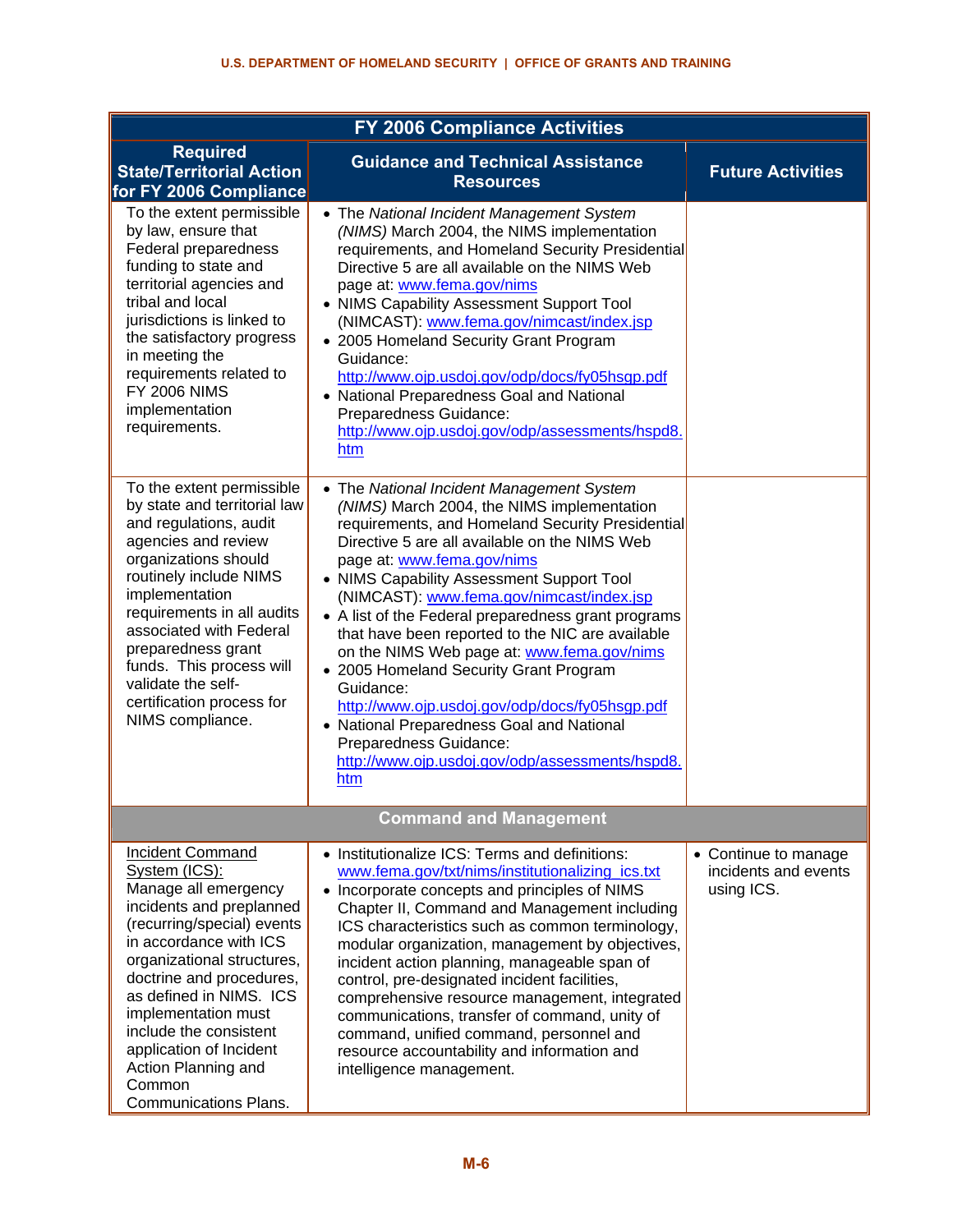| FY 2006 Compliance Activities                                                                                                                                                                                                                                                                                                                                                          |                                                                                                                                                                                                                                                                                                                                                                                                                                                                                                                                                                                                                                                                                                                         |                                                            |
|----------------------------------------------------------------------------------------------------------------------------------------------------------------------------------------------------------------------------------------------------------------------------------------------------------------------------------------------------------------------------------------|-------------------------------------------------------------------------------------------------------------------------------------------------------------------------------------------------------------------------------------------------------------------------------------------------------------------------------------------------------------------------------------------------------------------------------------------------------------------------------------------------------------------------------------------------------------------------------------------------------------------------------------------------------------------------------------------------------------------------|------------------------------------------------------------|
| <b>Required</b><br><b>State/Territorial Action</b><br>for FY 2006 Compliance                                                                                                                                                                                                                                                                                                           | <b>Guidance and Technical Assistance</b><br><b>Resources</b>                                                                                                                                                                                                                                                                                                                                                                                                                                                                                                                                                                                                                                                            | <b>Future Activities</b>                                   |
| To the extent permissible<br>by law, ensure that<br>Federal preparedness<br>funding to state and<br>territorial agencies and<br>tribal and local<br>jurisdictions is linked to<br>the satisfactory progress<br>in meeting the<br>requirements related to<br><b>FY 2006 NIMS</b><br>implementation<br>requirements.                                                                     | • The National Incident Management System<br>(NIMS) March 2004, the NIMS implementation<br>requirements, and Homeland Security Presidential<br>Directive 5 are all available on the NIMS Web<br>page at: www.fema.gov/nims<br>• NIMS Capability Assessment Support Tool<br>(NIMCAST): www.fema.gov/nimcast/index.jsp<br>• 2005 Homeland Security Grant Program<br>Guidance:<br>http://www.ojp.usdoj.gov/odp/docs/fy05hsgp.pdf<br>• National Preparedness Goal and National<br>Preparedness Guidance:<br>http://www.ojp.usdoj.gov/odp/assessments/hspd8.<br>htm                                                                                                                                                          |                                                            |
| To the extent permissible<br>by state and territorial law<br>and regulations, audit<br>agencies and review<br>organizations should<br>routinely include NIMS<br>implementation<br>requirements in all audits<br>associated with Federal<br>preparedness grant<br>funds. This process will<br>validate the self-<br>certification process for<br>NIMS compliance.                       | • The National Incident Management System<br>(NIMS) March 2004, the NIMS implementation<br>requirements, and Homeland Security Presidential<br>Directive 5 are all available on the NIMS Web<br>page at: www.fema.gov/nims<br>• NIMS Capability Assessment Support Tool<br>(NIMCAST): www.fema.gov/nimcast/index.jsp<br>• A list of the Federal preparedness grant programs<br>that have been reported to the NIC are available<br>on the NIMS Web page at: www.fema.gov/nims<br>• 2005 Homeland Security Grant Program<br>Guidance:<br>http://www.ojp.usdoj.gov/odp/docs/fy05hsgp.pdf<br>• National Preparedness Goal and National<br>Preparedness Guidance:<br>http://www.ojp.usdoj.gov/odp/assessments/hspd8.<br>htm |                                                            |
|                                                                                                                                                                                                                                                                                                                                                                                        | <b>Command and Management</b>                                                                                                                                                                                                                                                                                                                                                                                                                                                                                                                                                                                                                                                                                           |                                                            |
| <b>Incident Command</b><br>System (ICS):<br>Manage all emergency<br>incidents and preplanned<br>(recurring/special) events<br>in accordance with ICS<br>organizational structures,<br>doctrine and procedures,<br>as defined in NIMS. ICS<br>implementation must<br>include the consistent<br>application of Incident<br>Action Planning and<br>Common<br><b>Communications Plans.</b> | • Institutionalize ICS: Terms and definitions:<br>www.fema.gov/txt/nims/institutionalizing_ics.txt<br>• Incorporate concepts and principles of NIMS<br>Chapter II, Command and Management including<br>ICS characteristics such as common terminology,<br>modular organization, management by objectives,<br>incident action planning, manageable span of<br>control, pre-designated incident facilities,<br>comprehensive resource management, integrated<br>communications, transfer of command, unity of<br>command, unified command, personnel and<br>resource accountability and information and<br>intelligence management.                                                                                       | • Continue to manage<br>incidents and events<br>using ICS. |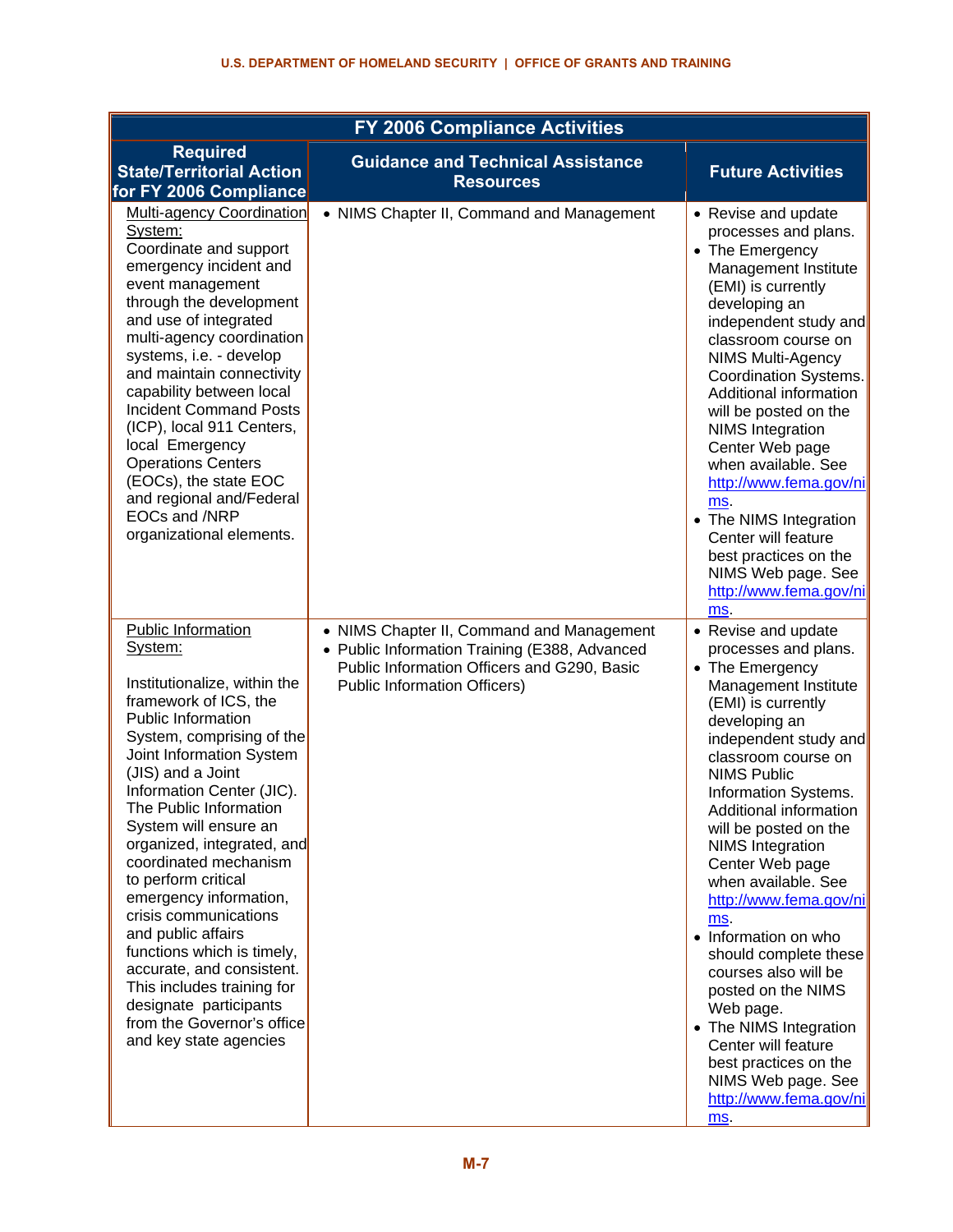| FY 2006 Compliance Activities                                                                                                                                                                                                                                                                                                                                                                                                                                                                                                                                                                                       |                                                                                                                                                                                  |                                                                                                                                                                                                                                                                                                                                                                                                                                                                                                                                                                                                                                   |
|---------------------------------------------------------------------------------------------------------------------------------------------------------------------------------------------------------------------------------------------------------------------------------------------------------------------------------------------------------------------------------------------------------------------------------------------------------------------------------------------------------------------------------------------------------------------------------------------------------------------|----------------------------------------------------------------------------------------------------------------------------------------------------------------------------------|-----------------------------------------------------------------------------------------------------------------------------------------------------------------------------------------------------------------------------------------------------------------------------------------------------------------------------------------------------------------------------------------------------------------------------------------------------------------------------------------------------------------------------------------------------------------------------------------------------------------------------------|
| <b>Required</b><br><b>State/Territorial Action</b><br>for FY 2006 Compliance                                                                                                                                                                                                                                                                                                                                                                                                                                                                                                                                        | <b>Guidance and Technical Assistance</b><br><b>Resources</b>                                                                                                                     | <b>Future Activities</b>                                                                                                                                                                                                                                                                                                                                                                                                                                                                                                                                                                                                          |
| <b>Multi-agency Coordination</b><br>System:<br>Coordinate and support<br>emergency incident and<br>event management<br>through the development<br>and use of integrated<br>multi-agency coordination<br>systems, i.e. - develop<br>and maintain connectivity<br>capability between local<br><b>Incident Command Posts</b><br>(ICP), local 911 Centers,<br>local Emergency<br><b>Operations Centers</b><br>(EOCs), the state EOC<br>and regional and/Federal<br>EOCs and /NRP<br>organizational elements.                                                                                                            | • NIMS Chapter II, Command and Management                                                                                                                                        | • Revise and update<br>processes and plans.<br>• The Emergency<br>Management Institute<br>(EMI) is currently<br>developing an<br>independent study and<br>classroom course on<br><b>NIMS Multi-Agency</b><br>Coordination Systems.<br>Additional information<br>will be posted on the<br><b>NIMS</b> Integration<br>Center Web page<br>when available. See<br>http://www.fema.gov/ni<br>ms.<br>• The NIMS Integration<br>Center will feature<br>best practices on the<br>NIMS Web page. See<br>http://www.fema.gov/ni<br>ms.                                                                                                      |
| Public Information<br>System:<br>Institutionalize, within the<br>framework of ICS, the<br><b>Public Information</b><br>System, comprising of the<br>Joint Information System<br>(JIS) and a Joint<br>Information Center (JIC).<br>The Public Information<br>System will ensure an<br>organized, integrated, and<br>coordinated mechanism<br>to perform critical<br>emergency information,<br>crisis communications<br>and public affairs<br>functions which is timely,<br>accurate, and consistent.<br>This includes training for<br>designate participants<br>from the Governor's office<br>and key state agencies | • NIMS Chapter II, Command and Management<br>• Public Information Training (E388, Advanced<br>Public Information Officers and G290, Basic<br><b>Public Information Officers)</b> | • Revise and update<br>processes and plans.<br>• The Emergency<br>Management Institute<br>(EMI) is currently<br>developing an<br>independent study and<br>classroom course on<br><b>NIMS Public</b><br>Information Systems.<br>Additional information<br>will be posted on the<br><b>NIMS</b> Integration<br>Center Web page<br>when available. See<br>http://www.fema.gov/ni<br>ms.<br>• Information on who<br>should complete these<br>courses also will be<br>posted on the NIMS<br>Web page.<br>• The NIMS Integration<br>Center will feature<br>best practices on the<br>NIMS Web page. See<br>http://www.fema.gov/ni<br>ms. |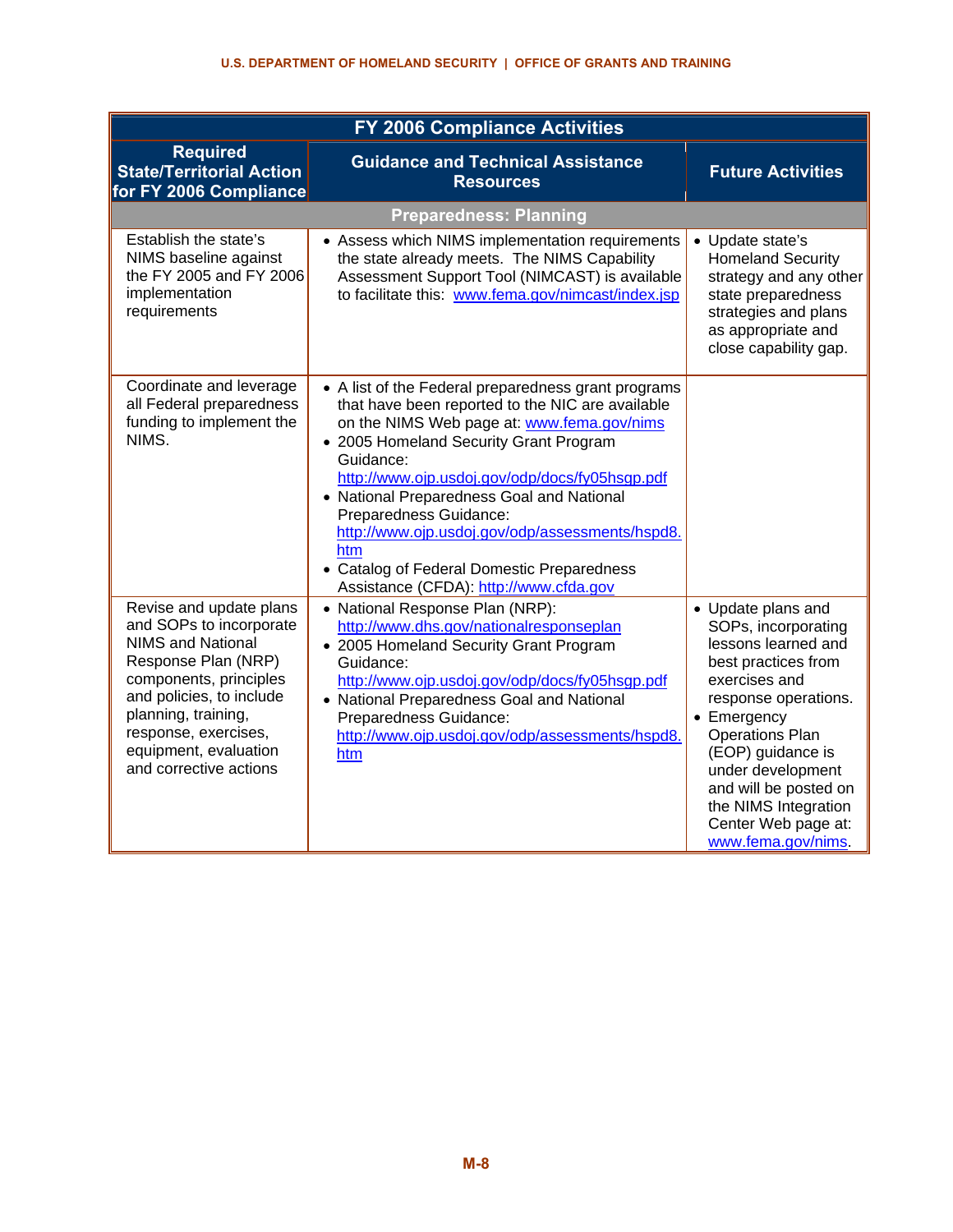| FY 2006 Compliance Activities                                                                                                                                                                                                                                 |                                                                                                                                                                                                                                                                                                                                                                                                                                                                                         |                                                                                                                                                                                                                                                                                                                   |
|---------------------------------------------------------------------------------------------------------------------------------------------------------------------------------------------------------------------------------------------------------------|-----------------------------------------------------------------------------------------------------------------------------------------------------------------------------------------------------------------------------------------------------------------------------------------------------------------------------------------------------------------------------------------------------------------------------------------------------------------------------------------|-------------------------------------------------------------------------------------------------------------------------------------------------------------------------------------------------------------------------------------------------------------------------------------------------------------------|
| <b>Required</b><br><b>State/Territorial Action</b><br>for FY 2006 Compliance                                                                                                                                                                                  | <b>Guidance and Technical Assistance</b><br><b>Resources</b>                                                                                                                                                                                                                                                                                                                                                                                                                            | <b>Future Activities</b>                                                                                                                                                                                                                                                                                          |
|                                                                                                                                                                                                                                                               | <b>Preparedness: Planning</b>                                                                                                                                                                                                                                                                                                                                                                                                                                                           |                                                                                                                                                                                                                                                                                                                   |
| Establish the state's<br>NIMS baseline against<br>the FY 2005 and FY 2006<br>implementation<br>requirements                                                                                                                                                   | • Assess which NIMS implementation requirements<br>the state already meets. The NIMS Capability<br>Assessment Support Tool (NIMCAST) is available<br>to facilitate this: www.fema.gov/nimcast/index.jsp                                                                                                                                                                                                                                                                                 | • Update state's<br><b>Homeland Security</b><br>strategy and any other<br>state preparedness<br>strategies and plans<br>as appropriate and<br>close capability gap.                                                                                                                                               |
| Coordinate and leverage<br>all Federal preparedness<br>funding to implement the<br>NIMS.                                                                                                                                                                      | • A list of the Federal preparedness grant programs<br>that have been reported to the NIC are available<br>on the NIMS Web page at: www.fema.gov/nims<br>• 2005 Homeland Security Grant Program<br>Guidance:<br>http://www.ojp.usdoj.gov/odp/docs/fy05hsgp.pdf<br>• National Preparedness Goal and National<br>Preparedness Guidance:<br>http://www.ojp.usdoj.gov/odp/assessments/hspd8.<br>htm<br>• Catalog of Federal Domestic Preparedness<br>Assistance (CFDA): http://www.cfda.gov |                                                                                                                                                                                                                                                                                                                   |
| Revise and update plans<br>and SOPs to incorporate<br><b>NIMS and National</b><br>Response Plan (NRP)<br>components, principles<br>and policies, to include<br>planning, training,<br>response, exercises,<br>equipment, evaluation<br>and corrective actions | • National Response Plan (NRP):<br>http://www.dhs.gov/nationalresponseplan<br>• 2005 Homeland Security Grant Program<br>Guidance:<br>http://www.ojp.usdoj.gov/odp/docs/fy05hsgp.pdf<br>• National Preparedness Goal and National<br>Preparedness Guidance:<br>http://www.ojp.usdoj.gov/odp/assessments/hspd8.<br>htm                                                                                                                                                                    | • Update plans and<br>SOPs, incorporating<br>lessons learned and<br>best practices from<br>exercises and<br>response operations.<br>• Emergency<br><b>Operations Plan</b><br>(EOP) guidance is<br>under development<br>and will be posted on<br>the NIMS Integration<br>Center Web page at:<br>www.fema.gov/nims. |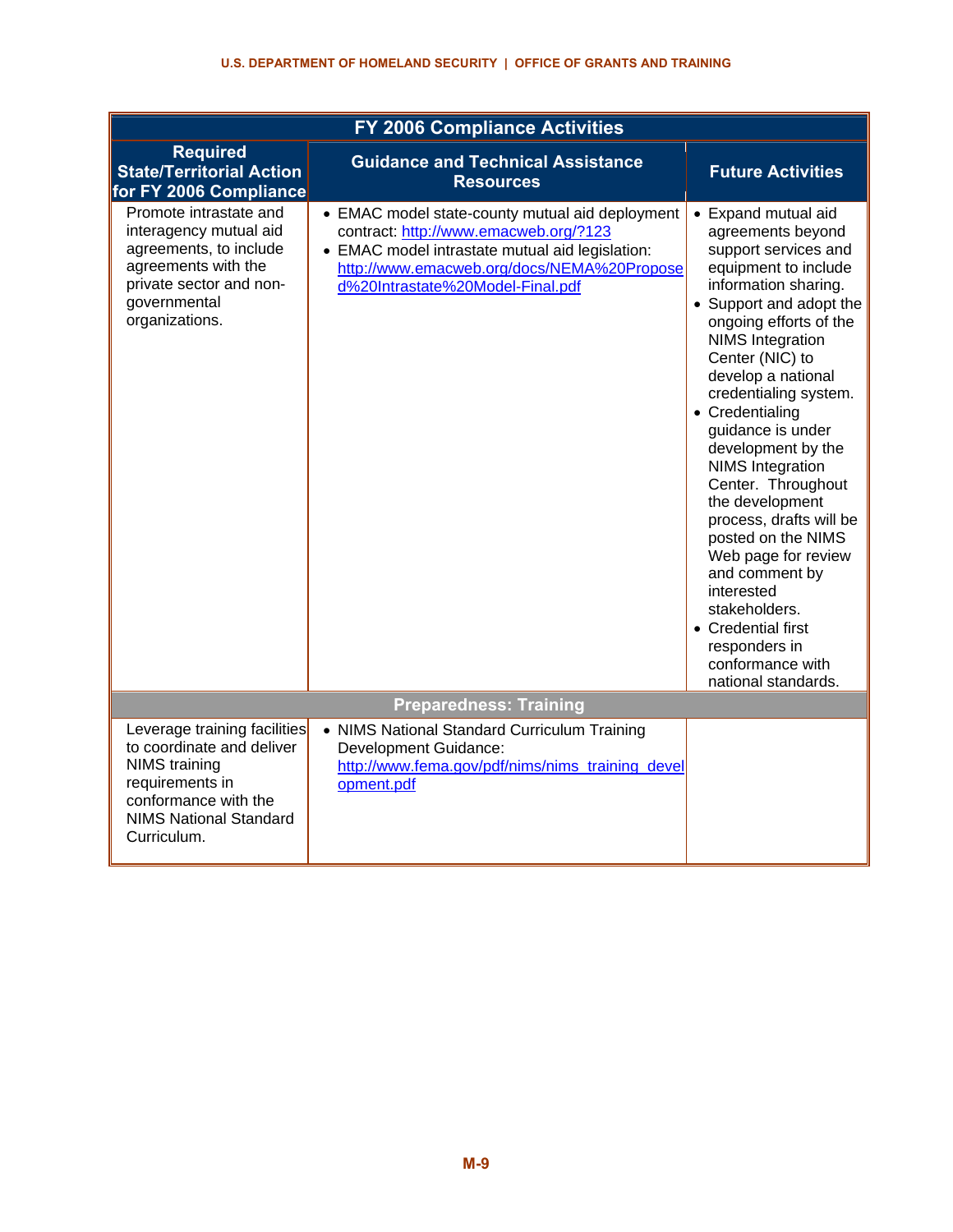| FY 2006 Compliance Activities                                                                                                                                                |                                                                                                                                                                                                                               |                                                                                                                                                                                                                                                                                                                                                                                                                                                                                                                                                                                                                 |  |
|------------------------------------------------------------------------------------------------------------------------------------------------------------------------------|-------------------------------------------------------------------------------------------------------------------------------------------------------------------------------------------------------------------------------|-----------------------------------------------------------------------------------------------------------------------------------------------------------------------------------------------------------------------------------------------------------------------------------------------------------------------------------------------------------------------------------------------------------------------------------------------------------------------------------------------------------------------------------------------------------------------------------------------------------------|--|
| <b>Required</b><br><b>State/Territorial Action</b><br>for FY 2006 Compliance                                                                                                 | <b>Guidance and Technical Assistance</b><br><b>Resources</b>                                                                                                                                                                  | <b>Future Activities</b>                                                                                                                                                                                                                                                                                                                                                                                                                                                                                                                                                                                        |  |
| Promote intrastate and<br>interagency mutual aid<br>agreements, to include<br>agreements with the<br>private sector and non-<br>governmental<br>organizations.               | • EMAC model state-county mutual aid deployment<br>contract: http://www.emacweb.org/?123<br>• EMAC model intrastate mutual aid legislation:<br>http://www.emacweb.org/docs/NEMA%20Propose<br>d%20Intrastate%20Model-Final.pdf | • Expand mutual aid<br>agreements beyond<br>support services and<br>equipment to include<br>information sharing.<br>• Support and adopt the<br>ongoing efforts of the<br><b>NIMS</b> Integration<br>Center (NIC) to<br>develop a national<br>credentialing system.<br>• Credentialing<br>guidance is under<br>development by the<br><b>NIMS</b> Integration<br>Center. Throughout<br>the development<br>process, drafts will be<br>posted on the NIMS<br>Web page for review<br>and comment by<br>interested<br>stakeholders.<br>• Credential first<br>responders in<br>conformance with<br>national standards. |  |
|                                                                                                                                                                              | <b>Preparedness: Training</b>                                                                                                                                                                                                 |                                                                                                                                                                                                                                                                                                                                                                                                                                                                                                                                                                                                                 |  |
| Leverage training facilities<br>to coordinate and deliver<br><b>NIMS</b> training<br>requirements in<br>conformance with the<br><b>NIMS National Standard</b><br>Curriculum. | • NIMS National Standard Curriculum Training<br>Development Guidance:<br>http://www.fema.gov/pdf/nims/nims_training_devel<br>opment.pdf                                                                                       |                                                                                                                                                                                                                                                                                                                                                                                                                                                                                                                                                                                                                 |  |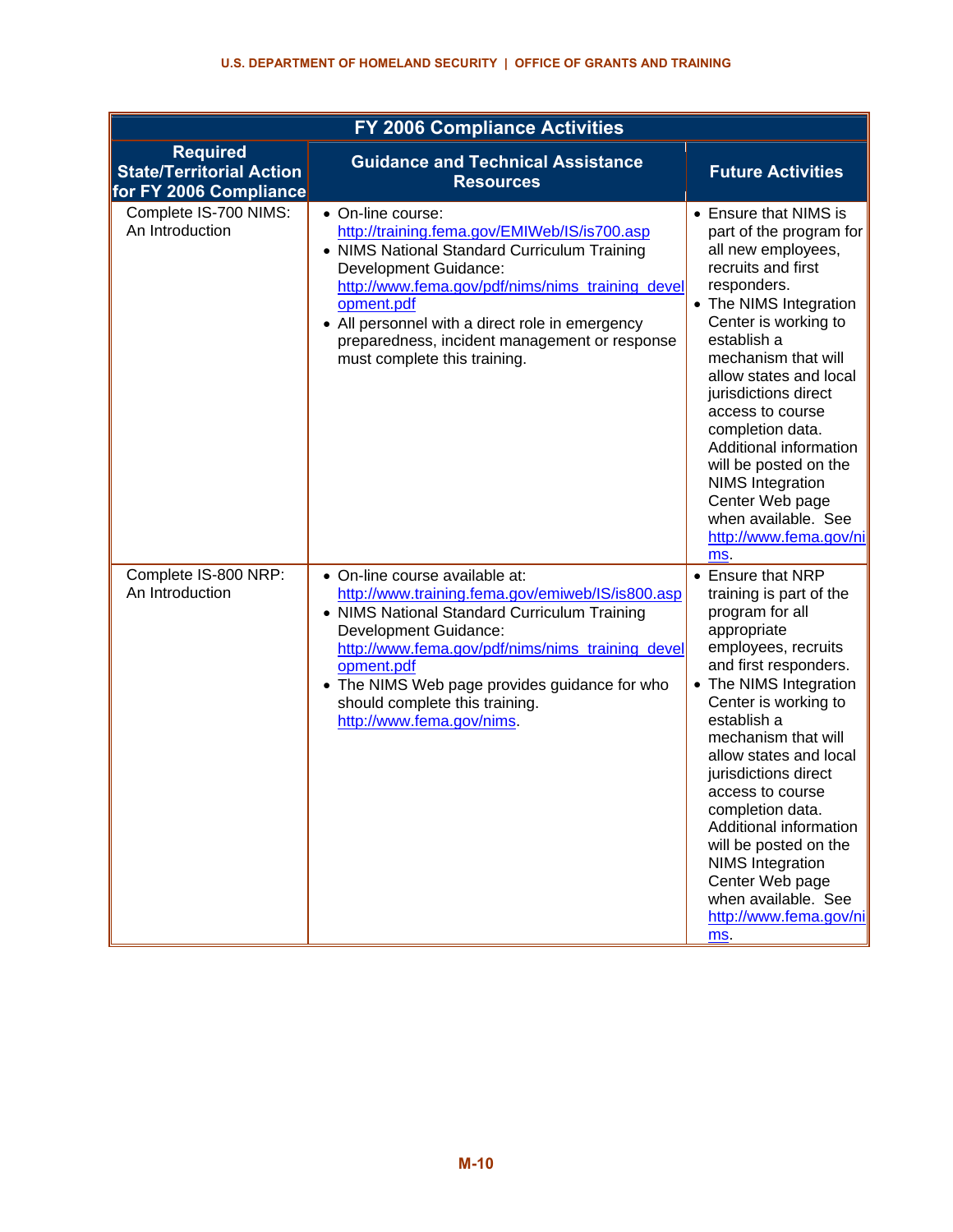| FY 2006 Compliance Activities                                                |                                                                                                                                                                                                                                                                                                                                                  |                                                                                                                                                                                                                                                                                                                                                                                                                                                                           |
|------------------------------------------------------------------------------|--------------------------------------------------------------------------------------------------------------------------------------------------------------------------------------------------------------------------------------------------------------------------------------------------------------------------------------------------|---------------------------------------------------------------------------------------------------------------------------------------------------------------------------------------------------------------------------------------------------------------------------------------------------------------------------------------------------------------------------------------------------------------------------------------------------------------------------|
| <b>Required</b><br><b>State/Territorial Action</b><br>for FY 2006 Compliance | <b>Guidance and Technical Assistance</b><br><b>Resources</b>                                                                                                                                                                                                                                                                                     | <b>Future Activities</b>                                                                                                                                                                                                                                                                                                                                                                                                                                                  |
| Complete IS-700 NIMS:<br>An Introduction                                     | • On-line course:<br>http://training.fema.gov/EMIWeb/IS/is700.asp<br>• NIMS National Standard Curriculum Training<br>Development Guidance:<br>http://www.fema.gov/pdf/nims/nims_training_devel<br>opment.pdf<br>• All personnel with a direct role in emergency<br>preparedness, incident management or response<br>must complete this training. | • Ensure that NIMS is<br>part of the program for<br>all new employees,<br>recruits and first<br>responders.<br>• The NIMS Integration<br>Center is working to<br>establish a<br>mechanism that will<br>allow states and local<br>jurisdictions direct<br>access to course<br>completion data.<br>Additional information<br>will be posted on the<br><b>NIMS</b> Integration<br>Center Web page<br>when available. See<br>http://www.fema.gov/ni<br>ms.                    |
| Complete IS-800 NRP:<br>An Introduction                                      | • On-line course available at:<br>http://www.training.fema.gov/emiweb/IS/is800.asp<br>• NIMS National Standard Curriculum Training<br>Development Guidance:<br>http://www.fema.gov/pdf/nims/nims_training_devel<br>opment.pdf<br>• The NIMS Web page provides guidance for who<br>should complete this training.<br>http://www.fema.gov/nims     | • Ensure that NRP<br>training is part of the<br>program for all<br>appropriate<br>employees, recruits<br>and first responders.<br>• The NIMS Integration<br>Center is working to<br>establish a<br>mechanism that will<br>allow states and local<br>jurisdictions direct<br>access to course<br>completion data.<br>Additional information<br>will be posted on the<br><b>NIMS</b> Integration<br>Center Web page<br>when available. See<br>http://www.fema.gov/ni<br>ms. |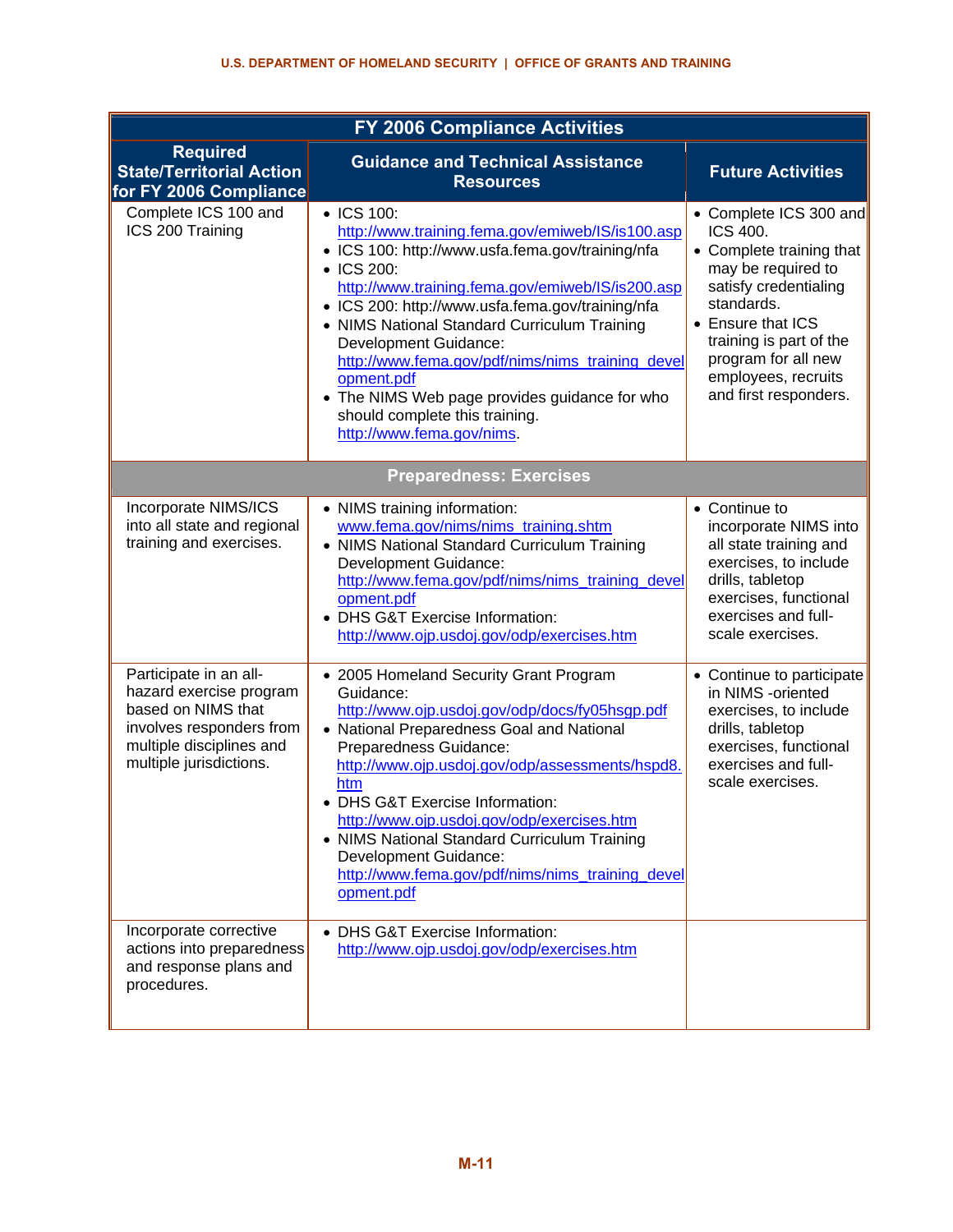| FY 2006 Compliance Activities                                                                                                                              |                                                                                                                                                                                                                                                                                                                                                                                                                                                                                                    |                                                                                                                                                                                                                                                    |
|------------------------------------------------------------------------------------------------------------------------------------------------------------|----------------------------------------------------------------------------------------------------------------------------------------------------------------------------------------------------------------------------------------------------------------------------------------------------------------------------------------------------------------------------------------------------------------------------------------------------------------------------------------------------|----------------------------------------------------------------------------------------------------------------------------------------------------------------------------------------------------------------------------------------------------|
| <b>Required</b><br><b>State/Territorial Action</b><br>for FY 2006 Compliance                                                                               | <b>Guidance and Technical Assistance</b><br><b>Resources</b>                                                                                                                                                                                                                                                                                                                                                                                                                                       | <b>Future Activities</b>                                                                                                                                                                                                                           |
| Complete ICS 100 and<br>ICS 200 Training                                                                                                                   | • ICS 100:<br>http://www.training.fema.gov/emiweb/IS/is100.asp<br>• ICS 100: http://www.usfa.fema.gov/training/nfa<br>• ICS 200:<br>http://www.training.fema.gov/emiweb/IS/is200.asp<br>• ICS 200: http://www.usfa.fema.gov/training/nfa<br>• NIMS National Standard Curriculum Training<br>Development Guidance:<br>http://www.fema.gov/pdf/nims/nims_training_devel<br>opment.pdf<br>• The NIMS Web page provides guidance for who<br>should complete this training.<br>http://www.fema.gov/nims | • Complete ICS 300 and<br>ICS 400.<br>• Complete training that<br>may be required to<br>satisfy credentialing<br>standards.<br>• Ensure that ICS<br>training is part of the<br>program for all new<br>employees, recruits<br>and first responders. |
|                                                                                                                                                            | <b>Preparedness: Exercises</b>                                                                                                                                                                                                                                                                                                                                                                                                                                                                     |                                                                                                                                                                                                                                                    |
| Incorporate NIMS/ICS<br>into all state and regional<br>training and exercises.                                                                             | • NIMS training information:<br>www.fema.gov/nims/nims training.shtm<br>• NIMS National Standard Curriculum Training<br>Development Guidance:<br>http://www.fema.gov/pdf/nims/nims_training_devel<br>opment.pdf<br>• DHS G&T Exercise Information:<br>http://www.ojp.usdoj.gov/odp/exercises.htm                                                                                                                                                                                                   | • Continue to<br>incorporate NIMS into<br>all state training and<br>exercises, to include<br>drills, tabletop<br>exercises, functional<br>exercises and full-<br>scale exercises.                                                                  |
| Participate in an all-<br>hazard exercise program<br>based on NIMS that<br>involves responders from<br>multiple disciplines and<br>multiple jurisdictions. | • 2005 Homeland Security Grant Program<br>Guidance:<br>http://www.ojp.usdoj.gov/odp/docs/fy05hsgp.pdf<br>• National Preparedness Goal and National<br>Preparedness Guidance:<br>http://www.ojp.usdoj.gov/odp/assessments/hspd8.<br>htm<br>• DHS G&T Exercise Information:<br>http://www.ojp.usdoj.gov/odp/exercises.htm<br>• NIMS National Standard Curriculum Training<br>Development Guidance:<br>http://www.fema.gov/pdf/nims/nims_training_devel<br>opment.pdf                                 | • Continue to participate<br>in NIMS -oriented<br>exercises, to include<br>drills, tabletop<br>exercises, functional<br>exercises and full-<br>scale exercises.                                                                                    |
| Incorporate corrective<br>actions into preparedness<br>and response plans and<br>procedures.                                                               | • DHS G&T Exercise Information:<br>http://www.ojp.usdoj.gov/odp/exercises.htm                                                                                                                                                                                                                                                                                                                                                                                                                      |                                                                                                                                                                                                                                                    |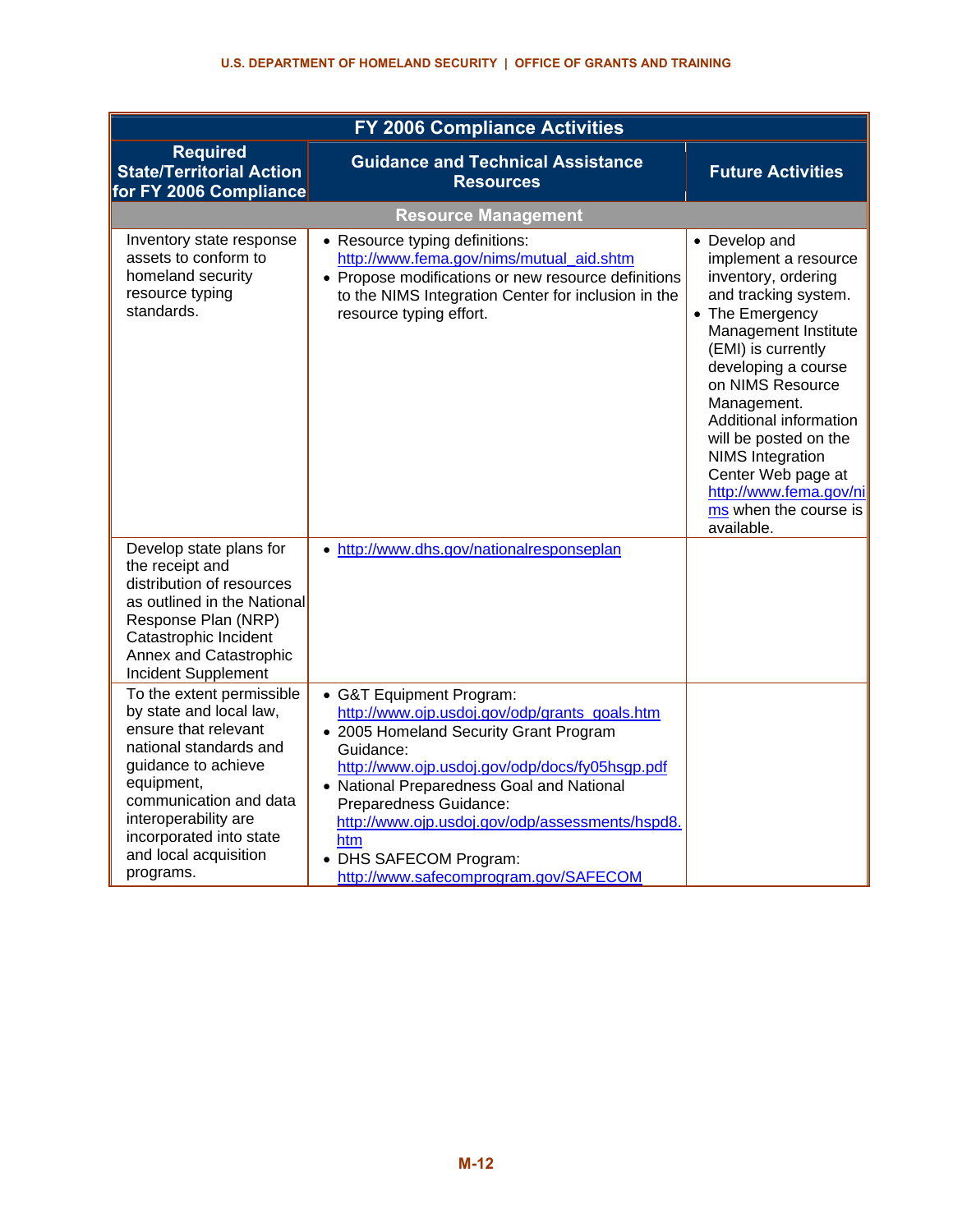| FY 2006 Compliance Activities                                                                                                                                                                                                                                  |                                                                                                                                                                                                                                                                                                                                                                                        |                                                                                                                                                                                                                                                                                                                                                                                      |
|----------------------------------------------------------------------------------------------------------------------------------------------------------------------------------------------------------------------------------------------------------------|----------------------------------------------------------------------------------------------------------------------------------------------------------------------------------------------------------------------------------------------------------------------------------------------------------------------------------------------------------------------------------------|--------------------------------------------------------------------------------------------------------------------------------------------------------------------------------------------------------------------------------------------------------------------------------------------------------------------------------------------------------------------------------------|
| <b>Required</b><br><b>State/Territorial Action</b><br>for FY 2006 Compliance                                                                                                                                                                                   | <b>Guidance and Technical Assistance</b><br><b>Resources</b>                                                                                                                                                                                                                                                                                                                           | <b>Future Activities</b>                                                                                                                                                                                                                                                                                                                                                             |
|                                                                                                                                                                                                                                                                | <b>Resource Management</b>                                                                                                                                                                                                                                                                                                                                                             |                                                                                                                                                                                                                                                                                                                                                                                      |
| Inventory state response<br>assets to conform to<br>homeland security<br>resource typing<br>standards.                                                                                                                                                         | • Resource typing definitions:<br>http://www.fema.gov/nims/mutual_aid.shtm<br>• Propose modifications or new resource definitions<br>to the NIMS Integration Center for inclusion in the<br>resource typing effort.                                                                                                                                                                    | • Develop and<br>implement a resource<br>inventory, ordering<br>and tracking system.<br>• The Emergency<br>Management Institute<br>(EMI) is currently<br>developing a course<br>on NIMS Resource<br>Management.<br>Additional information<br>will be posted on the<br><b>NIMS</b> Integration<br>Center Web page at<br>http://www.fema.gov/ni<br>ms when the course is<br>available. |
| Develop state plans for<br>the receipt and<br>distribution of resources<br>as outlined in the National<br>Response Plan (NRP)<br>Catastrophic Incident<br>Annex and Catastrophic<br>Incident Supplement                                                        | • http://www.dhs.gov/nationalresponseplan                                                                                                                                                                                                                                                                                                                                              |                                                                                                                                                                                                                                                                                                                                                                                      |
| To the extent permissible<br>by state and local law,<br>ensure that relevant<br>national standards and<br>guidance to achieve<br>equipment,<br>communication and data<br>interoperability are<br>incorporated into state<br>and local acquisition<br>programs. | • G&T Equipment Program:<br>http://www.ojp.usdoj.gov/odp/grants_goals.htm<br>• 2005 Homeland Security Grant Program<br>Guidance:<br>http://www.ojp.usdoj.gov/odp/docs/fy05hsgp.pdf<br>• National Preparedness Goal and National<br>Preparedness Guidance:<br>http://www.ojp.usdoj.gov/odp/assessments/hspd8.<br>htm<br>• DHS SAFECOM Program:<br>http://www.safecomprogram.gov/SAFECOM |                                                                                                                                                                                                                                                                                                                                                                                      |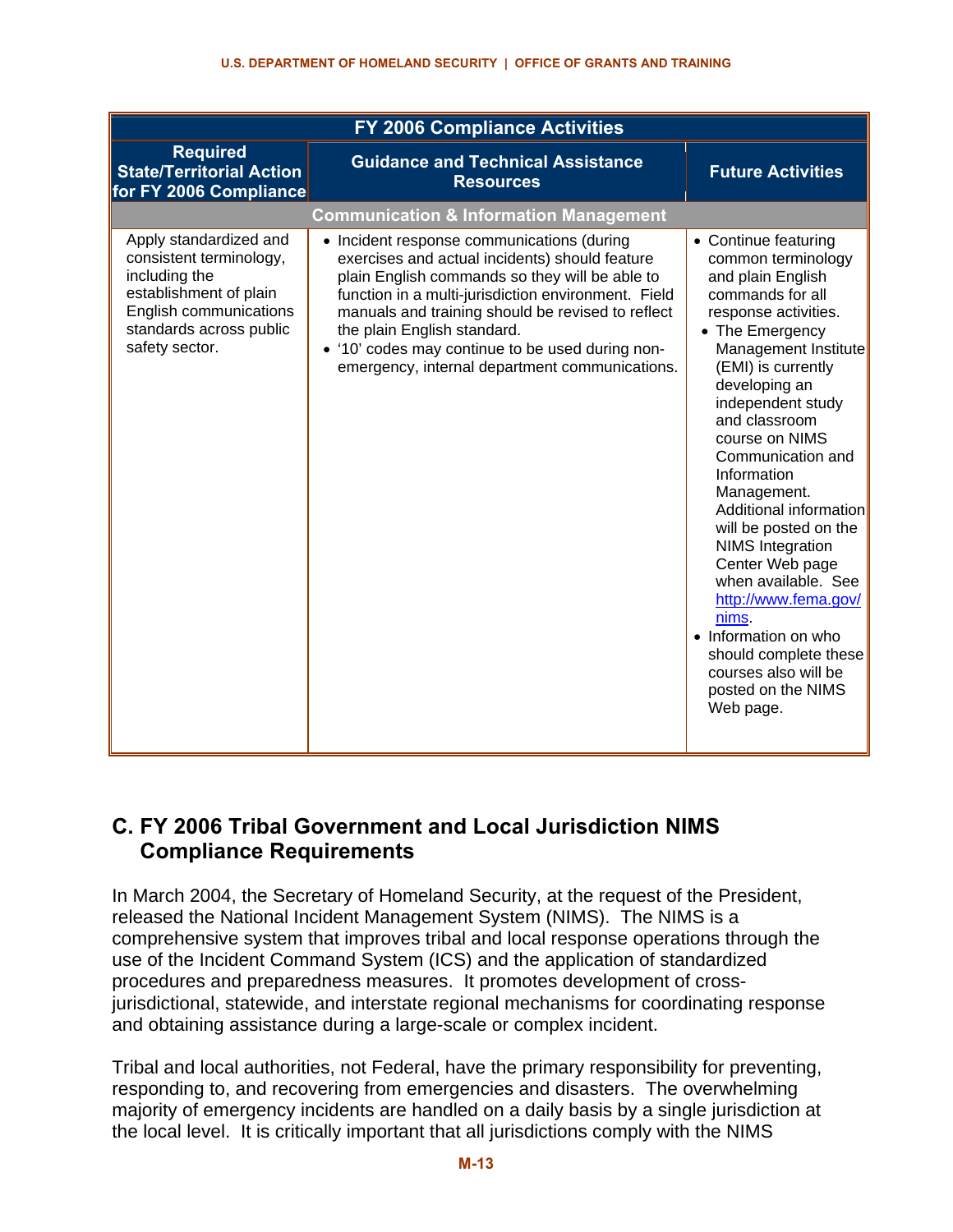| FY 2006 Compliance Activities                                                                                                                                       |                                                                                                                                                                                                                                                                                                                                                                                                 |                                                                                                                                                                                                                                                                                                                                                                                                                                                                                                                                                                               |
|---------------------------------------------------------------------------------------------------------------------------------------------------------------------|-------------------------------------------------------------------------------------------------------------------------------------------------------------------------------------------------------------------------------------------------------------------------------------------------------------------------------------------------------------------------------------------------|-------------------------------------------------------------------------------------------------------------------------------------------------------------------------------------------------------------------------------------------------------------------------------------------------------------------------------------------------------------------------------------------------------------------------------------------------------------------------------------------------------------------------------------------------------------------------------|
| <b>Required</b><br><b>State/Territorial Action</b><br>for FY 2006 Compliance                                                                                        | <b>Guidance and Technical Assistance</b><br><b>Resources</b>                                                                                                                                                                                                                                                                                                                                    | <b>Future Activities</b>                                                                                                                                                                                                                                                                                                                                                                                                                                                                                                                                                      |
|                                                                                                                                                                     | <b>Communication &amp; Information Management</b>                                                                                                                                                                                                                                                                                                                                               |                                                                                                                                                                                                                                                                                                                                                                                                                                                                                                                                                                               |
| Apply standardized and<br>consistent terminology,<br>including the<br>establishment of plain<br>English communications<br>standards across public<br>safety sector. | • Incident response communications (during<br>exercises and actual incidents) should feature<br>plain English commands so they will be able to<br>function in a multi-jurisdiction environment. Field<br>manuals and training should be revised to reflect<br>the plain English standard.<br>• '10' codes may continue to be used during non-<br>emergency, internal department communications. | • Continue featuring<br>common terminology<br>and plain English<br>commands for all<br>response activities.<br>• The Emergency<br>Management Institute<br>(EMI) is currently<br>developing an<br>independent study<br>and classroom<br>course on NIMS<br>Communication and<br>Information<br>Management.<br>Additional information<br>will be posted on the<br><b>NIMS</b> Integration<br>Center Web page<br>when available. See<br>http://www.fema.gov/<br>nims.<br>• Information on who<br>should complete these<br>courses also will be<br>posted on the NIMS<br>Web page. |

### **C. FY 2006 Tribal Government and Local Jurisdiction NIMS Compliance Requirements**

In March 2004, the Secretary of Homeland Security, at the request of the President, released the National Incident Management System (NIMS). The NIMS is a comprehensive system that improves tribal and local response operations through the use of the Incident Command System (ICS) and the application of standardized procedures and preparedness measures. It promotes development of crossjurisdictional, statewide, and interstate regional mechanisms for coordinating response and obtaining assistance during a large-scale or complex incident.

Tribal and local authorities, not Federal, have the primary responsibility for preventing, responding to, and recovering from emergencies and disasters. The overwhelming majority of emergency incidents are handled on a daily basis by a single jurisdiction at the local level. It is critically important that all jurisdictions comply with the NIMS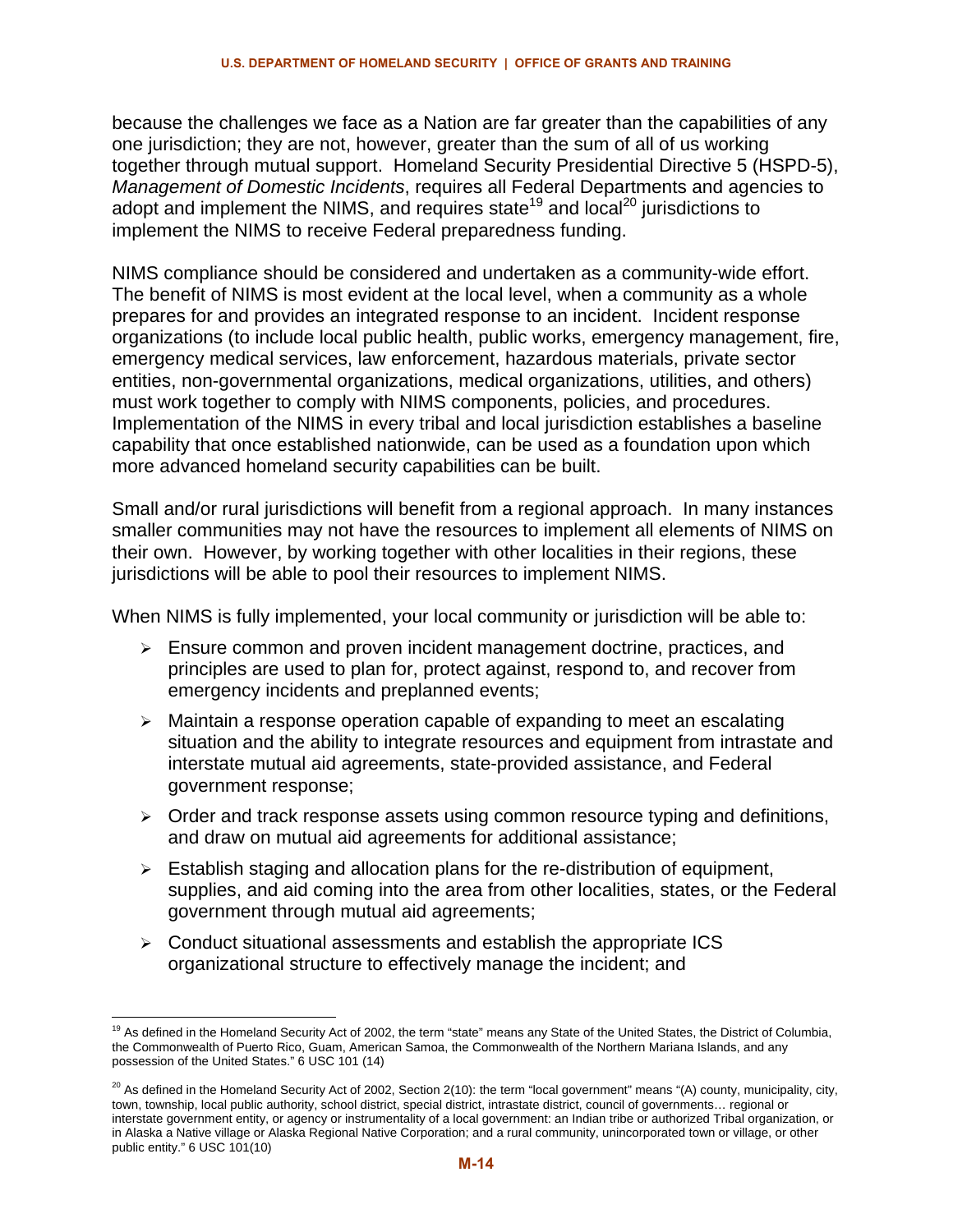because the challenges we face as a Nation are far greater than the capabilities of any one jurisdiction; they are not, however, greater than the sum of all of us working together through mutual support. Homeland Security Presidential Directive 5 (HSPD-5), *Management of Domestic Incidents*, requires all Federal Departments and agencies to adopt and implement the NIMS, and requires state<sup>19</sup> and local<sup>20</sup> jurisdictions to implement the NIMS to receive Federal preparedness funding.

NIMS compliance should be considered and undertaken as a community-wide effort. The benefit of NIMS is most evident at the local level, when a community as a whole prepares for and provides an integrated response to an incident. Incident response organizations (to include local public health, public works, emergency management, fire, emergency medical services, law enforcement, hazardous materials, private sector entities, non-governmental organizations, medical organizations, utilities, and others) must work together to comply with NIMS components, policies, and procedures. Implementation of the NIMS in every tribal and local jurisdiction establishes a baseline capability that once established nationwide, can be used as a foundation upon which more advanced homeland security capabilities can be built.

Small and/or rural jurisdictions will benefit from a regional approach. In many instances smaller communities may not have the resources to implement all elements of NIMS on their own. However, by working together with other localities in their regions, these jurisdictions will be able to pool their resources to implement NIMS.

When NIMS is fully implemented, your local community or jurisdiction will be able to:

- $\triangleright$  Ensure common and proven incident management doctrine, practices, and principles are used to plan for, protect against, respond to, and recover from emergency incidents and preplanned events;
- ¾ Maintain a response operation capable of expanding to meet an escalating situation and the ability to integrate resources and equipment from intrastate and interstate mutual aid agreements, state-provided assistance, and Federal government response;
- $\triangleright$  Order and track response assets using common resource typing and definitions, and draw on mutual aid agreements for additional assistance;
- $\triangleright$  Establish staging and allocation plans for the re-distribution of equipment, supplies, and aid coming into the area from other localities, states, or the Federal government through mutual aid agreements;
- $\triangleright$  Conduct situational assessments and establish the appropriate ICS organizational structure to effectively manage the incident; and

 $\overline{a}$ <sup>19</sup> As defined in the Homeland Security Act of 2002, the term "state" means any State of the United States, the District of Columbia, the Commonwealth of Puerto Rico, Guam, American Samoa, the Commonwealth of the Northern Mariana Islands, and any possession of the United States." 6 USC 101 (14)

 $^{20}$  As defined in the Homeland Security Act of 2002, Section 2(10): the term "local government" means "(A) county, municipality, city, town, township, local public authority, school district, special district, intrastate district, council of governments… regional or interstate government entity, or agency or instrumentality of a local government: an Indian tribe or authorized Tribal organization, or in Alaska a Native village or Alaska Regional Native Corporation; and a rural community, unincorporated town or village, or other public entity." 6 USC 101(10)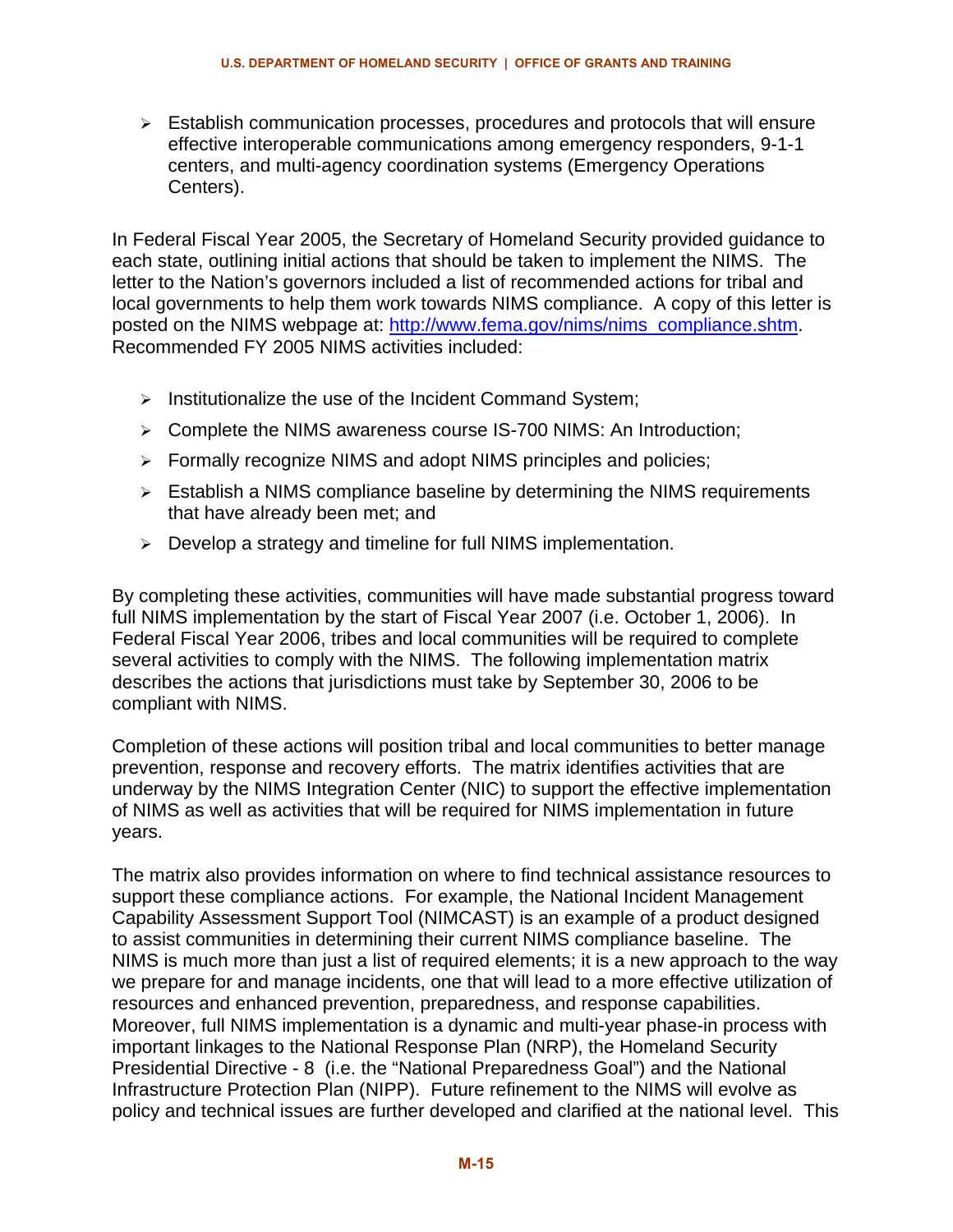$\triangleright$  Establish communication processes, procedures and protocols that will ensure effective interoperable communications among emergency responders, 9-1-1 centers, and multi-agency coordination systems (Emergency Operations Centers).

In Federal Fiscal Year 2005, the Secretary of Homeland Security provided guidance to each state, outlining initial actions that should be taken to implement the NIMS. The letter to the Nation's governors included a list of recommended actions for tribal and local governments to help them work towards NIMS compliance. A copy of this letter is posted on the NIMS webpage at: http://www.fema.gov/nims/nims\_compliance.shtm. Recommended FY 2005 NIMS activities included:

- $\triangleright$  Institutionalize the use of the Incident Command System;
- ¾ Complete the NIMS awareness course IS-700 NIMS: An Introduction;
- ¾ Formally recognize NIMS and adopt NIMS principles and policies;
- $\triangleright$  Establish a NIMS compliance baseline by determining the NIMS requirements that have already been met; and
- ¾ Develop a strategy and timeline for full NIMS implementation.

By completing these activities, communities will have made substantial progress toward full NIMS implementation by the start of Fiscal Year 2007 (i.e. October 1, 2006). In Federal Fiscal Year 2006, tribes and local communities will be required to complete several activities to comply with the NIMS. The following implementation matrix describes the actions that jurisdictions must take by September 30, 2006 to be compliant with NIMS.

Completion of these actions will position tribal and local communities to better manage prevention, response and recovery efforts. The matrix identifies activities that are underway by the NIMS Integration Center (NIC) to support the effective implementation of NIMS as well as activities that will be required for NIMS implementation in future years.

The matrix also provides information on where to find technical assistance resources to support these compliance actions. For example, the National Incident Management Capability Assessment Support Tool (NIMCAST) is an example of a product designed to assist communities in determining their current NIMS compliance baseline. The NIMS is much more than just a list of required elements; it is a new approach to the way we prepare for and manage incidents, one that will lead to a more effective utilization of resources and enhanced prevention, preparedness, and response capabilities. Moreover, full NIMS implementation is a dynamic and multi-year phase-in process with important linkages to the National Response Plan (NRP), the Homeland Security Presidential Directive - 8 (i.e. the "National Preparedness Goal") and the National Infrastructure Protection Plan (NIPP). Future refinement to the NIMS will evolve as policy and technical issues are further developed and clarified at the national level. This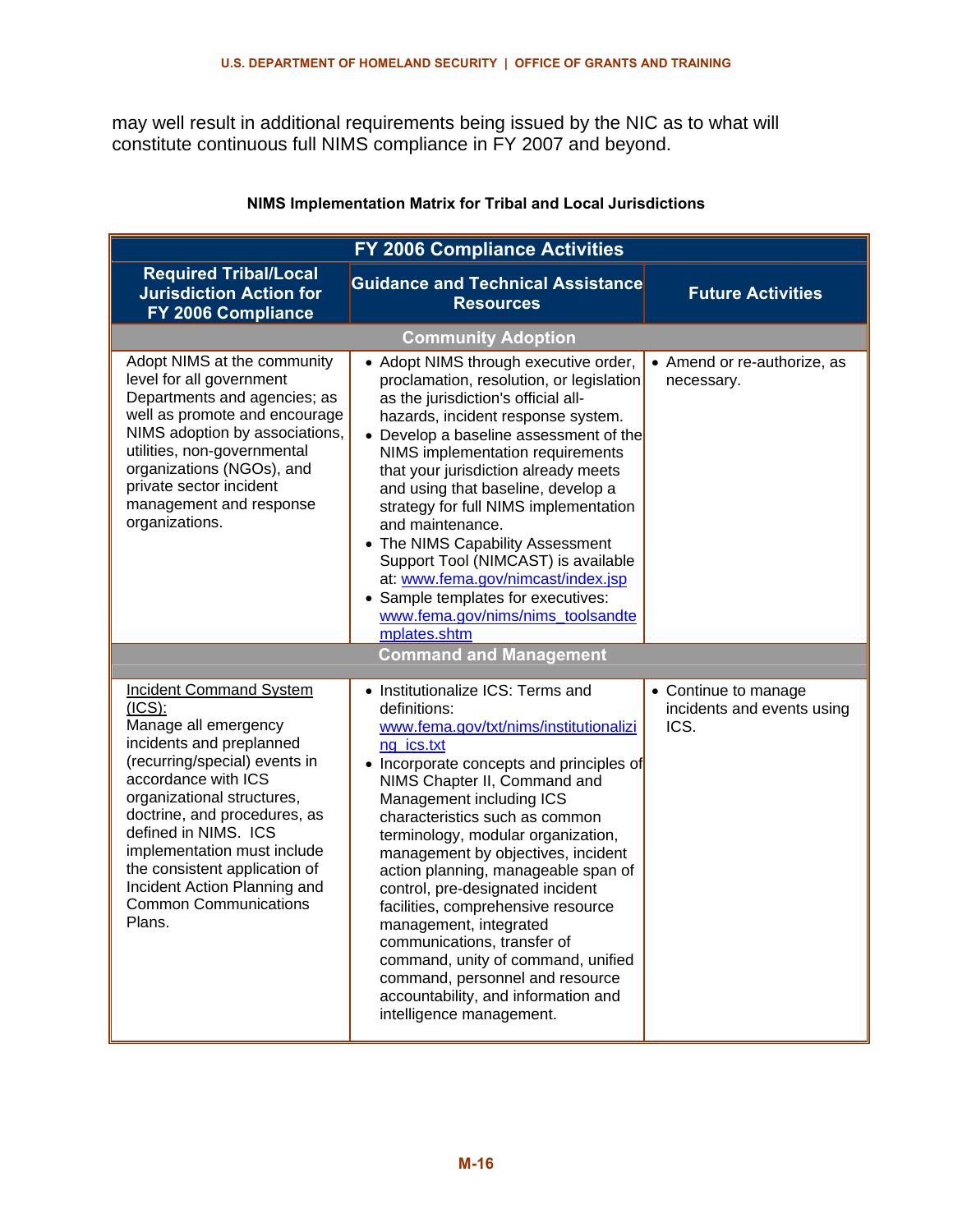may well result in additional requirements being issued by the NIC as to what will constitute continuous full NIMS compliance in FY 2007 and beyond.

| FY 2006 Compliance Activities                                                                                                                                                                                                                                                                                                                                                 |                                                                                                                                                                                                                                                                                                                                                                                                                                                                                                                                                                                                                                                       |                                                            |
|-------------------------------------------------------------------------------------------------------------------------------------------------------------------------------------------------------------------------------------------------------------------------------------------------------------------------------------------------------------------------------|-------------------------------------------------------------------------------------------------------------------------------------------------------------------------------------------------------------------------------------------------------------------------------------------------------------------------------------------------------------------------------------------------------------------------------------------------------------------------------------------------------------------------------------------------------------------------------------------------------------------------------------------------------|------------------------------------------------------------|
| <b>Required Tribal/Local</b><br><b>Jurisdiction Action for</b><br>FY 2006 Compliance                                                                                                                                                                                                                                                                                          | <b>Guidance and Technical Assistance</b><br><b>Resources</b>                                                                                                                                                                                                                                                                                                                                                                                                                                                                                                                                                                                          | <b>Future Activities</b>                                   |
|                                                                                                                                                                                                                                                                                                                                                                               | <b>Community Adoption</b>                                                                                                                                                                                                                                                                                                                                                                                                                                                                                                                                                                                                                             |                                                            |
| Adopt NIMS at the community<br>level for all government<br>Departments and agencies; as<br>well as promote and encourage<br>NIMS adoption by associations,<br>utilities, non-governmental<br>organizations (NGOs), and<br>private sector incident<br>management and response<br>organizations.                                                                                | • Adopt NIMS through executive order,<br>proclamation, resolution, or legislation<br>as the jurisdiction's official all-<br>hazards, incident response system.<br>• Develop a baseline assessment of the<br>NIMS implementation requirements<br>that your jurisdiction already meets<br>and using that baseline, develop a<br>strategy for full NIMS implementation<br>and maintenance.<br>• The NIMS Capability Assessment<br>Support Tool (NIMCAST) is available<br>at: www.fema.gov/nimcast/index.jsp<br>• Sample templates for executives:<br>www.fema.gov/nims/nims_toolsandte<br>mplates.shtm                                                   | • Amend or re-authorize, as<br>necessary.                  |
|                                                                                                                                                                                                                                                                                                                                                                               | <b>Command and Management</b>                                                                                                                                                                                                                                                                                                                                                                                                                                                                                                                                                                                                                         |                                                            |
| Incident Command System<br>(ICS):<br>Manage all emergency<br>incidents and preplanned<br>(recurring/special) events in<br>accordance with ICS<br>organizational structures,<br>doctrine, and procedures, as<br>defined in NIMS. ICS<br>implementation must include<br>the consistent application of<br>Incident Action Planning and<br><b>Common Communications</b><br>Plans. | • Institutionalize ICS: Terms and<br>definitions:<br>www.fema.gov/txt/nims/institutionalizi<br>ng ics.txt<br>• Incorporate concepts and principles of<br>NIMS Chapter II, Command and<br>Management including ICS<br>characteristics such as common<br>terminology, modular organization,<br>management by objectives, incident<br>action planning, manageable span of<br>control, pre-designated incident<br>facilities, comprehensive resource<br>management, integrated<br>communications, transfer of<br>command, unity of command, unified<br>command, personnel and resource<br>accountability, and information and<br>intelligence management. | • Continue to manage<br>incidents and events using<br>ICS. |

#### **NIMS Implementation Matrix for Tribal and Local Jurisdictions**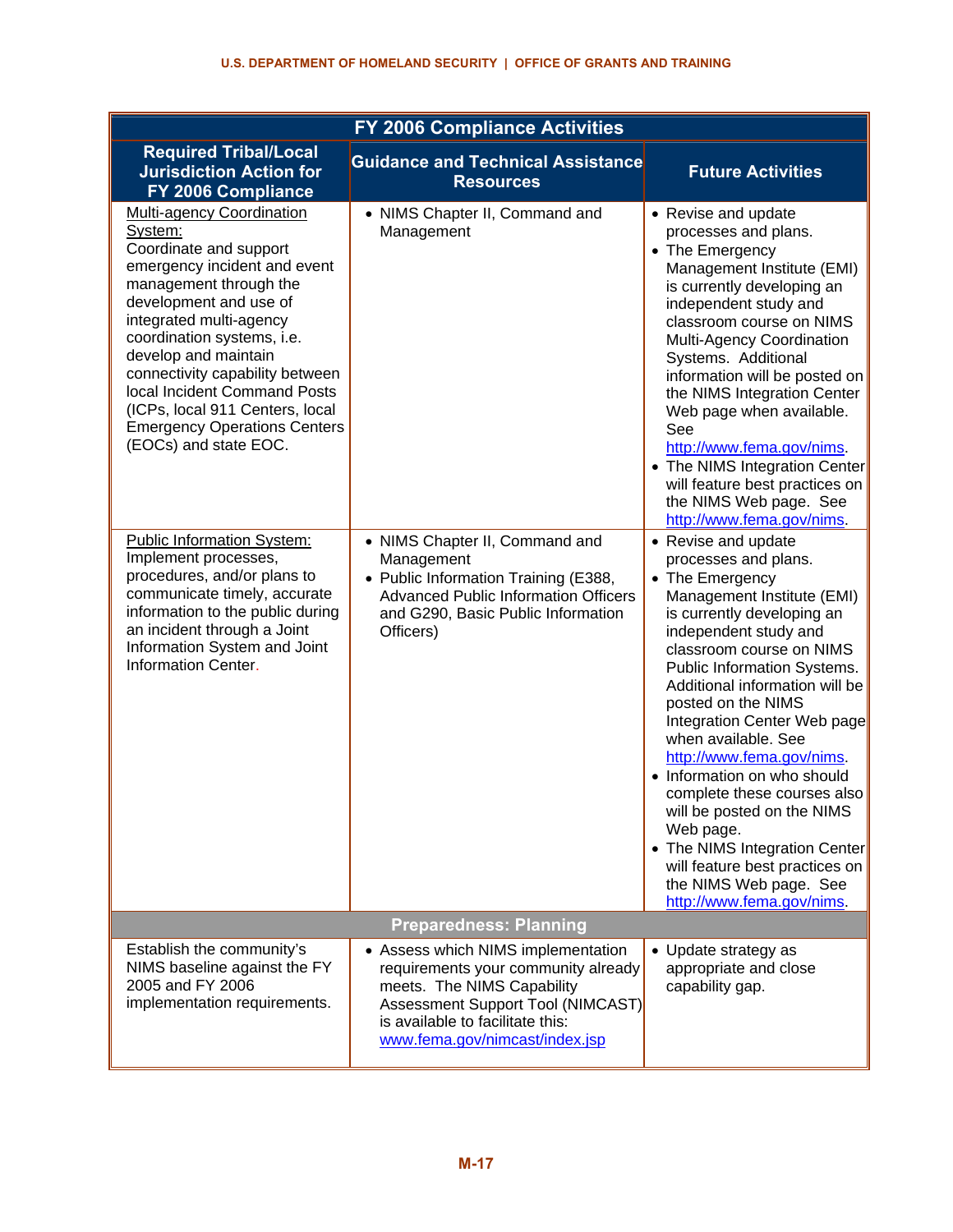|                                                                                                                                                                                                                                                                                                                                                                                                                  | FY 2006 Compliance Activities                                                                                                                                                                                      |                                                                                                                                                                                                                                                                                                                                                                                                                                                                                                                                                                                              |
|------------------------------------------------------------------------------------------------------------------------------------------------------------------------------------------------------------------------------------------------------------------------------------------------------------------------------------------------------------------------------------------------------------------|--------------------------------------------------------------------------------------------------------------------------------------------------------------------------------------------------------------------|----------------------------------------------------------------------------------------------------------------------------------------------------------------------------------------------------------------------------------------------------------------------------------------------------------------------------------------------------------------------------------------------------------------------------------------------------------------------------------------------------------------------------------------------------------------------------------------------|
| <b>Required Tribal/Local</b><br><b>Jurisdiction Action for</b><br>FY 2006 Compliance                                                                                                                                                                                                                                                                                                                             | <b>Guidance and Technical Assistance</b><br><b>Resources</b>                                                                                                                                                       | <b>Future Activities</b>                                                                                                                                                                                                                                                                                                                                                                                                                                                                                                                                                                     |
| <b>Multi-agency Coordination</b><br>System:<br>Coordinate and support<br>emergency incident and event<br>management through the<br>development and use of<br>integrated multi-agency<br>coordination systems, i.e.<br>develop and maintain<br>connectivity capability between<br>local Incident Command Posts<br>(ICPs, local 911 Centers, local<br><b>Emergency Operations Centers</b><br>(EOCs) and state EOC. | • NIMS Chapter II, Command and<br>Management                                                                                                                                                                       | • Revise and update<br>processes and plans.<br>• The Emergency<br>Management Institute (EMI)<br>is currently developing an<br>independent study and<br>classroom course on NIMS<br>Multi-Agency Coordination<br>Systems. Additional<br>information will be posted on<br>the NIMS Integration Center<br>Web page when available.<br>See<br>http://www.fema.gov/nims.<br>• The NIMS Integration Center<br>will feature best practices on<br>the NIMS Web page. See<br>http://www.fema.gov/nims.                                                                                                |
| <b>Public Information System:</b><br>Implement processes,<br>procedures, and/or plans to<br>communicate timely, accurate<br>information to the public during<br>an incident through a Joint<br>Information System and Joint<br>Information Center.                                                                                                                                                               | • NIMS Chapter II, Command and<br>Management<br>• Public Information Training (E388,<br><b>Advanced Public Information Officers</b><br>and G290, Basic Public Information<br>Officers)                             | • Revise and update<br>processes and plans.<br>• The Emergency<br>Management Institute (EMI)<br>is currently developing an<br>independent study and<br>classroom course on NIMS<br>Public Information Systems.<br>Additional information will be<br>posted on the NIMS<br>Integration Center Web page<br>when available. See<br>http://www.fema.gov/nims.<br>• Information on who should<br>complete these courses also<br>will be posted on the NIMS<br>Web page.<br>• The NIMS Integration Center<br>will feature best practices on<br>the NIMS Web page. See<br>http://www.fema.gov/nims. |
|                                                                                                                                                                                                                                                                                                                                                                                                                  | <b>Preparedness: Planning</b>                                                                                                                                                                                      |                                                                                                                                                                                                                                                                                                                                                                                                                                                                                                                                                                                              |
| Establish the community's<br>NIMS baseline against the FY<br>2005 and FY 2006<br>implementation requirements.                                                                                                                                                                                                                                                                                                    | • Assess which NIMS implementation<br>requirements your community already<br>meets. The NIMS Capability<br>Assessment Support Tool (NIMCAST)<br>is available to facilitate this:<br>www.fema.gov/nimcast/index.jsp | • Update strategy as<br>appropriate and close<br>capability gap.                                                                                                                                                                                                                                                                                                                                                                                                                                                                                                                             |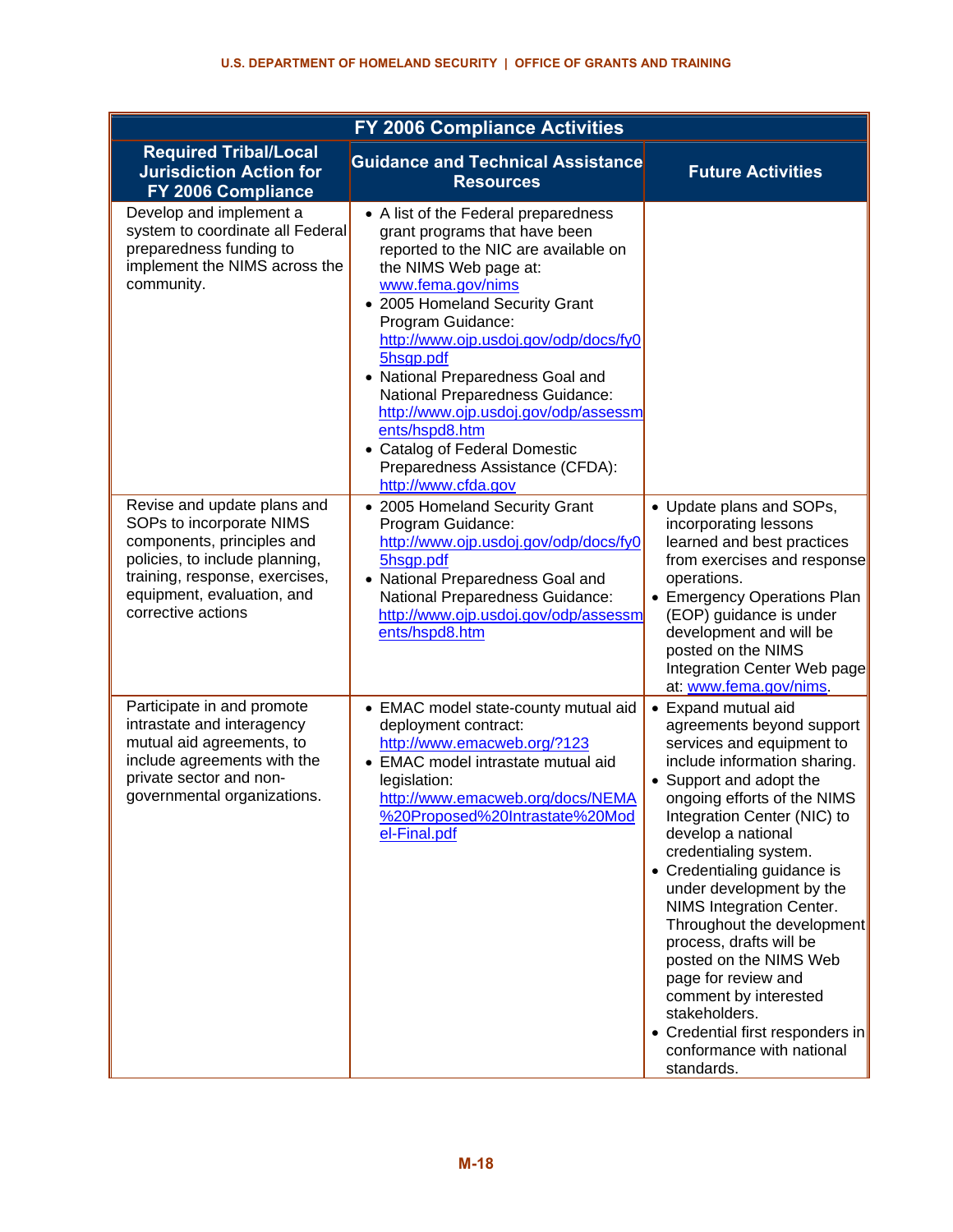|                                                                                                                                                                                                               | FY 2006 Compliance Activities                                                                                                                                                                                                                                                                                                                                                                                                                                                                        |                                                                                                                                                                                                                                                                                                                                                                                                                                                                                                                                                                                 |
|---------------------------------------------------------------------------------------------------------------------------------------------------------------------------------------------------------------|------------------------------------------------------------------------------------------------------------------------------------------------------------------------------------------------------------------------------------------------------------------------------------------------------------------------------------------------------------------------------------------------------------------------------------------------------------------------------------------------------|---------------------------------------------------------------------------------------------------------------------------------------------------------------------------------------------------------------------------------------------------------------------------------------------------------------------------------------------------------------------------------------------------------------------------------------------------------------------------------------------------------------------------------------------------------------------------------|
| <b>Required Tribal/Local</b><br><b>Jurisdiction Action for</b><br>FY 2006 Compliance                                                                                                                          | <b>Guidance and Technical Assistance</b><br><b>Resources</b>                                                                                                                                                                                                                                                                                                                                                                                                                                         | <b>Future Activities</b>                                                                                                                                                                                                                                                                                                                                                                                                                                                                                                                                                        |
| Develop and implement a<br>system to coordinate all Federal<br>preparedness funding to<br>implement the NIMS across the<br>community.                                                                         | • A list of the Federal preparedness<br>grant programs that have been<br>reported to the NIC are available on<br>the NIMS Web page at:<br>www.fema.gov/nims<br>• 2005 Homeland Security Grant<br>Program Guidance:<br>http://www.ojp.usdoj.gov/odp/docs/fy0<br>5hsgp.pdf<br>• National Preparedness Goal and<br>National Preparedness Guidance:<br>http://www.ojp.usdoj.gov/odp/assessm<br>ents/hspd8.htm<br>• Catalog of Federal Domestic<br>Preparedness Assistance (CFDA):<br>http://www.cfda.gov |                                                                                                                                                                                                                                                                                                                                                                                                                                                                                                                                                                                 |
| Revise and update plans and<br>SOPs to incorporate NIMS<br>components, principles and<br>policies, to include planning,<br>training, response, exercises,<br>equipment, evaluation, and<br>corrective actions | • 2005 Homeland Security Grant<br>Program Guidance:<br>http://www.ojp.usdoj.gov/odp/docs/fy0<br>5hsgp.pdf<br>• National Preparedness Goal and<br>National Preparedness Guidance:<br>http://www.ojp.usdoj.gov/odp/assessm<br>ents/hspd8.htm                                                                                                                                                                                                                                                           | • Update plans and SOPs,<br>incorporating lessons<br>learned and best practices<br>from exercises and response<br>operations.<br>• Emergency Operations Plan<br>(EOP) guidance is under<br>development and will be<br>posted on the NIMS<br>Integration Center Web page<br>at: www.fema.gov/nims.                                                                                                                                                                                                                                                                               |
| Participate in and promote<br>intrastate and interagency<br>mutual aid agreements, to<br>include agreements with the<br>private sector and non-<br>governmental organizations.                                | • EMAC model state-county mutual aid<br>deployment contract:<br>http://www.emacweb.org/?123<br>• EMAC model intrastate mutual aid<br>legislation:<br>http://www.emacweb.org/docs/NEMA<br>%20Proposed%20Intrastate%20Mod<br>el-Final.pdf                                                                                                                                                                                                                                                              | • Expand mutual aid<br>agreements beyond support<br>services and equipment to<br>include information sharing.<br>• Support and adopt the<br>ongoing efforts of the NIMS<br>Integration Center (NIC) to<br>develop a national<br>credentialing system.<br>• Credentialing guidance is<br>under development by the<br>NIMS Integration Center.<br>Throughout the development<br>process, drafts will be<br>posted on the NIMS Web<br>page for review and<br>comment by interested<br>stakeholders.<br>• Credential first responders in<br>conformance with national<br>standards. |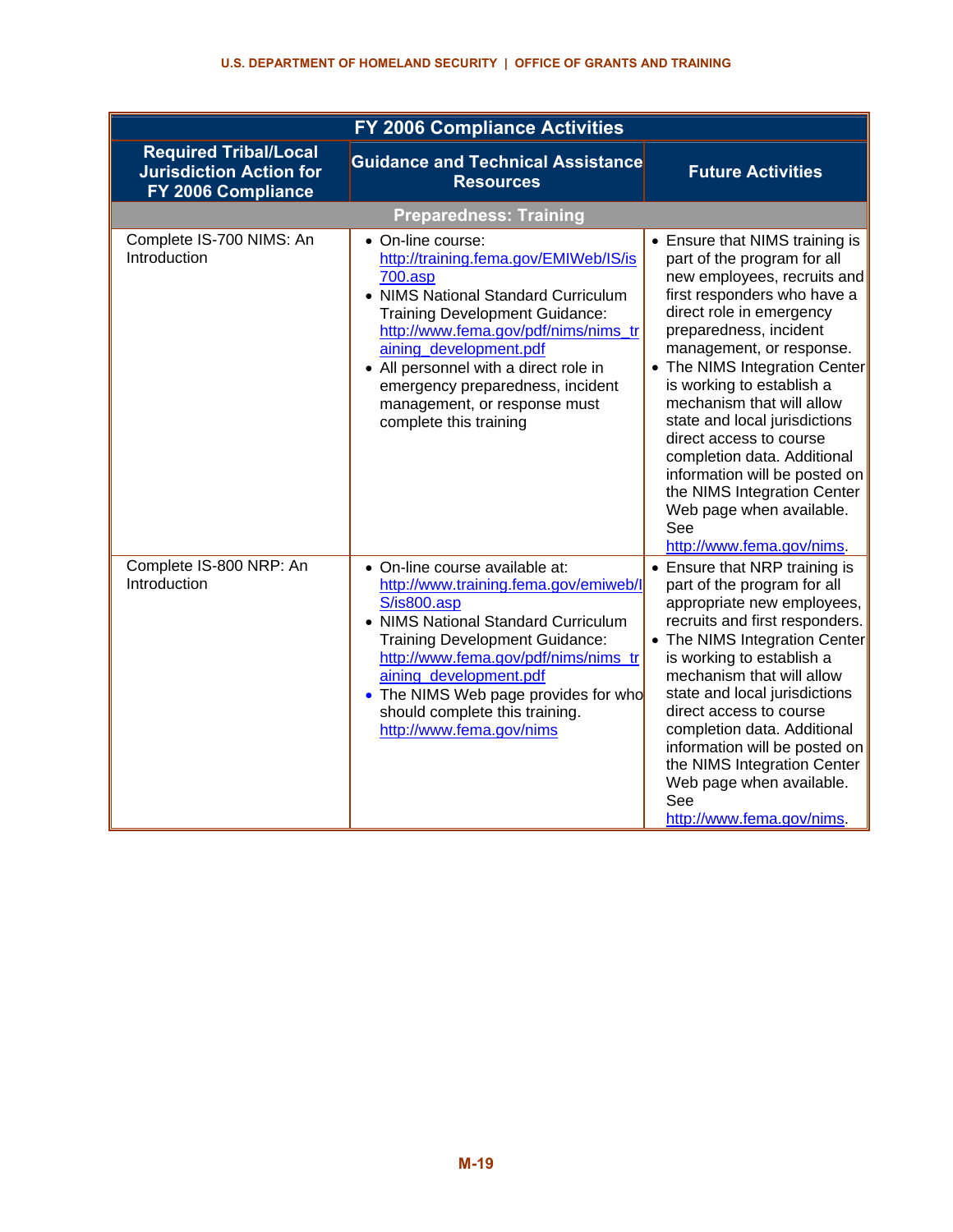| FY 2006 Compliance Activities                                                               |                                                                                                                                                                                                                                                                                                                                                                           |                                                                                                                                                                                                                                                                                                                                                                                                                                                                                                                                  |  |
|---------------------------------------------------------------------------------------------|---------------------------------------------------------------------------------------------------------------------------------------------------------------------------------------------------------------------------------------------------------------------------------------------------------------------------------------------------------------------------|----------------------------------------------------------------------------------------------------------------------------------------------------------------------------------------------------------------------------------------------------------------------------------------------------------------------------------------------------------------------------------------------------------------------------------------------------------------------------------------------------------------------------------|--|
| <b>Required Tribal/Local</b><br><b>Jurisdiction Action for</b><br><b>FY 2006 Compliance</b> | <b>Guidance and Technical Assistance</b><br><b>Resources</b>                                                                                                                                                                                                                                                                                                              | <b>Future Activities</b>                                                                                                                                                                                                                                                                                                                                                                                                                                                                                                         |  |
|                                                                                             | <b>Preparedness: Training</b>                                                                                                                                                                                                                                                                                                                                             |                                                                                                                                                                                                                                                                                                                                                                                                                                                                                                                                  |  |
| Complete IS-700 NIMS: An<br>Introduction                                                    | • On-line course:<br>http://training.fema.gov/EMIWeb/IS/is<br>$700 \text{.}$ asp<br>• NIMS National Standard Curriculum<br><b>Training Development Guidance:</b><br>http://www.fema.gov/pdf/nims/nims_tr<br>aining_development.pdf<br>• All personnel with a direct role in<br>emergency preparedness, incident<br>management, or response must<br>complete this training | • Ensure that NIMS training is<br>part of the program for all<br>new employees, recruits and<br>first responders who have a<br>direct role in emergency<br>preparedness, incident<br>management, or response.<br>The NIMS Integration Center<br>is working to establish a<br>mechanism that will allow<br>state and local jurisdictions<br>direct access to course<br>completion data. Additional<br>information will be posted on<br>the NIMS Integration Center<br>Web page when available.<br>See<br>http://www.fema.gov/nims |  |
| Complete IS-800 NRP: An<br>Introduction                                                     | • On-line course available at:<br>http://www.training.fema.gov/emiweb/l<br>S/is800.asp<br>• NIMS National Standard Curriculum<br><b>Training Development Guidance:</b><br>http://www.fema.gov/pdf/nims/nims_tr<br>aining_development.pdf<br>The NIMS Web page provides for who<br>$\bullet$<br>should complete this training.<br>http://www.fema.gov/nims                 | Ensure that NRP training is<br>part of the program for all<br>appropriate new employees,<br>recruits and first responders.<br>• The NIMS Integration Center<br>is working to establish a<br>mechanism that will allow<br>state and local jurisdictions<br>direct access to course<br>completion data. Additional<br>information will be posted on<br>the NIMS Integration Center<br>Web page when available.<br>See<br>http://www.fema.gov/nims.                                                                                 |  |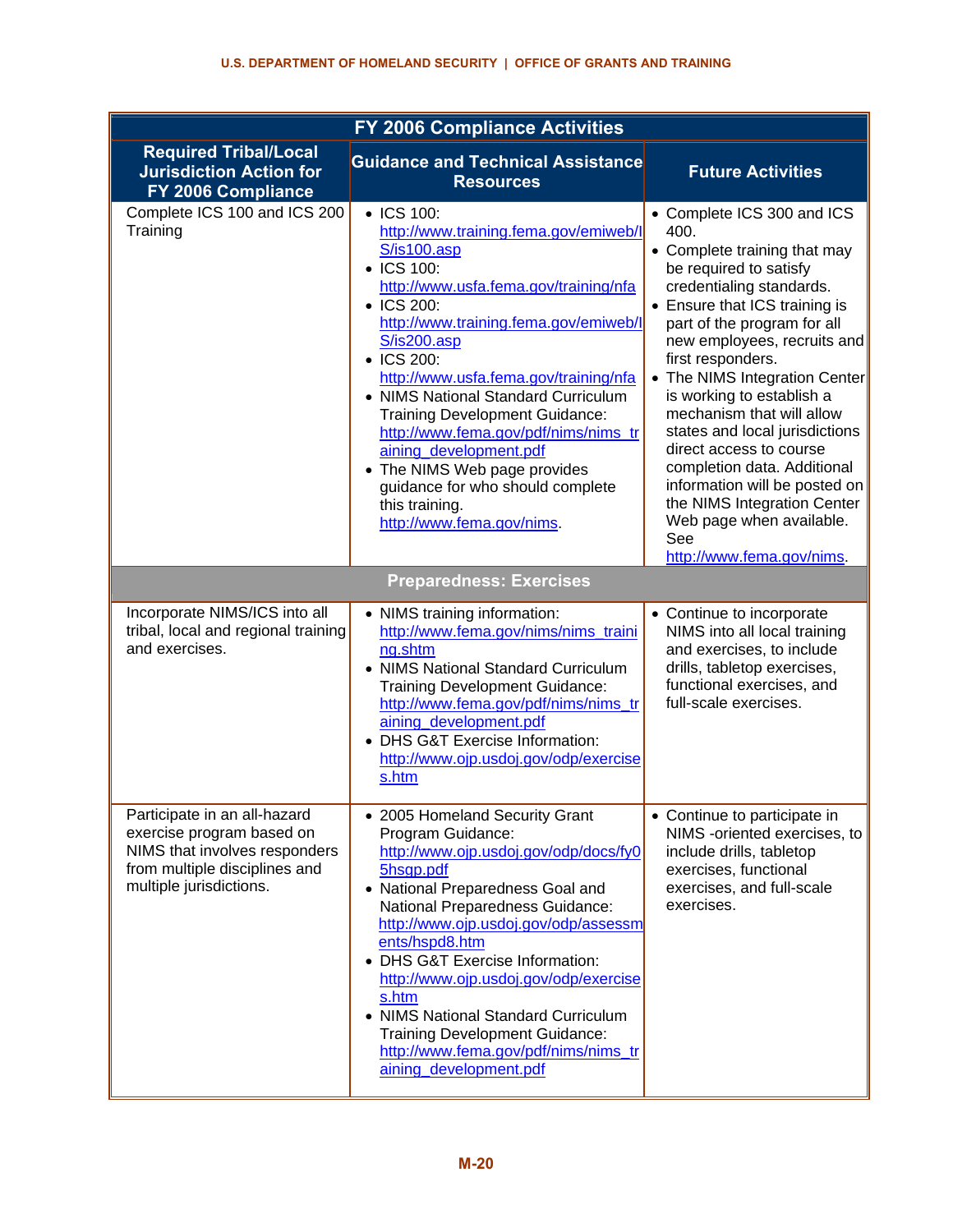| FY 2006 Compliance Activities                                                                                                                          |                                                                                                                                                                                                                                                                                                                                                                                                                                                                                                                             |                                                                                                                                                                                                                                                                                                                                                                                                                                                                                                                                                                   |  |  |
|--------------------------------------------------------------------------------------------------------------------------------------------------------|-----------------------------------------------------------------------------------------------------------------------------------------------------------------------------------------------------------------------------------------------------------------------------------------------------------------------------------------------------------------------------------------------------------------------------------------------------------------------------------------------------------------------------|-------------------------------------------------------------------------------------------------------------------------------------------------------------------------------------------------------------------------------------------------------------------------------------------------------------------------------------------------------------------------------------------------------------------------------------------------------------------------------------------------------------------------------------------------------------------|--|--|
| <b>Required Tribal/Local</b><br><b>Jurisdiction Action for</b><br>FY 2006 Compliance                                                                   | <b>Guidance and Technical Assistance</b><br><b>Resources</b>                                                                                                                                                                                                                                                                                                                                                                                                                                                                | <b>Future Activities</b>                                                                                                                                                                                                                                                                                                                                                                                                                                                                                                                                          |  |  |
| Complete ICS 100 and ICS 200<br>Training                                                                                                               | • ICS 100:<br>http://www.training.fema.gov/emiweb/l<br>S/is100.asp<br>• ICS 100:<br>http://www.usfa.fema.gov/training/nfa<br>• ICS 200:<br>http://www.training.fema.gov/emiweb/l<br>S/is200.asp<br>• ICS 200:<br>http://www.usfa.fema.gov/training/nfa<br>• NIMS National Standard Curriculum<br><b>Training Development Guidance:</b><br>http://www.fema.gov/pdf/nims/nims_tr<br>aining_development.pdf<br>• The NIMS Web page provides<br>guidance for who should complete<br>this training.<br>http://www.fema.gov/nims. | • Complete ICS 300 and ICS<br>400.<br>• Complete training that may<br>be required to satisfy<br>credentialing standards.<br>• Ensure that ICS training is<br>part of the program for all<br>new employees, recruits and<br>first responders.<br>The NIMS Integration Center<br>is working to establish a<br>mechanism that will allow<br>states and local jurisdictions<br>direct access to course<br>completion data. Additional<br>information will be posted on<br>the NIMS Integration Center<br>Web page when available.<br>See<br>http://www.fema.gov/nims. |  |  |
| <b>Preparedness: Exercises</b>                                                                                                                         |                                                                                                                                                                                                                                                                                                                                                                                                                                                                                                                             |                                                                                                                                                                                                                                                                                                                                                                                                                                                                                                                                                                   |  |  |
| Incorporate NIMS/ICS into all<br>tribal, local and regional training<br>and exercises.                                                                 | • NIMS training information:<br>http://www.fema.gov/nims/nims_traini<br>ng.shtm<br>• NIMS National Standard Curriculum<br>Training Development Guidance:<br>http://www.fema.gov/pdf/nims/nims_tr<br>aining development.pdf<br>• DHS G&T Exercise Information:<br>http://www.ojp.usdoj.gov/odp/exercise<br>s.htm                                                                                                                                                                                                             | • Continue to incorporate<br>NIMS into all local training<br>and exercises, to include<br>drills, tabletop exercises,<br>functional exercises, and<br>full-scale exercises.                                                                                                                                                                                                                                                                                                                                                                                       |  |  |
| Participate in an all-hazard<br>exercise program based on<br>NIMS that involves responders<br>from multiple disciplines and<br>multiple jurisdictions. | • 2005 Homeland Security Grant<br>Program Guidance:<br>http://www.ojp.usdoj.gov/odp/docs/fy0<br>5hsgp.pdf<br>• National Preparedness Goal and<br>National Preparedness Guidance:<br>http://www.ojp.usdoj.gov/odp/assessm<br>ents/hspd8.htm<br>• DHS G&T Exercise Information:<br>http://www.ojp.usdoj.gov/odp/exercise<br>s.htm<br>• NIMS National Standard Curriculum<br><b>Training Development Guidance:</b><br>http://www.fema.gov/pdf/nims/nims_tr<br>aining development.pdf                                           | • Continue to participate in<br>NIMS -oriented exercises, to<br>include drills, tabletop<br>exercises, functional<br>exercises, and full-scale<br>exercises.                                                                                                                                                                                                                                                                                                                                                                                                      |  |  |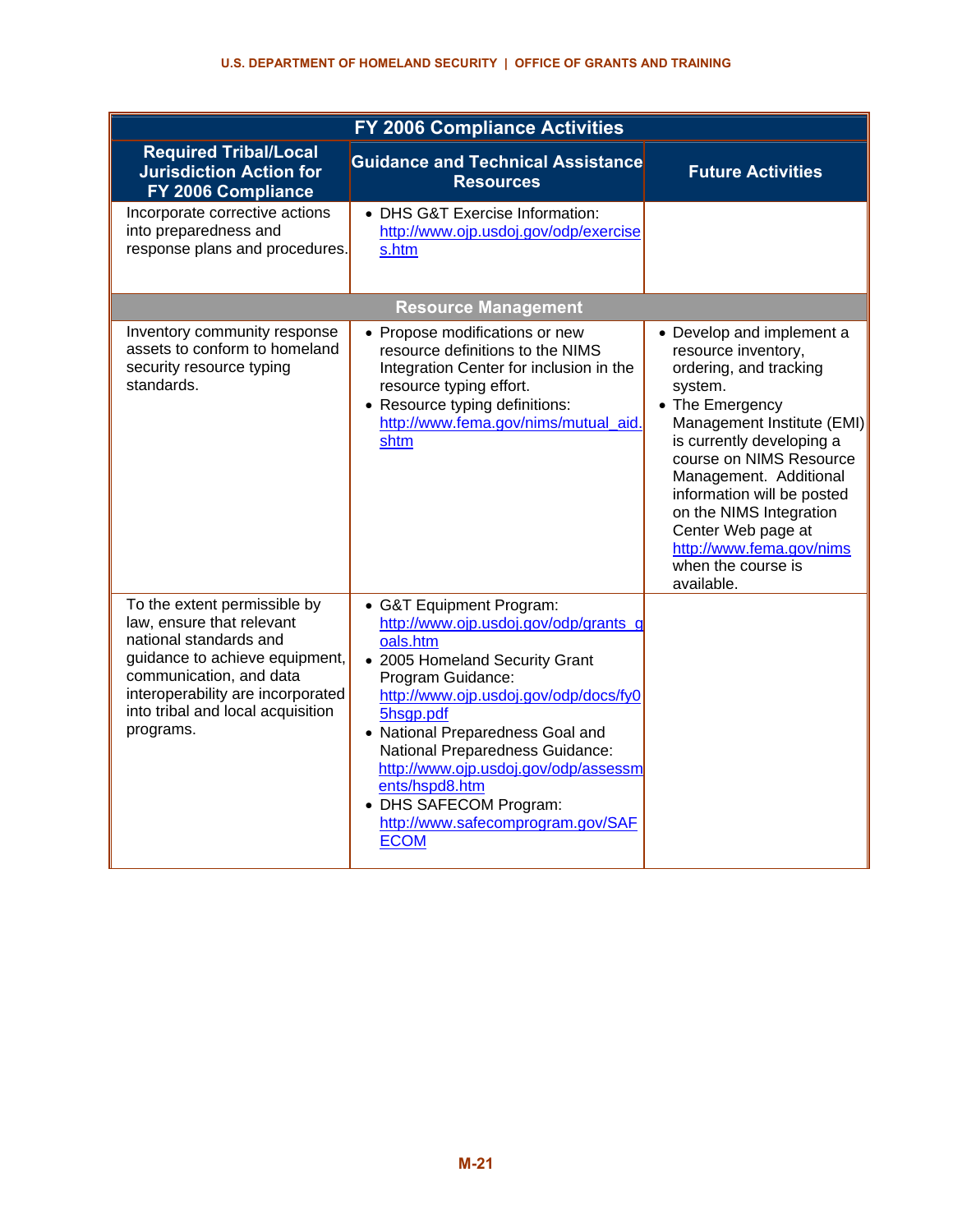| FY 2006 Compliance Activities                                                                                                                                                                                                           |                                                                                                                                                                                                                                                                                                                                                                                                           |                                                                                                                                                                                                                                                                                                                                                                         |  |
|-----------------------------------------------------------------------------------------------------------------------------------------------------------------------------------------------------------------------------------------|-----------------------------------------------------------------------------------------------------------------------------------------------------------------------------------------------------------------------------------------------------------------------------------------------------------------------------------------------------------------------------------------------------------|-------------------------------------------------------------------------------------------------------------------------------------------------------------------------------------------------------------------------------------------------------------------------------------------------------------------------------------------------------------------------|--|
| <b>Required Tribal/Local</b><br><b>Jurisdiction Action for</b><br>FY 2006 Compliance                                                                                                                                                    | <b>Guidance and Technical Assistance</b><br><b>Resources</b>                                                                                                                                                                                                                                                                                                                                              | <b>Future Activities</b>                                                                                                                                                                                                                                                                                                                                                |  |
| Incorporate corrective actions<br>into preparedness and<br>response plans and procedures.                                                                                                                                               | • DHS G&T Exercise Information:<br>http://www.ojp.usdoj.gov/odp/exercise<br>s.htm                                                                                                                                                                                                                                                                                                                         |                                                                                                                                                                                                                                                                                                                                                                         |  |
|                                                                                                                                                                                                                                         | <b>Resource Management</b>                                                                                                                                                                                                                                                                                                                                                                                |                                                                                                                                                                                                                                                                                                                                                                         |  |
| Inventory community response<br>assets to conform to homeland<br>security resource typing<br>standards.                                                                                                                                 | • Propose modifications or new<br>resource definitions to the NIMS<br>Integration Center for inclusion in the<br>resource typing effort.<br>• Resource typing definitions:<br>http://www.fema.gov/nims/mutual_aid.<br>shtm                                                                                                                                                                                | • Develop and implement a<br>resource inventory,<br>ordering, and tracking<br>system.<br>• The Emergency<br>Management Institute (EMI)<br>is currently developing a<br>course on NIMS Resource<br>Management. Additional<br>information will be posted<br>on the NIMS Integration<br>Center Web page at<br>http://www.fema.gov/nims<br>when the course is<br>available. |  |
| To the extent permissible by<br>law, ensure that relevant<br>national standards and<br>guidance to achieve equipment,<br>communication, and data<br>interoperability are incorporated<br>into tribal and local acquisition<br>programs. | • G&T Equipment Program:<br>http://www.ojp.usdoj.gov/odp/grants_g<br>oals.htm<br>• 2005 Homeland Security Grant<br>Program Guidance:<br>http://www.ojp.usdoj.gov/odp/docs/fy0<br>5hsgp.pdf<br>• National Preparedness Goal and<br>National Preparedness Guidance:<br>http://www.ojp.usdoj.gov/odp/assessm<br>ents/hspd8.htm<br>• DHS SAFECOM Program:<br>http://www.safecomprogram.gov/SAF<br><b>ECOM</b> |                                                                                                                                                                                                                                                                                                                                                                         |  |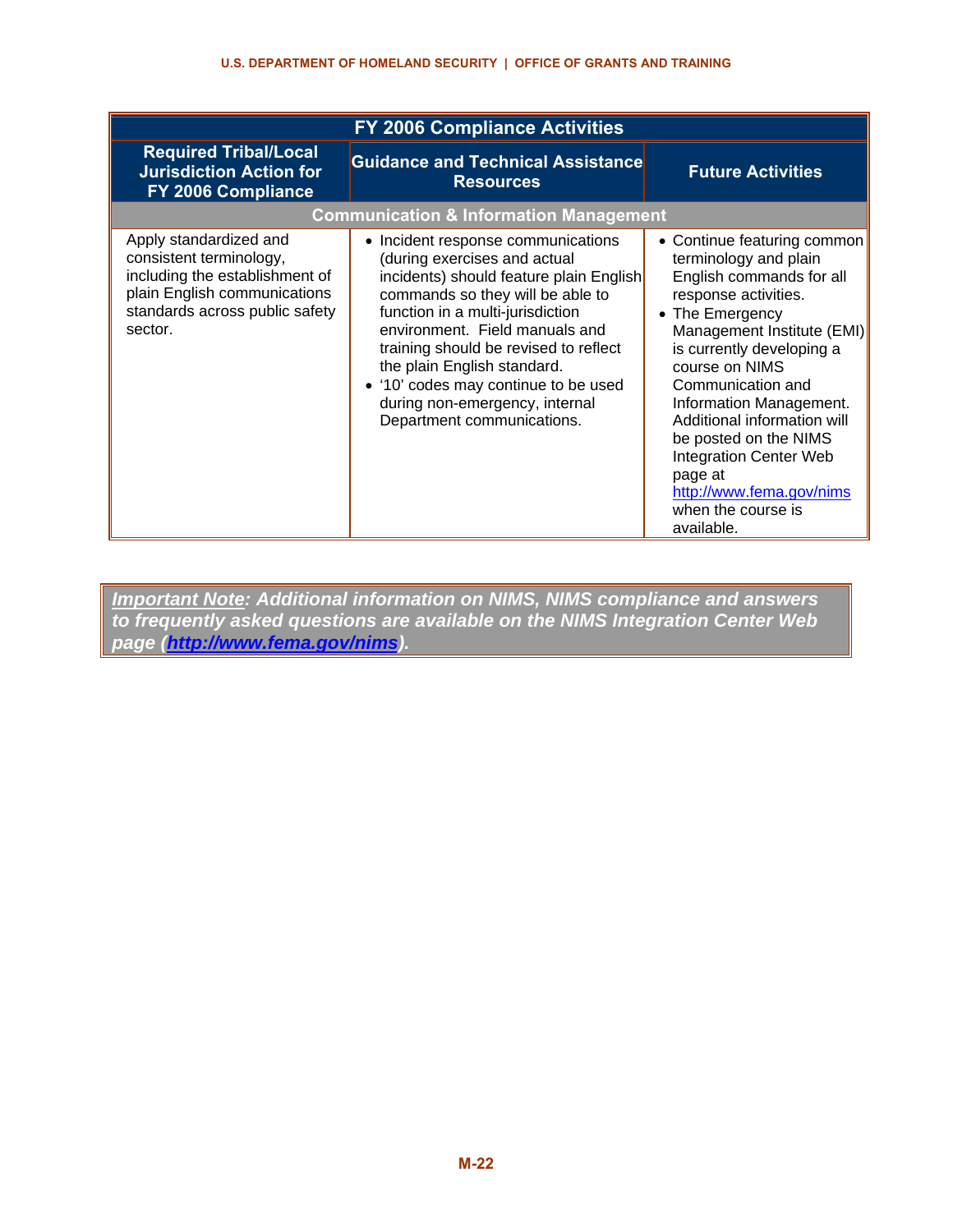| <b>FY 2006 Compliance Activities</b>                                                                                                                             |                                                                                                                                                                                                                                                                                                                                                                                                         |                                                                                                                                                                                                                                                                                                                                                                                                                              |  |  |
|------------------------------------------------------------------------------------------------------------------------------------------------------------------|---------------------------------------------------------------------------------------------------------------------------------------------------------------------------------------------------------------------------------------------------------------------------------------------------------------------------------------------------------------------------------------------------------|------------------------------------------------------------------------------------------------------------------------------------------------------------------------------------------------------------------------------------------------------------------------------------------------------------------------------------------------------------------------------------------------------------------------------|--|--|
| <b>Required Tribal/Local</b><br><b>Jurisdiction Action for</b><br><b>FY 2006 Compliance</b>                                                                      | <b>Guidance and Technical Assistance</b><br><b>Resources</b>                                                                                                                                                                                                                                                                                                                                            | <b>Future Activities</b>                                                                                                                                                                                                                                                                                                                                                                                                     |  |  |
| <b>Communication &amp; Information Management</b>                                                                                                                |                                                                                                                                                                                                                                                                                                                                                                                                         |                                                                                                                                                                                                                                                                                                                                                                                                                              |  |  |
| Apply standardized and<br>consistent terminology,<br>including the establishment of<br>plain English communications<br>standards across public safety<br>sector. | • Incident response communications<br>(during exercises and actual<br>incidents) should feature plain English<br>commands so they will be able to<br>function in a multi-jurisdiction<br>environment. Field manuals and<br>training should be revised to reflect<br>the plain English standard.<br>• '10' codes may continue to be used<br>during non-emergency, internal<br>Department communications. | • Continue featuring common<br>terminology and plain<br>English commands for all<br>response activities.<br>• The Emergency<br>Management Institute (EMI)<br>is currently developing a<br>course on NIMS<br>Communication and<br>Information Management.<br>Additional information will<br>be posted on the NIMS<br><b>Integration Center Web</b><br>page at<br>http://www.fema.gov/nims<br>when the course is<br>available. |  |  |

*Important Note: Additional information on NIMS, NIMS compliance and answers to frequently asked questions are available on the NIMS Integration Center Web page (http://www.fema.gov/nims).*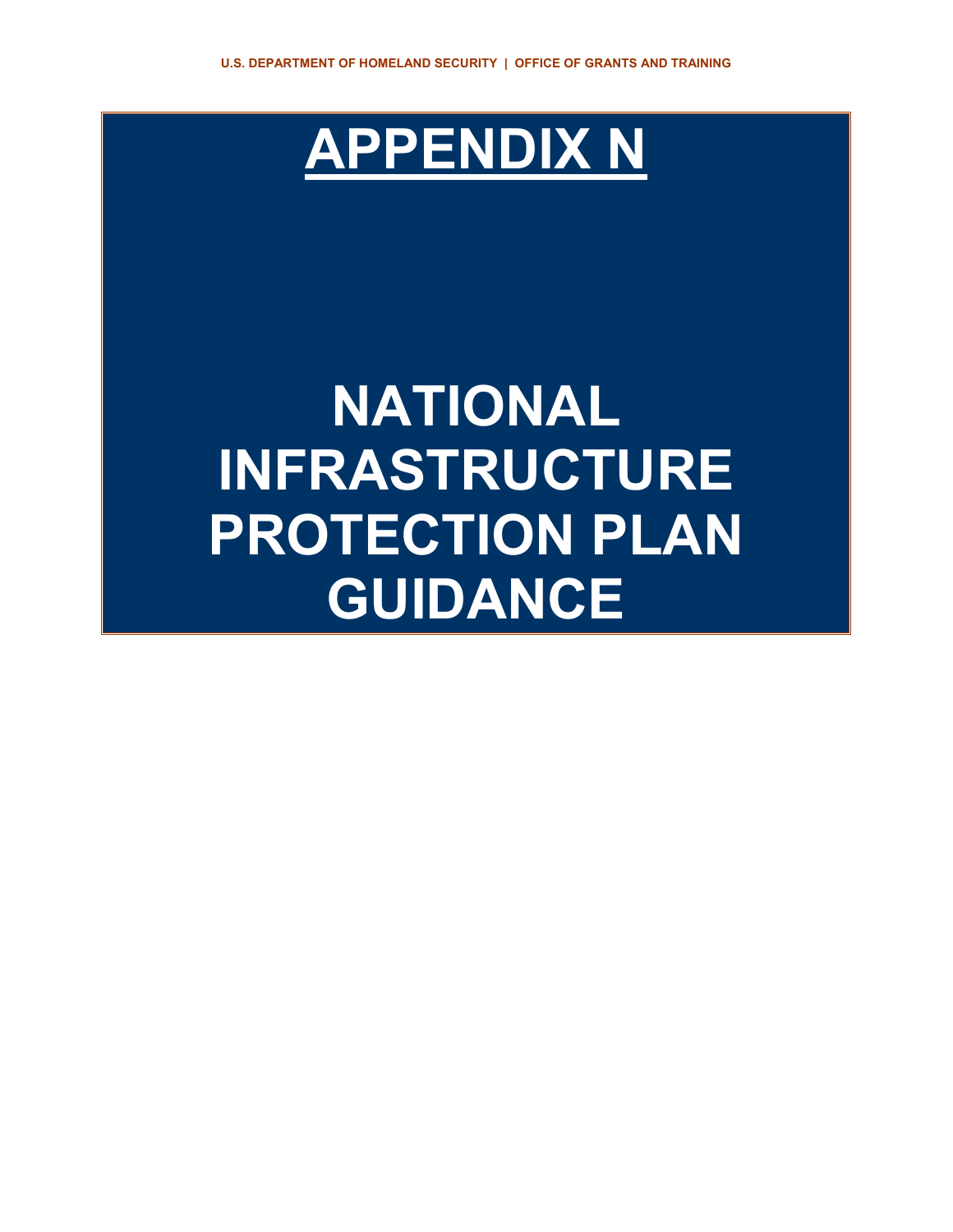

# **NATIONAL INFRASTRUCTURE PROTECTION PLAN GUIDANCE**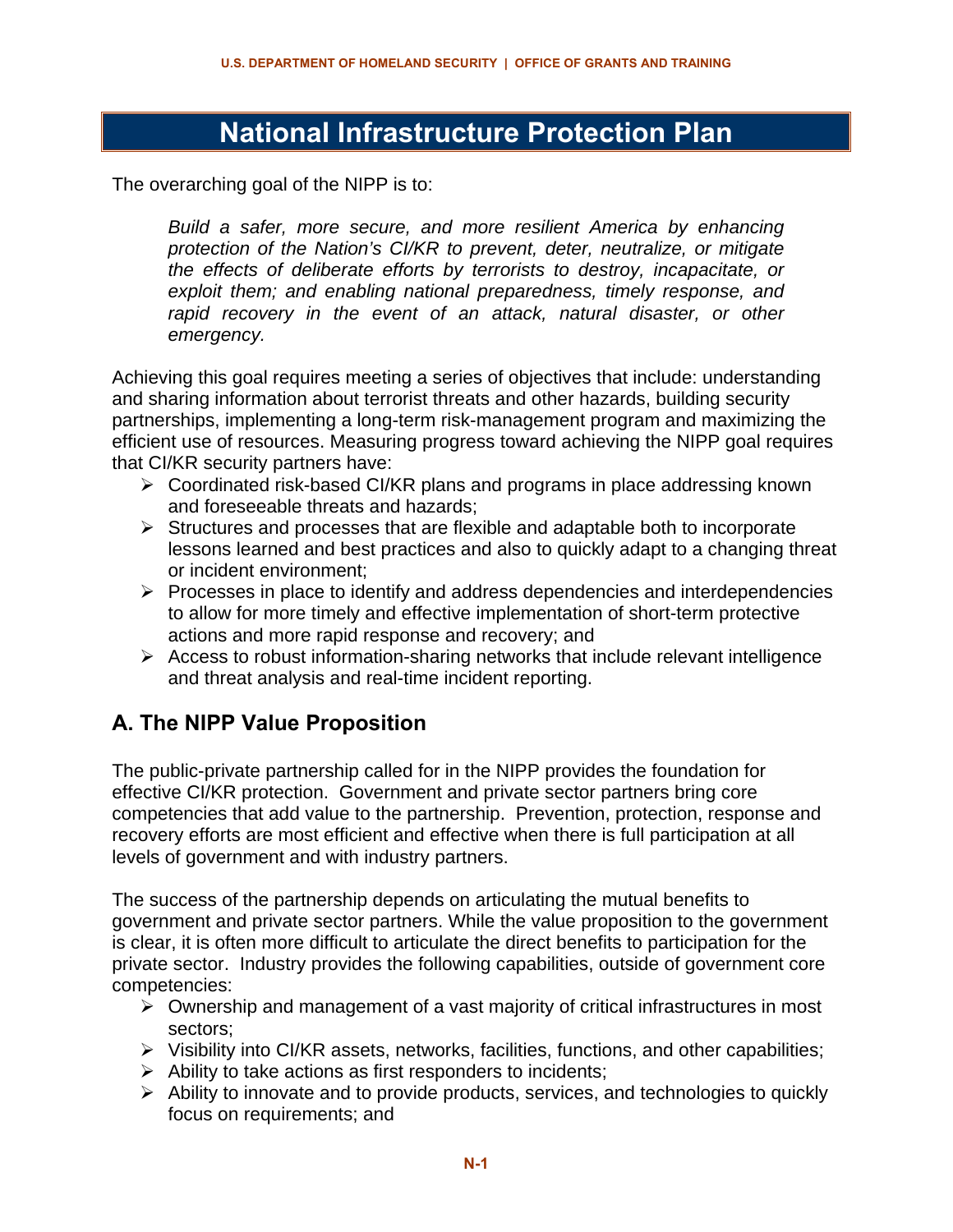# **National Infrastructure Protection Plan**

The overarching goal of the NIPP is to:

*Build a safer, more secure, and more resilient America by enhancing protection of the Nation's CI/KR to prevent, deter, neutralize, or mitigate the effects of deliberate efforts by terrorists to destroy, incapacitate, or exploit them; and enabling national preparedness, timely response, and*  rapid recovery in the event of an attack, natural disaster, or other *emergency.* 

Achieving this goal requires meeting a series of objectives that include: understanding and sharing information about terrorist threats and other hazards, building security partnerships, implementing a long-term risk-management program and maximizing the efficient use of resources. Measuring progress toward achieving the NIPP goal requires that CI/KR security partners have:

- ¾ Coordinated risk-based CI/KR plans and programs in place addressing known and foreseeable threats and hazards;
- $\triangleright$  Structures and processes that are flexible and adaptable both to incorporate lessons learned and best practices and also to quickly adapt to a changing threat or incident environment;
- $\triangleright$  Processes in place to identify and address dependencies and interdependencies to allow for more timely and effective implementation of short-term protective actions and more rapid response and recovery; and
- $\triangleright$  Access to robust information-sharing networks that include relevant intelligence and threat analysis and real-time incident reporting.

# **A. The NIPP Value Proposition**

The public-private partnership called for in the NIPP provides the foundation for effective CI/KR protection. Government and private sector partners bring core competencies that add value to the partnership. Prevention, protection, response and recovery efforts are most efficient and effective when there is full participation at all levels of government and with industry partners.

The success of the partnership depends on articulating the mutual benefits to government and private sector partners. While the value proposition to the government is clear, it is often more difficult to articulate the direct benefits to participation for the private sector. Industry provides the following capabilities, outside of government core competencies:

- $\triangleright$  Ownership and management of a vast majority of critical infrastructures in most sectors;
- $\triangleright$  Visibility into CI/KR assets, networks, facilities, functions, and other capabilities;
- $\triangleright$  Ability to take actions as first responders to incidents;
- $\triangleright$  Ability to innovate and to provide products, services, and technologies to quickly focus on requirements; and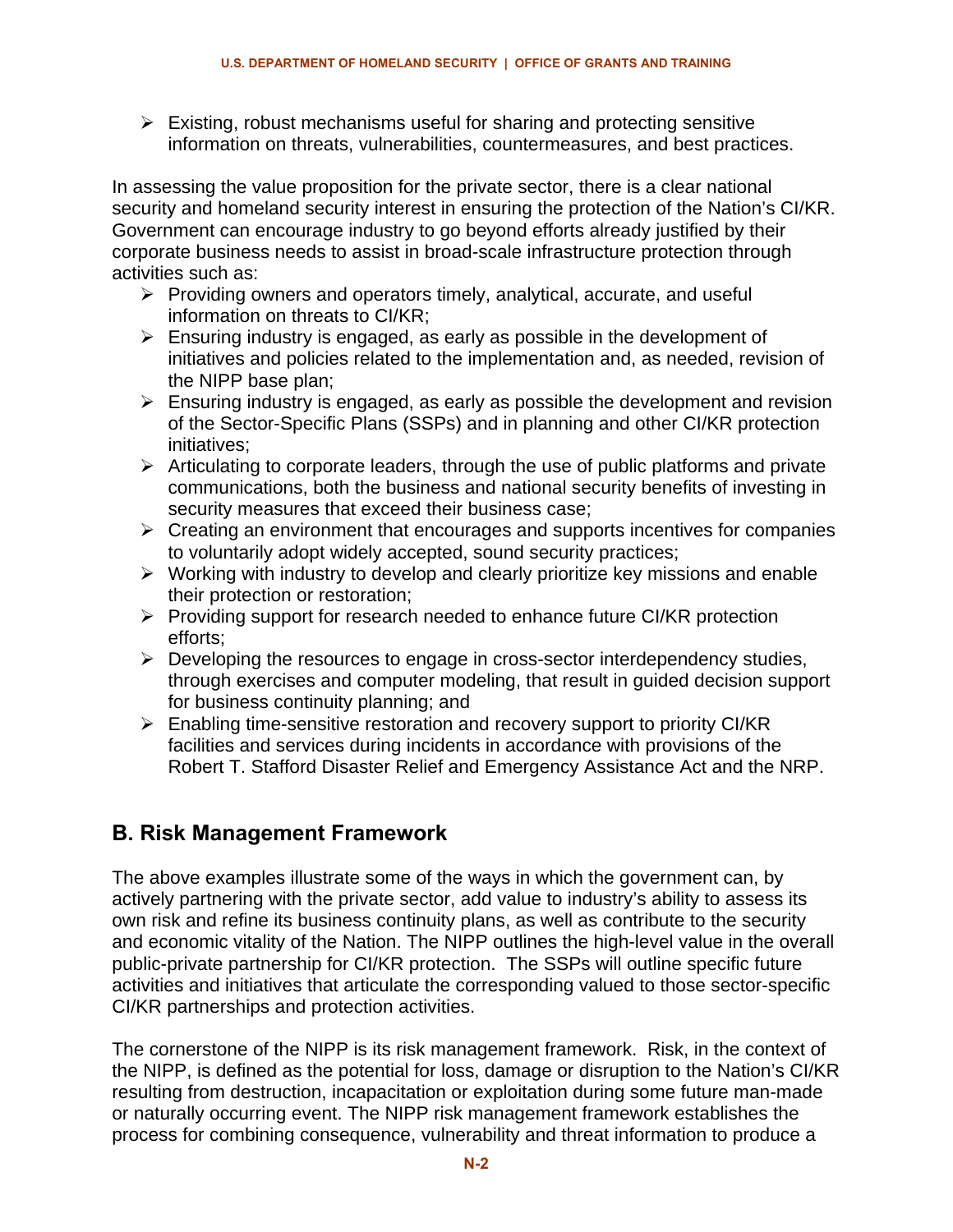$\triangleright$  Existing, robust mechanisms useful for sharing and protecting sensitive information on threats, vulnerabilities, countermeasures, and best practices.

In assessing the value proposition for the private sector, there is a clear national security and homeland security interest in ensuring the protection of the Nation's CI/KR. Government can encourage industry to go beyond efforts already justified by their corporate business needs to assist in broad-scale infrastructure protection through activities such as:

- $\triangleright$  Providing owners and operators timely, analytical, accurate, and useful information on threats to CI/KR;
- $\triangleright$  Ensuring industry is engaged, as early as possible in the development of initiatives and policies related to the implementation and, as needed, revision of the NIPP base plan;
- $\triangleright$  Ensuring industry is engaged, as early as possible the development and revision of the Sector-Specific Plans (SSPs) and in planning and other CI/KR protection initiatives;
- $\triangleright$  Articulating to corporate leaders, through the use of public platforms and private communications, both the business and national security benefits of investing in security measures that exceed their business case;
- $\triangleright$  Creating an environment that encourages and supports incentives for companies to voluntarily adopt widely accepted, sound security practices;
- $\triangleright$  Working with industry to develop and clearly prioritize key missions and enable their protection or restoration;
- ¾ Providing support for research needed to enhance future CI/KR protection efforts;
- $\triangleright$  Developing the resources to engage in cross-sector interdependency studies, through exercises and computer modeling, that result in guided decision support for business continuity planning; and
- ¾ Enabling time-sensitive restoration and recovery support to priority CI/KR facilities and services during incidents in accordance with provisions of the Robert T. Stafford Disaster Relief and Emergency Assistance Act and the NRP.

# **B. Risk Management Framework**

The above examples illustrate some of the ways in which the government can, by actively partnering with the private sector, add value to industry's ability to assess its own risk and refine its business continuity plans, as well as contribute to the security and economic vitality of the Nation. The NIPP outlines the high-level value in the overall public-private partnership for CI/KR protection. The SSPs will outline specific future activities and initiatives that articulate the corresponding valued to those sector-specific CI/KR partnerships and protection activities.

The cornerstone of the NIPP is its risk management framework. Risk, in the context of the NIPP, is defined as the potential for loss, damage or disruption to the Nation's CI/KR resulting from destruction, incapacitation or exploitation during some future man-made or naturally occurring event. The NIPP risk management framework establishes the process for combining consequence, vulnerability and threat information to produce a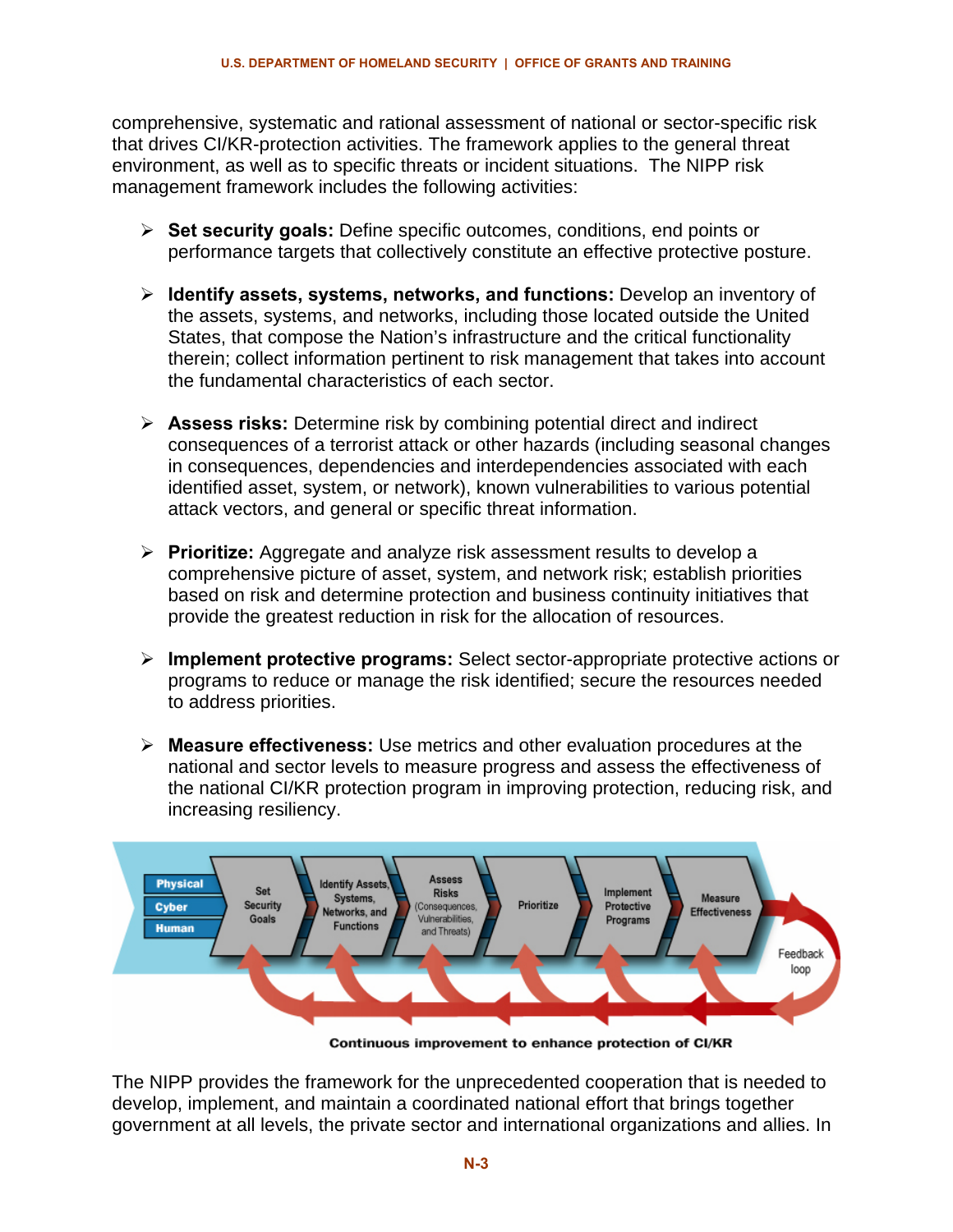comprehensive, systematic and rational assessment of national or sector-specific risk that drives CI/KR-protection activities. The framework applies to the general threat environment, as well as to specific threats or incident situations. The NIPP risk management framework includes the following activities:

- ¾ **Set security goals:** Define specific outcomes, conditions, end points or performance targets that collectively constitute an effective protective posture.
- ¾ **Identify assets, systems, networks, and functions:** Develop an inventory of the assets, systems, and networks, including those located outside the United States, that compose the Nation's infrastructure and the critical functionality therein; collect information pertinent to risk management that takes into account the fundamental characteristics of each sector.
- ¾ **Assess risks:** Determine risk by combining potential direct and indirect consequences of a terrorist attack or other hazards (including seasonal changes in consequences, dependencies and interdependencies associated with each identified asset, system, or network), known vulnerabilities to various potential attack vectors, and general or specific threat information.
- ¾ **Prioritize:** Aggregate and analyze risk assessment results to develop a comprehensive picture of asset, system, and network risk; establish priorities based on risk and determine protection and business continuity initiatives that provide the greatest reduction in risk for the allocation of resources.
- ¾ **Implement protective programs:** Select sector-appropriate protective actions or programs to reduce or manage the risk identified; secure the resources needed to address priorities.
- ¾ **Measure effectiveness:** Use metrics and other evaluation procedures at the national and sector levels to measure progress and assess the effectiveness of the national CI/KR protection program in improving protection, reducing risk, and increasing resiliency.



Continuous improvement to enhance protection of CI/KR

The NIPP provides the framework for the unprecedented cooperation that is needed to develop, implement, and maintain a coordinated national effort that brings together government at all levels, the private sector and international organizations and allies. In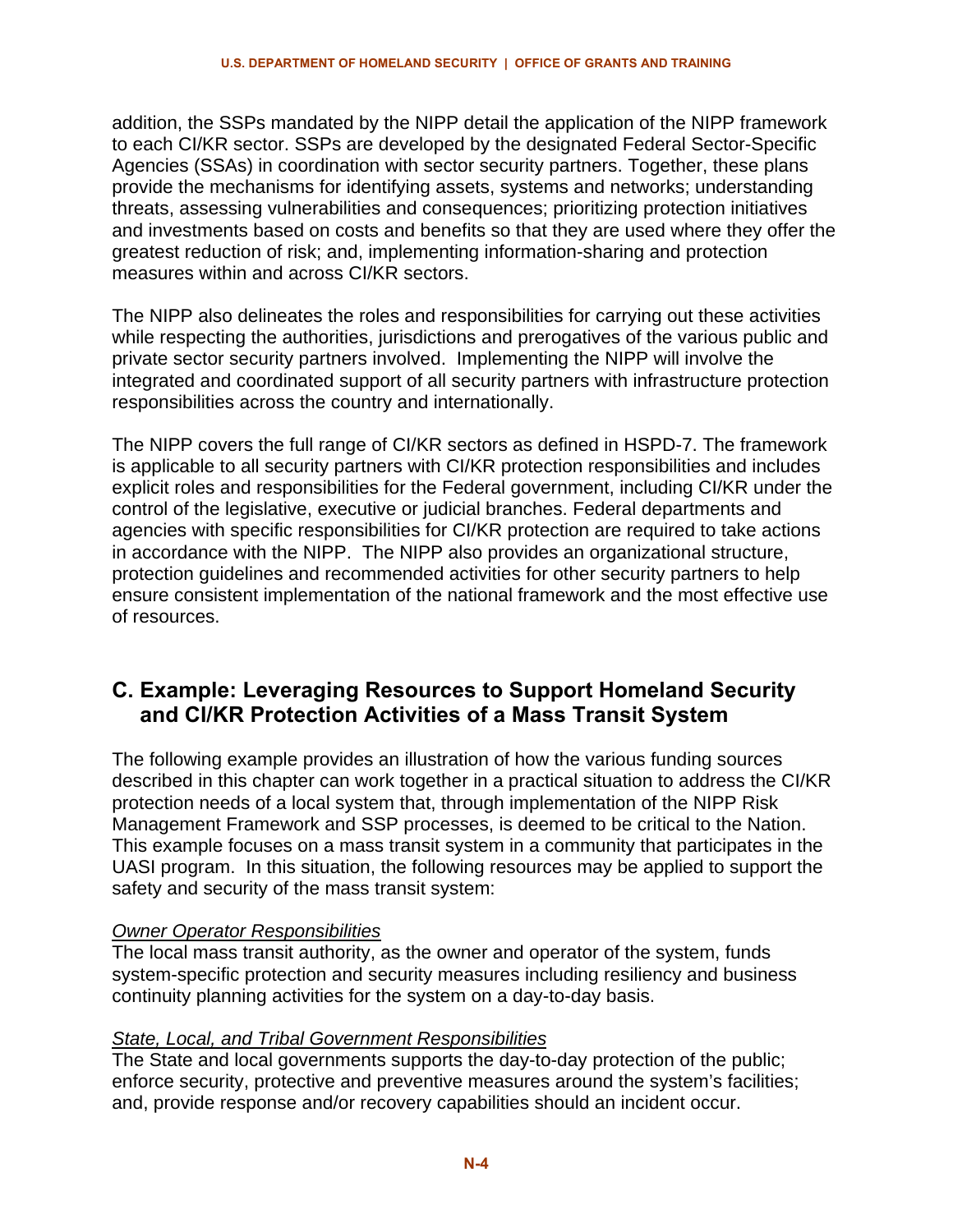addition, the SSPs mandated by the NIPP detail the application of the NIPP framework to each CI/KR sector. SSPs are developed by the designated Federal Sector-Specific Agencies (SSAs) in coordination with sector security partners. Together, these plans provide the mechanisms for identifying assets, systems and networks; understanding threats, assessing vulnerabilities and consequences; prioritizing protection initiatives and investments based on costs and benefits so that they are used where they offer the greatest reduction of risk; and, implementing information-sharing and protection measures within and across CI/KR sectors.

The NIPP also delineates the roles and responsibilities for carrying out these activities while respecting the authorities, jurisdictions and prerogatives of the various public and private sector security partners involved. Implementing the NIPP will involve the integrated and coordinated support of all security partners with infrastructure protection responsibilities across the country and internationally.

The NIPP covers the full range of CI/KR sectors as defined in HSPD-7. The framework is applicable to all security partners with CI/KR protection responsibilities and includes explicit roles and responsibilities for the Federal government, including CI/KR under the control of the legislative, executive or judicial branches. Federal departments and agencies with specific responsibilities for CI/KR protection are required to take actions in accordance with the NIPP. The NIPP also provides an organizational structure, protection guidelines and recommended activities for other security partners to help ensure consistent implementation of the national framework and the most effective use of resources.

### **C. Example: Leveraging Resources to Support Homeland Security and CI/KR Protection Activities of a Mass Transit System**

The following example provides an illustration of how the various funding sources described in this chapter can work together in a practical situation to address the CI/KR protection needs of a local system that, through implementation of the NIPP Risk Management Framework and SSP processes, is deemed to be critical to the Nation. This example focuses on a mass transit system in a community that participates in the UASI program. In this situation, the following resources may be applied to support the safety and security of the mass transit system:

#### *Owner Operator Responsibilities*

The local mass transit authority, as the owner and operator of the system, funds system-specific protection and security measures including resiliency and business continuity planning activities for the system on a day-to-day basis.

### *State, Local, and Tribal Government Responsibilities*

The State and local governments supports the day-to-day protection of the public; enforce security, protective and preventive measures around the system's facilities; and, provide response and/or recovery capabilities should an incident occur.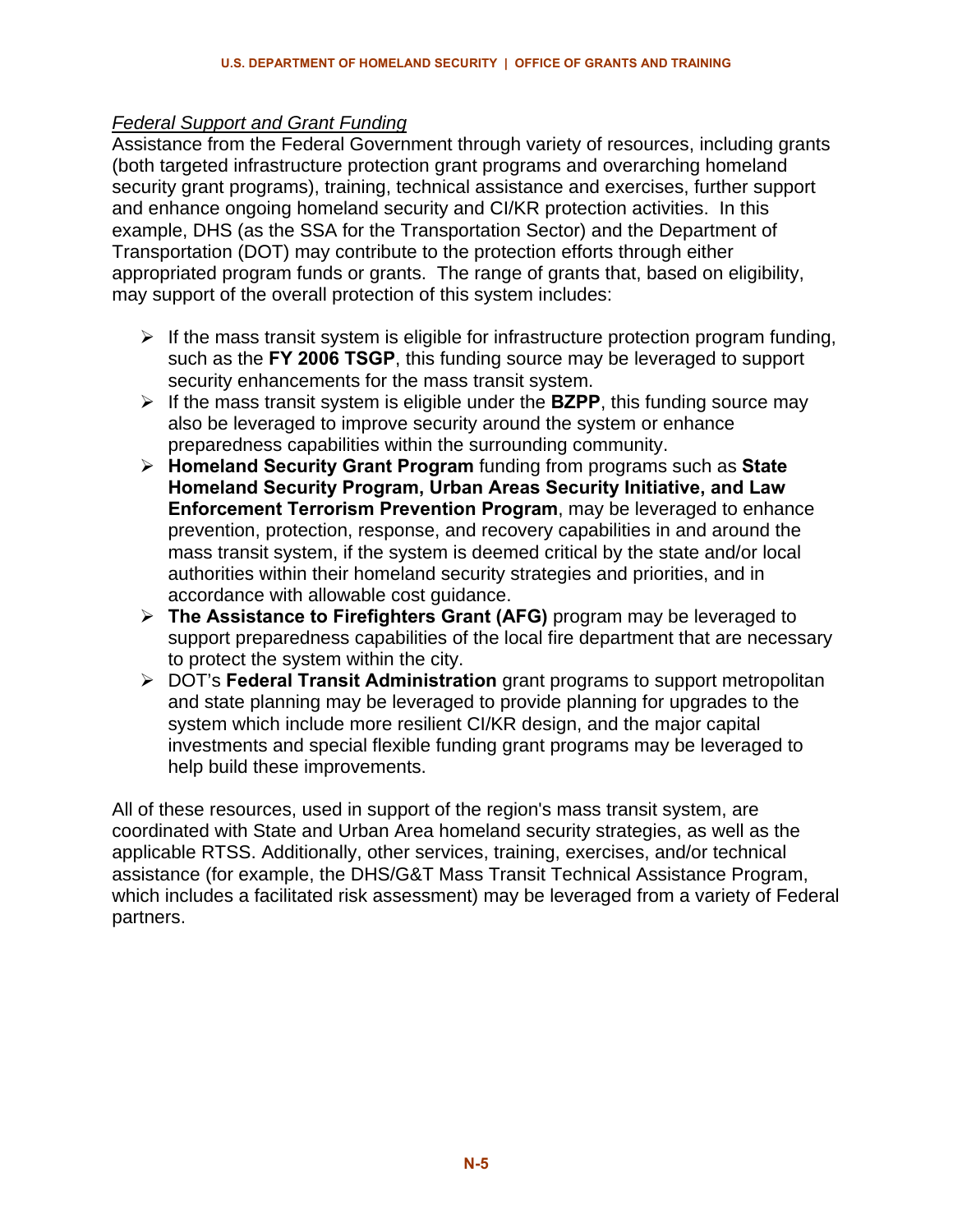### *Federal Support and Grant Funding*

Assistance from the Federal Government through variety of resources, including grants (both targeted infrastructure protection grant programs and overarching homeland security grant programs), training, technical assistance and exercises, further support and enhance ongoing homeland security and CI/KR protection activities. In this example, DHS (as the SSA for the Transportation Sector) and the Department of Transportation (DOT) may contribute to the protection efforts through either appropriated program funds or grants. The range of grants that, based on eligibility, may support of the overall protection of this system includes:

- $\triangleright$  If the mass transit system is eligible for infrastructure protection program funding, such as the **FY 2006 TSGP**, this funding source may be leveraged to support security enhancements for the mass transit system.
- ¾ If the mass transit system is eligible under the **BZPP**, this funding source may also be leveraged to improve security around the system or enhance preparedness capabilities within the surrounding community.
- ¾ **Homeland Security Grant Program** funding from programs such as **State Homeland Security Program, Urban Areas Security Initiative, and Law Enforcement Terrorism Prevention Program**, may be leveraged to enhance prevention, protection, response, and recovery capabilities in and around the mass transit system, if the system is deemed critical by the state and/or local authorities within their homeland security strategies and priorities, and in accordance with allowable cost guidance.
- ¾ **The Assistance to Firefighters Grant (AFG)** program may be leveraged to support preparedness capabilities of the local fire department that are necessary to protect the system within the city.
- ¾ DOT's **Federal Transit Administration** grant programs to support metropolitan and state planning may be leveraged to provide planning for upgrades to the system which include more resilient CI/KR design, and the major capital investments and special flexible funding grant programs may be leveraged to help build these improvements.

All of these resources, used in support of the region's mass transit system, are coordinated with State and Urban Area homeland security strategies, as well as the applicable RTSS. Additionally, other services, training, exercises, and/or technical assistance (for example, the DHS/G&T Mass Transit Technical Assistance Program, which includes a facilitated risk assessment) may be leveraged from a variety of Federal partners.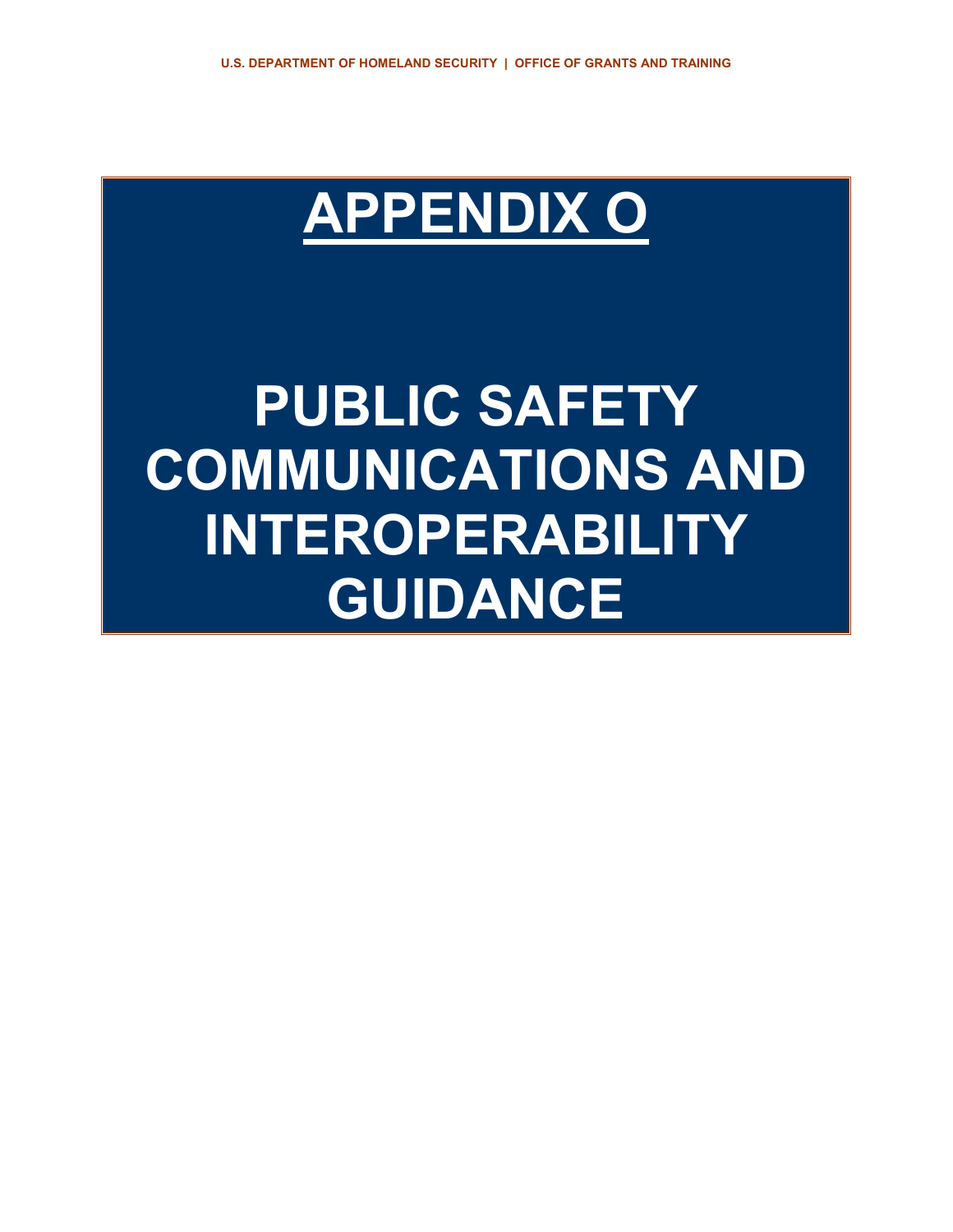# **APPENDIX O**

# **PUBLIC SAFETY COMMUNICATIONS AND INTEROPERABILITY GUIDANCE**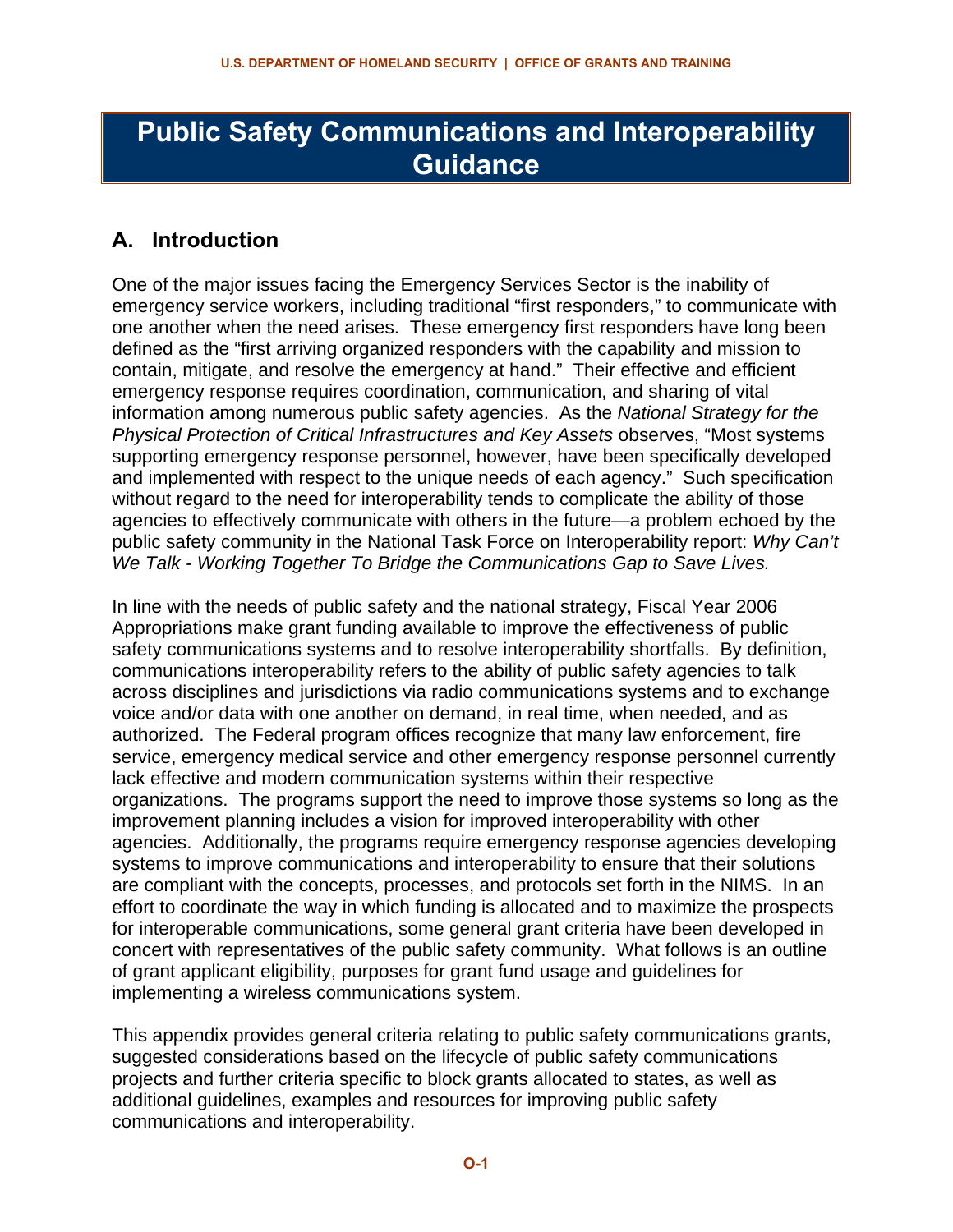# **Public Safety Communications and Interoperability Guidance**

# **A. Introduction**

One of the major issues facing the Emergency Services Sector is the inability of emergency service workers, including traditional "first responders," to communicate with one another when the need arises. These emergency first responders have long been defined as the "first arriving organized responders with the capability and mission to contain, mitigate, and resolve the emergency at hand." Their effective and efficient emergency response requires coordination, communication, and sharing of vital information among numerous public safety agencies. As the *National Strategy for the Physical Protection of Critical Infrastructures and Key Assets observes, "Most systems* supporting emergency response personnel, however, have been specifically developed and implemented with respect to the unique needs of each agency." Such specification without regard to the need for interoperability tends to complicate the ability of those agencies to effectively communicate with others in the future—a problem echoed by the public safety community in the National Task Force on Interoperability report: *Why Can't We Talk - Working Together To Bridge the Communications Gap to Save Lives.*

In line with the needs of public safety and the national strategy, Fiscal Year 2006 Appropriations make grant funding available to improve the effectiveness of public safety communications systems and to resolve interoperability shortfalls. By definition, communications interoperability refers to the ability of public safety agencies to talk across disciplines and jurisdictions via radio communications systems and to exchange voice and/or data with one another on demand, in real time, when needed, and as authorized. The Federal program offices recognize that many law enforcement, fire service, emergency medical service and other emergency response personnel currently lack effective and modern communication systems within their respective organizations. The programs support the need to improve those systems so long as the improvement planning includes a vision for improved interoperability with other agencies. Additionally, the programs require emergency response agencies developing systems to improve communications and interoperability to ensure that their solutions are compliant with the concepts, processes, and protocols set forth in the NIMS. In an effort to coordinate the way in which funding is allocated and to maximize the prospects for interoperable communications, some general grant criteria have been developed in concert with representatives of the public safety community. What follows is an outline of grant applicant eligibility, purposes for grant fund usage and guidelines for implementing a wireless communications system.

This appendix provides general criteria relating to public safety communications grants, suggested considerations based on the lifecycle of public safety communications projects and further criteria specific to block grants allocated to states, as well as additional guidelines, examples and resources for improving public safety communications and interoperability.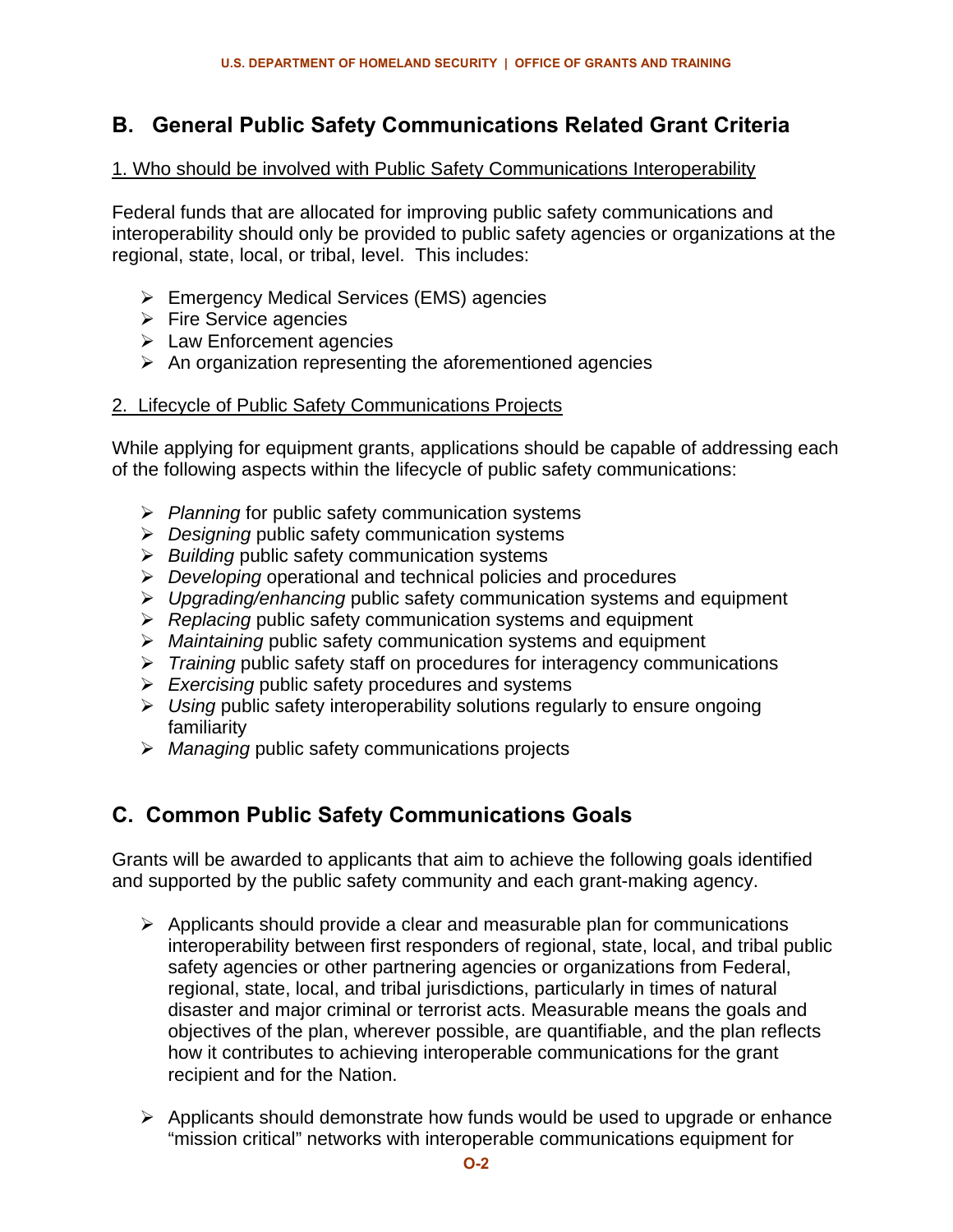# **B. General Public Safety Communications Related Grant Criteria**

### 1. Who should be involved with Public Safety Communications Interoperability

Federal funds that are allocated for improving public safety communications and interoperability should only be provided to public safety agencies or organizations at the regional, state, local, or tribal, level. This includes:

- ¾ Emergency Medical Services (EMS) agencies
- $\triangleright$  Fire Service agencies
- $\triangleright$  Law Enforcement agencies
- $\triangleright$  An organization representing the aforementioned agencies

### 2. Lifecycle of Public Safety Communications Projects

While applying for equipment grants, applications should be capable of addressing each of the following aspects within the lifecycle of public safety communications:

- ¾ *Planning* for public safety communication systems
- ¾ *Designing* public safety communication systems
- ¾ *Building* public safety communication systems
- ¾ *Developing* operational and technical policies and procedures
- ¾ *Upgrading/enhancing* public safety communication systems and equipment
- ¾ *Replacing* public safety communication systems and equipment
- ¾ *Maintaining* public safety communication systems and equipment
- ¾ *Training* public safety staff on procedures for interagency communications
- ¾ *Exercising* public safety procedures and systems
- ¾ *Using* public safety interoperability solutions regularly to ensure ongoing familiarity
- ¾ *Managing* public safety communications projects

# **C. Common Public Safety Communications Goals**

Grants will be awarded to applicants that aim to achieve the following goals identified and supported by the public safety community and each grant-making agency.

- $\triangleright$  Applicants should provide a clear and measurable plan for communications interoperability between first responders of regional, state, local, and tribal public safety agencies or other partnering agencies or organizations from Federal, regional, state, local, and tribal jurisdictions, particularly in times of natural disaster and major criminal or terrorist acts. Measurable means the goals and objectives of the plan, wherever possible, are quantifiable, and the plan reflects how it contributes to achieving interoperable communications for the grant recipient and for the Nation.
- $\triangleright$  Applicants should demonstrate how funds would be used to upgrade or enhance "mission critical" networks with interoperable communications equipment for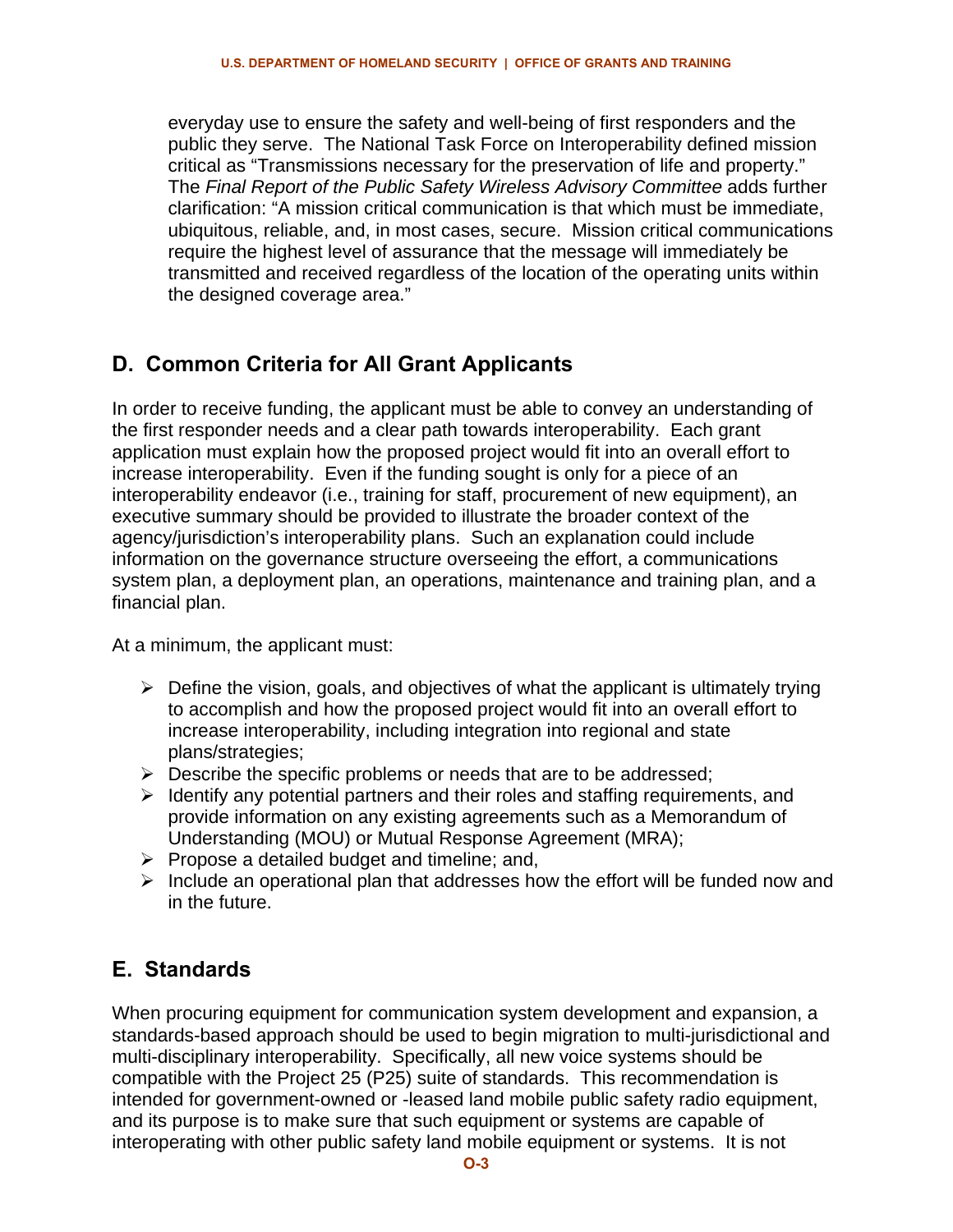everyday use to ensure the safety and well-being of first responders and the public they serve. The National Task Force on Interoperability defined mission critical as "Transmissions necessary for the preservation of life and property." The *Final Report of the Public Safety Wireless Advisory Committee* adds further clarification: "A mission critical communication is that which must be immediate, ubiquitous, reliable, and, in most cases, secure. Mission critical communications require the highest level of assurance that the message will immediately be transmitted and received regardless of the location of the operating units within the designed coverage area."

## **D. Common Criteria for All Grant Applicants**

In order to receive funding, the applicant must be able to convey an understanding of the first responder needs and a clear path towards interoperability. Each grant application must explain how the proposed project would fit into an overall effort to increase interoperability. Even if the funding sought is only for a piece of an interoperability endeavor (i.e., training for staff, procurement of new equipment), an executive summary should be provided to illustrate the broader context of the agency/jurisdiction's interoperability plans. Such an explanation could include information on the governance structure overseeing the effort, a communications system plan, a deployment plan, an operations, maintenance and training plan, and a financial plan.

At a minimum, the applicant must:

- $\triangleright$  Define the vision, goals, and objectives of what the applicant is ultimately trying to accomplish and how the proposed project would fit into an overall effort to increase interoperability, including integration into regional and state plans/strategies;
- $\triangleright$  Describe the specific problems or needs that are to be addressed;
- $\triangleright$  Identify any potential partners and their roles and staffing requirements, and provide information on any existing agreements such as a Memorandum of Understanding (MOU) or Mutual Response Agreement (MRA);
- $\triangleright$  Propose a detailed budget and timeline; and,
- $\triangleright$  Include an operational plan that addresses how the effort will be funded now and in the future.

# **E. Standards**

When procuring equipment for communication system development and expansion, a standards-based approach should be used to begin migration to multi-jurisdictional and multi-disciplinary interoperability. Specifically, all new voice systems should be compatible with the Project 25 (P25) suite of standards. This recommendation is intended for government-owned or -leased land mobile public safety radio equipment, and its purpose is to make sure that such equipment or systems are capable of interoperating with other public safety land mobile equipment or systems. It is not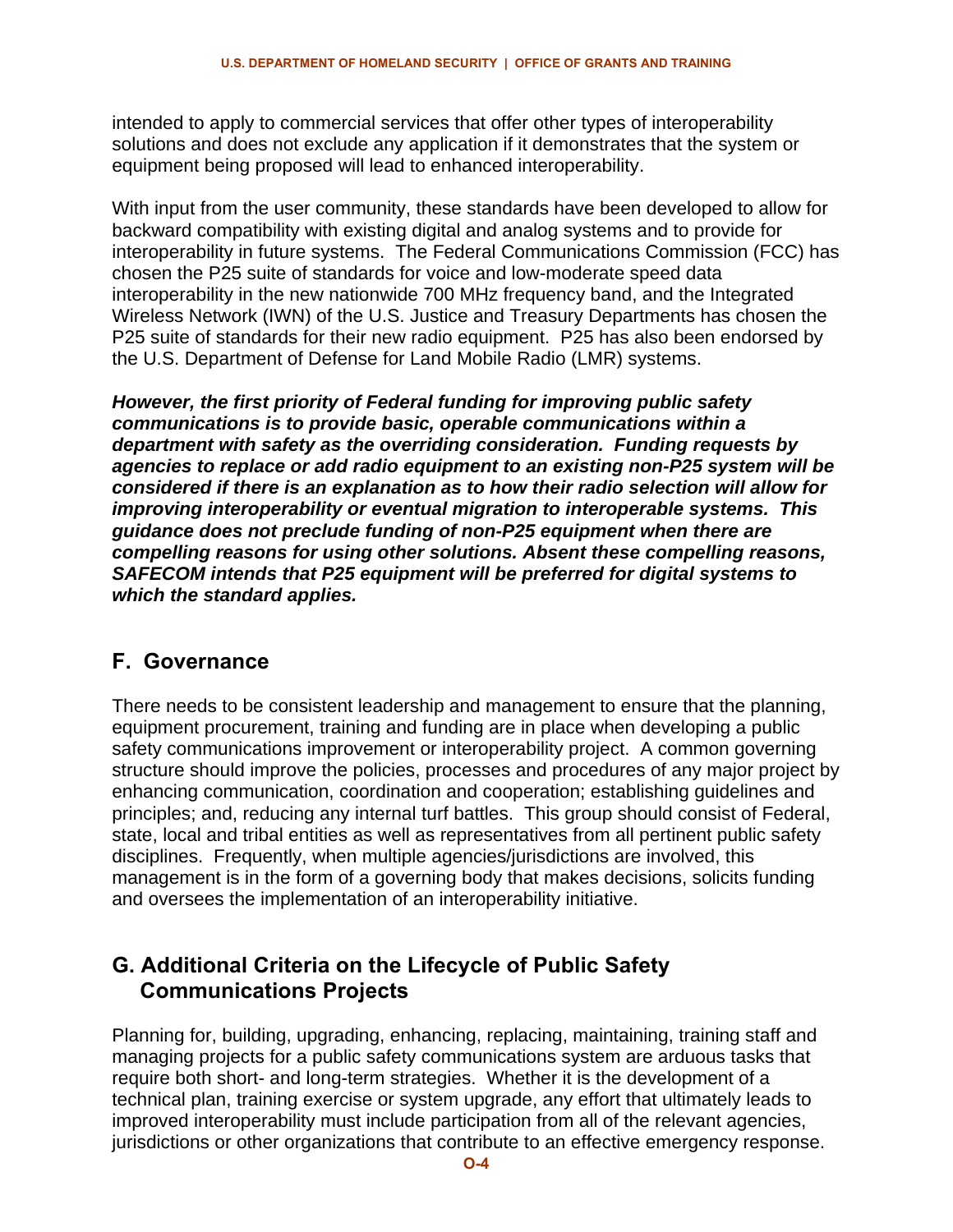intended to apply to commercial services that offer other types of interoperability solutions and does not exclude any application if it demonstrates that the system or equipment being proposed will lead to enhanced interoperability.

With input from the user community, these standards have been developed to allow for backward compatibility with existing digital and analog systems and to provide for interoperability in future systems. The Federal Communications Commission (FCC) has chosen the P25 suite of standards for voice and low-moderate speed data interoperability in the new nationwide 700 MHz frequency band, and the Integrated Wireless Network (IWN) of the U.S. Justice and Treasury Departments has chosen the P25 suite of standards for their new radio equipment. P25 has also been endorsed by the U.S. Department of Defense for Land Mobile Radio (LMR) systems.

*However, the first priority of Federal funding for improving public safety communications is to provide basic, operable communications within a department with safety as the overriding consideration. Funding requests by agencies to replace or add radio equipment to an existing non-P25 system will be considered if there is an explanation as to how their radio selection will allow for improving interoperability or eventual migration to interoperable systems. This guidance does not preclude funding of non-P25 equipment when there are compelling reasons for using other solutions. Absent these compelling reasons, SAFECOM intends that P25 equipment will be preferred for digital systems to which the standard applies.* 

### **F. Governance**

There needs to be consistent leadership and management to ensure that the planning, equipment procurement, training and funding are in place when developing a public safety communications improvement or interoperability project. A common governing structure should improve the policies, processes and procedures of any major project by enhancing communication, coordination and cooperation; establishing guidelines and principles; and, reducing any internal turf battles. This group should consist of Federal, state, local and tribal entities as well as representatives from all pertinent public safety disciplines. Frequently, when multiple agencies/jurisdictions are involved, this management is in the form of a governing body that makes decisions, solicits funding and oversees the implementation of an interoperability initiative.

## **G. Additional Criteria on the Lifecycle of Public Safety Communications Projects**

Planning for, building, upgrading, enhancing, replacing, maintaining, training staff and managing projects for a public safety communications system are arduous tasks that require both short- and long-term strategies. Whether it is the development of a technical plan, training exercise or system upgrade, any effort that ultimately leads to improved interoperability must include participation from all of the relevant agencies, jurisdictions or other organizations that contribute to an effective emergency response.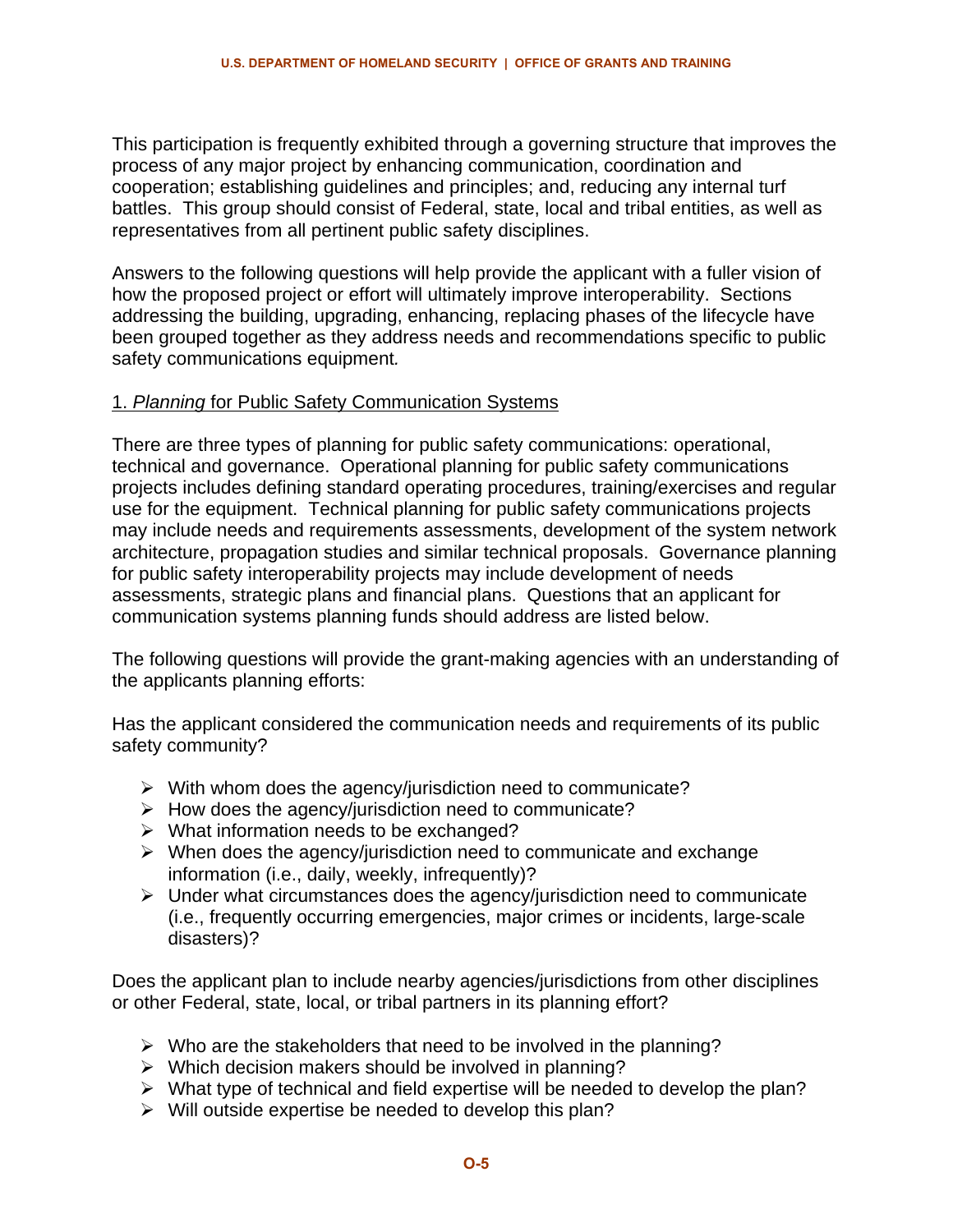This participation is frequently exhibited through a governing structure that improves the process of any major project by enhancing communication, coordination and cooperation; establishing guidelines and principles; and, reducing any internal turf battles. This group should consist of Federal, state, local and tribal entities, as well as representatives from all pertinent public safety disciplines.

Answers to the following questions will help provide the applicant with a fuller vision of how the proposed project or effort will ultimately improve interoperability. Sections addressing the building, upgrading, enhancing, replacing phases of the lifecycle have been grouped together as they address needs and recommendations specific to public safety communications equipment*.*

### 1. *Planning* for Public Safety Communication Systems

There are three types of planning for public safety communications: operational, technical and governance. Operational planning for public safety communications projects includes defining standard operating procedures, training/exercises and regular use for the equipment. Technical planning for public safety communications projects may include needs and requirements assessments, development of the system network architecture, propagation studies and similar technical proposals. Governance planning for public safety interoperability projects may include development of needs assessments, strategic plans and financial plans. Questions that an applicant for communication systems planning funds should address are listed below.

The following questions will provide the grant-making agencies with an understanding of the applicants planning efforts:

Has the applicant considered the communication needs and requirements of its public safety community?

- $\triangleright$  With whom does the agency/jurisdiction need to communicate?
- $\triangleright$  How does the agency/jurisdiction need to communicate?
- $\triangleright$  What information needs to be exchanged?
- $\triangleright$  When does the agency/jurisdiction need to communicate and exchange information (i.e., daily, weekly, infrequently)?
- $\triangleright$  Under what circumstances does the agency/jurisdiction need to communicate (i.e., frequently occurring emergencies, major crimes or incidents, large-scale disasters)?

Does the applicant plan to include nearby agencies/jurisdictions from other disciplines or other Federal, state, local, or tribal partners in its planning effort?

- $\triangleright$  Who are the stakeholders that need to be involved in the planning?
- $\triangleright$  Which decision makers should be involved in planning?
- $\triangleright$  What type of technical and field expertise will be needed to develop the plan?
- $\triangleright$  Will outside expertise be needed to develop this plan?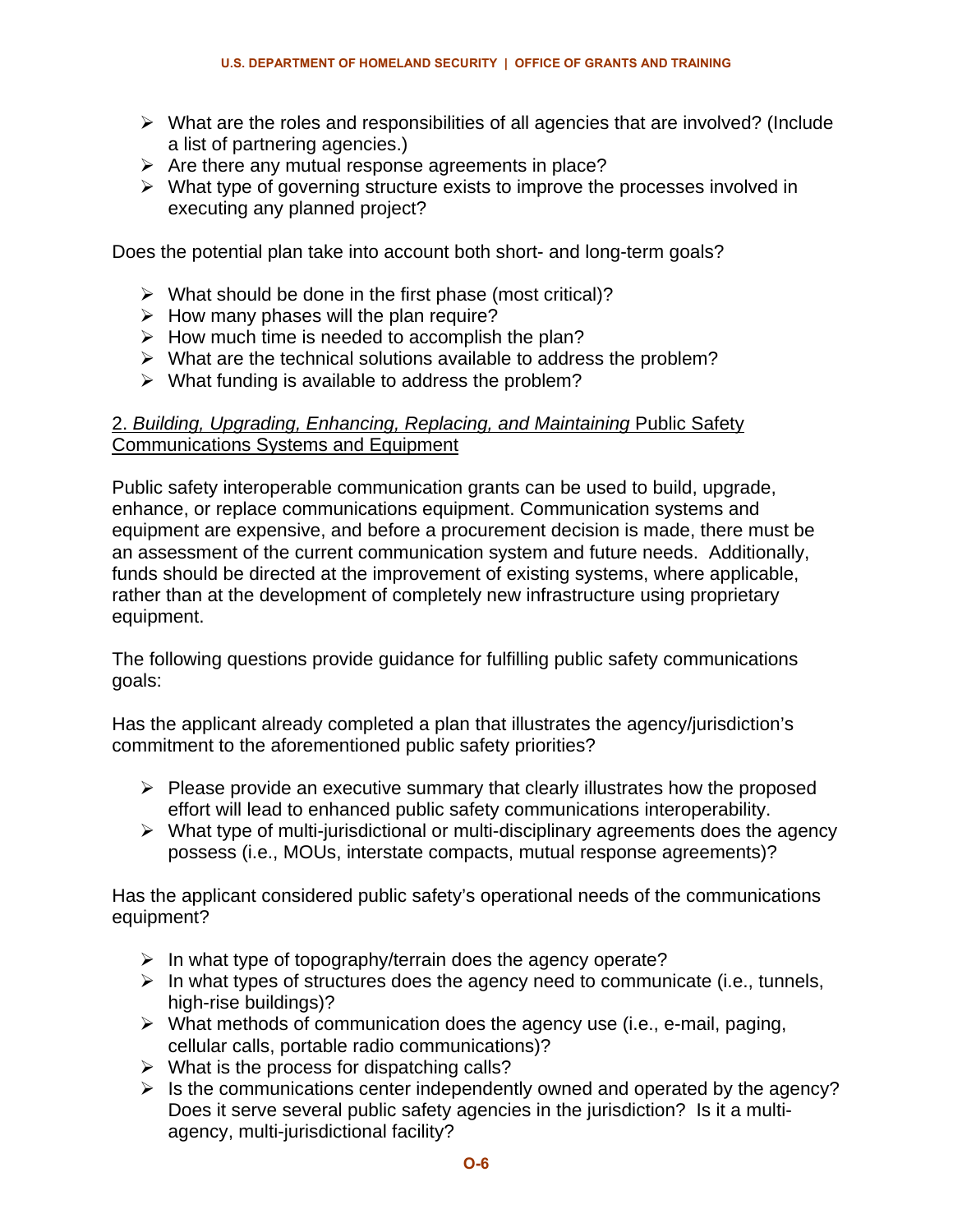- $\triangleright$  What are the roles and responsibilities of all agencies that are involved? (Include a list of partnering agencies.)
- $\triangleright$  Are there any mutual response agreements in place?
- $\triangleright$  What type of governing structure exists to improve the processes involved in executing any planned project?

Does the potential plan take into account both short- and long-term goals?

- $\triangleright$  What should be done in the first phase (most critical)?
- $\triangleright$  How many phases will the plan require?
- $\triangleright$  How much time is needed to accomplish the plan?
- $\triangleright$  What are the technical solutions available to address the problem?
- $\triangleright$  What funding is available to address the problem?

### 2. *Building, Upgrading, Enhancing, Replacing, and Maintaining* Public Safety Communications Systems and Equipment

Public safety interoperable communication grants can be used to build, upgrade, enhance, or replace communications equipment. Communication systems and equipment are expensive, and before a procurement decision is made, there must be an assessment of the current communication system and future needs. Additionally, funds should be directed at the improvement of existing systems, where applicable, rather than at the development of completely new infrastructure using proprietary equipment.

The following questions provide guidance for fulfilling public safety communications goals:

Has the applicant already completed a plan that illustrates the agency/jurisdiction's commitment to the aforementioned public safety priorities?

- $\triangleright$  Please provide an executive summary that clearly illustrates how the proposed effort will lead to enhanced public safety communications interoperability.
- $\triangleright$  What type of multi-jurisdictional or multi-disciplinary agreements does the agency possess (i.e., MOUs, interstate compacts, mutual response agreements)?

Has the applicant considered public safety's operational needs of the communications equipment?

- $\triangleright$  In what type of topography/terrain does the agency operate?
- $\triangleright$  In what types of structures does the agency need to communicate (i.e., tunnels, high-rise buildings)?
- $\triangleright$  What methods of communication does the agency use (i.e., e-mail, paging, cellular calls, portable radio communications)?
- $\triangleright$  What is the process for dispatching calls?
- $\triangleright$  Is the communications center independently owned and operated by the agency? Does it serve several public safety agencies in the jurisdiction? Is it a multiagency, multi-jurisdictional facility?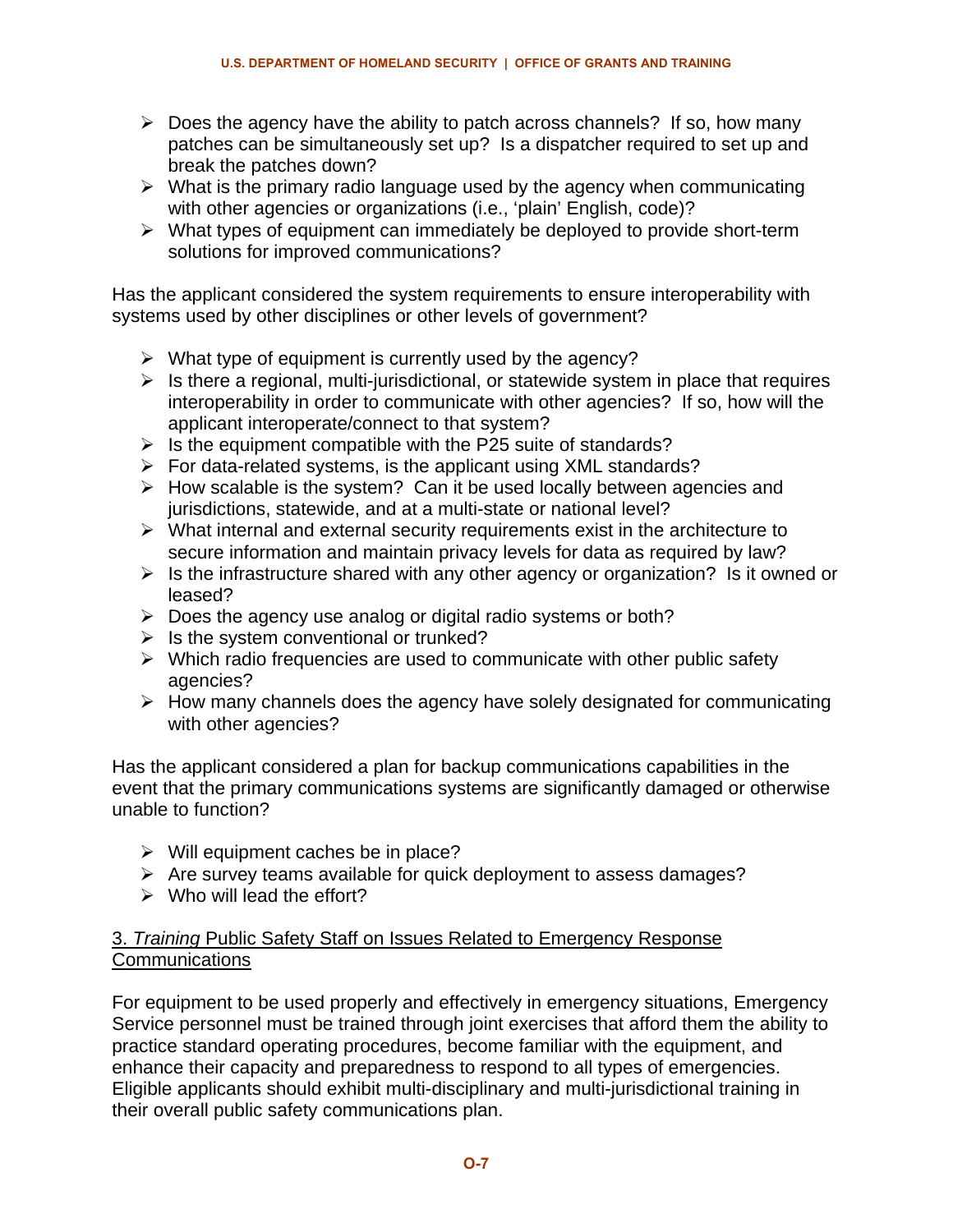- $\triangleright$  Does the agency have the ability to patch across channels? If so, how many patches can be simultaneously set up? Is a dispatcher required to set up and break the patches down?
- $\triangleright$  What is the primary radio language used by the agency when communicating with other agencies or organizations (i.e., 'plain' English, code)?
- $\triangleright$  What types of equipment can immediately be deployed to provide short-term solutions for improved communications?

Has the applicant considered the system requirements to ensure interoperability with systems used by other disciplines or other levels of government?

- $\triangleright$  What type of equipment is currently used by the agency?
- $\triangleright$  Is there a regional, multi-jurisdictional, or statewide system in place that requires interoperability in order to communicate with other agencies? If so, how will the applicant interoperate/connect to that system?
- $\triangleright$  Is the equipment compatible with the P25 suite of standards?
- $\triangleright$  For data-related systems, is the applicant using XML standards?
- $\triangleright$  How scalable is the system? Can it be used locally between agencies and jurisdictions, statewide, and at a multi-state or national level?
- $\triangleright$  What internal and external security requirements exist in the architecture to secure information and maintain privacy levels for data as required by law?
- $\triangleright$  Is the infrastructure shared with any other agency or organization? Is it owned or leased?
- $\triangleright$  Does the agency use analog or digital radio systems or both?
- $\triangleright$  Is the system conventional or trunked?
- $\triangleright$  Which radio frequencies are used to communicate with other public safety agencies?
- $\triangleright$  How many channels does the agency have solely designated for communicating with other agencies?

Has the applicant considered a plan for backup communications capabilities in the event that the primary communications systems are significantly damaged or otherwise unable to function?

- $\triangleright$  Will equipment caches be in place?
- $\triangleright$  Are survey teams available for quick deployment to assess damages?
- $\triangleright$  Who will lead the effort?

### 3. *Training* Public Safety Staff on Issues Related to Emergency Response **Communications**

For equipment to be used properly and effectively in emergency situations, Emergency Service personnel must be trained through joint exercises that afford them the ability to practice standard operating procedures, become familiar with the equipment, and enhance their capacity and preparedness to respond to all types of emergencies. Eligible applicants should exhibit multi-disciplinary and multi-jurisdictional training in their overall public safety communications plan.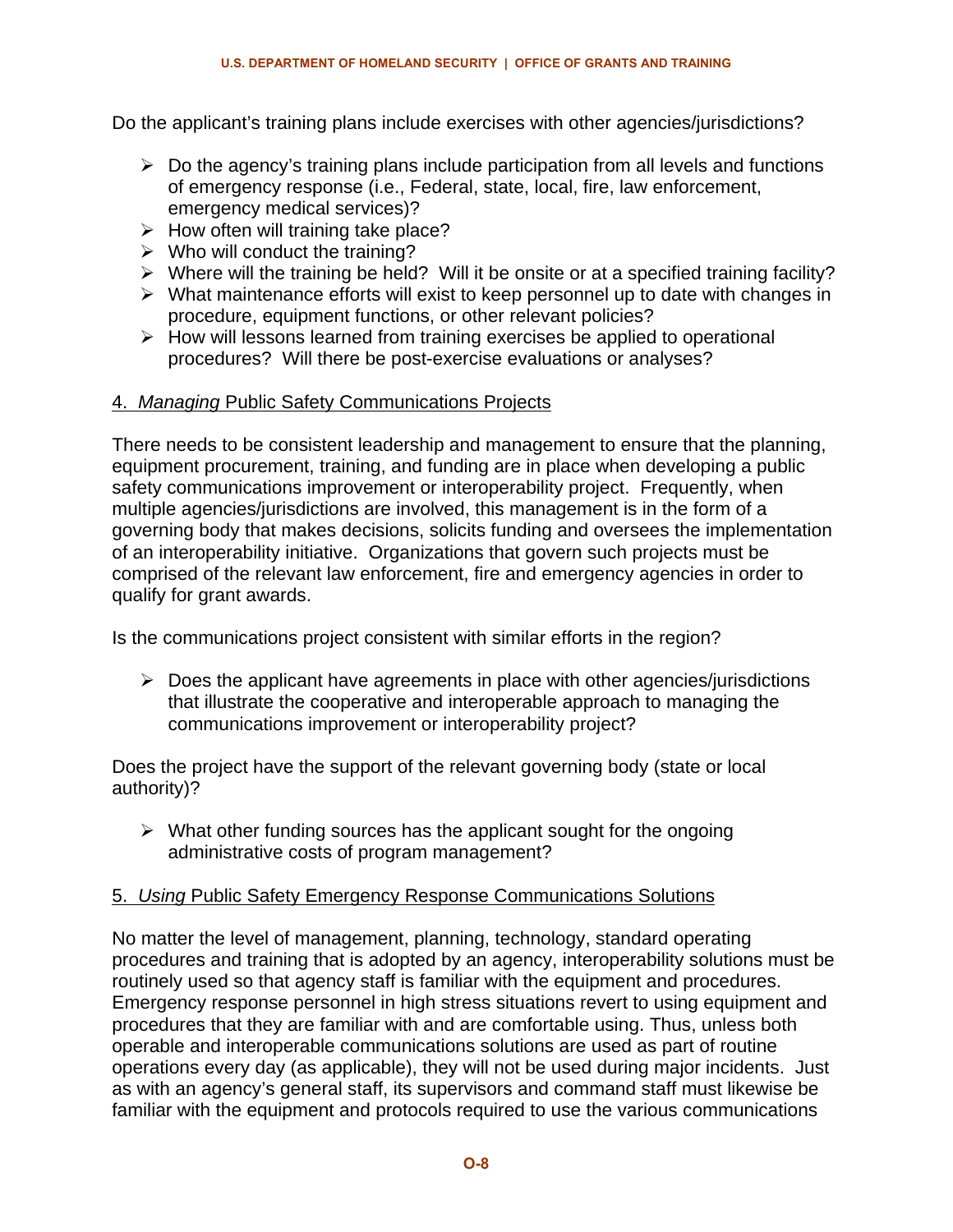Do the applicant's training plans include exercises with other agencies/jurisdictions?

- $\triangleright$  Do the agency's training plans include participation from all levels and functions of emergency response (i.e., Federal, state, local, fire, law enforcement, emergency medical services)?
- $\triangleright$  How often will training take place?
- $\triangleright$  Who will conduct the training?
- $\triangleright$  Where will the training be held? Will it be onsite or at a specified training facility?
- $\triangleright$  What maintenance efforts will exist to keep personnel up to date with changes in procedure, equipment functions, or other relevant policies?
- $\triangleright$  How will lessons learned from training exercises be applied to operational procedures? Will there be post-exercise evaluations or analyses?

### 4. *Managing* Public Safety Communications Projects

There needs to be consistent leadership and management to ensure that the planning, equipment procurement, training, and funding are in place when developing a public safety communications improvement or interoperability project. Frequently, when multiple agencies/jurisdictions are involved, this management is in the form of a governing body that makes decisions, solicits funding and oversees the implementation of an interoperability initiative. Organizations that govern such projects must be comprised of the relevant law enforcement, fire and emergency agencies in order to qualify for grant awards.

Is the communications project consistent with similar efforts in the region?

 $\triangleright$  Does the applicant have agreements in place with other agencies/jurisdictions that illustrate the cooperative and interoperable approach to managing the communications improvement or interoperability project?

Does the project have the support of the relevant governing body (state or local authority)?

 $\triangleright$  What other funding sources has the applicant sought for the ongoing administrative costs of program management?

### 5. *Using* Public Safety Emergency Response Communications Solutions

No matter the level of management, planning, technology, standard operating procedures and training that is adopted by an agency, interoperability solutions must be routinely used so that agency staff is familiar with the equipment and procedures. Emergency response personnel in high stress situations revert to using equipment and procedures that they are familiar with and are comfortable using. Thus, unless both operable and interoperable communications solutions are used as part of routine operations every day (as applicable), they will not be used during major incidents. Just as with an agency's general staff, its supervisors and command staff must likewise be familiar with the equipment and protocols required to use the various communications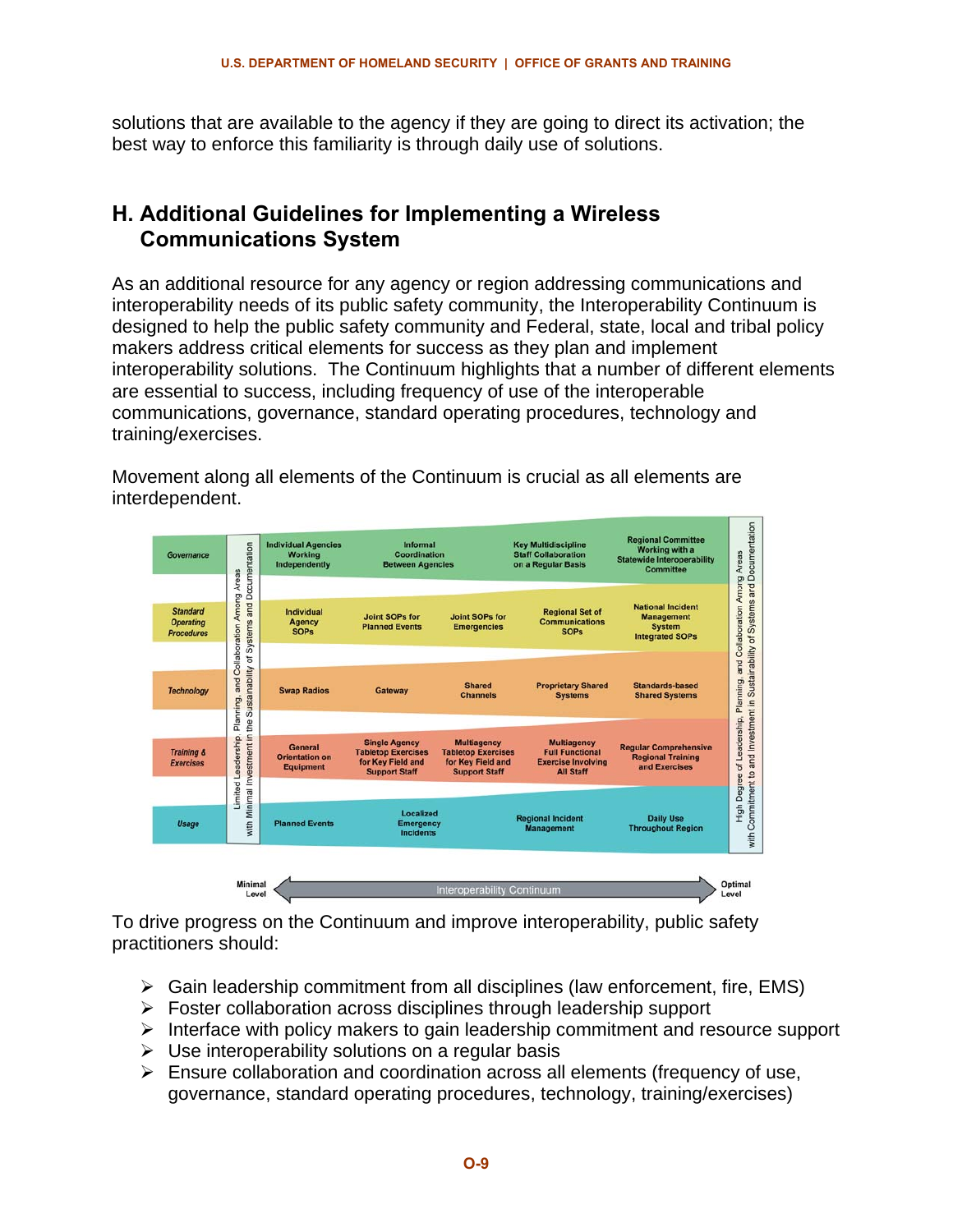solutions that are available to the agency if they are going to direct its activation; the best way to enforce this familiarity is through daily use of solutions.

## **H. Additional Guidelines for Implementing a Wireless Communications System**

As an additional resource for any agency or region addressing communications and interoperability needs of its public safety community, the Interoperability Continuum is designed to help the public safety community and Federal, state, local and tribal policy makers address critical elements for success as they plan and implement interoperability solutions. The Continuum highlights that a number of different elements are essential to success, including frequency of use of the interoperable communications, governance, standard operating procedures, technology and training/exercises.

Movement along all elements of the Continuum is crucial as all elements are interdependent.



To drive progress on the Continuum and improve interoperability, public safety practitioners should:

- $\triangleright$  Gain leadership commitment from all disciplines (law enforcement, fire, EMS)
- $\triangleright$  Foster collaboration across disciplines through leadership support
- $\triangleright$  Interface with policy makers to gain leadership commitment and resource support
- $\triangleright$  Use interoperability solutions on a regular basis
- $\triangleright$  Ensure collaboration and coordination across all elements (frequency of use, governance, standard operating procedures, technology, training/exercises)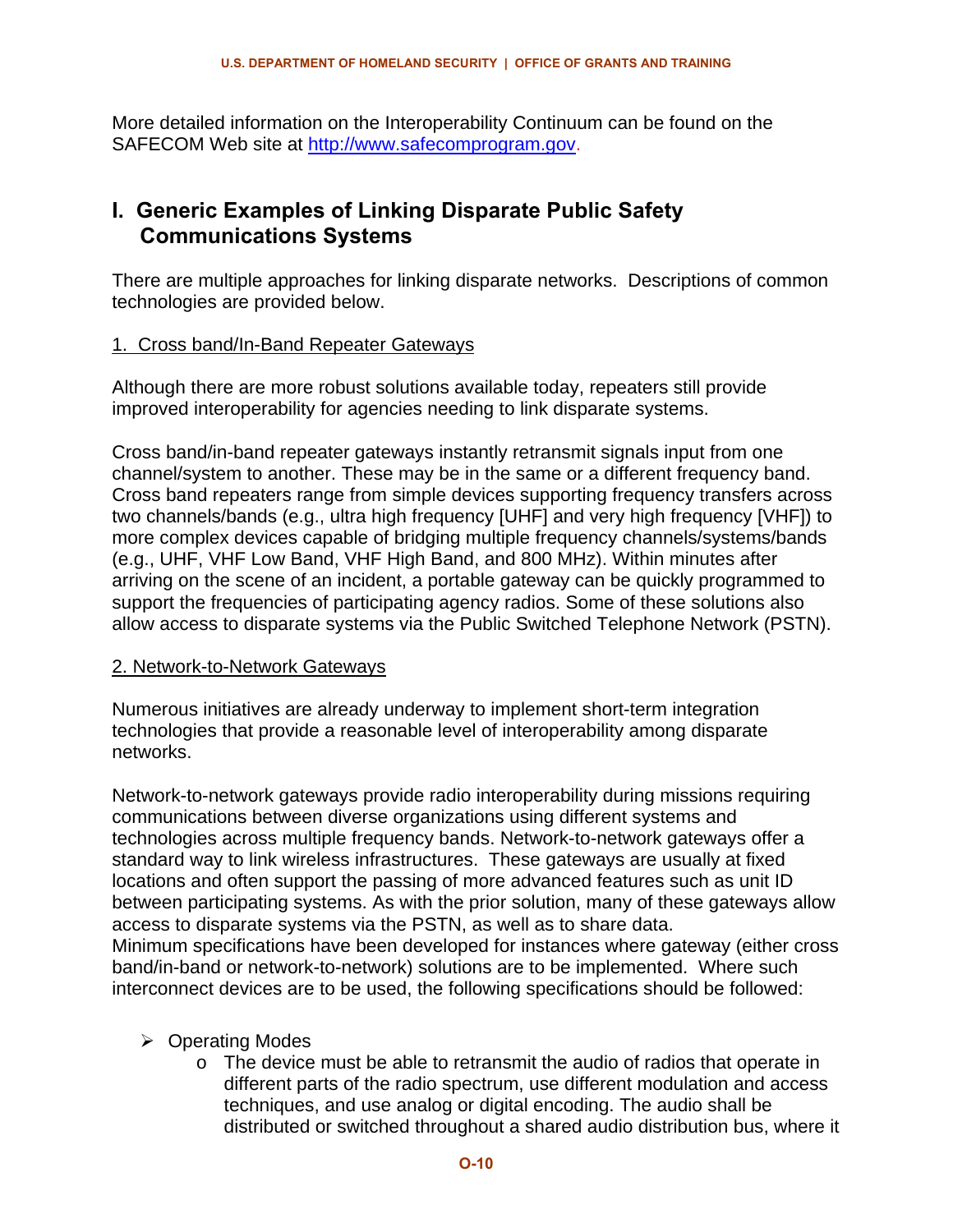More detailed information on the Interoperability Continuum can be found on the SAFECOM Web site at http://www.safecomprogram.gov.

## **I. Generic Examples of Linking Disparate Public Safety Communications Systems**

There are multiple approaches for linking disparate networks. Descriptions of common technologies are provided below.

### 1. Cross band/In-Band Repeater Gateways

Although there are more robust solutions available today, repeaters still provide improved interoperability for agencies needing to link disparate systems.

Cross band/in-band repeater gateways instantly retransmit signals input from one channel/system to another. These may be in the same or a different frequency band. Cross band repeaters range from simple devices supporting frequency transfers across two channels/bands (e.g., ultra high frequency [UHF] and very high frequency [VHF]) to more complex devices capable of bridging multiple frequency channels/systems/bands (e.g., UHF, VHF Low Band, VHF High Band, and 800 MHz). Within minutes after arriving on the scene of an incident, a portable gateway can be quickly programmed to support the frequencies of participating agency radios. Some of these solutions also allow access to disparate systems via the Public Switched Telephone Network (PSTN).

### 2. Network-to-Network Gateways

Numerous initiatives are already underway to implement short-term integration technologies that provide a reasonable level of interoperability among disparate networks.

Network-to-network gateways provide radio interoperability during missions requiring communications between diverse organizations using different systems and technologies across multiple frequency bands. Network-to-network gateways offer a standard way to link wireless infrastructures. These gateways are usually at fixed locations and often support the passing of more advanced features such as unit ID between participating systems. As with the prior solution, many of these gateways allow access to disparate systems via the PSTN, as well as to share data. Minimum specifications have been developed for instances where gateway (either cross band/in-band or network-to-network) solutions are to be implemented. Where such interconnect devices are to be used, the following specifications should be followed:

### $\triangleright$  Operating Modes

o The device must be able to retransmit the audio of radios that operate in different parts of the radio spectrum, use different modulation and access techniques, and use analog or digital encoding. The audio shall be distributed or switched throughout a shared audio distribution bus, where it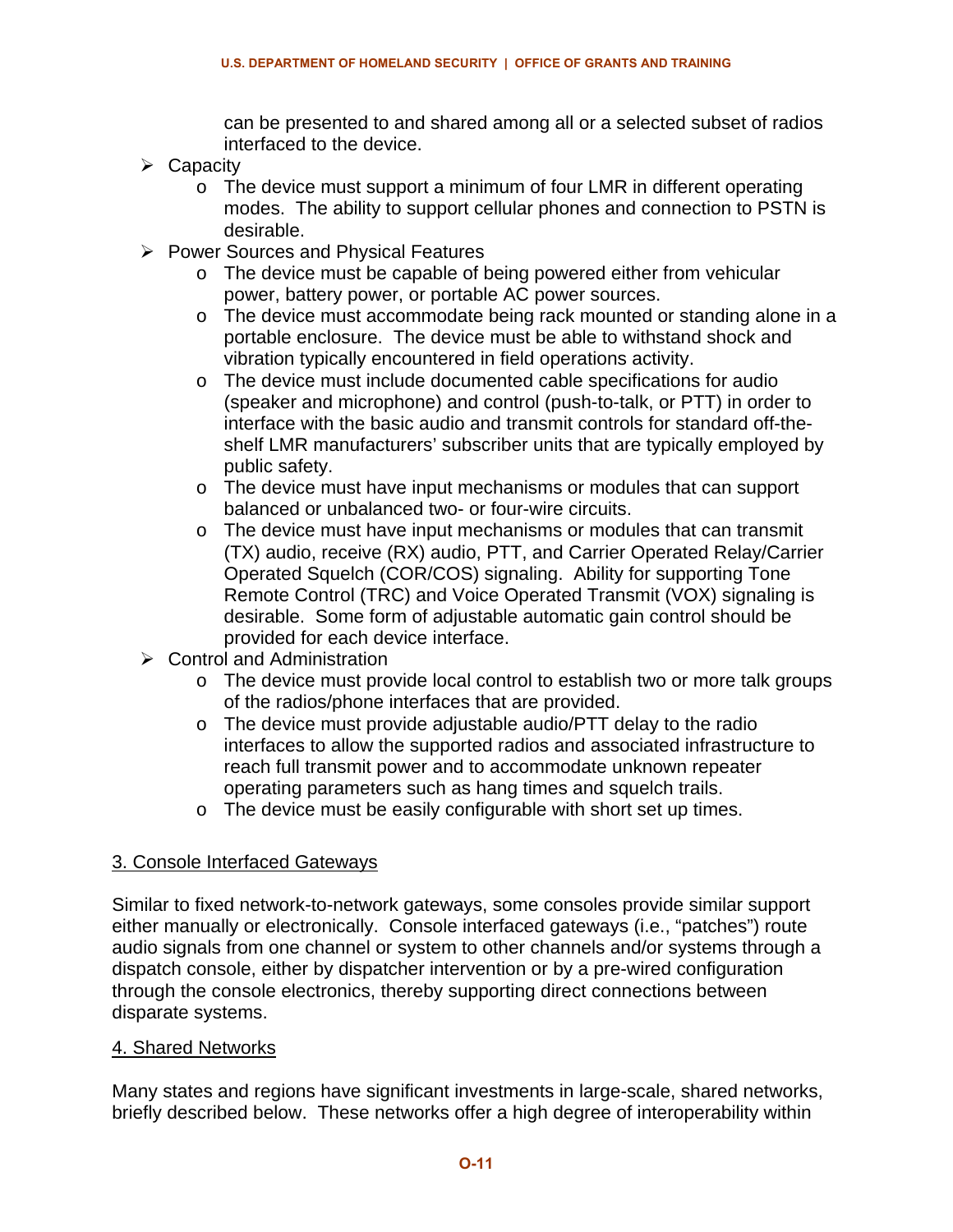can be presented to and shared among all or a selected subset of radios interfaced to the device.

- $\triangleright$  Capacity
	- $\circ$  The device must support a minimum of four LMR in different operating modes. The ability to support cellular phones and connection to PSTN is desirable.
- ¾ Power Sources and Physical Features
	- o The device must be capable of being powered either from vehicular power, battery power, or portable AC power sources.
	- o The device must accommodate being rack mounted or standing alone in a portable enclosure. The device must be able to withstand shock and vibration typically encountered in field operations activity.
	- o The device must include documented cable specifications for audio (speaker and microphone) and control (push-to-talk, or PTT) in order to interface with the basic audio and transmit controls for standard off-theshelf LMR manufacturers' subscriber units that are typically employed by public safety.
	- o The device must have input mechanisms or modules that can support balanced or unbalanced two- or four-wire circuits.
	- o The device must have input mechanisms or modules that can transmit (TX) audio, receive (RX) audio, PTT, and Carrier Operated Relay/Carrier Operated Squelch (COR/COS) signaling. Ability for supporting Tone Remote Control (TRC) and Voice Operated Transmit (VOX) signaling is desirable. Some form of adjustable automatic gain control should be provided for each device interface.
- $\triangleright$  Control and Administration
	- o The device must provide local control to establish two or more talk groups of the radios/phone interfaces that are provided.
	- o The device must provide adjustable audio/PTT delay to the radio interfaces to allow the supported radios and associated infrastructure to reach full transmit power and to accommodate unknown repeater operating parameters such as hang times and squelch trails.
	- o The device must be easily configurable with short set up times.

### 3. Console Interfaced Gateways

Similar to fixed network-to-network gateways, some consoles provide similar support either manually or electronically. Console interfaced gateways (i.e., "patches") route audio signals from one channel or system to other channels and/or systems through a dispatch console, either by dispatcher intervention or by a pre-wired configuration through the console electronics, thereby supporting direct connections between disparate systems.

### 4. Shared Networks

Many states and regions have significant investments in large-scale, shared networks, briefly described below. These networks offer a high degree of interoperability within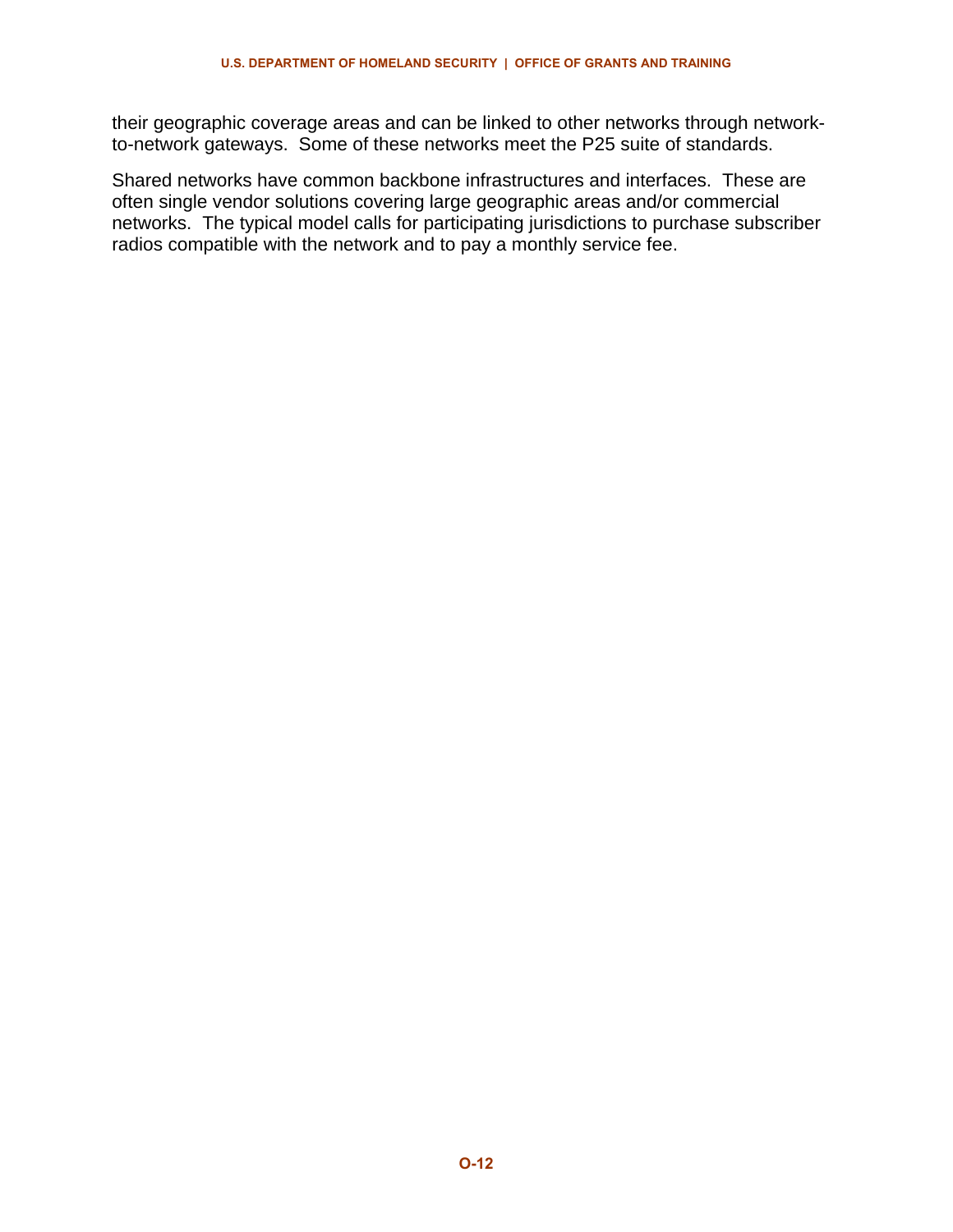their geographic coverage areas and can be linked to other networks through networkto-network gateways. Some of these networks meet the P25 suite of standards.

Shared networks have common backbone infrastructures and interfaces. These are often single vendor solutions covering large geographic areas and/or commercial networks. The typical model calls for participating jurisdictions to purchase subscriber radios compatible with the network and to pay a monthly service fee.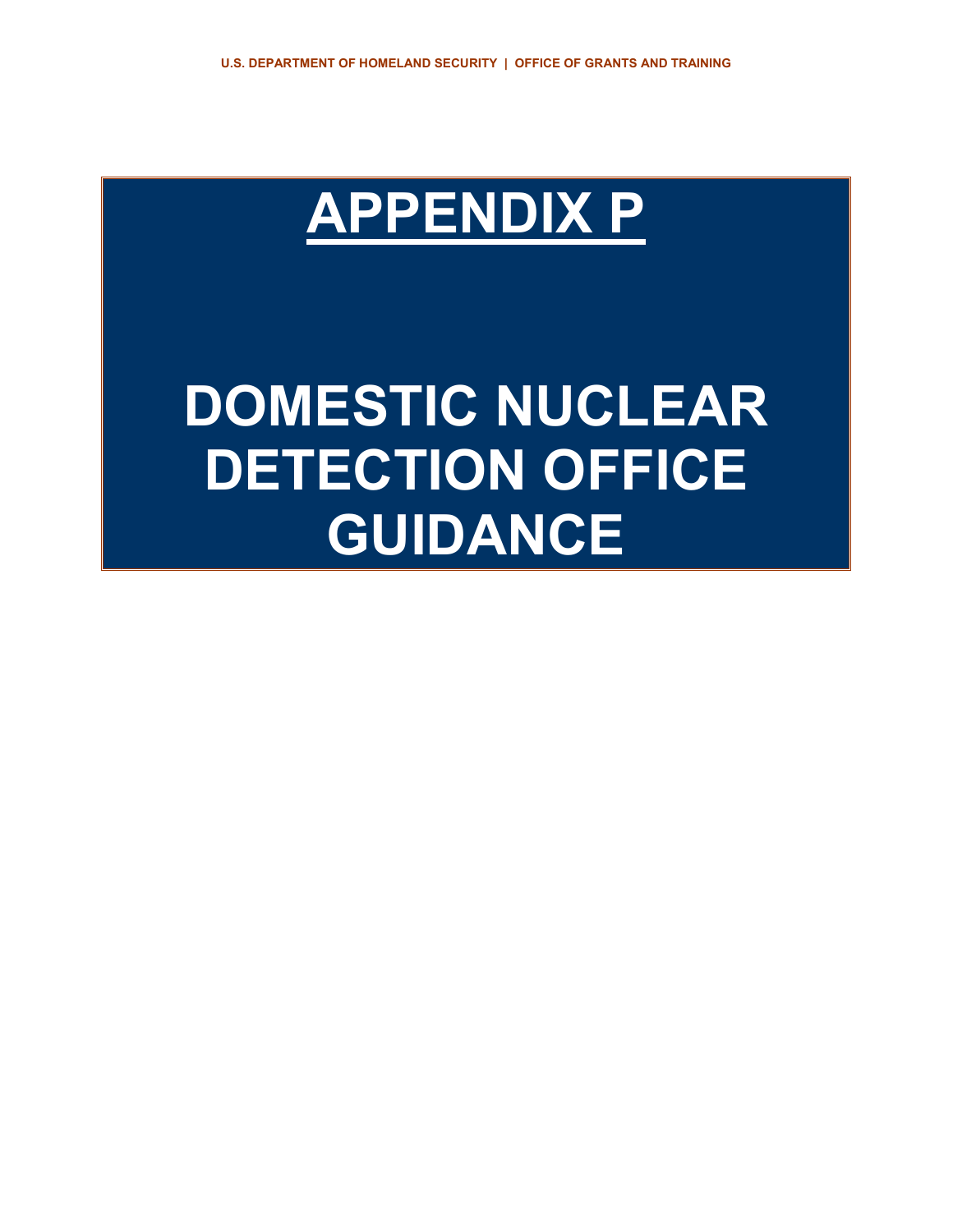# **APPENDIX P**

# **DOMESTIC NUCLEAR DETECTION OFFICE GUIDANCE**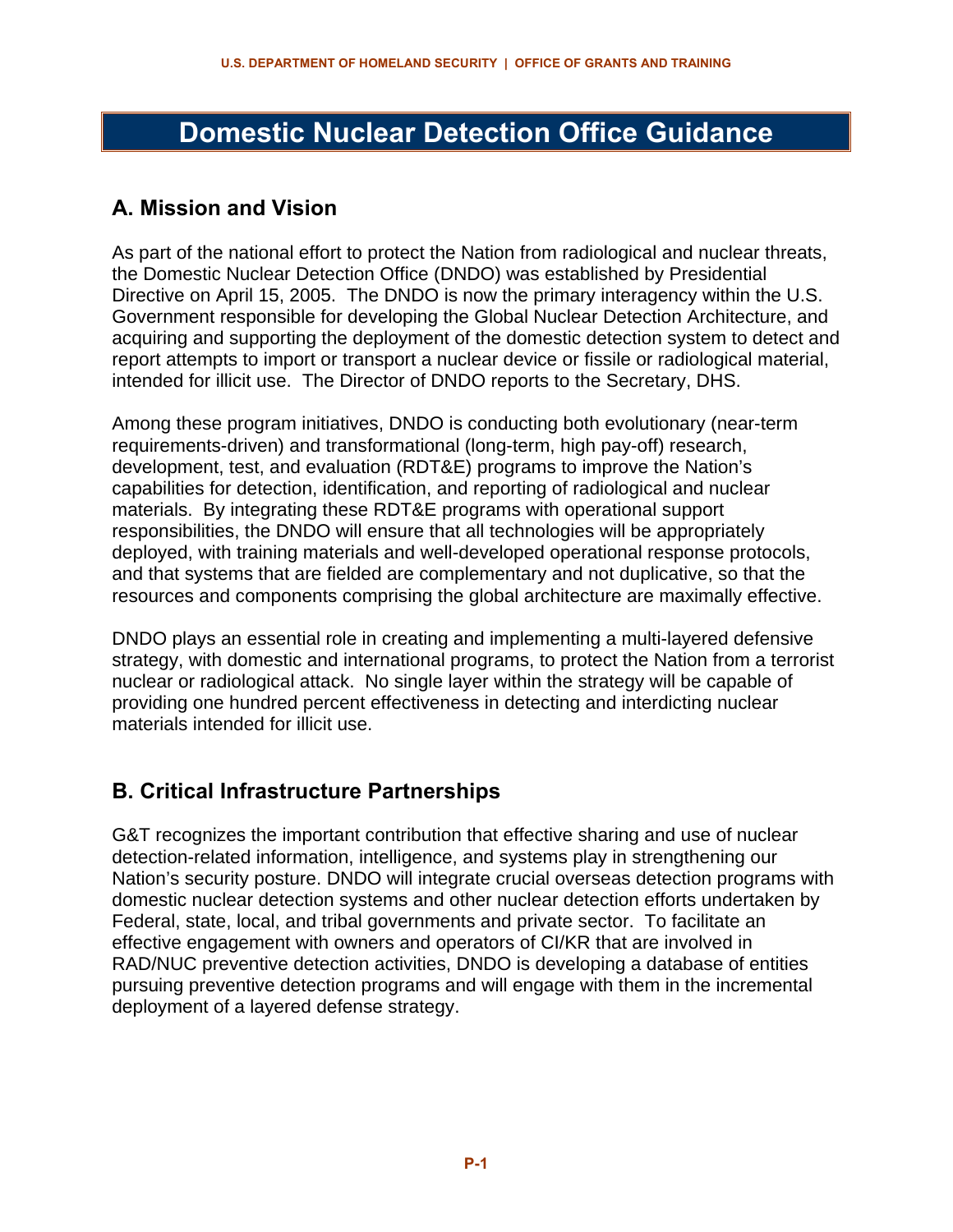## **Domestic Nuclear Detection Office Guidance**

## **A. Mission and Vision**

As part of the national effort to protect the Nation from radiological and nuclear threats, the Domestic Nuclear Detection Office (DNDO) was established by Presidential Directive on April 15, 2005. The DNDO is now the primary interagency within the U.S. Government responsible for developing the Global Nuclear Detection Architecture, and acquiring and supporting the deployment of the domestic detection system to detect and report attempts to import or transport a nuclear device or fissile or radiological material, intended for illicit use. The Director of DNDO reports to the Secretary, DHS.

Among these program initiatives, DNDO is conducting both evolutionary (near-term requirements-driven) and transformational (long-term, high pay-off) research, development, test, and evaluation (RDT&E) programs to improve the Nation's capabilities for detection, identification, and reporting of radiological and nuclear materials. By integrating these RDT&E programs with operational support responsibilities, the DNDO will ensure that all technologies will be appropriately deployed, with training materials and well-developed operational response protocols, and that systems that are fielded are complementary and not duplicative, so that the resources and components comprising the global architecture are maximally effective.

DNDO plays an essential role in creating and implementing a multi-layered defensive strategy, with domestic and international programs, to protect the Nation from a terrorist nuclear or radiological attack. No single layer within the strategy will be capable of providing one hundred percent effectiveness in detecting and interdicting nuclear materials intended for illicit use.

## **B. Critical Infrastructure Partnerships**

G&T recognizes the important contribution that effective sharing and use of nuclear detection-related information, intelligence, and systems play in strengthening our Nation's security posture. DNDO will integrate crucial overseas detection programs with domestic nuclear detection systems and other nuclear detection efforts undertaken by Federal, state, local, and tribal governments and private sector. To facilitate an effective engagement with owners and operators of CI/KR that are involved in RAD/NUC preventive detection activities, DNDO is developing a database of entities pursuing preventive detection programs and will engage with them in the incremental deployment of a layered defense strategy.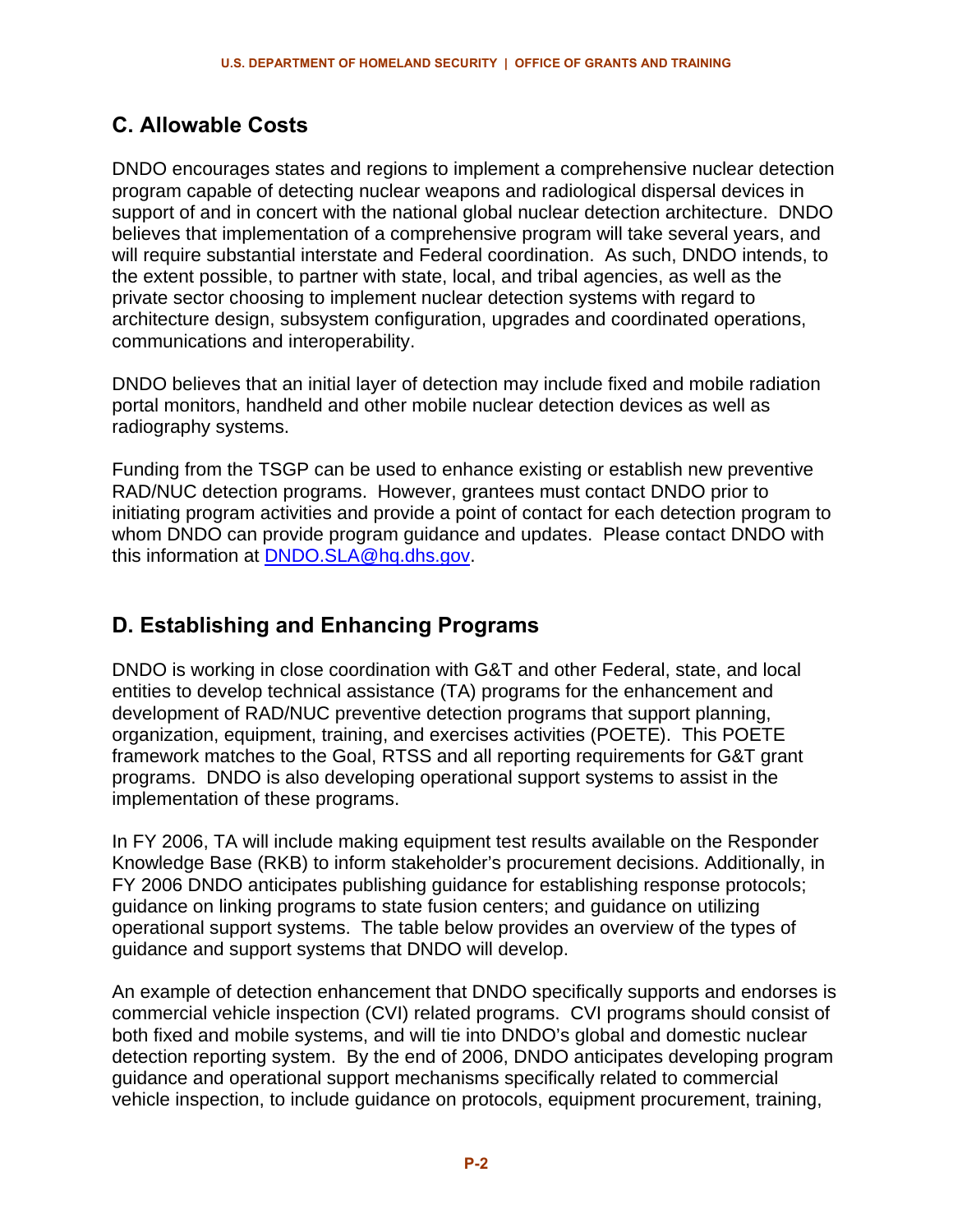## **C. Allowable Costs**

DNDO encourages states and regions to implement a comprehensive nuclear detection program capable of detecting nuclear weapons and radiological dispersal devices in support of and in concert with the national global nuclear detection architecture. DNDO believes that implementation of a comprehensive program will take several years, and will require substantial interstate and Federal coordination. As such, DNDO intends, to the extent possible, to partner with state, local, and tribal agencies, as well as the private sector choosing to implement nuclear detection systems with regard to architecture design, subsystem configuration, upgrades and coordinated operations, communications and interoperability.

DNDO believes that an initial layer of detection may include fixed and mobile radiation portal monitors, handheld and other mobile nuclear detection devices as well as radiography systems.

Funding from the TSGP can be used to enhance existing or establish new preventive RAD/NUC detection programs. However, grantees must contact DNDO prior to initiating program activities and provide a point of contact for each detection program to whom DNDO can provide program guidance and updates. Please contact DNDO with this information at DNDO.SLA@hq.dhs.gov.

## **D. Establishing and Enhancing Programs**

DNDO is working in close coordination with G&T and other Federal, state, and local entities to develop technical assistance (TA) programs for the enhancement and development of RAD/NUC preventive detection programs that support planning, organization, equipment, training, and exercises activities (POETE). This POETE framework matches to the Goal, RTSS and all reporting requirements for G&T grant programs. DNDO is also developing operational support systems to assist in the implementation of these programs.

In FY 2006, TA will include making equipment test results available on the Responder Knowledge Base (RKB) to inform stakeholder's procurement decisions. Additionally, in FY 2006 DNDO anticipates publishing guidance for establishing response protocols; guidance on linking programs to state fusion centers; and guidance on utilizing operational support systems. The table below provides an overview of the types of guidance and support systems that DNDO will develop.

An example of detection enhancement that DNDO specifically supports and endorses is commercial vehicle inspection (CVI) related programs. CVI programs should consist of both fixed and mobile systems, and will tie into DNDO's global and domestic nuclear detection reporting system. By the end of 2006, DNDO anticipates developing program guidance and operational support mechanisms specifically related to commercial vehicle inspection, to include guidance on protocols, equipment procurement, training,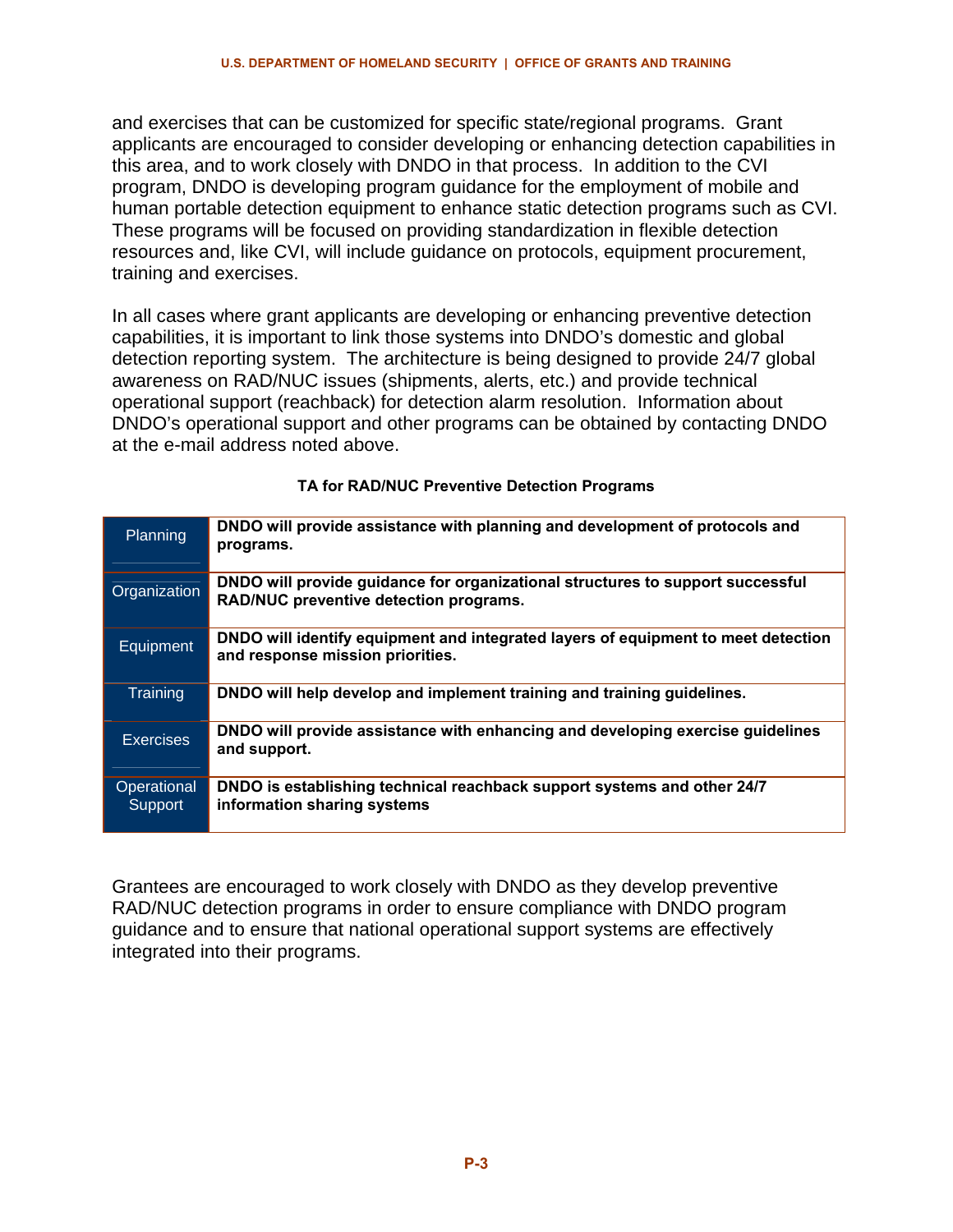and exercises that can be customized for specific state/regional programs. Grant applicants are encouraged to consider developing or enhancing detection capabilities in this area, and to work closely with DNDO in that process. In addition to the CVI program, DNDO is developing program guidance for the employment of mobile and human portable detection equipment to enhance static detection programs such as CVI. These programs will be focused on providing standardization in flexible detection resources and, like CVI, will include guidance on protocols, equipment procurement, training and exercises.

In all cases where grant applicants are developing or enhancing preventive detection capabilities, it is important to link those systems into DNDO's domestic and global detection reporting system. The architecture is being designed to provide 24/7 global awareness on RAD/NUC issues (shipments, alerts, etc.) and provide technical operational support (reachback) for detection alarm resolution. Information about DNDO's operational support and other programs can be obtained by contacting DNDO at the e-mail address noted above.

| Planning               | DNDO will provide assistance with planning and development of protocols and<br>programs.                                 |
|------------------------|--------------------------------------------------------------------------------------------------------------------------|
| Organization           | DNDO will provide guidance for organizational structures to support successful<br>RAD/NUC preventive detection programs. |
| <b>Equipment</b>       | DNDO will identify equipment and integrated layers of equipment to meet detection<br>and response mission priorities.    |
| Training               | DNDO will help develop and implement training and training guidelines.                                                   |
| <b>Exercises</b>       | DNDO will provide assistance with enhancing and developing exercise guidelines<br>and support.                           |
| Operational<br>Support | DNDO is establishing technical reachback support systems and other 24/7<br>information sharing systems                   |

#### **TA for RAD/NUC Preventive Detection Programs**

Grantees are encouraged to work closely with DNDO as they develop preventive RAD/NUC detection programs in order to ensure compliance with DNDO program guidance and to ensure that national operational support systems are effectively integrated into their programs.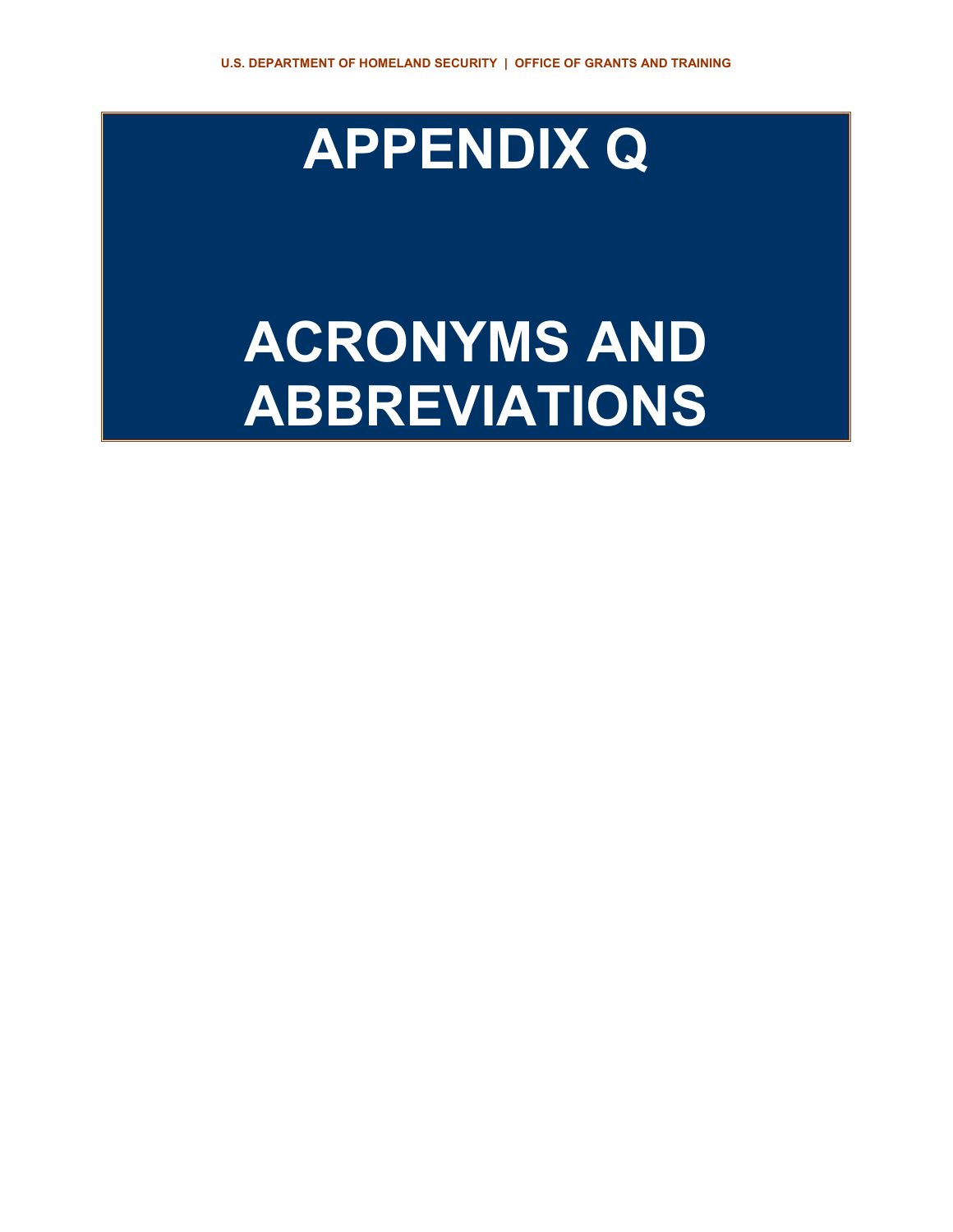

# **ACRONYMS AND ABBREVIATIONS**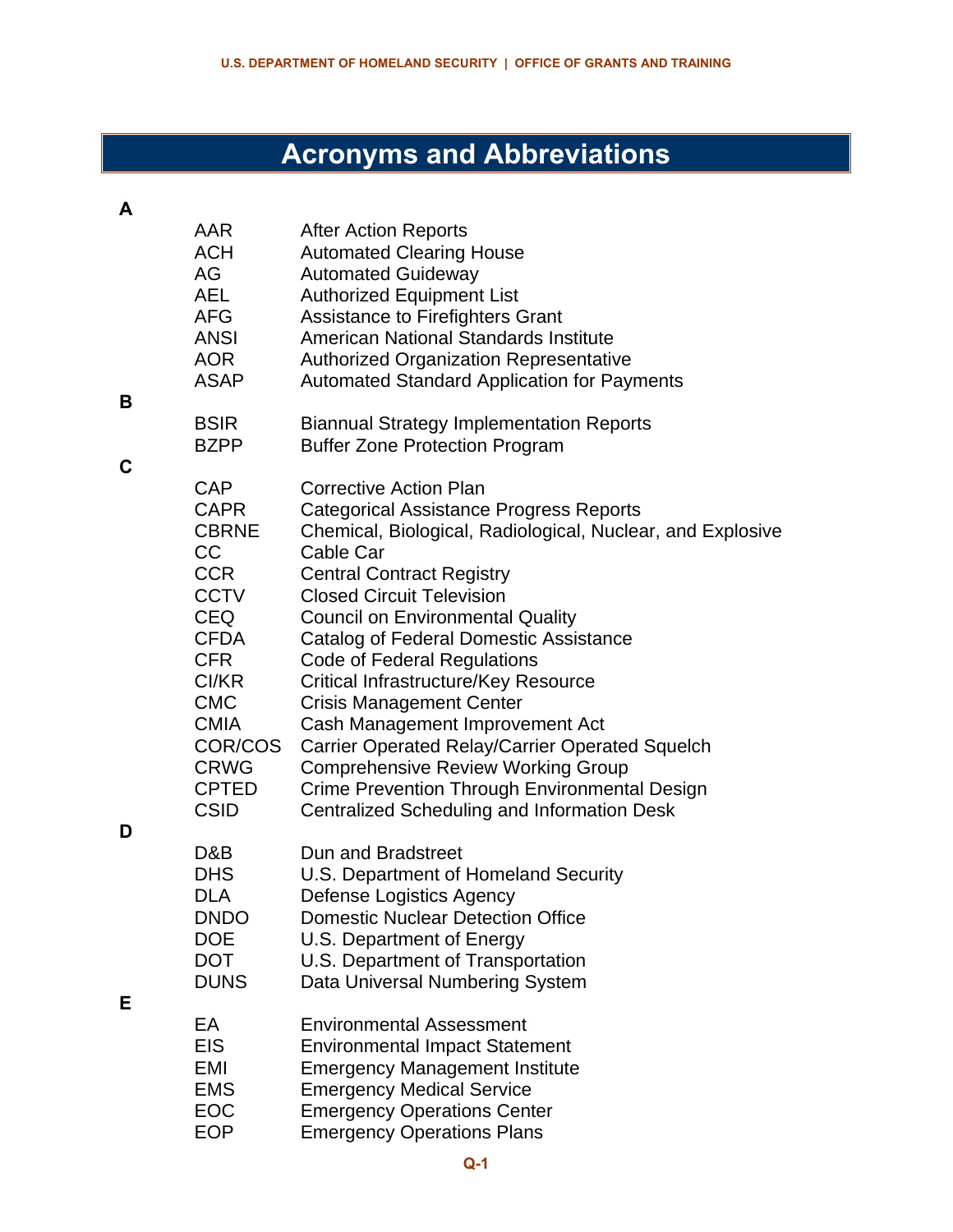## **Acronyms and Abbreviations**

| A      |                                                                                                                                                                                                                  |                                                                                                                                                                                                                                                                                                                                                                                                                                                                                                                                                                                                                                                                                    |
|--------|------------------------------------------------------------------------------------------------------------------------------------------------------------------------------------------------------------------|------------------------------------------------------------------------------------------------------------------------------------------------------------------------------------------------------------------------------------------------------------------------------------------------------------------------------------------------------------------------------------------------------------------------------------------------------------------------------------------------------------------------------------------------------------------------------------------------------------------------------------------------------------------------------------|
|        | <b>AAR</b><br>ACH<br>AG<br>AEL.<br><b>AFG</b><br><b>ANSI</b><br>AOR<br>ASAP                                                                                                                                      | <b>After Action Reports</b><br><b>Automated Clearing House</b><br><b>Automated Guideway</b><br><b>Authorized Equipment List</b><br><b>Assistance to Firefighters Grant</b><br>American National Standards Institute<br><b>Authorized Organization Representative</b><br><b>Automated Standard Application for Payments</b>                                                                                                                                                                                                                                                                                                                                                         |
| B<br>C | <b>BSIR</b><br><b>BZPP</b>                                                                                                                                                                                       | <b>Biannual Strategy Implementation Reports</b><br><b>Buffer Zone Protection Program</b>                                                                                                                                                                                                                                                                                                                                                                                                                                                                                                                                                                                           |
|        | <b>CAP</b><br><b>CAPR</b><br><b>CBRNE</b><br>CC<br><b>CCR</b><br><b>CCTV</b><br>CEQ.<br><b>CFDA</b><br><b>CFR</b><br>CI/KR<br><b>CMC</b><br><b>CMIA</b><br>COR/COS<br><b>CRWG</b><br><b>CPTED</b><br><b>CSID</b> | <b>Corrective Action Plan</b><br><b>Categorical Assistance Progress Reports</b><br>Chemical, Biological, Radiological, Nuclear, and Explosive<br>Cable Car<br><b>Central Contract Registry</b><br><b>Closed Circuit Television</b><br><b>Council on Environmental Quality</b><br><b>Catalog of Federal Domestic Assistance</b><br>Code of Federal Regulations<br>Critical Infrastructure/Key Resource<br><b>Crisis Management Center</b><br>Cash Management Improvement Act<br>Carrier Operated Relay/Carrier Operated Squelch<br><b>Comprehensive Review Working Group</b><br>Crime Prevention Through Environmental Design<br><b>Centralized Scheduling and Information Desk</b> |
| D<br>Е | D&B<br><b>DHS</b><br>DLA<br><b>DNDO</b><br><b>DOE</b><br><b>DOT</b><br><b>DUNS</b>                                                                                                                               | Dun and Bradstreet<br>U.S. Department of Homeland Security<br><b>Defense Logistics Agency</b><br><b>Domestic Nuclear Detection Office</b><br>U.S. Department of Energy<br>U.S. Department of Transportation<br>Data Universal Numbering System                                                                                                                                                                                                                                                                                                                                                                                                                                     |
|        | EA<br><b>EIS</b><br>EMI<br><b>EMS</b><br><b>EOC</b><br><b>EOP</b>                                                                                                                                                | <b>Environmental Assessment</b><br><b>Environmental Impact Statement</b><br><b>Emergency Management Institute</b><br><b>Emergency Medical Service</b><br><b>Emergency Operations Center</b><br><b>Emergency Operations Plans</b>                                                                                                                                                                                                                                                                                                                                                                                                                                                   |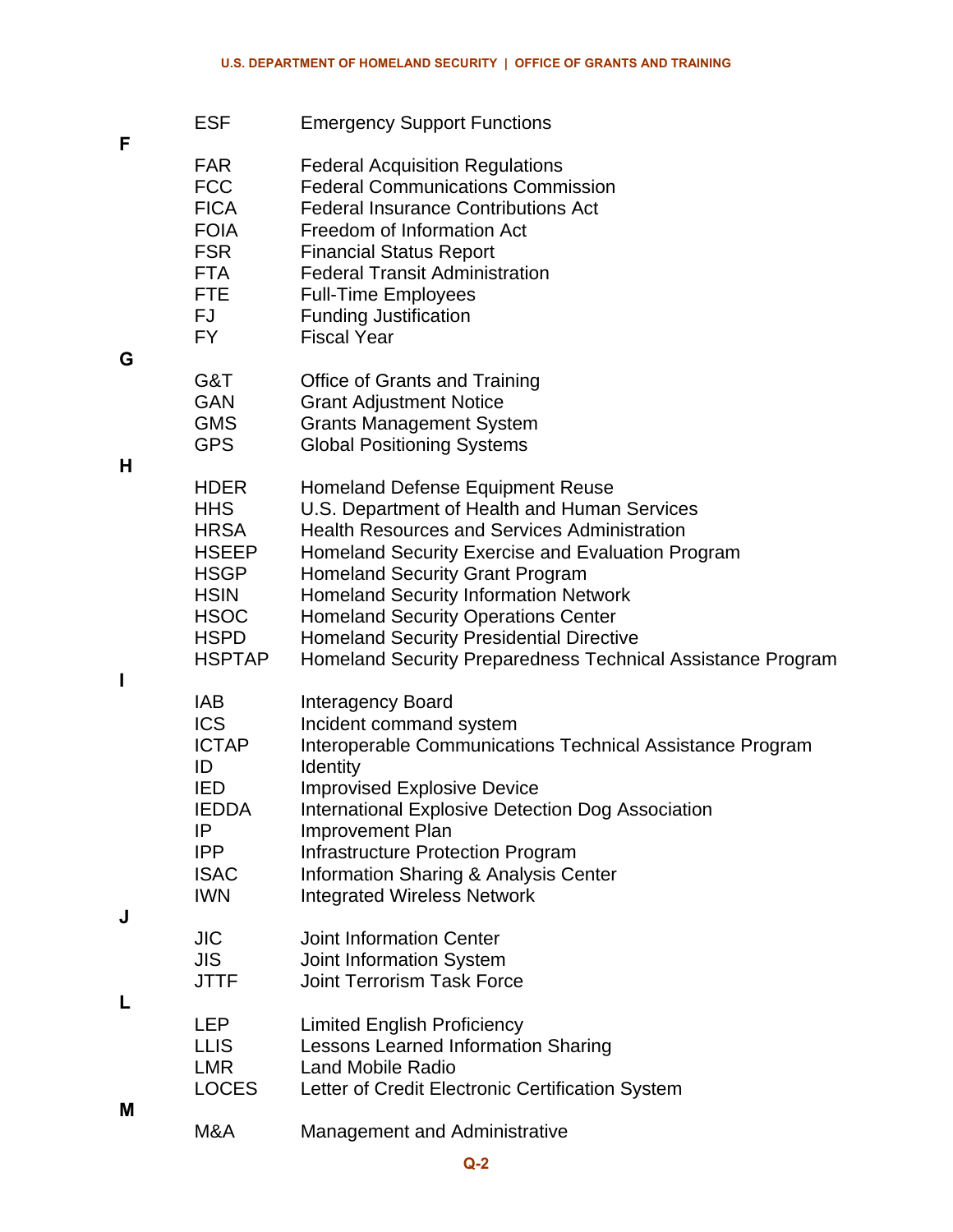**F** 

ESF Emergency Support Functions

- FAR Federal Acquisition Regulations
- FCC Federal Communications Commission
- FICA Federal Insurance Contributions Act
- FOIA Freedom of Information Act<br>FSR Financial Status Report
- **Financial Status Report** 
	- FTA Federal Transit Administration
- FTE Full-Time Employees
- FJ Funding Justification
- **G**

**H** 

**I** 

| ΓJ<br><b>FY</b>                                                                                                                       | Funding Justification<br><b>Fiscal Year</b>                                                                                                                                                                                                                                                                                                                                                                                                                   |
|---------------------------------------------------------------------------------------------------------------------------------------|---------------------------------------------------------------------------------------------------------------------------------------------------------------------------------------------------------------------------------------------------------------------------------------------------------------------------------------------------------------------------------------------------------------------------------------------------------------|
| G&T<br><b>GAN</b><br><b>GMS</b><br><b>GPS</b>                                                                                         | <b>Office of Grants and Training</b><br><b>Grant Adjustment Notice</b><br><b>Grants Management System</b><br><b>Global Positioning Systems</b>                                                                                                                                                                                                                                                                                                                |
| <b>HDER</b><br><b>HHS</b><br><b>HRSA</b><br><b>HSEEP</b><br><b>HSGP</b><br><b>HSIN</b><br><b>HSOC</b><br><b>HSPD</b><br><b>HSPTAP</b> | <b>Homeland Defense Equipment Reuse</b><br>U.S. Department of Health and Human Services<br><b>Health Resources and Services Administration</b><br>Homeland Security Exercise and Evaluation Program<br><b>Homeland Security Grant Program</b><br><b>Homeland Security Information Network</b><br><b>Homeland Security Operations Center</b><br><b>Homeland Security Presidential Directive</b><br>Homeland Security Preparedness Technical Assistance Program |
| <b>IAB</b><br><b>ICS</b><br><b>ICTAP</b><br>ID<br><b>IED</b><br><b>IEDDA</b><br>IP<br><b>IPP</b><br><b>ISAC</b><br><b>IWN</b>         | <b>Interagency Board</b><br>Incident command system<br>Interoperable Communications Technical Assistance Program<br>Identity<br><b>Improvised Explosive Device</b><br>International Explosive Detection Dog Association<br>Improvement Plan<br>Infrastructure Protection Program<br><b>Information Sharing &amp; Analysis Center</b><br><b>Integrated Wireless Network</b>                                                                                    |
| <b>JIC</b><br><b>JIS</b><br><b>JTTF</b>                                                                                               | <b>Joint Information Center</b><br>Joint Information System<br><b>Joint Terrorism Task Force</b>                                                                                                                                                                                                                                                                                                                                                              |
| <b>LEP</b><br><b>LLIS</b><br><b>LMR</b><br><b>LOCES</b>                                                                               | <b>Limited English Proficiency</b><br><b>Lessons Learned Information Sharing</b><br>Land Mobile Radio<br>Letter of Credit Electronic Certification System                                                                                                                                                                                                                                                                                                     |

**M** 

**J** 

**L** 

M&A Management and Administrative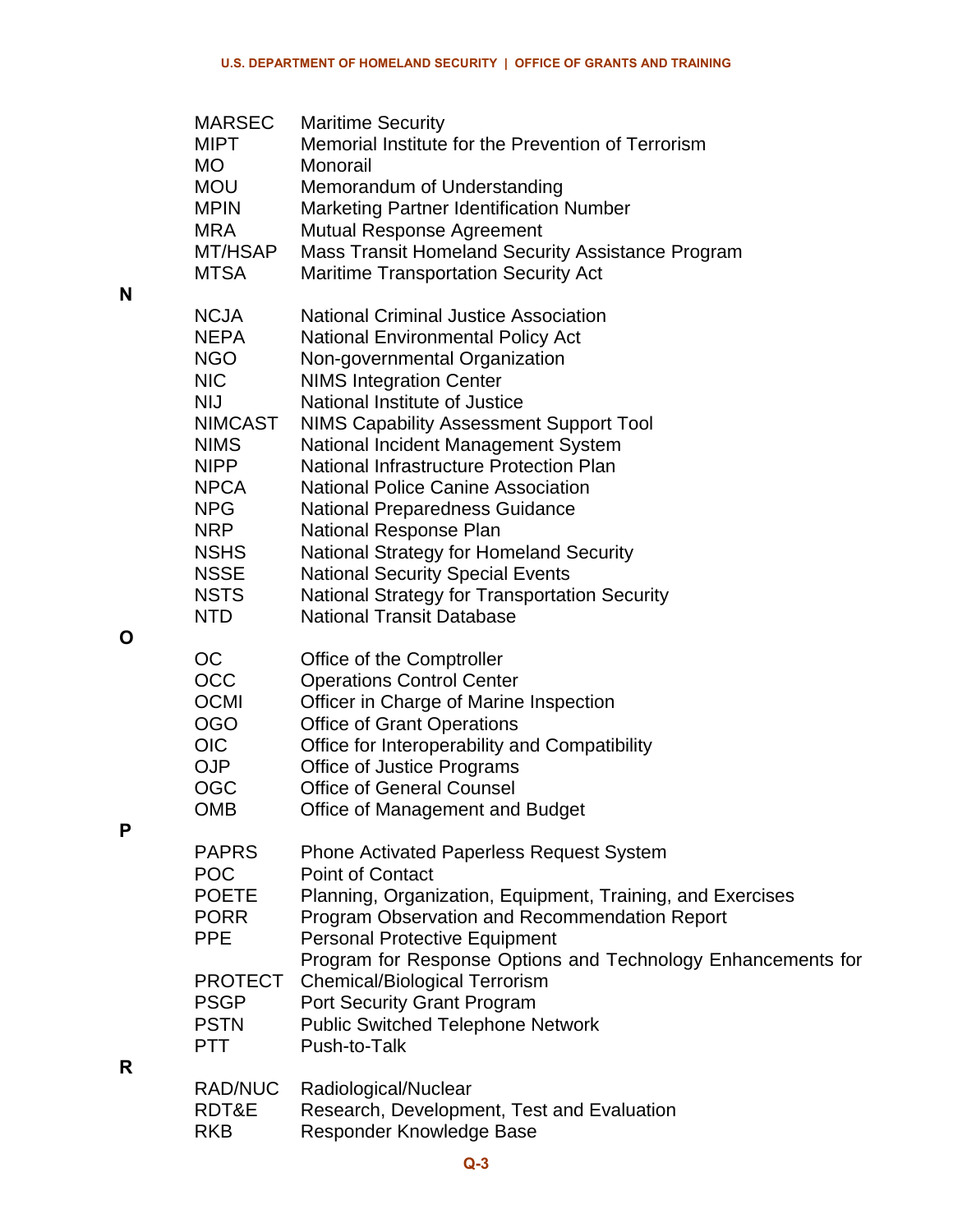| <b>MARSEC</b><br><b>MIPT</b><br><b>MO</b><br><b>MOU</b><br><b>MPIN</b><br><b>MRA</b><br>MT/HSAP<br><b>MTSA</b>                                                                                                             | <b>Maritime Security</b><br>Memorial Institute for the Prevention of Terrorism<br>Monorail<br>Memorandum of Understanding<br><b>Marketing Partner Identification Number</b><br><b>Mutual Response Agreement</b><br>Mass Transit Homeland Security Assistance Program<br><b>Maritime Transportation Security Act</b>                                                                                                                                                                                                                                                                                                                       |
|----------------------------------------------------------------------------------------------------------------------------------------------------------------------------------------------------------------------------|-------------------------------------------------------------------------------------------------------------------------------------------------------------------------------------------------------------------------------------------------------------------------------------------------------------------------------------------------------------------------------------------------------------------------------------------------------------------------------------------------------------------------------------------------------------------------------------------------------------------------------------------|
| <b>NCJA</b><br><b>NEPA</b><br><b>NGO</b><br><b>NIC</b><br><b>NIJ</b><br><b>NIMCAST</b><br><b>NIMS</b><br><b>NIPP</b><br><b>NPCA</b><br><b>NPG</b><br><b>NRP</b><br><b>NSHS</b><br><b>NSSE</b><br><b>NSTS</b><br><b>NTD</b> | <b>National Criminal Justice Association</b><br><b>National Environmental Policy Act</b><br>Non-governmental Organization<br><b>NIMS Integration Center</b><br>National Institute of Justice<br><b>NIMS Capability Assessment Support Tool</b><br>National Incident Management System<br>National Infrastructure Protection Plan<br><b>National Police Canine Association</b><br><b>National Preparedness Guidance</b><br>National Response Plan<br><b>National Strategy for Homeland Security</b><br><b>National Security Special Events</b><br><b>National Strategy for Transportation Security</b><br><b>National Transit Database</b> |
| OC<br>OCC<br><b>OCMI</b><br><b>OGO</b><br><b>OIC</b><br><b>OJP</b><br><b>OGC</b><br><b>OMB</b>                                                                                                                             | Office of the Comptroller<br><b>Operations Control Center</b><br>Officer in Charge of Marine Inspection<br><b>Office of Grant Operations</b><br>Office for Interoperability and Compatibility<br><b>Office of Justice Programs</b><br><b>Office of General Counsel</b><br>Office of Management and Budget                                                                                                                                                                                                                                                                                                                                 |
| <b>PAPRS</b><br><b>POC</b><br><b>POETE</b><br><b>PORR</b><br><b>PPE</b><br><b>PROTECT</b><br><b>PSGP</b><br><b>PSTN</b><br><b>PTT</b>                                                                                      | <b>Phone Activated Paperless Request System</b><br><b>Point of Contact</b><br>Planning, Organization, Equipment, Training, and Exercises<br>Program Observation and Recommendation Report<br><b>Personal Protective Equipment</b><br>Program for Response Options and Technology Enhancements for<br><b>Chemical/Biological Terrorism</b><br><b>Port Security Grant Program</b><br><b>Public Switched Telephone Network</b><br>Push-to-Talk                                                                                                                                                                                               |
| RAD/NUC<br>DNTRE                                                                                                                                                                                                           | Radiological/Nuclear<br><b>Possarch, Davelopment, Tost and Evaluation</b>                                                                                                                                                                                                                                                                                                                                                                                                                                                                                                                                                                 |

### **N**

**O** 

| ×        |
|----------|
| ۰,<br>۰. |
|          |

**R** 

|       | RAD/NUC Radiological/Nuclear               |
|-------|--------------------------------------------|
| RDT&E | Research, Development, Test and Evaluation |
| RKB   | Responder Knowledge Base                   |